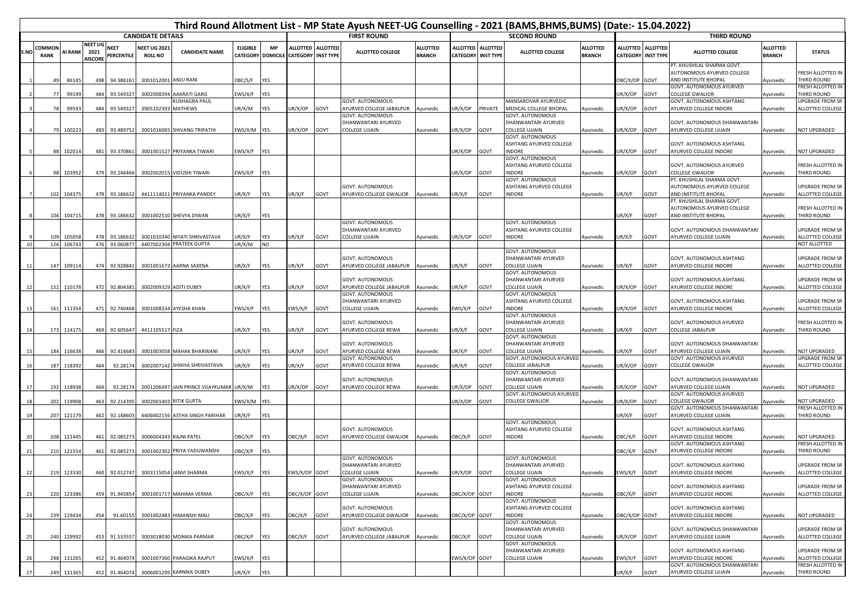|      |                       |            |                                          |                           |                                       |                               |                 |                                       |                                                |             |                                                        |                                  |                                    |                                     | Third Round Allotment List - MP State Ayush NEET-UG Counselling - 2021 (BAMS,BHMS,BUMS) (Date:- 15.04.2022) |                                  |                |                                                |                                                                                  |                           |                                            |
|------|-----------------------|------------|------------------------------------------|---------------------------|---------------------------------------|-------------------------------|-----------------|---------------------------------------|------------------------------------------------|-------------|--------------------------------------------------------|----------------------------------|------------------------------------|-------------------------------------|-------------------------------------------------------------------------------------------------------------|----------------------------------|----------------|------------------------------------------------|----------------------------------------------------------------------------------|---------------------------|--------------------------------------------|
|      |                       |            |                                          |                           | <b>CANDIDATE DETAILS</b>              |                               |                 |                                       |                                                |             | <b>FIRST ROUND</b>                                     |                                  |                                    |                                     | <b>SECOND ROUND</b>                                                                                         |                                  |                |                                                | <b>THIRD ROUND</b>                                                               |                           |                                            |
| S.NO | COMMOI<br><b>RANK</b> | AI RANK    | <b>NEET UG</b><br>2021<br><b>AISCORE</b> | <b>NEET</b><br>PERCENTILE | <b>NEET UG 2021</b><br><b>ROLL NO</b> | <b>CANDIDATE NAME</b>         | <b>ELIGIBLE</b> | <b>MP</b><br><b>CATEGORY DOMICILE</b> | ALLOTTED ALLOTTED<br><b>CATEGORY INST TYPE</b> |             | <b>ALLOTTED COLLEGE</b>                                | <b>ALLOTTED</b><br><b>BRANCH</b> | <b>ALLOTTED</b><br><b>CATEGORY</b> | <b>ALLOTTED</b><br><b>INST TYPE</b> | <b>ALLOTTED COLLEGE</b>                                                                                     | <b>ALLOTTED</b><br><b>BRANCH</b> |                | ALLOTTED ALLOTTED<br><b>CATEGORY INST TYPE</b> | <b>ALLOTTED COLLEGE</b>                                                          | ALLOTTED<br><b>BRANCH</b> | <b>STATUS</b>                              |
|      |                       | 86145      | 498                                      | 94.386161                 | 3001012001                            | ANJU RANI                     | OBC/S/F         | <b>YES</b>                            |                                                |             |                                                        |                                  |                                    |                                     |                                                                                                             |                                  | BC/X/OP GOVT   |                                                | PT. KHUSHILAL SHARMA GOVT.<br>AUTONOMOUS AYURVED COLLEGE<br>AND INSTITUTE BHOPAL | <b>Nyurvedic</b>          | FRESH ALLOTTED IN<br>THIRD ROUND           |
|      | 77                    | 99199      | 484                                      | 93.54932                  | 3002008394                            | AAKRATI GARG                  | EWS/X/F         | YES                                   |                                                |             |                                                        |                                  |                                    |                                     |                                                                                                             |                                  | JR/X/OP        | GOVT                                           | GOVT. AUTONOMOUS AYURVED<br><b>COLLEGE GWALIOR</b>                               | Ayurvedic                 | FRESH ALLOTTED IN<br>THIRD ROUND           |
|      |                       |            |                                          |                           |                                       | <b>KUSHAGRA PAUL</b>          |                 |                                       |                                                |             | GOVT. AUTONOMOUS                                       |                                  |                                    |                                     | MANSAROVAR AYURVEDIC                                                                                        |                                  |                |                                                | GOVT. AUTONOMOUS ASHTANG                                                         |                           | UPGRADE FROM SR                            |
|      | 78                    | 99593      | 484                                      | 93.549327                 | 3905102393                            | MATHEWS                       | JR/X/M          | YES                                   | JR/X/OP                                        | GOVT        | AYURVED COLLEGE JABALPUR Ayurvedic<br>GOVT. AUTONOMOUS |                                  | IR/X/OP                            | PRIVATE                             | MEDICAL COLLEGE BHOPAL<br>GOVT. AUTONOMOUS                                                                  | Ayurvedic                        | JR/X/OP GOVT   |                                                | AYURVED COLLEGE INDORE                                                           | Ayurvedic                 | ALLOTTED COLLEGE                           |
|      |                       |            |                                          |                           |                                       |                               |                 |                                       |                                                |             | DHANWANTARI AYURVED                                    |                                  |                                    |                                     | DHANWANTARI AYURVED                                                                                         |                                  |                |                                                | GOVT. AUTONOMOUS DHANWANTARI                                                     |                           |                                            |
|      | 79                    | 100223     | 483                                      | 93.489752                 |                                       | 3001016065 SHIVANG TRIPATHI   | EWS/X/M YES     |                                       | UR/X/OP                                        | GOVT        | COLLEGE UJJAIN                                         | Ayurvedic                        | IR/X/OP                            | <b>TVOE</b>                         | <b>COLLEGE UJJAIN</b>                                                                                       | Ayurvedic                        | JR/X/OP        | GOVT                                           | AYURVED COLLEGE UJJAIN                                                           | Ayurvedic                 | NOT UPGRADED                               |
|      |                       |            |                                          |                           |                                       |                               |                 |                                       |                                                |             |                                                        |                                  |                                    |                                     | <b>GOVT. AUTONOMOUS</b><br>ASHTANG AYURVED COLLEGE                                                          |                                  |                |                                                | GOVT. AUTONOMOUS ASHTANG                                                         |                           |                                            |
|      | 88                    | 102014     | 481                                      | 93.370861                 |                                       | 3001001527 PRIYANKA TIWARI    | EWS/X/F YES     |                                       |                                                |             |                                                        |                                  | IR/X/OP                            | GOVT                                | INDORE                                                                                                      | Ayurvedic                        | UR/X/OP        | GOVT                                           | AYURVED COLLEGE INDORE                                                           | Ayurvedic                 | NOT UPGRADED                               |
|      |                       |            |                                          |                           |                                       |                               |                 |                                       |                                                |             |                                                        |                                  |                                    |                                     | GOVT. AUTONOMOUS<br>ASHTANG AYURVED COLLEGE                                                                 |                                  |                |                                                | GOVT. AUTONOMOUS AYURVED                                                         |                           | FRESH ALLOTTED IN                          |
|      |                       | 103952     | 479                                      | 93.246466                 | 3002002015                            | <b>VIDUSHI TIWARI</b>         | EWS/X/F         | <b>YES</b>                            |                                                |             |                                                        |                                  | JR/X/OP                            | GOVT                                | <b>INDORE</b>                                                                                               | Ayurvedic                        | JR/X/OP        | GOVT                                           | COLLEGE GWALIOR                                                                  | <b>Nyurvedic</b>          | THIRD ROUND                                |
|      |                       |            |                                          |                           |                                       |                               |                 |                                       |                                                |             | GOVT. AUTONOMOUS                                       |                                  |                                    |                                     | GOVT. AUTONOMOUS<br>ASHTANG AYURVED COLLEGE                                                                 |                                  |                |                                                | PT. KHUSHILAL SHARMA GOVT.<br>AUTONOMOUS AYURVED COLLEGE                         |                           | UPGRADE FROM SR                            |
|      | 102                   | 104375     | 478                                      | 93.18663                  |                                       | 4411114011 PRIYANKA PANDEY    | JR/X/F          | YES                                   | JR/X/F                                         | <b>GOVT</b> | AYURVED COLLEGE GWALIOR Ayurvedic                      |                                  | IR/X/F                             | <b>GOVT</b>                         | <b>INDORE</b>                                                                                               | Ayurvedic                        | JR/X/F         | GOVT                                           | AND INSTITUTE BHOPAL                                                             | Ayurvedic                 | ALLOTTED COLLEGE                           |
|      |                       |            |                                          |                           |                                       |                               |                 |                                       |                                                |             |                                                        |                                  |                                    |                                     |                                                                                                             |                                  |                |                                                | PT. KHUSHILAL SHARMA GOVT.                                                       |                           |                                            |
|      | 104                   | 104715     | 478                                      | 93.186632                 |                                       | 3001002510 SHEVYA DIWAN       | JR/X/F          | YES                                   |                                                |             |                                                        |                                  |                                    |                                     |                                                                                                             |                                  | JR/X/F         | GOVT                                           | AUTONOMOUS AYURVED COLLEGE<br>AND INSTITUTE BHOPAL                               | Ayurvedic                 | FRESH ALLOTTED IN<br>THIRD ROUND           |
|      |                       |            |                                          |                           |                                       |                               |                 |                                       |                                                |             | GOVT. AUTONOMOUS                                       |                                  |                                    |                                     | GOVT. AUTONOMOUS                                                                                            |                                  |                |                                                |                                                                                  |                           |                                            |
|      | 109                   | 105058     | 478                                      | 93.18663                  |                                       | 3001010340 NIYATI SHRIVASTAVA | JR/X/F          | YES                                   | UR/X/F                                         | GOVT        | DHANWANTARI AYURVED<br>COLLEGE UJJAIN                  | Ayurvedic                        | IR/X/OP                            | GOVT                                | ASHTANG AYURVED COLLEGE<br>INDORE                                                                           | Ayurvedic                        | JR/X/F         | GOVT                                           | GOVT. AUTONOMOUS DHANWANTARI<br>AYURVED COLLEGE UJJAIN                           | Ayurvedic                 | JPGRADE FROM SR<br>ALLOTTED COLLEGE        |
| 10   |                       | 126 106743 | 476                                      | 93.06087                  | 4407002304                            | PRATEEK GUPTA                 | JR/X/M          | NO                                    |                                                |             |                                                        |                                  |                                    |                                     |                                                                                                             |                                  |                |                                                |                                                                                  |                           | NOT ALLOTTED                               |
|      |                       |            |                                          |                           |                                       |                               |                 |                                       |                                                |             | <b>GOVT. AUTONOMOUS</b>                                |                                  |                                    |                                     | GOVT. AUTONOMOUS<br>DHANWANTARI AYURVED                                                                     |                                  |                |                                                | GOVT. AUTONOMOUS ASHTANG                                                         |                           | UPGRADE FROM SR                            |
| 11   | 147                   | 109114     | 474                                      | 92.928841                 |                                       | 3001001672 AARNA SAXENA       | JR/X/F          | YES                                   | UR/X/F                                         | GOVT        | AYURVED COLLEGE JABALPUR Ayurvedic                     |                                  | IR/X/F                             | <b>TVOE</b>                         | COLLEGE UJJAIN                                                                                              | Ayurvedic                        | JR/X/F         | GOVT                                           | AYURVED COLLEGE INDORE                                                           | Ayurvedic                 | ALLOTTED COLLEGE                           |
|      |                       |            |                                          |                           |                                       |                               |                 |                                       |                                                |             | <b>GOVT. AUTONOMOUS</b>                                |                                  |                                    |                                     | <b>GOVT. AUTONOMOUS</b><br>DHANWANTARI AYURVED                                                              |                                  |                |                                                | GOVT. AUTONOMOUS ASHTANG                                                         |                           | UPGRADE FROM SR                            |
| 12   | 152                   | 110178     | 472                                      | 92.804381                 |                                       | 3002009329 ADITI DUBEY        | JR/X/F          | YES                                   | UR/X/F                                         | GOVT        | AYURVED COLLEGE JABALPUR Ayurvedic                     |                                  | JR/X/F                             | <b>GOVT</b>                         | <b>COLLEGE UJJAIN</b>                                                                                       | Ayurvedic                        | UR/X/OP        | GOVT                                           | AYURVED COLLEGE INDORE                                                           | Ayurvedic                 | ALLOTTED COLLEGE                           |
|      |                       |            |                                          |                           |                                       |                               |                 |                                       |                                                |             | GOVT. AUTONOMOUS                                       |                                  |                                    |                                     | GOVT. AUTONOMOUS<br>ASHTANG AYURVED COLLEGE                                                                 |                                  |                |                                                |                                                                                  |                           |                                            |
|      | 161                   | 111354     | 471                                      | 92.740468                 | 3001008334                            | AYESHA KHAN                   | EWS/X/F         | <b>YES</b>                            | WS/X/F                                         | GOVT        | DHANWANTARI AYURVED<br>COLLEGE UJJAIN                  | Ayurvedic                        | WS/X/F                             | GOVT                                | INDORE                                                                                                      | Ayurvedic                        | JR/X/OP        | GOVT                                           | GOVT. AUTONOMOUS ASHTANG<br>AYURVED COLLEGE INDORE                               | <b>Nyurvedic</b>          | <b>UPGRADE FROM SR</b><br>ALLOTTED COLLEGE |
|      |                       |            |                                          |                           |                                       |                               |                 |                                       |                                                |             |                                                        |                                  |                                    |                                     | GOVT. AUTONOMOUS                                                                                            |                                  |                |                                                |                                                                                  |                           |                                            |
| 14   | 173                   | 114175     | 469                                      | 92.60564                  | 4411105517 FIZA                       |                               | JR/X/F          | YES                                   | UR/X/F                                         | GOVT        | GOVT. AUTONOMOUS<br>AYURVED COLLEGE REWA               | Ayurvedic                        | IR/X/F                             | <b>GOVT</b>                         | DHANWANTARI AYURVED<br>COLLEGE UJJAIN                                                                       | Ayurvedic                        | JR/X/F         | GOVT                                           | GOVT. AUTONOMOUS AYURVED<br><b>COLLEGE JABALPUR</b>                              | Ayurvedic                 | RESH ALLOTTED IN<br>THIRD ROUND            |
|      |                       |            |                                          |                           |                                       |                               |                 |                                       |                                                |             |                                                        |                                  |                                    |                                     | GOVT. AUTONOMOUS                                                                                            |                                  |                |                                                |                                                                                  |                           |                                            |
|      | 184                   | 116638     | 466                                      | 92.414683                 | 3001003058                            | <b>MAHAK BHARWANI</b>         | JR/X/F          | <b>YES</b>                            | UR/X/F                                         | GOVT        | GOVT. AUTONOMOUS<br>AYURVED COLLEGE REWA               | Ayurvedic                        | IR/X/F                             | <b>GOVT</b>                         | DHANWANTARI AYURVED<br>COLLEGE UJJAIN                                                                       | Ayurvedic                        | JR/X/F         | GOVT                                           | GOVT. AUTONOMOUS DHANWANTARI<br>AYURVED COLLEGE UJJAIN                           | Ayurvedic                 | <b>NOT UPGRADED</b>                        |
|      |                       |            |                                          |                           |                                       |                               |                 |                                       |                                                |             | GOVT. AUTONOMOUS                                       |                                  |                                    |                                     | GOVT. AUTONOMOUS AYURVED                                                                                    |                                  |                |                                                | GOVT. AUTONOMOUS AYURVED                                                         |                           | UPGRADE FROM SR                            |
| 16   | 187                   | 118392     | 464                                      | 92.2817                   |                                       | 3002007142 SHIKHA SHRIVASTAVA | JR/X/F          | YES                                   | JR/X/F                                         | <b>GOVT</b> | <b>IYURVED COLLEGE REWA</b>                            | Ayurvedic                        | IR/X/F                             | <b>GOVT</b>                         | COLLEGE JABALPUR<br>GOVT. AUTONOMOUS                                                                        | Ayurvedic                        | JR/X/OP        | GOVT                                           | COLLEGE GWALIOR                                                                  | Ayurvedic                 | ALLOTTED COLLEGE                           |
|      |                       |            |                                          |                           |                                       |                               |                 |                                       |                                                |             | GOVT. AUTONOMOUS                                       |                                  |                                    |                                     | DHANWANTARI AYURVED                                                                                         |                                  |                |                                                | GOVT. AUTONOMOUS DHANWANTARI                                                     |                           |                                            |
|      | 192                   | 118938     | 464                                      | 92.2817                   | 2001206497                            | JAIN PRINCE VIJAYKUMAR UR/X/M |                 | YES                                   | UR/X/OP                                        | GOVT        | AYURVED COLLEGE REWA                                   | Ayurvedic                        | IR/X/OP                            | GOVT                                | <b>COLLEGE UJJAIN</b><br>GOVT. AUTONOMOUS AYURVED                                                           | Ayurvedic                        | JR/X/OP        | GOVT                                           | AYURVED COLLEGE UJJAIN<br>GOVT. AUTONOMOUS AYURVED                               | Ayurvedic                 | NOT UPGRADED                               |
|      | 202                   | 119908     | 463                                      | 92.21439                  | 3002001403                            | <b>RITIK GUPTA</b>            | WS/X/M YES      |                                       |                                                |             |                                                        |                                  | IR/X/OP                            | <b>GOVT</b>                         | <b>COLLEGE GWALIOR</b>                                                                                      | Ayurvedic                        | JR/X/OP        | GOVT                                           | <b>COLLEGE GWALIOR</b>                                                           | vurvedic                  | NOT UPGRADED                               |
|      |                       |            |                                          |                           |                                       | ASTHA SINGH PARIHAR           |                 |                                       |                                                |             |                                                        |                                  |                                    |                                     |                                                                                                             |                                  |                |                                                | GOVT. AUTONOMOUS DHANWANTARI<br>AYURVED COLLEGE UJJAIN                           |                           | FRESH ALLOTTED IN<br>THIRD ROUND           |
| 19   | 207                   | 121179     | 462                                      | 92.14860                  | 4406002156                            |                               | JR/X/F          | YES                                   |                                                |             |                                                        |                                  |                                    |                                     | GOVT. AUTONOMOUS                                                                                            |                                  | JR/X/F         | GOVT                                           |                                                                                  | Ayurvedic                 |                                            |
|      |                       |            |                                          |                           |                                       |                               |                 |                                       |                                                |             | GOVT. AUTONOMOUS                                       |                                  |                                    |                                     | ASHTANG AYURVED COLLEGE                                                                                     |                                  |                |                                                | GOVT. AUTONOMOUS ASHTANG                                                         |                           |                                            |
|      | 208                   | 121445     | 461                                      | 92.08527                  | 3006004343                            | RAJNI PATEL                   | OBC/X/F         | YES                                   | OBC/X/F                                        | GOVT        | AYURVED COLLEGE GWALIOR                                | Ayurvedic                        | <b>DBC/X/F</b>                     | GOVT                                | <b>INDORE</b>                                                                                               | Ayurvedic                        | <b>DBC/X/F</b> | GOVT                                           | AYURVED COLLEGE INDORE<br>GOVT. AUTONOMOUS ASHTANG                               | Ayurvedic                 | <b>NOT UPGRADED</b><br>FRESH ALLOTTED IN   |
| 21   | 210                   | 121554     | 461                                      | 92.085273                 |                                       | 3001002302 PRIYA YADUWANSHI   | OBC/X/F         | YES                                   |                                                |             |                                                        |                                  |                                    |                                     |                                                                                                             |                                  | <b>DBC/X/F</b> | GOVT                                           | AYURVED COLLEGE INDORE                                                           | Ayurvedic                 | <b>HIRD ROUND</b>                          |
|      |                       |            |                                          |                           |                                       |                               |                 |                                       |                                                |             | GOVT. AUTONOMOUS<br>DHANWANTARI AYURVED                |                                  |                                    |                                     | <b>GOVT. AUTONOMOUS</b><br>DHANWANTARI AYURVED                                                              |                                  |                |                                                | GOVT. AUTONOMOUS ASHTANG                                                         |                           | JPGRADE FROM SR                            |
| 22   | 219                   | 123330     | 460                                      | 92.012747                 |                                       | 3003115054 JANVI SHARMA       | EWS/X/F YES     |                                       | EWS/X/OP GOVT                                  |             | COLLEGE UJJAIN                                         | Ayurvedic                        | UR/X/OP                            | GOVT                                | <b>COLLEGE UJJAIN</b>                                                                                       | Ayurvedic                        | EWS/X/F        | GOVT                                           | AYURVED COLLEGE INDORE                                                           | Ayurvedic                 | ALLOTTED COLLEGE                           |
|      |                       |            |                                          |                           |                                       |                               |                 |                                       |                                                |             | GOVT. AUTONOMOUS<br>DHANWANTARI AYURVED                |                                  |                                    |                                     | <b>GOVT. AUTONOMOUS</b><br>ASHTANG AYURVED COLLEGE                                                          |                                  |                |                                                | GOVT. AUTONOMOUS ASHTANG                                                         |                           | <b>UPGRADE FROM SR</b>                     |
| 23   | 220                   | 123386     | 459                                      | 91.945854                 |                                       | 3001001717 MAHIMA VERMA       | OBC/X/F         | <b>YES</b>                            | OBC/X/OP GOVT                                  |             | COLLEGE UJJAIN                                         | Ayurvedic                        | <b>DBC/X/OP</b>                    | GOVT                                | INDORE                                                                                                      | Ayurvedic                        | OBC/X/F        | GOVT                                           | AYURVED COLLEGE INDORE                                                           | Ayurvedic                 | ALLOTTED COLLEGE                           |
|      |                       |            |                                          |                           |                                       |                               |                 |                                       |                                                |             | GOVT. AUTONOMOUS                                       |                                  |                                    |                                     | <b>GOVT. AUTONOMOUS</b><br>ASHTANG AYURVED COLLEGE                                                          |                                  |                |                                                | GOVT. AUTONOMOUS ASHTANG                                                         |                           |                                            |
| 24   | 239                   | 129434     | 454                                      | 91.6015                   |                                       | 3001002483 HIMANSHI MALI      | OBC/X/F YES     |                                       | OBC/X/F                                        | GOVT        | AYURVED COLLEGE GWALIOR                                | Ayurvedic                        | <b>DBC/X/OP</b>                    | GOVT                                | INDORE                                                                                                      | Ayurvedic                        | OBC/X/OP GOVT  |                                                | AYURVED COLLEGE INDORE                                                           | Ayurvedic                 | NOT UPGRADED                               |
|      |                       |            |                                          |                           |                                       |                               |                 |                                       |                                                |             | GOVT. AUTONOMOUS                                       |                                  |                                    |                                     | <b>GOVT. AUTONOMOUS</b><br>DHANWANTARI AYURVED                                                              |                                  |                |                                                | <b>GOVT, AUTONOMOUS DHANWANTARI</b>                                              |                           | <b>UPGRADE FROM SR</b>                     |
| 25   | 240                   | 129992     | 453                                      | 91.53355                  |                                       | 3003018030 MONIKA PARMAR      | OBC/X/F         | <b>YES</b>                            | OBC/X/F                                        | GOVT        | AYURVED COLLEGE JABALPUR                               | Ayurvedic                        | )BC/X/F                            | <b>GOVT</b>                         | <b>COLLEGE UJJAIN</b>                                                                                       | Ayurvedic                        | JR/X/OP        | GOVT                                           | AYURVED COLLEGE UJJAIN                                                           | Ayurvedic                 | ALLOTTED COLLEGE                           |
|      |                       |            |                                          |                           |                                       |                               |                 |                                       |                                                |             |                                                        |                                  |                                    |                                     | GOVT. AUTONOMOUS                                                                                            |                                  |                |                                                |                                                                                  |                           |                                            |
| 26   | 248                   | 131265     |                                          | 452 91.464074             |                                       | 3001007360 PARAGIKA RAJPUT    | EWS/X/F         | <b>YES</b>                            |                                                |             |                                                        |                                  | WS/X/OP                            | GOVT                                | DHANWANTARI AYURVED<br>COLLEGE UJJAIN                                                                       | Ayurvedic                        | :WS/X/F        | GOVT                                           | GOVT. AUTONOMOUS ASHTANG<br>AYURVED COLLEGE INDORE                               | Ayurvedic                 | UPGRADE FROM SR<br>ALLOTTED COLLEGE        |
|      |                       |            |                                          |                           |                                       |                               |                 |                                       |                                                |             |                                                        |                                  |                                    |                                     |                                                                                                             |                                  |                |                                                | GOVT. AUTONOMOUS DHANWANTARI                                                     |                           | FRESH ALLOTTED IN                          |
| 27   | 249                   | 131365     |                                          | 452 91.464074             |                                       | 3006001295 KARNIKA DUBEY      | UR/X/F          | YES                                   |                                                |             |                                                        |                                  |                                    |                                     |                                                                                                             |                                  | UR/X/F         | GOVT                                           | AYURVED COLLEGE UJJAIN                                                           | Ayurvedic                 | THIRD ROUND                                |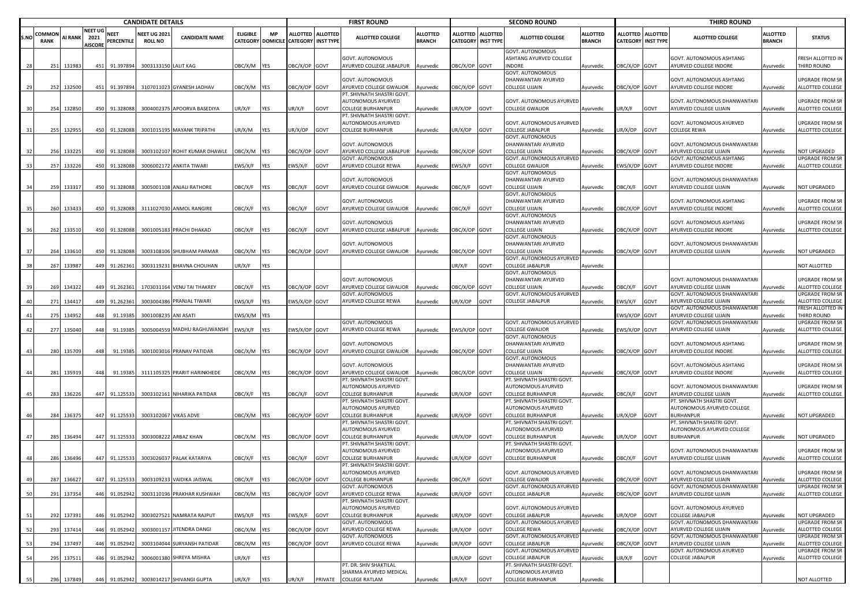|      |                | <b>CANDIDATE DETAILS</b> |                                          |                    |                                       |                                          |                 |            |                                                           |         | <b>FIRST ROUND</b>                                                           |                                  |                                                |      | <b>SECOND ROUND</b>                                              |                                  |                                              |                 | <b>THIRD ROUND</b>                                        |                                  |                                            |
|------|----------------|--------------------------|------------------------------------------|--------------------|---------------------------------------|------------------------------------------|-----------------|------------|-----------------------------------------------------------|---------|------------------------------------------------------------------------------|----------------------------------|------------------------------------------------|------|------------------------------------------------------------------|----------------------------------|----------------------------------------------|-----------------|-----------------------------------------------------------|----------------------------------|--------------------------------------------|
| S.NO | COMMON<br>RANK | <b>AI RANK</b>           | <b>NEET UG</b><br>2021<br><b>AISCORE</b> | NEET<br>PERCENTILE | <b>NEET UG 2021</b><br><b>ROLL NO</b> | <b>CANDIDATE NAME</b>                    | <b>ELIGIBLE</b> | <b>MP</b>  | ALLOTTED ALLOTTED<br>CATEGORY DOMICILE CATEGORY INST TYPE |         | <b>ALLOTTED COLLEGE</b>                                                      | <b>ALLOTTED</b><br><b>BRANCH</b> | ALLOTTED ALLOTTED<br><b>CATEGORY INST TYPE</b> |      | <b>ALLOTTED COLLEGE</b>                                          | <b>ALLOTTED</b><br><b>BRANCH</b> | <b>ALLOTTED</b><br><b>CATEGORY INST TYPE</b> | <b>ALLOTTED</b> | <b>ALLOTTED COLLEGE</b>                                   | <b>ALLOTTED</b><br><b>BRANCH</b> | <b>STATUS</b>                              |
|      |                | 251 131983               |                                          | 451 91.397894      | 3003133150 LALIT KAG                  |                                          | OBC/X/M YES     |            | DBC/X/OP GOVT                                             |         | GOVT. AUTONOMOUS<br>AYURVED COLLEGE JABALPUR Ayurvedic                       |                                  | DBC/X/OP GOVT                                  |      | GOVT. AUTONOMOUS<br><b>ASHTANG AYURVED COLLEGE</b><br>INDORE     | Ayurvedic                        | DBC/X/OP                                     | GOVT            | GOVT. AUTONOMOUS ASHTANG<br>AYURVED COLLEGE INDORE        | Ayurvedic                        | RESH ALLOTTED IN<br>HIRD ROUND             |
|      |                | 252 132500               |                                          | 451 91.397894      |                                       | 3107011023 GYANESH JADHAV                | OBC/X/M YES     |            | BC/X/OP GOVT                                              |         | GOVT. AUTONOMOUS<br>AYURVED COLLEGE GWALIOR                                  | Ayurvedic                        | OBC/X/OP GOVT                                  |      | <b>GOVT. AUTONOMOUS</b><br>DHANWANTARI AYURVED<br>COLLEGE UJJAIN | Ayurvedic                        | DBC/X/OP                                     | GOVT            | <b>GOVT. AUTONOMOUS ASHTANG</b><br>AYURVED COLLEGE INDORE | vurvedic                         | JPGRADE FROM SR<br>ALLOTTED COLLEGE        |
|      |                |                          |                                          |                    |                                       |                                          |                 |            |                                                           |         | PT. SHIVNATH SHASTRI GOVT.<br>AUTONOMOUS AYURVED                             |                                  |                                                |      | GOVT. AUTONOMOUS AYURVEI                                         |                                  |                                              |                 | GOVT. AUTONOMOUS DHANWANTARI                              |                                  | JPGRADE FROM SR                            |
|      |                | 254 132850               |                                          | 450 91.328088      |                                       | 3004002375 APOORVA BASEDIYA              | JR/X/F          | YES        | JR/X/F                                                    | GOVT    | <b>COLLEGE BURHANPUR</b><br>PT. SHIVNATH SHASTRI GOVT.<br>AUTONOMOUS AYURVED | Ayurvedic                        | JR/X/OP GOVT                                   |      | COLLEGE GWALIOR<br>GOVT. AUTONOMOUS AYURVED                      | Ayurvedic                        | JR/X/F                                       | GOVT            | AYURVED COLLEGE UJJAIN<br>GOVT. AUTONOMOUS AYURVED        | Ayurvedic                        | ALLOTTED COLLEGE<br>JPGRADE FROM SR        |
|      |                | 255 132955               |                                          | 450 91.328088      |                                       | 3001015195 MAYANK TRIPATHI               | UR/X/M          | <b>YES</b> | JR/X/OP                                                   | GOVT    | <b>COLLEGE BURHANPUR</b>                                                     | Ayurvedic                        | JR/X/OP GOVT                                   |      | COLLEGE JABALPUR<br>GOVT. AUTONOMOUS                             | Ayurvedic                        | UR/X/OP                                      | GOVT            | COLLEGE REWA                                              | Ayurvedic                        | ALLOTTED COLLEGE                           |
|      |                |                          |                                          |                    |                                       |                                          |                 |            |                                                           |         | GOVT. AUTONOMOUS                                                             |                                  |                                                |      | DHANWANTARI AYURVED                                              |                                  |                                              |                 | GOVT. AUTONOMOUS DHANWANTARI                              |                                  |                                            |
|      | 256            | 133225                   | 450                                      | 91.328088          |                                       | 3003102107 ROHIT KUMAR DHAWLE            | OBC/X/M YES     |            | BC/X/OP GOVT                                              |         | AYURVED COLLEGE JABALPUR<br>GOVT. AUTONOMOUS                                 | Ayurvedic                        | DBC/X/OP GOVT                                  |      | COLLEGE UJJAIN<br>GOVT. AUTONOMOUS AYURVEI                       | Ayurvedic                        | BC/X/OP                                      | GOVT            | AYURVED COLLEGE UJJAIN<br>GOVT. AUTONOMOUS ASHTANG        | Ayurvedic                        | <b>IOT UPGRADED</b><br>JPGRADE FROM SF     |
|      | 257            | 133226                   | 450                                      | 91.328088          |                                       | 3006002172 ANKITA TIWARI                 | EWS/X/F         | <b>YES</b> | EWS/X/F                                                   | GOVT    | AYURVED COLLEGE REWA                                                         | Ayurvedic                        | EWS/X/F                                        | GOVT | COLLEGE GWALIOR                                                  | Ayurvedic                        | EWS/X/OP GOVT                                |                 | AYURVED COLLEGE INDORE                                    | Ayurvedic                        | ALLOTTED COLLEGE                           |
|      |                |                          |                                          |                    |                                       |                                          |                 |            |                                                           |         |                                                                              |                                  |                                                |      | <b>GOVT. AUTONOMOUS</b>                                          |                                  |                                              |                 |                                                           |                                  |                                            |
|      | 259            | 133317                   |                                          | 450 91.328088      |                                       | 3005001108 ANJALI RATHORE                | OBC/X/F         | <b>YES</b> | <b>DBC/X/F</b>                                            | GOVT    | GOVT. AUTONOMOUS<br>AYURVED COLLEGE GWALIOR                                  | Ayurvedic                        | OBC/X/F GOVT                                   |      | DHANWANTARI AYURVED<br>COLLEGE UJJAIN                            | Ayurvedic                        | )BC/X/F                                      | GOVT            | GOVT. AUTONOMOUS DHANWANTARI<br>AYURVED COLLEGE UJJAIN    | Ayurvedic                        | <b>NOT UPGRADED</b>                        |
|      |                |                          |                                          |                    |                                       |                                          |                 |            |                                                           |         |                                                                              |                                  |                                                |      | <b>GOVT. AUTONOMOUS</b>                                          |                                  |                                              |                 |                                                           |                                  |                                            |
|      |                |                          |                                          |                    |                                       |                                          |                 |            |                                                           |         | GOVT. AUTONOMOUS                                                             |                                  |                                                |      | DHANWANTARI AYURVED                                              |                                  |                                              |                 | GOVT. AUTONOMOUS ASHTANG                                  |                                  | JPGRADE FROM SR                            |
|      | 260            | 133433                   |                                          | 450 91.328088      |                                       | 3111027030 ANMOL RANGIRE                 | OBC/X/F         | YES        | <b>JBC/X/F</b>                                            | GOVT    | AYURVED COLLEGE GWALIOR                                                      | Ayurvedic                        | OBC/X/F                                        | GOVT | COLLEGE UJJAIN<br>GOVT. AUTONOMOUS                               | Ayurvedic                        | DBC/X/OP GOVT                                |                 | AYURVED COLLEGE INDORE                                    | Ayurvedic                        | ALLOTTED COLLEGE                           |
|      |                |                          |                                          |                    |                                       |                                          |                 |            |                                                           |         | GOVT. AUTONOMOUS                                                             |                                  |                                                |      | DHANWANTARI AYURVED                                              |                                  |                                              |                 | GOVT. AUTONOMOUS ASHTANG                                  |                                  | JPGRADE FROM SR                            |
| 36   | 262            | 133510                   |                                          | 450 91.328088      |                                       | 3001005183 PRACHI DHAKAD                 | OBC/X/F         | <b>YES</b> | <b>DBC/X/F</b>                                            | GOVT    | AYURVED COLLEGE JABALPUR                                                     | Ayurvedic                        | DBC/X/OP GOVT                                  |      | COLLEGE UJJAIN                                                   | Ayurvedic                        | BC/X/OP GOVT                                 |                 | AYURVED COLLEGE INDORE                                    | Ayurvedic                        | ALLOTTED COLLEGE                           |
|      |                |                          |                                          |                    |                                       |                                          |                 |            |                                                           |         | GOVT. AUTONOMOUS                                                             |                                  |                                                |      | GOVT. AUTONOMOUS<br>DHANWANTARI AYURVED                          |                                  |                                              |                 | GOVT. AUTONOMOUS DHANWANTARI                              |                                  |                                            |
|      | 264            | 13361                    | 450                                      | 91.328088          |                                       | 3003108106 SHUBHAM PARMAR                | OBC/X/M YES     |            | DBC/X/OP GOVT                                             |         | AYURVED COLLEGE GWALIOR                                                      | Ayurvedic                        | OBC/X/OP GOVT                                  |      | COLLEGE UJJAIN                                                   | Ayurvedic                        | BC/X/OP GOVT                                 |                 | AYURVED COLLEGE UJJAIN                                    | Ayurvedic                        | <b>NOT UPGRADED</b>                        |
|      | 267            | 133987                   |                                          | 449 91.262361      |                                       | 3003119231 BHAVNA CHOUHAN                | JR/X/F          | YES        |                                                           |         |                                                                              |                                  | JR/X/F                                         | GOVT | GOVT. AUTONOMOUS AYURVEI<br>COLLEGE JABALPUR                     |                                  |                                              |                 |                                                           |                                  | <b>NOT ALLOTTED</b>                        |
|      |                |                          |                                          |                    |                                       |                                          |                 |            |                                                           |         |                                                                              |                                  |                                                |      | <b>GOVT. AUTONOMOUS</b>                                          | Ayurvedic                        |                                              |                 |                                                           |                                  |                                            |
|      |                |                          |                                          |                    |                                       |                                          |                 |            |                                                           |         | GOVT. AUTONOMOUS                                                             |                                  |                                                |      | DHANWANTARI AYURVED                                              |                                  |                                              |                 | GOVT. AUTONOMOUS DHANWANTARI                              |                                  | JPGRADE FROM SR                            |
|      | 269            | 134322                   | 449                                      | 91.262361          |                                       | 1703031164 VENU TAI THAKREY              | OBC/X/F         | <b>YES</b> | BC/X/OP GOVT                                              |         | AYURVED COLLEGE GWALIOR<br>GOVT. AUTONOMOUS                                  | Ayurvedic                        | DBC/X/OP GOVT                                  |      | COLLEGE UJJAIN<br>GOVT. AUTONOMOUS AYURVEI                       | Ayurvedic                        | )BC/X/F                                      | GOVT            | AYURVED COLLEGE UJJAIN<br>GOVT. AUTONOMOUS DHANWANTARI    | Ayurvedic                        | <b>ALLOTTED COLLEGE</b><br>JPGRADE FROM SF |
|      | 271            | 13441                    | 449                                      | 91.262361          |                                       | 3003004386 PRANJAL TIWARI                | EWS/X/F         | YES        | EWS/X/OP GOVT                                             |         | AYURVED COLLEGE REWA                                                         | Ayurvedic                        | JR/X/OP                                        | GOVT | COLLEGE JABALPUR                                                 | Ayurvedic                        | EWS/X/F                                      | GOVT            | AYURVED COLLEGE UJJAIN                                    | Ayurvedic                        | ALLOTTED COLLEGE                           |
|      |                |                          |                                          |                    |                                       |                                          |                 |            |                                                           |         |                                                                              |                                  |                                                |      |                                                                  |                                  |                                              |                 | GOVT. AUTONOMOUS DHANWANTARI                              |                                  | RESH ALLOTTED IN                           |
|      | 275            | 134952                   | 448                                      | 91.19385           | 3001008235 ANI ASATI                  |                                          | EWS/X/M YES     |            |                                                           |         | GOVT. AUTONOMOUS                                                             |                                  |                                                |      | <b>GOVT. AUTONOMOUS AYURVED</b>                                  |                                  | EWS/X/OP GOVT                                |                 | AYURVED COLLEGE UJJAIN<br>GOVT. AUTONOMOUS DHANWANTARI    | vyurvedic                        | <b>THIRD ROUND</b><br>JPGRADE FROM SR      |
|      | 277            | 135040                   | 448                                      | 91.19385           | 300500455                             | MADHU RAGHUWANSHI                        | EWS/X/F         | <b>YES</b> | WS/X/OP GOVT                                              |         | AYURVED COLLEGE REWA                                                         | Ayurvedic                        | WS/X/OP GOVT                                   |      | COLLEGE GWALIOR                                                  | Ayurvedic                        | EWS/X/OP GOVT                                |                 | AYURVED COLLEGE UJJAIN                                    | Ayurvedic                        | ALLOTTED COLLEGE                           |
|      |                |                          |                                          |                    |                                       |                                          |                 |            |                                                           |         |                                                                              |                                  |                                                |      | <b>GOVT. AUTONOMOUS</b>                                          |                                  |                                              |                 |                                                           |                                  |                                            |
|      | 280            | 135709                   | 448                                      | 91.19385           |                                       | 3001003016 PRANAV PATIDAR                | OBC/X/M YES     |            | OBC/X/OP GOVT                                             |         | GOVT. AUTONOMOUS<br>AYURVED COLLEGE GWALIOR                                  | Ayurvedic                        | OBC/X/OP GOVT                                  |      | DHANWANTARI AYURVED<br>COLLEGE UJJAIN                            | Ayurvedic                        | OBC/X/OP GOVT                                |                 | GOVT. AUTONOMOUS ASHTANG<br>AYURVED COLLEGE INDORE        | Ayurvedic                        | JPGRADE FROM SR<br>ALLOTTED COLLEGE        |
|      |                |                          |                                          |                    |                                       |                                          |                 |            |                                                           |         |                                                                              |                                  |                                                |      | GOVT. AUTONOMOUS                                                 |                                  |                                              |                 |                                                           |                                  |                                            |
|      |                |                          |                                          |                    |                                       |                                          |                 |            |                                                           |         | GOVT. AUTONOMOUS                                                             |                                  |                                                |      | DHANWANTARI AYURVED                                              |                                  |                                              |                 | GOVT. AUTONOMOUS ASHTANG                                  |                                  | JPGRADE FROM SR                            |
|      | 281            | 135919                   | 448                                      | 91.19385           |                                       | 3111105325 PRARIT HARINKHEDE             | OBC/X/M YES     |            | DBC/X/OP GOVT                                             |         | AYURVED COLLEGE GWALIOR<br>PT. SHIVNATH SHASTRI GOVT.                        | Ayurvedic                        | OBC/X/OP GOVT                                  |      | COLLEGE UJJAIN<br>PT. SHIVNATH SHASTRI GOVT.                     | Ayurvedic                        | BC/X/OP GOVT                                 |                 | AYURVED COLLEGE INDORE                                    | Ayurvedic                        | ALLOTTED COLLEGE                           |
|      |                |                          |                                          |                    |                                       |                                          |                 |            |                                                           |         | AUTONOMOUS AYURVED                                                           |                                  |                                                |      | AUTONOMOUS AYURVED                                               |                                  |                                              |                 | GOVT. AUTONOMOUS DHANWANTARI                              |                                  | JPGRADE FROM SR                            |
|      |                | 283 136226               |                                          | 447 91.125533      |                                       | 3003102161 NIHARIKA PATIDAR              | OBC/X/F         | YES        | OBC/X/F                                                   | GOVT    | <b>COLLEGE BURHANPUR</b><br>PT. SHIVNATH SHASTRI GOVT.                       | Ayurvedic                        | JR/X/OP                                        | GOVT | <b>COLLEGE BURHANPUR</b><br>PT. SHIVNATH SHASTRI GOVT.           | Ayurvedic                        | OBC/X/F                                      | GOVT            | AYURVED COLLEGE UJJAIN<br>PT. SHIVNATH SHASTRI GOVT.      | Ayurvedic                        | ALLOTTED COLLEGE                           |
|      |                |                          |                                          |                    |                                       |                                          |                 |            |                                                           |         | AUTONOMOUS AYURVED                                                           |                                  |                                                |      | AUTONOMOUS AYURVED                                               |                                  |                                              |                 | AUTONOMOUS AYURVED COLLEGE                                |                                  |                                            |
|      |                | 284 136375               |                                          | 447 91.125533      |                                       | 3003102067 VIKAS ADVE                    | OBC/X/M YES     |            | BC/X/OP GOVT                                              |         | <b>COLLEGE BURHANPUR</b>                                                     | Ayurvedic                        | IR/X/OP                                        | GOVT | COLLEGE BURHANPUR                                                | Ayurvedic                        | JR/X/OP                                      | GOVT            | <b>BURHANPUR</b>                                          | <b>Nyurvedic</b>                 | <b>NOT UPGRADED</b>                        |
|      |                |                          |                                          |                    |                                       |                                          |                 |            |                                                           |         | PT. SHIVNATH SHASTRI GOVT.<br>AUTONOMOUS AYURVED                             |                                  |                                                |      | PT. SHIVNATH SHASTRI GOVT.<br>AUTONOMOUS AYURVED                 |                                  |                                              |                 | PT. SHIVNATH SHASTRI GOVT.<br>AUTONOMOUS AYURVED COLLEGE  |                                  |                                            |
|      | 285            | 136494                   |                                          | 447 91.125533      |                                       | 3003008222 ARBAZ KHAN                    | OBC/X/M YES     |            | DBC/X/OP GOVT                                             |         | <b>COLLEGE BURHANPUR</b>                                                     | Ayurvedic                        | JR/X/OP                                        | GOVT | COLLEGE BURHANPUR                                                | Ayurvedic                        | JR/X/OP                                      | GOVT            | <b>BURHANPUR</b>                                          | Ayurvedic                        | NOT UPGRADED                               |
|      |                |                          |                                          |                    |                                       |                                          |                 |            |                                                           |         | PT. SHIVNATH SHASTRI GOVT.                                                   |                                  |                                                |      | PT. SHIVNATH SHASTRI GOVT.                                       |                                  |                                              |                 |                                                           |                                  |                                            |
|      | 286            | 136496                   |                                          | 447 91.125533      |                                       | 3003026037 PALAK KATARIYA                | OBC/X/F         | <b>YES</b> | <b>DBC/X/F</b>                                            | GOVT    | AUTONOMOUS AYURVED<br>COLLEGE BURHANPUR                                      | Ayurvedic                        | JR/X/OP                                        | GOVT | AUTONOMOUS AYURVED<br>COLLEGE BURHANPUR                          | Ayurvedic                        | )BC/X/F                                      | GOVT            | GOVT. AUTONOMOUS DHANWANTARI<br>AYURVED COLLEGE UJJAIN    | Ayurvedic                        | <b>JPGRADE FROM SR</b><br>ALLOTTED COLLEGE |
|      |                |                          |                                          |                    |                                       |                                          |                 |            |                                                           |         | PT. SHIVNATH SHASTRI GOVT.                                                   |                                  |                                                |      |                                                                  |                                  |                                              |                 |                                                           |                                  |                                            |
|      |                |                          |                                          |                    |                                       |                                          |                 |            |                                                           |         | AUTONOMOUS AYURVED                                                           |                                  |                                                |      | GOVT. AUTONOMOUS AYURVED                                         |                                  |                                              |                 | GOVT. AUTONOMOUS DHANWANTARI                              |                                  | <b>UPGRADE FROM SR</b>                     |
|      | 287            | 136627                   |                                          |                    |                                       | 447 91.125533 3003109233 VAIDIKA JAISWAL | OBC/X/F         | <b>YES</b> | OBC/X/OP GOVT                                             |         | <b>COLLEGE BURHANPUR</b><br>GOVT. AUTONOMOUS                                 | Ayurvedic                        | OBC/X/F GOVT                                   |      | <b>COLLEGE GWALIOR</b><br>GOVT. AUTONOMOUS AYURVED               | Ayurvedic                        | OBC/X/OP GOVT                                |                 | AYURVED COLLEGE UJJAIN<br>GOVT. AUTONOMOUS DHANWANTARI    | Avurvedic                        | ALLOTTED COLLEGE<br>UPGRADE FROM SR        |
| 50   | 291            | 137354                   | 446                                      | 91.052942          |                                       | 3003110196 PRAKHAR KUSHWAH               | OBC/X/M YES     |            | DBC/X/OP GOVT                                             |         | AYURVED COLLEGE REWA                                                         | <i><b>Ayurvedic</b></i>          | JR/X/OP                                        | GOVT | COLLEGE JABALPUR                                                 | Ayurvedic                        | OBC/X/OP                                     | GOVT            | AYURVED COLLEGE UJJAIN                                    | Ayurvedic                        | ALLOTTED COLLEGE                           |
|      |                |                          |                                          |                    |                                       |                                          |                 |            |                                                           |         | PT. SHIVNATH SHASTRI GOVT                                                    |                                  |                                                |      |                                                                  |                                  |                                              |                 |                                                           |                                  |                                            |
| 51   | 292            | 137391                   | 446                                      | 91.052942          | 3003027521                            | NAMRATA RAJPUT                           | EWS/X/F         | <b>YES</b> | WS/X/F                                                    | GOVT    | AUTONOMOUS AYURVED<br><b>COLLEGE BURHANPUR</b>                               | Ayurvedic                        | JR/X/OP                                        | GOVT | GOVT. AUTONOMOUS AYURVED<br><b>COLLEGE JABALPUR</b>              | Ayurvedic                        | JR/X/OP                                      | GOVT            | GOVT. AUTONOMOUS AYURVED<br>COLLEGE JABALPUR              | vurvedic                         | NOT UPGRADED                               |
|      |                |                          |                                          |                    |                                       |                                          |                 |            |                                                           |         | GOVT. AUTONOMOUS                                                             |                                  |                                                |      | GOVT. AUTONOMOUS AYURVED                                         |                                  |                                              |                 | GOVT. AUTONOMOUS DHANWANTARI                              |                                  | <b>JPGRADE FROM SR</b>                     |
| 52   | 293            | 137414                   | 446                                      | 91.052942          |                                       | 3003001157 JITENDRA DANGI                | OBC/X/M         | <b>YES</b> | DBC/X/OP                                                  | GOVT    | AYURVED COLLEGE REWA<br>GOVT. AUTONOMOUS                                     | Ayurvedic                        | IR/X/OP                                        | GOVT | <b>COLLEGE REWA</b><br>GOVT. AUTONOMOUS AYURVEI                  | Ayurvedic                        | BC/X/OP                                      | GOVT            | AYURVED COLLEGE UJJAIN<br>GOVT. AUTONOMOUS DHANWANTARI    | Ayurvedic                        | ALLOTTED COLLEGE<br><b>JPGRADE FROM SR</b> |
| 53   |                | 294 137497               | 446                                      | 91.052942          |                                       | 3003104044 SURYANSH PATIDAR              | OBC/X/M YES     |            | DBC/X/OP GOVT                                             |         | AYURVED COLLEGE REWA                                                         | Ayurvedic                        | JR/X/OP                                        | GOVT | COLLEGE JABALPUR                                                 | Ayurvedic                        | BC/X/OP                                      | GOVT            | AYURVED COLLEGE UJJAIN                                    | Ayurvedic                        | ALLOTTED COLLEGE                           |
|      |                |                          |                                          |                    |                                       |                                          |                 |            |                                                           |         |                                                                              |                                  |                                                |      | GOVT. AUTONOMOUS AYURVEI                                         |                                  |                                              |                 | GOVT. AUTONOMOUS AYURVED                                  |                                  | <b>JPGRADE FROM SR</b>                     |
| 54   | 295            | 13751                    | 446                                      | 91.052942          |                                       | 3006001380 SHREYA MISHRA                 | UR/X/F          | YES        |                                                           |         | PT. DR. SHIV SHAKTILAL                                                       |                                  | JR/X/OP                                        | GOVT | COLLEGE JABALPUR<br>PT. SHIVNATH SHASTRI GOVT.                   | Ayurvedic                        | JR/X/F                                       | GOVT            | COLLEGE JABALPUR                                          | Ayurvedic                        | ALLOTTED COLLEGE                           |
|      |                |                          |                                          |                    |                                       |                                          |                 |            |                                                           |         | SHARMA AYURVED MEDICAL                                                       |                                  |                                                |      | AUTONOMOUS AYURVED                                               |                                  |                                              |                 |                                                           |                                  |                                            |
| 55   |                | 296 137849               |                                          |                    |                                       | 446 91.052942 3003014217 SHIVANGI GUPTA  | UR/X/F          | <b>YES</b> | JR/X/F                                                    | PRIVATE | <b>COLLEGE RATLAM</b>                                                        | Ayurvedic                        | UR/X/F                                         | GOVT | <b>COLLEGE BURHANPUR</b>                                         | Ayurvedic                        |                                              |                 |                                                           |                                  | NOT ALLOTTED                               |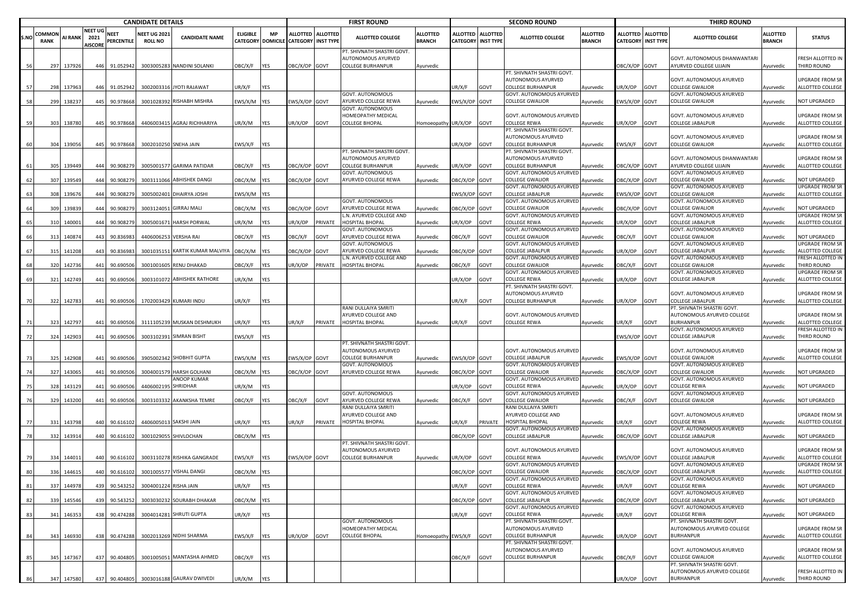|      |                       | <b>CANDIDATE DETAILS</b> |                                          |                           |                                      |                                         |                 |            |                                                           |         | <b>FIRST ROUND</b>                                                    |                                  |                           |                   | <b>SECOND ROUND</b>                                                   |                                  |                                    |                                     | <b>THIRD ROUND</b>                                       |                                  |                                                   |
|------|-----------------------|--------------------------|------------------------------------------|---------------------------|--------------------------------------|-----------------------------------------|-----------------|------------|-----------------------------------------------------------|---------|-----------------------------------------------------------------------|----------------------------------|---------------------------|-------------------|-----------------------------------------------------------------------|----------------------------------|------------------------------------|-------------------------------------|----------------------------------------------------------|----------------------------------|---------------------------------------------------|
| S.NO | COMMON<br><b>RANK</b> | AI RANK                  | <b>NEET UG</b><br>2021<br><b>AISCORE</b> | <b>NEET</b><br>PERCENTILE | <b>NEET UG 202</b><br><b>ROLL NO</b> | <b>CANDIDATE NAME</b>                   | <b>ELIGIBLE</b> | <b>MP</b>  | ALLOTTED ALLOTTED<br>CATEGORY DOMICILE CATEGORY INST TYPE |         | <b>ALLOTTED COLLEGE</b>                                               | <b>ALLOTTED</b><br><b>BRANCH</b> | <b>CATEGORY INST TYPE</b> | ALLOTTED ALLOTTED | ALLOTTED COLLEGE                                                      | <b>ALLOTTED</b><br><b>BRANCH</b> | <b>ALLOTTED</b><br><b>CATEGORY</b> | <b>ALLOTTED</b><br><b>INST TYPE</b> | <b>ALLOTTED COLLEGE</b>                                  | <b>ALLOTTED</b><br><b>BRANCH</b> | <b>STATUS</b>                                     |
|      | 297                   | 137926                   | 446                                      | 91.052942                 |                                      | 3003005283 NANDINI SOLANKI              | OBC/X/F         | YES        | DBC/X/OP GOVT                                             |         | PT. SHIVNATH SHASTRI GOVT.<br>AUTONOMOUS AYURVED<br>COLLEGE BURHANPUR | Ayurvedic                        |                           |                   |                                                                       |                                  | DBC/X/OP GOVT                      |                                     | GOVT. AUTONOMOUS DHANWANTARI<br>AYURVED COLLEGE UJJAIN   | Ayurvedic                        | RESH ALLOTTED IN<br>THIRD ROUND                   |
|      | 298                   | 137963                   | 446                                      | 91.052942                 |                                      | 3002003316 JYOTI RAJAWAT                | JR/X/F          | YES        |                                                           |         |                                                                       |                                  | IR/X/F                    | GOVT              | PT. SHIVNATH SHASTRI GOVT.<br>AUTONOMOUS AYURVED<br>COLLEGE BURHANPUR | Ayurvedic                        | JR/X/OP                            | GOVT                                | GOVT. AUTONOMOUS AYURVED<br>COLLEGE GWALIOR              | vurvedic                         | JPGRADE FROM SR<br>ALLOTTED COLLEGE               |
|      | 299                   | 138237                   | 445                                      | 90.97866                  | 3001028392                           | <b>RISHABH MISHRA</b>                   | EWS/X/M YES     |            | WS/X/OP GOVT                                              |         | GOVT. AUTONOMOUS<br>AYURVED COLLEGE REWA                              | Ayurvedic                        | EWS/X/OP GOVT             |                   | GOVT. AUTONOMOUS AYURVEI<br>COLLEGE GWALIOR                           | Ayurvedic                        | EWS/X/OP                           | GOVT                                | GOVT. AUTONOMOUS AYURVED<br>COLLEGE GWALIOR              | Ayurvedic                        | <b>NOT UPGRADED</b>                               |
|      |                       |                          |                                          |                           |                                      |                                         |                 |            |                                                           |         | GOVT. AUTONOMOUS                                                      |                                  |                           |                   |                                                                       |                                  |                                    |                                     |                                                          |                                  |                                                   |
|      | 303                   | 138780                   | 445                                      | 90.978668                 |                                      | 4406003415 AGRAJ RICHHARIYA             | JR/X/M          | <b>YES</b> | JR/X/OP                                                   | GOVT    | HOMEOPATHY MEDICAL<br>COLLEGE BHOPAL                                  | Iomoeopathy UR/X/OP              |                           | GOVT              | GOVT. AUTONOMOUS AYURVED<br>COLLEGE REWA                              | <b>Ayurvedic</b>                 | JR/X/OP                            | GOVT                                | GOVT. AUTONOMOUS AYURVED<br>COLLEGE JABALPUR             | Ayurvedic                        | JPGRADE FROM SR<br>ALLOTTED COLLEGE               |
|      |                       |                          |                                          |                           |                                      |                                         |                 |            |                                                           |         |                                                                       |                                  |                           |                   | PT. SHIVNATH SHASTRI GOVT.                                            |                                  |                                    |                                     |                                                          |                                  |                                                   |
|      | 304                   | 139056                   | 445                                      | 90.978668                 | 3002010250 SNEHA JAIN                |                                         | :WS/X/F         | <b>YES</b> |                                                           |         |                                                                       |                                  | JR/X/OP                   | GOVT              | AUTONOMOUS AYURVED<br>COLLEGE BURHANPUR                               | Ayurvedic                        | EWS/X/F                            | GOVT                                | GOVT. AUTONOMOUS AYURVED<br>COLLEGE GWALIOR              | Ayurvedic                        | <b>JPGRADE FROM SR</b><br><b>ILLOTTED COLLEGE</b> |
|      |                       |                          |                                          |                           |                                      |                                         |                 |            |                                                           |         | PT. SHIVNATH SHASTRI GOVT.<br>AUTONOMOUS AYURVED                      |                                  |                           |                   | PT. SHIVNATH SHASTRI GOVT.<br>AUTONOMOUS AYURVED                      |                                  |                                    |                                     | GOVT. AUTONOMOUS DHANWANTARI                             |                                  | <b>JPGRADE FROM SR</b>                            |
|      | 305                   | 139449                   | 444                                      | 90.908279                 |                                      | 3005001577 GARIMA PATIDAR               | OBC/X/F         | <b>YES</b> | BC/X/OP                                                   | GOVT    | <b>COLLEGE BURHANPUR</b>                                              | Ayurvedic                        | JR/X/OP                   | GOVT              | <b>COLLEGE BURHANPUR</b>                                              | Ayurvedic                        | BC/X/OP                            | GOVT                                | AYURVED COLLEGE UJJAIN                                   | Ayurvedic                        | ALLOTTED COLLEGE                                  |
|      | 307                   | 139549                   | 444                                      | 90.90827                  |                                      | 3003111066 ABHISHEK DANGI               | OBC/X/M YES     |            | BC/X/OP GOVT                                              |         | GOVT. AUTONOMOUS<br>AYURVED COLLEGE REWA                              | Ayurvedic                        | BC/X/OP GOVT              |                   | <b>GOVT. AUTONOMOUS AYURVED</b><br>COLLEGE GWALIOR                    | Ayurvedic                        | BC/X/OP                            | GOVT                                | GOVT. AUTONOMOUS AYURVED<br>COLLEGE GWALIOR              | Ayurvedic                        | <b>NOT UPGRADED</b>                               |
|      |                       |                          |                                          |                           |                                      |                                         |                 |            |                                                           |         |                                                                       |                                  |                           |                   | GOVT. AUTONOMOUS AYURVEI                                              |                                  |                                    |                                     | GOVT. AUTONOMOUS AYURVED                                 |                                  | <b>JPGRADE FROM SR</b>                            |
|      | 308                   | 139676                   |                                          | 444 90.90827              | 3005002401                           | DHAIRYA JOSHI                           | WS/X/M YES      |            |                                                           |         | GOVT. AUTONOMOUS                                                      |                                  | WS/X/OP GOVT              |                   | COLLEGE JABALPUR<br>GOVT. AUTONOMOUS AYURVEI                          | Ayurvedic                        | EWS/X/OP                           | GOVT                                | COLLEGE GWALIOR<br>GOVT. AUTONOMOUS AYURVED              | vyurvedic                        | ALLOTTED COLLEGE                                  |
|      | 309                   | 13983                    | 444                                      | 90.908279                 | 3003124051                           | <b>GIRRAJ MALI</b>                      | OBC/X/M YES     |            | DBC/X/OP GOVT                                             |         | AYURVED COLLEGE REWA                                                  | Ayurvedic                        | DBC/X/OP GOVT             |                   | <b>COLLEGE GWALIOR</b>                                                | Ayurvedic                        | <b>DBC/X/OP</b>                    | GOVT                                | <b>COLLEGE GWALIOR</b>                                   | Ayurvedic                        | <b>NOT UPGRADED</b>                               |
|      | 310                   | 14000                    | 444                                      | 90.908279                 |                                      | 3005001671 HARSH PORWAL                 | UR/X/M          | <b>YES</b> | JR/X/OP                                                   | PRIVATE | L.N. AYURVED COLLEGE AND<br><b>HOSPITAL BHOPAL</b>                    | Ayurvedic                        | JR/X/OP                   | GOVT              | GOVT. AUTONOMOUS AYURVED<br>COLLEGE REWA                              | Ayurvedic                        | JR/X/OP                            | GOVT                                | GOVT. AUTONOMOUS AYURVED<br>COLLEGE JABALPUR             | Ayurvedic                        | JPGRADE FROM SR<br>ALLOTTED COLLEGE               |
|      |                       |                          |                                          |                           |                                      |                                         |                 |            |                                                           |         | GOVT. AUTONOMOUS                                                      |                                  |                           |                   | <b>GOVT. AUTONOMOUS AYURVEI</b>                                       |                                  |                                    |                                     | GOVT. AUTONOMOUS AYURVED                                 |                                  |                                                   |
|      | 313                   | 14087                    | 443                                      | 90.83698                  | 440600625                            | <b>VERSHA RAI</b>                       | OBC/X/F         | <b>YES</b> | )BC/X/F                                                   | GOVT    | AYURVED COLLEGE REWA<br>GOVT. AUTONOMOUS                              | Ayurvedic                        | )BC/X/F                   | GOVT              | COLLEGE GWALIOR<br><b>GOVT. AUTONOMOUS AYURVED</b>                    | Ayurvedic                        | )BC/X/F                            | GOVT                                | COLLEGE GWALIOR<br>GOVT. AUTONOMOUS AYURVED              | Ayurvedic                        | <b>NOT UPGRADED</b><br><b>JPGRADE FROM SR</b>     |
|      | 315                   | 141208                   | 443                                      | 90.83698                  | 300103515                            | KARTIK KUMAR MALVIYA                    | OBC/X/M YES     |            | DBC/X/OP GOVT                                             |         | AYURVED COLLEGE REWA                                                  | Ayurvedic                        | OBC/X/OP GOVT             |                   | COLLEGE JABALPUR                                                      | Ayurvedic                        | JR/X/OP                            | GOVT                                | COLLEGE JABALPUR                                         | Ayurvedic                        | ALLOTTED COLLEGE                                  |
|      | 320                   | 142736                   | 441                                      | 90.690506                 |                                      | 3001001605 RENU DHAKAD                  | OBC/X/F         | <b>YES</b> | JR/X/OP                                                   | PRIVATE | L.N. AYURVED COLLEGE AND<br>HOSPITAL BHOPAL                           | Ayurvedic                        | )BC/X/F                   | GOVT              | GOVT. AUTONOMOUS AYURVEI<br>COLLEGE GWALIOR                           | Ayurvedic                        | BC/X/F                             | GOVT                                | GOVT. AUTONOMOUS AYURVED<br>COLLEGE GWALIOR              | Ayurvedic                        | RESH ALLOTTED IN<br>THIRD ROUND                   |
|      |                       |                          |                                          |                           |                                      |                                         |                 |            |                                                           |         |                                                                       |                                  |                           |                   | GOVT. AUTONOMOUS AYURVED                                              |                                  |                                    |                                     | GOVT. AUTONOMOUS AYURVED                                 |                                  | JPGRADE FROM SF                                   |
|      | 321                   | 142749                   | 441                                      | 90.69050                  |                                      | 3003101072 ABHISHEK RATHORE             | UR/X/M          | <b>YES</b> |                                                           |         |                                                                       |                                  | JR/X/OP                   | GOVT              | COLLEGE REWA<br>PT. SHIVNATH SHASTRI GOVT.                            | Ayurvedic                        | JR/X/OP                            | GOVT                                | COLLEGE JABALPUR                                         | Ayurvedic                        | ALLOTTED COLLEGE                                  |
|      |                       |                          |                                          |                           |                                      |                                         |                 |            |                                                           |         |                                                                       |                                  |                           |                   | AUTONOMOUS AYURVED                                                    |                                  |                                    |                                     | GOVT. AUTONOMOUS AYURVED                                 |                                  | JPGRADE FROM SR                                   |
|      | 322                   | 142783                   |                                          | 441 90.690506             |                                      | 1702003429 KUMARI INDU                  | UR/X/F          | <b>YES</b> |                                                           |         | RANI DULLAIYA SMRITI                                                  |                                  | JR/X/F                    | GOVT              | COLLEGE BURHANPUR                                                     | Ayurvedic                        | UR/X/OP                            | GOVT                                | COLLEGE JABALPUR<br>PT. SHIVNATH SHASTRI GOVT.           | Ayurvedic                        | ALLOTTED COLLEGE                                  |
|      |                       |                          |                                          |                           |                                      |                                         |                 |            |                                                           |         | AYURVED COLLEGE AND                                                   |                                  |                           |                   | GOVT. AUTONOMOUS AYURVED                                              |                                  |                                    |                                     | AUTONOMOUS AYURVED COLLEGE                               |                                  | <b>JPGRADE FROM SR</b>                            |
| 71   | 323                   | 142797                   | 441                                      | 90.690506                 |                                      | 3111105239 MUSKAN DESHMUKH              | JR/X/F          | <b>YES</b> | JR/X/F                                                    | PRIVATE | <b>HOSPITAL BHOPAL</b>                                                | Ayurvedic                        | JR/X/F                    | GOVT              | COLLEGE REWA                                                          | Ayurvedic                        | JR/X/F                             | GOVT                                | <b>BURHANPUR</b><br>GOVT. AUTONOMOUS AYURVED             | vurvedic                         | ALLOTTED COLLEGE<br>FRESH ALLOTTED IN             |
|      | 324                   | 142903                   |                                          | 441 90.690506             | 3003102391                           | <b>SIMRAN BISHT</b>                     | EWS/X/F         | <b>YES</b> |                                                           |         | PT. SHIVNATH SHASTRI GOVT.                                            |                                  |                           |                   |                                                                       |                                  | EWS/X/OP GOVT                      |                                     | COLLEGE JABALPUR                                         | Ayurvedic                        | <b>THIRD ROUND</b>                                |
|      |                       |                          |                                          |                           |                                      |                                         |                 |            |                                                           |         | AUTONOMOUS AYURVED                                                    |                                  |                           |                   | GOVT. AUTONOMOUS AYURVED                                              |                                  |                                    |                                     | GOVT. AUTONOMOUS AYURVED                                 |                                  | JPGRADE FROM SR                                   |
|      | 325                   | 142908                   | 441                                      | 90.690506                 |                                      | 3905002342 SHOBHIT GUPTA                | WS/X/M YES      |            | WS/X/OP GOVT                                              |         | <b>COLLEGE BURHANPUR</b><br>GOVT. AUTONOMOUS                          | Ayurvedic                        | WS/X/OP GOVT              |                   | COLLEGE JABALPUR<br>GOVT. AUTONOMOUS AYURVED                          | Ayurvedic                        | WS/X/OP                            | GOVT                                | COLLEGE GWALIOR<br>GOVT. AUTONOMOUS AYURVED              | vurvedic                         | ALLOTTED COLLEGE                                  |
|      | 327                   | 143065                   | 441                                      | 90.69050                  |                                      | 3004001579 HARSH GOLHANI                | OBC/X/M         | <b>YES</b> | DBC/X/OP GOVT                                             |         | AYURVED COLLEGE REWA                                                  | Ayurvedic                        | BC/X/OP GOVT              |                   | COLLEGE GWALIOR                                                       | Ayurvedic                        | <b>DBC/X/OP</b>                    | GOVT                                | COLLEGE GWALIOR                                          | Ayurvedic                        | <b>NOT UPGRADED</b>                               |
|      | 328                   | 143129                   | 441                                      | 90.69050                  | 4406002195 SHRIDHAR                  | ANOOP KUMAR                             | JR/X/M          | <b>YES</b> |                                                           |         |                                                                       |                                  | JR/X/OP                   | GOVT              | GOVT. AUTONOMOUS AYURVEI<br>COLLEGE REWA                              | Ayurvedic                        | JR/X/OP                            | GOVT                                | GOVT. AUTONOMOUS AYURVED<br>COLLEGE REWA                 | Ayurvedic                        | <b>NOT UPGRADED</b>                               |
|      |                       |                          |                                          |                           |                                      |                                         |                 |            |                                                           |         | GOVT. AUTONOMOUS                                                      |                                  |                           |                   | GOVT. AUTONOMOUS AYURVEI                                              |                                  |                                    |                                     | GOVT. AUTONOMOUS AYURVED                                 |                                  |                                                   |
|      | 329                   | 143200                   | 441                                      | 90.690506                 |                                      | 3003103332 AKANKSHA TEMRE               | OBC/X/F         | <b>YES</b> | )BC/X/F                                                   | GOVT    | AYURVED COLLEGE REWA<br>RANI DULLAIYA SMRITI                          | Ayurvedic                        | )BC/X/F                   | GOVT              | COLLEGE GWALIOR<br>RANI DULLAIYA SMRITI                               | Ayurvedic                        | BC/X/F                             | GOVT                                | COLLEGE GWALIOR                                          | Ayurvedic                        | <b>NOT UPGRADED</b>                               |
|      |                       |                          |                                          |                           |                                      |                                         |                 |            |                                                           |         | AYURVED COLLEGE AND                                                   |                                  |                           |                   | <b>AYURVED COLLEGE AND</b>                                            |                                  |                                    |                                     | GOVT. AUTONOMOUS AYURVED                                 |                                  | JPGRADE FROM SR                                   |
| 77   | 331                   | 14379                    | 440                                      | 90.61610                  | 4406005013                           | <b>SAKSHI JAIN</b>                      | JR/X/F          | <b>YES</b> | JR/X/F                                                    | PRIVATE | <b>HOSPITAL BHOPAL</b>                                                | Ayurvedic                        | IR/X/F                    | PRIVATE           | HOSPITAL BHOPAL<br><b>GOVT. AUTONOMOUS AYURVED</b>                    | Ayurvedic                        | JR/X/F                             | GOVT                                | COLLEGE REWA<br>GOVT. AUTONOMOUS AYURVED                 | Ayurvedic                        | <b>ILLOTTED COLLEGE</b>                           |
|      | 332                   | 143914                   | 440                                      | 90.616102                 |                                      | 3001029055 SHIVLOCHAN                   | OBC/X/M YES     |            |                                                           |         |                                                                       |                                  | OBC/X/OP GOVT             |                   | COLLEGE JABALPUR                                                      | Ayurvedic                        | BC/X/OP                            | GOVT                                | COLLEGE JABALPUR                                         | Ayurvedic                        | <b>NOT UPGRADED</b>                               |
|      |                       |                          |                                          |                           |                                      |                                         |                 |            |                                                           |         | PT. SHIVNATH SHASTRI GOVT<br>AUTONOMOUS AYURVED                       |                                  |                           |                   | GOVT. AUTONOMOUS AYURVEI                                              |                                  |                                    |                                     | GOVT. AUTONOMOUS AYURVED                                 |                                  | JPGRADE FROM SR                                   |
|      | 334                   | 14401                    | 440                                      | 90.616102                 |                                      | 3003110278 RISHIKA GANGRADE             | :WS/X/F         | <b>YES</b> | WS/X/OP GOVT                                              |         | COLLEGE BURHANPUR                                                     | Ayurvedic                        | IR/X/OP                   | GOVT              | COLLEGE REWA                                                          | Ayurvedic                        | WS/X/OP                            | GOVT                                | COLLEGE JABALPUR                                         | Ayurvedic                        | <b>ILLOTTED COLLEGE</b>                           |
|      | 336                   | 144615                   | 440                                      | 90.616102                 | 3001005577                           | VISHAL DANGI                            | OBC/X/M YES     |            |                                                           |         |                                                                       |                                  | OBC/X/OP GOVT             |                   | <b>GOVT. AUTONOMOUS AYURVEI</b><br>COLLEGE GWALIOR                    | Ayurvedic                        | BC/X/OP                            | GOVT                                | GOVT. AUTONOMOUS AYURVED<br>COLLEGE JABALPUR             | Ayurvedic                        | <b>JPGRADE FROM SR</b><br><b>ILLOTTED COLLEGE</b> |
|      |                       |                          |                                          |                           |                                      |                                         |                 |            |                                                           |         |                                                                       |                                  |                           |                   | GOVT. AUTONOMOUS AYURVED<br>COLLEGE REWA                              |                                  |                                    |                                     | GOVT. AUTONOMOUS AYURVED<br><b>COLLEGE REWA</b>          |                                  |                                                   |
| 81   |                       | 337 144978               |                                          | 439 90.543252             | 3004001224 RISHA JAIN                |                                         | UR/X/F          | YES        |                                                           |         |                                                                       |                                  | UR/X/F                    | GOVT              | GOVT. AUTONOMOUS AYURVEI                                              | Ayurvedic                        | UR/X/F                             | GOVT                                | GOVT. AUTONOMOUS AYURVED                                 | Ayurvedic                        | NOT UPGRADED                                      |
| 82   |                       | 339 145546               |                                          | 439 90.543252             |                                      | 3003030232 SOURABH DHAKAR               | OBC/X/M YES     |            |                                                           |         |                                                                       |                                  | OBC/X/OP GOVT             |                   | COLLEGE JABALPUR<br>GOVT. AUTONOMOUS AYURVED                          | Ayurvedic                        | BC/X/OP GOVT                       |                                     | COLLEGE JABALPUR<br>GOVT. AUTONOMOUS AYURVED             | Ayurvedic                        | <b>NOT UPGRADED</b>                               |
| 83   | 341                   | 146353                   | 438                                      | 90.474288                 |                                      | 3004014281 SHRUTI GUPTA                 | UR/X/F          | <b>YES</b> |                                                           |         |                                                                       |                                  | JR/X/F                    | GOVT              | COLLEGE REWA                                                          | Ayurvedic                        | JR/X/F                             | GOVT                                | <b>COLLEGE REWA</b>                                      | Ayurvedic                        | NOT UPGRADED                                      |
|      |                       |                          |                                          |                           |                                      |                                         |                 |            |                                                           |         | GOVT. AUTONOMOUS<br>HOMEOPATHY MEDICAL                                |                                  |                           |                   | PT. SHIVNATH SHASTRI GOVT.<br>AUTONOMOUS AYURVED                      |                                  |                                    |                                     | PT. SHIVNATH SHASTRI GOVT.<br>AUTONOMOUS AYURVED COLLEGE |                                  | JPGRADE FROM SR                                   |
| 84   |                       | 343 146930               | 438                                      | 90.474288                 |                                      | 3002013269 NIDHI SHARMA                 | EWS/X/F         | <b>YES</b> | JR/X/OP                                                   | GOVT    | <b>COLLEGE BHOPAL</b>                                                 | Homoeopathy EWS/X/F              |                           | GOVT              | <b>COLLEGE BURHANPUR</b>                                              | Ayurvedic                        | UR/X/OP                            | GOVT                                | <b>BURHANPUR</b>                                         | Ayurvedic                        | ALLOTTED COLLEGE                                  |
|      |                       |                          |                                          |                           |                                      |                                         |                 |            |                                                           |         |                                                                       |                                  |                           |                   | PT. SHIVNATH SHASTRI GOVT.<br>AUTONOMOUS AYURVED                      |                                  |                                    |                                     | GOVT. AUTONOMOUS AYURVED                                 |                                  | JPGRADE FROM SR                                   |
| 85   |                       | 345 147367               |                                          | 437 90.404805             |                                      | 3001005051 MANTASHA AHMED               | OBC/X/F         | <b>YES</b> |                                                           |         |                                                                       |                                  | OBC/X/F GOVT              |                   | <b>COLLEGE BURHANPUR</b>                                              | Ayurvedic                        | BC/X/F                             | GOVT                                | <b>COLLEGE GWALIOR</b>                                   | Ayurvedic                        | ALLOTTED COLLEGE                                  |
|      |                       |                          |                                          |                           |                                      |                                         |                 |            |                                                           |         |                                                                       |                                  |                           |                   |                                                                       |                                  |                                    |                                     | PT. SHIVNATH SHASTRI GOVT.<br>AUTONOMOUS AYURVED COLLEGE |                                  | RESH ALLOTTED IN                                  |
| 86   |                       | 347 147580               |                                          |                           |                                      | 437 90.404805 3003016188 GAURAV DWIVEDI | UR/X/M          | YES        |                                                           |         |                                                                       |                                  |                           |                   |                                                                       |                                  | UR/X/OP GOVT                       |                                     | <b>BURHANPUR</b>                                         | Ayurvedic                        | THIRD ROUND                                       |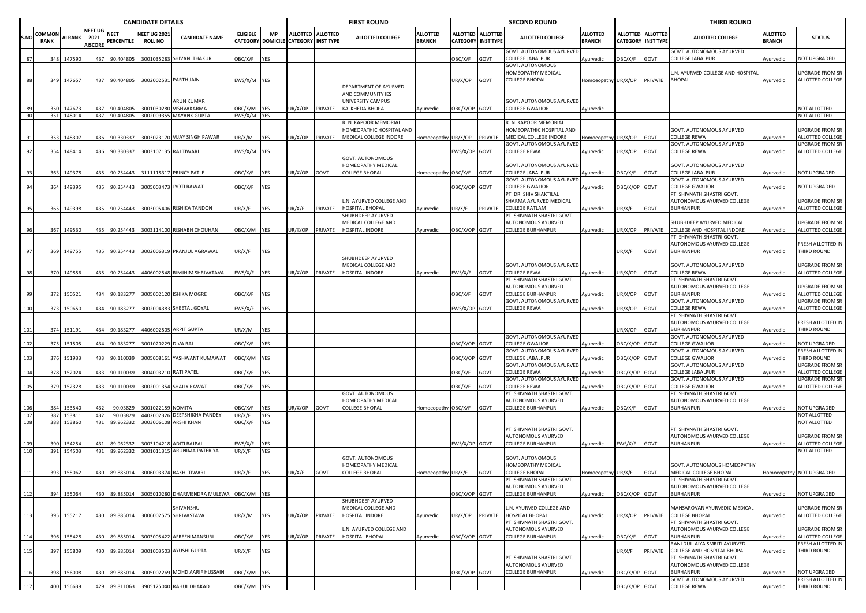|           |                       |                      |                                          |                            | <b>CANDIDATE DETAILS</b>             |                                                        |                                             |                   |                                                |         | <b>FIRST ROUND</b>                                                          |                                  |                           |                   | <b>SECOND ROUND</b>                                                        |                                  |                                    |                                     | <b>THIRD ROUND</b>                                                                     |                                  |                                            |
|-----------|-----------------------|----------------------|------------------------------------------|----------------------------|--------------------------------------|--------------------------------------------------------|---------------------------------------------|-------------------|------------------------------------------------|---------|-----------------------------------------------------------------------------|----------------------------------|---------------------------|-------------------|----------------------------------------------------------------------------|----------------------------------|------------------------------------|-------------------------------------|----------------------------------------------------------------------------------------|----------------------------------|--------------------------------------------|
| S.NO      | COMMON<br><b>RANK</b> | <b>AI RANK</b>       | <b>NEET UG</b><br>2021<br><b>AISCORE</b> | <b>NEET</b><br>PERCENTILE  | <b>NEET UG 202</b><br><b>ROLL NO</b> | <b>CANDIDATE NAME</b>                                  | <b>ELIGIBLE</b><br><b>CATEGORY DOMICILE</b> | <b>MP</b>         | ALLOTTED ALLOTTED<br><b>CATEGORY INST TYPE</b> |         | <b>ALLOTTED COLLEGE</b>                                                     | <b>ALLOTTED</b><br><b>BRANCH</b> | <b>CATEGORY INST TYPE</b> | ALLOTTED ALLOTTED | <b>ALLOTTED COLLEGE</b>                                                    | <b>ALLOTTED</b><br><b>BRANCH</b> | <b>ALLOTTED</b><br><b>CATEGORY</b> | <b>ALLOTTED</b><br><b>INST TYPE</b> | <b>ALLOTTED COLLEGE</b>                                                                | <b>ALLOTTED</b><br><b>BRANCH</b> | <b>STATUS</b>                              |
|           | 348<br>87             | 147590               | 437                                      | 90.404805                  |                                      | 3001035283 SHIVANI THAKUR                              | OBC/X/F                                     | <b>YES</b>        |                                                |         |                                                                             |                                  | OBC/X/F                   | GOVT              | GOVT. AUTONOMOUS AYURVEI<br>COLLEGE JABALPUR                               | Ayurvedic                        | <b>JBC/X/F</b>                     | GOVT                                | GOVT. AUTONOMOUS AYURVED<br>COLLEGE JABALPUR                                           | Ayurvedic                        | <b>IOT UPGRADED</b>                        |
|           | 88                    | 349 147657           |                                          | 437 90.404805              |                                      | 3002002531 PARTH JAIN                                  | EWS/X/M YES                                 |                   |                                                |         |                                                                             |                                  | JR/X/OP GOVT              |                   | GOVT. AUTONOMOUS<br>HOMEOPATHY MEDICAL<br>COLLEGE BHOPAL                   | Homoeopathy UR/X/OP              |                                    | PRIVATE                             | N. AYURVED COLLEGE AND HOSPITAI<br><b>BHOPAL</b>                                       | Ayurvedic                        | JPGRADE FROM SR<br>ALLOTTED COLLEGE        |
|           |                       |                      |                                          |                            |                                      | ARUN KUMAR                                             |                                             |                   |                                                |         | DEPARTMENT OF AYURVED<br>AND COMMUNITY IES<br>UNIVERSITY CAMPUS             |                                  |                           |                   | GOVT. AUTONOMOUS AYURVEI                                                   |                                  |                                    |                                     |                                                                                        |                                  |                                            |
|           |                       | 14767                |                                          | 90.40480                   |                                      | 3001030280 VISHVAKARMA                                 | OBC/X/M YES                                 |                   | JR/X/OP                                        | PRIVATE | <b>KALKHEDA BHOPAL</b>                                                      | Ayurvedic                        | OBC/X/OP GOVT             |                   | <b>COLLEGE GWALIOR</b>                                                     | Ayurvedic                        |                                    |                                     |                                                                                        |                                  | <b>IOT ALLOTTED</b>                        |
|           | 90                    | 351 148014           |                                          | 437 90.404805              |                                      | 3002009355 MAYANK GUPTA                                | EWS/X/M YES                                 |                   |                                                |         |                                                                             |                                  |                           |                   |                                                                            |                                  |                                    |                                     |                                                                                        |                                  | NOT ALLOTTED                               |
| -91       | 353                   | 148307               | 436                                      | 90.330337                  |                                      | 3003023170 VIJAY SINGH PAWAR                           | UR/X/M                                      | <b>YES</b>        | JR/X/OP                                        | PRIVATE | R. N. KAPOOR MEMORIAL<br>HOMEOPATHIC HOSPITAL AND<br>MEDICAL COLLEGE INDORE | Homoeopathy UR/X/OP PRIVATE      |                           |                   | . N. KAPOOR MEMORIAL<br>HOMEOPATHIC HOSPITAL AND<br>MEDICAL COLLEGE INDORE | Homoeopathy UR/X/OP              |                                    | GOVT                                | GOVT. AUTONOMOUS AYURVED<br>COLLEGE REWA                                               | Ayurvedic                        | JPGRADE FROM SR<br>ALLOTTED COLLEGE        |
|           | 354                   | 148414               | 436                                      | 90.330337                  |                                      | 3003107135 RAJ TIWARI                                  | EWS/X/M YES                                 |                   |                                                |         |                                                                             |                                  | EWS/X/OP GOVT             |                   | <b>GOVT. AUTONOMOUS AYURVEI</b><br>COLLEGE REWA                            | Ayurvedic                        | UR/X/OP                            | GOVT                                | GOVT. AUTONOMOUS AYURVED<br>COLLEGE REWA                                               | Ayurvedic                        | UPGRADE FROM SR<br>ALLOTTED COLLEGE        |
|           | 363                   | 149378               | 435                                      | 90.254443                  |                                      | 3111118317 PRINCY PATLE                                | OBC/X/F                                     | <b>YES</b>        | JR/X/OP                                        | GOVT    | <b>GOVT. AUTONOMOUS</b><br>HOMEOPATHY MEDICAL<br><b>COLLEGE BHOPAL</b>      | Homoeopathy OBC/X/F GOVT         |                           |                   | GOVT. AUTONOMOUS AYURVED<br>COLLEGE JABALPUR                               | Ayurvedic                        | )BC/X/F                            | GOVT                                | GOVT. AUTONOMOUS AYURVED<br>COLLEGE JABALPUR                                           | vyurvedic                        | <b>IOT UPGRADED</b>                        |
|           | 364                   | 149395               | 435                                      | 90.25444                   |                                      | 3005003473 JYOTI RAWAT                                 | OBC/X/F                                     | <b>YES</b>        |                                                |         |                                                                             |                                  | OBC/X/OP GOVT             |                   | GOVT. AUTONOMOUS AYURVEI<br>COLLEGE GWALIOR                                | Ayurvedic                        | DBC/X/OP                           | GOVT                                | GOVT. AUTONOMOUS AYURVED<br>COLLEGE GWALIOR                                            |                                  | NOT UPGRADED                               |
|           |                       |                      |                                          |                            |                                      |                                                        |                                             |                   |                                                |         | L.N. AYURVED COLLEGE AND                                                    |                                  |                           |                   | PT. DR. SHIV SHAKTILAL<br>SHARMA AYURVED MEDICAL                           |                                  |                                    |                                     | PT. SHIVNATH SHASTRI GOVT.<br>AUTONOMOUS AYURVED COLLEGE                               | Ayurvedic                        | JPGRADE FROM SR                            |
|           | 365                   | 149398               | 435                                      | 90.254443                  |                                      | 3003005406 RISHIKA TANDON                              | UR/X/F                                      | <b>YES</b>        | JR/X/F                                         | PRIVATE | <b>HOSPITAL BHOPAL</b><br>SHUBHDEEP AYURVED                                 | Ayurvedic                        | JR/X/F                    | <b>PRIVATE</b>    | COLLEGE RATLAM<br>PT. SHIVNATH SHASTRI GOVT.                               | Ayurvedic                        | JR/X/F                             | GOVT                                | <b>BURHANPUR</b>                                                                       | Ayurvedic                        | ALLOTTED COLLEGE                           |
|           | 367<br>96             | 149530               |                                          | 435 90.254443              |                                      | 3003114100 RISHABH CHOUHAN                             | OBC/X/M YES                                 |                   | JR/X/OP                                        | PRIVATE | MEDICAL COLLEGE AND<br>HOSPITAL INDORE                                      | Ayurvedic                        | OBC/X/OP GOVT             |                   | AUTONOMOUS AYURVED<br>COLLEGE BURHANPUR                                    | Ayurvedic                        | JR/X/OP                            | PRIVATE                             | SHUBHDEEP AYURVED MEDICAL<br>COLLEGE AND HOSPITAL INDORE<br>PT. SHIVNATH SHASTRI GOVT. | Ayurvedic                        | JPGRADE FROM SR<br>ALLOTTED COLLEGE        |
| 97        | 369                   | 149755               | 435                                      | 90.254443                  |                                      | 3002006319 PRANJUL AGRAWAL                             | UR/X/F                                      | YES               |                                                |         |                                                                             |                                  |                           |                   |                                                                            |                                  | UR/X/F                             | GOVT                                | AUTONOMOUS AYURVED COLLEGE<br><b>BURHANPUR</b>                                         | Ayurvedic                        | RESH ALLOTTED IN<br>THIRD ROUND            |
|           |                       |                      |                                          |                            |                                      |                                                        |                                             |                   |                                                |         | SHUBHDEEP AYURVED<br>MEDICAL COLLEGE AND                                    |                                  |                           |                   | GOVT. AUTONOMOUS AYURVED                                                   |                                  |                                    |                                     | GOVT. AUTONOMOUS AYURVED                                                               |                                  | JPGRADE FROM SR                            |
|           | 370<br>98             | 149856               |                                          | 435 90.254443              |                                      | 4406002548 RIMJHIM SHRIVATAVA                          | EWS/X/F                                     | <b>YES</b>        | JR/X/OP                                        | PRIVATE | <b>HOSPITAL INDORE</b>                                                      | Ayurvedic                        | EWS/X/F GOVT              |                   | COLLEGE REWA<br>PT. SHIVNATH SHASTRI GOVT.                                 | Ayurvedic                        | UR/X/OP                            | GOVT                                | COLLEGE REWA<br>PT. SHIVNATH SHASTRI GOVT.                                             | Ayurvedic                        | ALLOTTED COLLEGE                           |
|           | 372                   | 150521               |                                          | 434 90.183277              |                                      | 3005002120 ISHIKA MOGRE                                | OBC/X/F                                     | YES               |                                                |         |                                                                             |                                  | OBC/X/F                   | GOVT              | AUTONOMOUS AYURVED<br>COLLEGE BURHANPUR                                    | Ayurvedic                        | JR/X/OP                            | GOVT                                | AUTONOMOUS AYURVED COLLEGE<br><b>BURHANPUR</b>                                         | <b>Ayurvedic</b>                 | JPGRADE FROM SR<br>ALLOTTED COLLEGE        |
| 100       | 373                   | 150650               |                                          | 434 90.183277              |                                      | 3002004383 SHEETAL GOYAL                               | EWS/X/F                                     | <b>YES</b>        |                                                |         |                                                                             |                                  | EWS/X/OP GOVT             |                   | GOVT. AUTONOMOUS AYURVEI<br>COLLEGE REWA                                   | Ayurvedic                        | JR/X/OP                            | GOVT                                | GOVT. AUTONOMOUS AYURVED<br>COLLEGE REWA                                               | Ayurvedic                        | UPGRADE FROM SR<br>ALLOTTED COLLEGE        |
|           |                       |                      |                                          |                            |                                      |                                                        |                                             |                   |                                                |         |                                                                             |                                  |                           |                   |                                                                            |                                  |                                    |                                     | PT. SHIVNATH SHASTRI GOVT.<br>AUTONOMOUS AYURVED COLLEGE                               |                                  | RESH ALLOTTED IN<br>THIRD ROUND            |
| 101       | 374                   | 151191               |                                          | 434 90.183277              |                                      | 4406002505 ARPIT GUPTA                                 | JR/X/M                                      | YES               |                                                |         |                                                                             |                                  |                           |                   | GOVT. AUTONOMOUS AYURVED                                                   |                                  | JR/X/OP                            | GOVT                                | <b>BURHANPUR</b><br>GOVT. AUTONOMOUS AYURVED                                           | Ayurvedic                        |                                            |
| 102       | 375                   | 151505               | 434                                      | 90.183277                  | 3001020229 DIVA RAI                  |                                                        | OBC/X/F                                     | <b>YES</b>        |                                                |         |                                                                             |                                  | OBC/X/OP GOVT             |                   | <b>COLLEGE GWALIOR</b><br>GOVT. AUTONOMOUS AYURVED                         | Ayurvedic                        | DBC/X/OP                           | GOVT                                | <b>COLLEGE GWALIOR</b><br>GOVT. AUTONOMOUS AYURVED                                     | Ayurvedic                        | <b>NOT UPGRADED</b><br>RESH ALLOTTED IN    |
| 103       | 376                   | 151933               | 433                                      | 90.110039                  |                                      | 3005008161 YASHWANT KUMAWAT                            | OBC/X/M YES                                 |                   |                                                |         |                                                                             |                                  | DBC/X/OP GOVT             |                   | COLLEGE JABALPUR<br>GOVT. AUTONOMOUS AYURVEI                               | Ayurvedic                        | DBC/X/OP                           | GOVT                                | COLLEGE GWALIOR<br>GOVT. AUTONOMOUS AYURVED                                            | Ayurvedic                        | THIRD ROUND<br><b>JPGRADE FROM SR</b>      |
| 104       | 378                   | 152024               | 433                                      | 90.110039                  | 3004003210 RATI PATEL                |                                                        | OBC/X/F                                     | <b>YES</b>        |                                                |         |                                                                             |                                  | OBC/X/F                   | GOVT              | COLLEGE REWA                                                               | Ayurvedic                        | )BC/X/OP                           | GOVT                                | COLLEGE JABALPUR                                                                       | Ayurvedic                        | <b>ILLOTTED COLLEGE</b>                    |
| <b>10</b> | 379                   | 15232                | 433                                      | 90.11003                   |                                      | 3002001354 SHAILY RAWAT                                | OBC/X/F                                     | <b>YES</b>        |                                                |         |                                                                             |                                  | OBC/X/F                   | GOVT              | GOVT. AUTONOMOUS AYURVED<br>COLLEGE REWA                                   | Ayurvedic                        | DBC/X/OP                           | GOVT                                | GOVT. AUTONOMOUS AYURVED<br>COLLEGE GWALIOR                                            | Ayurvedic                        | JPGRADE FROM SR<br>ALLOTTED COLLEGE        |
|           |                       |                      |                                          |                            |                                      |                                                        |                                             |                   |                                                |         | GOVT. AUTONOMOUS<br>HOMEOPATHY MEDICAL                                      |                                  |                           |                   | PT. SHIVNATH SHASTRI GOVT.<br>AUTONOMOUS AYURVED                           |                                  |                                    |                                     | PT. SHIVNATH SHASTRI GOVT.<br>AUTONOMOUS AYURVED COLLEGE                               |                                  |                                            |
| 107       | 384                   | 153540<br>387 153811 | 432<br>432                               | 90.0382<br>90.03829        | 3001022159 NOMITA                    | 4402002326 DEEPSHIKHA PANDEY                           | OBC/X/F<br>UR/X/F                           | YES<br>YES        | JR/X/OP                                        | GOVT    | COLLEGE BHOPAL                                                              | lomoeopathy OBC/X/F GOVT         |                           |                   | COLLEGE BURHANPUR                                                          | Ayurvedic                        | )BC/X/F                            | GOVT                                | <b>BURHANPUR</b>                                                                       | Ayurvedic                        | <b>NOT UPGRADED</b><br>NOT ALLOTTED        |
| 108       | 388                   | 153860               |                                          | 431 89.962332              |                                      | 3003006108 ARSHI KHAN                                  | OBC/X/F                                     | <b>YES</b>        |                                                |         |                                                                             |                                  |                           |                   |                                                                            |                                  |                                    |                                     |                                                                                        |                                  | <b>NOT ALLOTTED</b>                        |
|           |                       |                      |                                          |                            |                                      |                                                        |                                             |                   |                                                |         |                                                                             |                                  |                           |                   | PT. SHIVNATH SHASTRI GOVT.<br>AUTONOMOUS AYURVED                           |                                  |                                    |                                     | PT. SHIVNATH SHASTRI GOVT.<br>AUTONOMOUS AYURVED COLLEGE                               |                                  | JPGRADE FROM SR                            |
| 110       | 390                   | 154254<br>391 154503 | 431                                      | 89.962332<br>431 89.962332 |                                      | 3003104218 ADITI BAJPAI<br>3001011315 ARUNIMA PATERIYA | WS/X/F<br>UR/X/F                            | <b>YFS</b><br>YES |                                                |         |                                                                             |                                  | WS/X/OP GOVT              |                   | COLLEGE BURHANPUR                                                          | Ayurvedic                        | EWS/X/F                            | GOVT                                | <b>BURHANPUR</b>                                                                       | Ayurvedic                        | ALLOTTED COLLEGE<br>NOT ALLOTTED           |
| 111       |                       | 393 155062           |                                          | 430 89.885014              |                                      | 3006003374 RAKHI TIWARI                                | UR/X/F                                      | <b>YES</b>        | JR/X/F                                         | GOVT    | GOVT. AUTONOMOUS<br>HOMEOPATHY MEDICAL<br><b>COLLEGE BHOPAL</b>             | lomoeopathy UR/X/F               |                           | GOVT              | GOVT. AUTONOMOUS<br>HOMEOPATHY MEDICAL<br><b>COLLEGE BHOPAL</b>            | Homoeopathy UR/X/F               |                                    | GOVT                                | GOVT. AUTONOMOUS HOMEOPATHY<br>MEDICAL COLLEGE BHOPAL                                  |                                  | Homoeopathy NOT UPGRADED                   |
| 112       |                       | 394 155064           |                                          | 430 89.885014              |                                      | 3005010280 DHARMENDRA MULEWA OBC/X/M YES               |                                             |                   |                                                |         |                                                                             |                                  | OBC/X/OP GOVT             |                   | PT. SHIVNATH SHASTRI GOVT.<br>AUTONOMOUS AYURVED<br>COLLEGE BURHANPUR      | Ayurvedic                        | OBC/X/OP GOVT                      |                                     | PT. SHIVNATH SHASTRI GOV<br>AUTONOMOUS AYURVED COLLEGE<br><b>BURHANPUR</b>             | Ayurvedic                        | NOT UPGRADED                               |
|           |                       |                      |                                          | 430 89.885014              |                                      | SHIVANSHU<br>3006002575 SHRIVASTAVA                    | UR/X/M YES                                  |                   |                                                |         | SHUBHDEEP AYURVED<br>MEDICAL COLLEGE AND<br>HOSPITAL INDORE                 |                                  |                           |                   | N. AYURVED COLLEGE AND<br><b>HOSPITAL BHOPAL</b>                           |                                  |                                    | PRIVATE                             | MANSAROVAR AYURVEDIC MEDICAL<br><b>COLLEGE BHOPAL</b>                                  |                                  | <b>JPGRADE FROM SR</b><br>ALLOTTED COLLEGE |
| 113       |                       | 395 155217           |                                          |                            |                                      |                                                        |                                             |                   | JR/X/OP                                        | PRIVATE | L.N. AYURVED COLLEGE AND                                                    | Ayurvedic                        | JR/X/OP PRIVATE           |                   | PT. SHIVNATH SHASTRI GOVT.<br>AUTONOMOUS AYURVED                           | Ayurvedic                        | UR/X/OP                            |                                     | PT. SHIVNATH SHASTRI GOVT.<br>AUTONOMOUS AYURVED COLLEGE                               | Ayurvedic                        | UPGRADE FROM SR                            |
| 114       | 396                   | 155428               | 430                                      | 89.885014                  |                                      | 3003005422 AFREEN MANSURI                              | OBC/X/F                                     | YES               | JR/X/OP                                        | PRIVATE | HOSPITAL BHOPAL                                                             | Ayurvedic                        | OBC/X/OP GOVT             |                   | COLLEGE BURHANPUR                                                          | Ayurvedic                        | <b>JBC/X/F</b>                     | GOVT                                | <b>BURHANPUR</b><br>RANI DULLAIYA SMRITI AYURVED                                       | vurvedic                         | ALLOTTED COLLEGE<br>RESH ALLOTTED IN       |
| 115       | 397                   | 155809               | 430                                      | 89.885014                  |                                      | 3001003503 AYUSHI GUPTA                                | UR/X/F                                      | YES               |                                                |         |                                                                             |                                  |                           |                   | PT. SHIVNATH SHASTRI GOVT.                                                 |                                  | UR/X/F                             | PRIVATE                             | COLLEGE AND HOSPITAL BHOPAL<br>PT. SHIVNATH SHASTRI GOVT.                              | Ayurvedic                        | <b>THIRD ROUND</b>                         |
| 116       | 398                   | 156008               | 430                                      | 89.885014                  |                                      | 3005002269 MOHD AARIF HUSSAIN                          | OBC/X/M YES                                 |                   |                                                |         |                                                                             |                                  | OBC/X/OP GOVT             |                   | AUTONOMOUS AYURVED<br><b>COLLEGE BURHANPUR</b>                             | Ayurvedic                        | DBC/X/OP GOVT                      |                                     | AUTONOMOUS AYURVED COLLEGE<br><b>BURHANPUR</b>                                         | Ayurvedic                        | NOT UPGRADED                               |
|           |                       |                      |                                          |                            |                                      |                                                        |                                             |                   |                                                |         |                                                                             |                                  |                           |                   |                                                                            |                                  |                                    |                                     | GOVT. AUTONOMOUS AYURVED                                                               |                                  | <b>RESH ALLOTTED IN</b>                    |
| 117       |                       | 400 156639           |                                          | 429 89.811063              |                                      | 3905125040 RAHUL DHAKAD                                | OBC/X/M YES                                 |                   |                                                |         |                                                                             |                                  |                           |                   |                                                                            |                                  | OBC/X/OP GOVT                      |                                     | <b>COLLEGE REWA</b>                                                                    | Ayurvedic                        | THIRD ROUND                                |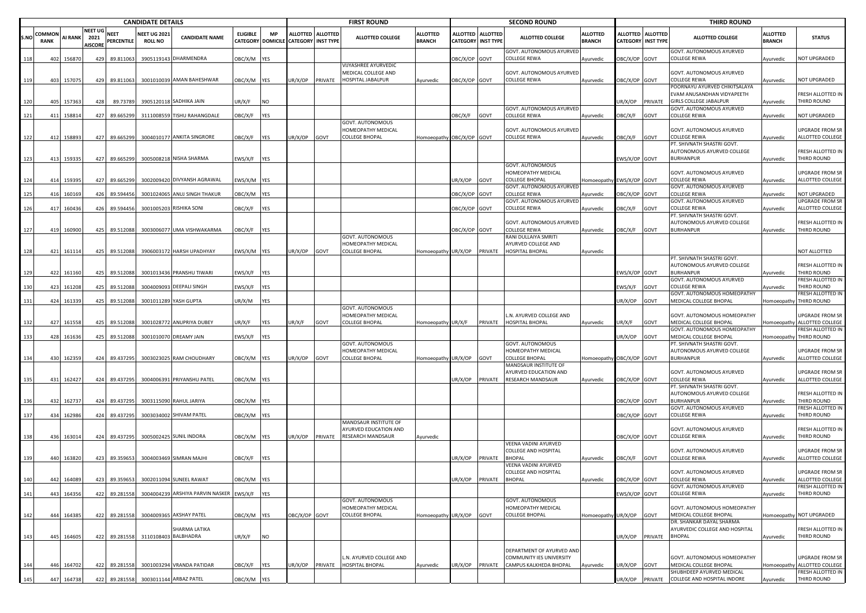|      |                       |     |                |                                          |                    | <b>CANDIDATE DETAILS</b>              |                                       |                 |            |                                      |                   | <b>FIRST ROUND</b>                                               |                                  |                 |                                         | <b>SECOND ROUND</b>                                                    |                                  |                                              |                 | <b>THIRD ROUND</b>                                                                           |                                  |                                             |
|------|-----------------------|-----|----------------|------------------------------------------|--------------------|---------------------------------------|---------------------------------------|-----------------|------------|--------------------------------------|-------------------|------------------------------------------------------------------|----------------------------------|-----------------|-----------------------------------------|------------------------------------------------------------------------|----------------------------------|----------------------------------------------|-----------------|----------------------------------------------------------------------------------------------|----------------------------------|---------------------------------------------|
| S.NO | COMMON<br><b>RANK</b> |     | <b>AI RANK</b> | <b>NEET UG</b><br>2021<br><b>AISCORE</b> | NEET<br>PERCENTILE | <b>NEET UG 2021</b><br><b>ROLL NO</b> | <b>CANDIDATE NAME</b>                 | <b>ELIGIBLE</b> | <b>MP</b>  | CATEGORY DOMICILE CATEGORY INST TYPE | ALLOTTED ALLOTTED | <b>ALLOTTED COLLEGE</b>                                          | <b>ALLOTTED</b><br><b>BRANCH</b> |                 | ALLOTTED ALLOTTED<br>CATEGORY INST TYPE | <b>ALLOTTED COLLEGE</b>                                                | <b>ALLOTTED</b><br><b>BRANCH</b> | <b>ALLOTTED</b><br><b>CATEGORY INST TYPE</b> | <b>ALLOTTED</b> | <b>ALLOTTED COLLEGE</b>                                                                      | <b>ALLOTTED</b><br><b>BRANCH</b> | <b>STATUS</b>                               |
| 118  | 402                   |     | 156870         | 429                                      | 89.811063          | 390511914                             | 3 DHARMENDRA                          | DBC/X/M YES     |            |                                      |                   |                                                                  |                                  | DBC/X/OP GOVT   |                                         | GOVT. AUTONOMOUS AYURVED<br>COLLEGE REWA                               | Ayurvedic                        | DBC/X/OP GOVT                                |                 | GOVT. AUTONOMOUS AYURVED<br><b>COLLEGE REWA</b>                                              | Ayurvedic                        | <b>IOT UPGRADED</b>                         |
| 119  | 403                   |     | 157075         | 429                                      | 89.811063          |                                       | 3001010039 AMAN BAHESHWAR             | DBC/X/M YES     |            | JR/X/OP                              | PRIVATE           | VIJYASHREE AYURVEDIC<br>MEDICAL COLLEGE AND<br>HOSPITAL JABALPUR | Ayurvedic                        | DBC/X/OP GOVT   |                                         | GOVT. AUTONOMOUS AYURVED<br>COLLEGE REWA                               | Ayurvedic                        | BC/X/OP GOVT                                 |                 | GOVT. AUTONOMOUS AYURVED<br><b>COLLEGE REWA</b>                                              | vurvedic                         | NOT UPGRADED                                |
| 120  |                       | 405 | 157363         | 428                                      | 89.73789           |                                       | 3905120118 SADHIKA JAIN               | JR/X/F          | <b>NO</b>  |                                      |                   |                                                                  |                                  |                 |                                         |                                                                        |                                  | JR/X/OP                                      | PRIVATE         | POORNAYU AYURVED CHIKITSALAYA<br>EVAM ANUSANDHAN VIDYAPEETH<br><b>GIRLS COLLEGE JABALPUR</b> | Ayurvedic                        | RESH ALLOTTED IN<br>THIRD ROUND             |
| 121  | 411                   |     | 158814         | 427                                      | 89.665299          |                                       | 3111008559 TISHU RAHANGDALE           | OBC/X/F         | YES        |                                      |                   |                                                                  |                                  | OBC/X/F         | GOVT                                    | GOVT. AUTONOMOUS AYURVED<br>COLLEGE REWA                               | Ayurvedic                        | <b>JBC/X/F</b>                               | GOVT            | GOVT. AUTONOMOUS AYURVED<br>COLLEGE REWA                                                     | Ayurvedic                        | NOT UPGRADED                                |
| 122  | 412                   |     | 158893         | 427                                      | 89.665299          |                                       | 3004010177 ANKITA SINGRORE            | OBC/X/F         | <b>YES</b> | JR/X/OP                              | GOVT              | GOVT. AUTONOMOUS<br>HOMEOPATHY MEDICAL<br><b>COLLEGE BHOPAL</b>  | Homoeopathy OBC/X/OP GOVT        |                 |                                         | GOVT. AUTONOMOUS AYURVED<br>COLLEGE REWA                               | Ayurvedic                        | )BC/X/F                                      | GOVT            | GOVT. AUTONOMOUS AYURVED<br>COLLEGE REWA                                                     | Ayurvedic                        | JPGRADE FROM SR<br>ALLOTTED COLLEGE         |
| 123  | 413                   |     | 159335         | 427                                      | 89.665299          |                                       | 3005008218 NISHA SHARMA               | EWS/X/F         | <b>YES</b> |                                      |                   |                                                                  |                                  |                 |                                         |                                                                        |                                  | EWS/X/OP GOVT                                |                 | PT. SHIVNATH SHASTRI GOVT.<br>AUTONOMOUS AYURVED COLLEGE<br><b>BURHANPUR</b>                 | Ayurvedic                        | RESH ALLOTTED IN<br>THIRD ROUND             |
|      |                       |     |                |                                          |                    |                                       |                                       |                 |            |                                      |                   |                                                                  |                                  |                 |                                         | GOVT. AUTONOMOUS<br>HOMEOPATHY MEDICAL                                 |                                  |                                              |                 | GOVT. AUTONOMOUS AYURVED                                                                     |                                  | JPGRADE FROM SR                             |
| 124  |                       | 414 | 159395         | 427                                      | 89.665299          |                                       | 3002009420 DIVYANSH AGRAWAL           | EWS/X/M YES     |            |                                      |                   |                                                                  |                                  | JR/X/OP         | GOVT                                    | COLLEGE BHOPAL<br>GOVT. AUTONOMOUS AYURVED                             | Homoeopathy EWS/X/OP GOVT        |                                              |                 | COLLEGE REWA<br>GOVT. AUTONOMOUS AYURVED                                                     | Ayurvedic                        | ALLOTTED COLLEGE                            |
| 125  | 416                   |     | 160169         | 426                                      | 89.594456          |                                       | 3001024065 ANUJ SINGH THAKUR          | DBC/X/M YES     |            |                                      |                   |                                                                  |                                  | DBC/X/OP GOVT   |                                         | COLLEGE REWA<br>GOVT. AUTONOMOUS AYURVED                               | Ayurvedic                        | BC/X/OP                                      | GOVT            | COLLEGE REWA<br>GOVT. AUTONOMOUS AYURVED                                                     | Ayurvedic                        | <b>NOT UPGRADED</b><br>JPGRADE FROM SR      |
| 126  | 417                   |     | 160436         | 426                                      | 89.594456          |                                       | 3001005203 RISHIKA SONI               | OBC/X/F         | <b>YES</b> |                                      |                   |                                                                  |                                  | OBC/X/OP GOVT   |                                         | COLLEGE REWA                                                           | Ayurvedic                        | <b>DBC/X/F</b>                               | GOVT            | <b>COLLEGE REWA</b><br>PT. SHIVNATH SHASTRI GOVT.                                            | Ayurvedic                        | ALLOTTED COLLEGE                            |
| 127  | 419                   |     | 160900         | 425                                      | 89.512088          |                                       | 3003006077 UMA VISHWAKARMA            | OBC/X/F         | <b>YES</b> |                                      |                   |                                                                  |                                  | OBC/X/OP GOVT   |                                         | GOVT. AUTONOMOUS AYURVED<br>COLLEGE REWA                               | Ayurvedic                        | BC/X/F                                       | GOVT            | AUTONOMOUS AYURVED COLLEGE<br><b>BURHANPUR</b>                                               | Ayurvedic                        | RESH ALLOTTED IN<br><b>THIRD ROUND</b>      |
| 128  |                       |     | 421 161114     | 425                                      | 89.512088          |                                       | 3906003172 HARSH UPADHYAY             | EWS/X/M YES     |            | JR/X/OP                              | GOVT              | GOVT. AUTONOMOUS<br>HOMEOPATHY MEDICAL<br>COLLEGE BHOPAL         | Homoeopathy UR/X/OP PRIVATE      |                 |                                         | RANI DULLAIYA SMRITI<br><b>AYURVED COLLEGE AND</b><br>HOSPITAL BHOPAL  | Ayurvedic                        |                                              |                 |                                                                                              |                                  | <b>NOT ALLOTTED</b>                         |
|      |                       |     |                |                                          |                    |                                       |                                       |                 |            |                                      |                   |                                                                  |                                  |                 |                                         |                                                                        |                                  |                                              |                 | PT. SHIVNATH SHASTRI GOVT.<br>AUTONOMOUS AYURVED COLLEGE                                     |                                  | RESH ALLOTTED IN                            |
| 129  |                       | 422 | 161160         | 425                                      | 89.512088          |                                       | 3001013436 PRANSHU TIWARI             | EWS/X/F         | <b>YES</b> |                                      |                   |                                                                  |                                  |                 |                                         |                                                                        |                                  | EWS/X/OP GOVT                                |                 | <b>BURHANPUR</b><br>GOVT. AUTONOMOUS AYURVED                                                 | Ayurvedic                        | THIRD ROUND<br>RESH ALLOTTED IN             |
| 130  |                       | 423 | 161208         | 425                                      | 89.512088          | 300400909                             | <b>DEEPALI SINGH</b>                  | :WS/X/F         | <b>YES</b> |                                      |                   |                                                                  |                                  |                 |                                         |                                                                        |                                  | EWS/X/F                                      | GOVT            | <b>COLLEGE REWA</b><br>GOVT. AUTONOMOUS HOMEOPATHY                                           | vurvedic                         | <b>HIRD ROUND</b><br>RESH ALLOTTED IN       |
| 131  | 424                   |     | 161339         | 425                                      | 89.512088          |                                       | 3001011289 YASH GUPTA                 | UR/X/M          | YES        |                                      |                   | GOVT. AUTONOMOUS                                                 |                                  |                 |                                         |                                                                        |                                  | UR/X/OP                                      | GOVT            | MEDICAL COLLEGE BHOPAL                                                                       | Homoeopathy                      | THIRD ROUND                                 |
| 132  | 427                   |     | 161558         | 425                                      | 89.512088          |                                       | 3001028772 ANUPRIYA DUBEY             | JR/X/F          | <b>YES</b> | JR/X/F                               | GOVT              | HOMEOPATHY MEDICAL<br><b>COLLEGE BHOPAL</b>                      | Homoeopathy UR/X/F               |                 | PRIVATE                                 | N. AYURVED COLLEGE AND<br>HOSPITAL BHOPAL                              | Ayurvedic                        | JR/X/F                                       | GOVT            | GOVT. AUTONOMOUS HOMEOPATHY<br>MEDICAL COLLEGE BHOPAL                                        | <b>Homoeopath</b>                | JPGRADE FROM SR<br>ALLOTTED COLLEGE         |
| 133  |                       | 428 | 161636         | 425                                      | 89.512088          |                                       | 3001010070 DREAMY JAIN                | EWS/X/F         | <b>YES</b> |                                      |                   |                                                                  |                                  |                 |                                         |                                                                        |                                  | JR/X/OP                                      | GOVT            | GOVT. AUTONOMOUS HOMEOPATHY<br>MEDICAL COLLEGE BHOPAL                                        |                                  | RESH ALLOTTED IN<br>Iomoeopathy THIRD ROUND |
|      |                       |     |                |                                          |                    |                                       |                                       |                 |            |                                      |                   | GOVT. AUTONOMOUS<br>HOMEOPATHY MEDICAL                           |                                  |                 |                                         | GOVT. AUTONOMOUS<br>HOMEOPATHY MEDICAL                                 |                                  |                                              |                 | PT. SHIVNATH SHASTRI GOVT.<br>AUTONOMOUS AYURVED COLLEGE                                     |                                  | JPGRADE FROM SR                             |
| 134  |                       | 430 | 162359         | 424                                      | 89.437295          |                                       | 3003023025 RAM CHOUDHARY              | DBC/X/M YES     |            | JR/X/OP                              | GOVT              | <b>COLLEGE BHOPAL</b>                                            | Homoeopathy UR/X/OP GOVT         |                 |                                         | COLLEGE BHOPAL                                                         | Homoeopathy OBC/X/OP GOVT        |                                              |                 | <b>BURHANPUR</b>                                                                             | Ayurvedic                        | ALLOTTED COLLEGE                            |
| 135  | 431                   |     | 162427         | 424                                      | 89.437295          |                                       | 3004006391 PRIYANSHU PATEL            | DBC/X/M YES     |            |                                      |                   |                                                                  |                                  | JR/X/OP PRIVATE |                                         | MANDSAUR INSTITUTE OF<br>AYURVED EDUCATION AND<br>RESEARCH MANDSAUR    |                                  |                                              |                 | GOVT. AUTONOMOUS AYURVED<br>OLLEGE REWA                                                      |                                  | JPGRADE FROM SR<br>ALLOTTED COLLEGE         |
|      |                       |     |                |                                          |                    |                                       |                                       |                 |            |                                      |                   |                                                                  |                                  |                 |                                         |                                                                        | Ayurvedic                        | DBC/X/OP GOVT                                |                 | PT. SHIVNATH SHASTRI GOVT.<br>AUTONOMOUS AYURVED COLLEGE                                     | Ayurvedic                        | RESH ALLOTTED IN                            |
| 136  |                       | 432 | 162737         | 424                                      | 89.437295          |                                       | 3003115090 RAHUL JARIYA               | DBC/X/M YES     |            |                                      |                   |                                                                  |                                  |                 |                                         |                                                                        |                                  | BC/X/OP GOVT                                 |                 | <b>BURHANPUR</b>                                                                             | vyurvedic                        | THIRD ROUND                                 |
| 137  | 434                   |     | 162986         | 424                                      | 89.437295          |                                       | 3003034002 SHIVAM PATEL               | OBC/X/M YES     |            |                                      |                   |                                                                  |                                  |                 |                                         |                                                                        |                                  | DBC/X/OP                                     | GOVT            | GOVT. AUTONOMOUS AYURVED<br>COLLEGE REWA                                                     | Ayurvedic                        | RESH ALLOTTED IN<br><b>THIRD ROUND</b>      |
|      |                       |     |                |                                          |                    |                                       |                                       |                 |            |                                      |                   | MANDSAUR INSTITUTE OF<br>AYURVED EDUCATION AND                   |                                  |                 |                                         |                                                                        |                                  |                                              |                 | GOVT. AUTONOMOUS AYURVED                                                                     |                                  | RESH ALLOTTED IN                            |
| 138  | 436                   |     | 163014         | 424                                      | 89.437295          |                                       | 3005002425 SUNIL INDORA               | OBC/X/M YES     |            | JR/X/OP                              | PRIVATE           | <b>RESEARCH MANDSAUR</b>                                         | Ayurvedic                        |                 |                                         | VEENA VADINI AYURVED                                                   |                                  | DBC/X/OP GOVT                                |                 | <b>COLLEGE REWA</b>                                                                          | Ayurvedic                        | THIRD ROUND                                 |
| 139  |                       |     | 440 163820     | 423                                      | 89.359653          |                                       | 3004003469 SIMRAN MAJHI               | OBC/X/F         | <b>YES</b> |                                      |                   |                                                                  |                                  | JR/X/OP         | PRIVATE                                 | COLLEGE AND HOSPITAL<br><b>BHOPAL</b>                                  | Ayurvedic                        | )BC/X/F                                      | GOVT            | GOVT. AUTONOMOUS AYURVED<br>COLLEGE REWA                                                     | Ayurvedic                        | JPGRADE FROM SR<br>ALLOTTED COLLEGE         |
|      |                       |     |                |                                          |                    |                                       |                                       |                 |            |                                      |                   |                                                                  |                                  |                 |                                         | VEENA VADINI AYURVED                                                   |                                  |                                              |                 | GOVT. AUTONOMOUS AYURVED                                                                     |                                  |                                             |
| 140  |                       | 442 | 164089         |                                          |                    |                                       | 423 89.359653 3002011094 SUNEEL RAWAT | OBC/X/M YES     |            |                                      |                   |                                                                  |                                  |                 | UR/X/OP PRIVATE BHOPAL                  | COLLEGE AND HOSPITAL                                                   | Avurvedic                        | OBC/X/OP GOVT                                |                 | <b>COLLEGE REWA</b>                                                                          | Avurvedic                        | <b>UPGRADE FROM SR</b><br>ALLOTTED COLLEGE  |
| 141  | 443                   |     | 164356         | 422                                      | 89.281558          |                                       | 3004004239 ARSHIYA PARVIN NASKER      | EWS/X/F         | <b>YES</b> |                                      |                   |                                                                  |                                  |                 |                                         |                                                                        |                                  | EWS/X/OP GOVT                                |                 | GOVT. AUTONOMOUS AYURVED<br>COLLEGE REWA                                                     | Ayurvedic                        | RESH ALLOTTED IN<br>THIRD ROUND             |
| 142  | 444                   |     | 164385         | 422                                      | 89.281558          |                                       | 3004009365 AKSHAY PATEL               | OBC/X/M YES     |            | OBC/X/OP GOVT                        |                   | GOVT. AUTONOMOUS<br>HOMEOPATHY MEDICAL<br><b>COLLEGE BHOPAL</b>  | Homoeopathy UR/X/OP              |                 | GOVT                                    | <b>GOVT. AUTONOMOUS</b><br>HOMEOPATHY MEDICAL<br><b>COLLEGE BHOPAL</b> | Homoeopathy UR/X/OP              |                                              | GOVT            | GOVT. AUTONOMOUS HOMEOPATHY<br>MEDICAL COLLEGE BHOPAL                                        | Homoeopath                       | NOT UPGRADED                                |
| 143  | 445                   |     | 164605         | 422                                      | 89.281558          | 311010840                             | SHARMA LATIKA<br>BALBHADRA            | UR/X/F          | <b>NO</b>  |                                      |                   |                                                                  |                                  |                 |                                         |                                                                        |                                  | JR/X/OP                                      | PRIVATE         | DR. SHANKAR DAYAL SHARMA<br>AYURVEDIC COLLEGE AND HOSPITAL<br><b>BHOPAL</b>                  | Ayurvedic                        | RESH ALLOTTED IN<br>THIRD ROUND             |
|      |                       |     |                |                                          |                    |                                       |                                       |                 |            |                                      |                   |                                                                  |                                  |                 |                                         | DEPARTMENT OF AYURVED AND                                              |                                  |                                              |                 |                                                                                              |                                  |                                             |
| 144  |                       | 446 | 164702         | 422                                      | 89.281558          |                                       | 3001003294 VRANDA PATIDAR             | OBC/X/F         | <b>YES</b> | UR/X/OP                              |                   | L.N. AYURVED COLLEGE AND<br>PRIVATE HOSPITAL BHOPAL              | Ayurvedic                        | UR/X/OP PRIVATE |                                         | COMMUNITY IES UNIVERSITY<br>CAMPUS KALKHEDA BHOPAL                     | Ayurvedic                        | JR/X/OP                                      | GOVT            | GOVT. AUTONOMOUS HOMEOPATHY<br>MEDICAL COLLEGE BHOPAL                                        | Homoeopathy                      | UPGRADE FROM SR<br>ALLOTTED COLLEGE         |
| 145  | 447                   |     | 164738         | 422                                      | 89.281558          |                                       | 3003011144 ARBAZ PATEL                | OBC/X/M YES     |            |                                      |                   |                                                                  |                                  |                 |                                         |                                                                        |                                  | UR/X/OP                                      | PRIVATE         | SHUBHDEEP AYURVED MEDICAL<br>COLLEGE AND HOSPITAL INDORE                                     | Ayurvedic                        | RESH ALLOTTED IN<br>THIRD ROUND             |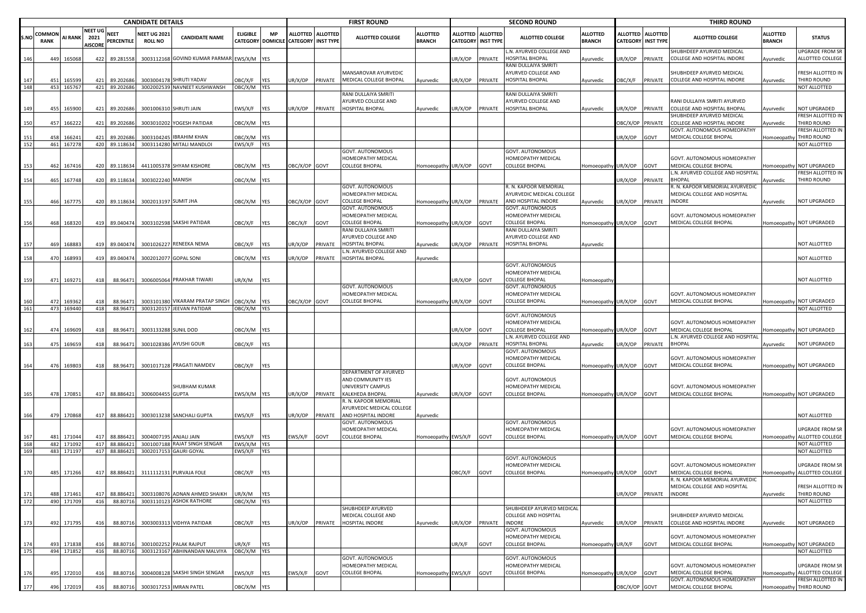|            |                       |                            |                                          |                                       | <b>CANDIDATE DETAILS</b>             |                                                                               |                        |            |                                      |                   | <b>FIRST ROUND</b>                                                        |                                  |                 |                                              | <b>SECOND ROUND</b>                                                   |                                  |                             |                                     | <b>THIRD ROUND</b>                                                                         |                                  |                                                                     |
|------------|-----------------------|----------------------------|------------------------------------------|---------------------------------------|--------------------------------------|-------------------------------------------------------------------------------|------------------------|------------|--------------------------------------|-------------------|---------------------------------------------------------------------------|----------------------------------|-----------------|----------------------------------------------|-----------------------------------------------------------------------|----------------------------------|-----------------------------|-------------------------------------|--------------------------------------------------------------------------------------------|----------------------------------|---------------------------------------------------------------------|
| S.NO       | COMMOI<br><b>RANK</b> | AI RANK                    | <b>NEET UG</b><br>2021<br><b>AISCORI</b> | <b>NEET</b><br>PERCENTILE             | <b>NEET UG 202</b><br><b>ROLL NO</b> | <b>CANDIDATE NAME</b>                                                         | <b>ELIGIBLE</b>        | <b>MP</b>  | CATEGORY DOMICILE CATEGORY INST TYPE | ALLOTTED ALLOTTED | <b>ALLOTTED COLLEGE</b>                                                   | <b>ALLOTTED</b><br><b>BRANCH</b> | <b>ALLOTTED</b> | <b>ALLOTTED</b><br><b>CATEGORY INST TYPE</b> | <b>ALLOTTED COLLEGE</b>                                               | <b>ALLOTTED</b><br><b>BRANCH</b> | ALLOTTED<br><b>CATEGORY</b> | <b>ALLOTTED</b><br><b>INST TYPE</b> | <b>ALLOTTED COLLEGE</b>                                                                    | <b>ALLOTTED</b><br><b>BRANCH</b> | <b>STATUS</b>                                                       |
| 146        | 449                   | 165068                     | 422                                      | 89.281558                             |                                      | 3003112168 GOVIND KUMAR PARMAR EWS/X/M YES                                    |                        |            |                                      |                   |                                                                           |                                  | UR/X/OP         | PRIVATE                                      | N. AYURVED COLLEGE AND<br><b>IOSPITAL BHOPAL</b>                      | Ayurvedic                        | JR/X/OP                     | PRIVATE                             | SHUBHDEEP AYURVED MEDICAL<br>COLLEGE AND HOSPITAL INDORE                                   | Ayurvedic                        | JPGRADE FROM SR<br>ALLOTTED COLLEGE                                 |
| 147        | 451                   | 165599                     | 421                                      | 89.202686                             |                                      | 3003004178 SHRUTI YADAV                                                       | OBC/X/F                | YES        | JR/X/OP                              | PRIVATE           | MANSAROVAR AYURVEDIC<br>MEDICAL COLLEGE BHOPAL                            | Ayurvedic                        | JR/X/OP         | PRIVATE                                      | RANI DULLAIYA SMRITI<br>AYURVED COLLEGE AND<br><b>IOSPITAL BHOPAL</b> | Ayurvedic                        | DBC/X/F PRIVATE             |                                     | SHUBHDEEP AYURVED MEDICAL<br>COLLEGE AND HOSPITAL INDORE                                   | Ayurvedic                        | RESH ALLOTTED IN<br>THIRD ROUND                                     |
| 148        | 453                   | 165767                     | 421                                      | 89.202686                             |                                      | 3002002539 NAVNEET KUSHWANSH                                                  | OBC/X/M YES            |            |                                      |                   | RANI DULLAIYA SMRITI                                                      |                                  |                 |                                              | RANI DULLAIYA SMRITI                                                  |                                  |                             |                                     |                                                                                            |                                  | NOT ALLOTTED                                                        |
| 149        | 455                   | 165900                     | 421                                      | 89.202686                             |                                      | 3001006310 SHRUTI JAIN                                                        | EWS/X/F                | <b>YES</b> | JR/X/OP                              | PRIVATE           | AYURVED COLLEGE AND<br><b>HOSPITAL BHOPAL</b>                             | Ayurvedic                        | UR/X/OP         | PRIVATE                                      | AYURVED COLLEGE AND<br>HOSPITAL BHOPAL                                | Ayurvedic                        | JR/X/OP                     | PRIVATE                             | RANI DULLAIYA SMRITI AYURVED<br>COLLEGE AND HOSPITAL BHOPAL                                | Ayurvedic                        | NOT UPGRADED                                                        |
| 150        | 457                   | 166222                     | 421                                      | 89.202686                             |                                      | 3003010202 YOGESH PATIDAR                                                     | OBC/X/M YES            |            |                                      |                   |                                                                           |                                  |                 |                                              |                                                                       |                                  | BC/X/OP PRIVATE             |                                     | SHUBHDEEP AYURVED MEDICAL<br>COLLEGE AND HOSPITAL INDORE                                   | vyurvedic                        | FRESH ALLOTTED IN<br>THIRD ROUND                                    |
| 151        | 458                   | 16624                      | 421                                      | 89.202686                             |                                      | 3003104245 IBRAHIM KHAN                                                       | OBC/X/M YES            |            |                                      |                   |                                                                           |                                  |                 |                                              |                                                                       |                                  | JR/X/OP                     | GOVT                                | GOVT. AUTONOMOUS HOMEOPATHY<br>MEDICAL COLLEGE BHOPAL                                      | <b>Homoeopathy</b>               | RESH ALLOTTED IN<br>THIRD ROUND                                     |
| 152        |                       | 461 167278                 |                                          | 420 89.118634                         |                                      | 3003114280 MITALI MANDLOI                                                     | EWS/X/F YES            |            |                                      |                   | GOVT. AUTONOMOUS                                                          |                                  |                 |                                              | GOVT. AUTONOMOUS                                                      |                                  |                             |                                     |                                                                                            |                                  | NOT ALLOTTED                                                        |
| 153        | 462                   | 167416                     | 420                                      | 89.118634                             |                                      | 4411005378 SHYAM KISHORE                                                      | OBC/X/M YES            |            | DBC/X/OP GOVT                        |                   | HOMEOPATHY MEDICAL<br>COLLEGE BHOPAL                                      | Homoeopathy UR/X/OP              |                 | GOVT                                         | HOMEOPATHY MEDICAL<br>COLLEGE BHOPAL                                  | Homoeopathy                      | JR/X/OP                     | GOVT                                | GOVT. AUTONOMOUS HOMEOPATHY<br>MEDICAL COLLEGE BHOPAL<br>L.N. AYURVED COLLEGE AND HOSPITAL |                                  | omoeopathy NOT UPGRADED<br>RESH ALLOTTED IN                         |
| 154        | 465                   | 167748                     | 420                                      | 89.118634                             | 3003022240 MANISH                    |                                                                               | OBC/X/M YES            |            |                                      |                   | GOVT. AUTONOMOUS                                                          |                                  |                 |                                              | R. N. KAPOOR MEMORIAL                                                 |                                  | JR/X/OP                     | PRIVATE                             | <b>BHOPAL</b><br>R. N. KAPOOR MEMORIAL AYURVEDIC                                           | Ayurvedic                        | THIRD ROUND                                                         |
| 155        | 466                   | 167775                     | 420                                      | 89.118634                             | 3002013197 SUMIT JHA                 |                                                                               | OBC/X/M YES            |            | OBC/X/OP GOVT                        |                   | HOMEOPATHY MEDICAL<br><b>COLLEGE BHOPAL</b>                               | Homoeopathy UR/X/OP              |                 | PRIVATE                                      | AYURVEDIC MEDICAL COLLEGE<br>AND HOSPITAL INDORE                      | Ayurvedic                        | JR/X/OP                     | PRIVATE                             | MEDICAL COLLEGE AND HOSPITAL<br><b>INDORE</b>                                              | Ayurvedic                        | <b>NOT UPGRADED</b>                                                 |
|            |                       |                            |                                          |                                       |                                      |                                                                               |                        |            |                                      |                   | GOVT. AUTONOMOUS<br>HOMEOPATHY MEDICAL                                    |                                  |                 |                                              | GOVT. AUTONOMOUS<br>HOMEOPATHY MEDICAL                                |                                  |                             |                                     | GOVT. AUTONOMOUS HOMEOPATHY                                                                |                                  |                                                                     |
| 156        | 468                   | 168320                     | 419                                      | 89.040474                             |                                      | 3003102598 SAKSHI PATIDAR                                                     | OBC/X/F                | <b>YES</b> | OBC/X/F                              | GOVT              | COLLEGE BHOPAL<br>RANI DULLAIYA SMRITI<br>AYURVED COLLEGE AND             | Homoeopathy UR/X/OP              |                 | GOVT                                         | <b>COLLEGE BHOPAL</b><br>RANI DULLAIYA SMRITI<br>AYURVED COLLEGE AND  | Iomoeopathy UR/X/OP              |                             | GOVT                                | MEDICAL COLLEGE BHOPAL                                                                     |                                  | Iomoeopathy NOT UPGRADED                                            |
| - 157      | 469                   | 168883                     | 419                                      | 89.04047                              |                                      | 3001026227 RENEEKA NEMA                                                       | OBC/X/F                | YES        | JR/X/OP                              | PRIVATE           | <b>HOSPITAL BHOPAL</b><br>L.N. AYURVED COLLEGE AND                        | Ayurvedic                        | UR/X/OP         | PRIVATE                                      | <b>IOSPITAL BHOPAL</b>                                                | Ayurvedic                        |                             |                                     |                                                                                            |                                  | <b>JOT ALLOTTED</b>                                                 |
| 158        | 470                   | 168993                     | 419                                      | 89.040474                             |                                      | 3002012077 GOPAL SONI                                                         | OBC/X/M YES            |            | JR/X/OP                              | PRIVATE           | HOSPITAL BHOPAL                                                           | Ayurvedic                        |                 |                                              | GOVT. AUTONOMOUS                                                      |                                  |                             |                                     |                                                                                            |                                  | <b>JOT ALLOTTED</b>                                                 |
| 159        | 471                   | 169271                     | 418                                      | 88.96471                              |                                      | 3006005064 PRAKHAR TIWARI                                                     | UR/X/M                 | <b>YES</b> |                                      |                   | GOVT. AUTONOMOUS                                                          |                                  | UR/X/OP         | GOVT                                         | HOMEOPATHY MEDICAL<br>COLLEGE BHOPAL<br>GOVT. AUTONOMOUS              | Homoeopath                       |                             |                                     |                                                                                            |                                  | NOT ALLOTTED                                                        |
| 160        | 472                   | 169362                     | 418                                      | 88.96471                              |                                      | 3003101380 VIKARAM PRATAP SINGH                                               | OBC/X/M                | <b>YES</b> | DBC/X/OP GOVT                        |                   | HOMEOPATHY MEDICAL<br>COLLEGE BHOPAL                                      | Homoeopathy UR/X/OP              |                 | GOVT                                         | HOMEOPATHY MEDICAL<br>COLLEGE BHOPAL                                  | Homoeopathy                      | UR/X/OP                     | GOVT                                | GOVT. AUTONOMOUS HOMEOPATHY<br>MEDICAL COLLEGE BHOPAL                                      |                                  | Iomoeopathy NOT UPGRADED                                            |
| 161        | 473                   | 169440                     | 418                                      | 88.96471                              |                                      | 3003120157 JEEVAN PATIDAR                                                     | OBC/X/M YES            |            |                                      |                   |                                                                           |                                  |                 |                                              |                                                                       |                                  |                             |                                     |                                                                                            |                                  | NOT ALLOTTED                                                        |
| 162        | 474                   | 169609                     | 418                                      | 88.9647                               | 3003133288 SUNIL DOD                 |                                                                               | OBC/X/M YES            |            |                                      |                   |                                                                           |                                  | UR/X/OP         | GOVT                                         | GOVT. AUTONOMOUS<br>HOMEOPATHY MEDICAL<br>COLLEGE BHOPAL              | Homoeopath                       | UR/X/OP                     | GOVT                                | GOVT. AUTONOMOUS HOMEOPATHY<br>MEDICAL COLLEGE BHOPAL                                      |                                  | Iomoeopathy NOT UPGRADED                                            |
| 163        | 475                   | 169659                     | 418                                      | 88.96471                              |                                      | 3001028386 AYUSHI GOUR                                                        | OBC/X/F                | <b>YES</b> |                                      |                   |                                                                           |                                  | UR/X/OP         | PRIVATE                                      | L.N. AYURVED COLLEGE AND<br>HOSPITAL BHOPAL                           | Ayurvedic                        | JR/X/OP                     | PRIVATE                             | L.N. AYURVED COLLEGE AND HOSPITAI<br><b>BHOPAL</b>                                         | Ayurvedic                        | <b>NOT UPGRADED</b>                                                 |
|            |                       |                            |                                          |                                       |                                      |                                                                               |                        |            |                                      |                   |                                                                           |                                  |                 |                                              | GOVT. AUTONOMOUS<br><b>IOMEOPATHY MEDICAL</b>                         |                                  |                             |                                     | GOVT. AUTONOMOUS HOMEOPATHY                                                                |                                  |                                                                     |
| 164        | 476                   | 169803                     | 418                                      | 88.96471                              |                                      | 3001017128 PRAGATI NAMDEV                                                     | OBC/X/F                | <b>YES</b> |                                      |                   | DEPARTMENT OF AYURVED<br>AND COMMUNITY IES                                |                                  | UR/X/OP         | GOVT                                         | COLLEGE BHOPAL<br>GOVT. AUTONOMOUS                                    | Homoeopathy UR/X/OP GOVT         |                             |                                     | MEDICAL COLLEGE BHOPAL                                                                     |                                  | Homoeopathy NOT UPGRADED                                            |
| 165        | 478                   | 170851                     | 417                                      | 88.886421                             | 3006004455 GUPTA                     | SHUBHAM KUMAR                                                                 | EWS/X/M YES            |            | JR/X/OP                              | PRIVATE           | UNIVERSITY CAMPUS<br>KALKHEDA BHOPAL                                      | Ayurvedic                        | UR/X/OP         | GOVT                                         | HOMEOPATHY MEDICAL<br>COLLEGE BHOPAL                                  | Iomoeopathy UR/X/OP              |                             | GOVT                                | GOVT. AUTONOMOUS HOMEOPATHY<br>MEDICAL COLLEGE BHOPAL                                      |                                  | Iomoeopathy NOT UPGRADED                                            |
| 166        | 479                   | 170868                     | 417                                      | 88.886421                             |                                      | 3003013238 SANCHALI GUPTA                                                     | EWS/X/F                | <b>YES</b> | IR/X/OP                              | PRIVATE           | R. N. KAPOOR MEMORIAL<br>AYURVEDIC MEDICAL COLLEGE<br>AND HOSPITAL INDORE | Ayurvedic                        |                 |                                              |                                                                       |                                  |                             |                                     |                                                                                            |                                  | NOT ALLOTTED                                                        |
|            |                       |                            |                                          |                                       |                                      |                                                                               |                        |            |                                      |                   | GOVT. AUTONOMOUS<br>HOMEOPATHY MEDICAL                                    |                                  |                 |                                              | GOVT. AUTONOMOUS<br>HOMEOPATHY MEDICAL                                |                                  |                             |                                     | GOVT. AUTONOMOUS HOMEOPATHY                                                                |                                  | JPGRADE FROM SR                                                     |
| 168<br>169 | 481<br>482<br>483     | 171044<br>171092<br>171197 | 417<br>417                               | 88.88642<br>417 88.886421<br>88.88642 | 300201715                            | 3004007195 ANJALI JAIN<br>3001007188 RAJAT SINGH SENGAR<br><b>GAURI GOYAL</b> | EWS/X/F<br>EWS/X/M YES | <b>YES</b> | WS/X/F                               | GOVT              | <b>COLLEGE BHOPAL</b>                                                     | Homoeopathy EWS/X/F              |                 | GOVT                                         | <b>COLLEGE BHOPAL</b>                                                 | Homoeopathy UR/X/OP              |                             | GOVT                                | MEDICAL COLLEGE BHOPAL                                                                     |                                  | Homoeopathy ALLOTTED COLLEGE<br><b>NOT ALLOTTED</b><br>NOT ALLOTTED |
|            |                       |                            |                                          |                                       |                                      |                                                                               | EWS/X/F                | <b>YES</b> |                                      |                   |                                                                           |                                  |                 |                                              | GOVT. AUTONOMOUS<br><b>IOMEOPATHY MEDICAL</b>                         |                                  |                             |                                     | GOVT. AUTONOMOUS HOMEOPATHY                                                                |                                  | <b>JPGRADE FROM SR</b>                                              |
| 170        | 485                   | 171266                     | 417                                      | 88.886421                             |                                      | 3111112131 PURVAJA FOLE                                                       | OBC/X/F                | YES        |                                      |                   |                                                                           |                                  | OBC/X/F         | GOVT                                         | COLLEGE BHOPAL                                                        | Homoeopathy UR/X/OP GOVT         |                             |                                     | MEDICAL COLLEGE BHOPAL<br>R. N. KAPOOR                                                     |                                  | Homoeopathy ALLOTTED COLLEGE                                        |
| 171<br>172 | 488<br>490            | 171461<br>171709           | 417<br>416                               | 88.886421<br>88.80716                 |                                      | 3003108076 ADNAN AHMED SHAIKH<br>3003110123 ASHOK RATHORE                     | UR/X/M<br>OBC/X/M YES  | <b>YES</b> |                                      |                   |                                                                           |                                  |                 |                                              |                                                                       |                                  | JR/X/OP                     | PRIVATE                             | MEDICAL COLLEGE AND HOSPITAL<br>INDORE                                                     | Ayurvedic                        | FRESH ALLOTTED IN<br>THIRD ROUND<br>NOT ALLOTTED                    |
|            |                       |                            |                                          |                                       |                                      |                                                                               |                        |            |                                      |                   | SHUBHDEEP AYURVED                                                         |                                  |                 |                                              | SHUBHDEEP AYURVED MEDICAL                                             |                                  |                             |                                     |                                                                                            |                                  |                                                                     |
| 173        | 492                   | 171795                     | 416                                      | 88.80716                              |                                      | 3003003313 VIDHYA PATIDAR                                                     | OBC/X/F                | <b>YES</b> | JR/X/OP                              | PRIVATE           | MEDICAL COLLEGE AND<br>HOSPITAL INDORE                                    | Ayurvedic                        | UR/X/OP         | PRIVATE                                      | <b>COLLEGE AND HOSPITAL</b><br><b>INDORE</b>                          | Ayurvedic                        | JR/X/OP PRIVATE             |                                     | SHUBHDEEP AYURVED MEDICAL<br>COLLEGE AND HOSPITAL INDORE                                   | Ayurvedic                        | <b>NOT UPGRADED</b>                                                 |
| 174        | 493                   | 171838                     | 416                                      | 88.80716                              |                                      | 3001002252 PALAK RAJPUT                                                       | UR/X/F                 | <b>YES</b> |                                      |                   |                                                                           |                                  | UR/X/F          | GOVT                                         | GOVT. AUTONOMOUS<br>HOMEOPATHY MEDICAL<br>COLLEGE BHOPAL              | Homoeopathy UR/X/F               |                             | GOVT                                | GOVT. AUTONOMOUS HOMEOPATHY<br>MEDICAL COLLEGE BHOPAL                                      |                                  | Homoeopathy NOT UPGRADED                                            |
| 175        | 494                   | 171852                     | 416                                      | 88.80716                              |                                      | 3003123167 ABHINANDAN MALVIYA                                                 | OBC/X/M YES            |            |                                      |                   | GOVT. AUTONOMOUS                                                          |                                  |                 |                                              | GOVT. AUTONOMOUS                                                      |                                  |                             |                                     |                                                                                            |                                  | NOT ALLOTTED                                                        |
| 176        | 495                   | 172010                     | 416                                      | 88.80716                              |                                      | 3004008128 SAKSHI SINGH SENGAR                                                | EWS/X/F                | <b>YES</b> | EWS/X/F                              | GOVT              | HOMEOPATHY MEDICAL<br><b>COLLEGE BHOPAL</b>                               | Homoeopathy EWS/X/F              |                 | GOVT                                         | HOMEOPATHY MEDICAL<br><b>COLLEGE BHOPAL</b>                           | Homoeopathy                      | UR/X/OP                     | GOVT                                | GOVT. AUTONOMOUS HOMEOPATHY<br>MEDICAL COLLEGE BHOPAL                                      |                                  | <b>UPGRADE FROM SR</b><br>Iomoeopathy ALLOTTED COLLEGE              |
| 177        |                       | 496 172019                 | 416                                      | 88.80716                              |                                      | 3003017253 IMRAN PATEL                                                        | OBC/X/M YES            |            |                                      |                   |                                                                           |                                  |                 |                                              |                                                                       |                                  | OBC/X/OP GOVT               |                                     | GOVT. AUTONOMOUS HOMEOPATHY<br>MEDICAL COLLEGE BHOPAL                                      |                                  | RESH ALLOTTED IN<br>Homoeopathy THIRD ROUND                         |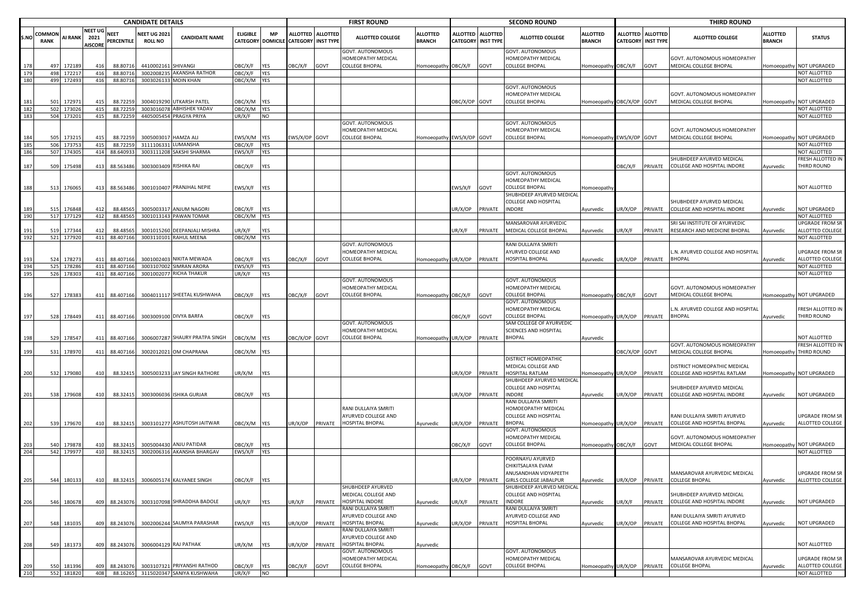|            |                       | <b>CANDIDATE DETAILS</b> |  |                                          |                                  |                                       |                                                 |                        |                   | <b>FIRST ROUND</b>                   |                   |                                                                 |                                  | <b>SECOND ROUND</b>                          |                 |                                                                 |                                  | <b>THIRD ROUND</b>          |                                     |                                                             |                                  |                                   |
|------------|-----------------------|--------------------------|--|------------------------------------------|----------------------------------|---------------------------------------|-------------------------------------------------|------------------------|-------------------|--------------------------------------|-------------------|-----------------------------------------------------------------|----------------------------------|----------------------------------------------|-----------------|-----------------------------------------------------------------|----------------------------------|-----------------------------|-------------------------------------|-------------------------------------------------------------|----------------------------------|-----------------------------------|
| S.NO       | OMMON:<br><b>RANK</b> | <b>AI RANK</b>           |  | <b>NEET UG</b><br>2021<br><b>AISCORE</b> | <b>NEET</b><br><b>PERCENTILE</b> | <b>NEET UG 2021</b><br><b>ROLL NO</b> | <b>CANDIDATE NAME</b>                           | <b>ELIGIBLE</b>        | <b>MP</b>         | CATEGORY DOMICILE CATEGORY INST TYPE | ALLOTTED ALLOTTED | <b>ALLOTTED COLLEGE</b>                                         | <b>ALLOTTED</b><br><b>BRANCH</b> | <b>ALLOTTED</b><br><b>CATEGORY INST TYPE</b> | <b>ALLOTTED</b> | <b>ALLOTTED COLLEGE</b>                                         | <b>ALLOTTED</b><br><b>BRANCH</b> | ALLOTTED<br><b>CATEGORY</b> | <b>ALLOTTED</b><br><b>INST TYPE</b> | <b>ALLOTTED COLLEGE</b>                                     | <b>ALLOTTED</b><br><b>BRANCH</b> | <b>STATUS</b>                     |
| 178        | 497                   | 17218                    |  | 416                                      | 88.80716                         | 4410002161                            | <b>SHIVANGI</b>                                 | OBC/X/F                | <b>YES</b>        | OBC/X/F                              | GOVT              | GOVT. AUTONOMOUS<br>HOMEOPATHY MEDICAL<br><b>COLLEGE BHOPAL</b> | Homoeopathy OBC/X/F              |                                              | GOVT            | GOVT. AUTONOMOUS<br>HOMEOPATHY MEDICAL<br><b>COLLEGE BHOPAL</b> | Homoeopathy OBC/X/F              |                             | GOVT                                | GOVT. AUTONOMOUS HOMEOPATHY<br>MEDICAL COLLEGE BHOPAL       |                                  | Homoeopathy NOT UPGRADED          |
|            | 498                   | 17221                    |  | 416                                      | 88.80716                         | 300200823                             | AKANSHA RATHOR                                  | OBC/X/F                | <b>YES</b>        |                                      |                   |                                                                 |                                  |                                              |                 |                                                                 |                                  |                             |                                     |                                                             |                                  | NOT ALLOTTED                      |
| 180        |                       | 499 172493               |  | 416                                      | 88.80716                         |                                       | 3003026133 MOIN KHAN                            | OBC/X/M YES            |                   |                                      |                   |                                                                 |                                  |                                              |                 |                                                                 |                                  |                             |                                     |                                                             |                                  | NOT ALLOTTED                      |
|            |                       |                          |  |                                          |                                  |                                       |                                                 |                        |                   |                                      |                   |                                                                 |                                  |                                              |                 | <b>GOVT. AUTONOMOUS</b>                                         |                                  |                             |                                     |                                                             |                                  |                                   |
|            | 501                   | 17297                    |  | 415                                      | 88.72259                         | 3004019290                            | UTKARSH PATEL                                   | OBC/X/M YES            |                   |                                      |                   |                                                                 |                                  | OBC/X/OP GOVT                                |                 | <b>IOMEOPATHY MEDICAL</b><br><b>COLLEGE BHOPAL</b>              |                                  | OBC/X/OP GOVT               |                                     | GOVT. AUTONOMOUS HOMEOPATHY<br>MEDICAL COLLEGE BHOPAL       |                                  | Homoeopathy NOT UPGRADED          |
| 181<br>182 |                       | 502 173026               |  | 415                                      | 88.72259                         | 3003016078                            | <b>ABHISHEK YADAV</b>                           | OBC/X/M YES            |                   |                                      |                   |                                                                 |                                  |                                              |                 |                                                                 | Homoeopathy                      |                             |                                     |                                                             |                                  | NOT ALLOTTED                      |
| 183        |                       | 504 173201               |  | 415                                      | 88.72259                         | 4405005454                            | PRAGYA PRIYA                                    | UR/X/F                 | <b>NO</b>         |                                      |                   |                                                                 |                                  |                                              |                 |                                                                 |                                  |                             |                                     |                                                             |                                  | NOT ALLOTTED                      |
|            |                       |                          |  |                                          |                                  |                                       |                                                 |                        |                   |                                      |                   | GOVT. AUTONOMOUS                                                |                                  |                                              |                 | GOVT. AUTONOMOUS                                                |                                  |                             |                                     |                                                             |                                  |                                   |
|            |                       |                          |  |                                          |                                  |                                       |                                                 |                        |                   |                                      |                   | HOMEOPATHY MEDICAL                                              |                                  |                                              |                 | HOMEOPATHY MEDICAL                                              |                                  |                             |                                     | GOVT. AUTONOMOUS HOMEOPATHY                                 |                                  |                                   |
| 184        | 505                   | 17321                    |  | 415                                      | 88.72259                         | 300500301                             | <b>HAMZA ALI</b>                                | EWS/X/M                | <b>YES</b>        | WS/X/OP GOVT                         |                   | <b>COLLEGE BHOPAL</b>                                           | Homoeopathy EWS/X/OP GOVT        |                                              |                 | <b>COLLEGE BHOPAL</b>                                           | Homoeopathy EWS/X/OP GOVT        |                             |                                     | MEDICAL COLLEGE BHOPAL                                      |                                  | Homoeopathy NOT UPGRADED          |
| 185        |                       | 506 173753               |  | 415                                      | 88.72259                         | 3111106331 LUMANSHA                   |                                                 | OBC/X/F                | <b>YES</b>        |                                      |                   |                                                                 |                                  |                                              |                 |                                                                 |                                  |                             |                                     |                                                             |                                  | NOT ALLOTTED                      |
| 186        |                       | 507 17430                |  |                                          | 414 88.640933                    | 3003111208                            | SAKSHI SHARMA                                   | EWS/X/F                | YES               |                                      |                   |                                                                 |                                  |                                              |                 |                                                                 |                                  |                             |                                     | SHUBHDEEP AYURVED MEDICAL                                   |                                  | NOT ALLOTTED<br>FRESH ALLOTTED IN |
| 187        | 509                   | 175498                   |  | 413                                      | 88.563486                        |                                       | 3003003409 RISHIKA RAI                          | OBC/X/F                | YES               |                                      |                   |                                                                 |                                  |                                              |                 |                                                                 |                                  | <b>DBC/X/F</b>              |                                     | PRIVATE COLLEGE AND HOSPITAL INDORE                         | Ayurvedic                        | THIRD ROUND                       |
|            |                       |                          |  |                                          |                                  |                                       |                                                 |                        |                   |                                      |                   |                                                                 |                                  |                                              |                 | GOVT. AUTONOMOUS                                                |                                  |                             |                                     |                                                             |                                  |                                   |
|            |                       |                          |  |                                          |                                  |                                       |                                                 |                        |                   |                                      |                   |                                                                 |                                  |                                              |                 | HOMEOPATHY MEDICAL                                              |                                  |                             |                                     |                                                             |                                  |                                   |
| 188        | 513                   | 176065                   |  | 413                                      | 88.563486                        |                                       | 3001010407 PRANJHAL NEPIE                       | EWS/X/F YES            |                   |                                      |                   |                                                                 |                                  | EWS/X/F                                      | GOVT            | COLLEGE BHOPAL                                                  | Iomoeopath                       |                             |                                     |                                                             |                                  | NOT ALLOTTED                      |
|            |                       |                          |  |                                          |                                  |                                       |                                                 |                        |                   |                                      |                   |                                                                 |                                  |                                              |                 | SHUBHDEEP AYURVED MEDICAL                                       |                                  |                             |                                     |                                                             |                                  |                                   |
|            |                       |                          |  |                                          |                                  |                                       |                                                 |                        |                   |                                      |                   |                                                                 |                                  |                                              |                 | COLLEGE AND HOSPITAL                                            |                                  |                             |                                     | SHUBHDEEP AYURVED MEDICAL                                   |                                  |                                   |
| 190        | 515                   | 17684<br>517 177129      |  | 412<br>412                               | 88.4856<br>88.48565              | 300500331                             | <b>ANJUM NAGORI</b><br>3001013143 PAWAN TOMAR   | OBC/X/F<br>OBC/X/M YES | <b>YES</b>        |                                      |                   |                                                                 |                                  | JR/X/OP                                      | PRIVATE         | <b>INDORE</b>                                                   | Ayurvedic                        | JR/X/OP                     | PRIVATE                             | COLLEGE AND HOSPITAL INDORE                                 | Ayurvedic                        | NOT UPGRADED<br>NOT ALLOTTED      |
|            |                       |                          |  |                                          |                                  |                                       |                                                 |                        |                   |                                      |                   |                                                                 |                                  |                                              |                 | <b>MANSAROVAR AYURVEDIC</b>                                     |                                  |                             |                                     | SRI SAI INSTITUTE OF AYURVEDIC                              |                                  | <b>UPGRADE FROM SR</b>            |
| 19'        | 519                   | 17734                    |  | 412                                      | 88.4856                          | 300101526                             | DEEPANJALI MISHRA                               | JR/X/F                 | <b>YES</b>        |                                      |                   |                                                                 |                                  | UR/X/F                                       | PRIVATE         | MEDICAL COLLEGE BHOPAL                                          | Ayurvedic                        | JR/X/F                      | PRIVATE                             | RESEARCH AND MEDICINE BHOPAL                                | Ayurvedic                        | ALLOTTED COLLEGE                  |
| 192        |                       | 521 177920               |  | 411                                      | 88.407166                        |                                       | 3003110101 RAHUL MEENA                          | OBC/X/M YES            |                   |                                      |                   |                                                                 |                                  |                                              |                 |                                                                 |                                  |                             |                                     |                                                             |                                  | NOT ALLOTTED                      |
|            |                       |                          |  |                                          |                                  |                                       |                                                 |                        |                   |                                      |                   | GOVT. AUTONOMOUS                                                |                                  |                                              |                 | RANI DULLAIYA SMRITI                                            |                                  |                             |                                     |                                                             |                                  |                                   |
|            |                       |                          |  |                                          |                                  |                                       |                                                 |                        |                   |                                      |                   | HOMEOPATHY MEDICAL                                              |                                  |                                              |                 | <b>AYURVED COLLEGE AND</b>                                      |                                  |                             |                                     | .N. AYURVED COLLEGE AND HOSPITAL                            |                                  | <b>UPGRADE FROM SR</b>            |
| 193<br>194 | 524                   | 17827<br>525 178286      |  | 411                                      | 88.407166                        |                                       | 3001002403 NIKITA MEWADA<br><b>SIMRAN ARORA</b> | OBC/X/F                | YES               | <b>DBC/X/F</b>                       | GOVT              | <b>COLLEGE BHOPAL</b>                                           | Homoeopathy UR/X/OP              |                                              | PRIVATE         | HOSPITAL BHOPAL                                                 | Ayurvedic                        | JR/X/OP                     | PRIVATE                             | <b>BHOPAL</b>                                               | Ayurvedic                        | ALLOTTED COLLEGE                  |
| 195        |                       | 526 17830                |  |                                          | 411 88.407166<br>411 88.407166   | 300310700<br>3001002077               | <b>RICHA THAKUR</b>                             | EWS/X/F<br>UR/X/F      | YES<br><b>YES</b> |                                      |                   |                                                                 |                                  |                                              |                 |                                                                 |                                  |                             |                                     |                                                             |                                  | NOT ALLOTTED<br>NOT ALLOTTED      |
|            |                       |                          |  |                                          |                                  |                                       |                                                 |                        |                   |                                      |                   | GOVT. AUTONOMOUS                                                |                                  |                                              |                 | GOVT. AUTONOMOUS                                                |                                  |                             |                                     |                                                             |                                  |                                   |
| 196        | 527                   | 178383                   |  | 411                                      | 88.407166                        |                                       | 3004011117 SHEETAL KUSHWAHA                     | OBC/X/F                | <b>YES</b>        | <b>DBC/X/F</b>                       | GOVT              | HOMEOPATHY MEDICAL<br><b>COLLEGE BHOPAL</b>                     | Homoeopathy OBC/X/F              |                                              | GOVT            | HOMEOPATHY MEDICAL<br><b>COLLEGE BHOPAL</b>                     | <b>Homoeopathy</b>               | OBC/X/F                     | GOVT                                | GOVT. AUTONOMOUS HOMEOPATHY<br>MEDICAL COLLEGE BHOPAL       |                                  | Homoeopathy NOT UPGRADED          |
|            |                       |                          |  |                                          |                                  |                                       |                                                 |                        |                   |                                      |                   |                                                                 |                                  |                                              |                 | GOVT. AUTONOMOUS                                                |                                  |                             |                                     |                                                             |                                  |                                   |
|            |                       |                          |  |                                          |                                  |                                       |                                                 |                        |                   |                                      |                   |                                                                 |                                  |                                              |                 | HOMEOPATHY MEDICAL                                              |                                  |                             |                                     | L.N. AYURVED COLLEGE AND HOSPITAI                           |                                  | FRESH ALLOTTED IN                 |
| 197        |                       | 528 178449               |  | 411                                      | 88.407166                        |                                       | 3003009100 DIVYA BARFA                          | OBC/X/F                | <b>YES</b>        |                                      |                   |                                                                 |                                  | OBC/X/F                                      | GOVT            | COLLEGE BHOPAL                                                  | Homoeopathy UR/X/OP              |                             | PRIVATE                             | <b>BHOPAL</b>                                               | Ayurvedic                        | THIRD ROUND                       |
|            |                       |                          |  |                                          |                                  |                                       |                                                 |                        |                   |                                      |                   | GOVT. AUTONOMOUS<br>HOMEOPATHY MEDICAL                          |                                  |                                              |                 | SAM COLLEGE OF AYURVEDIC<br>SCIENCES AND HOSPITAL               |                                  |                             |                                     |                                                             |                                  |                                   |
|            | 529                   | 17854                    |  | 411                                      | 88.407166                        |                                       | 3006007287 SHAURY PRATPA SINGH                  | OBC/X/M YES            |                   | OBC/X/OP GOVT                        |                   | <b>COLLEGE BHOPAL</b>                                           | Homoeopathy UR/X/OP              |                                              | PRIVATE         | <b>BHOPAL</b>                                                   | Ayurvedic                        |                             |                                     |                                                             |                                  | NOT ALLOTTED                      |
|            |                       |                          |  |                                          |                                  |                                       |                                                 |                        |                   |                                      |                   |                                                                 |                                  |                                              |                 |                                                                 |                                  |                             |                                     | GOVT. AUTONOMOUS HOMEOPATHY                                 |                                  | FRESH ALLOTTED IN                 |
| 199        |                       | 531 178970               |  | 411                                      | 88.407166                        |                                       | 3002012021 OM CHAPRANA                          | OBC/X/M YES            |                   |                                      |                   |                                                                 |                                  |                                              |                 |                                                                 |                                  | DBC/X/OP GOVT               |                                     | MEDICAL COLLEGE BHOPAL                                      |                                  | Homoeopathy THIRD ROUND           |
|            |                       |                          |  |                                          |                                  |                                       |                                                 |                        |                   |                                      |                   |                                                                 |                                  |                                              |                 | DISTRICT HOMEOPATHIC                                            |                                  |                             |                                     |                                                             |                                  |                                   |
|            |                       |                          |  |                                          |                                  |                                       |                                                 |                        |                   |                                      |                   |                                                                 |                                  |                                              |                 | MEDICAL COLLEGE AND                                             |                                  |                             |                                     | DISTRICT HOMEOPATHIC MEDICAL                                |                                  |                                   |
| 200        |                       | 532 179080               |  | 410                                      | 88.32415                         |                                       | 3005003233 JAY SINGH RATHORE                    | UR/X/M                 | <b>YES</b>        |                                      |                   |                                                                 |                                  | UR/X/OP                                      | PRIVATE         | HOSPITAL RATLAM<br>SHUBHDEEP AYURVED MEDICAL                    |                                  |                             |                                     | Homoeopathy UR/X/OP PRIVATE COLLEGE AND HOSPITAL RATLAM     |                                  | Homoeopathy NOT UPGRADED          |
|            |                       |                          |  |                                          |                                  |                                       |                                                 |                        |                   |                                      |                   |                                                                 |                                  |                                              |                 | COLLEGE AND HOSPITAL                                            |                                  |                             |                                     | SHUBHDEEP AYURVED MEDICAL                                   |                                  |                                   |
| 201        |                       | 538 179608               |  | 410                                      | 88.32415                         |                                       | 3003006036 ISHIKA GURJAR                        | OBC/X/F YES            |                   |                                      |                   |                                                                 |                                  | JR/X/OP                                      | PRIVATE         | <b>INDORE</b>                                                   | Ayurvedic                        | JR/X/OP                     |                                     | PRIVATE COLLEGE AND HOSPITAL INDORE                         | Ayurvedic                        | NOT UPGRADED                      |
|            |                       |                          |  |                                          |                                  |                                       |                                                 |                        |                   |                                      |                   |                                                                 |                                  |                                              |                 | RANI DULLAIYA SMRITI                                            |                                  |                             |                                     |                                                             |                                  |                                   |
|            |                       |                          |  |                                          |                                  |                                       |                                                 |                        |                   |                                      |                   | RANI DULLAIYA SMRITI                                            |                                  |                                              |                 | HOMOEOPATHY MEDICAL                                             |                                  |                             |                                     |                                                             |                                  |                                   |
|            |                       |                          |  |                                          |                                  |                                       | 3003101277 ASHUTOSH JAITWAR                     | OBC/X/M YES            |                   |                                      |                   | AYURVED COLLEGE AND                                             |                                  |                                              |                 | COLLEGE AND HOSPITAL<br><b>BHOPAL</b>                           |                                  |                             |                                     | RANI DULLAIYA SMRITI AYURVED<br>COLLEGE AND HOSPITAL BHOPAL |                                  | <b>UPGRADE FROM SR</b>            |
| 202        | 539                   | 179670                   |  | 410                                      | 88.32415                         |                                       |                                                 |                        |                   | JR/X/OP                              | PRIVATE           | HOSPITAL BHOPAL                                                 | Ayurvedic                        | UR/X/OP                                      | PRIVATE         | GOVT. AUTONOMOUS                                                | Homoeopathy UR/X/OP              |                             | PRIVATE                             |                                                             | Ayurvedic                        | ALLOTTED COLLEGE                  |
|            |                       |                          |  |                                          |                                  |                                       |                                                 |                        |                   |                                      |                   |                                                                 |                                  |                                              |                 | HOMEOPATHY MEDICAL                                              |                                  |                             |                                     | GOVT. AUTONOMOUS HOMEOPATHY                                 |                                  |                                   |
| - 203      |                       | 540 17987                |  | 410                                      | 88.32415                         | 300500443                             | ANJU PATIDAR                                    | OBC/X/F                | YES               |                                      |                   |                                                                 |                                  | <b>JBC/X/F</b>                               | GOVT            | COLLEGE BHOPAL                                                  | Homoeopathy OBC/X/F              |                             | GOVT                                | MEDICAL COLLEGE BHOPAL                                      |                                  | Homoeopathy NOT UPGRADED          |
| 204        |                       | 542 179977               |  | 410                                      | 88.32415                         | 300200631                             | AKANSHA BHARGAV                                 | EWS/X/F                | <b>YES</b>        |                                      |                   |                                                                 |                                  |                                              |                 |                                                                 |                                  |                             |                                     |                                                             |                                  | NOT ALLOTTED                      |
|            |                       |                          |  |                                          |                                  |                                       |                                                 |                        |                   |                                      |                   |                                                                 |                                  |                                              |                 | POORNAYU AYURVED                                                |                                  |                             |                                     |                                                             |                                  |                                   |
|            |                       |                          |  |                                          |                                  |                                       |                                                 |                        |                   |                                      |                   |                                                                 |                                  |                                              |                 | CHIKITSALAYA EVAM<br>ANUSANDHAN VIDYAPEETH                      |                                  |                             |                                     | MANSAROVAR AYURVEDIC MEDICAL                                |                                  | <b>UPGRADE FROM SR</b>            |
|            |                       | 180133                   |  | 410                                      | 88.32415                         |                                       | 3006005174 KALYANEE SINGH                       | OBC/X/F                | <b>YFS</b>        |                                      |                   |                                                                 |                                  | R/X/OP                                       | PRIVATE         | <b>GIRLS COLLEGE JABALPUR</b>                                   | vurvedic                         | UR/X/OP PRIVATE             |                                     | <b>COLLEGE BHOPAL</b>                                       | Ayurvedic                        | ALLOTTED COLLEGE                  |
|            |                       |                          |  |                                          |                                  |                                       |                                                 |                        |                   |                                      |                   | SHUBHDEEP AYURVED                                               |                                  |                                              |                 | SHUBHDEEP AYURVED MEDICAL                                       |                                  |                             |                                     |                                                             |                                  |                                   |
|            |                       |                          |  |                                          |                                  |                                       |                                                 |                        |                   |                                      |                   | MEDICAL COLLEGE AND                                             |                                  |                                              |                 | COLLEGE AND HOSPITAL                                            |                                  |                             |                                     | SHUBHDEEP AYURVED MEDICAL                                   |                                  |                                   |
| 206        | 546                   | 180678                   |  | 409                                      | 88.243076                        |                                       | 3003107098 SHRADDHA BADOLE                      | UR/X/F                 | <b>YES</b>        | JR/X/F                               | PRIVATE           | HOSPITAL INDORE                                                 | Ayurvedic                        | UR/X/F                                       | PRIVATE         | <b>INDORE</b>                                                   | Ayurvedic                        | JR/X/F                      | PRIVATE                             | COLLEGE AND HOSPITAL INDORE                                 | Ayurvedic                        | <b>NOT UPGRADED</b>               |
|            |                       |                          |  |                                          |                                  |                                       |                                                 |                        |                   |                                      |                   | RANI DULLAIYA SMRITI                                            |                                  |                                              |                 | RANI DULLAIYA SMRITI                                            |                                  |                             |                                     |                                                             |                                  |                                   |
|            |                       |                          |  |                                          |                                  |                                       |                                                 |                        |                   |                                      |                   | AYURVED COLLEGE AND                                             |                                  |                                              |                 | AYURVED COLLEGE AND                                             |                                  |                             |                                     | RANI DULLAIYA SMRITI AYURVED                                |                                  |                                   |
| 207        | 548                   | 181035                   |  | 409                                      | 88.243076                        |                                       | 3002006244 SAUMYA PARASHAR                      | EWS/X/F                | YES               | JR/X/OP                              | PRIVATE           | HOSPITAL BHOPAL<br>RANI DULLAIYA SMRITI                         | Ayurvedic                        | UR/X/OP                                      | PRIVATE         | <b>HOSPITAL BHOPAL</b>                                          | Ayurvedic                        | UR/X/OP                     | PRIVATE                             | COLLEGE AND HOSPITAL BHOPAL                                 | Ayurvedic                        | <b>NOT UPGRADED</b>               |
|            |                       |                          |  |                                          |                                  |                                       |                                                 |                        |                   |                                      |                   | AYURVED COLLEGE AND                                             |                                  |                                              |                 |                                                                 |                                  |                             |                                     |                                                             |                                  |                                   |
| 208        | 549                   | 181373                   |  | 409                                      | 88.243076                        |                                       | 3006004129 RAJ PATHAK                           | UR/X/M                 | YES               | JR/X/OP                              | PRIVATE           | HOSPITAL BHOPAL                                                 | Ayurvedic                        |                                              |                 |                                                                 |                                  |                             |                                     |                                                             |                                  | NOT ALLOTTED                      |
|            |                       |                          |  |                                          |                                  |                                       |                                                 |                        |                   |                                      |                   | GOVT. AUTONOMOUS                                                |                                  |                                              |                 | GOVT. AUTONOMOUS                                                |                                  |                             |                                     |                                                             |                                  |                                   |
|            |                       |                          |  |                                          |                                  |                                       |                                                 |                        |                   |                                      |                   | HOMEOPATHY MEDICAL                                              |                                  |                                              |                 | HOMEOPATHY MEDICAL                                              |                                  |                             |                                     | MANSAROVAR AYURVEDIC MEDICAL                                |                                  | UPGRADE FROM SR                   |
| 209        |                       | 550 181396               |  | 409                                      | 88.243076                        |                                       | 3003107321 PRIYANSHI RATHOD                     | OBC/X/F                | <b>YES</b>        | OBC/X/F                              | GOVT              | <b>COLLEGE BHOPAL</b>                                           | Homoeopathy OBC/X/F              |                                              | GOVT            | <b>COLLEGE BHOPAL</b>                                           | Homoeopathy UR/X/OP              |                             | PRIVATE                             | <b>COLLEGE BHOPAL</b>                                       | Ayurvedic                        | ALLOTTED COLLEGE                  |
| 210        |                       | 552 181820               |  | 408                                      | 88.16265                         |                                       | 3115020347 SANIYA KUSHWAHA                      | UR/X/F                 | <b>NO</b>         |                                      |                   |                                                                 |                                  |                                              |                 |                                                                 |                                  |                             |                                     |                                                             |                                  | NOT ALLOTTED                      |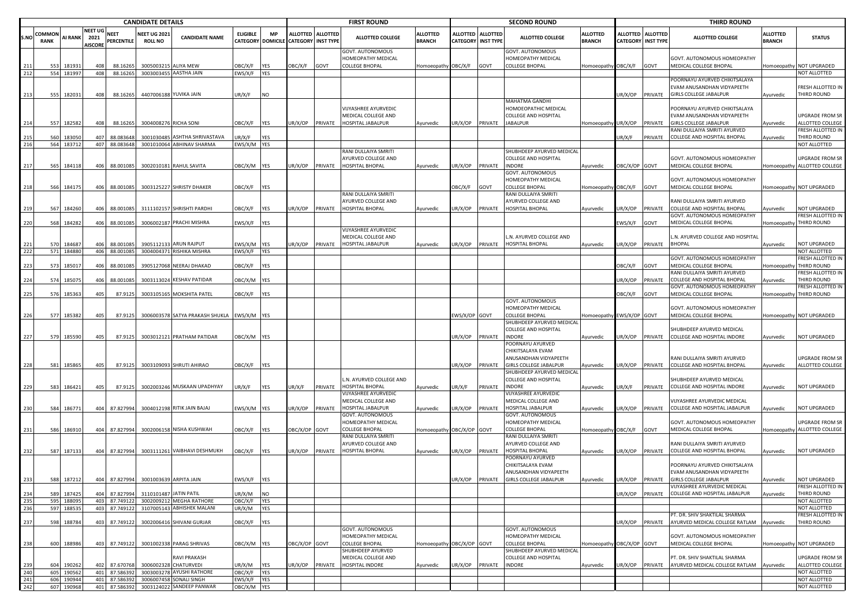|            | <b>CANDIDATE DETAILS</b> |                          |                                          |                                |                                       |                                                      |                        |                         | <b>FIRST ROUND</b>                   |                   |                                                                 |                           | <b>SECOND ROUND</b>                |                                     |                                                                        |                                  | <b>THIRD ROUND</b> |                                                |                                                             |                           |                                  |
|------------|--------------------------|--------------------------|------------------------------------------|--------------------------------|---------------------------------------|------------------------------------------------------|------------------------|-------------------------|--------------------------------------|-------------------|-----------------------------------------------------------------|---------------------------|------------------------------------|-------------------------------------|------------------------------------------------------------------------|----------------------------------|--------------------|------------------------------------------------|-------------------------------------------------------------|---------------------------|----------------------------------|
| S.NC       | COMMON<br><b>RANK</b>    | <b>AI RANK</b>           | <b>NEET UG</b><br>2021<br><b>NISCORE</b> | <b>NEET</b><br>PERCENTILE      | <b>NEET UG 2021</b><br><b>ROLL NO</b> | <b>CANDIDATE NAME</b>                                | <b>ELIGIBLE</b>        | <b>MP</b>               | CATEGORY DOMICILE CATEGORY INST TYPE | ALLOTTED ALLOTTED | <b>ALLOTTED COLLEGE</b>                                         | ALLOTTED<br><b>BRANCH</b> | <b>ALLOTTED</b><br><b>CATEGORY</b> | <b>ALLOTTED</b><br><b>INST TYPE</b> | <b>ALLOTTED COLLEGE</b>                                                | <b>ALLOTTED</b><br><b>BRANCH</b> |                    | ALLOTTED ALLOTTED<br><b>CATEGORY INST TYPE</b> | <b>ALLOTTED COLLEGE</b>                                     | ALLOTTED<br><b>BRANCH</b> | <b>STATUS</b>                    |
|            | 553                      | 18193                    | 408                                      | 88.16265                       |                                       | 3005003215 ALIYA MEW                                 | <b>JBC/X/F</b>         | <b>YES</b>              | OBC/X/F                              | GOVT              | <b>GOVT. AUTONOMOUS</b><br>HOMEOPATHY MEDICAL<br>COLLEGE BHOPAL | Homoeopathy OBC/X/F       |                                    | GOVT                                | <b>GOVT. AUTONOMOUS</b><br>HOMEOPATHY MEDICAL<br><b>COLLEGE BHOPAL</b> | Iomoeopathy OBC/X/F              |                    | GOVT                                           | GOVT. AUTONOMOUS HOMEOPATHY<br>MEDICAL COLLEGE BHOPAL       |                           | Homoeopathy NOT UPGRADED         |
| 212        |                          | 554 181997               | 408                                      | 88.16265                       |                                       | 3003003455 AASTHA JAIN                               | EWS/X/F YES            |                         |                                      |                   |                                                                 |                           |                                    |                                     |                                                                        |                                  |                    |                                                |                                                             |                           | NOT ALLOTTED                     |
|            |                          |                          |                                          |                                |                                       |                                                      |                        |                         |                                      |                   |                                                                 |                           |                                    |                                     |                                                                        |                                  |                    |                                                | POORNAYU AYURVED CHIKITSALAYA                               |                           |                                  |
|            |                          |                          |                                          |                                |                                       |                                                      |                        |                         |                                      |                   |                                                                 |                           |                                    |                                     |                                                                        |                                  |                    |                                                | EVAM ANUSANDHAN VIDYAPEETH                                  |                           | FRESH ALLOTTED IN                |
| 213        | 555                      | 182031                   | 408                                      | 88.16265                       |                                       | 4407006188 YUVIKA JAIN                               | JR/X/F                 | <b>NO</b>               |                                      |                   |                                                                 |                           |                                    |                                     | MAHATMA GANDHI                                                         |                                  |                    | JR/X/OP PRIVATE                                | <b>GIRLS COLLEGE JABALPUR</b>                               | Ayurvedic                 | THIRD ROUND                      |
|            |                          |                          |                                          |                                |                                       |                                                      |                        |                         |                                      |                   | VIJYASHREE AYURVEDIC                                            |                           |                                    |                                     | HOMOEOPATHIC MEDICAL                                                   |                                  |                    |                                                | POORNAYU AYURVED CHIKITSALAYA                               |                           |                                  |
|            |                          |                          |                                          |                                |                                       |                                                      |                        |                         |                                      |                   | MEDICAL COLLEGE AND                                             |                           |                                    |                                     | COLLEGE AND HOSPITAL                                                   |                                  |                    |                                                | VAM ANUSANDHAN VIDYAPEETH                                   |                           | UPGRADE FROM SR                  |
| 214        |                          | 557 182582               | 408                                      | 88.16265                       |                                       | 3004008276 RICHA SONI                                | <b>JBC/X/F</b>         | <b>YES</b>              | JR/X/OP                              | PRIVATE           | HOSPITAL JABALPUR                                               | Ayurvedic                 | JR/X/OP                            | PRIVATE                             | <b>JABALPUR</b>                                                        | Iomoeopathy UR/X/OP              |                    | PRIVATE                                        | GIRLS COLLEGE JABALPUR                                      | Ayurvedic                 | ALLOTTED COLLEGE                 |
|            |                          |                          |                                          |                                |                                       |                                                      |                        |                         |                                      |                   |                                                                 |                           |                                    |                                     |                                                                        |                                  |                    |                                                | RANI DULLAIYA SMRITI AYURVED                                |                           | FRESH ALLOTTED IN                |
| 215        | 560                      | 18305                    | 407                                      | 88.083648                      | 300103048                             | <b>ASHTHA SHRIVASTAVA</b>                            | JR/X/F                 | YES                     |                                      |                   |                                                                 |                           |                                    |                                     |                                                                        |                                  | UR/X/F             | PRIVATE                                        | COLLEGE AND HOSPITAL BHOPAL                                 | Ayurvedic                 | THIRD ROUND                      |
| 216        |                          | 564 183712               |                                          | 407 88.083648                  |                                       | 3001010064 ABHINAV SHARMA                            | EWS/X/M YES            |                         |                                      |                   |                                                                 |                           |                                    |                                     |                                                                        |                                  |                    |                                                |                                                             |                           | NOT ALLOTTED                     |
|            |                          |                          |                                          |                                |                                       |                                                      |                        |                         |                                      |                   | RANI DULLAIYA SMRITI                                            |                           |                                    |                                     | SHUBHDEEP AYURVED MEDICAL                                              |                                  |                    |                                                |                                                             |                           |                                  |
|            |                          |                          |                                          |                                |                                       |                                                      |                        |                         |                                      |                   | AYURVED COLLEGE AND                                             |                           |                                    |                                     | COLLEGE AND HOSPITAL                                                   |                                  |                    |                                                | GOVT. AUTONOMOUS HOMEOPATHY                                 |                           | UPGRADE FROM SR                  |
| 217        |                          | 565 184118               | 406                                      | 88.001085                      |                                       | 3002010181 RAHUL SAVITA                              | DBC/X/M YES            |                         | JR/X/OP                              | PRIVATE           | <b>HOSPITAL BHOPAL</b>                                          | Ayurvedic                 | UR/X/OP                            | PRIVATE                             | INDORE                                                                 | Ayurvedic                        | OBC/X/OP GOVT      |                                                | MEDICAL COLLEGE BHOPAL                                      |                           | Homoeopathy ALLOTTED COLLEGE     |
|            |                          |                          |                                          |                                |                                       |                                                      |                        |                         |                                      |                   |                                                                 |                           |                                    |                                     | GOVT. AUTONOMOUS<br>HOMEOPATHY MEDICAL                                 |                                  |                    |                                                | GOVT. AUTONOMOUS HOMEOPATHY                                 |                           |                                  |
| 218        | 566                      | 184175                   | 406                                      | 88.001085                      |                                       | 3003125227 SHRISTY DHAKER                            | OBC/X/F YES            |                         |                                      |                   |                                                                 |                           | <b>JBC/X/F</b>                     | GOVT                                | COLLEGE BHOPAL                                                         | lomoeopathy OBC/X/F GOVT         |                    |                                                | MEDICAL COLLEGE BHOPAL                                      |                           | Homoeopathy NOT UPGRADED         |
|            |                          |                          |                                          |                                |                                       |                                                      |                        |                         |                                      |                   | RANI DULLAIYA SMRITI                                            |                           |                                    |                                     | RANI DULLAIYA SMRITI                                                   |                                  |                    |                                                |                                                             |                           |                                  |
|            |                          |                          |                                          |                                |                                       |                                                      |                        |                         |                                      |                   | AYURVED COLLEGE AND                                             |                           |                                    |                                     | AYURVED COLLEGE AND                                                    |                                  |                    |                                                | RANI DULLAIYA SMRITI AYURVED                                |                           |                                  |
| 219        | 567                      | 184260                   | 406                                      | 88.001085                      |                                       | 3111102157 SHRISHTI PARDHI                           | <b>JBC/X/F</b>         | <b>YES</b>              | UR/X/OP                              | PRIVATE           | HOSPITAL BHOPAL                                                 | Ayurvedic                 | UR/X/OP                            | PRIVATE                             | <b>IOSPITAL BHOPAL</b>                                                 | Ayurvedic                        | JR/X/OP            | PRIVATE                                        | COLLEGE AND HOSPITAL BHOPAL                                 | Ayurvedic                 | NOT UPGRADED                     |
|            |                          |                          |                                          |                                |                                       |                                                      |                        |                         |                                      |                   |                                                                 |                           |                                    |                                     |                                                                        |                                  |                    |                                                | <b>GOVT. AUTONOMOUS HOMEOPATHY</b>                          |                           | FRESH ALLOTTED IN                |
| 220        | 568                      | 184282                   | 406                                      | 88.001085                      |                                       | 3006002187 PRACHI MISHRA                             | :WS/X/F                | <b>YES</b>              |                                      |                   |                                                                 |                           |                                    |                                     |                                                                        |                                  | :WS/X/F            | GOVT                                           | MEDICAL COLLEGE BHOPAL                                      | Homoeopathy               | THIRD ROUND                      |
|            |                          |                          |                                          |                                |                                       |                                                      |                        |                         |                                      |                   | VIJYASHREE AYURVEDIC                                            |                           |                                    |                                     |                                                                        |                                  |                    |                                                |                                                             |                           |                                  |
|            |                          |                          |                                          |                                |                                       |                                                      |                        |                         |                                      |                   | MEDICAL COLLEGE AND                                             |                           |                                    |                                     | N. AYURVED COLLEGE AND                                                 |                                  |                    |                                                | .N. AYURVED COLLEGE AND HOSPITAL                            |                           |                                  |
| 221        | 570                      | 184687                   | 406                                      | 88.001085                      |                                       | 3905112133 ARUN RAJPUT                               | EWS/X/M YES            |                         | UR/X/OP                              | PRIVATE           | HOSPITAL JABALPUR                                               | Ayurvedic                 | UR/X/OP                            | PRIVATE                             | HOSPITAL BHOPAL                                                        | Ayurvedic                        | JR/X/OP            | PRIVATE                                        | <b>BHOPAL</b>                                               | Ayurvedic                 | NOT UPGRADED                     |
| 222        |                          | 571 184880               | 406                                      | 88.001085                      |                                       | 3004004371 RISHIKA MISHRA                            | EWS/X/F YES            |                         |                                      |                   |                                                                 |                           |                                    |                                     |                                                                        |                                  |                    |                                                |                                                             |                           | NOT ALLOTTED                     |
|            |                          |                          |                                          |                                |                                       |                                                      |                        |                         |                                      |                   |                                                                 |                           |                                    |                                     |                                                                        |                                  |                    |                                                | GOVT. AUTONOMOUS HOMEOPATHY                                 |                           | FRESH ALLOTTED IN                |
| 223        | 573                      | 185017                   | 406                                      | 88.001085                      |                                       | 3905127068 NEERAJ DHAKAD                             | <b>JBC/X/F</b>         | <b>YES</b>              |                                      |                   |                                                                 |                           |                                    |                                     |                                                                        |                                  | <b>DBC/X/F</b>     | GOVT                                           | MEDICAL COLLEGE BHOPAL                                      | Homoeopath                | THIRD ROUND<br>FRESH ALLOTTED IN |
| 224        | 574                      | 185075                   | 406                                      | 88.001085                      |                                       | 3003113024 KESHAV PATIDAR                            | DBC/X/M YES            |                         |                                      |                   |                                                                 |                           |                                    |                                     |                                                                        |                                  | JR/X/OP            | PRIVATE                                        | RANI DULLAIYA SMRITI AYURVED<br>COLLEGE AND HOSPITAL BHOPAL | Ayurvedic                 | THIRD ROUND                      |
|            |                          |                          |                                          |                                |                                       |                                                      |                        |                         |                                      |                   |                                                                 |                           |                                    |                                     |                                                                        |                                  |                    |                                                | <b>GOVT. AUTONOMOUS HOMEOPATHY</b>                          |                           | FRESH ALLOTTED IN                |
| 225        | 576                      | 185363                   | 405                                      | 87.9125                        |                                       | 3003105165 MOKSHITA PATEL                            | <b>JBC/X/F</b>         | <b>YES</b>              |                                      |                   |                                                                 |                           |                                    |                                     |                                                                        |                                  | <b>JBC/X/F</b>     | GOVT                                           | MEDICAL COLLEGE BHOPAL                                      | Homoeopathy               | THIRD ROUND                      |
|            |                          |                          |                                          |                                |                                       |                                                      |                        |                         |                                      |                   |                                                                 |                           |                                    |                                     | GOVT. AUTONOMOUS                                                       |                                  |                    |                                                |                                                             |                           |                                  |
|            |                          |                          |                                          |                                |                                       |                                                      |                        |                         |                                      |                   |                                                                 |                           |                                    |                                     | HOMEOPATHY MEDICAL                                                     |                                  |                    |                                                | <b>GOVT. AUTONOMOUS HOMEOPATHY</b>                          |                           |                                  |
| 226        |                          | 577 185382               | 405                                      | 87.9125                        |                                       | 3006003578 SATYA PRAKASH SHUKLA EWS/X/M YES          |                        |                         |                                      |                   |                                                                 |                           | EWS/X/OP GOVT                      |                                     | OLLEGE BHOPAL                                                          | Homoeopathy EWS/X/OP GOVT        |                    |                                                | MEDICAL COLLEGE BHOPAL                                      |                           | Homoeopathy NOT UPGRADED         |
|            |                          |                          |                                          |                                |                                       |                                                      |                        |                         |                                      |                   |                                                                 |                           |                                    |                                     | SHUBHDEEP AYURVED MEDICAL                                              |                                  |                    |                                                |                                                             |                           |                                  |
|            |                          |                          |                                          |                                |                                       |                                                      |                        |                         |                                      |                   |                                                                 |                           |                                    |                                     | COLLEGE AND HOSPITAL                                                   |                                  |                    |                                                | SHUBHDEEP AYURVED MEDICAL                                   |                           |                                  |
| 227        |                          | 579 185590               | 405                                      | 87.9125                        |                                       | 3003012121 PRATHAM PATIDAR                           | OBC/X/M YES            |                         |                                      |                   |                                                                 |                           | UR/X/OP                            | PRIVATE                             | <b>INDORE</b>                                                          | Ayurvedic                        | JR/X/OP            | PRIVATE                                        | COLLEGE AND HOSPITAL INDORE                                 | Ayurvedic                 | NOT UPGRADED                     |
|            |                          |                          |                                          |                                |                                       |                                                      |                        |                         |                                      |                   |                                                                 |                           |                                    |                                     | POORNAYU AYURVED<br>CHIKITSALAYA EVAM                                  |                                  |                    |                                                |                                                             |                           |                                  |
|            |                          |                          |                                          |                                |                                       |                                                      |                        |                         |                                      |                   |                                                                 |                           |                                    |                                     | ANUSANDHAN VIDYAPEETH                                                  |                                  |                    |                                                | RANI DULLAIYA SMRITI AYURVED                                |                           | <b>UPGRADE FROM SR</b>           |
| 228        | 581                      | 185865                   | 405                                      | 87.9125                        |                                       | 3003109093 SHRUTI AHIRAO                             | <b>JBC/X/F</b>         | <b>YES</b>              |                                      |                   |                                                                 |                           | UR/X/OP                            | PRIVATE                             | <b>GIRLS COLLEGE JABALPUR</b>                                          | Ayurvedic                        | JR/X/OP            | PRIVATE                                        | COLLEGE AND HOSPITAL BHOPAL                                 | Ayurvedic                 | ALLOTTED COLLEGE                 |
|            |                          |                          |                                          |                                |                                       |                                                      |                        |                         |                                      |                   |                                                                 |                           |                                    |                                     | SHUBHDEEP AYURVED MEDICAL                                              |                                  |                    |                                                |                                                             |                           |                                  |
|            |                          |                          |                                          |                                |                                       |                                                      |                        |                         |                                      |                   | L.N. AYURVED COLLEGE AND                                        |                           |                                    |                                     | COLLEGE AND HOSPITAL                                                   |                                  |                    |                                                | SHUBHDEEP AYURVED MEDICAL                                   |                           |                                  |
| 229        | 583                      | 186421                   | 405                                      | 87.9125                        |                                       | 3002003246 MUSKAAN UPADHYAY                          | UR/X/F                 | <b>YES</b>              | UR/X/F                               | PRIVATE           | HOSPITAL BHOPAL                                                 | Ayurvedic                 | UR/X/F                             | PRIVATE                             | <b>INDORE</b>                                                          | Ayurvedic                        | JR/X/F             | PRIVATE                                        | COLLEGE AND HOSPITAL INDORE                                 | Ayurvedic                 | NOT UPGRADED                     |
|            |                          |                          |                                          |                                |                                       |                                                      |                        |                         |                                      |                   | VIJYASHREE AYURVEDIC                                            |                           |                                    |                                     | VIJYASHREE AYURVEDIC                                                   |                                  |                    |                                                |                                                             |                           |                                  |
|            |                          |                          |                                          |                                |                                       |                                                      |                        |                         |                                      |                   | MEDICAL COLLEGE AND                                             |                           |                                    |                                     | MEDICAL COLLEGE AND                                                    |                                  |                    |                                                | VIJYASHREE AYURVEDIC MEDICAL                                |                           |                                  |
| 230        | 584                      | 186771                   |                                          | 404 87.827994                  |                                       | 3004012198 RITIK JAIN BAJAJ                          | EWS/X/M YES            |                         | UR/X/OP                              | PRIVATE           | HOSPITAL JABALPUR                                               | Ayurvedic                 | UR/X/OP                            | PRIVATE                             | <b>HOSPITAL JABALPUR</b>                                               | Ayurvedic                        | JR/X/OP            | PRIVATE                                        | COLLEGE AND HOSPITAL JABALPUR                               | Ayurvedic                 | NOT UPGRADED                     |
|            |                          |                          |                                          |                                |                                       |                                                      |                        |                         |                                      |                   | GOVT. AUTONOMOUS<br>HOMEOPATHY MEDICAL                          |                           |                                    |                                     | GOVT. AUTONOMOUS<br>HOMEOPATHY MEDICAL                                 |                                  |                    |                                                | <b>GOVT. AUTONOMOUS HOMEOPATHY</b>                          |                           | UPGRADE FROM SR                  |
| 231        | 586                      | 186910                   | 404                                      | 87.827994                      |                                       | 3002006158 NISHA KUSHWAH                             | OBC/X/F                |                         | OBC/X/OP GOVT                        |                   | COLLEGE BHOPAL                                                  | Homoeopathy OBC/X/OP GOVT |                                    |                                     | <b>COLLEGE BHOPAL</b>                                                  | Iomoeopathy OBC/X/F              |                    | GOVT                                           | MEDICAL COLLEGE BHOPAL                                      | Homoeopathy               | ALLOTTED COLLEGE                 |
|            |                          |                          |                                          |                                |                                       |                                                      |                        | <b>YES</b>              |                                      |                   | RANI DULLAIYA SMRITI                                            |                           |                                    |                                     | RANI DULLAIYA SMRITI                                                   |                                  |                    |                                                |                                                             |                           |                                  |
|            |                          |                          |                                          |                                |                                       |                                                      |                        |                         |                                      |                   | AYURVED COLLEGE AND                                             |                           |                                    |                                     | AYURVED COLLEGE AND                                                    |                                  |                    |                                                | RANI DULLAIYA SMRITI AYURVED                                |                           |                                  |
| 232        |                          | 587 187133               |                                          | 404 87.827994                  |                                       | 3003111261 VAIBHAVI DESHMUKH                         | OBC/X/F                | <b>YES</b>              | UR/X/OP                              | PRIVATE           | HOSPITAL BHOPAL                                                 | Ayurvedic                 | JR/X/OP                            | PRIVATE                             | <b>IOSPITAL BHOPAL</b>                                                 | Ayurvedic                        | JR/X/OP            | PRIVATE                                        | COLLEGE AND HOSPITAL BHOPAL                                 | Ayurvedic                 | <b>NOT UPGRADED</b>              |
|            |                          |                          |                                          |                                |                                       |                                                      |                        |                         |                                      |                   |                                                                 |                           |                                    |                                     | POORNAYU AYURVED                                                       |                                  |                    |                                                |                                                             |                           |                                  |
|            |                          |                          |                                          |                                |                                       |                                                      |                        |                         |                                      |                   |                                                                 |                           |                                    |                                     | CHIKITSALAYA EVAM                                                      |                                  |                    |                                                | POORNAYU AYURVED CHIKITSALAYA                               |                           |                                  |
|            |                          |                          |                                          |                                |                                       |                                                      |                        |                         |                                      |                   |                                                                 |                           |                                    |                                     | ANUSANDHAN VIDYAPEETH                                                  |                                  |                    |                                                | EVAM ANUSANDHAN VIDYAPEETH                                  |                           |                                  |
|            |                          | 588 187212               |                                          | 404 87.827994                  |                                       | 3001003639 ARPITA JAIN                               | EWS/X/F                | <b>YES</b>              |                                      |                   |                                                                 |                           | JR/X/OP                            | PRIVATE                             | <b>GIRLS COLLEGE JABALPUR</b>                                          | <b>\yurvedic</b>                 |                    | JR/X/OP PRIVATE                                | <b>GIRLS COLLEGE JABALPUR</b>                               | Ayurvedic                 | NOT UPGRADED                     |
|            |                          |                          |                                          |                                |                                       |                                                      |                        |                         |                                      |                   |                                                                 |                           |                                    |                                     |                                                                        |                                  |                    |                                                | VIJYASHREE AYURVEDIC MEDICAL                                |                           | FRESH ALLOTTED IN                |
| 234<br>235 |                          | 589 187425<br>595 188095 |                                          | 404 87.827994<br>403 87.749122 | 3110101487 JATIN PATIL                | 3002009212 MEGHA RATHORE                             | JR/X/M<br>OBC/X/F      | <b>NO</b><br><b>YES</b> |                                      |                   |                                                                 |                           |                                    |                                     |                                                                        |                                  | JR/X/OP            | PRIVATE                                        | COLLEGE AND HOSPITAL JABALPUR                               | Ayurvedic                 | THIRD ROUND<br>NOT ALLOTTED      |
| 236        |                          | 597 188535               |                                          | 403 87.749122                  |                                       | 3107005143 ABHISHEK MALANI                           | JR/X/M                 | <b>YES</b>              |                                      |                   |                                                                 |                           |                                    |                                     |                                                                        |                                  |                    |                                                |                                                             |                           | NOT ALLOTTED                     |
|            |                          |                          |                                          |                                |                                       |                                                      |                        |                         |                                      |                   |                                                                 |                           |                                    |                                     |                                                                        |                                  |                    |                                                | PT. DR. SHIV SHAKTILAL SHARMA                               |                           | FRESH ALLOTTED IN                |
| 237        | 598                      | 188784                   | 403                                      | 87.749122                      |                                       | 3002006416 SHIVANI GURJAR                            | OBC/X/F                | YES                     |                                      |                   |                                                                 |                           |                                    |                                     |                                                                        |                                  | JR/X/OP            | PRIVATE                                        | AYURVED MEDICAL COLLEGE RATLAM                              | Ayurvedic                 | THIRD ROUND                      |
|            |                          |                          |                                          |                                |                                       |                                                      |                        |                         |                                      |                   | GOVT. AUTONOMOUS                                                |                           |                                    |                                     | GOVT. AUTONOMOUS                                                       |                                  |                    |                                                |                                                             |                           |                                  |
|            |                          |                          |                                          |                                |                                       |                                                      |                        |                         |                                      |                   | HOMEOPATHY MEDICAL                                              |                           |                                    |                                     | HOMEOPATHY MEDICAL                                                     |                                  |                    |                                                | GOVT. AUTONOMOUS HOMEOPATHY                                 |                           |                                  |
| 238        |                          | 600 188986               |                                          | 403 87.749122                  |                                       | 3001002338 PARAG SHRIVAS                             | OBC/X/M YES            |                         | OBC/X/OP GOVT                        |                   | COLLEGE BHOPAL                                                  | Homoeopathy OBC/X/OP GOVT |                                    |                                     | COLLEGE BHOPAL                                                         | Homoeopathy OBC/X/OP GOVT        |                    |                                                | MEDICAL COLLEGE BHOPAL                                      |                           | Homoeopathy NOT UPGRADED         |
|            |                          |                          |                                          |                                |                                       |                                                      |                        |                         |                                      |                   | SHUBHDEEP AYURVED                                               |                           |                                    |                                     | SHUBHDEEP AYURVED MEDICAL                                              |                                  |                    |                                                |                                                             |                           |                                  |
|            |                          |                          |                                          |                                |                                       | <b>RAVI PRAKASH</b>                                  |                        |                         |                                      |                   | MEDICAL COLLEGE AND                                             |                           |                                    |                                     | COLLEGE AND HOSPITAL                                                   |                                  |                    |                                                | PT. DR. SHIV SHAKTILAL SHARMA                               |                           | <b>UPGRADE FROM SR</b>           |
| 239        |                          | 604 190262               |                                          | 402 87.670768                  |                                       | 3006002328 CHATURVEDI                                | JR/X/M                 | <b>YES</b>              | UR/X/OP                              | PRIVATE           | HOSPITAL INDORE                                                 | Ayurvedic                 | UR/X/OP                            | PRIVATE                             | INDORE                                                                 | Ayurvedic                        | JR/X/OP            | PRIVATE                                        | AYURVED MEDICAL COLLEGE RATLAM Ayurvedic                    |                           | ALLOTTED COLLEGE                 |
| 240<br>241 |                          | 605 190562<br>606 190944 |                                          | 401 87.586392<br>401 87.586392 |                                       | 3003003278 AYUSHI RATHORE<br>3006007458 SONALI SINGH | OBC/X/F                | <b>YES</b>              |                                      |                   |                                                                 |                           |                                    |                                     |                                                                        |                                  |                    |                                                |                                                             |                           | NOT ALLOTTED<br>NOT ALLOTTED     |
| 242        |                          | 607 190968               |                                          | 401 87.586392                  |                                       | 3003124022 SANDEEP PANWAR                            | EWS/X/F<br>OBC/X/M YES | <b>YES</b>              |                                      |                   |                                                                 |                           |                                    |                                     |                                                                        |                                  |                    |                                                |                                                             |                           | NOT ALLOTTED                     |
|            |                          |                          |                                          |                                |                                       |                                                      |                        |                         |                                      |                   |                                                                 |                           |                                    |                                     |                                                                        |                                  |                    |                                                |                                                             |                           |                                  |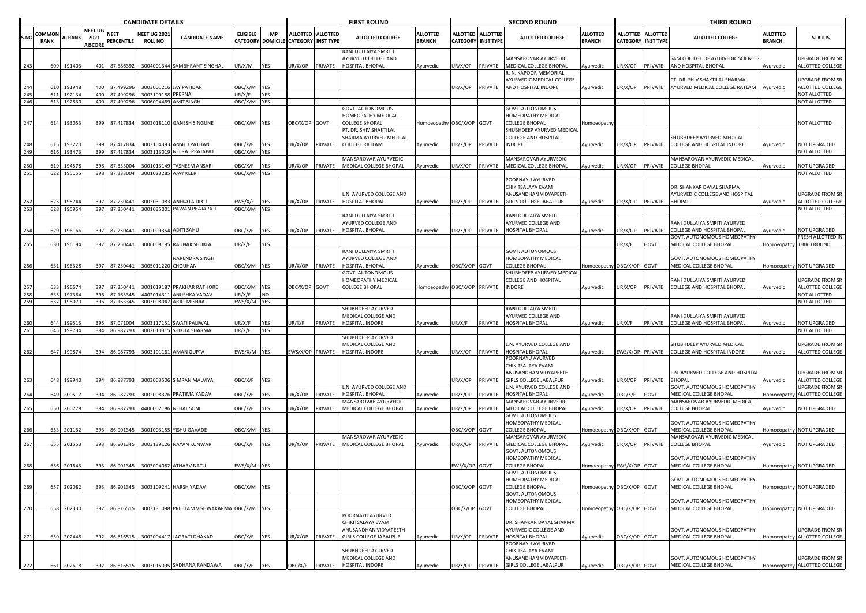|      |                       |                |                                          |                                  | <b>CANDIDATE DETAILS</b>              |                                                       |                               |            |                                      |                   | <b>FIRST ROUND</b>                                             |                                  |                 |                                              | <b>SECOND ROUND</b>                                                                      |                                  |                |                                                | <b>THIRD ROUND</b>                                                          |                                  |                                     |
|------|-----------------------|----------------|------------------------------------------|----------------------------------|---------------------------------------|-------------------------------------------------------|-------------------------------|------------|--------------------------------------|-------------------|----------------------------------------------------------------|----------------------------------|-----------------|----------------------------------------------|------------------------------------------------------------------------------------------|----------------------------------|----------------|------------------------------------------------|-----------------------------------------------------------------------------|----------------------------------|-------------------------------------|
| S.NO | COMMON<br><b>RANK</b> | <b>AI RANK</b> | <b>NEET UG</b><br>2021<br><b>AISCORE</b> | <b>NEET</b><br><b>PERCENTILE</b> | <b>NEET UG 202:</b><br><b>ROLL NO</b> | <b>CANDIDATE NAME</b>                                 | <b>ELIGIBLE</b>               | <b>MP</b>  | CATEGORY DOMICILE CATEGORY INST TYPE | ALLOTTED ALLOTTED | <b>ALLOTTED COLLEGE</b>                                        | <b>ALLOTTED</b><br><b>BRANCH</b> | <b>ALLOTTED</b> | <b>ALLOTTED</b><br><b>CATEGORY INST TYPE</b> | <b>ALLOTTED COLLEGE</b>                                                                  | <b>ALLOTTED</b><br><b>BRANCH</b> |                | ALLOTTED ALLOTTED<br><b>CATEGORY INST TYPE</b> | <b>ALLOTTED COLLEGE</b>                                                     | <b>ALLOTTED</b><br><b>BRANCH</b> | <b>STATUS</b>                       |
| -243 | 609                   | 191403         |                                          | 401 87.586392                    |                                       | 3004001344 SAMBHRANT SINGHAL                          | JR/X/M                        | <b>YES</b> | UR/X/OP                              | PRIVATE           | RANI DULLAIYA SMRITI<br>AYURVED COLLEGE AND<br>HOSPITAL BHOPAL | Ayurvedic                        | UR/X/OP         | PRIVATE                                      | MANSAROVAR AYURVEDIC<br>MEDICAL COLLEGE BHOPAL                                           | Ayurvedic                        | UR/X/OP        | PRIVATE                                        | SAM COLLEGE OF AYURVEDIC SCIENCES<br>AND HOSPITAL BHOPAL                    | Ayurvedic                        | UPGRADE FROM SR<br>ALLOTTED COLLEGE |
| 244  |                       | 610 191948     | 400                                      | 87.499296                        |                                       | 3003001216 JAY PATIDAR                                | OBC/X/M YES                   |            |                                      |                   |                                                                |                                  | UR/X/OP         | PRIVATE                                      | . N. KAPOOR MEMORIAL<br>AYURVEDIC MEDICAL COLLEGE<br>AND HOSPITAL INDORE                 | Ayurvedic                        | JR/X/OP        | PRIVATE                                        | PT. DR. SHIV SHAKTILAL SHARMA<br>AYURVED MEDICAL COLLEGE RATLAM             | Ayurvedic                        | UPGRADE FROM SR<br>ALLOTTED COLLEGE |
| 245  |                       | 611 192134     |                                          | 400 87.499296                    | 3003109188 PRERNA                     |                                                       | UR/X/F                        | YES        |                                      |                   |                                                                |                                  |                 |                                              |                                                                                          |                                  |                |                                                |                                                                             |                                  | NOT ALLOTTED                        |
| 246  |                       | 613 192830     |                                          | 400 87.499296                    |                                       | 3006004469 AMIT SINGH                                 | DBC/X/M YES                   |            |                                      |                   |                                                                |                                  |                 |                                              |                                                                                          |                                  |                |                                                |                                                                             |                                  | NOT ALLOTTED                        |
| 247  | 614                   | 193053         | 399                                      | 87.417834                        |                                       | 3003018110 GANESH SINGUNE                             | DBC/X/M YES                   |            | DBC/X/OP GOVT                        |                   | GOVT. AUTONOMOUS<br>HOMEOPATHY MEDICAL<br>COLLEGE BHOPAL       | Homoeopathy OBC/X/OP GOVT        |                 |                                              | GOVT. AUTONOMOUS<br>HOMEOPATHY MEDICAL<br>COLLEGE BHOPAL                                 | Iomoeopath                       |                |                                                |                                                                             |                                  | NOT ALLOTTED                        |
|      |                       |                |                                          |                                  |                                       |                                                       |                               |            |                                      |                   | PT. DR. SHIV SHAKTILAL                                         |                                  |                 |                                              | SHUBHDEEP AYURVED MEDICAL                                                                |                                  |                |                                                |                                                                             |                                  |                                     |
|      |                       |                |                                          |                                  |                                       |                                                       |                               |            |                                      |                   | SHARMA AYURVED MEDICAL                                         |                                  |                 |                                              | COLLEGE AND HOSPITAL                                                                     |                                  |                |                                                | SHUBHDEEP AYURVED MEDICAL                                                   |                                  |                                     |
| 248  | 615                   | 193220         | 399                                      | 87.417834                        |                                       | 3003104393 ANSHU PATHAN<br>3003113019 NEERAJ PRAJAPAT | <b>JBC/X/F</b><br>DBC/X/M YES | <b>YES</b> | JR/X/OP                              | PRIVATE           | COLLEGE RATLAM                                                 | Ayurvedic                        | JR/X/OP         | PRIVATE                                      | INDORE                                                                                   | Ayurvedic                        | JR/X/OP        | PRIVATE                                        | COLLEGE AND HOSPITAL INDORE                                                 | Ayurvedic                        | NOT UPGRADED<br>NOT ALLOTTED        |
| 249  |                       | 616 19347      |                                          | 399 87.417834                    |                                       |                                                       |                               |            |                                      |                   | MANSAROVAR AYURVEDIC                                           |                                  |                 |                                              | MANSAROVAR AYURVEDIC                                                                     |                                  |                |                                                | MANSAROVAR AYURVEDIC MEDICAL                                                |                                  |                                     |
| 250  | 619                   | 194578         | 398                                      | 87.333004                        |                                       | 3001013149 TASNEEM ANSARI                             | <b>JBC/X/F</b>                | YES        | JR/X/OP                              | PRIVATE           | MEDICAL COLLEGE BHOPAL                                         | Ayurvedic                        | UR/X/OP         | PRIVATE                                      | MEDICAL COLLEGE BHOPAL                                                                   | Ayurvedic                        | JR/X/OP        | PRIVATE                                        | COLLEGE BHOPAL                                                              | Ayurvedic                        | NOT UPGRADED                        |
| 251  |                       | 622 195155     |                                          | 398 87.333004                    | 3001023285 AJAY KEER                  |                                                       | OBC/X/M YES                   |            |                                      |                   |                                                                |                                  |                 |                                              |                                                                                          |                                  |                |                                                |                                                                             |                                  | NOT ALLOTTED                        |
| 252  | 625                   | 195744         | 397                                      | 87.250441                        |                                       | 3003031083 ANEKATA DIXIT                              | EWS/X/F                       | <b>YES</b> | UR/X/OP                              | PRIVATE           | L.N. AYURVED COLLEGE AND<br>HOSPITAL BHOPAL                    | Ayurvedic                        | UR/X/OP         | PRIVATE                                      | POORNAYU AYURVED<br>CHIKITSALAYA EVAM<br>ANUSANDHAN VIDYAPEETH<br>GIRLS COLLEGE JABALPUR | Ayurvedic                        | JR/X/OP        | PRIVATE                                        | DR. SHANKAR DAYAL SHARMA<br>AYURVEDIC COLLEGE AND HOSPITAL<br><b>BHOPAL</b> | Ayurvedic                        | UPGRADE FROM SR<br>ALLOTTED COLLEGE |
| 253  |                       | 628 195954     |                                          | 397 87.250441                    |                                       | 3001035001 PAWAN PRAJAPATI                            | OBC/X/M YES                   |            |                                      |                   |                                                                |                                  |                 |                                              |                                                                                          |                                  |                |                                                |                                                                             |                                  | NOT ALLOTTED                        |
| 254  | 629                   | 196166         | 397                                      | 87.250441                        |                                       | 3002009354 ADITI SAHU                                 | <b>JBC/X/F</b>                | YES        | JR/X/OP                              | PRIVATE           | RANI DULLAIYA SMRITI<br>AYURVED COLLEGE AND<br>HOSPITAL BHOPAL | Ayurvedic                        | JR/X/OP         | PRIVATE                                      | RANI DULLAIYA SMRITI<br>AYURVED COLLEGE AND<br>HOSPITAL BHOPAL                           | Ayurvedic                        | JR/X/OP        | PRIVATE                                        | RANI DULLAIYA SMRITI AYURVED<br>COLLEGE AND HOSPITAL BHOPAL                 | Ayurvedic                        | <b>NOT UPGRADED</b>                 |
|      |                       |                |                                          |                                  |                                       |                                                       |                               |            |                                      |                   |                                                                |                                  |                 |                                              |                                                                                          |                                  |                |                                                | GOVT. AUTONOMOUS HOMEOPATHY                                                 |                                  | FRESH ALLOTTED IN                   |
| 255  |                       | 630 196194     |                                          | 397 87.250441                    |                                       | 3006008185 RAUNAK SHUKLA                              | JR/X/F                        | YES        |                                      |                   |                                                                |                                  |                 |                                              |                                                                                          |                                  | JR/X/F         | GOVT                                           | MEDICAL COLLEGE BHOPAL                                                      |                                  | Homoeopathy THIRD ROUND             |
|      |                       |                |                                          |                                  |                                       |                                                       |                               |            |                                      |                   | RANI DULLAIYA SMRITI                                           |                                  |                 |                                              | GOVT. AUTONOMOUS                                                                         |                                  |                |                                                |                                                                             |                                  |                                     |
|      |                       |                |                                          |                                  |                                       | NARENDRA SINGH                                        |                               |            |                                      |                   | AYURVED COLLEGE AND                                            |                                  |                 |                                              | <b>IOMEOPATHY MEDICAL</b>                                                                |                                  |                |                                                | <b>GOVT. AUTONOMOUS HOMEOPATHY</b>                                          |                                  |                                     |
| 256  |                       | 631 196328     | 397                                      | 87.250441                        | 3005011220 CHOUHAN                    |                                                       | DBC/X/M YES                   |            | JR/X/OP                              | PRIVATE           | <b>HOSPITAL BHOPAL</b>                                         | Ayurvedic                        | OBC/X/OP GOVT   |                                              | COLLEGE BHOPAI                                                                           | Homoeopathy OBC/X/OP GOVT        |                |                                                | MEDICAL COLLEGE BHOPAL                                                      |                                  | Homoeopathy NOT UPGRADED            |
|      |                       |                |                                          |                                  |                                       |                                                       |                               |            |                                      |                   | GOVT. AUTONOMOUS                                               |                                  |                 |                                              | SHUBHDEEP AYURVED MEDICAL                                                                |                                  |                |                                                |                                                                             |                                  | UPGRADE FROM SR                     |
| 257  | 633                   | 196674         | 397                                      | 87.250441                        |                                       | 3001019187 PRAKHAR RATHORE                            | <b>DBC/X/M</b>                | <b>YES</b> | OBC/X/OP GOVT                        |                   | HOMEOPATHY MEDICAL<br>COLLEGE BHOPAL                           | Homoeopathy OBC/X/OP PRIVATE     |                 |                                              | COLLEGE AND HOSPITAL<br>INDORE                                                           | Ayurvedic                        | JR/X/OP        | PRIVATE                                        | RANI DULLAIYA SMRITI AYURVED<br>COLLEGE AND HOSPITAL BHOPAL                 | Ayurvedic                        | ALLOTTED COLLEGE                    |
| 258  |                       | 635 197364     | 396                                      | 87.163345                        |                                       | 4402014311 ANUSHKA YADAV                              | JR/X/F                        | <b>NO</b>  |                                      |                   |                                                                |                                  |                 |                                              |                                                                                          |                                  |                |                                                |                                                                             |                                  | NOT ALLOTTED                        |
| 259  |                       | 637 198070     |                                          | 396 87.163345                    |                                       | 3003008047 ARJIT MISHRA                               | EWS/X/M YES                   |            |                                      |                   |                                                                |                                  |                 |                                              |                                                                                          |                                  |                |                                                |                                                                             |                                  | NOT ALLOTTED                        |
|      |                       |                |                                          |                                  |                                       |                                                       |                               |            |                                      |                   | SHUBHDEEP AYURVED                                              |                                  |                 |                                              | RANI DULLAIYA SMRITI                                                                     |                                  |                |                                                |                                                                             |                                  |                                     |
|      |                       |                |                                          |                                  |                                       |                                                       |                               |            |                                      |                   | MEDICAL COLLEGE AND                                            |                                  |                 |                                              | AYURVED COLLEGE AND                                                                      |                                  |                |                                                | RANI DULLAIYA SMRITI AYURVED                                                |                                  |                                     |
| 260  | 644                   | 19951          | 395                                      | 87.071004                        |                                       | 3003117151 SWATI PALIWAL                              | JR/X/F                        | YES        | JR/X/F                               | PRIVATE           | <b>HOSPITAL INDORE</b>                                         | Ayurvedic                        | UR/X/F          | PRIVATE                                      | HOSPITAL BHOPAL                                                                          | Ayurvedic                        | JR/X/F         | PRIVATE                                        | COLLEGE AND HOSPITAL BHOPAL                                                 | Ayurvedic                        | NOT UPGRADED                        |
| 261  |                       | 645 199734     |                                          | 394 86.987793                    |                                       | 3002010315 SHIKHA SHARMA                              | JR/X/F                        | <b>YES</b> |                                      |                   | <b>SHUBHDEEP AYURVED</b>                                       |                                  |                 |                                              |                                                                                          |                                  |                |                                                |                                                                             |                                  | NOT ALLOTTED                        |
|      |                       |                |                                          |                                  |                                       |                                                       |                               |            |                                      |                   | MEDICAL COLLEGE AND                                            |                                  |                 |                                              | .N. AYURVED COLLEGE AND                                                                  |                                  |                |                                                | HUBHDEEP AYURVED MEDICAL                                                    |                                  | UPGRADE FROM SR                     |
| 262  |                       | 647 199874     |                                          | 394 86.987793                    |                                       | 3003101161 AMAN GUPTA                                 | EWS/X/M YES                   |            | EWS/X/OP PRIVATE                     |                   | HOSPITAL INDORE                                                | Ayurvedic                        | UR/X/OP         | PRIVATE                                      | HOSPITAL BHOPAL                                                                          | Ayurvedic                        |                | EWS/X/OP PRIVATE                               | COLLEGE AND HOSPITAL INDORE                                                 | Ayurvedic                        | ALLOTTED COLLEGE                    |
|      |                       |                |                                          |                                  |                                       |                                                       |                               |            |                                      |                   |                                                                |                                  |                 |                                              | POORNAYU AYURVED<br>CHIKITSALAYA EVAM<br>ANUSANDHAN VIDYAPEETH                           |                                  |                |                                                | N. AYURVED COLLEGE AND HOSPITAL                                             |                                  | UPGRADE FROM SR                     |
| -263 | 648                   | 199940         | 394                                      | 86.987793                        |                                       | 3003003506 SIMRAN MALVIYA                             | <b>JBC/X/F</b>                | <b>YES</b> |                                      |                   |                                                                |                                  | JR/X/OP         | PRIVATE                                      | <b>GIRLS COLLEGE JABALPUR</b>                                                            | Ayurvedic                        | JR/X/OP        | PRIVATE                                        | BHOPAL                                                                      | Ayurvedic                        | ALLOTTED COLLEGE                    |
|      |                       |                |                                          |                                  |                                       |                                                       |                               |            |                                      |                   | L.N. AYURVED COLLEGE AND                                       |                                  |                 |                                              | L.N. AYURVED COLLEGE AND                                                                 |                                  |                |                                                | GOVT. AUTONOMOUS HOMEOPATHY                                                 |                                  | <b>UPGRADE FROM SR</b>              |
| 264  |                       | 649 200517     | 394                                      | 86.987793                        |                                       | 3002008376 PRATIMA YADAV                              | <b>JBC/X/F</b>                | <b>YES</b> | JR/X/OP                              | PRIVATE           | HOSPITAL BHOPAL                                                | Ayurvedic                        | JR/X/OP         | PRIVATE                                      | IOSPITAL BHOPAL                                                                          | Ayurvedic                        | <b>DBC/X/F</b> | GOVT                                           | MEDICAL COLLEGE BHOPAL                                                      | Iomoeopathy                      | ALLOTTED COLLEGE                    |
|      |                       |                |                                          |                                  |                                       |                                                       |                               |            |                                      |                   | MANSAROVAR AYURVEDIC                                           |                                  |                 |                                              | MANSAROVAR AYURVEDIC                                                                     |                                  |                |                                                | MANSAROVAR AYURVEDIC MEDICAL                                                |                                  |                                     |
| 265  | 650                   | 200778         | 394                                      | 86.987793                        |                                       | 4406002186 NEHAL SONI                                 | OBC/X/F                       | YES        | JR/X/OP                              | PRIVATE           | MEDICAL COLLEGE BHOPAL                                         | Ayurvedic                        | JR/X/OP         | PRIVATE                                      | MEDICAL COLLEGE BHOPAL                                                                   | Ayurvedic                        | JR/X/OP        | PRIVATE                                        | COLLEGE BHOPAL                                                              | Ayurvedic                        | NOT UPGRADED                        |
| 266  |                       | 653 201132     | 393                                      | 86.901345                        |                                       | 3001003155 YISHU GAVADE                               | OBC/X/M YES                   |            |                                      |                   |                                                                |                                  | DBC/X/OP GOVT   |                                              | GOVT. AUTONOMOUS<br>HOMEOPATHY MEDICAL<br><b>COLLEGE BHOPAL</b>                          | Iomoeopathy OBC/X/OP GOVT        |                |                                                | GOVT. AUTONOMOUS HOMEOPATHY<br>MEDICAL COLLEGE BHOPAL                       |                                  | Homoeopathy NOT UPGRADED            |
|      |                       |                |                                          |                                  |                                       |                                                       |                               |            |                                      |                   | MANSAROVAR AYURVEDIC                                           |                                  |                 |                                              | MANSAROVAR AYURVEDIC                                                                     |                                  |                |                                                | MANSAROVAR AYURVEDIC MEDICAL                                                |                                  |                                     |
| 267  |                       | 655 201553     | 393                                      | 86.901345                        |                                       | 3003139126 NAYAN KUNWAR                               | DBC/X/F PES                   |            | UR/X/OP                              | PRIVATE           | MEDICAL COLLEGE BHOPAL                                         | Ayurvedic                        | JR/X/OP         | PRIVATE                                      | MEDICAL COLLEGE BHOPAL<br>GOVT. AUTONOMOUS                                               | Ayurvedic                        | JR/X/OP        | PRIVATE                                        | COLLEGE BHOPAL                                                              | Ayurvedic                        | NOT UPGRADED                        |
| 268  |                       | 656 201643     |                                          | 393 86.901345                    |                                       | 3003004062 ATHARV NATU                                | EWS/X/M YES                   |            |                                      |                   |                                                                |                                  | EWS/X/OP GOVT   |                                              | HOMEOPATHY MEDICAL<br>COLLEGE BHOPAL                                                     | lomoeopathy EWS/X/OP GOVT        |                |                                                | GOVT. AUTONOMOUS HOMEOPATHY<br>MEDICAL COLLEGE BHOPAL                       |                                  | Homoeopathy NOT UPGRADED            |
|      |                       |                |                                          |                                  |                                       |                                                       |                               |            |                                      |                   |                                                                |                                  |                 |                                              | GOVT. AUTONOMOUS                                                                         |                                  |                |                                                | <b>SOVE ALITONOMOUS HOMEOPATHY</b>                                          |                                  |                                     |
| 269  |                       | 657 202082     |                                          | 393 86.901345                    |                                       | 3003109241 HARSH YADAV                                | DBC/X/M YES                   |            |                                      |                   |                                                                |                                  | OBC/X/OP GOVT   |                                              | <b>IOMEOPATHY MEDICAL</b><br><b>COLLEGE BHOPAL</b>                                       | lomoeopathy OBC/X/OP GOVT        |                |                                                | MEDICAL COLLEGE BHOPAL                                                      |                                  | Homoeopathy NOT UPGRADED            |
|      |                       |                |                                          |                                  |                                       |                                                       |                               |            |                                      |                   |                                                                |                                  |                 |                                              | <b>GOVT. AUTONOMOUS</b>                                                                  |                                  |                |                                                |                                                                             |                                  |                                     |
| 270  |                       | 658 202330     |                                          | 392 86.816515                    |                                       | 3003131098 PREETAM VISHWAKARMA OBC/X/M YES            |                               |            |                                      |                   |                                                                |                                  | OBC/X/OP GOVT   |                                              | HOMEOPATHY MEDICAL<br><b>COLLEGE BHOPAL</b>                                              | Homoeopathy OBC/X/OP GOVT        |                |                                                | GOVT. AUTONOMOUS HOMEOPATHY<br>MEDICAL COLLEGE BHOPAL                       |                                  | Homoeopathy NOT UPGRADED            |
|      |                       |                |                                          |                                  |                                       |                                                       |                               |            |                                      |                   | POORNAYU AYURVED                                               |                                  |                 |                                              |                                                                                          |                                  |                |                                                |                                                                             |                                  |                                     |
|      |                       |                |                                          |                                  |                                       |                                                       |                               |            |                                      |                   | CHIKITSALAYA EVAM<br>ANUSANDHAN VIDYAPEETH                     |                                  |                 |                                              | DR. SHANKAR DAYAL SHARMA<br>AYURVEDIC COLLEGE AND                                        |                                  |                |                                                | GOVT. AUTONOMOUS HOMEOPATHY                                                 |                                  | <b>UPGRADE FROM SR</b>              |
| 271  |                       | 659 202448     |                                          | 392 86.816515                    |                                       | 3002004417 JAGRATI DHAKAD                             | OBC/X/F YES                   |            | JR/X/OP                              | PRIVATE           | <b>GIRLS COLLEGE JABALPUR</b>                                  | Ayurvedic                        | UR/X/OP         | PRIVATE                                      | <b>HOSPITAL BHOPAL</b><br>POORNAYU AYURVED                                               | Ayurvedic                        | OBC/X/OP GOVT  |                                                | MEDICAL COLLEGE BHOPAL                                                      |                                  | Homoeopathy ALLOTTED COLLEGE        |
|      |                       |                |                                          |                                  |                                       |                                                       |                               |            |                                      |                   | SHUBHDEEP AYURVED<br>MEDICAL COLLEGE AND                       |                                  |                 |                                              | CHIKITSALAYA EVAM<br>ANUSANDHAN VIDYAPEETH                                               |                                  |                |                                                | GOVT. AUTONOMOUS HOMEOPATHY                                                 |                                  | <b>UPGRADE FROM SR</b>              |
| 272  |                       | 661 202618     |                                          | 392 86.816515                    |                                       | 3003015095 SADHANA RANDAWA                            | OBC/X/F                       | <b>YES</b> | OBC/X/F                              | PRIVATE           | HOSPITAL INDORE                                                | Ayurvedic                        | UR/X/OP PRIVATE |                                              | <b>GIRLS COLLEGE JABALPUR</b>                                                            | Ayurvedic                        | OBC/X/OP GOVT  |                                                | MEDICAL COLLEGE BHOPAL                                                      |                                  | Homoeopathy ALLOTTED COLLEGE        |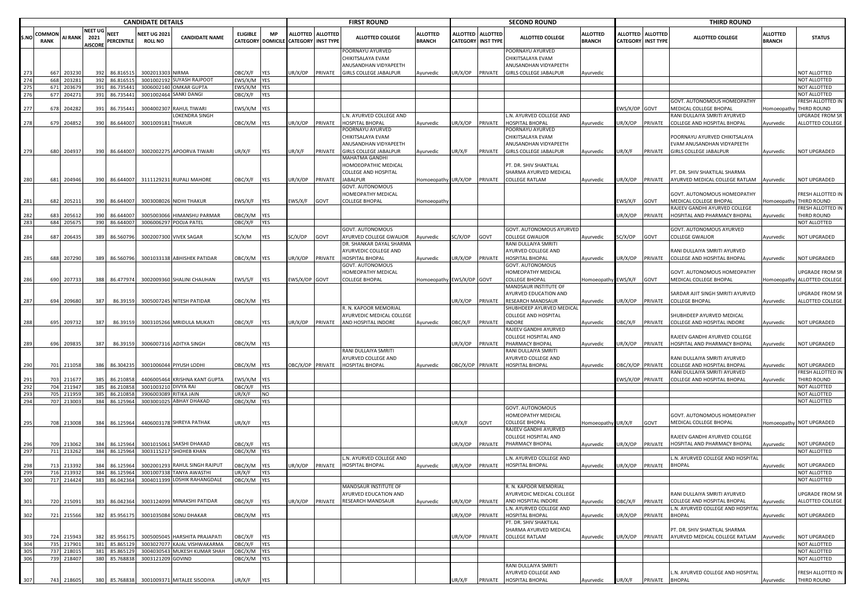|            |                |            |                                          |                        | <b>CANDIDATE DETAILS</b>             |                                           |                   |                                |                                              |                 | <b>FIRST ROUND</b>                                             |                                  |                  |                                                | <b>SECOND ROUND</b>                                            |                                  |                 |                                         | <b>THIRD ROUND</b>                                              |                                  |                                     |
|------------|----------------|------------|------------------------------------------|------------------------|--------------------------------------|-------------------------------------------|-------------------|--------------------------------|----------------------------------------------|-----------------|----------------------------------------------------------------|----------------------------------|------------------|------------------------------------------------|----------------------------------------------------------------|----------------------------------|-----------------|-----------------------------------------|-----------------------------------------------------------------|----------------------------------|-------------------------------------|
| S.NO       | COMMON<br>RANK | AI RANK    | <b>NEET UG</b><br>2021<br><b>AISCORE</b> | NEET<br>PERCENTILE     | <b>NEET UG 202</b><br><b>ROLL NO</b> | <b>CANDIDATE NAME</b>                     | <b>ELIGIBLE</b>   | <b>MP</b><br>CATEGORY DOMICILE | <b>ALLOTTED</b><br><b>CATEGORY INST TYPE</b> | <b>ALLOTTED</b> | <b>ALLOTTED COLLEGE</b>                                        | <b>ALLOTTED</b><br><b>BRANCH</b> |                  | ALLOTTED ALLOTTED<br><b>CATEGORY INST TYPE</b> | <b>ALLOTTED COLLEGE</b>                                        | <b>ALLOTTED</b><br><b>BRANCH</b> |                 | ALLOTTED ALLOTTED<br>CATEGORY INST TYPE | <b>ALLOTTED COLLEGE</b>                                         | <b>ALLOTTED</b><br><b>BRANCH</b> | <b>STATUS</b>                       |
|            |                |            |                                          |                        |                                      |                                           |                   |                                |                                              |                 | POORNAYU AYURVED<br>CHIKITSALAYA EVAM<br>ANUSANDHAN VIDYAPEETH |                                  |                  |                                                | POORNAYU AYURVED<br>CHIKITSALAYA EVAM<br>ANUSANDHAN VIDYAPEETH |                                  |                 |                                         |                                                                 |                                  |                                     |
| 273        | 667            | 20323      | 392                                      | 86.816515              | 3002013303 NIRMA                     |                                           | OBC/X/F           | YES                            | JR/X/OP                                      | PRIVATE         | GIRLS COLLEGE JABALPUR                                         | Ayurvedic                        | JR/X/OP          | PRIVATE                                        | GIRLS COLLEGE JABALPUR                                         | Ayurvedic                        |                 |                                         |                                                                 |                                  | NOT ALLOTTED                        |
| 274        | 668            | 203281     | 392                                      | 86.816515              | 3001002192                           | <b>SUYASH RAJPOOT</b>                     | EWS/X/M YES       |                                |                                              |                 |                                                                |                                  |                  |                                                |                                                                |                                  |                 |                                         |                                                                 |                                  | NOT ALLOTTED                        |
| 275        | 671            | 20367      | 391                                      | 86.735441              | 300600214                            | OMKAR GUPTA                               | EWS/X/M           | <b>YES</b>                     |                                              |                 |                                                                |                                  |                  |                                                |                                                                |                                  |                 |                                         |                                                                 |                                  | NOT ALLOTTED                        |
| 276        | 677            | 204271     | 391                                      | 86.735441              | 3001002464                           | SANKI DANGI                               | OBC/X/F           | YES                            |                                              |                 |                                                                |                                  |                  |                                                |                                                                |                                  |                 |                                         |                                                                 |                                  | NOT ALLOTTED                        |
|            |                |            |                                          |                        |                                      |                                           |                   |                                |                                              |                 |                                                                |                                  |                  |                                                |                                                                |                                  |                 |                                         | GOVT. AUTONOMOUS HOMEOPATHY                                     |                                  | FRESH ALLOTTED IN                   |
| 277        | 678            | 204282     | 391                                      | 86.735441              | 300400230                            | <b>RAHUL TIWARI</b><br>LOKENDRA SINGH     | :WS/X/M           | <b>YES</b>                     |                                              |                 | N. AYURVED COLLEGE AND                                         |                                  |                  |                                                | L.N. AYURVED COLLEGE AND                                       |                                  | WS/X/OP GOVT    |                                         | MEDICAL COLLEGE BHOPAL<br>RANI DULLAIYA SMRITI AYURVED          | Homoeopathy                      | THIRD ROUND<br>UPGRADE FROM SR      |
| 278        | 679            | 204852     | 390                                      | 86.644007              | 3001009181                           | <b>THAKUR</b>                             | OBC/X/M YES       |                                | JR/X/OP                                      | PRIVATE         | HOSPITAL BHOPAL                                                | Ayurvedic                        | JR/X/OP          | PRIVATE                                        | HOSPITAL BHOPAL                                                | Ayurvedic                        | JR/X/OP         | PRIVATE                                 | COLLEGE AND HOSPITAL BHOPAL                                     | Ayurvedic                        | ALLOTTED COLLEGE                    |
|            |                |            |                                          |                        |                                      |                                           |                   |                                |                                              |                 | OORNAYU AYURVED<br>CHIKITSALAYA EVAM                           |                                  |                  |                                                | OORNAYU AYURVED<br>CHIKITSALAYA EVAM                           |                                  |                 |                                         | POORNAYU AYURVED CHIKITSALAYA                                   |                                  |                                     |
| 279        | 680            | 204937     | 390                                      |                        |                                      | 86.644007 3002002275 APOORVA TIWARI       | UR/X/F            | YES                            | UR/X/F                                       | PRIVATE         | ANUSANDHAN VIDYAPEETH<br>GIRLS COLLEGE JABALPUR                | Ayurvedic                        | JR/X/F           | PRIVATE                                        | ANUSANDHAN VIDYAPEETH<br><b>GIRLS COLLEGE JABALPUR</b>         | Ayurvedic                        | UR/X/F          | PRIVATE                                 | EVAM ANUSANDHAN VIDYAPEETH<br><b>GIRLS COLLEGE JABALPUR</b>     | Ayurvedic                        | NOT UPGRADED                        |
|            |                |            |                                          |                        |                                      |                                           |                   |                                |                                              |                 | MAHATMA GANDHI<br>HOMOEOPATHIC MEDICAL<br>COLLEGE AND HOSPITAL |                                  |                  |                                                | PT. DR. SHIV SHAKTILAL<br>SHARMA AYURVED MEDICAL               |                                  |                 |                                         | PT. DR. SHIV SHAKTILAL SHARMA                                   |                                  |                                     |
| 280        | 681            | 204946     | 390                                      | 86.644007              |                                      | 3111129231 RUPALI MAHORE                  | OBC/X/F           | YES                            | JR/X/OP                                      | PRIVATE         | <b>IABALPUR</b>                                                | Iomoeopathy UR/X/OP              |                  | PRIVATE                                        | COLLEGE RATLAM                                                 | Ayurvedic                        | JR/X/OP         | PRIVATE                                 | AYURVED MEDICAL COLLEGE RATLAM                                  | Ayurvedic                        | NOT UPGRADED                        |
|            |                |            |                                          |                        |                                      |                                           |                   |                                |                                              |                 | GOVT. AUTONOMOUS<br><b>IOMEOPATHY MEDICAL</b>                  |                                  |                  |                                                |                                                                |                                  |                 |                                         | GOVT. AUTONOMOUS HOMEOPATHY                                     |                                  | FRESH ALLOTTED IN                   |
| 281        | 682            | 205211     | 390                                      | 86.644007              |                                      | 3003008026 NIDHI THAKUR                   | :WS/X/F           | YES                            | WS/X/F                                       | GOVT            | COLLEGE BHOPAL                                                 | lomoeopathy                      |                  |                                                |                                                                |                                  | :WS/X/F         | GOVT                                    | MEDICAL COLLEGE BHOPAL                                          | Homoeopathy                      | THIRD ROUND                         |
|            |                |            |                                          |                        |                                      |                                           |                   |                                |                                              |                 |                                                                |                                  |                  |                                                |                                                                |                                  |                 |                                         | RAJEEV GANDHI AYURVED COLLEGE                                   |                                  | FRESH ALLOTTED IN                   |
| 282<br>283 | 683<br>684     | 205612     | 390<br>390                               | 86.644007<br>86.644007 | 3005003066                           | HIMANSHU PARMAR                           | )BC/X/M           | <b>YES</b><br><b>YES</b>       |                                              |                 |                                                                |                                  |                  |                                                |                                                                |                                  | JR/X/OP         | PRIVATE                                 | HOSPITAL AND PHARMACY BHOPAL                                    | Ayurvedic                        | THIRD ROUND<br>NOT ALLOTTED         |
|            |                | 205675     |                                          |                        |                                      | 3006006297 POOJA PATEL                    | OBC/X/F           |                                |                                              |                 | <b>GOVT. AUTONOMOUS</b>                                        |                                  |                  |                                                | <b>GOVT. AUTONOMOUS AYURVED</b>                                |                                  |                 |                                         | GOVT. AUTONOMOUS AYURVED                                        |                                  |                                     |
| 284        | 687            | 20643      | 389                                      | 86.560796              |                                      | 3002007300 VIVEK SAGAR                    | SC/X/M            | YES                            | C/X/OP                                       | GOVT            | YURVED COLLEGE GWALIOR                                         | Ayurvedic                        | C/X/OP           | GOVT                                           | COLLEGE GWALIOR                                                | Ayurvedic                        | SC/X/OP         | GOVT                                    | <b>COLLEGE GWALIOR</b>                                          | Ayurvedic                        | NOT UPGRADED                        |
|            |                |            |                                          |                        |                                      |                                           |                   |                                |                                              |                 | DR. SHANKAR DAYAL SHARMA                                       |                                  |                  |                                                | RANI DULLAIYA SMRITI                                           |                                  |                 |                                         |                                                                 |                                  |                                     |
|            |                |            |                                          |                        |                                      |                                           |                   |                                |                                              |                 | AYURVEDIC COLLEGE AND                                          |                                  |                  |                                                | AYURVED COLLEGE AND                                            |                                  |                 |                                         | RANI DULLAIYA SMRITI AYURVED                                    |                                  |                                     |
| 285        | 688            | 207290     | 389                                      | 86.560796              |                                      | 3001033138 ABHISHEK PATIDAR               | OBC/X/M YES       |                                | JR/X/OP                                      | <b>PRIVATE</b>  | HOSPITAL BHOPAL                                                | Ayurvedic                        | JR/X/OP          | PRIVATE                                        | HOSPITAL BHOPAL                                                | Ayurvedic                        | JR/X/OP PRIVATE |                                         | COLLEGE AND HOSPITAL BHOPAL                                     | Ayurvedic                        | NOT UPGRADED                        |
|            |                |            |                                          |                        |                                      |                                           |                   |                                |                                              |                 | GOVT. AUTONOMOUS                                               |                                  |                  |                                                | GOVT. AUTONOMOUS                                               |                                  |                 |                                         |                                                                 |                                  |                                     |
| 286        | 690            | 207733     | 388                                      | 86.477974              |                                      | 3002009360 SHALINI CHAUHAN                | :WS/S/F           | YES                            | WS/X/OP GOVT                                 |                 | <b>IOMEOPATHY MEDICAL</b><br>COLLEGE BHOPAL                    | lomoeopathy EWS/X/OP GOVT        |                  |                                                | HOMEOPATHY MEDICAL<br><b>COLLEGE BHOPAL</b>                    | Homoeopathy EWS/X/F              |                 | GOVT                                    | GOVT. AUTONOMOUS HOMEOPATHY<br>MEDICAL COLLEGE BHOPAL           | Homoeopathy                      | UPGRADE FROM SR<br>ALLOTTED COLLEGE |
|            |                |            |                                          |                        |                                      |                                           |                   |                                |                                              |                 |                                                                |                                  |                  |                                                | MANDSAUR INSTITUTE OF                                          |                                  |                 |                                         | SARDAR AJIT SINGH SMRITI AYURVED                                |                                  |                                     |
| 287        | 694            | 209680     | 387                                      |                        |                                      | 86.39159 3005007245 NITESH PATIDAR        | OBC/X/M YES       |                                |                                              |                 |                                                                |                                  | UR/X/OP          | PRIVATE                                        | AYURVED EDUCATION AND<br>RESEARCH MANDSAUR                     | Ayurvedic                        | JR/X/OP         | PRIVATE                                 | <b>COLLEGE BHOPAL</b>                                           | Ayurvedic                        | UPGRADE FROM SR<br>ALLOTTED COLLEGE |
|            |                |            |                                          |                        |                                      |                                           |                   |                                |                                              |                 | R. N. KAPOOR MEMORIAL                                          |                                  |                  |                                                | SHUBHDEEP AYURVED MEDICAL                                      |                                  |                 |                                         |                                                                 |                                  |                                     |
| 288        | 695            | 209732     | 387                                      | 86.39159               |                                      | 3003105266 MRIDULA MUKATI                 | OBC/X/F           | YES                            | JR/X/OP                                      | PRIVATE         | AYURVEDIC MEDICAL COLLEGE<br>AND HOSPITAL INDORE               | Ayurvedic                        | OBC/X/F          | PRIVATE                                        | COLLEGE AND HOSPITAL<br><b>INDORE</b>                          | Ayurvedic                        | OBC/X/F         | PRIVATE                                 | SHUBHDEEP AYURVED MEDICAL<br>COLLEGE AND HOSPITAL INDORE        | Ayurvedic                        | NOT UPGRADED                        |
|            |                |            |                                          |                        |                                      |                                           |                   |                                |                                              |                 |                                                                |                                  |                  |                                                | RAJEEV GANDHI AYURVED                                          |                                  |                 |                                         |                                                                 |                                  |                                     |
|            |                |            |                                          |                        |                                      |                                           |                   |                                |                                              |                 |                                                                |                                  |                  |                                                | COLLEGE HOSPITAL AND                                           |                                  |                 |                                         | RAJEEV GANDHI AYURVED COLLEGE                                   |                                  |                                     |
| 289        | 696            | 209835     | 387                                      |                        |                                      | 86.39159 3006007316 ADITYA SINGH          | OBC/X/M YES       |                                |                                              |                 |                                                                |                                  | JR/X/OP          | PRIVATE                                        | PHARMACY BHOPAL                                                | Ayurvedic                        | JR/X/OP         | PRIVATE                                 | HOSPITAL AND PHARMACY BHOPAL                                    | Ayurvedic                        | NOT UPGRADED                        |
|            |                |            |                                          |                        |                                      |                                           |                   |                                |                                              |                 | RANI DULLAIYA SMRITI<br>AYURVED COLLEGE AND                    |                                  |                  |                                                | RANI DULLAIYA SMRITI                                           |                                  |                 |                                         | RANI DULLAIYA SMRITI AYURVED                                    |                                  |                                     |
| 290        | 701            | 211058     | 386                                      | 86.304235              |                                      | 3001006044 PIYUSH LODHI                   | OBC/X/M           | <b>YES</b>                     | BC/X/OP PRIVATE                              |                 | HOSPITAL BHOPAL                                                | Ayurvedic                        | OBC/X/OP PRIVATE |                                                | AYURVED COLLEGE AND<br>HOSPITAL BHOPAL                         | Ayurvedic                        | BC/X/OP PRIVATE |                                         | COLLEGE AND HOSPITAL BHOPAL                                     | Ayurvedic                        | NOT UPGRADED                        |
|            |                |            |                                          |                        |                                      |                                           |                   |                                |                                              |                 |                                                                |                                  |                  |                                                |                                                                |                                  |                 |                                         | RANI DULLAIYA SMRITI AYURVED                                    |                                  | FRESH ALLOTTED IN                   |
| 291        | 703            | 211677     |                                          | 86.21085               |                                      | 4406005464 KRISHNA KANT GUPTA             | WS/X/M            | <b>YES</b>                     |                                              |                 |                                                                |                                  |                  |                                                |                                                                |                                  | WS/X/OP PRIVATE |                                         | COLLEGE AND HOSPITAL BHOPAL                                     | Ayurvedic                        | THIRD ROUND                         |
| 292        | 704            | 211947     | 385                                      | 86.21085               | 300100321                            | DIVYA RAI                                 | OBC/X/F           | YES                            |                                              |                 |                                                                |                                  |                  |                                                |                                                                |                                  |                 |                                         |                                                                 |                                  | NOT ALLOTTED                        |
| 293        | 705            | 21195      | 385                                      | 86.21085               | 390600308                            | RITIKA JAIN                               | UR/X/F            | <b>NO</b>                      |                                              |                 |                                                                |                                  |                  |                                                |                                                                |                                  |                 |                                         |                                                                 |                                  | NOT ALLOTTED                        |
| 294        | 707            | 213003     | 384                                      | 86.125964              | 3003001025                           | <b>ABHAY DHAKAD</b>                       | OBC/X/M YES       |                                |                                              |                 |                                                                |                                  |                  |                                                |                                                                |                                  |                 |                                         |                                                                 |                                  | NOT ALLOTTED                        |
|            |                |            |                                          |                        |                                      |                                           |                   |                                |                                              |                 |                                                                |                                  |                  |                                                | GOVT. AUTONOMOUS<br>HOMEOPATHY MEDICAL                         |                                  |                 |                                         | GOVT. AUTONOMOUS HOMEOPATHY                                     |                                  |                                     |
| 295        | 708            | 213008     | 384                                      | 86.125964              |                                      | 4406003178 SHREYA PATHAK                  | JR/X/F            | YES                            |                                              |                 |                                                                |                                  | JR/X/F           | GOVT                                           | COLLEGE BHOPAL                                                 | Homoeopathy UR/X/F               |                 | GOVT                                    | MEDICAL COLLEGE BHOPAL                                          | Homoeopathy                      | NOT UPGRADED                        |
|            |                |            |                                          |                        |                                      |                                           |                   |                                |                                              |                 |                                                                |                                  |                  |                                                | RAJEEV GANDHI AYURVED                                          |                                  |                 |                                         |                                                                 |                                  |                                     |
|            |                |            |                                          |                        |                                      |                                           |                   |                                |                                              |                 |                                                                |                                  |                  |                                                | COLLEGE HOSPITAL AND                                           |                                  |                 |                                         | RAJEEV GANDHI AYURVED COLLEGE                                   |                                  |                                     |
| 296        | 709            | 213062     | 384                                      | 86.125964              |                                      | 3001015061 SAKSHI DHAKAD                  | )BC/X/F           | YES                            |                                              |                 |                                                                |                                  | JR/X/OP          | PRIVATE                                        | PHARMACY BHOPAL                                                | Ayurvedic                        | JR/X/OP         | PRIVATE                                 | HOSPITAL AND PHARMACY BHOPAL                                    | Ayurvedic                        | NOT UPGRADED                        |
| 297        | 711            | 213262     | 384                                      | 86.125964              |                                      | 3003115217 SHOHEB KHAN                    | OBC/X/M YES       |                                |                                              |                 |                                                                |                                  |                  |                                                |                                                                |                                  |                 |                                         |                                                                 |                                  | NOT ALLOTTED                        |
| 298        |                | 21339      |                                          |                        |                                      | RAHUL SINGH RAJPUT                        |                   |                                |                                              |                 | N. AYURVED COLLEGE AND<br>HOSPITAL BHOPAL                      |                                  |                  |                                                | .N. AYURVED COLLEGE AND<br>HOSPITAL BHOPAL                     |                                  |                 |                                         | L.N. AYURVED COLLEGE AND HOSPITAL<br><b>BHOPAL</b>              |                                  | NOT UPGRADED                        |
| 299        | 713<br>716     | 213932     | 384<br>384                               | 86.12596<br>86.125964  | 300200129                            | 3001007338 TANYA AWASTHI                  | )BC/X/M<br>UR/X/F | YES<br>YES                     | IR/X/OP                                      | PRIVATE         |                                                                | Ayurvedic                        | JR/X/OP          | PRIVATE                                        |                                                                | Ayurvedic                        | JR/X/OP         | PRIVATE                                 |                                                                 | Ayurvedic                        | NOT ALLOTTED                        |
| 300        | 717            | 214424     | 383                                      | 86.04236               | 300401139                            | <b>OSHIK RAHANGDA</b>                     | <b>ORC/X/M</b>    | <b>YFS</b>                     |                                              |                 |                                                                |                                  |                  |                                                |                                                                |                                  |                 |                                         |                                                                 |                                  | ΝΟΤ ΑΗ ΟΤΤΕΓ                        |
|            |                |            |                                          |                        |                                      |                                           |                   |                                |                                              |                 | MANDSAUR INSTITUTE OF                                          |                                  |                  |                                                | . N. KAPOOR MEMORIAL                                           |                                  |                 |                                         |                                                                 |                                  |                                     |
| 301        | 720            | 215091     | 383                                      | 86.042364              |                                      | 3003124099 MINAKSHI PATIDAR               | OBC/X/F           | <b>YES</b>                     | JR/X/OP                                      | PRIVATE         | AYURVED EDUCATION AND<br>RESEARCH MANDSAUR                     | Ayurvedic                        | JR/X/OP          | PRIVATE                                        | AYURVEDIC MEDICAL COLLEGE<br>AND HOSPITAL INDORE               | Ayurvedic                        | )BC/X/F         | PRIVATE                                 | RANI DULLAIYA SMRITI AYURVED<br>COLLEGE AND HOSPITAL BHOPAL     | Ayurvedic                        | UPGRADE FROM SR<br>ALLOTTED COLLEGE |
|            |                |            |                                          |                        |                                      |                                           |                   |                                |                                              |                 |                                                                |                                  |                  |                                                | L.N. AYURVED COLLEGE AND                                       |                                  |                 |                                         | L.N. AYURVED COLLEGE AND HOSPITAL                               |                                  |                                     |
| 302        | 721            | 215566     | 382                                      | 85.956175              |                                      | 3001035084 SONU DHAKAR                    | OBC/X/M YES       |                                |                                              |                 |                                                                |                                  | JR/X/OP          | PRIVATE                                        | HOSPITAL BHOPAL<br>PT. DR. SHIV SHAKTILAL                      | Ayurvedic                        | JR/X/OP         | PRIVATE                                 | <b>BHOPAL</b>                                                   | Ayurvedic                        | NOT UPGRADED                        |
| 303        | 724            | 215943     | 382                                      | 85.956175              | 3005005045                           | <b>HARSHITA PRAJAPATI</b>                 | <b>JBC/X/F</b>    | <b>YES</b>                     |                                              |                 |                                                                |                                  | JR/X/OP PRIVATE  |                                                | SHARMA AYURVED MEDICAL<br>COLLEGE RATLAM                       | Ayurvedic                        | JR/X/OP         | PRIVATE                                 | PT. DR. SHIV SHAKTILAL SHARMA<br>AYURVED MEDICAL COLLEGE RATLAM | Ayurvedic                        | NOT UPGRADED                        |
| 304        | 735            | 217901     |                                          | 381 85.86512           | 300302707                            | KAJAL VISHWAKARMA                         | OBC/X/F           | <b>YES</b>                     |                                              |                 |                                                                |                                  |                  |                                                |                                                                |                                  |                 |                                         |                                                                 |                                  | NOT ALLOTTED                        |
| 305        |                | 737 218015 | 381                                      | 85.865129              |                                      | 3004030543 MUKESH KUMAR SHAH              | OBC/X/M           | YES                            |                                              |                 |                                                                |                                  |                  |                                                |                                                                |                                  |                 |                                         |                                                                 |                                  | NOT ALLOTTED                        |
| 306        |                | 739 218407 | 380                                      | 85.768838              | 3003121209 GOVIND                    |                                           | OBC/X/M YES       |                                |                                              |                 |                                                                |                                  |                  |                                                |                                                                |                                  |                 |                                         |                                                                 |                                  | NOT ALLOTTED                        |
|            |                |            |                                          |                        |                                      |                                           |                   |                                |                                              |                 |                                                                |                                  |                  |                                                | RANI DULLAIYA SMRITI<br>AYURVED COLLEGE AND                    |                                  |                 |                                         | L.N. AYURVED COLLEGE AND HOSPITAL                               |                                  | FRESH ALLOTTED IN                   |
| 307        |                | 743 218605 |                                          |                        |                                      | 380 85.768838 3001009371 MITALEE SISODIYA | UR/X/F            | YES                            |                                              |                 |                                                                |                                  | UR/X/F           |                                                | PRIVATE HOSPITAL BHOPAL                                        | Ayurvedic                        | UR/X/F          | PRIVATE BHOPAL                          |                                                                 | Ayurvedic                        | THIRD ROUND                         |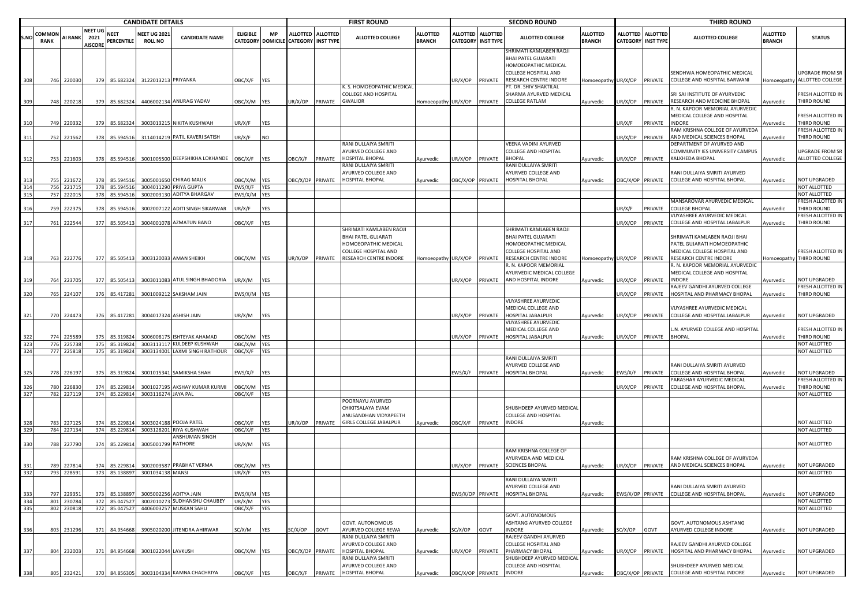|            |                |                          |                                   |                                | <b>CANDIDATE DETAILS</b>              |                                                              |                        |                                |                                                |         | <b>FIRST ROUND</b>                                                                       |                           |                                              |                         | <b>SECOND ROUND</b>                                                                                          |                                  |                  |                                       | <b>THIRD ROUND</b>                                                               |                                  |                                              |
|------------|----------------|--------------------------|-----------------------------------|--------------------------------|---------------------------------------|--------------------------------------------------------------|------------------------|--------------------------------|------------------------------------------------|---------|------------------------------------------------------------------------------------------|---------------------------|----------------------------------------------|-------------------------|--------------------------------------------------------------------------------------------------------------|----------------------------------|------------------|---------------------------------------|----------------------------------------------------------------------------------|----------------------------------|----------------------------------------------|
| S.NO       | COMMON<br>RANK | <b>AI RANK</b>           | NEET UG<br>2021<br><b>AISCORE</b> | <b>NEET</b><br>PERCENTILE      | <b>NEET UG 2021</b><br><b>ROLL NO</b> | <b>CANDIDATE NAME</b>                                        | <b>ELIGIBLE</b>        | <b>MP</b><br>CATEGORY DOMICILE | ALLOTTED ALLOTTED<br><b>CATEGORY INST TYPE</b> |         | <b>ALLOTTED COLLEGE</b>                                                                  | <b>ILLOTTED</b><br>BRANCH | <b>ALLOTTED</b><br><b>CATEGORY INST TYPE</b> | <b>ALLOTTED</b>         | <b>ALLOTTED COLLEGE</b>                                                                                      | <b>ALLOTTED</b><br><b>BRANCH</b> | ALLOTTED         | <b>ALLOTTED</b><br>CATEGORY INST TYPE | ALLOTTED COLLEGE                                                                 | <b>ALLOTTED</b><br><b>BRANCH</b> | <b>STATUS</b>                                |
|            |                |                          |                                   |                                |                                       |                                                              |                        |                                |                                                |         |                                                                                          |                           |                                              |                         | SHRIMATI KAMLABEN RAOJI<br><b>BHAI PATEL GUJARATI</b><br>HOMOEOPATHIC MEDICAL<br><b>COLLEGE HOSPITAL AND</b> |                                  |                  |                                       | SENDHWA HOMEOPATHIC MEDICAL                                                      |                                  | UPGRADE FROM SR                              |
|            |                | 746 220030               | 379                               | 85.682324                      | 3122013213 PRIYANKA                   |                                                              | <b>JBC/X/F</b>         | YES                            |                                                |         | K. S. HOMOEOPATHIC MEDICAL                                                               |                           | JR/X/OP                                      | PRIVATE                 | RESEARCH CENTRE INDORE<br>PT. DR. SHIV SHAKTILAL                                                             | <b>Homoeopathy</b>               | UR/X/OP          | PRIVATE                               | COLLEGE AND HOSPITAL BARWANI                                                     |                                  | Iomoeopathy ALLOTTED COLLEGE                 |
| 309        |                | 748 220218               | 379                               | 85.682324                      |                                       | 4406002134 ANURAG YADAV                                      | DBC/X/M YES            |                                | JR/X/OP                                        | PRIVATE | COLLEGE AND HOSPITAL<br>GWALIOR                                                          | Homoeopathy UR/X/OP       |                                              | PRIVATE                 | SHARMA AYURVED MEDICAL<br><b>COLLEGE RATLAM</b>                                                              | Ayurvedic                        | JR/X/OP          | PRIVATE                               | SRI SAI INSTITUTE OF AYURVEDIC<br>RESEARCH AND MEDICINE BHOPAL                   | vurvedic                         | FRESH ALLOTTED IN<br>THIRD ROUND             |
|            | 749            | 22033                    | 379                               | 85.682324                      |                                       | 3003013215 NIKITA KUSHWAH                                    | JR/X/F                 | YES                            |                                                |         |                                                                                          |                           |                                              |                         |                                                                                                              |                                  | JR/X/F           | PRIVATE                               | R. N. KAPOOR MEMORIAL AYURVEDIC<br>MEDICAL COLLEGE AND HOSPITAL<br><b>INDORE</b> | yurvedic                         | FRESH ALLOTTED IN<br>THIRD ROUND             |
| 311        |                | 752 221562               | 378                               | 85.594516                      |                                       | 3114014219 PATIL KAVERI SATISH                               | JR/X/F                 | NO                             |                                                |         |                                                                                          |                           |                                              |                         |                                                                                                              |                                  | JR/X/OP          | PRIVATE                               | RAM KRISHNA COLLEGE OF AYURVEDA<br>AND MEDICAL SCIENCES BHOPAL                   | Ayurvedic                        | FRESH ALLOTTED IN<br>THIRD ROUND             |
|            |                |                          |                                   |                                |                                       |                                                              |                        |                                |                                                |         | RANI DULLAIYA SMRITI<br>AYURVED COLLEGE AND                                              |                           |                                              |                         | VEENA VADINI AYURVED<br><b>COLLEGE AND HOSPITAL</b>                                                          |                                  |                  |                                       | DEPARTMENT OF AYURVED AND<br>COMMUNITY IES UNIVERSITY CAMPUS                     |                                  | JPGRADE FROM SR                              |
| - 312      |                | 753 221603               | 378                               | 85.594516                      |                                       | 3001005500 DEEPSHIKHA LOKHANDE                               | OBC/X/F                | YES                            | <b>DBC/X/F</b>                                 | PRIVATE | HOSPITAL BHOPAL<br>RANI DULLAIYA SMRITI<br>AYURVED COLLEGE AND                           | Ayurvedic                 | IR/X/OP                                      | PRIVATE                 | <b>BHOPAL</b><br>RANI DULLAIYA SMRITI<br>AYURVED COLLEGE AND                                                 | Ayurvedic                        | JR/X/OP          | PRIVATE                               | KALKHEDA BHOPAL<br>RANI DULLAIYA SMRITI AYURVED                                  | Ayurvedic                        | ALLOTTED COLLEGE                             |
| 314        |                | 755 221672<br>756 22171  | 378                               | 85.594516<br>378 85.59451      |                                       | 3005001650 CHIRAG MALIK<br>3004011290 PRIYA GUPTA            | DBC/X/M YES<br>WS/X/F  | YES                            | OBC/X/OP PRIVATE                               |         | HOSPITAL BHOPAL                                                                          | Ayurvedic                 | DBC/X/OP PRIVATE                             |                         | <b>HOSPITAL BHOPAL</b>                                                                                       | Ayurvedic                        | BC/X/OP PRIVATE  |                                       | COLLEGE AND HOSPITAL BHOPAL                                                      | Ayurvedic                        | NOT UPGRADED<br>NOT ALLOTTED                 |
| 315        |                | 757 222015               |                                   | 378 85.594516                  |                                       | 3002003130 ADITYA BHARGAV                                    | EWS/X/M YES            |                                |                                                |         |                                                                                          |                           |                                              |                         |                                                                                                              |                                  |                  |                                       |                                                                                  |                                  | NOT ALLOTTED                                 |
| 316        | 759            | 22237                    | 378                               | 85.594516                      |                                       | 3002007122 ADITI SINGH SIKARWAR                              | JR/X/F                 | YES                            |                                                |         |                                                                                          |                           |                                              |                         |                                                                                                              |                                  | JR/X/F           | PRIVATE                               | MANSAROVAR AYURVEDIC MEDICAL<br><b>COLLEGE BHOPAL</b>                            | Ayurvedic                        | FRESH ALLOTTED IN<br>THIRD ROUND             |
|            |                |                          |                                   |                                |                                       |                                                              |                        |                                |                                                |         |                                                                                          |                           |                                              |                         |                                                                                                              |                                  |                  |                                       | VIJYASHREE AYURVEDIC MEDICAL<br>COLLEGE AND HOSPITAL JABALPUR                    |                                  | FRESH ALLOTTED IN                            |
| 317        |                | 761 222544               | 377                               | 85.505413                      |                                       | 3004001078 AZMATUN BANO                                      | <b>JBC/X/F</b>         | YES                            |                                                |         | SHRIMATI KAMLABEN RAOJI<br>BHAI PATEL GUJARATI<br>HOMOEOPATHIC MEDICAL                   |                           |                                              |                         | SHRIMATI KAMLABEN RAOJI<br><b>BHAI PATEL GUJARATI</b><br>HOMOEOPATHIC MEDICAL                                |                                  | UR/X/OP          | PRIVATE                               | SHRIMATI KAMLABEN RAOJI BHAI<br>PATEL GUJARATI HOMOEOPATHIC                      | Ayurvedic                        | THIRD ROUND                                  |
| - 318      |                | 763 222776               | 377                               | 85.505413                      |                                       | 3003120033 AMAN SHEIKH                                       | OBC/X/M YES            |                                | UR/X/OP                                        | PRIVATE | COLLEGE HOSPITAL AND<br>RESEARCH CENTRE INDORE                                           | Homoeopathy UR/X/OP       |                                              | PRIVATE                 | <b>COLLEGE HOSPITAL AND</b><br>RESEARCH CENTRE INDORE                                                        | Homoeopathy UR/X/OP PRIVATE      |                  |                                       | MEDICAL COLLEGE HOSPITAL AND<br>RESEARCH CENTRE INDORE                           |                                  | FRESH ALLOTTED IN<br>Iomoeopathy THIRD ROUND |
|            |                |                          |                                   |                                |                                       |                                                              |                        |                                |                                                |         |                                                                                          |                           |                                              |                         | R. N. KAPOOR MEMORIAL<br>AYURVEDIC MEDICAL COLLEGE                                                           |                                  |                  |                                       | R. N. KAPOOR MEMORIAL AYURVEDIC<br>MEDICAL COLLEGE AND HOSPITAL                  |                                  |                                              |
| 319        |                | 764 223705               |                                   | 377 85.505413                  |                                       | 3003011083 ATUL SINGH BHADORIA                               | JR/X/M                 | YES                            |                                                |         |                                                                                          |                           | JR/X/OP                                      | PRIVATE                 | AND HOSPITAL INDORE                                                                                          | Ayurvedic                        | JR/X/OP          | PRIVATE                               | <b>INDORE</b><br>RAJEEV GANDHI AYURVED COLLEGE                                   | vurvedic                         | NOT UPGRADED<br>FRESH ALLOTTED IN            |
| 320        |                | 765 224107               |                                   | 376 85.417281                  |                                       | 3001009212 SAKSHAM JAIN                                      | WS/X/M YES             |                                |                                                |         |                                                                                          |                           |                                              |                         |                                                                                                              |                                  | JR/X/OP          | PRIVATE                               | HOSPITAL AND PHARMACY BHOPAL                                                     | Ayurvedic                        | THIRD ROUND                                  |
|            |                |                          |                                   |                                |                                       |                                                              |                        |                                |                                                |         |                                                                                          |                           |                                              |                         | VIJYASHREE AYURVEDIC<br>MEDICAL COLLEGE AND                                                                  |                                  |                  |                                       | VIJYASHREE AYURVEDIC MEDICAL                                                     |                                  |                                              |
| 321        |                | 770 224473               | 376                               | 85.417281                      |                                       | 3004017324 ASHISH JAIN                                       | JR/X/M                 | YES                            |                                                |         |                                                                                          |                           | JR/X/OP                                      | PRIVATE                 | HOSPITAL JABALPUR                                                                                            | Ayurvedic                        | JR/X/OP PRIVATE  |                                       | COLLEGE AND HOSPITAL JABALPUR                                                    | Ayurvedic                        | NOT UPGRADED                                 |
|            |                |                          |                                   |                                |                                       |                                                              |                        |                                |                                                |         |                                                                                          |                           |                                              |                         | VIJYASHREE AYURVEDIC<br>MEDICAL COLLEGE AND                                                                  |                                  |                  |                                       | L.N. AYURVED COLLEGE AND HOSPITAL                                                |                                  | FRESH ALLOTTED IN                            |
| 322        |                | 774 225589               | 375                               | 85.319824                      |                                       | 3006008175 ISHTEYAK AHAMAD                                   | DBC/X/M YES            |                                |                                                |         |                                                                                          |                           | JR/X/OP                                      |                         | PRIVATE HOSPITAL JABALPUR                                                                                    | Ayurvedic                        | UR/X/OP          | PRIVATE                               | <b>BHOPAL</b>                                                                    | Ayurvedic                        | THIRD ROUND                                  |
| 323<br>324 |                | 776 225738<br>777 225818 |                                   | 375 85.319824<br>375 85.319824 |                                       | 3003113117 KULDEEP KUSHWAH<br>3003134001 LAXMI SINGH RATHOUR | DBC/X/M YES<br>OBC/X/F | YES                            |                                                |         |                                                                                          |                           |                                              |                         |                                                                                                              |                                  |                  |                                       |                                                                                  |                                  | NOT ALLOTTED<br>NOT ALLOTTED                 |
|            |                |                          |                                   |                                |                                       |                                                              |                        |                                |                                                |         |                                                                                          |                           |                                              |                         | RANI DULLAIYA SMRITI<br>AYURVED COLLEGE AND                                                                  |                                  |                  |                                       | RANI DULLAIYA SMRITI AYURVED                                                     |                                  |                                              |
| 325        |                | 778 226197               | 375                               | 85.319824                      |                                       | 3001015341 SAMIKSHA SHAH                                     | EWS/X/F                | YES                            |                                                |         |                                                                                          |                           | EWS/X/F                                      | PRIVATE                 | <b>HOSPITAL BHOPAL</b>                                                                                       | Ayurvedic                        | EWS/X/F          | PRIVATE                               | COLLEGE AND HOSPITAL BHOPAL                                                      | Ayurvedic                        | NOT UPGRADED                                 |
|            | 780            | 22683                    |                                   | 85.22981                       | 300102719                             | AKSHAY KUMAR KURMI                                           | <b>JBC/X/M</b>         | YES                            |                                                |         |                                                                                          |                           |                                              |                         |                                                                                                              |                                  | UR/X/OP          | PRIVATE                               | PARASHAR AYURVEDIC MEDICAL<br>COLLEGE AND HOSPITAL BHOPAL                        | Ayurvedic                        | RESH ALLOTTED IN<br>THIRD ROUND              |
| 327        | 782            | 22711                    |                                   | 374 85.229814                  | 3003116274 JAYA PAL                   |                                                              | <b>JBC/X/F</b>         | YES                            |                                                |         |                                                                                          |                           |                                              |                         |                                                                                                              |                                  |                  |                                       |                                                                                  |                                  | NOT ALLOTTED                                 |
|            |                |                          |                                   | 85.229814                      |                                       | 3003024188 POOJA PATEL                                       | <b>JBC/X/F</b>         |                                |                                                |         | POORNAYU AYURVED<br>CHIKITSALAYA EVAM<br>ANUSANDHAN VIDYAPEETH<br>GIRLS COLLEGE JABALPUR |                           |                                              |                         | SHUBHDEEP AYURVED MEDICAL<br><b>COLLEGE AND HOSPITAL</b><br><b>INDORE</b>                                    |                                  |                  |                                       |                                                                                  |                                  | NOT ALLOTTED                                 |
| 329        | 783            | 22712<br>784 227134      | 374                               | 374 85.229814                  |                                       | 3003128201 RIYA KUSHWAH                                      | <b>JBC/X/F</b>         | YES<br><b>YES</b>              | UR/X/OP                                        | PRIVATE |                                                                                          | Ayurvedic                 | OBC/X/F                                      | <b>PRIVATE</b>          |                                                                                                              | Ayurvedic                        |                  |                                       |                                                                                  |                                  | NOT ALLOTTED                                 |
| 330        | 788            | 227790                   | 374                               | 85.229814                      | 300500179                             | <b>ANSHUMAN SINGH</b><br><b>RATHORE</b>                      | JR/X/M                 | YES                            |                                                |         |                                                                                          |                           |                                              |                         |                                                                                                              |                                  |                  |                                       |                                                                                  |                                  | NOT ALLOTTED                                 |
|            |                |                          |                                   |                                |                                       |                                                              |                        |                                |                                                |         |                                                                                          |                           |                                              |                         | RAM KRISHNA COLLEGE OF<br>AYURVEDA AND MEDICAL                                                               |                                  |                  |                                       | RAM KRISHNA COLLEGE OF AYURVEDA                                                  |                                  |                                              |
| 331        | 789            | 22781<br>793 228591      | 374                               | 85.22981<br>373 85.138897      | 3001034138 MANSI                      | 3002003587 PRABHAT VERMA                                     | ЭВС/Х/М<br>JR/X/F      | YES<br>YES                     |                                                |         |                                                                                          |                           | JR/X/OP                                      | PRIVATE                 | <b>SCIENCES BHOPAL</b>                                                                                       | Ayurvedic                        | JR/X/OP          | PRIVATE                               | AND MEDICAL SCIENCES BHOPAL                                                      | Ayurvedic                        | <b>NOT UPGRADED</b><br>NOT ALLOTTED          |
| 332        |                |                          |                                   |                                |                                       |                                                              |                        |                                |                                                |         |                                                                                          |                           |                                              |                         | RANI DULLAIYA SMRITI<br>AYURVED COLLEGE AND                                                                  |                                  |                  |                                       | RANI DULLAIYA SMRITI AYURVED                                                     |                                  |                                              |
| 333<br>334 | 797            | 229351<br>801 230784     | 373                               | 85.138897<br>372 85.04752      |                                       | 3005002256 ADITYA JAIN<br>3002010273 SUDHANSHU CHAUBEY       | :WS/X/M<br>JR/X/M      | YES<br>YES                     |                                                |         |                                                                                          |                           | WS/X/OP PRIVATE                              |                         | HOSPITAL BHOPAL                                                                                              | Ayurvedic                        | WS/X/OP PRIVATE  |                                       | COLLEGE AND HOSPITAL BHOPAL                                                      | Ayurvedic                        | NOT UPGRADED<br>NOT ALLOTTED                 |
| 335        |                | 802 230818               |                                   | 372 85.047527                  |                                       | 4406003257 MUSKAN SAHU                                       | OBC/X/F                | YES                            |                                                |         |                                                                                          |                           |                                              |                         |                                                                                                              |                                  |                  |                                       |                                                                                  |                                  | NOT ALLOTTED                                 |
| 336        |                | 803 231296               | 371                               | 84.954668                      |                                       | 3905020200 JITENDRA AHIRWAR                                  | SC/X/M                 | YES                            | SC/X/OP                                        | GOVT    | GOVT. AUTONOMOUS<br>AYURVED COLLEGE REWA                                                 | Ayurvedic                 | SC/X/OP                                      | GOVT                    | GOVT. AUTONOMOUS<br>ASHTANG AYURVED COLLEGE<br><b>INDORE</b>                                                 | Ayurvedic                        | SC/X/OP          | GOVT                                  | GOVT. AUTONOMOUS ASHTANG<br>AYURVED COLLEGE INDORE                               | Ayurvedic                        | NOT UPGRADED                                 |
| 337        |                | 804 232003               |                                   | 371 84.954668                  | 3001022044 LAVKUSH                    |                                                              | OBC/X/M YES            |                                | OBC/X/OP PRIVATE                               |         | RANI DULLAIYA SMRITI<br>AYURVED COLLEGE AND<br>HOSPITAL BHOPAL                           | Ayurvedic                 | JR/X/OP                                      | PRIVATE                 | RAJEEV GANDHI AYURVED<br>COLLEGE HOSPITAL AND<br>PHARMACY BHOPAL                                             | Ayurvedic                        | JR/X/OP          | PRIVATE                               | RAJEEV GANDHI AYURVED COLLEGE<br>HOSPITAL AND PHARMACY BHOPAL                    | Ayurvedic                        | NOT UPGRADED                                 |
|            |                |                          |                                   |                                |                                       |                                                              |                        |                                |                                                |         | RANI DULLAIYA SMRITI<br>AYURVED COLLEGE AND                                              |                           |                                              |                         | SHUBHDEEP AYURVED MEDICAL<br>COLLEGE AND HOSPITAL                                                            |                                  |                  |                                       | SHUBHDEEP AYURVED MEDICAL                                                        |                                  |                                              |
| 338        |                | 805 232421               | 370                               | 84.856305                      |                                       | 3003104334 KAMNA CHACHRIYA                                   | OBC/X/F                | YES                            | <b>JBC/X/F</b>                                 | PRIVATE | HOSPITAL BHOPAL                                                                          | Ayurvedic                 |                                              | OBC/X/OP PRIVATE INDORE |                                                                                                              | Ayurvedic                        | OBC/X/OP PRIVATE |                                       | COLLEGE AND HOSPITAL INDORE                                                      | Ayurvedic                        | NOT UPGRADED                                 |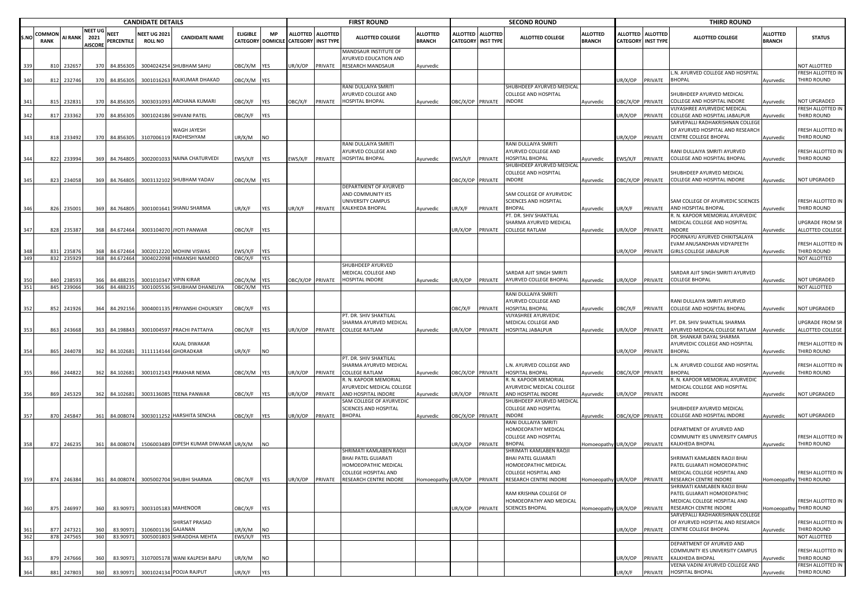|            |                      |                      |                                  |                           | <b>CANDIDATE DETAILS</b>             |                                                        |                            |                          |                                      |                   | <b>FIRST ROUND</b>                                                         |                                  |                                              |                 | <b>SECOND ROUND</b>                                                         |                                  |                  |                                         | <b>THIRD ROUND</b>                                                                                                    |                                  |                                              |
|------------|----------------------|----------------------|----------------------------------|---------------------------|--------------------------------------|--------------------------------------------------------|----------------------------|--------------------------|--------------------------------------|-------------------|----------------------------------------------------------------------------|----------------------------------|----------------------------------------------|-----------------|-----------------------------------------------------------------------------|----------------------------------|------------------|-----------------------------------------|-----------------------------------------------------------------------------------------------------------------------|----------------------------------|----------------------------------------------|
| S.NO       | COMMO<br><b>RANK</b> | AI RANK 2021         | <b>NEET UG</b><br><b>AISCORE</b> | <b>NEET</b><br>PERCENTILE | <b>NEET UG 202</b><br><b>ROLL NO</b> | <b>CANDIDATE NAME</b>                                  | <b>ELIGIBLE</b>            | <b>MP</b>                | CATEGORY DOMICILE CATEGORY INST TYPE | ALLOTTED ALLOTTED | <b>ALLOTTED COLLEGE</b>                                                    | <b>ALLOTTED</b><br><b>BRANCH</b> | <b>ALLOTTED</b><br><b>CATEGORY INST TYPE</b> | <b>ALLOTTED</b> | <b>ALLOTTED COLLEGE</b>                                                     | <b>ALLOTTED</b><br><b>BRANCH</b> |                  | ALLOTTED ALLOTTED<br>CATEGORY INST TYPE | <b>ALLOTTED COLLEGE</b>                                                                                               | <b>ALLOTTED</b><br><b>BRANCH</b> | <b>STATUS</b>                                |
|            | 810                  | 232657               | 370                              | 84.856305                 |                                      | 3004024254 SHUBHAM SAHU                                | OBC/X/M YES                |                          | JR/X/OP                              | PRIVATE           | MANDSAUR INSTITUTE OF<br><b>AYURVED EDUCATION AND</b><br>RESEARCH MANDSAUR | Ayurvedic                        |                                              |                 |                                                                             |                                  |                  |                                         |                                                                                                                       |                                  | <b>IOT ALLOTTED</b>                          |
| 340        | 812                  | 232746               | 370                              | 84.856305                 |                                      | 3001016263 RAJKUMAR DHAKAD                             | OBC/X/M YES                |                          |                                      |                   |                                                                            |                                  |                                              |                 |                                                                             |                                  | JR/X/OP PRIVATE  |                                         | L.N. AYURVED COLLEGE AND HOSPITAI<br><b>BHOPAL</b>                                                                    | Ayurvedic                        | FRESH ALLOTTED IN<br>THIRD ROUND             |
| 341        | 815                  | 232831               | 370                              | 84.856305                 |                                      | 3003031093 ARCHANA KUMARI                              | OBC/X/F                    | <b>YES</b>               | <b>DBC/X/F</b>                       | PRIVATE           | RANI DULLAIYA SMRITI<br>AYURVED COLLEGE AND<br>HOSPITAL BHOPAL             | Ayurvedic                        | OBC/X/OP PRIVATE                             |                 | SHUBHDEEP AYURVED MEDICAL<br><b>COLLEGE AND HOSPITAL</b><br><b>INDORE</b>   |                                  | DBC/X/OP PRIVATE |                                         | SHUBHDEEP AYURVED MEDICAL<br>COLLEGE AND HOSPITAL INDORE                                                              | yurvedic                         | NOT UPGRADED                                 |
|            |                      |                      |                                  |                           |                                      |                                                        |                            |                          |                                      |                   |                                                                            |                                  |                                              |                 |                                                                             | Ayurvedic                        |                  |                                         | VIJYASHREE AYURVEDIC MEDICAL                                                                                          |                                  | RESH ALLOTTED IN                             |
| 342        | 817                  | 233362               | 370                              | 84.856305                 |                                      | 3001024186 SHIVANI PATEL                               | OBC/X/F                    | YES                      |                                      |                   |                                                                            |                                  |                                              |                 |                                                                             |                                  | JR/X/OP          | PRIVATE                                 | COLLEGE AND HOSPITAL JABALPUR                                                                                         | Ayurvedic                        | THIRD ROUND                                  |
| 343        | 818                  | 233492               | 370                              | 84.856305                 |                                      | WAGH JAYESH<br>3107006119 RADHESHYAM                   | UR/X/M                     | <b>NO</b>                |                                      |                   |                                                                            |                                  |                                              |                 |                                                                             |                                  | JR/X/OP          | PRIVATE                                 | SARVEPALLI RADHAKRISHNAN COLLEGI<br>OF AYURVED HOSPITAL AND RESEARCH<br>CENTRE COLLEGE BHOPAL                         | Ayurvedic                        | FRESH ALLOTTED IN<br>THIRD ROUND             |
| 344        | 822                  | 233994               | 369                              | 84.764805                 |                                      | 3002001033 NAINA CHATURVEDI                            | EWS/X/F                    | <b>YES</b>               | EWS/X/F                              | PRIVATE           | RANI DULLAIYA SMRITI<br>AYURVED COLLEGE AND<br>HOSPITAL BHOPAL             | Ayurvedic                        | EWS/X/F                                      | PRIVATE         | RANI DULLAIYA SMRITI<br>AYURVED COLLEGE AND<br><b>HOSPITAL BHOPAL</b>       | Ayurvedic                        | EWS/X/F          | PRIVATE                                 | RANI DULLAIYA SMRITI AYURVED<br>COLLEGE AND HOSPITAL BHOPAL                                                           | Ayurvedic                        | RESH ALLOTTED IN<br>THIRD ROUND              |
| 345        | 823                  | 234058               | 369                              | 84.764805                 |                                      | 3003132102 SHUBHAM YADAV                               | OBC/X/M YES                |                          |                                      |                   |                                                                            |                                  | OBC/X/OP PRIVATE                             |                 | SHUBHDEEP AYURVED MEDICAL<br>COLLEGE AND HOSPITAL<br><b>INDORE</b>          | Ayurvedic                        | OBC/X/OP PRIVATE |                                         | SHUBHDEEP AYURVED MEDICAL<br>COLLEGE AND HOSPITAL INDORE                                                              | Ayurvedic                        | <b>NOT UPGRADED</b>                          |
|            |                      |                      |                                  |                           |                                      |                                                        |                            |                          |                                      |                   | DEPARTMENT OF AYURVED<br>AND COMMUNITY IES<br>UNIVERSITY CAMPUS            |                                  |                                              |                 | SAM COLLEGE OF AYURVEDIC<br>SCIENCES AND HOSPITAL                           |                                  |                  |                                         | SAM COLLEGE OF AYURVEDIC SCIENCES                                                                                     |                                  | FRESH ALLOTTED IN                            |
| 346        | 826                  | 235001               | 369                              | 84.764805                 |                                      | 3001001641 SHANU SHARMA                                | UR/X/F                     | <b>YES</b>               | UR/X/F                               | PRIVATE           | KALKHEDA BHOPAL                                                            | Ayurvedic                        | UR/X/F                                       | PRIVATE         | <b>BHOPAL</b><br>PT. DR. SHIV SHAKTILAL                                     | Ayurvedic                        | JR/X/F           | PRIVATE                                 | AND HOSPITAL BHOPAL<br>R. N. KAPOOR MEMORIAL AYURVEDIC                                                                | Ayurvedic                        | THIRD ROUND                                  |
| 347        | 828                  | 235387               | 368                              | 84.672464                 |                                      | 3003104070 JYOTI PANWAR                                | OBC/X/F                    | <b>YES</b>               |                                      |                   |                                                                            |                                  | UR/X/OP                                      | PRIVATE         | SHARMA AYURVED MEDICAL<br>COLLEGE RATLAM                                    | Ayurvedic                        | JR/X/OP          | PRIVATE                                 | MEDICAL COLLEGE AND HOSPITAL<br>INDORE<br>POORNAYU AYURVED CHIKITSALAYA                                               | Ayurvedic                        | JPGRADE FROM SR<br>ALLOTTED COLLEGE          |
|            |                      |                      |                                  |                           |                                      |                                                        |                            |                          |                                      |                   |                                                                            |                                  |                                              |                 |                                                                             |                                  |                  |                                         | EVAM ANUSANDHAN VIDYAPEETH<br><b>GIRLS COLLEGE JABALPUR</b>                                                           |                                  | FRESH ALLOTTED IN                            |
| 348<br>349 | 831<br>832           | 235876<br>235929     | 368<br>368                       | 84.672464<br>84.672464    |                                      | 3002012220 MOHINI VISWAS<br>3004022098 HIMANSHI NAMDEO | EWS/X/F<br>OBC/X/F         | <b>YES</b><br><b>YES</b> |                                      |                   |                                                                            |                                  |                                              |                 |                                                                             |                                  | JR/X/OP          | PRIVATE                                 |                                                                                                                       | Ayurvedic                        | THIRD ROUND<br>NOT ALLOTTED                  |
|            |                      |                      |                                  |                           |                                      |                                                        |                            |                          |                                      |                   | SHUBHDEEP AYURVED<br>MEDICAL COLLEGE AND                                   |                                  |                                              |                 | SARDAR AJIT SINGH SMRITI                                                    |                                  |                  |                                         | SARDAR AJIT SINGH SMRITI AYURVED                                                                                      |                                  |                                              |
| 351        | 840                  | 238593<br>845 239066 | 366<br>366                       | 84.48823<br>84.488235     | 3001010347                           | <b>VIPIN KIRAR</b><br>3001005536 SHUBHAM DHANELIYA     | OBC/X/M YES<br>OBC/X/M YES |                          |                                      | BC/X/OP PRIVATE   | <b>HOSPITAL INDORE</b>                                                     | Ayurvedic                        | UR/X/OP                                      | PRIVATE         | AYURVED COLLEGE BHOPAL                                                      | Ayurvedic                        | JR/X/OP          | PRIVATE                                 | <b>COLLEGE BHOPAL</b>                                                                                                 | Ayurvedic                        | <b>NOT UPGRADED</b><br>NOT ALLOTTED          |
| 352        | 852                  | 241926               | 364                              | 84.292156                 |                                      | 3004001135 PRIYANSHI CHOUKSEY                          | OBC/X/F                    | <b>YES</b>               |                                      |                   |                                                                            |                                  | <b>JBC/X/F</b>                               | PRIVATE         | RANI DULLAIYA SMRITI<br>AYURVED COLLEGE AND<br>IOSPITAL BHOPAL              | Ayurvedic                        | DBC/X/F          | PRIVATE                                 | RANI DULLAIYA SMRITI AYURVED<br>COLLEGE AND HOSPITAL BHOPAL                                                           | Ayurvedic                        | NOT UPGRADED                                 |
| 353        | 863                  | 243668               | 363                              | 84.198843                 |                                      | 3001004597 PRACHI PATTAIYA                             | OBC/X/F                    | <b>YES</b>               | JR/X/OP                              | PRIVATE           | PT. DR. SHIV SHAKTILAL<br>SHARMA AYURVED MEDICAL<br><b>COLLEGE RATLAM</b>  | Ayurvedic                        | UR/X/OP                                      | PRIVATE         | VIJYASHREE AYURVEDIC<br>MEDICAL COLLEGE AND<br><b>IOSPITAL JABALPUR</b>     | Ayurvedic                        | JR/X/OP          | PRIVATE                                 | PT. DR. SHIV SHAKTILAL SHARMA<br>AYURVED MEDICAL COLLEGE RATLAM                                                       | Ayurvedic                        | UPGRADE FROM SR<br>ALLOTTED COLLEGE          |
| 354        | 865                  | 244078               | 362                              | 84.102681                 |                                      | <b>AJAL DIWAKAR</b><br>3111114144 GHORADKAR            | UR/X/F                     | <b>NO</b>                |                                      |                   |                                                                            |                                  |                                              |                 |                                                                             |                                  | JR/X/OP          | PRIVATE                                 | DR. SHANKAR DAYAL SHARMA<br>AYURVEDIC COLLEGE AND HOSPITAL<br><b>BHOPAL</b>                                           | Ayurvedic                        | FRESH ALLOTTED IN<br>THIRD ROUND             |
|            |                      |                      |                                  |                           |                                      |                                                        |                            |                          |                                      |                   | PT. DR. SHIV SHAKTILAL<br>SHARMA AYURVED MEDICAL                           |                                  |                                              |                 | L.N. AYURVED COLLEGE AND                                                    |                                  |                  |                                         | L.N. AYURVED COLLEGE AND HOSPITAI                                                                                     |                                  | FRESH ALLOTTED IN                            |
| 355        | 866                  | 244822               | 362                              | 84.102681                 |                                      | 3001012143 PRAKHAR NEMA                                | OBC/X/M YES                |                          | JR/X/OP                              | PRIVATE           | COLLEGE RATLAM                                                             | Ayurvedic                        | DBC/X/OP PRIVATE                             |                 | <b>IOSPITAL BHOPAL</b>                                                      | Ayurvedic                        | DBC/X/OP PRIVATE |                                         | BHOPAI                                                                                                                | vurvedic                         | THIRD ROUND                                  |
|            |                      |                      |                                  |                           |                                      |                                                        |                            |                          |                                      |                   | R. N. KAPOOR MEMORIAL<br>AYURVEDIC MEDICAL COLLEGE                         |                                  |                                              |                 | R. N. KAPOOR MEMORIAL<br>AYURVEDIC MEDICAL COLLEGE                          |                                  |                  |                                         | R. N. KAPOOR MEMORIAL AYURVEDIC<br>MEDICAL COLLEGE AND HOSPITAL                                                       |                                  |                                              |
|            | 869                  | 245329               | 362                              | 84.102681                 |                                      | 3003136085 TEENA PANWAR                                | OBC/X/F                    | <b>YES</b>               | JR/X/OP                              | PRIVATE           | AND HOSPITAL INDORE<br>SAM COLLEGE OF AYURVEDIC                            | Ayurvedic                        | JR/X/OP                                      | PRIVATE         | AND HOSPITAL INDORE<br>SHUBHDEEP AYURVED MEDICAL                            | Ayurvedic                        | JR/X/OP          | PRIVATE                                 | <b>INDORE</b>                                                                                                         | Ayurvedic                        | NOT UPGRADED                                 |
| 357        | 870                  | 245847               | 361                              | 84.008074                 |                                      | 3003011252 HARSHITA SENCHA                             | OBC/X/F                    | <b>IYES</b>              | IR/X/OP                              | PRIVATE           | SCIENCES AND HOSPITAL<br><b>BHOPAL</b>                                     | Ayurvedic                        | <b>OBC/X/OP PRIVATE</b>                      |                 | COLLEGE AND HOSPITAL<br>INDORE                                              | Ayurvedic                        | BC/X/OP PRIVATE  |                                         | SHUBHDEEP AYURVED MEDICAL<br>COLLEGE AND HOSPITAL INDORE                                                              | Ayurvedic                        | NOT UPGRADED                                 |
|            |                      |                      |                                  |                           |                                      |                                                        |                            |                          |                                      |                   |                                                                            |                                  |                                              |                 | RANI DULLAIYA SMRITI<br>HOMOEOPATHY MEDICAL                                 |                                  |                  |                                         | DEPARTMENT OF AYURVED AND                                                                                             |                                  |                                              |
|            | 872                  | 246235               | 361                              | 84.008074                 |                                      | 1506003489 DIPESH KUMAR DIWAKAR UR/X/M                 |                            |                          |                                      |                   |                                                                            |                                  | UR/X/OP                                      | PRIVATE         | COLLEGE AND HOSPITAL<br>BHOPAI                                              | Iomoeopathy UR/X/OP              |                  | PRIVATE                                 | COMMUNITY IES UNIVERSITY CAMPUS<br>KALKHEDA BHOPAL                                                                    | Ayurvedic                        | FRESH ALLOTTED IN<br>THIRD ROUND             |
|            |                      |                      |                                  |                           |                                      |                                                        |                            |                          |                                      |                   | SHRIMATI KAMLABEN RAOJI<br>BHAI PATEL GUJARATI<br>HOMOEOPATHIC MEDICAL     |                                  |                                              |                 | SHRIMATI KAMLABEN RAOJI<br>BHAI PATEL GUJARATI<br>HOMOEOPATHIC MEDICAL      |                                  |                  |                                         | SHRIMATI KAMLABEN RAOJI BHAI<br>PATEL GUJARATI HOMOEOPATHIC                                                           |                                  |                                              |
| 359        |                      |                      |                                  |                           |                                      | 874 246384 361 84.008074 3005002704 SHUBHI SHARMA      | OBC/X/F YES                |                          |                                      |                   | COLLEGE HOSPITAL AND<br>UR/X/OP PRIVATE RESEARCH CENTRE INDORE             |                                  |                                              |                 | COLLEGE HOSPITAL AND<br>Homoeopathy UR/X/OP PRIVATE RESEARCH CENTRE INDORE  |                                  |                  |                                         | MEDICAL COLLEGE HOSPITAL AND<br>Homoeopathy UR/X/OP PRIVATE RESEARCH CENTRE INDORE                                    |                                  | FRESH ALLOTTED IN<br>Jomoeopathy THIRD ROUND |
| 360        | 875                  | 246997               | 360                              | 83.90971                  |                                      | 3003105183 MAHENOOR                                    | OBC/X/F YES                |                          |                                      |                   |                                                                            |                                  | UR/X/OP                                      | PRIVATE         | RAM KRISHNA COLLEGE OF<br>HOMOEOPATHY AND MEDICAL<br><b>SCIENCES BHOPAL</b> | Homoeopathy UR/X/OP PRIVATE      |                  |                                         | SHRIMATI KAMLABEN RAOJI BHAI<br>PATEL GUJARATI HOMOEOPATHIC<br>MEDICAL COLLEGE HOSPITAL AND<br>RESEARCH CENTRE INDORE |                                  | FRESH ALLOTTED IN<br>Homoeopathy THIRD ROUND |
| 361        | 877                  | 247321               | 360                              | 83.90971                  | 3106001136 GAJANAN                   | SHIRSAT PRASAD                                         | UR/X/M                     | <b>NO</b>                |                                      |                   |                                                                            |                                  |                                              |                 |                                                                             |                                  | UR/X/OP          | PRIVATE                                 | SARVEPALLI RADHAKRISHNAN COLLEGE<br>OF AYURVED HOSPITAL AND RESEARCH<br>CENTRE COLLEGE BHOPAL                         | Ayurvedic                        | FRESH ALLOTTED IN<br>THIRD ROUND             |
| 362        |                      | 878 247565           | 360                              | 83.90971                  |                                      | 3005001803 SHRADDHA MEHTA                              | EWS/X/F YES                |                          |                                      |                   |                                                                            |                                  |                                              |                 |                                                                             |                                  |                  |                                         |                                                                                                                       |                                  | NOT ALLOTTED                                 |
| 363        | 879                  | 247666               | 360                              | 83.90971                  |                                      | 3107005178 WANI KALPESH BAPU                           | UR/X/M                     | <b>NO</b>                |                                      |                   |                                                                            |                                  |                                              |                 |                                                                             |                                  | JR/X/OP          | PRIVATE                                 | DEPARTMENT OF AYURVED AND<br>COMMUNITY IES UNIVERSITY CAMPUS<br>KALKHEDA BHOPAL                                       | Ayurvedic                        | FRESH ALLOTTED IN<br>THIRD ROUND             |
|            |                      |                      |                                  |                           |                                      |                                                        |                            |                          |                                      |                   |                                                                            |                                  |                                              |                 |                                                                             |                                  |                  |                                         | VEENA VADINI AYURVED COLLEGE AND                                                                                      |                                  | FRESH ALLOTTED IN                            |
| 364        | 881                  | 247803               | 360                              | 83.90971                  |                                      | 3001024134 POOJA RAJPUT                                | UR/X/F                     | <b>YES</b>               |                                      |                   |                                                                            |                                  |                                              |                 |                                                                             |                                  | JR/X/F           | PRIVATE                                 | <b>HOSPITAL BHOPAL</b>                                                                                                | Ayurvedic                        | THIRD ROUND                                  |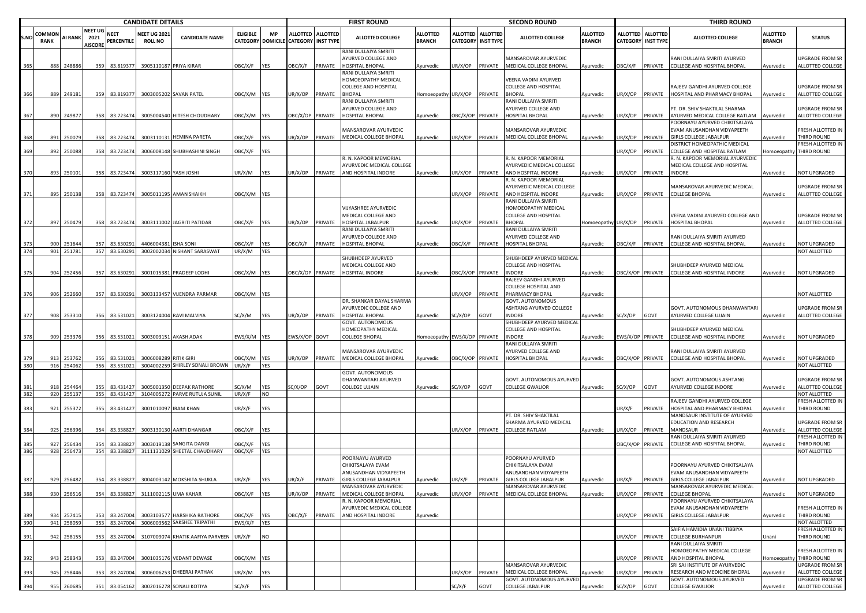|            |             |                  |                        |                            | <b>CANDIDATE DETAILS</b>             |                                                        |                           |                   |                   |                  | <b>FIRST ROUND</b>                                                    |                              |                           |         | <b>SECOND ROUND</b>                                            |                 |                  |                           | <b>THIRD ROUND</b>                                              |                  |                                          |
|------------|-------------|------------------|------------------------|----------------------------|--------------------------------------|--------------------------------------------------------|---------------------------|-------------------|-------------------|------------------|-----------------------------------------------------------------------|------------------------------|---------------------------|---------|----------------------------------------------------------------|-----------------|------------------|---------------------------|-----------------------------------------------------------------|------------------|------------------------------------------|
|            | COMMON      |                  | NEET UG                | <b>NEET</b>                | <b>NEET UG 2021</b>                  |                                                        | <b>ELIGIBLE</b>           | <b>MP</b>         | ALLOTTED ALLOTTED |                  |                                                                       | <b>ALLOTTED</b>              | ALLOTTED ALLOTTED         |         |                                                                | <b>ALLOTTED</b> |                  | ALLOTTED ALLOTTED         |                                                                 | <b>ALLOTTED</b>  |                                          |
| S.NO       | <b>RANK</b> | <b>AI RANK</b>   | 2021<br><b>AISCORE</b> | PERCENTILE                 | <b>ROLL NO</b>                       | <b>CANDIDATE NAME</b>                                  |                           | CATEGORY DOMICILE | CATEGORY          | <b>INST TYPE</b> | <b>ALLOTTED COLLEGE</b>                                               | <b>BRANCH</b>                | <b>CATEGORY INST TYPE</b> |         | <b>ALLOTTED COLLEGE</b>                                        | <b>BRANCH</b>   |                  | <b>CATEGORY INST TYPE</b> | ALLOTTED COLLEGE                                                | BRANCH           | <b>STATUS</b>                            |
|            | 888         | 248886           |                        | 83.819377                  | 3905110187 PRIYA KIRAR               |                                                        |                           |                   | <b>JBC/X/F</b>    | PRIVATE          | RANI DULLAIYA SMRITI<br>AYURVED COLLEGE AND<br><b>HOSPITAL BHOPAL</b> |                              |                           |         | MANSAROVAR AYURVEDIC                                           |                 | OBC/X/F          | PRIVATE                   | RANI DULLAIYA SMRITI AYURVED                                    |                  | JPGRADE FROM SR<br>ALLOTTED COLLEGE      |
| 365        |             |                  | 359                    |                            |                                      |                                                        | OBC/X/F                   | YES               |                   |                  | RANI DULLAIYA SMRITI                                                  | Ayurvedic                    | JR/X/OP                   | PRIVATE | MEDICAL COLLEGE BHOPAL                                         | Ayurvedic       |                  |                           | COLLEGE AND HOSPITAL BHOPAL                                     | Ayurvedic        |                                          |
|            |             |                  |                        |                            |                                      |                                                        |                           |                   |                   |                  | HOMOEOPATHY MEDICAL                                                   |                              |                           |         | VEENA VADINI AYURVED                                           |                 |                  |                           |                                                                 |                  |                                          |
|            |             |                  |                        |                            |                                      |                                                        |                           |                   |                   |                  | COLLEGE AND HOSPITAL<br><b>BHOPAL</b>                                 |                              |                           |         | <b>COLLEGE AND HOSPITAL</b><br><b>BHOPAL</b>                   |                 |                  |                           | RAJEEV GANDHI AYURVED COLLEGE                                   |                  | JPGRADE FROM SR                          |
| 366        | 889         | 249181           |                        |                            | 359 83.819377 3003005202 SAVAN PATEL |                                                        | OBC/X/M YES               |                   | JR/X/OP           | PRIVATE          | RANI DULLAIYA SMRITI                                                  | Homoeopathy UR/X/OP          |                           | PRIVATE | RANI DULLAIYA SMRITI                                           | Ayurvedic       | JR/X/OP PRIVATE  |                           | HOSPITAL AND PHARMACY BHOPAL                                    | Ayurvedic        | ALLOTTED COLLEGE                         |
|            |             |                  |                        |                            |                                      |                                                        |                           |                   |                   |                  | AYURVED COLLEGE AND                                                   |                              |                           |         | AYURVED COLLEGE AND                                            |                 |                  |                           | PT. DR. SHIV SHAKTILAL SHARMA                                   |                  | UPGRADE FROM SR                          |
| 367        | 890         | 249877           | 358                    | 83.723474                  |                                      | 3005004540 HITESH CHOUDHARY                            | OBC/X/M YES               |                   | OBC/X/OP PRIVATE  |                  | <b>HOSPITAL BHOPAL</b>                                                | Ayurvedic                    | BC/X/OP PRIVATE           |         | HOSPITAL BHOPAL                                                | Ayurvedic       | UR/X/OP          | PRIVATE                   | AYURVED MEDICAL COLLEGE RATLAM                                  | Ayurvedic        | ALLOTTED COLLEGE                         |
|            |             |                  |                        |                            |                                      |                                                        |                           |                   |                   |                  |                                                                       |                              |                           |         |                                                                |                 |                  |                           | POORNAYU AYURVED CHIKITSALAYA                                   |                  |                                          |
| 368        | 891         | 25007            | 358                    | 83.723474                  |                                      | 3003110131 HEMINA PARETA                               | OBC/X/F                   | <b>YES</b>        | JR/X/OP           | PRIVATE          | MANSAROVAR AYURVEDIC<br>MEDICAL COLLEGE BHOPAL                        | Ayurvedic                    | JR/X/OP                   | PRIVATE | MANSAROVAR AYURVEDIC<br>MEDICAL COLLEGE BHOPAL                 | Ayurvedic       | JR/X/OP          | PRIVATE                   | EVAM ANUSANDHAN VIDYAPEETH<br><b>GIRLS COLLEGE JABALPUR</b>     | <b>Nyurvedic</b> | FRESH ALLOTTED IN<br>THIRD ROUND         |
|            |             |                  |                        |                            |                                      |                                                        |                           |                   |                   |                  |                                                                       |                              |                           |         |                                                                |                 |                  |                           | DISTRICT HOMEOPATHIC MEDICAL                                    |                  | <b>RESH ALLOTTED IN</b>                  |
| 369        | 892         | 250088           | 358                    | 83.723474                  |                                      | 3006008148 SHUBHASHINI SINGH                           | OBC/X/F                   | YES               |                   |                  |                                                                       |                              |                           |         |                                                                |                 | UR/X/OP          | PRIVATE                   | COLLEGE AND HOSPITAL RATLAM                                     | Iomoeopathy      | THIRD ROUND                              |
|            |             |                  |                        |                            |                                      |                                                        |                           |                   |                   |                  | R. N. KAPOOR MEMORIAL<br>AYURVEDIC MEDICAL COLLEGE                    |                              |                           |         | R. N. KAPOOR MEMORIAL<br>AYURVEDIC MEDICAL COLLEGE             |                 |                  |                           | R. N. KAPOOR MEMORIAL AYURVEDIC<br>MEDICAL COLLEGE AND HOSPITAL |                  |                                          |
| 370        | 893         | 250101           | 358                    | 83.723474                  | 3003117160 YASH JOSHI                |                                                        | JR/X/M                    | YES               | JR/X/OP           | PRIVATE          | AND HOSPITAL INDORE                                                   | Ayurvedic                    | JR/X/OP PRIVATE           |         | AND HOSPITAL INDORE                                            | Ayurvedic       | JR/X/OP          | PRIVATE                   | <b>INDORE</b>                                                   | <b>Ayurvedic</b> | <b>NOT UPGRADED</b>                      |
|            |             |                  |                        |                            |                                      |                                                        |                           |                   |                   |                  |                                                                       |                              |                           |         | R. N. KAPOOR MEMORIAL                                          |                 |                  |                           |                                                                 |                  |                                          |
| 371        | 895         | 250138           |                        | 83.723474                  |                                      | 3005011195 AMAN SHAIKH                                 | DBC/X/M                   | YES               |                   |                  |                                                                       |                              | JR/X/OP                   | PRIVATE | AYURVEDIC MEDICAL COLLEGE<br>AND HOSPITAL INDORE               |                 | JR/X/OP          | PRIVATE                   | MANSAROVAR AYURVEDIC MEDICAL<br><b>COLLEGE BHOPAL</b>           |                  | JPGRADE FROM SR<br>ALLOTTED COLLEGE      |
|            |             |                  | 358                    |                            |                                      |                                                        |                           |                   |                   |                  |                                                                       |                              |                           |         | RANI DULLAIYA SMRITI                                           | Ayurvedic       |                  |                           |                                                                 | Ayurvedic        |                                          |
|            |             |                  |                        |                            |                                      |                                                        |                           |                   |                   |                  | VIJYASHREE AYURVEDIC                                                  |                              |                           |         | HOMOEOPATHY MEDICAL                                            |                 |                  |                           |                                                                 |                  |                                          |
|            |             |                  |                        |                            |                                      |                                                        |                           |                   |                   |                  | MEDICAL COLLEGE AND                                                   |                              |                           |         | COLLEGE AND HOSPITAL                                           |                 |                  |                           | VEENA VADINI AYURVED COLLEGE AND                                |                  | JPGRADE FROM SR                          |
| 372        | 897         | 250479           | 358                    | 83.723474                  |                                      | 3003111002 JAGRITI PATIDAR                             | OBC/X/F                   | YES               | JR/X/OP           | PRIVATE          | <b>HOSPITAL JABALPUR</b><br>RANI DULLAIYA SMRITI                      | Ayurvedic                    | JR/X/OP                   | PRIVATE | <b>BHOPAL</b><br>RANI DULLAIYA SMRITI                          | Homoeopath      | UR/X/OP          | PRIVATE                   | <b>HOSPITAL BHOPAL</b>                                          | Ayurvedic        | ALLOTTED COLLEGE                         |
|            |             |                  |                        |                            |                                      |                                                        |                           |                   |                   |                  | AYURVED COLLEGE AND                                                   |                              |                           |         | AYURVED COLLEGE AND                                            |                 |                  |                           | RANI DULLAIYA SMRITI AYURVED                                    |                  |                                          |
| 373        | 900         | 251644           | 357                    | 83.630291                  | 4406004381                           | <b>ISHA SONI</b>                                       | OBC/X/F                   | YES               | )BC/X/F           | PRIVATE          | <b>HOSPITAL BHOPAL</b>                                                | Ayurvedic                    | )BC/X/F                   | PRIVATE | HOSPITAL BHOPAL                                                | Ayurvedic       | )BC/X/F          | PRIVATE                   | <b>COLLEGE AND HOSPITAL BHOPAL</b>                              | <b>\yurvedic</b> | <b>NOT UPGRADED</b>                      |
| 374        | 901         | 251781           |                        | 357 83.630291              |                                      | 3002002034 NISHANT SARASWAT                            | UR/X/M                    | YES               |                   |                  | SHUBHDEEP AYURVED                                                     |                              |                           |         |                                                                |                 |                  |                           |                                                                 |                  | NOT ALLOTTED                             |
|            |             |                  |                        |                            |                                      |                                                        |                           |                   |                   |                  | MEDICAL COLLEGE AND                                                   |                              |                           |         | SHUBHDEEP AYURVED MEDICAL<br><b>COLLEGE AND HOSPITAL</b>       |                 |                  |                           | SHUBHDEEP AYURVED MEDICAL                                       |                  |                                          |
| 375        | 904         | 252456           | 357                    | 83.630291                  |                                      | 3001015381 PRADEEP LODHI                               | OBC/X/M YES               |                   | DBC/X/OP PRIVATE  |                  | <b>HOSPITAL INDORE</b>                                                | Ayurvedic                    | BC/X/OP PRIVATE           |         | <b>INDORE</b>                                                  | Ayurvedic       | OBC/X/OP PRIVATE |                           | COLLEGE AND HOSPITAL INDORE                                     | Ayurvedic        | <b>NOT UPGRADED</b>                      |
|            |             |                  |                        |                            |                                      |                                                        |                           |                   |                   |                  |                                                                       |                              |                           |         | RAJEEV GANDHI AYURVED                                          |                 |                  |                           |                                                                 |                  |                                          |
| 376        | 906         | 252660           | 357                    | 83.630291                  |                                      | 3003133457 VIJENDRA PARMAR                             | OBC/X/M YES               |                   |                   |                  |                                                                       |                              | JR/X/OP                   | PRIVATE | <b>COLLEGE HOSPITAL AND</b><br>PHARMACY BHOPAL                 | Ayurvedic       |                  |                           |                                                                 |                  | <b>NOT ALLOTTED</b>                      |
|            |             |                  |                        |                            |                                      |                                                        |                           |                   |                   |                  | DR. SHANKAR DAYAL SHARMA                                              |                              |                           |         | GOVT. AUTONOMOUS                                               |                 |                  |                           |                                                                 |                  |                                          |
|            |             |                  |                        |                            |                                      |                                                        |                           |                   |                   |                  | AYURVEDIC COLLEGE AND                                                 |                              |                           |         | ASHTANG AYURVED COLLEGE                                        |                 |                  |                           | GOVT. AUTONOMOUS DHANWANTARI                                    |                  | JPGRADE FROM SR                          |
| 377        | 908         | 253310           | 356                    | 83.531021                  |                                      | 3003124004 RAVI MALVIYA                                | SC/X/M                    | YES               | JR/X/OP           | PRIVATE          | <b>HOSPITAL BHOPAL</b>                                                | Ayurvedic                    | C/X/OP                    | GOVT    | INDORE                                                         | Ayurvedic       | SC/X/OP          | GOVT                      | AYURVED COLLEGE UJJAIN                                          | Ayurvedic        | ALLOTTED COLLEGE                         |
|            |             |                  |                        |                            |                                      |                                                        |                           |                   |                   |                  | GOVT. AUTONOMOUS<br>HOMEOPATHY MEDICAL                                |                              |                           |         | SHUBHDEEP AYURVED MEDICAL<br><b>COLLEGE AND HOSPITAL</b>       |                 |                  |                           | SHUBHDEEP AYURVED MEDICAL                                       |                  |                                          |
| 378        | 909         | 253376           | 356                    | 83.531021                  |                                      | 3003003151 AKASH ADAK                                  | EWS/X/M                   | <b>YES</b>        | WS/X/OP GOVT      |                  | COLLEGE BHOPAL                                                        | Iomoeopathy EWS/X/OP PRIVATE |                           |         | <b>INDORE</b>                                                  | Ayurvedic       | EWS/X/OP PRIVATE |                           | COLLEGE AND HOSPITAL INDORE                                     | Ayurvedic        | NOT UPGRADED                             |
|            |             |                  |                        |                            |                                      |                                                        |                           |                   |                   |                  |                                                                       |                              |                           |         | RANI DULLAIYA SMRITI                                           |                 |                  |                           |                                                                 |                  |                                          |
| 379        | 913         | 25376            | 356                    | 83.531021                  | 3006008289 RITIK GIRI                |                                                        | ЭВС/Х/М                   | <b>YES</b>        | JR/X/OP           | PRIVATE          | MANSAROVAR AYURVEDIC<br>MEDICAL COLLEGE BHOPAL                        | Ayurvedic                    | BC/X/OP PRIVATE           |         | AYURVED COLLEGE AND<br><b>HOSPITAL BHOPAL</b>                  | Ayurvedic       | DBC/X/OP PRIVATE |                           | RANI DULLAIYA SMRITI AYURVED<br>COLLEGE AND HOSPITAL BHOPAL     | Ayurvedic        | <b>NOT UPGRADED</b>                      |
| 380        | 916         | 254062           |                        | 356 83.531021              |                                      | 3004002259 SHIRLEY SONALI BROWN                        | UR/X/F                    | YES               |                   |                  |                                                                       |                              |                           |         |                                                                |                 |                  |                           |                                                                 |                  | NOT ALLOTTED                             |
|            |             |                  |                        |                            |                                      |                                                        |                           |                   |                   |                  | GOVT. AUTONOMOUS                                                      |                              |                           |         |                                                                |                 |                  |                           |                                                                 |                  |                                          |
|            |             |                  |                        |                            |                                      |                                                        |                           |                   |                   |                  | DHANWANTARI AYURVED                                                   |                              |                           |         | GOVT. AUTONOMOUS AYURVED                                       |                 |                  |                           | GOVT. AUTONOMOUS ASHTANG                                        |                  | JPGRADE FROM SR                          |
| 381<br>382 | 918<br>920  | 254464<br>255137 | 355                    | 83.431427<br>355 83.431427 | 3005001350                           | <b>DEEPAK RATHORE</b><br>3104005272 PARVE RUTUJA SUNIL | SC/X/M<br>UR/X/F          | YES<br><b>NO</b>  | SC/X/OP           | GOVT             | COLLEGE UJJAIN                                                        | Ayurvedic                    | SC/X/OP                   | GOVT    | <b>COLLEGE GWALIOR</b>                                         | Ayurvedic       | SC/X/OP          | GOVT                      | AYURVED COLLEGE INDORE                                          | Ayurvedic        | ALLOTTED COLLEGE<br>NOT ALLOTTED         |
|            |             |                  |                        |                            |                                      |                                                        |                           |                   |                   |                  |                                                                       |                              |                           |         |                                                                |                 |                  |                           | RAJEEV GANDHI AYURVED COLLEGE                                   |                  | RESH ALLOTTED IN                         |
| 383        | 921         | 255372           | 355                    | 83.431427                  | 3001010097 IRAM KHAN                 |                                                        | UR/X/F                    | YES               |                   |                  |                                                                       |                              |                           |         |                                                                |                 | UR/X/F           | PRIVATE                   | HOSPITAL AND PHARMACY BHOPAL                                    | Ayurvedic        | THIRD ROUND                              |
|            |             |                  |                        |                            |                                      |                                                        |                           |                   |                   |                  |                                                                       |                              |                           |         | PT. DR. SHIV SHAKTILAL<br>SHARMA AYURVED MEDICAL               |                 |                  |                           | MANDSAUR INSTITUTE OF AYURVED<br>EDUCATION AND RESEARCH         |                  | JPGRADE FROM SR                          |
| 384        | 925         | 25639            | 354                    | 83.338827                  |                                      | 3003130130 AARTI DHANGAR                               | OBC/X/F                   | YES               |                   |                  |                                                                       |                              | JR/X/OP                   | PRIVATE | <b>COLLEGE RATLAM</b>                                          | Ayurvedic       | UR/X/OP          | PRIVATE                   | <b>MANDSAUR</b>                                                 | Ayurvedic        | ALLOTTED COLLEGE                         |
|            |             |                  |                        |                            |                                      |                                                        |                           |                   |                   |                  |                                                                       |                              |                           |         |                                                                |                 |                  |                           | RANI DULLAIYA SMRITI AYURVED                                    |                  | RESH ALLOTTED IN                         |
| 385<br>386 | 927<br>928  | 25643<br>256473  | 354<br>354             | 83.338827<br>83.338827     | 3003019138                           | SANGITA DANGI<br>3111131029 SHEETAL CHAUDHARY          | <b>DBC/X/F</b><br>OBC/X/F | YFS<br>YES        |                   |                  |                                                                       |                              |                           |         |                                                                |                 | OBC/X/OP PRIVATE |                           | COLLEGE AND HOSPITAL BHOPAL                                     | <b>Ayurvedic</b> | <b>HIRD ROUND</b><br><b>NOT ALLOTTED</b> |
|            |             |                  |                        |                            |                                      |                                                        |                           |                   |                   |                  | POORNAYU AYURVED                                                      |                              |                           |         | POORNAYU AYURVED                                               |                 |                  |                           |                                                                 |                  |                                          |
|            |             |                  |                        |                            |                                      |                                                        |                           |                   |                   |                  | CHIKITSALAYA EVAM                                                     |                              |                           |         | CHIKITSALAYA EVAM                                              |                 |                  |                           | POORNAYU AYURVED CHIKITSALAYA                                   |                  |                                          |
| 387        |             |                  |                        |                            |                                      | 929 256482 354 83.338827 3004003142 MOKSHITA SHUKLA    | UR/X/F YES                |                   |                   |                  | ANUSANDHAN VIDYAPEETH<br>UR/X/F PRIVATE GIRLS COLLEGE JABALPUR        | Avurvedic                    |                           |         | ANUSANDHAN VIDYAPEETH<br>UR/X/F PRIVATE GIRLS COLLEGE JABALPUR | Avurvedic       | UR/X/F           |                           | EVAM ANUSANDHAN VIDYAPEETH<br>PRIVATE GIRLS COLLEGE JABALPUR    | Avurvedic        | NOT UPGRADED                             |
|            |             |                  |                        |                            |                                      |                                                        |                           |                   |                   |                  | MANSAROVAR AYURVEDIC                                                  |                              |                           |         | MANSAROVAR AYURVEDIC                                           |                 |                  |                           | MANSAROVAR AYURVEDIC MEDICAL                                    |                  |                                          |
| 388        | 930         | 256516           | 354                    | 83.338827                  | 3111002115 UMA KAHAR                 |                                                        | OBC/X/F                   | YES               | JR/X/OP           | PRIVATE          | MEDICAL COLLEGE BHOPAL                                                | Ayurvedic                    | JR/X/OP                   | PRIVATE | MEDICAL COLLEGE BHOPAL                                         | Ayurvedic       | UR/X/OP          | PRIVATE                   | <b>COLLEGE BHOPAL</b>                                           | Ayurvedic        | NOT UPGRADED                             |
|            |             |                  |                        |                            |                                      |                                                        |                           |                   |                   |                  | R. N. KAPOOR MEMORIAL                                                 |                              |                           |         |                                                                |                 |                  |                           | POORNAYU AYURVED CHIKITSALAYA                                   |                  |                                          |
| 389        | 934         | 257415           | 353                    | 83.247004                  | 3003103577                           | <b>HARSHIKA RATHORE</b>                                | <b>DBC/X/F</b>            | YES               | BC/X/F            | PRIVATE          | AYURVEDIC MEDICAL COLLEGE<br>AND HOSPITAL INDORE                      | Ayurvedic                    |                           |         |                                                                |                 | UR/X/OP          | PRIVATE                   | EVAM ANUSANDHAN VIDYAPEETH<br><b>GIRLS COLLEGE JABALPUR</b>     | Ayurvedic        | RESH ALLOTTED IN<br>THIRD ROUND          |
| 390        | 941         | 258059           | 353                    | 83.247004                  | 3006003562                           | SAKSHEE TRIPATHI                                       | EWS/X/F                   | YES               |                   |                  |                                                                       |                              |                           |         |                                                                |                 |                  |                           |                                                                 |                  | NOT ALLOTTED                             |
|            |             |                  |                        |                            |                                      |                                                        |                           |                   |                   |                  |                                                                       |                              |                           |         |                                                                |                 |                  |                           | SAIFIA HAMIDIA UNANI TIBBIYA                                    |                  | RESH ALLOTTED IN                         |
| 391        | 942         | 258155           | 353                    | 83.247004                  |                                      | 3107009074 KHATIK AAFIYA PARVEEN                       | UR/X/F                    | <b>NO</b>         |                   |                  |                                                                       |                              |                           |         |                                                                |                 | UR/X/OP          | PRIVATE                   | <b>COLLEGE BURHANPUR</b><br>RANI DULLAIYA SMRITI                | Jnani            | THIRD ROUND                              |
|            |             |                  |                        |                            |                                      |                                                        |                           |                   |                   |                  |                                                                       |                              |                           |         |                                                                |                 |                  |                           | HOMOEOPATHY MEDICAL COLLEGE                                     |                  | RESH ALLOTTED IN                         |
| 392        | 943         | 258343           | 353                    | 83.247004                  |                                      | 3001035176 VEDANT DEWASE                               | OBC/X/M                   | YES               |                   |                  |                                                                       |                              |                           |         |                                                                |                 | UR/X/OP          | PRIVATE                   | AND HOSPITAL BHOPAL                                             | Homoeopathy      | THIRD ROUND                              |
|            |             |                  |                        |                            |                                      | <b>DHEERAJ PATHAK</b>                                  |                           |                   |                   |                  |                                                                       |                              |                           |         | MANSAROVAR AYURVEDIC                                           |                 |                  |                           | SRI SAI INSTITUTE OF AYURVEDIC<br>RESEARCH AND MEDICINE BHOPAL  |                  | JPGRADE FROM SR<br>ALLOTTED COLLEGE      |
| 393        | 945         | 258446           | 353                    | 83.247004                  | 3006006253                           |                                                        | UR/X/M                    | YES               |                   |                  |                                                                       |                              | JR/X/OP                   | PRIVATE | MEDICAL COLLEGE BHOPAL<br>GOVT. AUTONOMOUS AYURVED             | Ayurvedic       | UR/X/OP          | PRIVATE                   | GOVT. AUTONOMOUS AYURVED                                        | Ayurvedic        | UPGRADE FROM SR                          |
| 394        |             | 955 260685       |                        |                            |                                      | 351 83.054162 3002016278 SONALI KOTIYA                 | SC/X/F                    | YES               |                   |                  |                                                                       |                              | SC/X/F                    | GOVT    | <b>COLLEGE JABALPUR</b>                                        | Ayurvedic       | SC/X/OP GOVT     |                           | <b>COLLEGE GWALIOR</b>                                          | Ayurvedic        | ALLOTTED COLLEGE                         |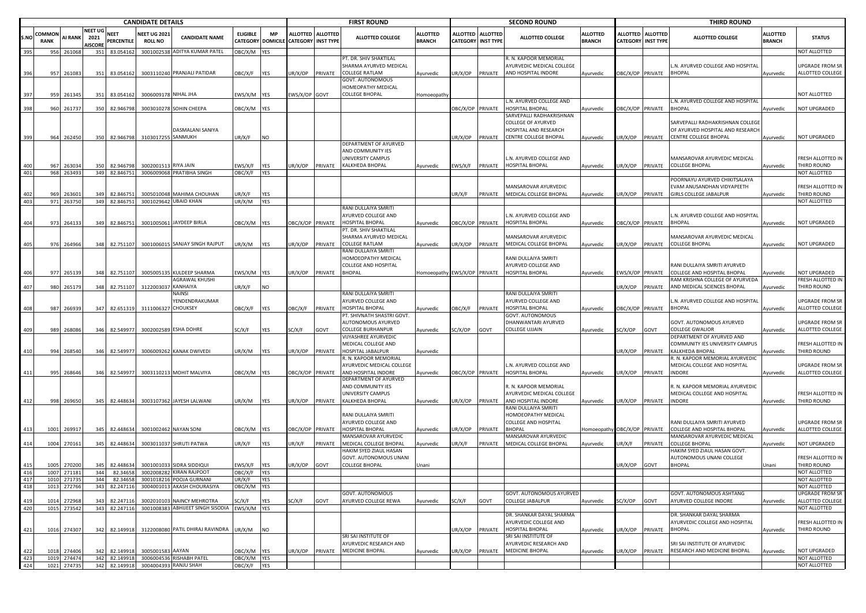|      |                |                     |                                   |                           | <b>CANDIDATE DETAILS</b>              |                                                    |                  |                   |                                                           |         | <b>FIRST ROUND</b>                               |                                  |                  |                                              | <b>SECOND ROUND</b>                       |                                  |                  |                                                | <b>THIRD ROUND</b>                                            |                                  |                                     |
|------|----------------|---------------------|-----------------------------------|---------------------------|---------------------------------------|----------------------------------------------------|------------------|-------------------|-----------------------------------------------------------|---------|--------------------------------------------------|----------------------------------|------------------|----------------------------------------------|-------------------------------------------|----------------------------------|------------------|------------------------------------------------|---------------------------------------------------------------|----------------------------------|-------------------------------------|
| S.NO | COMMON<br>RANK | <b>AI RANK</b>      | NEET UG<br>2021<br><b>AISCORE</b> | <b>NEET</b><br>PERCENTILE | <b>NEET UG 2021</b><br><b>ROLL NO</b> | <b>CANDIDATE NAME</b>                              | <b>ELIGIBLE</b>  | MP                | ALLOTTED ALLOTTED<br>CATEGORY DOMICILE CATEGORY INST TYPE |         | <b>ALLOTTED COLLEGE</b>                          | <b>ALLOTTED</b><br><b>BRANCH</b> | ALLOTTED         | <b>ALLOTTED</b><br><b>CATEGORY INST TYPE</b> | <b>ALLOTTED COLLEGE</b>                   | <b>ALLOTTED</b><br><b>BRANCH</b> |                  | ALLOTTED ALLOTTED<br><b>CATEGORY INST TYPE</b> | <b>ALLOTTED COLLEGE</b>                                       | <b>ALLOTTED</b><br><b>BRANCH</b> | <b>STATUS</b>                       |
| 395  |                | 956 261068          |                                   | 351 83.054162             |                                       | 3001002538 ADITYA KUMAR PATEL                      | OBC/X/M YES      |                   |                                                           |         |                                                  |                                  |                  |                                              |                                           |                                  |                  |                                                |                                                               |                                  | NOT ALLOTTED                        |
|      |                |                     |                                   |                           |                                       |                                                    |                  |                   |                                                           |         | PT. DR. SHIV SHAKTILAL                           |                                  |                  |                                              | R. N. KAPOOR MEMORIAL                     |                                  |                  |                                                |                                                               |                                  |                                     |
|      |                |                     |                                   |                           |                                       |                                                    |                  |                   |                                                           |         | SHARMA AYURVED MEDICAL                           |                                  |                  |                                              | AYURVEDIC MEDICAL COLLEGE                 |                                  |                  |                                                | .N. AYURVED COLLEGE AND HOSPITAL                              |                                  | UPGRADE FROM SR                     |
| 396  | 957            | 261083              | 351                               | 83.054162                 |                                       | 3003110240 PRANJALI PATIDAR                        | OBC/X/F          | <b>YES</b>        | JR/X/OP                                                   | PRIVATE | <b>COLLEGE RATLAM</b>                            | Ayurvedic                        | UR/X/OP          | PRIVATE                                      | AND HOSPITAL INDORE                       | Ayurvedic                        | OBC/X/OP PRIVATE |                                                | <b>BHOPAL</b>                                                 | Ayurvedic                        | ALLOTTED COLLEGE                    |
|      |                |                     |                                   |                           |                                       |                                                    |                  |                   |                                                           |         | GOVT. AUTONOMOUS                                 |                                  |                  |                                              |                                           |                                  |                  |                                                |                                                               |                                  |                                     |
|      |                |                     |                                   |                           |                                       |                                                    |                  |                   |                                                           |         | HOMEOPATHY MEDICAL                               |                                  |                  |                                              |                                           |                                  |                  |                                                |                                                               |                                  |                                     |
| 397  |                | 959 261345          | 351                               | 83.054162                 | 3006009178 NIHAL JHA                  |                                                    | EWS/X/M YES      |                   | EWS/X/OP GOVT                                             |         | COLLEGE BHOPAL                                   | Homoeopath                       |                  |                                              |                                           |                                  |                  |                                                |                                                               |                                  | NOT ALLOTTED                        |
| 398  | 960            | 261737              | 350                               | 82.946798                 |                                       | 3003010278 SOHIN CHEEPA                            | DBC/X/M YES      |                   |                                                           |         |                                                  |                                  | OBC/X/OP PRIVATE |                                              | N. AYURVED COLLEGE AND<br>HOSPITAL BHOPAL |                                  |                  | OBC/X/OP PRIVATE                               | N. AYURVED COLLEGE AND HOSPITAL<br>BHOPAL                     |                                  | NOT UPGRADED                        |
|      |                |                     |                                   |                           |                                       |                                                    |                  |                   |                                                           |         |                                                  |                                  |                  |                                              | SARVEPALLI RADHAKRISHNAN                  | Ayurvedic                        |                  |                                                |                                                               | Ayurvedic                        |                                     |
|      |                |                     |                                   |                           |                                       |                                                    |                  |                   |                                                           |         |                                                  |                                  |                  |                                              | <b>COLLEGE OF AYURVED</b>                 |                                  |                  |                                                | SARVEPALLI RADHAKRISHNAN COLLEGE                              |                                  |                                     |
|      |                |                     |                                   |                           |                                       | <b>DASMALANI SANIYA</b>                            |                  |                   |                                                           |         |                                                  |                                  |                  |                                              | HOSPITAL AND RESEARCH                     |                                  |                  |                                                | OF AYURVED HOSPITAL AND RESEARCH                              |                                  |                                     |
| 399  |                | 964 262450          | 350                               | 82.946798                 | 3103017255 SANMUKH                    |                                                    | JR/X/F           | <b>NO</b>         |                                                           |         |                                                  |                                  | UR/X/OP          | PRIVATE                                      | CENTRE COLLEGE BHOPAL                     | Ayurvedic                        | UR/X/OP          | PRIVATE                                        | <b>CENTRE COLLEGE BHOPAL</b>                                  | Ayurvedic                        | NOT UPGRADED                        |
|      |                |                     |                                   |                           |                                       |                                                    |                  |                   |                                                           |         | DEPARTMENT OF AYURVED                            |                                  |                  |                                              |                                           |                                  |                  |                                                |                                                               |                                  |                                     |
|      |                |                     |                                   |                           |                                       |                                                    |                  |                   |                                                           |         | AND COMMUNITY IES                                |                                  |                  |                                              |                                           |                                  |                  |                                                |                                                               |                                  |                                     |
|      |                |                     |                                   |                           |                                       |                                                    |                  |                   |                                                           |         | UNIVERSITY CAMPUS                                |                                  |                  |                                              | L.N. AYURVED COLLEGE AND                  |                                  |                  |                                                | MANSAROVAR AYURVEDIC MEDICAL                                  |                                  | FRESH ALLOTTED IN                   |
|      | 967            | 263034              | 350                               | 82.946798                 | 3002001513 RIYA JAIN                  |                                                    | :WS/X/F          | <b>YES</b>        | UR/X/OP                                                   | PRIVATE | KALKHEDA BHOPAL                                  | Ayurvedic                        | EWS/X/F          | PRIVATE                                      | HOSPITAL BHOPAL                           | Ayurvedic                        | JR/X/OP          | PRIVATE                                        | <b>COLLEGE BHOPAL</b>                                         | Ayurvedic                        | THIRD ROUND                         |
| 401  | 968            | 263493              | 349                               | 82.846751                 |                                       | 3006009068 PRATIBHA SINGH                          | <b>JBC/X/F</b>   | <b>YES</b>        |                                                           |         |                                                  |                                  |                  |                                              |                                           |                                  |                  |                                                |                                                               |                                  | NOT ALLOTTED                        |
|      |                |                     |                                   |                           |                                       |                                                    |                  |                   |                                                           |         |                                                  |                                  |                  |                                              |                                           |                                  |                  |                                                | POORNAYU AYURVED CHIKITSALAYA                                 |                                  |                                     |
|      |                |                     |                                   |                           |                                       |                                                    |                  |                   |                                                           |         |                                                  |                                  |                  |                                              | MANSAROVAR AYURVEDIC                      |                                  |                  |                                                | EVAM ANUSANDHAN VIDYAPEETH                                    |                                  | FRESH ALLOTTED IN<br>THIRD ROUND    |
| 403  | 969            | 26360<br>971 263750 |                                   | 82.84675<br>349 82.846751 |                                       | 3005010048 MAHIMA CHOUHAN<br>3001029642 UBAID KHAN | JR/X/F<br>JR/X/M | YES<br><b>YES</b> |                                                           |         |                                                  |                                  | UR/X/F           | PRIVATE                                      | MEDICAL COLLEGE BHOPAL                    | Ayurvedic                        | JR/X/OP          | PRIVATE                                        | <b>GIRLS COLLEGE JABALPUR</b>                                 | Ayurvedic                        | NOT ALLOTTED                        |
|      |                |                     |                                   |                           |                                       |                                                    |                  |                   |                                                           |         | RANI DULLAIYA SMRITI                             |                                  |                  |                                              |                                           |                                  |                  |                                                |                                                               |                                  |                                     |
|      |                |                     |                                   |                           |                                       |                                                    |                  |                   |                                                           |         | AYURVED COLLEGE AND                              |                                  |                  |                                              | .N. AYURVED COLLEGE AND                   |                                  |                  |                                                | .N. AYURVED COLLEGE AND HOSPITAL                              |                                  |                                     |
| 404  |                | 973 264133          | 349                               | 82.846751                 |                                       | 3001005061 JAYDEEP BIRLA                           | DBC/X/M YES      |                   | OBC/X/OP PRIVATE                                          |         | <b>HOSPITAL BHOPAL</b>                           | Ayurvedic                        | BC/X/OP PRIVATE  |                                              | HOSPITAL BHOPAL                           | Ayurvedic                        | OBC/X/OP PRIVATE |                                                | <b>BHOPAL</b>                                                 | Ayurvedic                        | NOT UPGRADED                        |
|      |                |                     |                                   |                           |                                       |                                                    |                  |                   |                                                           |         | PT. DR. SHIV SHAKTILAL                           |                                  |                  |                                              |                                           |                                  |                  |                                                |                                                               |                                  |                                     |
|      |                |                     |                                   |                           |                                       |                                                    |                  |                   |                                                           |         | SHARMA AYURVED MEDICAL                           |                                  |                  |                                              | MANSAROVAR AYURVEDIC                      |                                  |                  |                                                | MANSAROVAR AYURVEDIC MEDICAL                                  |                                  |                                     |
| 405  | 976            | 264966              | 348                               | 82.751107                 |                                       | 3001006015 SANJAY SINGH RAJPUT                     | JR/X/M           | YES               | JR/X/OP                                                   | PRIVATE | <b>COLLEGE RATLAM</b>                            | Ayurvedic                        | JR/X/OP          | PRIVATE                                      | MEDICAL COLLEGE BHOPAL                    | Ayurvedic                        | JR/X/OP          | PRIVATE                                        | <b>COLLEGE BHOPAL</b>                                         | Ayurvedic                        | NOT UPGRADED                        |
|      |                |                     |                                   |                           |                                       |                                                    |                  |                   |                                                           |         | RANI DULLAIYA SMRITI                             |                                  |                  |                                              |                                           |                                  |                  |                                                |                                                               |                                  |                                     |
|      |                |                     |                                   |                           |                                       |                                                    |                  |                   |                                                           |         | HOMOEOPATHY MEDICAL                              |                                  |                  |                                              | RANI DULLAIYA SMRITI                      |                                  |                  |                                                |                                                               |                                  |                                     |
|      |                |                     |                                   |                           |                                       |                                                    |                  |                   |                                                           |         | COLLEGE AND HOSPITAL                             |                                  |                  |                                              | AYURVED COLLEGE AND                       |                                  |                  |                                                | RANI DULLAIYA SMRITI AYURVED                                  |                                  |                                     |
| 406  |                | 977 265139          | 348                               | 82.751107                 |                                       | 3005005135 KULDEEP SHARMA                          | EWS/X/M YES      |                   | JR/X/OP                                                   | PRIVATE | <b>BHOPAL</b>                                    | Homoeopathy EWS/X/OP PRIVATE     |                  |                                              | HOSPITAL BHOPAL                           | Ayurvedic                        | WS/X/OP PRIVATE  |                                                | COLLEGE AND HOSPITAL BHOPAL<br>AM KRISHNA COLLEGE OF AYURVEDA | Ayurvedic                        | NOT UPGRADED<br>FRESH ALLOTTED IN   |
| 407  | <b>980</b>     | 265179              | 348                               | 82.751107                 | 312200303                             | AGRAWAL KHUSHI<br>KANHAIYA                         | JR/X/F           | NO.               |                                                           |         |                                                  |                                  |                  |                                              |                                           |                                  | JR/X/OP          | PRIVATE                                        | AND MEDICAL SCIENCES BHOPAL                                   | Ayurvedic                        | THIRD ROUND                         |
|      |                |                     |                                   |                           |                                       | NAINSI                                             |                  |                   |                                                           |         | RANI DULLAIYA SMRITI                             |                                  |                  |                                              | RANI DULLAIYA SMRITI                      |                                  |                  |                                                |                                                               |                                  |                                     |
|      |                |                     |                                   |                           |                                       | YENDENDRAKUMAR                                     |                  |                   |                                                           |         | AYURVED COLLEGE AND                              |                                  |                  |                                              | AYURVED COLLEGE AND                       |                                  |                  |                                                | L.N. AYURVED COLLEGE AND HOSPITAL                             |                                  | <b>UPGRADE FROM SR</b>              |
| 408  | 987            | 266939              | 347                               | 82.651319                 | 311100632                             | CHOUKSEY                                           | OBC/X/F          | YES               | <b>DBC/X/F</b>                                            | PRIVATE | HOSPITAL BHOPAL                                  | Ayurvedic                        | )BC/X/F          | PRIVATE                                      | <b>IOSPITAL BHOPAL</b>                    | Ayurvedic                        | OBC/X/OP PRIVATE |                                                | <b>BHOPAL</b>                                                 | Ayurvedic                        | ALLOTTED COLLEGE                    |
|      |                |                     |                                   |                           |                                       |                                                    |                  |                   |                                                           |         | PT. SHIVNATH SHASTRI GOVT.                       |                                  |                  |                                              | GOVT. AUTONOMOUS                          |                                  |                  |                                                |                                                               |                                  |                                     |
|      |                |                     |                                   |                           |                                       |                                                    |                  |                   |                                                           |         | <b>AUTONOMOUS AYURVED</b>                        |                                  |                  |                                              | DHANWANTARI AYURVED                       |                                  |                  |                                                | GOVT. AUTONOMOUS AYURVED                                      |                                  | UPGRADE FROM SR                     |
| 409  | 989            | 268086              |                                   | 346 82.549977             |                                       | 3002002589 ESHA DOHRE                              | SC/X/F           | YES               | SC/X/F                                                    | GOVT    | COLLEGE BURHANPUR                                | Ayurvedic                        | SC/X/OP          | GOVT                                         | COLLEGE UJJAIN                            | Ayurvedic                        | SC/X/OP          | GOVT                                           | COLLEGE GWALIOR                                               | Ayurvedic                        | ALLOTTED COLLEGE                    |
|      |                |                     |                                   |                           |                                       |                                                    |                  |                   |                                                           |         | VIJYASHREE AYURVEDIC                             |                                  |                  |                                              |                                           |                                  |                  |                                                | DEPARTMENT OF AYURVED AND                                     |                                  |                                     |
|      |                |                     |                                   |                           |                                       |                                                    |                  |                   |                                                           |         | MEDICAL COLLEGE AND                              |                                  |                  |                                              |                                           |                                  |                  |                                                | COMMUNITY IES UNIVERSITY CAMPUS                               |                                  | FRESH ALLOTTED IN                   |
| 410  |                | 994 268540          | 346                               | 82.549977                 |                                       | 3006009262 KANAK DWIVEDI                           | UR/X/M           | <b>YES</b>        | UR/X/OP                                                   | PRIVATE | HOSPITAL JABALPUR                                | Ayurvedic                        |                  |                                              |                                           |                                  | JR/X/OP          | PRIVATE                                        | KALKHEDA BHOPAL                                               | Ayurvedic                        | THIRD ROUND                         |
|      |                |                     |                                   |                           |                                       |                                                    |                  |                   |                                                           |         | R. N. KAPOOR MEMORIAL                            |                                  |                  |                                              |                                           |                                  |                  |                                                | I. N. KAPOOR MEMORIAL AYURVEDIC                               |                                  |                                     |
| 411  |                | 995 268646          |                                   | 346 82.549977             |                                       | 3003110213 MOHIT MALVIYA                           | OBC/X/M YES      |                   | OBC/X/OP PRIVATE                                          |         | AYURVEDIC MEDICAL COLLEGE<br>AND HOSPITAL INDORE |                                  | OBC/X/OP PRIVATE |                                              | N. AYURVED COLLEGE AND<br>HOSPITAL BHOPAL |                                  | JR/X/OP          | PRIVATE                                        | MEDICAL COLLEGE AND HOSPITAL<br>INDORE                        |                                  | UPGRADE FROM SR<br>ALLOTTED COLLEGE |
|      |                |                     |                                   |                           |                                       |                                                    |                  |                   |                                                           |         | DEPARTMENT OF AYURVED                            | Ayurvedic                        |                  |                                              |                                           | Ayurvedic                        |                  |                                                |                                                               | Ayurvedic                        |                                     |
|      |                |                     |                                   |                           |                                       |                                                    |                  |                   |                                                           |         | AND COMMUNITY IES                                |                                  |                  |                                              | R. N. KAPOOR MEMORIAL                     |                                  |                  |                                                | R. N. KAPOOR MEMORIAL AYURVEDIC                               |                                  |                                     |
|      |                |                     |                                   |                           |                                       |                                                    |                  |                   |                                                           |         | UNIVERSITY CAMPUS                                |                                  |                  |                                              | AYURVEDIC MEDICAL COLLEGE                 |                                  |                  |                                                | MEDICAL COLLEGE AND HOSPITAL                                  |                                  | FRESH ALLOTTED IN                   |
|      | 998            | 269650              | 345                               | 82.448634                 |                                       | 3003107362 JAYESH LALWANI                          | JR/X/M           | <b>YES</b>        | UR/X/OP                                                   | PRIVATE | KALKHEDA BHOPAL                                  | Ayurvedic                        | JR/X/OP          | PRIVATE                                      | <b>IND HOSPITAL INDORE</b>                | Ayurvedic                        | JR/X/OP          | PRIVATE                                        | INDORE                                                        | Ayurvedic                        | THIRD ROUND                         |
|      |                |                     |                                   |                           |                                       |                                                    |                  |                   |                                                           |         |                                                  |                                  |                  |                                              | RANI DULLAIYA SMRITI                      |                                  |                  |                                                |                                                               |                                  |                                     |
|      |                |                     |                                   |                           |                                       |                                                    |                  |                   |                                                           |         | RANI DULLAIYA SMRITI                             |                                  |                  |                                              | HOMOEOPATHY MEDICAL                       |                                  |                  |                                                |                                                               |                                  |                                     |
|      |                |                     |                                   |                           |                                       |                                                    |                  |                   |                                                           |         | AYURVED COLLEGE AND                              |                                  |                  |                                              | COLLEGE AND HOSPITAL                      |                                  |                  |                                                | RANI DULLAIYA SMRITI AYURVED                                  |                                  | <b>UPGRADE FROM SR</b>              |
| 413  | 1001           | 269917              |                                   | 345 82.448634             | 3001002462 NAYAN SONI                 |                                                    | DBC/X/M YES      |                   | OBC/X/OP PRIVATE                                          |         | <b>HOSPITAL BHOPAL</b>                           | Ayurvedic                        | UR/X/OP          | PRIVATE                                      | <b>BHOPAL</b>                             | Iomoeopathy OBC/X/OP PRIVATE     |                  |                                                | COLLEGE AND HOSPITAL BHOPAL                                   | Ayurvedic                        | ALLOTTED COLLEGE                    |
|      |                |                     |                                   |                           |                                       |                                                    |                  |                   |                                                           |         | MANSAROVAR AYURVEDIC                             |                                  |                  |                                              | MANSAROVAR AYURVEDIC                      |                                  |                  |                                                | MANSAROVAR AYURVEDIC MEDICAL                                  |                                  |                                     |
| 414  |                | 1004 270161         | 345                               | 82.448634                 |                                       | 3003011037 SHRUTI PATWA                            | UR/X/F           | <b>YES</b>        | UR/X/F                                                    | PRIVATE | MEDICAL COLLEGE BHOPAL<br>HAKIM SYED ZIAUL HASAN | Ayurvedic                        | UR/X/F           | PRIVATE                                      | MEDICAL COLLEGE BHOPAL                    | Ayurvedic                        | JR/X/F           | PRIVATE                                        | COLLEGE BHOPAL<br>HAKIM SYED ZIAUL HASAN GOVT.                | Ayurvedic                        | NOT UPGRADED                        |
|      |                |                     |                                   |                           |                                       |                                                    |                  |                   |                                                           |         | GOVT. AUTONOMOUS UNANI                           |                                  |                  |                                              |                                           |                                  |                  |                                                | AUTONOMOUS UNANI COLLEGE                                      |                                  | FRESH ALLOTTED IN                   |
|      | 1005           | 270200              | 345                               | 82.448634                 |                                       | 3001001033 SIDRA SIDDIQUI                          | EWS/X/F          | <b>YES</b>        | JR/X/OP                                                   | GOVT    | COLLEGE BHOPAL                                   | Unani                            |                  |                                              |                                           |                                  | JR/X/OP          | GOVT                                           | <b>BHOPAL</b>                                                 | Unani                            | THIRD ROUND                         |
| 416  | 1007           | 271181              | 344                               | 82.34658                  |                                       | 3002008282 KIRAN RAJPOOT                           | OBC/X/F          | <b>YES</b>        |                                                           |         |                                                  |                                  |                  |                                              |                                           |                                  |                  |                                                |                                                               |                                  | NOT ALLOTTED                        |
| 417  | 1010           | 27173               | 344                               | 82.34658                  |                                       | 3001018216 POOJA GURNANI                           | JR/X/F           | <b>YES</b>        |                                                           |         |                                                  |                                  |                  |                                              |                                           |                                  |                  |                                                |                                                               |                                  | NOT ALLOTTED                        |
| 418  |                | 1013 272766         |                                   | 343 82.247116             |                                       | 3004001013 AKASH CHOURASIYA                        | DBC/X/M YES      |                   |                                                           |         |                                                  |                                  |                  |                                              |                                           |                                  |                  |                                                |                                                               |                                  | NOT ALLOTTED                        |
|      |                |                     |                                   |                           |                                       |                                                    |                  |                   |                                                           |         | GOVT. AUTONOMOUS                                 |                                  |                  |                                              | GOVT. AUTONOMOUS AYURVED                  |                                  |                  |                                                | <b>GOVT. AUTONOMOUS ASHTANG</b>                               |                                  | <b>UPGRADE FROM SR</b>              |
| 419  |                | 1014 272968         | 343                               | 82.247116                 |                                       | 3002010103 NAINCY MEHROTRA                         | SC/X/F           | YES               | C/X/F                                                     | GOVT    | AYURVED COLLEGE REWA                             | Ayurvedic                        | SC/X/F           | GOVT                                         | COLLEGE JABALPUR                          | Ayurvedic                        | SC/X/OP          | GOVT                                           | AYURVED COLLEGE INDORE                                        | Ayurvedic                        | ALLOTTED COLLEGE                    |
| 420  |                | 1015 273542         |                                   | 343 82.247116             |                                       | 3001008383 ABHIJEET SINGH SISODIA                  | EWS/X/M YES      |                   |                                                           |         |                                                  |                                  |                  |                                              |                                           |                                  |                  |                                                |                                                               |                                  | NOT ALLOTTED                        |
|      |                |                     |                                   |                           |                                       |                                                    |                  |                   |                                                           |         |                                                  |                                  |                  |                                              | DR. SHANKAR DAYAL SHARMA                  |                                  |                  |                                                | DR. SHANKAR DAYAL SHARMA                                      |                                  |                                     |
|      |                |                     |                                   |                           |                                       | 3122008080 PATIL DHIRAJ RAVINDRA                   |                  |                   |                                                           |         |                                                  |                                  |                  |                                              | AYURVEDIC COLLEGE AND<br>HOSPITAL BHOPAL  |                                  |                  |                                                | <b>AYURVEDIC COLLEGE AND HOSPITAL</b><br><b>BHOPAL</b>        |                                  | FRESH ALLOTTED IN<br>THIRD ROUND    |
| 421  |                | 1016 274307         |                                   | 342 82.149918             |                                       |                                                    | UR/X/M           | <b>NO</b>         |                                                           |         | SRI SAI INSTITUTE OF                             |                                  | UR/X/OP          | PRIVATE                                      | SRI SAI INSTITUTE OF                      | Ayurvedic                        | UR/X/OP          | PRIVATE                                        |                                                               | Ayurvedic                        |                                     |
|      |                |                     |                                   |                           |                                       |                                                    |                  |                   |                                                           |         | AYURVEDIC RESEARCH AND                           |                                  |                  |                                              | AYURVEDIC RESEARCH AND                    |                                  |                  |                                                | SRI SAI INSTITUTE OF AYURVEDIC                                |                                  |                                     |
| 422  |                | 1018 274406         |                                   | 342 82.149918             | 3005001583 AAYAN                      |                                                    | OBC/X/M YES      |                   | JR/X/OP                                                   | PRIVATE | MEDICINE BHOPAL                                  | Ayurvedic                        | UR/X/OP          | PRIVATE                                      | <b>MEDICINE BHOPAL</b>                    | Ayurvedic                        | JR/X/OP          | PRIVATE                                        | RESEARCH AND MEDICINE BHOPAL                                  | Ayurvedic                        | NOT UPGRADED                        |
| 423  |                | 1019 274474         |                                   | 342 82.149918             |                                       | 3006004536 RISHABH PATEL                           | OBC/X/M YES      |                   |                                                           |         |                                                  |                                  |                  |                                              |                                           |                                  |                  |                                                |                                                               |                                  | NOT ALLOTTED                        |
| 424  |                | 1021 274735         |                                   |                           | 342 82.149918 3004004393 RANJU SHAH   |                                                    | OBC/X/F YES      |                   |                                                           |         |                                                  |                                  |                  |                                              |                                           |                                  |                  |                                                |                                                               |                                  | NOT ALLOTTED                        |
|      |                |                     |                                   |                           |                                       |                                                    |                  |                   |                                                           |         |                                                  |                                  |                  |                                              |                                           |                                  |                  |                                                |                                                               |                                  |                                     |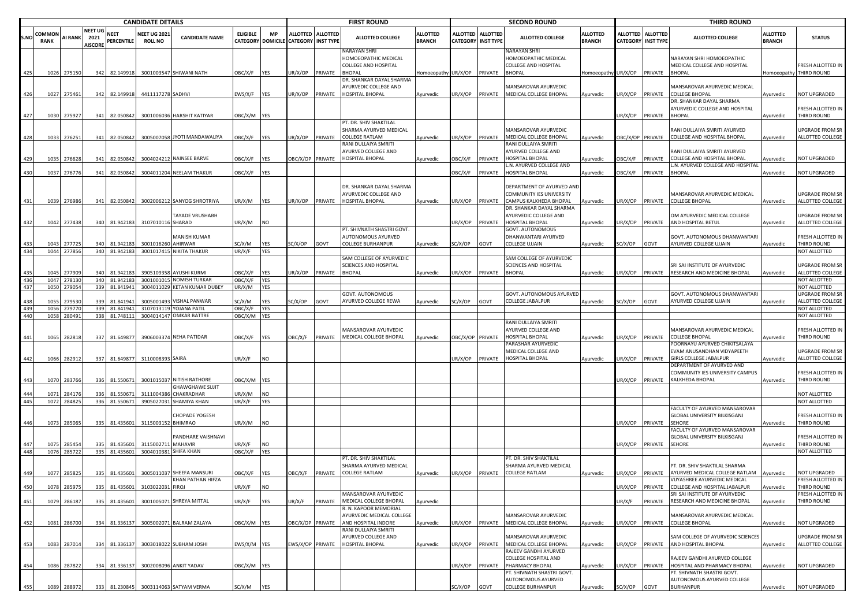|            |                              | <b>CANDIDATE DETAILS</b> |                                   |                            |                                       |                                                  |                  |                              |                                                           | <b>FIRST ROUND</b> |                                                                               |                                  |                           | <b>SECOND ROUND</b> |                                                                                      |                                  |                 | <b>THIRD ROUND</b>                             |                                                                                              |                                  |                                         |
|------------|------------------------------|--------------------------|-----------------------------------|----------------------------|---------------------------------------|--------------------------------------------------|------------------|------------------------------|-----------------------------------------------------------|--------------------|-------------------------------------------------------------------------------|----------------------------------|---------------------------|---------------------|--------------------------------------------------------------------------------------|----------------------------------|-----------------|------------------------------------------------|----------------------------------------------------------------------------------------------|----------------------------------|-----------------------------------------|
| S.NC       | <b>COMMON</b><br><b>RANK</b> | <b>AI RANK</b>           | NEET UG<br>2021<br><b>AISCORE</b> | <b>NEET</b><br>PERCENTILE  | <b>NEET UG 2021</b><br><b>ROLL NO</b> | <b>CANDIDATE NAME</b>                            | <b>ELIGIBLE</b>  | <b>MP</b>                    | ALLOTTED ALLOTTED<br>CATEGORY DOMICILE CATEGORY INST TYPE |                    | <b>ALLOTTED COLLEGE</b>                                                       | <b>ALLOTTED</b><br><b>BRANCH</b> | <b>CATEGORY INST TYPE</b> | ALLOTTED ALLOTTED   | <b>ALLOTTED COLLEGE</b>                                                              | <b>ALLOTTED</b><br><b>BRANCH</b> |                 | ALLOTTED ALLOTTED<br><b>CATEGORY INST TYPE</b> | <b>ALLOTTED COLLEGE</b>                                                                      | <b>ALLOTTED</b><br><b>BRANCH</b> | <b>STATUS</b>                           |
| 425        |                              |                          |                                   | 342 82.149918              |                                       | 3001003547 SHIWANI NATH                          | <b>JBC/X/F</b>   | <b>YES</b>                   | IR/X/OP                                                   | PRIVATE            | NARAYAN SHRI<br>HOMOEOPATHIC MEDICAL<br>COLLEGE AND HOSPITAL<br><b>BHOPAL</b> | omoeopathy UR/X/OP               |                           | PRIVATE             | <b>NARAYAN SHRI</b><br>HOMOEOPATHIC MEDICAL<br>COLLEGE AND HOSPITAL<br><b>BHOPAL</b> | Iomoeopathy                      | JR/X/OP         | PRIVATE                                        | NARAYAN SHRI HOMOEOPATHIC<br>MEDICAL COLLEGE AND HOSPITAL<br><b>BHOPAL</b>                   | Iomoeopathy                      | <b>FRESH ALLOTTED IN</b><br>THIRD ROUND |
| 426        | 1027                         | 1026 275150<br>275461    |                                   | 342 82.149918              | 4411117278 SADHVI                     |                                                  | WS/X/F           | <b>YES</b>                   | IR/X/OP                                                   | PRIVATE            | DR. SHANKAR DAYAL SHARMA<br><b>IYURVEDIC COLLEGE AND</b><br>HOSPITAL BHOPAL   | Ayurvedic                        | JR/X/OP                   | PRIVATE             | <b>MANSAROVAR AYURVEDIC</b><br>MEDICAL COLLEGE BHOPAL                                | Ayurvedic                        | JR/X/OP         | PRIVATE                                        | MANSAROVAR AYURVEDIC MEDICAL<br><b>COLLEGE BHOPAL</b>                                        | Ayurvedic                        | NOT UPGRADED                            |
| 427        | 1030                         | 275927                   | 341                               | 82.050842                  |                                       | 3001006036 HARSHIT KATIYAR                       | DBC/X/M YES      |                              |                                                           |                    |                                                                               |                                  |                           |                     |                                                                                      |                                  | JR/X/OP         | PRIVATE                                        | DR. SHANKAR DAYAL SHARMA<br>AYURVEDIC COLLEGE AND HOSPITAL<br><b>BHOPAL</b>                  | Ayurvedic                        | <b>FRESH ALLOTTED IN</b><br>THIRD ROUND |
| 428        | 1033                         | 276251                   |                                   | 341 82.050842              |                                       | 3005007058 JYOTI MANDAWALIYA                     | )BC/X/F          | <b>YES</b>                   | IR/X/OP                                                   | PRIVATE            | PT. DR. SHIV SHAKTILAL<br>SHARMA AYURVED MEDICAL<br>COLLEGE RATLAM            | Ayurvedic                        | JR/X/OP PRIVATE           |                     | <b>MANSAROVAR AYURVEDIC</b><br>MEDICAL COLLEGE BHOPAL                                | Ayurvedic                        | BC/X/OP PRIVATE |                                                | RANI DULLAIYA SMRITI AYURVED<br>COLLEGE AND HOSPITAL BHOPAL                                  | Ayurvedic                        | JPGRADE FROM SR<br>ALLOTTED COLLEGE     |
| 429        | 1035                         | 276628                   | 341                               | 82.050842                  |                                       | 3004024212 NAINSEE BARVE                         | <b>JBC/X/F</b>   | YES                          | <b>DBC/X/OP</b>                                           | PRIVATE            | RANI DULLAIYA SMRITI<br>AYURVED COLLEGE AND<br><b>HOSPITAL BHOPAL</b>         | Ayurvedic                        | <b>JBC/X/F</b>            | PRIVATE             | RANI DULLAIYA SMRITI<br>AYURVED COLLEGE AND<br>HOSPITAL BHOPAL                       | Ayurvedic                        | )BC/X/F         | PRIVATE                                        | RANI DULLAIYA SMRITI AYURVED<br>COLLEGE AND HOSPITAL BHOPAL                                  | Ayurvedic                        | NOT UPGRADED                            |
| 430        |                              | 1037 276776              |                                   | 341 82.050842              |                                       | 3004011204 NEELAM THAKUR                         | )BC/X/F          | YES                          |                                                           |                    |                                                                               |                                  | <b>JBC/X/F</b>            | PRIVATE             | .N. AYURVED COLLEGE AND<br><b>IOSPITAL BHOPAL</b>                                    | Ayurvedic                        | )BC/X/F         | PRIVATE                                        | L.N. AYURVED COLLEGE AND HOSPITAL<br><b>BHOPAL</b>                                           | Ayurvedic                        | <b>NOT UPGRADED</b>                     |
| 431        |                              | 1039 276986              |                                   | 341 82.050842              |                                       | 3002006212 SANYOG SHROTRIYA                      | JR/X/M           | YES                          | JR/X/OP                                                   | PRIVATE            | DR. SHANKAR DAYAL SHARMA<br>AYURVEDIC COLLEGE AND<br>HOSPITAL BHOPAL          | Ayurvedic                        | JR/X/OP                   | PRIVATE             | DEPARTMENT OF AYURVED AND<br>COMMUNITY IES UNIVERSITY<br>CAMPUS KALKHEDA BHOPAL      | Ayurvedic                        | JR/X/OP         | PRIVATE                                        | MANSAROVAR AYURVEDIC MEDICAL<br><b>COLLEGE BHOPAL</b>                                        | Ayurvedic                        | UPGRADE FROM SR<br>ALLOTTED COLLEGE     |
| 432        |                              | 1042 277438              |                                   | 340 81.942183              | 3107010116 SHARAD                     | <b>TAYADE VRUSHABH</b>                           | JR/X/M           | NO.                          |                                                           |                    |                                                                               |                                  | JR/X/OP                   | PRIVATE             | DR. SHANKAR DAYAL SHARMA<br><b>AYURVEDIC COLLEGE AND</b><br>HOSPITAL BHOPAL          | Ayurvedic                        | JR/X/OP         | PRIVATE                                        | OM AYURVEDIC MEDICAL COLLEGE<br>AND HOSPITAL BETUL                                           | Ayurvedic                        | JPGRADE FROM SR<br>ALLOTTED COLLEGE     |
| 433        | 1043                         | 27772                    |                                   | 340 81.942183              | 3001016260 AHIRWAR                    | <b>MANISH KUMAR</b>                              | SC/X/M           | YES                          | SC/X/OP                                                   | GOVT               | PT. SHIVNATH SHASTRI GOVT.<br>AUTONOMOUS AYURVED<br>COLLEGE BURHANPUR         | Ayurvedic                        | SC/X/OP                   | GOVT                | GOVT. AUTONOMOUS<br>DHANWANTARI AYURVED<br>COLLEGE UJJAIN                            | Ayurvedic                        | SC/X/OP         | GOVT                                           | GOVT. AUTONOMOUS DHANWANTARI<br>AYURVED COLLEGE UJJAIN                                       | Ayurvedic                        | FRESH ALLOTTED IN<br>THIRD ROUND        |
| 434        |                              | 1044 277856              |                                   | 340 81.942183              |                                       | 3001017415 NIKITA THAKUR                         | JR/X/F           | <b>YES</b>                   |                                                           |                    | SAM COLLEGE OF AYURVEDIC<br>SCIENCES AND HOSPITAL                             |                                  |                           |                     | SAM COLLEGE OF AYURVEDIC<br>SCIENCES AND HOSPITAL                                    |                                  |                 |                                                | SRI SAI INSTITUTE OF AYURVEDIC                                                               |                                  | NOT ALLOTTED<br>JPGRADE FROM SR         |
| 435<br>436 | 1045                         | 277909                   |                                   | 340 81.942183              |                                       | 3905109358 AYUSHI KURMI                          | <b>JBC/X/F</b>   | YES                          | JR/X/OP                                                   | PRIVATE            | <b>BHOPAL</b>                                                                 | Ayurvedic                        | JR/X/OP                   | PRIVATE             | <b>BHOPAL</b>                                                                        | Ayurvedic                        | JR/X/OP         | PRIVATE                                        | RESEARCH AND MEDICINE BHOPAL                                                                 | Ayurvedic                        | ALLOTTED COLLEGE                        |
| 437        | 1047                         | 278130                   |                                   | 340 81.942183              | 300100101                             | NOMISH TURKAR                                    | BC/X/F           | <b>YES</b>                   |                                                           |                    |                                                                               |                                  |                           |                     |                                                                                      |                                  |                 |                                                |                                                                                              |                                  | NOT ALLOTTED                            |
|            | 1050                         | 279054                   |                                   | 339 81.841941              | 300401102                             | <b>KETAN KUMAR DUBEY</b>                         | JR/X/M           | YES                          |                                                           |                    | GOVT. AUTONOMOUS                                                              |                                  |                           |                     | GOVT. AUTONOMOUS AYURVED                                                             |                                  |                 |                                                | GOVT. AUTONOMOUS DHANWANTARI                                                                 |                                  | NOT ALLOTTED<br>UPGRADE FROM SR         |
|            | 1055                         | 27953                    | 339                               | 81.841941                  | 300500149                             | <b>VISHAL PANWAR</b>                             | C/X/M            | YES                          | SC/X/OP                                                   | GOVT               | AYURVED COLLEGE REWA                                                          | Ayurvedic                        | SC/X/OP                   | GOVT                | COLLEGE JABALPUR                                                                     | Ayurvedic                        | SC/X/OP         | GOVT                                           | AYURVED COLLEGE UJJAIN                                                                       | Ayurvedic                        | <b>ALLOTTED COLLEGE</b>                 |
| 439        | 1056                         | 27977                    |                                   | 339 81.841941              | 310701311                             | YOJANA PATIL                                     | <b>JBC/X/F</b>   | YES                          |                                                           |                    |                                                                               |                                  |                           |                     |                                                                                      |                                  |                 |                                                |                                                                                              |                                  | NOT ALLOTTED                            |
| 440        | 1058                         | 28049                    |                                   | 338 81.748111              | 3004014147                            | <b>OMKAR BATTRE</b>                              | BC/X/M           | YES                          |                                                           |                    |                                                                               |                                  |                           |                     |                                                                                      |                                  |                 |                                                |                                                                                              |                                  | NOT ALLOTTED                            |
| 441        | 1065                         | 282818                   |                                   | 337 81.649877              |                                       | 3906003374 NEHA PATIDAR                          | <b>JBC/X/F</b>   | YES                          | <b>DBC/X/F</b>                                            | PRIVATE            | MANSAROVAR AYURVEDIC<br>MEDICAL COLLEGE BHOPAL                                | Ayurvedic                        | OBC/X/OP PRIVATE          |                     | RANI DULLAIYA SMRITI<br>AYURVED COLLEGE AND<br>HOSPITAL BHOPAL                       | Ayurvedic                        | JR/X/OP         | PRIVATE                                        | MANSAROVAR AYURVEDIC MEDICAL<br><b>COLLEGE BHOPAL</b>                                        | <b>Ayurvedic</b>                 | RESH ALLOTTED IN<br>THIRD ROUND         |
| 442        | 1066                         | 282912                   |                                   | 337 81.649877              | 3110008393 SAIRA                      |                                                  | JR/X/F           | <b>NO</b>                    |                                                           |                    |                                                                               |                                  | JR/X/OP PRIVATE           |                     | PARASHAR AYURVEDIC<br>MEDICAL COLLEGE AND<br>HOSPITAL BHOPAL                         | Ayurvedic                        | JR/X/OP         | PRIVATE                                        | POORNAYU AYURVED CHIKITSALAYA<br>EVAM ANUSANDHAN VIDYAPEETH<br><b>GIRLS COLLEGE JABALPUR</b> | vurvedic                         | JPGRADE FROM SR<br>ALLOTTED COLLEGE     |
| 443        | 1070                         | 283766                   |                                   | 336 81.550671              |                                       | 3001015037 NITISH RATHORE                        | )BC/X/M          | <b>YES</b>                   |                                                           |                    |                                                                               |                                  |                           |                     |                                                                                      |                                  | JR/X/OP         | PRIVATE                                        | DEPARTMENT OF AYURVED AND<br>COMMUNITY IES UNIVERSITY CAMPUS<br><b>KALKHEDA BHOPAL</b>       | Ayurvedic                        | FRESH ALLOTTED IN<br>THIRD ROUND        |
|            |                              |                          |                                   |                            |                                       | <b>GHAWGHAWE SUJIT</b>                           |                  |                              |                                                           |                    |                                                                               |                                  |                           |                     |                                                                                      |                                  |                 |                                                |                                                                                              |                                  |                                         |
| 445        | 1071                         | 28417<br>1072 28482      | 336                               | 81.550671<br>336 81.550671 |                                       | 3111004386 CHAKRADHAR<br>3905027031 SHAMIYA KHAN | JR/X/M<br>JR/X/F | N <sub>O</sub><br><b>YES</b> |                                                           |                    |                                                                               |                                  |                           |                     |                                                                                      |                                  |                 |                                                |                                                                                              |                                  | NOT ALLOTTED<br>NOT ALLOTTED            |
| 446        | 1073                         | 285065                   |                                   | 335 81.435601              | 3115003152 BHIMRAO                    | CHOPADE YOGESH                                   | JR/X/M           | NO                           |                                                           |                    |                                                                               |                                  |                           |                     |                                                                                      |                                  | JR/X/OP         | PRIVATE                                        | FACULTY OF AYURVED MANSAROVAR<br>GLOBAL UNIVERSITY BILKISGANJ<br><b>SEHORE</b>               | Ayurvedic                        | FRESH ALLOTTED IN<br>THIRD ROUND        |
| 447        | 1075                         | 285454                   |                                   | 335 81.435601              | 311500271                             | PANDHARE VAISHNAVI<br><b>MAHAVIR</b>             | R/X/F            | NΩ                           |                                                           |                    |                                                                               |                                  |                           |                     |                                                                                      |                                  | JR/X/OP         | PRIVATE                                        | FACULTY OF AYURVED MANSAROVAR<br>GLOBAL UNIVERSITY BILKISGANJ<br><b>SEHORE</b>               | Ayurvedic                        | FRESH ALLOTTED IN<br>THIRD ROUND        |
| 448        | 1076                         | 285722                   |                                   | 335 81.435601              |                                       | 3004010381 SHIFA KHAN                            | )BC/X/F          | YES                          |                                                           |                    |                                                                               |                                  |                           |                     |                                                                                      |                                  |                 |                                                |                                                                                              |                                  | NOT ALLOTTED                            |
| 449        |                              | 1077 285825              |                                   | 335 81.435601              |                                       | 3005011037 SHEEFA MANSURI                        | )BC/X/F          | YES                          | )BC/X/F                                                   | PRIVATE            | PT. DR. SHIV SHAKTILAL<br>SHARMA AYURVED MEDICAL<br>COLLEGE RATLAM            | Ayurvedic                        | JR/X/OP                   | PRIVATE             | PT. DR. SHIV SHAKTILAL<br>SHARMA AYURVED MEDICAL<br>COLLEGE RATLAM                   | Ayurvedic                        | JR/X/OP         | PRIVATE                                        | PT. DR. SHIV SHAKTILAL SHARMA<br>AYURVED MEDICAL COLLEGE RATLAM                              | Ayurvedic                        | NOT UPGRADED                            |
|            |                              | 1078 285975              |                                   | 335 81.435601              | 3103022031 FIROJ                      | JAN PATHAN HIFZA                                 |                  | <b>NO</b>                    |                                                           |                    |                                                                               |                                  |                           |                     |                                                                                      |                                  |                 |                                                | IJYASHKEE AYUKVEDIC MEDICAI<br>COLLEGE AND HOSPITAL JABALPUR                                 |                                  | RESH ALLOTTED I<br>THIRD ROUND          |
| 450        |                              |                          |                                   |                            |                                       |                                                  | JR/X/F           |                              |                                                           |                    | MANSAROVAR AYURVEDIC                                                          |                                  |                           |                     |                                                                                      |                                  | JR/X/OP         | PRIVATE                                        | SRI SAI INSTITUTE OF AYURVEDIC                                                               | Ayurvedic                        | RESH ALLOTTED IN                        |
| 451        |                              | 1079 286187              |                                   | 335 81.435601              |                                       | 3001005071 SHREYA MITTAL                         | JR/X/F           | YES                          | JR/X/F                                                    | PRIVATE            | MEDICAL COLLEGE BHOPAL                                                        | Ayurvedic                        |                           |                     |                                                                                      |                                  | JR/X/F          | PRIVATE                                        | RESEARCH AND MEDICINE BHOPAL                                                                 | Ayurvedic                        | THIRD ROUND                             |
| 452        |                              | 1081 286700              |                                   | 334 81.336137              |                                       | 3005002071 BALRAM ZALAYA                         | OBC/X/M YES      |                              | BC/X/OP                                                   | PRIVATE            | R. N. KAPOOR MEMORIAL<br>AYURVEDIC MEDICAL COLLEGE<br>AND HOSPITAL INDORE     | Ayurvedic                        | JR/X/OP                   | PRIVATE             | MANSAROVAR AYURVEDIC<br>MEDICAL COLLEGE BHOPAL                                       | Ayurvedic                        | JR/X/OP         | PRIVATE                                        | MANSAROVAR AYURVEDIC MEDICAL<br><b>COLLEGE BHOPAL</b>                                        | Ayurvedic                        | NOT UPGRADED                            |
| 453        |                              | 1083 287014              |                                   | 334 81.336137              |                                       | 3003018022 SUBHAM JOSHI                          | EWS/X/M YES      |                              | EWS/X/OP PRIVATE                                          |                    | RANI DULLAIYA SMRITI<br>AYURVED COLLEGE AND<br>HOSPITAL BHOPAL                | Ayurvedic                        | UR/X/OP                   | PRIVATE             | MANSAROVAR AYURVEDIC<br>MEDICAL COLLEGE BHOPAL                                       | Ayurvedic                        | JR/X/OP         | PRIVATE                                        | SAM COLLEGE OF AYURVEDIC SCIENCES<br>AND HOSPITAL BHOPAL                                     | Ayurvedic                        | JPGRADE FROM SR<br>ALLOTTED COLLEGE     |
| 454        | 1086                         | 287822                   |                                   |                            |                                       | 334 81.336137 3002008096 ANKIT YADAV             | DBC/X/M YES      |                              |                                                           |                    |                                                                               |                                  | JR/X/OP                   | PRIVATE             | RAJEEV GANDHI AYURVED<br>COLLEGE HOSPITAL AND<br>PHARMACY BHOPAL                     | Ayurvedic                        | JR/X/OP         | PRIVATE                                        | RAJEEV GANDHI AYURVED COLLEGE<br>HOSPITAL AND PHARMACY BHOPAL                                | Ayurvedic                        | NOT UPGRADED                            |
| 455        | 1089                         | 288972                   |                                   | 333 81.230845              |                                       | 3003114063 SATYAM VERMA                          | SC/X/M           | YES                          |                                                           |                    |                                                                               |                                  | SC/X/OP GOVT              |                     | T. SHIVNATH SHASTRI GOVT.<br><b>AUTONOMOUS AYURVED</b><br>COLLEGE BURHANPUR          | Ayurvedic                        | SC/X/OP         | <b>GOVT</b>                                    | PT. SHIVNATH SHASTRI GOVT.<br>AUTONOMOUS AYURVED COLLEGE<br><b>BURHANPUR</b>                 | Ayurvedic                        | NOT UPGRADED                            |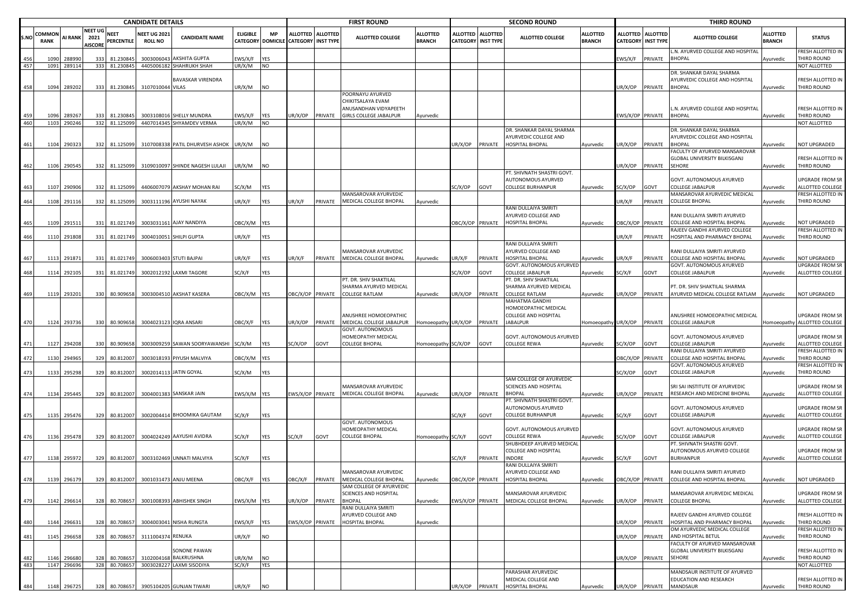| <b>COMMON</b><br>S.NO<br>456<br>457<br>458<br>459<br>460<br>461<br>462<br>463<br>464<br>465 | <b>RANK</b>  | AI RANK          | NEET UG                | NEET       |                        |                                       |                                                     |                  |            |                                                         |                 |                                                                             |                                  |                                    |                                     |                                                                                     |                           |                      |                                     |                                                                                     |                           |                                                  |
|---------------------------------------------------------------------------------------------|--------------|------------------|------------------------|------------|------------------------|---------------------------------------|-----------------------------------------------------|------------------|------------|---------------------------------------------------------|-----------------|-----------------------------------------------------------------------------|----------------------------------|------------------------------------|-------------------------------------|-------------------------------------------------------------------------------------|---------------------------|----------------------|-------------------------------------|-------------------------------------------------------------------------------------|---------------------------|--------------------------------------------------|
|                                                                                             |              |                  | 2021<br><b>NISCORE</b> |            | PERCENTILE             | <b>NEET UG 2021</b><br><b>ROLL NO</b> | <b>CANDIDATE NAME</b>                               | <b>ELIGIBLE</b>  | <b>MP</b>  | <b>ALLOTTED</b><br>CATEGORY DOMICILE CATEGORY INST TYPE | <b>ALLOTTED</b> | <b>ALLOTTED COLLEGE</b>                                                     | <b>ALLOTTED</b><br><b>BRANCH</b> | <b>ALLOTTED</b><br><b>CATEGORY</b> | <b>ALLOTTED</b><br><b>INST TYPE</b> | <b>ALLOTTED COLLEGE</b>                                                             | ALLOTTED<br><b>BRANCH</b> | ALLOTTED<br>CATEGORY | <b>ALLOTTED</b><br><b>INST TYPE</b> | <b>ALLOTTED COLLEGE</b>                                                             | ALLOTTED<br><b>BRANCH</b> | <b>STATUS</b>                                    |
|                                                                                             |              | 28899            | 333                    |            | 81.23084               | 3003006043                            | AKSHITA GUPTA                                       | EWS/X/F          | YES        |                                                         |                 |                                                                             |                                  |                                    |                                     |                                                                                     |                           | :WS/X/F              | PRIVATE                             | L.N. AYURVED COLLEGE AND HOSPITAL<br><b>BHOPAL</b>                                  | Ayurvedic                 | FRESH ALLOTTED IN<br>THIRD ROUND                 |
|                                                                                             | 1091         | 289114           |                        | 333        | 81.230845              |                                       | 4405006182 SHAHRUKH SHAH                            | UR/X/M           | NO         |                                                         |                 |                                                                             |                                  |                                    |                                     |                                                                                     |                           |                      |                                     |                                                                                     |                           | NOT ALLOTTED                                     |
|                                                                                             | 1094         | 289202           |                        | 333        | 81.230845              | 3107010044 VILAS                      | <b>BAVASKAR VIRENDRA</b>                            | UR/X/M           | NO.        |                                                         |                 | POORNAYU AYURVED                                                            |                                  |                                    |                                     |                                                                                     |                           | JR/X/OP              | PRIVATE                             | DR. SHANKAR DAYAL SHARMA<br>AYURVEDIC COLLEGE AND HOSPITAL<br><b>BHOPAL</b>         | Ayurvedic                 | FRESH ALLOTTED IN<br>THIRD ROUND                 |
|                                                                                             | 1096         | 289267           |                        | 333        | 81.230845              |                                       | 3003108016 SHELLY MUNDRA                            | EWS/X/F          | YES        | UR/X/OP                                                 | PRIVATE         | CHIKITSALAYA EVAM<br>ANUSANDHAN VIDYAPEETH<br><b>GIRLS COLLEGE JABALPUR</b> | Ayurvedic                        |                                    |                                     |                                                                                     |                           | WS/X/OP PRIVATE      |                                     | L.N. AYURVED COLLEGE AND HOSPITAL<br><b>BHOPAL</b>                                  | Ayurvedic                 | FRESH ALLOTTED IN<br>THIRD ROUND                 |
|                                                                                             | 1103         | 290246           |                        |            | 332 81.125099          |                                       | 4407014345 SHYAMDEV VERMA                           | UR/X/M           | <b>NO</b>  |                                                         |                 |                                                                             |                                  |                                    |                                     |                                                                                     |                           |                      |                                     |                                                                                     |                           | NOT ALLOTTED                                     |
|                                                                                             |              |                  |                        |            |                        |                                       |                                                     |                  |            |                                                         |                 |                                                                             |                                  |                                    |                                     | DR. SHANKAR DAYAL SHARMA                                                            |                           |                      |                                     | DR. SHANKAR DAYAL SHARMA                                                            |                           |                                                  |
|                                                                                             | 1104         | 290323           |                        | 332        | 81.125099              |                                       | 3107008338 PATIL DHURVESH ASHOK                     | UR/X/M           | NO         |                                                         |                 |                                                                             |                                  | JR/X/OP                            | PRIVATE                             | AYURVEDIC COLLEGE AND<br>HOSPITAL BHOPAL                                            | Ayurvedic                 | JR/X/OP              | PRIVATE                             | AYURVEDIC COLLEGE AND HOSPITAL<br><b>BHOPAL</b>                                     | Ayurvedic                 | NOT UPGRADED                                     |
|                                                                                             |              |                  |                        |            |                        |                                       |                                                     |                  |            |                                                         |                 |                                                                             |                                  |                                    |                                     |                                                                                     |                           |                      |                                     | FACULTY OF AYURVED MANSAROVAR                                                       |                           |                                                  |
|                                                                                             |              |                  |                        |            |                        |                                       |                                                     |                  |            |                                                         |                 |                                                                             |                                  |                                    |                                     |                                                                                     |                           |                      |                                     | GLOBAL UNIVERSITY BILKISGANJ                                                        |                           | FRESH ALLOTTED IN                                |
|                                                                                             | 1106         | 290545           |                        |            | 332 81.125099          |                                       | 3109010097 SHINDE NAGESH LULAJI                     | JR/X/M           | NO.        |                                                         |                 |                                                                             |                                  |                                    |                                     |                                                                                     |                           | JR/X/OP              | PRIVATE                             | <b>SEHORE</b>                                                                       | Ayurvedic                 | THIRD ROUND                                      |
|                                                                                             | 1107         | 290906           |                        | 332        | 81.125099              |                                       | 4406007079 AKSHAY MOHAN RAI                         | SC/X/M           | YES        |                                                         |                 |                                                                             |                                  | C/X/OP                             | GOVT                                | PT. SHIVNATH SHASTRI GOVT<br>AUTONOMOUS AYURVED<br>COLLEGE BURHANPUR                | Ayurvedic                 | SC/X/OP              | GOVT                                | GOVT. AUTONOMOUS AYURVED<br><b>COLLEGE JABALPUR</b>                                 | Ayurvedic                 | UPGRADE FROM SR<br>ALLOTTED COLLEGE              |
|                                                                                             |              |                  |                        |            |                        |                                       |                                                     |                  |            |                                                         |                 | MANSAROVAR AYURVEDIC                                                        |                                  |                                    |                                     |                                                                                     |                           |                      |                                     | MANSAROVAR AYURVEDIC MEDICAL                                                        |                           | FRESH ALLOTTED IN                                |
|                                                                                             | 1108         | 291116           | 332                    |            | 81.125099              |                                       | 3003111196 AYUSHI NAYAK                             | UR/X/F           | YES        | UR/X/F                                                  | PRIVATE         | MEDICAL COLLEGE BHOPAL                                                      | Ayurvedic                        |                                    |                                     |                                                                                     |                           | JR/X/F               | PRIVATE                             | <b>COLLEGE BHOPAL</b>                                                               | Ayurvedic                 | THIRD ROUND                                      |
|                                                                                             | 1109         | 291511           |                        | 331        | 81.021749              |                                       | 3003031161 AJAY NANDIYA                             | OBC/X/M YES      |            |                                                         |                 |                                                                             |                                  | BC/X/OP PRIVATE                    |                                     | RANI DULLAIYA SMRITI<br>AYURVED COLLEGE AND<br><b>HOSPITAL BHOPAL</b>               | Ayurvedic                 | BC/X/OP PRIVATE      |                                     | RANI DULLAIYA SMRITI AYURVED<br>COLLEGE AND HOSPITAL BHOPAL                         | Ayurvedic                 | NOT UPGRADED                                     |
|                                                                                             |              |                  |                        |            |                        |                                       |                                                     |                  |            |                                                         |                 |                                                                             |                                  |                                    |                                     |                                                                                     |                           |                      |                                     | RAJEEV GANDHI AYURVED COLLEGE                                                       |                           | FRESH ALLOTTED IN                                |
| 466                                                                                         | 1110         | 291808           |                        |            | 331 81.021749          |                                       | 3004010051 SHILPI GUPTA                             | UR/X/F           | YES        |                                                         |                 |                                                                             |                                  |                                    |                                     |                                                                                     |                           | JR/X/F               | PRIVATE                             | HOSPITAL AND PHARMACY BHOPAL                                                        | Ayurvedic                 | THIRD ROUND                                      |
| 467                                                                                         | 1113         | 291871           |                        | 331        | 81.021749              |                                       | 3006003403 STUTI BAJPAI                             | JR/X/F           | YES        | JR/X/F                                                  | PRIVATE         | MANSAROVAR AYURVEDIC<br>MEDICAL COLLEGE BHOPAL                              | Ayurvedic                        | IR/X/F                             | PRIVATE                             | RANI DULLAIYA SMRITI<br>AYURVED COLLEGE AND<br><b>HOSPITAL BHOPAL</b>               | Ayurvedic                 | R/X/F                | PRIVATE                             | RANI DULLAIYA SMRITI AYURVED<br>COLLEGE AND HOSPITAL BHOPAL                         | Ayurvedic                 | NOT UPGRADED                                     |
|                                                                                             |              |                  |                        |            |                        |                                       |                                                     |                  |            |                                                         |                 |                                                                             |                                  |                                    |                                     | GOVT. AUTONOMOUS AYURVED                                                            |                           |                      |                                     | GOVT. AUTONOMOUS AYURVED                                                            |                           | <b>UPGRADE FROM SR</b>                           |
| 468                                                                                         | 1114         | 292105           |                        | 331        | 81.021749              |                                       | 3002012192 LAXMI TAGORE                             | SC/X/F           | <b>YES</b> |                                                         |                 | PT. DR. SHIV SHAKTILAL                                                      |                                  | C/X/OP                             | GOVT                                | COLLEGE JABALPUR<br>PT. DR. SHIV SHAKTILAL                                          | Ayurvedic                 | SC/X/F               | GOVT                                | <b>COLLEGE JABALPUR</b>                                                             | Ayurvedic                 | ALLOTTED COLLEGE                                 |
| 469                                                                                         | 1119         | 293201           |                        | 330        | 80.909658              |                                       | 3003004510 AKSHAT KASERA                            | OBC/X/M YES      |            | OBC/X/OP PRIVATE                                        |                 | SHARMA AYURVED MEDICAL<br><b>COLLEGE RATLAM</b>                             | Ayurvedic                        | JR/X/OP                            | PRIVATE                             | SHARMA AYURVED MEDICAL<br><b>COLLEGE RATLAM</b>                                     | Ayurvedic                 | JR/X/OP              | PRIVATE                             | PT. DR. SHIV SHAKTILAL SHARMA<br>AYURVED MEDICAL COLLEGE RATLAM                     | Ayurvedic                 | NOT UPGRADED                                     |
| 470                                                                                         | 1124         | 293736           |                        | 330        | 80.909658              |                                       | 3004023123 IQRA ANSARI                              | OBC/X/F          | <b>YES</b> | UR/X/OP                                                 | PRIVATE         | ANUSHREE HOMOEOPATHIC<br>MEDICAL COLLEGE JABALPUR                           | Homoeopathy UR/X/OP              |                                    | PRIVATE                             | MAHATMA GANDHI<br>HOMOEOPATHIC MEDICAL<br>COLLEGE AND HOSPITAL<br><b>JABALPUR</b>   | Homoeopathy UR/X/OP       |                      | PRIVATE                             | ANUSHREE HOMOEOPATHIC MEDICAL<br><b>COLLEGE JABALPUR</b>                            |                           | UPGRADE FROM SR<br>Homoeopathy ALLOTTED COLLEGE  |
| 471                                                                                         | 1127         | 294208           |                        | 330        | 80.909658              |                                       | 3003009259 SAWAN SOORYAWANSHI                       | SC/X/M           | YES        | SC/X/OP                                                 | GOVT            | GOVT. AUTONOMOUS<br>HOMEOPATHY MEDICAL<br><b>COLLEGE BHOPAL</b>             | Homoeopathy                      | SC/X/OP                            | GOVT                                | GOVT. AUTONOMOUS AYURVED<br>COLLEGE REWA                                            | Ayurvedic                 | C/X/OP               | GOVT                                | GOVT. AUTONOMOUS AYURVED<br><b>COLLEGE JABALPUR</b>                                 | <b>Ayurvedic</b>          | <b>UPGRADE FROM SR</b><br>ALLOTTED COLLEGE       |
| 472                                                                                         | 1130         | 294965           |                        | 329        | 80.812007              |                                       | 3003018193 PIYUSH MALVIYA                           | OBC/X/M YES      |            |                                                         |                 |                                                                             |                                  |                                    |                                     |                                                                                     |                           | BC/X/OP              | PRIVATE                             | RANI DULLAIYA SMRITI AYURVED<br>COLLEGE AND HOSPITAL BHOPAL                         | Ayurvedic                 | FRESH ALLOTTED IN<br>THIRD ROUND                 |
|                                                                                             |              |                  |                        |            |                        |                                       |                                                     |                  |            |                                                         |                 |                                                                             |                                  |                                    |                                     |                                                                                     |                           |                      |                                     | GOVT. AUTONOMOUS AYURVED                                                            |                           | FRESH ALLOTTED IN                                |
| 473                                                                                         | 1133         | 295298           |                        | 329        | 80.812007              |                                       | 3002014113 JATIN GOYAL                              | SC/X/M           | YES        |                                                         |                 |                                                                             |                                  |                                    |                                     |                                                                                     |                           | GC/X/OP              | GOVT                                | COLLEGE JABALPUR                                                                    | Ayurvedic                 | THIRD ROUND                                      |
| 474                                                                                         | 1134         | 295445           |                        | 329        | 80.812007              |                                       | 3004001383 SANSKAR JAIN                             | EWS/X/M YES      |            | EWS/X/OP PRIVATE                                        |                 | MANSAROVAR AYURVEDIC<br>MEDICAL COLLEGE BHOPAL                              | Ayurvedic                        | JR/X/OP                            | PRIVATE                             | SAM COLLEGE OF AYURVEDIC<br>SCIENCES AND HOSPITAL<br>BHOPAL                         | Ayurvedic                 | JR/X/OP              | PRIVATE                             | SRI SAI INSTITUTE OF AYURVEDIC<br>RESEARCH AND MEDICINE BHOPAL                      | Ayurvedic                 | UPGRADE FROM SR<br>ALLOTTED COLLEGE              |
| 475                                                                                         | 1135         | 295476           | 329                    |            | 80.812007              |                                       | 3002004414 BHOOMIKA GAUTAM                          | SC/X/F           | YES        |                                                         |                 |                                                                             |                                  | C/X/F                              | GOVT                                | PT. SHIVNATH SHASTRI GOVT.<br><b>AUTONOMOUS AYURVED</b><br><b>COLLEGE BURHANPUR</b> | Ayurvedic                 | SC/X/F               | GOVT                                | GOVT. AUTONOMOUS AYURVED<br><b>COLLEGE JABALPUR</b>                                 | Ayurvedic                 | UPGRADE FROM SR<br>ALLOTTED COLLEGE              |
| 476                                                                                         | 1136         | 295478           |                        | 329        | 80.812007              |                                       | 3004024249 AAYUSHI AVIDRA                           | SC/X/F           | YES        | SC/X/F                                                  | GOVT            | GOVT. AUTONOMOUS<br>HOMEOPATHY MEDICAL<br><b>COLLEGE BHOPAL</b>             | Homoeopathy                      | SC/X/F                             | GOVT                                | GOVT. AUTONOMOUS AYURVED<br>COLLEGE REWA                                            | Ayurvedic                 | SC/X/OP              | GOVT                                | GOVT. AUTONOMOUS AYURVED<br><b>COLLEGE JABALPUR</b>                                 | Ayurvedic                 | <b>UPGRADE FROM SR</b><br>ALLOTTED COLLEGE       |
|                                                                                             |              |                  |                        |            |                        |                                       |                                                     |                  |            |                                                         |                 |                                                                             |                                  |                                    |                                     | SHUBHDEEP AYURVED MEDICAL                                                           |                           |                      |                                     | PT. SHIVNATH SHASTRI GOVT.                                                          |                           |                                                  |
|                                                                                             |              |                  |                        |            |                        |                                       |                                                     |                  |            |                                                         |                 |                                                                             |                                  |                                    |                                     | COLLEGE AND HOSPITAL                                                                |                           |                      |                                     | AUTONOMOUS AYURVED COLLEGE                                                          |                           | UPGRADE FROM SR                                  |
| 477                                                                                         | 1138         | 295972           |                        | 329        | 80.812007              |                                       | 3003102469 UNNATI MALVIYA                           | SC/X/F           | YES        |                                                         |                 |                                                                             |                                  | C/X/F                              | PRIVATE                             | INDORE                                                                              | Ayurvedic                 | SC/X/F               | GOVT                                | <b>BURHANPUR</b>                                                                    | Ayurvedic                 | ALLOTTED COLLEGE                                 |
|                                                                                             | 1139         | 296179           |                        |            |                        |                                       | 329 80 812007 3001031473 ANIU MEENA                 | ORC/Y/F          | <b>VES</b> |                                                         |                 | MANSAROVAR AYURVEDIC<br>OBC/X/E PRIVATE MEDICAL COLLEGE BHOPAL              | ningdir                          | OBC/X/OP PRIVATE                   |                                     | RANI DULLAIYA SMRITI<br>AYURVED COLLEGE AND<br>HOSPITAL RHOPAL                      |                           |                      |                                     | RANI DULLAIYA SMRITI AYURVED<br>OBC/X/OP PRIVATE COLLEGE AND HOSPITAL BHOPAL        | Ayurvedic                 | NOT UPGRADED                                     |
| 479                                                                                         | 1142         | 296614           |                        | 328        | 80.708657              |                                       | 3001008393 ABHISHEK SINGH                           | EWS/X/M YES      |            | UR/X/OP                                                 | PRIVATE         | SAM COLLEGE OF AYURVEDIC<br>SCIENCES AND HOSPITAL<br><b>BHOPAL</b>          | Ayurvedic                        | WS/X/OP PRIVATE                    |                                     | <b>MANSAROVAR AYURVEDIC</b><br>MEDICAL COLLEGE BHOPAL                               | Ayurvedic                 | JR/X/OP              | PRIVATE                             | MANSAROVAR AYURVEDIC MEDICAL<br><b>COLLEGE BHOPAL</b>                               | Ayurvedic                 | <b>UPGRADE FROM SR</b><br>ALLOTTED COLLEGE       |
| 480                                                                                         | 1144         | 296631           |                        | 328        | 80.708657              |                                       | 3004003041 NISHA RUNGTA                             | EWS/X/F          | <b>YES</b> | EWS/X/OP                                                | PRIVATE         | RANI DULLAIYA SMRITI<br>AYURVED COLLEGE AND<br>HOSPITAL BHOPAL              | Ayurvedic                        |                                    |                                     |                                                                                     |                           | JR/X/OP              | PRIVATE                             | RAJEEV GANDHI AYURVED COLLEGE<br>HOSPITAL AND PHARMACY BHOPAL                       | Ayurvedic                 | FRESH ALLOTTED IN<br>THIRD ROUND                 |
| 481                                                                                         | 1145         | 296658           |                        | 328        | 80.708657              | 3111004374 RENUKA                     |                                                     | UR/X/F           | NO         |                                                         |                 |                                                                             |                                  |                                    |                                     |                                                                                     |                           | JR/X/OP              | PRIVATE                             | OM AYURVEDIC MEDICAL COLLEGE<br>AND HOSPITAL BETUL<br>FACULTY OF AYURVED MANSAROVAR | Ayurvedic                 | FRESH ALLOTTED IN<br>THIRD ROUND                 |
| 482<br>483                                                                                  | 1146<br>1147 | 296680<br>296696 |                        | 328<br>328 | 80.708657<br>80.708657 | 3102004168<br>3003028227              | SONONE PAWAN<br>BALKRUSHNA<br><b>LAXMI SISODIYA</b> | UR/X/M<br>SC/X/F | NO<br>YES  |                                                         |                 |                                                                             |                                  |                                    |                                     |                                                                                     |                           | JR/X/OP              | PRIVATE                             | GLOBAL UNIVERSITY BILKISGANJ<br>SEHORE                                              | Ayurvedic                 | FRESH ALLOTTED IN<br>THIRD ROUND<br>NOT ALLOTTED |
| 484<br>1148                                                                                 |              |                  | 296725                 | 328        | 80.708657              |                                       | 3905104205 GUNJAN TIWARI                            | UR/X/F           | <b>NO</b>  |                                                         |                 |                                                                             |                                  | JR/X/OP                            | PRIVATE                             | PARASHAR AYURVEDIC<br>MEDICAL COLLEGE AND<br>HOSPITAL BHOPAL                        | Ayurvedic                 | UR/X/OP              | PRIVATE                             | MANDSAUR INSTITUTE OF AYURVED<br>EDUCATION AND RESEARCH<br>MANDSAUR                 | Ayurvedic                 | FRESH ALLOTTED IN<br>THIRD ROUND                 |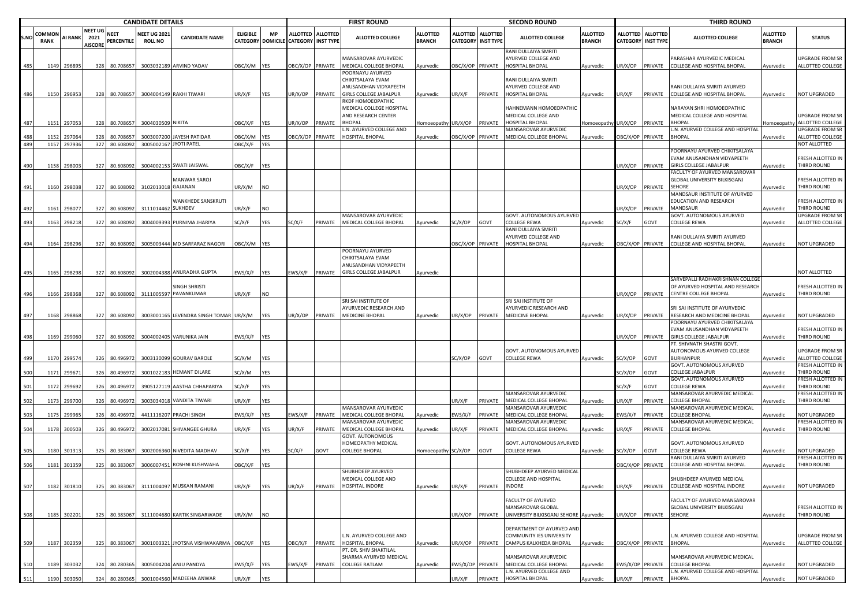|      |                |                |                                   |                            | <b>CANDIDATE DETAILS</b>              |                                          |                    |            |                                                           |         | <b>FIRST ROUND</b>                                                   |                                  |                  |                                              | <b>SECOND ROUND</b>                                            |                                  |                         |                                                | <b>THIRD ROUND</b>                                            |                                  |                                     |
|------|----------------|----------------|-----------------------------------|----------------------------|---------------------------------------|------------------------------------------|--------------------|------------|-----------------------------------------------------------|---------|----------------------------------------------------------------------|----------------------------------|------------------|----------------------------------------------|----------------------------------------------------------------|----------------------------------|-------------------------|------------------------------------------------|---------------------------------------------------------------|----------------------------------|-------------------------------------|
| S.NO | COMMON<br>RANK | <b>AI RANK</b> | NEET UG<br>2021<br><b>AISCORE</b> | NEET<br>PERCENTILE         | <b>NEET UG 2021</b><br><b>ROLL NO</b> | <b>CANDIDATE NAME</b>                    | <b>ELIGIBLE</b>    | MP         | ALLOTTED ALLOTTED<br>CATEGORY DOMICILE CATEGORY INST TYPE |         | <b>ALLOTTED COLLEGE</b>                                              | <b>ALLOTTED</b><br><b>BRANCH</b> | <b>ALLOTTED</b>  | <b>ALLOTTED</b><br><b>CATEGORY INST TYPE</b> | <b>ALLOTTED COLLEGE</b>                                        | <b>ALLOTTED</b><br><b>BRANCH</b> |                         | ALLOTTED ALLOTTED<br><b>CATEGORY INST TYPE</b> | <b>ALLOTTED COLLEGE</b>                                       | <b>ALLOTTED</b><br><b>BRANCH</b> | <b>STATUS</b>                       |
| 485  |                | 1149 296895    |                                   | 328 80.708657              |                                       | 3003032189 ARVIND YADAV                  | DBC/X/M YES        |            | OBC/X/OP PRIVATE                                          |         | MANSAROVAR AYURVEDIC<br>MEDICAL COLLEGE BHOPAL                       | Ayurvedic                        |                  | DBC/X/OP PRIVATE                             | RANI DULLAIYA SMRITI<br>AYURVED COLLEGE AND<br>HOSPITAL BHOPAL | Ayurvedic                        | JR/X/OP                 | PRIVATE                                        | PARASHAR AYURVEDIC MEDICAL<br>COLLEGE AND HOSPITAL BHOPAL     | Ayurvedic                        | UPGRADE FROM SR<br>ALLOTTED COLLEGE |
|      |                |                |                                   |                            |                                       |                                          |                    |            |                                                           |         | POORNAYU AYURVED<br>CHIKITSALAYA EVAM<br>ANUSANDHAN VIDYAPEETH       |                                  |                  |                                              | RANI DULLAIYA SMRITI<br>AYURVED COLLEGE AND                    |                                  |                         |                                                | RANI DULLAIYA SMRITI AYURVED                                  |                                  |                                     |
| 486  |                | 1150 296953    |                                   | 328 80.708657              |                                       | 3004004149 RAKHI TIWARI                  | JR/X/F             | YES        | UR/X/OP                                                   | PRIVATE | GIRLS COLLEGE JABALPUR                                               | Ayurvedic                        | UR/X/F           | PRIVATE                                      | HOSPITAL BHOPAL                                                | Ayurvedic                        | JR/X/F                  | PRIVATE                                        | COLLEGE AND HOSPITAL BHOPAL                                   | Ayurvedic                        | <b>NOT UPGRADED</b>                 |
|      |                |                |                                   |                            |                                       |                                          |                    |            |                                                           |         | RKDF HOMOEOPATHIC<br>MEDICAL COLLEGE HOSPITAL<br>AND RESEARCH CENTER |                                  |                  |                                              | HAHNEMANN HOMOEOPATHIC<br>MEDICAL COLLEGE AND                  |                                  |                         |                                                | NARAYAN SHRI HOMOEOPATHIC<br>MEDICAL COLLEGE AND HOSPITAL     |                                  | UPGRADE FROM SR                     |
| 487  |                | 1151 297053    | 328                               | 80.708657                  | 3004030509 NIKITA                     |                                          | OBC/X/F            | <b>YES</b> | JR/X/OP                                                   | PRIVATE | BHOPAL                                                               | Homoeopathy UR/X/OP              |                  | PRIVATE                                      | HOSPITAL BHOPAL                                                | Iomoeopathy UR/X/OP              |                         | PRIVATE                                        | BHOPAL                                                        | Homoeopathy                      | ALLOTTED COLLEGE                    |
| 488  | 1152           | 29706          | 328                               |                            | 3003007200                            |                                          |                    | <b>YES</b> |                                                           |         | L.N. AYURVED COLLEGE AND                                             |                                  |                  |                                              | <b>MANSAROVAR AYURVEDIC</b>                                    |                                  | <b>OBC/X/OP PRIVATE</b> |                                                | .N. AYURVED COLLEGE AND HOSPITAL                              |                                  | JPGRADE FROM SR                     |
| 489  |                | 1157 297936    |                                   | 80.708657<br>327 80.608092 |                                       | JAYESH PATIDAR<br>3005002167 JYOTI PATEL | ЭВС/Х/М<br>OBC/X/F | <b>YES</b> | OBC/X/OP PRIVATE                                          |         | HOSPITAL BHOPAL                                                      | Ayurvedic                        | OBC/X/OP PRIVATE |                                              | MEDICAL COLLEGE BHOPAL                                         | Ayurvedic                        |                         |                                                | <b>BHOPAL</b>                                                 | Ayurvedic                        | ALLOTTED COLLEGE<br>NOT ALLOTTED    |
|      |                |                |                                   |                            |                                       |                                          |                    |            |                                                           |         |                                                                      |                                  |                  |                                              |                                                                |                                  |                         |                                                | POORNAYU AYURVED CHIKITSALAYA                                 |                                  |                                     |
|      |                |                |                                   |                            |                                       |                                          |                    |            |                                                           |         |                                                                      |                                  |                  |                                              |                                                                |                                  |                         |                                                | EVAM ANUSANDHAN VIDYAPEETH                                    |                                  | FRESH ALLOTTED IN                   |
| 490  | 1158           | 298003         | 327                               | 80.608092                  |                                       | 3004002153 SWATI JAISWAL                 | OBC/X/F            | YES        |                                                           |         |                                                                      |                                  |                  |                                              |                                                                |                                  | JR/X/OP                 | PRIVATE                                        | GIRLS COLLEGE JABALPUR                                        | Ayurvedic                        | THIRD ROUND                         |
|      |                |                |                                   |                            |                                       | MANWAR SAROJ                             |                    |            |                                                           |         |                                                                      |                                  |                  |                                              |                                                                |                                  |                         |                                                | FACULTY OF AYURVED MANSAROVAR<br>GLOBAL UNIVERSITY BILKISGANJ |                                  | FRESH ALLOTTED IN                   |
| 491  |                | 1160 298038    |                                   | 327 80.608092              | 3102013018 GAJANAN                    |                                          | JR/X/M             | <b>NO</b>  |                                                           |         |                                                                      |                                  |                  |                                              |                                                                |                                  | JR/X/OP                 | PRIVATE                                        | SEHORE                                                        | Ayurvedic                        | THIRD ROUND                         |
|      |                |                |                                   |                            |                                       |                                          |                    |            |                                                           |         |                                                                      |                                  |                  |                                              |                                                                |                                  |                         |                                                | MANDSAUR INSTITUTE OF AYURVED                                 |                                  |                                     |
|      |                |                |                                   |                            |                                       | WANKHEDE SANSKRUTI                       |                    |            |                                                           |         |                                                                      |                                  |                  |                                              |                                                                |                                  |                         |                                                | EDUCATION AND RESEARCH                                        |                                  | FRESH ALLOTTED IN                   |
| 492  | 1161           | 298077         | 327                               | 80.608092                  | 3111014462 SUKHDEV                    |                                          | JR/X/F             | <b>NO</b>  |                                                           |         | MANSAROVAR AYURVEDIC                                                 |                                  |                  |                                              | GOVT. AUTONOMOUS AYURVED                                       |                                  | JR/X/OP                 | PRIVATE                                        | MANDSAUR<br>GOVT. AUTONOMOUS AYURVED                          | Ayurvedic                        | THIRD ROUND<br>UPGRADE FROM SR      |
| 493  |                | 1163 298218    | 327                               | 80.608092                  |                                       | 3004009393 PURNIMA JHARIYA               | SC/X/F             | YES        | SC/X/F                                                    | PRIVATE | MEDICAL COLLEGE BHOPAL                                               | Ayurvedic                        | SC/X/OP          | GOVT                                         | COLLEGE REWA                                                   | Ayurvedic                        | SC/X/F                  | GOVT                                           | COLLEGE REWA                                                  | Ayurvedic                        | ALLOTTED COLLEGE                    |
|      |                |                |                                   |                            |                                       |                                          |                    |            |                                                           |         |                                                                      |                                  |                  |                                              | RANI DULLAIYA SMRITI                                           |                                  |                         |                                                |                                                               |                                  |                                     |
|      |                |                |                                   |                            |                                       |                                          |                    |            |                                                           |         |                                                                      |                                  |                  |                                              | AYURVED COLLEGE AND                                            |                                  |                         |                                                | RANI DULLAIYA SMRITI AYURVED                                  |                                  |                                     |
| 494  |                | 1164 298296    |                                   | 327 80.608092              |                                       | 3005003444 MD SARFARAZ NAGORI            | DBC/X/M YES        |            |                                                           |         |                                                                      |                                  | OBC/X/OP PRIVATE |                                              | HOSPITAL BHOPAL                                                | Ayurvedic                        | <b>DBC/X/OP PRIVATE</b> |                                                | COLLEGE AND HOSPITAL BHOPAL                                   | Ayurvedic                        | NOT UPGRADED                        |
|      |                |                |                                   |                            |                                       |                                          |                    |            |                                                           |         | POORNAYU AYURVED<br>CHIKITSALAYA EVAM                                |                                  |                  |                                              |                                                                |                                  |                         |                                                |                                                               |                                  |                                     |
|      |                |                |                                   |                            |                                       |                                          |                    |            |                                                           |         | ANUSANDHAN VIDYAPEETH                                                |                                  |                  |                                              |                                                                |                                  |                         |                                                |                                                               |                                  |                                     |
| 495  |                | 1165 298298    | 327                               | 80.608092                  |                                       | 3002004388 ANURADHA GUPTA                | EWS/X/F            | <b>YES</b> | EWS/X/F                                                   | PRIVATE | <b>GIRLS COLLEGE JABALPUR</b>                                        | Ayurvedic                        |                  |                                              |                                                                |                                  |                         |                                                |                                                               |                                  | NOT ALLOTTED                        |
|      |                |                |                                   |                            |                                       |                                          |                    |            |                                                           |         |                                                                      |                                  |                  |                                              |                                                                |                                  |                         |                                                | SARVEPALLI RADHAKRISHNAN COLLEGE                              |                                  |                                     |
| 496  |                | 1166 298368    |                                   | 327 80.608092              |                                       | SINGH SHRISTI<br>3111005597 PAVANKUMAR   | JR/X/F             | <b>NO</b>  |                                                           |         |                                                                      |                                  |                  |                                              |                                                                |                                  |                         | JR/X/OP PRIVATE                                | OF AYURVED HOSPITAL AND RESEARCH<br>CENTRE COLLEGE BHOPAL     | Ayurvedic                        | FRESH ALLOTTED IN<br>THIRD ROUND    |
|      |                |                |                                   |                            |                                       |                                          |                    |            |                                                           |         | SRI SAI INSTITUTE OF                                                 |                                  |                  |                                              | SRI SAI INSTITUTE OF                                           |                                  |                         |                                                |                                                               |                                  |                                     |
|      |                |                |                                   |                            |                                       |                                          |                    |            |                                                           |         | AYURVEDIC RESEARCH AND                                               |                                  |                  |                                              | AYURVEDIC RESEARCH AND                                         |                                  |                         |                                                | SRI SAI INSTITUTE OF AYURVEDIC                                |                                  |                                     |
| 497  |                | 1168 298868    |                                   | 327 80.608092              |                                       | 3003001165 LEVENDRA SINGH TOMAR UR/X/M   |                    | <b>YES</b> | UR/X/OP                                                   | PRIVATE | MEDICINE BHOPAL                                                      | Ayurvedic                        | UR/X/OP          | PRIVATE                                      | MEDICINE BHOPAL                                                | Ayurvedic                        | JR/X/OP                 | PRIVATE                                        | RESEARCH AND MEDICINE BHOPAL                                  | Ayurvedic                        | NOT UPGRADED                        |
|      |                |                |                                   |                            |                                       |                                          |                    |            |                                                           |         |                                                                      |                                  |                  |                                              |                                                                |                                  |                         |                                                | POORNAYU AYURVED CHIKITSALAYA                                 |                                  |                                     |
| 498  |                | 1169 299060    |                                   | 327 80.608092              |                                       | 3004002405 VARUNIKA JAIN                 | EWS/X/F YES        |            |                                                           |         |                                                                      |                                  |                  |                                              |                                                                |                                  | JR/X/OP                 | PRIVATE                                        | EVAM ANUSANDHAN VIDYAPEETH<br>GIRLS COLLEGE JABALPUR          | Ayurvedic                        | FRESH ALLOTTED IN<br>THIRD ROUND    |
|      |                |                |                                   |                            |                                       |                                          |                    |            |                                                           |         |                                                                      |                                  |                  |                                              |                                                                |                                  |                         |                                                | PT. SHIVNATH SHASTRI GOVT.                                    |                                  |                                     |
|      |                |                |                                   |                            |                                       |                                          |                    |            |                                                           |         |                                                                      |                                  |                  |                                              | GOVT. AUTONOMOUS AYURVED                                       |                                  |                         |                                                | AUTONOMOUS AYURVED COLLEGE                                    |                                  | <b>UPGRADE FROM SR</b>              |
| 499  | 1170           | 299574         | 326                               | 80.496972                  |                                       | 3003130099 GOURAV BAROLE                 | SC/X/M             | YES        |                                                           |         |                                                                      |                                  | SC/X/OP          | GOVT                                         | COLLEGE REWA                                                   | Ayurvedic                        | C/X/OP                  | GOVT                                           | <b>BURHANPUR</b>                                              | Ayurvedic                        | ALLOTTED COLLEGE                    |
| 500  | 1171           | 29967          | 326                               | 80.496972                  |                                       | 3001022183 HEMANT DILARE                 | SC/X/M             | YES        |                                                           |         |                                                                      |                                  |                  |                                              |                                                                |                                  | SC/X/OP                 | GOVT                                           | GOVT. AUTONOMOUS AYURVED<br>COLLEGE JABALPUR                  | Ayurvedic                        | FRESH ALLOTTED IN<br>THIRD ROUND    |
|      |                |                |                                   |                            |                                       |                                          |                    |            |                                                           |         |                                                                      |                                  |                  |                                              |                                                                |                                  |                         |                                                | GOVT. AUTONOMOUS AYURVED                                      |                                  | FRESH ALLOTTED IN                   |
| 501  | 1172           | 299692         | 326                               | 80.496972                  |                                       | 3905127119 AASTHA CHHAPARIYA             | SC/X/F             | YES        |                                                           |         |                                                                      |                                  |                  |                                              |                                                                |                                  | SC/X/F                  | GOVT                                           | COLLEGE REWA                                                  | Ayurvedic                        | THIRD ROUND                         |
|      |                |                |                                   |                            |                                       |                                          |                    |            |                                                           |         |                                                                      |                                  |                  |                                              | MANSAROVAR AYURVEDIC                                           |                                  |                         |                                                | MANSAROVAR AYURVEDIC MEDICAL                                  |                                  | FRESH ALLOTTED IN                   |
| 502  | 1173           | 299700         | 326                               | 80.496972                  |                                       | 3003034018 VANDITA TIWARI                | JR/X/F             | YES        |                                                           |         | MANSAROVAR AYURVEDIC                                                 |                                  | JR/X/F           | PRIVATE                                      | MEDICAL COLLEGE BHOPAL<br>MANSAROVAR AYURVEDIC                 | Ayurvedic                        | JR/X/F                  | PRIVATE                                        | COLLEGE BHOPAL<br><b>MANSAROVAR AYURVEDIC MEDICAL</b>         | Avurvedic                        | THIRD ROUND                         |
| 503  | 1175           | 299965         | 326                               | 80.496972                  |                                       | 4411116207 PRACHI SINGH                  | :WS/X/F            | <b>YES</b> | WS/X/F                                                    | PRIVATE | MEDICAL COLLEGE BHOPAL                                               | Ayurvedic                        | WS/X/F           | PRIVATE                                      | MEDICAL COLLEGE BHOPAL                                         | Ayurvedic                        | WS/X/F                  | PRIVATE                                        | COLLEGE BHOPAL                                                | Ayurvedic                        | NOT UPGRADED                        |
|      |                |                |                                   |                            |                                       |                                          |                    |            |                                                           |         | MANSAROVAR AYURVEDIC                                                 |                                  |                  |                                              | MANSAROVAR AYURVEDIC                                           |                                  |                         |                                                | MANSAROVAR AYURVEDIC MEDICAL                                  |                                  | FRESH ALLOTTED IN                   |
| 504  | 1178           | 300503         | 326                               | 80.496972                  |                                       | 3002017081 SHIVANGEE GHURA               | JR/X/F             | YES        | JR/X/F                                                    | PRIVATE | MEDICAL COLLEGE BHOPAL                                               | Ayurvedic                        | JR/X/F           | PRIVATE                                      | MEDICAL COLLEGE BHOPAL                                         | Ayurvedic                        | JR/X/F                  | PRIVATE                                        | COLLEGE BHOPAL                                                | Ayurvedic                        | THIRD ROUND                         |
|      |                |                |                                   |                            |                                       |                                          |                    |            |                                                           |         | GOVT. AUTONOMOUS                                                     |                                  |                  |                                              |                                                                |                                  |                         |                                                |                                                               |                                  |                                     |
| 505  |                | 1180 301313    | 325                               | 80.383067                  |                                       | 3002006360 NIVEDITA MADHAV               | SC/X/F             | YES        | SC/X/F                                                    | GOVT    | HOMEOPATHY MEDICAL<br>COLLEGE BHOPAL                                 | Homoeopathy SC/X/OP              |                  | GOVT                                         | GOVT. AUTONOMOUS AYURVED<br>COLLEGE REWA                       | Ayurvedic                        | C/X/OP                  | GOVT                                           | GOVT. AUTONOMOUS AYURVED<br>COLLEGE REWA                      | Ayurvedic                        | NOT UPGRADED                        |
|      |                |                |                                   |                            |                                       |                                          |                    |            |                                                           |         |                                                                      |                                  |                  |                                              |                                                                |                                  |                         |                                                | RANI DULLAIYA SMRITI AYURVED                                  |                                  | FRESH ALLOTTED IN                   |
| 506  | 1181           | 301359         | 325                               | 80.383067                  |                                       | 3006007451 ROSHNI KUSHWAHA               | <b>JBC/X/F</b>     | YES        |                                                           |         |                                                                      |                                  |                  |                                              |                                                                |                                  | <b>OBC/X/OP PRIVATE</b> |                                                | COLLEGE AND HOSPITAL BHOPAL                                   | Ayurvedic                        | THIRD ROUND                         |
|      |                |                |                                   |                            |                                       |                                          |                    |            |                                                           |         | SHUBHDEEP AYURVED                                                    |                                  |                  |                                              | SHUBHDEEP AYURVED MEDICAL                                      |                                  |                         |                                                | SHUBHDEEP AYURVED MEDICAL                                     |                                  |                                     |
| 507  |                | 1182 301810    |                                   |                            |                                       | 325 80.383067 3111004097 MUSKAN RAMANI   | UR/X/F             | <b>YES</b> | UR/X/F                                                    |         | MEDICAL COLLEGE AND<br>PRIVATE HOSPITAL INDORE                       | Ayurvedic                        | UR/X/F           | PRIVATE INDORE                               | COLLEGE AND HOSPITAL                                           | Ayurvedic                        | UR/X/F                  | PRIVATE                                        | COLLEGE AND HOSPITAL INDORE                                   | Ayurvedic                        | NOT UPGRADED                        |
|      |                |                |                                   |                            |                                       |                                          |                    |            |                                                           |         |                                                                      |                                  |                  |                                              |                                                                |                                  |                         |                                                |                                                               |                                  |                                     |
|      |                |                |                                   |                            |                                       |                                          |                    |            |                                                           |         |                                                                      |                                  |                  |                                              | <b>FACULTY OF AYURVED</b>                                      |                                  |                         |                                                | FACULTY OF AYURVED MANSAROVAR                                 |                                  |                                     |
|      |                |                |                                   |                            |                                       |                                          |                    |            |                                                           |         |                                                                      |                                  |                  |                                              | MANSAROVAR GLOBAL                                              |                                  |                         |                                                | GLOBAL UNIVERSITY BILKISGANJ                                  |                                  | FRESH ALLOTTED IN                   |
| 508  |                | 1185 302201    |                                   | 325 80.383067              |                                       | 3111004680 KARTIK SINGARWADE             | UR/X/M             | <b>NO</b>  |                                                           |         |                                                                      |                                  | UR/X/OP          | PRIVATE                                      | UNIVERSITY BILKISGANJ SEHORE Ayurvedic                         |                                  | UR/X/OP                 | PRIVATE                                        | <b>SEHORE</b>                                                 | Ayurvedic                        | THIRD ROUND                         |
|      |                |                |                                   |                            |                                       |                                          |                    |            |                                                           |         |                                                                      |                                  |                  |                                              | DEPARTMENT OF AYURVED AND                                      |                                  |                         |                                                |                                                               |                                  |                                     |
|      |                |                |                                   |                            |                                       |                                          |                    |            |                                                           |         | L.N. AYURVED COLLEGE AND                                             |                                  |                  |                                              | COMMUNITY IES UNIVERSITY                                       |                                  |                         |                                                | L.N. AYURVED COLLEGE AND HOSPITAL                             |                                  | UPGRADE FROM SR                     |
| 509  |                | 1187 302359    | 325                               | 80.383067                  |                                       | 3001003321 JYOTSNA VISHWAKARMA OBC/X/F   |                    | <b>YES</b> | OBC/X/F                                                   | PRIVATE | <b>HOSPITAL BHOPAL</b>                                               | Ayurvedic                        | UR/X/OP          | PRIVATE                                      | CAMPUS KALKHEDA BHOPAL                                         | Ayurvedic                        | OBC/X/OP PRIVATE        |                                                | <b>BHOPAL</b>                                                 | Ayurvedic                        | ALLOTTED COLLEGE                    |
|      |                |                |                                   |                            |                                       |                                          |                    |            |                                                           |         | PT. DR. SHIV SHAKTILAL<br>SHARMA AYURVED MEDICAL                     |                                  |                  |                                              | MANSAROVAR AYURVEDIC                                           |                                  |                         |                                                | MANSAROVAR AYURVEDIC MEDICAL                                  |                                  |                                     |
| 510  | 1189           | 303032         | 324                               | 80.280365                  |                                       | 3005004204 ANJU PANDYA                   | EWS/X/F            | <b>YES</b> | EWS/X/F                                                   | PRIVATE | <b>COLLEGE RATLAM</b>                                                | Ayurvedic                        | EWS/X/OP PRIVATE |                                              | MEDICAL COLLEGE BHOPAL                                         | Ayurvedic                        | EWS/X/OP PRIVATE        |                                                | <b>COLLEGE BHOPAL</b>                                         | Ayurvedic                        | NOT UPGRADED                        |
|      |                |                |                                   |                            |                                       |                                          |                    |            |                                                           |         |                                                                      |                                  |                  |                                              | L.N. AYURVED COLLEGE AND                                       |                                  |                         |                                                | L.N. AYURVED COLLEGE AND HOSPITAL                             |                                  |                                     |
| 511  | 1190           | 303050         | 324                               | 80.280365                  |                                       | 3001004560 MADEEHA ANWAR                 | UR/X/F             | YES        |                                                           |         |                                                                      |                                  | UR/X/F           | PRIVATE                                      | <b>HOSPITAL BHOPAL</b>                                         | Ayurvedic                        | UR/X/F                  | PRIVATE                                        | <b>BHOPAL</b>                                                 | Ayurvedic                        | NOT UPGRADED                        |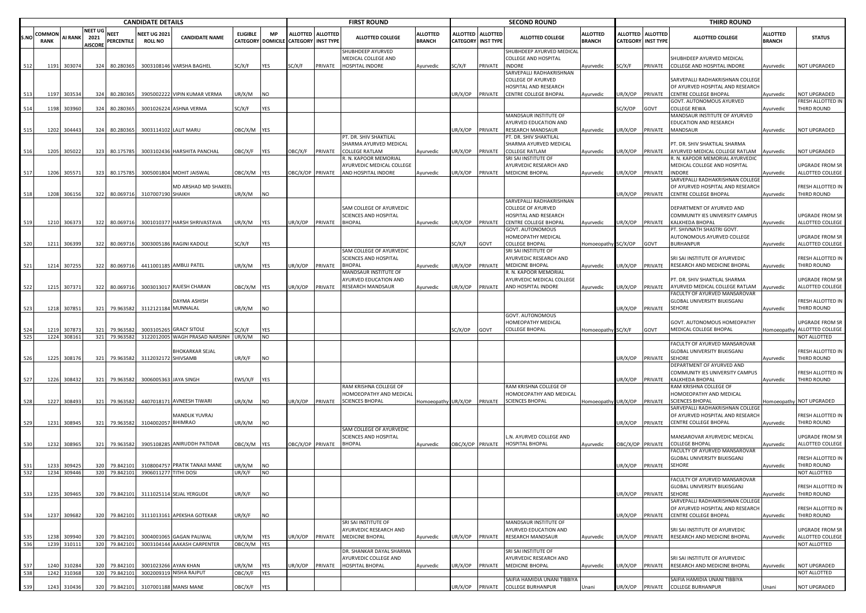|             |                       |                            |                                   |                            | <b>CANDIDATE DETAILS</b>              |                                                 |                       |                  |                                                           |         | <b>FIRST ROUND</b>                                          |                                  |                                              |                 | <b>SECOND ROUND</b>                                                     |                           |         |                                                | <b>THIRD ROUND</b>                                                   |                                  |                                     |
|-------------|-----------------------|----------------------------|-----------------------------------|----------------------------|---------------------------------------|-------------------------------------------------|-----------------------|------------------|-----------------------------------------------------------|---------|-------------------------------------------------------------|----------------------------------|----------------------------------------------|-----------------|-------------------------------------------------------------------------|---------------------------|---------|------------------------------------------------|----------------------------------------------------------------------|----------------------------------|-------------------------------------|
| S.NO        | COMMON<br><b>RANK</b> | <b>AI RANK</b>             | NEET UG<br>2021<br><b>AISCORE</b> | <b>NEET</b><br>PERCENTILE  | <b>NEET UG 2021</b><br><b>ROLL NO</b> | <b>CANDIDATE NAME</b>                           | <b>ELIGIBLE</b>       | <b>MP</b>        | ALLOTTED ALLOTTED<br>CATEGORY DOMICILE CATEGORY INST TYPE |         | <b>ALLOTTED COLLEGE</b>                                     | <b>ALLOTTED</b><br><b>BRANCH</b> | <b>ALLOTTED</b><br><b>CATEGORY INST TYPE</b> | <b>ALLOTTED</b> | <b>ALLOTTED COLLEGE</b>                                                 | ALLOTTED<br><b>BRANCH</b> |         | ALLOTTED ALLOTTED<br><b>CATEGORY INST TYPE</b> | ALLOTTED COLLEGE                                                     | <b>ALLOTTED</b><br><b>BRANCH</b> | <b>STATUS</b>                       |
| 512         |                       | 1191 303074                | 324                               | 80.280365                  |                                       | 3003108146 VARSHA BAGHEL                        | SC/X/F                | YES              | SC/X/F                                                    | PRIVATE | SHUBHDEEP AYURVED<br>MEDICAL COLLEGE AND<br>HOSPITAL INDORE | Ayurvedic                        | SC/X/F                                       | PRIVATE         | SHUBHDEEP AYURVED MEDICAL<br>COLLEGE AND HOSPITAL<br><b>INDORE</b>      | Ayurvedic                 | SC/X/F  | PRIVATE                                        | SHUBHDEEP AYURVED MEDICAL<br>COLLEGE AND HOSPITAL INDORE             | Ayurvedic                        | NOT UPGRADED                        |
|             |                       |                            |                                   |                            |                                       |                                                 |                       |                  |                                                           |         |                                                             |                                  |                                              |                 | SARVEPALLI RADHAKRISHNAN<br>COLLEGE OF AYURVED<br>HOSPITAL AND RESEARCH |                           |         |                                                | SARVEPALLI RADHAKRISHNAN COLLEGE<br>OF AYURVED HOSPITAL AND RESEARCH |                                  |                                     |
| 513         | 1197                  | 303534                     | 324                               | 80.280365                  |                                       | 3905002222 VIPIN KUMAR VERMA                    | JR/X/M                | <b>INO</b>       |                                                           |         |                                                             |                                  | UR/X/OP                                      | PRIVATE         | CENTRE COLLEGE BHOPAL                                                   | Ayurvedic                 | JR/X/OP | PRIVATE                                        | CENTRE COLLEGE BHOPAL<br>GOVT. AUTONOMOUS AYURVED                    | Avurvedic                        | NOT UPGRADED<br>FRESH ALLOTTED IN   |
| 514         |                       | 1198 303960                |                                   | 324 80.280365              |                                       | 3001026224 ASHNA VERMA                          | SC/X/F                | YES              |                                                           |         |                                                             |                                  |                                              |                 |                                                                         |                           | SC/X/OP | GOVT                                           | COLLEGE REWA                                                         | Ayurvedic                        | THIRD ROUND                         |
|             |                       |                            |                                   |                            |                                       |                                                 |                       |                  |                                                           |         |                                                             |                                  |                                              |                 | MANDSAUR INSTITUTE OF                                                   |                           |         |                                                | MANDSAUR INSTITUTE OF AYURVED                                        |                                  |                                     |
|             |                       |                            |                                   |                            |                                       |                                                 |                       |                  |                                                           |         |                                                             |                                  |                                              |                 | AYURVED EDUCATION AND                                                   |                           |         |                                                | EDUCATION AND RESEARCH                                               |                                  |                                     |
| 515         |                       | 1202 304443                |                                   | 324 80.280365              |                                       | 3003114102 LALIT MARU                           | OBC/X/M YES           |                  |                                                           |         | PT. DR. SHIV SHAKTILAL                                      |                                  | UR/X/OP                                      | PRIVATE         | RESEARCH MANDSAUR<br>PT. DR. SHIV SHAKTILAL                             | Ayurvedic                 | JR/X/OP | PRIVATE                                        | MANDSAUR                                                             | Ayurvedic                        | NOT UPGRADED                        |
|             |                       |                            |                                   |                            |                                       |                                                 |                       |                  |                                                           |         | SHARMA AYURVED MEDICAL                                      |                                  |                                              |                 | SHARMA AYURVED MEDICAL                                                  |                           |         |                                                | PT. DR. SHIV SHAKTILAL SHARMA                                        |                                  |                                     |
| 516         |                       | 1205 305022                |                                   | 323 80.175785              |                                       | 3003102436 HARSHITA PANCHAL                     | <b>JBC/X/F</b>        | <b>IYES</b>      | OBC/X/F                                                   | PRIVATE | <b>COLLEGE RATLAM</b>                                       | Ayurvedic                        | UR/X/OP                                      | PRIVATE         | COLLEGE RATLAM                                                          | Ayurvedic                 | JR/X/OP | PRIVATE                                        | AYURVED MEDICAL COLLEGE RATLAM                                       | Ayurvedic                        | NOT UPGRADED                        |
|             |                       |                            |                                   |                            |                                       |                                                 |                       |                  |                                                           |         | R. N. KAPOOR MEMORIAL<br>AYURVEDIC MEDICAL COLLEGE          |                                  |                                              |                 | SRI SAI INSTITUTE OF<br>AYURVEDIC RESEARCH AND                          |                           |         |                                                | I. N. KAPOOR MEMORIAL AYURVEDIC<br>MEDICAL COLLEGE AND HOSPITAL      |                                  | <b>UPGRADE FROM SR</b>              |
| 517         | 1206                  | 305571                     | 323                               | 80.175785                  |                                       | 3005001804 MOHIT JAISWAL                        | DBC/X/M YES           |                  | OBC/X/OP PRIVATE                                          |         | AND HOSPITAL INDORE                                         | Ayurvedic                        | UR/X/OP                                      | PRIVATE         | MEDICINE BHOPAL                                                         | Ayurvedic                 | JR/X/OP | PRIVATE                                        | <b>NDORE</b>                                                         | <b>Ayurvedic</b>                 | ALLOTTED COLLEGE                    |
|             |                       |                            |                                   |                            |                                       | MD ARSHAD MD SHAKEEI                            |                       |                  |                                                           |         |                                                             |                                  |                                              |                 |                                                                         |                           |         |                                                | SARVEPALLI RADHAKRISHNAN COLLEGE<br>OF AYURVED HOSPITAL AND RESEARCH |                                  | FRESH ALLOTTED IN                   |
| 518         | 1208                  | 306156                     |                                   | 322 80.069716              | 3107007190 SHAIKH                     |                                                 | JR/X/M                | <b>NO</b>        |                                                           |         |                                                             |                                  |                                              |                 | SARVEPALLI RADHAKRISHNAN                                                |                           | JR/X/OP | PRIVATE                                        | CENTRE COLLEGE BHOPAL                                                | Ayurvedic                        | THIRD ROUND                         |
|             |                       |                            |                                   |                            |                                       |                                                 |                       |                  |                                                           |         | SAM COLLEGE OF AYURVEDIC                                    |                                  |                                              |                 | COLLEGE OF AYURVED                                                      |                           |         |                                                | DEPARTMENT OF AYURVED AND                                            |                                  |                                     |
|             |                       |                            |                                   |                            |                                       |                                                 |                       |                  |                                                           |         | SCIENCES AND HOSPITAL                                       |                                  |                                              |                 | <b>IOSPITAL AND RESEARCH</b>                                            |                           |         |                                                | COMMUNITY IES UNIVERSITY CAMPUS                                      |                                  | UPGRADE FROM SR                     |
| 519         |                       | 1210 306373                |                                   | 322 80.069716              |                                       | 3001010377 HARSH SHRIVASTAVA                    | JR/X/M                | <b>YES</b>       | JR/X/OP                                                   | PRIVATE | <b>BHOPAL</b>                                               | Ayurvedic                        | UR/X/OP                                      | PRIVATE         | CENTRE COLLEGE BHOPAL<br>GOVT. AUTONOMOUS                               | Ayurvedic                 | JR/X/OP | PRIVATE                                        | KALKHEDA BHOPAL<br>PT. SHIVNATH SHASTRI GOVT.                        | Ayurvedic                        | ALLOTTED COLLEGE                    |
|             |                       |                            |                                   |                            |                                       |                                                 |                       |                  |                                                           |         |                                                             |                                  |                                              |                 | HOMEOPATHY MEDICAL                                                      |                           |         |                                                | AUTONOMOUS AYURVED COLLEGE                                           |                                  | UPGRADE FROM SR                     |
| 520         |                       | 1211 306399                |                                   | 322 80.069716              |                                       | 3003005186 RAGINI KADOLE                        | SC/X/F                | YES              |                                                           |         |                                                             |                                  | SC/X/F                                       | GOVT            | <b>COLLEGE BHOPAL</b>                                                   | Iomoeopathy SC/X/OP       |         | GOVT                                           | <b>BURHANPUR</b>                                                     | Ayurvedic                        | ALLOTTED COLLEGE                    |
|             |                       |                            |                                   |                            |                                       |                                                 |                       |                  |                                                           |         | SAM COLLEGE OF AYURVEDIC<br>SCIENCES AND HOSPITAL           |                                  |                                              |                 | SRI SAI INSTITUTE OF<br>AYURVEDIC RESEARCH AND                          |                           |         |                                                |                                                                      |                                  |                                     |
| 521         |                       | 1214 307255                |                                   | 322 80.069716              |                                       | 4411001185 AMBUJ PATEL                          | JR/X/M                | <b>YES</b>       | JR/X/OP                                                   | PRIVATE | <b>BHOPAL</b>                                               | Ayurvedic                        | JR/X/OP                                      | PRIVATE         | <b>MEDICINE BHOPAL</b>                                                  | Ayurvedic                 | JR/X/OP | PRIVATE                                        | SRI SAI INSTITUTE OF AYURVEDIC<br>RESEARCH AND MEDICINE BHOPAL       | Ayurvedic                        | FRESH ALLOTTED IN<br>THIRD ROUND    |
|             |                       |                            |                                   |                            |                                       |                                                 |                       |                  |                                                           |         | MANDSAUR INSTITUTE OF                                       |                                  |                                              |                 | R. N. KAPOOR MEMORIAL                                                   |                           |         |                                                |                                                                      |                                  |                                     |
|             |                       |                            |                                   |                            |                                       |                                                 |                       |                  |                                                           |         | <b>AYURVED EDUCATION AND</b>                                |                                  |                                              |                 | AYURVEDIC MEDICAL COLLEGE                                               |                           |         |                                                | PT. DR. SHIV SHAKTILAL SHARMA                                        |                                  | <b>UPGRADE FROM SR</b>              |
| 522         | 1215                  | 307371                     | 322                               | 80.069716                  |                                       | 3003013017 RAJESH CHARAN                        | DBC/X/M YES           |                  | JR/X/OP                                                   | PRIVATE | RESEARCH MANDSAUR                                           | Ayurvedic                        | UR/X/OP                                      | PRIVATE         | AND HOSPITAL INDORE                                                     | Ayurvedic                 | JR/X/OP | PRIVATE                                        | AYURVED MEDICAL COLLEGE RATLAM<br>FACULTY OF AYURVED MANSAROVAR      | Ayurvedic                        | ALLOTTED COLLEGE                    |
|             |                       |                            |                                   |                            |                                       | DAYMA ASHISH                                    |                       |                  |                                                           |         |                                                             |                                  |                                              |                 |                                                                         |                           |         |                                                | <b>GLOBAL UNIVERSITY BILKISGANJ</b>                                  |                                  | FRESH ALLOTTED IN                   |
| 523         |                       | 1218 307851                |                                   | 321 79.963582              | 3112121184 MUNNALAL                   |                                                 | JR/X/M                | <b>NO</b>        |                                                           |         |                                                             |                                  |                                              |                 |                                                                         |                           | JR/X/OP | PRIVATE                                        | <b>SEHORE</b>                                                        | Ayurvedic                        | THIRD ROUND                         |
|             |                       |                            |                                   |                            |                                       |                                                 |                       |                  |                                                           |         |                                                             |                                  |                                              |                 | GOVT. AUTONOMOUS<br>HOMEOPATHY MEDICAL                                  |                           |         |                                                | GOVT. AUTONOMOUS HOMEOPATHY                                          |                                  | UPGRADE FROM SR                     |
| 524         | 1219                  | 30787                      | 321                               | 79.963582                  | 300310526                             | <b>GRACY SITOLE</b>                             | SC/X/F                | YES              |                                                           |         |                                                             |                                  | SC/X/OP                                      | GOVT            | COLLEGE BHOPAL                                                          | Iomoeopathy SC/X/F        |         | GOVT                                           | MEDICAL COLLEGE BHOPAL                                               | Homoeopathy                      | ALLOTTED COLLEGE                    |
| 525         |                       | 1224 308161                |                                   | 321 79.963582              |                                       | 3122012005 WAGH PRASAD NARSINH                  | UR/X/M                | <b>NO</b>        |                                                           |         |                                                             |                                  |                                              |                 |                                                                         |                           |         |                                                |                                                                      |                                  | NOT ALLOTTED                        |
|             |                       |                            |                                   |                            |                                       | <b>BHOKARKAR SEJAL</b>                          |                       |                  |                                                           |         |                                                             |                                  |                                              |                 |                                                                         |                           |         |                                                | <b>FACULTY OF AYURVED MANSAROVAR</b><br>GLOBAL UNIVERSITY BILKISGANJ |                                  | FRESH ALLOTTED IN                   |
| 526         | 1225                  | 308176                     |                                   | 321 79.963582              | 3112032172 SHIVSAMB                   |                                                 | JR/X/F                | <b>NO</b>        |                                                           |         |                                                             |                                  |                                              |                 |                                                                         |                           | JR/X/OP | PRIVATE                                        | <b>SEHORE</b>                                                        | Ayurvedic                        | THIRD ROUND                         |
|             |                       |                            |                                   |                            |                                       |                                                 |                       |                  |                                                           |         |                                                             |                                  |                                              |                 |                                                                         |                           |         |                                                | DEPARTMENT OF AYURVED AND                                            |                                  |                                     |
|             |                       |                            |                                   |                            | 3006005363 JAYA SINGH                 |                                                 |                       |                  |                                                           |         |                                                             |                                  |                                              |                 |                                                                         |                           |         |                                                | COMMUNITY IES UNIVERSITY CAMPUS<br><b>KALKHEDA BHOPAL</b>            |                                  | FRESH ALLOTTED IN<br>THIRD ROUND    |
| 527         |                       | 1226 308432                |                                   | 321 79.963582              |                                       |                                                 | EWS/X/F YES           |                  |                                                           |         | RAM KRISHNA COLLEGE OF                                      |                                  |                                              |                 | RAM KRISHNA COLLEGE OF                                                  |                           | JR/X/OP | PRIVATE                                        | RAM KRISHNA COLLEGE OF                                               | Ayurvedic                        |                                     |
|             |                       |                            |                                   |                            |                                       |                                                 |                       |                  |                                                           |         | HOMOEOPATHY AND MEDICAL                                     |                                  |                                              |                 | HOMOEOPATHY AND MEDICAL                                                 |                           |         |                                                | HOMOEOPATHY AND MEDICAL                                              |                                  |                                     |
| 528         | 1227                  | 308493                     |                                   | 321 79.963582              |                                       | 4407018171 AVNEESH TIWARI                       | JR/X/M                | <b>NO</b>        | UR/X/OP                                                   | PRIVATE | SCIENCES BHOPAL                                             | Homoeopathy UR/X/OP              |                                              | PRIVATE         | <b>SCIENCES BHOPAL</b>                                                  | Iomoeopathy UR/X/OP       |         | PRIVATE                                        | <b>SCIENCES BHOPAL</b>                                               |                                  | Homoeopathy NOT UPGRADED            |
|             |                       |                            |                                   |                            |                                       | MANDLIK YUVRAJ                                  |                       |                  |                                                           |         |                                                             |                                  |                                              |                 |                                                                         |                           |         |                                                | SARVEPALLI RADHAKRISHNAN COLLEGE<br>OF AYURVED HOSPITAL AND RESEARCH |                                  | FRESH ALLOTTED IN                   |
| 529         |                       | 1231 308945                |                                   | 321 79.963582              | 3104002057 BHIMRAO                    |                                                 | JR/X/M                | <b>INO</b>       |                                                           |         |                                                             |                                  |                                              |                 |                                                                         |                           | JR/X/OP | PRIVATE                                        | CENTRE COLLEGE BHOPAL                                                | Ayurvedic                        | THIRD ROUND                         |
|             |                       |                            |                                   |                            |                                       |                                                 |                       |                  |                                                           |         | SAM COLLEGE OF AYURVEDIC                                    |                                  |                                              |                 | L.N. AYURVED COLLEGE AND                                                |                           |         |                                                | MANSAROVAR AYURVEDIC MEDICAL                                         |                                  |                                     |
| 530         | 1232                  | 308965                     | 321                               | 79.963582                  |                                       | 3905108285 ANIRUDDH PATIDAR                     | DBC/X/M YES           |                  | OBC/X/OP PRIVATE                                          |         | SCIENCES AND HOSPITAL<br><b>BHOPAL</b>                      | Ayurvedic                        | OBC/X/OP PRIVATE                             |                 | HOSPITAL BHOPAL                                                         | Ayurvedic                 |         | OBC/X/OP PRIVATE                               | COLLEGE BHOPAL                                                       | Ayurvedic                        | UPGRADE FROM SR<br>ALLOTTED COLLEGE |
|             |                       |                            |                                   |                            |                                       |                                                 |                       |                  |                                                           |         |                                                             |                                  |                                              |                 |                                                                         |                           |         |                                                | <b>FACULTY OF AYURVED MANSAROVAR</b>                                 |                                  |                                     |
|             |                       |                            |                                   |                            |                                       |                                                 |                       |                  |                                                           |         |                                                             |                                  |                                              |                 |                                                                         |                           |         |                                                | <b>GLOBAL UNIVERSITY BILKISGANJ</b>                                  |                                  | FRESH ALLOTTED IN                   |
| 531<br>532  | 1233                  | 30942<br>1234 309446       | 320                               | 79.84210<br>320 79.842101  | 31080047<br>3906011277 TITHI DOSI     | PRATIK TANAJI MANE                              | JR/X/M<br>JR/X/F      | NO.<br><b>NO</b> |                                                           |         |                                                             |                                  |                                              |                 |                                                                         |                           | JR/X/OP | PRIVATE                                        | SEHORE                                                               | Ayurvedic                        | THIRD ROUND<br>NOT ALLOTTED         |
|             |                       |                            |                                   |                            |                                       |                                                 |                       |                  |                                                           |         |                                                             |                                  |                                              |                 |                                                                         |                           |         |                                                | FACULTY OF AYURVED MANSAROVAR                                        |                                  |                                     |
| 533         |                       | 1235 309465                |                                   | 320 79.842101              |                                       | 3111025114 SEJAL YERGUDE                        | UR/X/F                | <b>NO</b>        |                                                           |         |                                                             |                                  |                                              |                 |                                                                         |                           |         | UR/X/OP PRIVATE                                | GLOBAL UNIVERSITY BILKISGANJ<br>SEHORE                               | Ayurvedic                        | FRESH ALLOTTED IN<br>THIRD ROUND    |
|             |                       |                            |                                   |                            |                                       |                                                 |                       |                  |                                                           |         |                                                             |                                  |                                              |                 |                                                                         |                           |         |                                                | SARVEPALLI RADHAKRISHNAN COLLEGE<br>OF AYURVED HOSPITAL AND RESEARCH |                                  | FRESH ALLOTTED IN                   |
| 534         |                       | 1237 309682                |                                   | 320 79.842101              |                                       | 3111013161 APEKSHA GOTEKAR                      | JR/X/F                | <b>NO</b>        |                                                           |         |                                                             |                                  |                                              |                 |                                                                         |                           | JR/X/OP | PRIVATE                                        | CENTRE COLLEGE BHOPAL                                                | Ayurvedic                        | THIRD ROUND                         |
|             |                       |                            |                                   |                            |                                       |                                                 |                       |                  |                                                           |         | SRI SAI INSTITUTE OF                                        |                                  |                                              |                 | MANDSAUR INSTITUTE OF                                                   |                           |         |                                                |                                                                      |                                  |                                     |
|             |                       |                            |                                   |                            |                                       | 3004001065 GAGAN PALIWAL                        |                       |                  |                                                           |         | AYURVEDIC RESEARCH AND                                      |                                  |                                              |                 | AYURVED EDUCATION AND                                                   |                           |         |                                                | SRI SAI INSTITUTE OF AYURVEDIC<br>RESEARCH AND MEDICINE BHOPAL       |                                  | <b>UPGRADE FROM SR</b>              |
| 535<br>536  | 1238                  | 309940<br>1239 310111      | 320                               | 79.842101<br>320 79.842101 |                                       | 3003104144 AAKASH CARPENTER                     | JR/X/M<br>OBC/X/M YES | YES              | UR/X/OP                                                   | PRIVATE | MEDICINE BHOPAL                                             | Ayurvedic                        | UR/X/OP                                      | PRIVATE         | RESEARCH MANDSAUR                                                       | Ayurvedic                 | JR/X/OP | PRIVATE                                        |                                                                      | Ayurvedic                        | ALLOTTED COLLEGE<br>NOT ALLOTTED    |
|             |                       |                            |                                   |                            |                                       |                                                 |                       |                  |                                                           |         | DR. SHANKAR DAYAL SHARMA                                    |                                  |                                              |                 | SRI SAI INSTITUTE OF                                                    |                           |         |                                                |                                                                      |                                  |                                     |
|             |                       |                            |                                   |                            |                                       |                                                 |                       |                  |                                                           |         | AYURVEDIC COLLEGE AND                                       |                                  |                                              |                 | <b>AYURVEDIC RESEARCH AND</b>                                           |                           |         |                                                | SRI SAI INSTITUTE OF AYURVEDIC                                       |                                  |                                     |
| -537<br>538 |                       | 1240 310284<br>1242 310368 | 320                               | 79.842101<br>320 79.842101 |                                       | 3001023266 AYAN KHAN<br>3002009319 NISHA RAJPUT | JR/X/M<br>OBC/X/F     | YES<br>YES       | JR/X/OP                                                   | PRIVATE | HOSPITAL BHOPAL                                             | Ayurvedic                        | UR/X/OP                                      |                 | PRIVATE MEDICINE BHOPAL                                                 | Ayurvedic                 | JR/X/OP | PRIVATE                                        | RESEARCH AND MEDICINE BHOPAL                                         | Ayurvedic                        | NOT UPGRADED<br>NOT ALLOTTED        |
|             |                       |                            |                                   |                            |                                       |                                                 |                       |                  |                                                           |         |                                                             |                                  |                                              |                 | SAIFIA HAMIDIA UNANI TIBBIYA                                            |                           |         |                                                | SAIFIA HAMIDIA UNANI TIBBIYA                                         |                                  |                                     |
| 539         |                       | 1243 310436                | 320                               | 79.842101                  |                                       | 3107001188 MANSI MANE                           | OBC/X/F               | <b>YES</b>       |                                                           |         |                                                             |                                  | UR/X/OP                                      |                 | PRIVATE COLLEGE BURHANPUR                                               | Jnani                     |         | JR/X/OP PRIVATE                                | <b>COLLEGE BURHANPUR</b>                                             | Unani                            | NOT UPGRADED                        |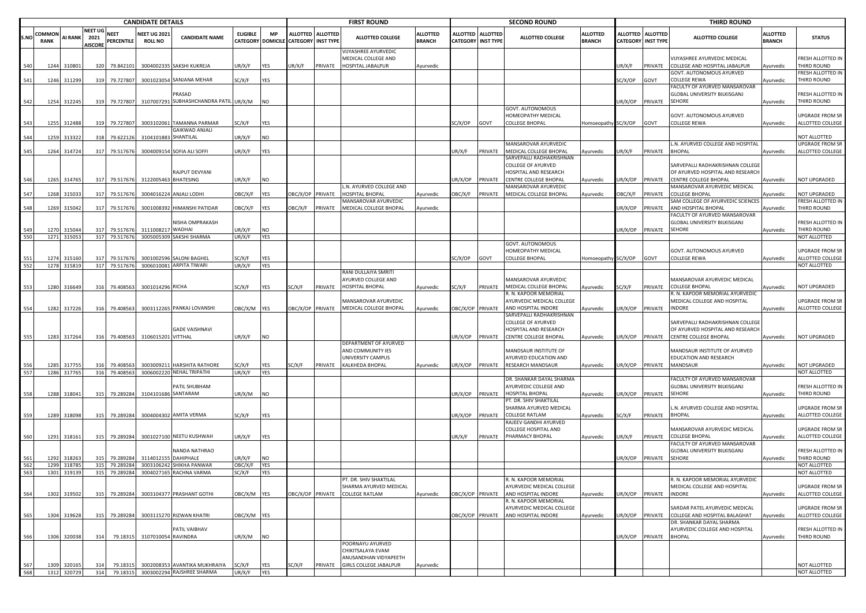|            |                       |                  |                                          |                                | <b>CANDIDATE DETAILS</b>             |                                                  |                   |                         |                                      |                   | <b>FIRST ROUND</b>                                                        |                                  |                           |                   | <b>SECOND ROUND</b>                                                       |                                  |                                    |                                     | <b>THIRD ROUND</b>                                                                    |                                  |                                            |
|------------|-----------------------|------------------|------------------------------------------|--------------------------------|--------------------------------------|--------------------------------------------------|-------------------|-------------------------|--------------------------------------|-------------------|---------------------------------------------------------------------------|----------------------------------|---------------------------|-------------------|---------------------------------------------------------------------------|----------------------------------|------------------------------------|-------------------------------------|---------------------------------------------------------------------------------------|----------------------------------|--------------------------------------------|
| S.NO       | COMMON<br><b>RANK</b> | <b>AI RANK</b>   | <b>NEET UG</b><br>2021<br><b>AISCORE</b> | <b>NEET</b><br>PERCENTILE      | <b>NEET UG 202</b><br><b>ROLL NO</b> | <b>CANDIDATE NAME</b>                            | <b>ELIGIBLE</b>   | <b>MP</b>               | CATEGORY DOMICILE CATEGORY INST TYPE | ALLOTTED ALLOTTED | <b>ALLOTTED COLLEGE</b>                                                   | <b>ALLOTTED</b><br><b>BRANCH</b> | <b>CATEGORY INST TYPE</b> | ALLOTTED ALLOTTED | <b>ALLOTTED COLLEGE</b>                                                   | <b>ALLOTTED</b><br><b>BRANCH</b> | <b>ALLOTTED</b><br><b>CATEGORY</b> | <b>ALLOTTED</b><br><b>INST TYPE</b> | <b>ALLOTTED COLLEGE</b>                                                               | <b>ALLOTTED</b><br><b>BRANCH</b> | <b>STATUS</b>                              |
|            | 1244                  | 31080            | 320                                      | 79.842101                      |                                      | 3004002335 SAKSHI KUKREJA                        | UR/X/F            | YES                     | JR/X/F                               | PRIVATE           | VIJYASHREE AYURVEDIC<br>MEDICAL COLLEGE AND<br>HOSPITAL JABALPUR          | Ayurvedic                        |                           |                   |                                                                           |                                  | UR/X/F                             | PRIVATE                             | VIJYASHREE AYURVEDIC MEDICAL<br>COLLEGE AND HOSPITAL JABALPUR                         | Ayurvedic                        | RESH ALLOTTED IN<br>THIRD ROUND            |
| 541        | 1246                  | 311299           |                                          | 319 79.727807                  |                                      | 3001023054 SANJANA MEHAR                         | SC/X/F            | YES                     |                                      |                   |                                                                           |                                  |                           |                   |                                                                           |                                  | SC/X/OP                            | GOVT                                | GOVT. AUTONOMOUS AYURVED<br>COLLEGE REWA                                              | vyurvedic                        | RESH ALLOTTED IN<br><b>THIRD ROUND</b>     |
| 542        | 1254                  | 312245           |                                          | 319 79.727807                  |                                      | PRASAD<br>3107007291 SUBHASHCHANDRA PATIL UR/X/M |                   | <b>NO</b>               |                                      |                   |                                                                           |                                  |                           |                   |                                                                           |                                  | UR/X/OP                            | PRIVATE                             | FACULTY OF AYURVED MANSAROVAR<br>GLOBAL UNIVERSITY BILKISGANJ<br><b>SEHORE</b>        | Ayurvedic                        | RESH ALLOTTED IN<br>THIRD ROUND            |
|            |                       |                  |                                          |                                |                                      |                                                  |                   |                         |                                      |                   |                                                                           |                                  |                           |                   | GOVT. AUTONOMOUS<br>HOMEOPATHY MEDICAL                                    |                                  |                                    |                                     | GOVT. AUTONOMOUS AYURVED                                                              |                                  | JPGRADE FROM SR                            |
|            | 1255                  | 312488           | 319                                      | 79.727807                      | 300310206                            | <b>TAMANNA PARMAR</b><br>GAIKWAD ANJALI          | G/X/F             | <b>YES</b>              |                                      |                   |                                                                           |                                  | C/X/OP                    | GOVT              | COLLEGE BHOPAL                                                            | Homoeopathy SC/X/OP              |                                    | GOVT                                | COLLEGE REWA                                                                          | Ayurvedic                        | ALLOTTED COLLEGE                           |
| 544        | 1259                  | 313322           | 318                                      | 79.622126                      | 3104101883 SHANTILAL                 |                                                  | UR/X/F            | <b>NO</b>               |                                      |                   |                                                                           |                                  |                           |                   | <b>MANSAROVAR AYURVEDIC</b>                                               |                                  |                                    |                                     | L.N. AYURVED COLLEGE AND HOSPITAL                                                     |                                  | NOT ALLOTTED<br>JPGRADE FROM SR            |
| 545        |                       | 1264 314724      |                                          | 317 79.517676                  |                                      | 3004009154 SOFIA ALI SOFFI                       | UR/X/F            | YES                     |                                      |                   |                                                                           |                                  | JR/X/F                    | PRIVATE           | MEDICAL COLLEGE BHOPAL<br>SARVEPALLI RADHAKRISHNAN<br>COLLEGE OF AYURVED  | Ayurvedic                        | UR/X/F                             | PRIVATE                             | <b>BHOPAL</b><br>SARVEPALLI RADHAKRISHNAN COLLEGE                                     | Ayurvedic                        | ALLOTTED COLLEGE                           |
| 546        | 1265                  | 314765           | 317                                      | 79.517676                      |                                      | RAJPUT DEVYANI<br>3122005463 BHATESING           | JR/X/F            | <b>NO</b>               |                                      |                   |                                                                           |                                  | JR/X/OP                   | PRIVATE           | HOSPITAL AND RESEARCH<br>CENTRE COLLEGE BHOPAL                            | Ayurvedic                        | JR/X/OP                            | PRIVATE                             | OF AYURVED HOSPITAL AND RESEARCH<br>CENTRE COLLEGE BHOPAL                             | Ayurvedic                        | <b>NOT UPGRADED</b>                        |
| 547        | 1268                  | 315033           | 317                                      | 79.51767                       | 300401622                            | <b>ANJALI LODHI</b>                              | OBC/X/F           | YES                     | BC/X/OP                              | PRIVATE           | L.N. AYURVED COLLEGE AND<br><b>HOSPITAL BHOPAL</b>                        | Ayurvedic                        | <b>JBC/X/F</b>            | PRIVATE           | <b>MANSAROVAR AYURVEDIC</b><br>MEDICAL COLLEGE BHOPAL                     | Ayurvedic                        | )BC/X/F                            | PRIVATE                             | MANSAROVAR AYURVEDIC MEDICAL<br><b>COLLEGE BHOPAL</b>                                 | vurvedic                         | <b>NOT UPGRADED</b>                        |
| 548        | 1269                  | 315042           |                                          | 317 79.517676                  |                                      | 3001008392 HIMANSHI PATIDAR                      | OBC/X/F           | <b>YES</b>              | <b>JBC/X/F</b>                       | PRIVATE           | MANSAROVAR AYURVEDIC<br>MEDICAL COLLEGE BHOPAL                            | Ayurvedic                        |                           |                   |                                                                           |                                  | UR/X/OP                            | PRIVATE                             | SAM COLLEGE OF AYURVEDIC SCIENCES<br>AND HOSPITAL BHOPAL                              | Ayurvedic                        | <b>RESH ALLOTTED IN</b><br>THIRD ROUND     |
|            |                       |                  |                                          |                                |                                      | <b>VISHA OMPRAKASH</b>                           |                   |                         |                                      |                   |                                                                           |                                  |                           |                   |                                                                           |                                  |                                    |                                     | FACULTY OF AYURVED MANSAROVAR<br>GLOBAL UNIVERSITY BILKISGANJ                         |                                  | RESH ALLOTTED IN                           |
| 549<br>550 | 1270<br>1271          | 315044<br>315053 |                                          | 317 79.517676<br>317 79.517676 | 311100821<br>300500530               | WADHAI<br>SAKSHI SHARMA                          | UR/X/F<br>UR/X/F  | <b>NO</b><br><b>YES</b> |                                      |                   |                                                                           |                                  |                           |                   |                                                                           |                                  | JR/X/OP                            | PRIVATE                             | SEHORE                                                                                | Ayurvedic                        | THIRD ROUND<br>NOT ALLOTTED                |
|            | 1274                  | 315160           | 317                                      | 79.517676                      | 3001002596                           | <b>SALONI BAGHEL</b>                             | SC/X/F            | <b>YES</b>              |                                      |                   |                                                                           |                                  | C/X/OP                    | GOVT              | <b>GOVT. AUTONOMOUS</b><br>HOMEOPATHY MEDICAL<br><b>COLLEGE BHOPAL</b>    | Homoeopathy SC/X/OP              |                                    | GOVT                                | GOVT. AUTONOMOUS AYURVED<br><b>COLLEGE REWA</b>                                       | Ayurvedic                        | JPGRADE FROM SR<br>ALLOTTED COLLEGE        |
| 552        | 1278                  | 315819           |                                          | 317 79.517676                  |                                      | 3006010081 ARPITA TIWARI                         | UR/X/F            | YES                     |                                      |                   |                                                                           |                                  |                           |                   |                                                                           |                                  |                                    |                                     |                                                                                       |                                  | <b>NOT ALLOTTED</b>                        |
| 553        | 1280                  | 316649           |                                          | 316 79.408563                  | 3001014296 RICHA                     |                                                  | SC/X/F            | <b>YES</b>              | SC/X/F                               | PRIVATE           | RANI DULLAIYA SMRITI<br>AYURVED COLLEGE AND<br><b>HOSPITAL BHOPAL</b>     | Ayurvedic                        | iC/X/F                    | PRIVATE           | <b>MANSAROVAR AYURVEDIC</b><br>MEDICAL COLLEGE BHOPAL                     | Ayurvedic                        | SC/X/F                             | PRIVATE                             | MANSAROVAR AYURVEDIC MEDICAL<br><b>COLLEGE BHOPAL</b>                                 | vurvedic                         | <b>NOT UPGRADED</b>                        |
| 554        | 1282                  | 317226           |                                          | 316 79.408563                  |                                      | 3003112265 PANKAJ LOVANSHI                       | OBC/X/M YES       |                         | DBC/X/OP PRIVATE                     |                   | MANSAROVAR AYURVEDIC<br>MEDICAL COLLEGE BHOPAL                            | Ayurvedic                        | OBC/X/OP PRIVATE          |                   | R. N. KAPOOR MEMORIAL<br>AYURVEDIC MEDICAL COLLEGE<br>AND HOSPITAL INDORE | Ayurvedic                        | UR/X/OP                            | PRIVATE                             | R. N. KAPOOR MEMORIAL AYURVEDIC<br>MEDICAL COLLEGE AND HOSPITAL<br><b>INDORE</b>      | Ayurvedic                        | JPGRADE FROM SR<br>ALLOTTED COLLEGE        |
|            |                       |                  |                                          |                                |                                      | GADE VAISHNAVI                                   |                   |                         |                                      |                   |                                                                           |                                  |                           |                   | SARVEPALLI RADHAKRISHNAN<br>COLLEGE OF AYURVED<br>HOSPITAL AND RESEARCH   |                                  |                                    |                                     | SARVEPALLI RADHAKRISHNAN COLLEGE<br>OF AYURVED HOSPITAL AND RESEARCI                  |                                  |                                            |
| 555        |                       | 1283 317264      |                                          | 316 79.408563                  | 3106015201 VITTHAL                   |                                                  | UR/X/F            | <b>NO</b>               |                                      |                   | DEPARTMENT OF AYURVED                                                     |                                  | UR/X/OP PRIVATE           |                   | CENTRE COLLEGE BHOPAL                                                     | Ayurvedic                        | UR/X/OP                            | PRIVATE                             | <b>CENTRE COLLEGE BHOPAL</b>                                                          | Ayurvedic                        | NOT UPGRADED                               |
|            | 1285                  | 31775            | 316                                      | 79.40856                       | 300300921                            | <b>HARSHITA RATHORE</b>                          | SC/X/F            | YES                     | SC/X/F                               | PRIVATE           | AND COMMUNITY IES<br>UNIVERSITY CAMPUS<br><b>KALKHEDA BHOPAL</b>          | Ayurvedic                        | JR/X/OP                   | PRIVATE           | MANDSAUR INSTITUTE OF<br>AYURVED EDUCATION AND<br>RESEARCH MANDSAUR       | Ayurvedic                        | JR/X/OP                            | PRIVATE                             | MANDSAUR INSTITUTE OF AYURVED<br>EDUCATION AND RESEARCH<br>MANDSAUR                   | Ayurvedic                        | <b>NOT UPGRADED</b>                        |
| 557        | 1286                  | 317765           |                                          | 316 79.408563                  |                                      | 3006002220 NEHAL TRIPATHI                        | UR/X/F            | YES                     |                                      |                   |                                                                           |                                  |                           |                   |                                                                           |                                  |                                    |                                     |                                                                                       |                                  | <b>NOT ALLOTTED</b>                        |
| 558        | 1288                  | 318041           |                                          | 315 79.289284                  |                                      | PATIL SHUBHAM<br>3104101686 SANTARAM             | UR/X/M            | <b>NO</b>               |                                      |                   |                                                                           |                                  | JR/X/OP                   | PRIVATE           | DR. SHANKAR DAYAL SHARMA<br>AYURVEDIC COLLEGE AND<br>HOSPITAL BHOPAL      | Ayurvedic                        | JR/X/OP                            | PRIVATE                             | ACULTY OF AYURVED MANSAROVAR<br>GLOBAL UNIVERSITY BILKISGANJ<br><b>SEHORE</b>         | Ayurvedic                        | RESH ALLOTTED IN<br>THIRD ROUND            |
|            |                       |                  |                                          |                                |                                      |                                                  |                   | YES                     |                                      |                   |                                                                           |                                  |                           |                   | PT. DR. SHIV SHAKTILAL<br>SHARMA AYURVED MEDICAL                          |                                  |                                    |                                     | .N. AYURVED COLLEGE AND HOSPITAL<br><b>BHOPAL</b>                                     |                                  | JPGRADE FROM SR                            |
| 559        | 1289                  | 318098           |                                          | 315 79.289284                  |                                      | 3004004302 AMITA VERMA                           | SC/X/F            |                         |                                      |                   |                                                                           |                                  | JR/X/OP                   | PRIVATE           | COLLEGE RATLAM<br>RAJEEV GANDHI AYURVED<br>COLLEGE HOSPITAL AND           | Ayurvedic                        | SC/X/F                             | PRIVATE                             | MANSAROVAR AYURVEDIC MEDICAL                                                          | Ayurvedic                        | ALLOTTED COLLEGE<br>JPGRADE FROM SR        |
| 560        | 1291                  | 318161           |                                          | 315 79.289284                  |                                      | 3001027100 NEETU KUSHWAH<br><b>VANDA NATHRAO</b> | UR/X/F            | <b>YES</b>              |                                      |                   |                                                                           |                                  | JR/X/F                    | PRIVATE           | PHARMACY BHOPAL                                                           | Ayurvedic                        | UR/X/F                             | PRIVATE                             | <b>COLLEGE BHOPAL</b><br>ACULTY OF AYURVED MANSAROVAR<br>GLOBAL UNIVERSITY BILKISGANJ | Ayurvedic                        | ALLOTTED COLLEGE<br>RESH ALLOTTED IN       |
| 561        | 1292                  | 318263           |                                          | 315 79.289284                  | 3114012155                           | DAHIPHALE                                        | UR/X/F            | <b>NO</b>               |                                      |                   |                                                                           |                                  |                           |                   |                                                                           |                                  | UR/X/OP                            | PRIVATE                             | SEHORE                                                                                | Ayurvedic                        | <b>HIRD ROUND</b>                          |
| 562<br>563 | 1299<br>1301          | 318785<br>319139 |                                          | 315 79.289284<br>315 79.289284 | 300310624                            | SHIKHA PANWAR<br>3004027165 RACHNA VARMA         | OBC/X/F<br>SC/X/F | <b>YES</b><br>YES       |                                      |                   |                                                                           |                                  |                           |                   |                                                                           |                                  |                                    |                                     |                                                                                       |                                  | NOT ALLOTTED<br><b>JOT ALLOTTED</b>        |
| 564        |                       | 1302 319502      |                                          | 315 79.289284                  |                                      | 3003104377 PRASHANT GOTHI                        | OBC/X/M YES       |                         |                                      | OBC/X/OP PRIVATE  | PT. DR. SHIV SHAKTILAL<br>SHARMA AYURVED MEDICAL<br><b>COLLEGE RATLAM</b> | Ayurvedic                        | OBC/X/OP PRIVATE          |                   | R. N. KAPOOR MEMORIAL<br>AYURVEDIC MEDICAL COLLEGE<br>AND HOSPITAL INDORE | Ayurvedic                        | UR/X/OP                            | PRIVATE                             | R. N. KAPOOR MEMORIAL AYURVEDIC<br>MEDICAL COLLEGE AND HOSPITAL<br><b>INDORE</b>      | Ayurvedic                        | <b>UPGRADE FROM SR</b><br>ALLOTTED COLLEGE |
| 565        |                       | 1304 319628      |                                          | 315 79.289284                  |                                      | 3003115270 RIZWAN KHATRI                         | OBC/X/M YES       |                         |                                      |                   |                                                                           |                                  | OBC/X/OP PRIVATE          |                   | R. N. KAPOOR MEMORIAL<br>AYURVEDIC MEDICAL COLLEGE<br>AND HOSPITAL INDORE | Ayurvedic                        | UR/X/OP                            | PRIVATE                             | SARDAR PATEL AYURVEDIC MEDICAL<br>COLLEGE AND HOSPITAL BALAGHAT                       | Ayurvedic                        | UPGRADE FROM SR<br>ALLOTTED COLLEGE        |
|            |                       |                  |                                          |                                |                                      | PATIL VAIBHAV                                    |                   |                         |                                      |                   |                                                                           |                                  |                           |                   |                                                                           |                                  |                                    |                                     | DR. SHANKAR DAYAL SHARMA<br>AYURVEDIC COLLEGE AND HOSPITAL                            |                                  | RESH ALLOTTED IN                           |
| 566        |                       | 1306 320038      | 314                                      | 79.18315                       | 3107010054 RAVINDRA                  |                                                  | UR/X/M            | <b>NO</b>               |                                      |                   | POORNAYU AYURVED<br>CHIKITSALAYA EVAM                                     |                                  |                           |                   |                                                                           |                                  | UR/X/OP                            | PRIVATE                             | <b>BHOPAL</b>                                                                         | Ayurvedic                        | THIRD ROUND                                |
| 567        | 1309                  | 320165           | 314                                      | 79.18315                       |                                      | 3002008353 AVANTIKA MUKHRAIYA                    | SC/X/F            | YES                     | SC/X/F                               | PRIVATE           | ANUSANDHAN VIDYAPEETH<br><b>GIRLS COLLEGE JABALPUR</b>                    | Ayurvedic                        |                           |                   |                                                                           |                                  |                                    |                                     |                                                                                       |                                  | <b>JOT ALLOTTED</b>                        |
| 568        |                       | 1312 320729      | 314                                      |                                |                                      | 79.18315 3003002294 RAJSHREE SHARMA              | UR/X/F            | <b>YES</b>              |                                      |                   |                                                                           |                                  |                           |                   |                                                                           |                                  |                                    |                                     |                                                                                       |                                  | NOT ALLOTTED                               |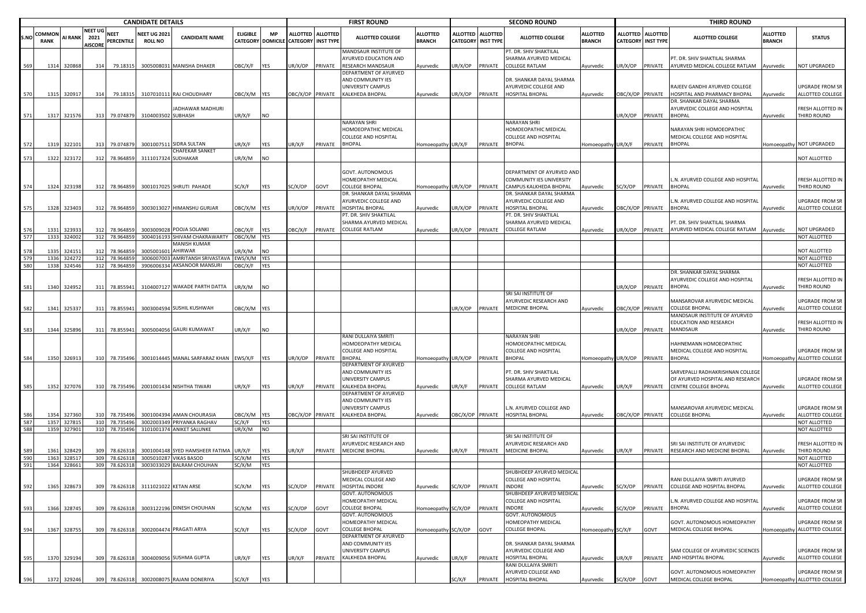|            | <b>CANDIDATE DETAILS</b> |             |                |               |                    |                                        |                 |                          |                           |                 | <b>FIRST ROUND</b>                                    |                             |                  |                           | <b>SECOND ROUND</b>                              |                     |                  |                  | <b>THIRD ROUND</b>                |                 |                              |
|------------|--------------------------|-------------|----------------|---------------|--------------------|----------------------------------------|-----------------|--------------------------|---------------------------|-----------------|-------------------------------------------------------|-----------------------------|------------------|---------------------------|--------------------------------------------------|---------------------|------------------|------------------|-----------------------------------|-----------------|------------------------------|
|            | <b>COMMON</b>            |             | <b>NEET UG</b> | <b>NEET</b>   | <b>NEET UG 202</b> |                                        | <b>ELIGIBLE</b> | <b>MP</b>                | <b>ALLOTTED</b>           | <b>ALLOTTED</b> |                                                       | <b>ALLOTTED</b>             |                  | ALLOTTED ALLOTTED         |                                                  | <b>ALLOTTED</b>     | <b>ALLOTTED</b>  | <b>ALLOTTED</b>  |                                   | <b>ALLOTTED</b> |                              |
| S.NO       | <b>RANK</b>              | AI RANK     | 2021           | PERCENTILE    | <b>ROLL NO</b>     | <b>CANDIDATE NAME</b>                  |                 | <b>CATEGORY DOMICILE</b> | <b>CATEGORY INST TYPE</b> |                 | <b>ALLOTTED COLLEGE</b>                               | <b>BRANCH</b>               |                  | <b>CATEGORY INST TYPE</b> | <b>ALLOTTED COLLEGE</b>                          | <b>BRANCH</b>       | <b>CATEGORY</b>  | <b>INST TYPE</b> | ALLOTTED COLLEGE                  | <b>BRANCH</b>   | <b>STATUS</b>                |
|            |                          |             | <b>AISCORE</b> |               |                    |                                        |                 |                          |                           |                 |                                                       |                             |                  |                           |                                                  |                     |                  |                  |                                   |                 |                              |
|            |                          |             |                |               |                    |                                        |                 |                          |                           |                 | MANDSAUR INSTITUTE OF<br><b>IYURVED EDUCATION AND</b> |                             |                  |                           | PT. DR. SHIV SHAKTILAL<br>SHARMA AYURVED MEDICAL |                     |                  |                  | PT. DR. SHIV SHAKTILAL SHARMA     |                 |                              |
| 569        | 1314                     | 320868      | 314            | 79.18315      |                    | 3005008031 MANISHA DHAKER              | <b>JBC/X/F</b>  |                          | JR/X/OP                   | PRIVATE         | RESEARCH MANDSAUR                                     |                             | JR/X/OP          | PRIVATE                   | <b>COLLEGE RATLAM</b>                            | Ayurvedic           | UR/X/OP          | PRIVATE          | AYURVED MEDICAL COLLEGE RATLAM    |                 | <b>NOT UPGRADED</b>          |
|            |                          |             |                |               |                    |                                        |                 | YES                      |                           |                 | DEPARTMENT OF AYURVED                                 | Ayurvedic                   |                  |                           |                                                  |                     |                  |                  |                                   | Ayurvedic       |                              |
|            |                          |             |                |               |                    |                                        |                 |                          |                           |                 | AND COMMUNITY IES                                     |                             |                  |                           | DR. SHANKAR DAYAL SHARMA                         |                     |                  |                  |                                   |                 |                              |
|            |                          |             |                |               |                    |                                        |                 |                          |                           |                 | UNIVERSITY CAMPUS                                     |                             |                  |                           | AYURVEDIC COLLEGE AND                            |                     |                  |                  | RAJEEV GANDHI AYURVED COLLEGE     |                 | JPGRADE FROM SR              |
| 570        | 1315                     | 320917      | 314            | 79.18315      |                    | 3107010111 RAJ CHOUDHARY               | DBC/X/M YES     |                          | DBC/X/OP PRIVATE          |                 | KALKHEDA BHOPAL                                       | Ayurvedic                   | JR/X/OP PRIVATE  |                           | HOSPITAL BHOPAL                                  | Ayurvedic           | DBC/X/OP PRIVATE |                  | HOSPITAL AND PHARMACY BHOPAL      | Ayurvedic       | ALLOTTED COLLEGE             |
|            |                          |             |                |               |                    |                                        |                 |                          |                           |                 |                                                       |                             |                  |                           |                                                  |                     |                  |                  | DR. SHANKAR DAYAL SHARMA          |                 |                              |
|            |                          |             |                |               |                    | IADHAWAR MADHURI                       |                 |                          |                           |                 |                                                       |                             |                  |                           |                                                  |                     |                  |                  | AYURVEDIC COLLEGE AND HOSPITAL    |                 | RESH ALLOTTED IN             |
| 571        | 1317                     | 321576      | 313            | 79.074879     | 3104003502 SUBHASH |                                        | UR/X/F          | <b>NO</b>                |                           |                 |                                                       |                             |                  |                           |                                                  |                     | UR/X/OP          | PRIVATE          | <b>BHOPAL</b>                     | Ayurvedic       | THIRD ROUND                  |
|            |                          |             |                |               |                    |                                        |                 |                          |                           |                 | NARAYAN SHRI                                          |                             |                  |                           | NARAYAN SHRI                                     |                     |                  |                  |                                   |                 |                              |
|            |                          |             |                |               |                    |                                        |                 |                          |                           |                 | HOMOEOPATHIC MEDICAL                                  |                             |                  |                           | HOMOEOPATHIC MEDICAL                             |                     |                  |                  | NARAYAN SHRI HOMOEOPATHIC         |                 |                              |
|            |                          |             |                |               |                    |                                        |                 |                          |                           |                 | COLLEGE AND HOSPITAL                                  |                             |                  |                           | COLLEGE AND HOSPITAL                             |                     |                  |                  | MEDICAL COLLEGE AND HOSPITAL      |                 |                              |
| 572        | 1319                     | 322101      | 313            | 79.074879     |                    | 3001007511 SIDRA SULTAN                | JR/X/F          | YES                      | JR/X/F                    | PRIVATE         | BHOPAL                                                | Homoeopathy UR/X/F          |                  | PRIVATE                   | <b>BHOPAL</b>                                    | Homoeopathy         | UR/X/F           | PRIVATE          | <b>BHOPAL</b>                     |                 | Homoeopathy NOT UPGRADED     |
|            |                          |             |                |               |                    | <b>CHAFEKAR SANKET</b>                 |                 |                          |                           |                 |                                                       |                             |                  |                           |                                                  |                     |                  |                  |                                   |                 |                              |
| 573        | 1322                     | 323172      | 312            | 78.964859     | 3111017324         | SUDHAKAR                               | JR/X/M          | NO.                      |                           |                 |                                                       |                             |                  |                           |                                                  |                     |                  |                  |                                   |                 | NOT ALLOTTED                 |
|            |                          |             |                |               |                    |                                        |                 |                          |                           |                 |                                                       |                             |                  |                           |                                                  |                     |                  |                  |                                   |                 |                              |
|            |                          |             |                |               |                    |                                        |                 |                          |                           |                 | GOVT. AUTONOMOUS                                      |                             |                  |                           | DEPARTMENT OF AYURVED AND                        |                     |                  |                  |                                   |                 |                              |
|            |                          |             |                |               |                    |                                        |                 |                          |                           |                 | HOMEOPATHY MEDICAL                                    |                             |                  |                           | COMMUNITY IES UNIVERSITY                         |                     |                  |                  | L.N. AYURVED COLLEGE AND HOSPITAI |                 | RESH ALLOTTED IN             |
| 574        | 1324                     | 323198      |                | 78.964859     |                    | 3001017025 SHRUTI PAHADE               | SC/X/F          |                          | SC/X/OP                   |                 | COLLEGE BHOPAL                                        | Homoeopathy UR/X/OP PRIVATE |                  |                           | CAMPUS KALKHEDA BHOPAL                           |                     | SC/X/OP          | PRIVATE          | <b>BHOPAL</b>                     |                 | THIRD ROUND                  |
|            |                          |             | 312            |               |                    |                                        |                 | YES                      |                           | GOVT            | DR. SHANKAR DAYAL SHARMA                              |                             |                  |                           | DR. SHANKAR DAYAL SHARMA                         | Ayurvedic           |                  |                  |                                   | Ayurvedic       |                              |
|            |                          |             |                |               |                    |                                        |                 |                          |                           |                 |                                                       |                             |                  |                           |                                                  |                     |                  |                  |                                   |                 |                              |
|            |                          |             |                |               |                    |                                        |                 |                          |                           |                 | AYURVEDIC COLLEGE AND                                 |                             |                  |                           | AYURVEDIC COLLEGE AND                            |                     |                  |                  | L.N. AYURVED COLLEGE AND HOSPITAL |                 | JPGRADE FROM SR              |
| 575        | 1328                     | 323403      | 312            | 78.964859     |                    | 3003013027 HIMANSHU GURJAR             | OBC/X/M         | <b>YES</b>               | JR/X/OP                   | PRIVATE         | HOSPITAL BHOPAL                                       | Ayurvedic                   | IR/X/OP          | PRIVATE                   | HOSPITAL BHOPAL                                  | Ayurvedic           | DBC/X/OP PRIVATE |                  | <b>BHOPAL</b>                     | Ayurvedic       | ALLOTTED COLLEGE             |
|            |                          |             |                |               |                    |                                        |                 |                          |                           |                 | PT. DR. SHIV SHAKTILAL                                |                             |                  |                           | PT. DR. SHIV SHAKTILAL                           |                     |                  |                  |                                   |                 |                              |
|            |                          |             |                |               |                    |                                        |                 |                          |                           |                 | SHARMA AYURVED MEDICAL                                |                             |                  |                           | SHARMA AYURVED MEDICAL                           |                     |                  |                  | PT. DR. SHIV SHAKTILAL SHARMA     |                 |                              |
| 576        | 1331                     | 323933      | 312            | 78.964859     |                    | 3003009028 POOJA SOLANKI               | <b>JBC/X/F</b>  | YES                      | BC/X/F                    | PRIVATE         | COLLEGE RATLAM                                        | Ayurvedic                   | IR/X/OP          | PRIVATE                   | <b>COLLEGE RATLAM</b>                            | Ayurvedic           | JR/X/OP          | PRIVATE          | AYURVED MEDICAL COLLEGE RATLAM    | Ayurvedic       | <b>NOT UPGRADED</b>          |
| 577        | 1333                     | 324002      |                | 312 78.96485  |                    | 3004016193 SHIVAM CHAKRAWARTY          | DBC/X/M YES     |                          |                           |                 |                                                       |                             |                  |                           |                                                  |                     |                  |                  |                                   |                 | NOT ALLOTTED                 |
|            |                          |             |                |               |                    | <b>MANISH KUMAR</b>                    |                 |                          |                           |                 |                                                       |                             |                  |                           |                                                  |                     |                  |                  |                                   |                 |                              |
|            | 1335                     | 32415       |                | 78.964859     | 300500160          | AHIRWAR                                | JR/X/M          | NO                       |                           |                 |                                                       |                             |                  |                           |                                                  |                     |                  |                  |                                   |                 | NOT ALLOTTED                 |
|            | 1336                     | 32427       | 312            | 78.964859     | 300600700          | AMRITANSH SRIVASTAV                    | WS/X/M          | YES                      |                           |                 |                                                       |                             |                  |                           |                                                  |                     |                  |                  |                                   |                 | NOT ALLOTTED                 |
| 580        | 1338                     | 324546      | 312            | 78.964859     |                    | 3906006334 AKSANOOR MANSURI            | BC/X/F          | YES                      |                           |                 |                                                       |                             |                  |                           |                                                  |                     |                  |                  |                                   |                 | <b>NOT ALLOTTED</b>          |
|            |                          |             |                |               |                    |                                        |                 |                          |                           |                 |                                                       |                             |                  |                           |                                                  |                     |                  |                  | DR. SHANKAR DAYAL SHARMA          |                 |                              |
|            |                          |             |                |               |                    |                                        |                 |                          |                           |                 |                                                       |                             |                  |                           |                                                  |                     |                  |                  | AYURVEDIC COLLEGE AND HOSPITAL    |                 | RESH ALLOTTED IN             |
| 581        | 1340                     | 324952      | 311            | 78.855941     |                    | 3104007127 WAKADE PARTH DATTA          | JR/X/M          | NO.                      |                           |                 |                                                       |                             |                  |                           |                                                  |                     | UR/X/OP          | PRIVATE          | <b>BHOPAL</b>                     | Ayurvedic       | THIRD ROUND                  |
|            |                          |             |                |               |                    |                                        |                 |                          |                           |                 |                                                       |                             |                  |                           | SRI SAI INSTITUTE OF                             |                     |                  |                  |                                   |                 |                              |
|            |                          |             |                |               |                    |                                        |                 |                          |                           |                 |                                                       |                             |                  |                           | AYURVEDIC RESEARCH AND                           |                     |                  |                  | MANSAROVAR AYURVEDIC MEDICAL      |                 | JPGRADE FROM SR              |
| 582        | 1341                     | 325337      | 311            | 78.855941     |                    | 3003004594 SUSHIL KUSHWAH              | DBC/X/M YES     |                          |                           |                 |                                                       |                             | JR/X/OP PRIVATE  |                           | <b>MEDICINE BHOPAL</b>                           | Ayurvedic           | DBC/X/OP         | PRIVATE          | <b>COLLEGE BHOPAL</b>             | vurvedic        | ALLOTTED COLLEGE             |
|            |                          |             |                |               |                    |                                        |                 |                          |                           |                 |                                                       |                             |                  |                           |                                                  |                     |                  |                  | MANDSAUR INSTITUTE OF AYURVED     |                 |                              |
|            |                          |             |                |               |                    |                                        |                 |                          |                           |                 |                                                       |                             |                  |                           |                                                  |                     |                  |                  | EDUCATION AND RESEARCH            |                 | RESH ALLOTTED IN             |
| 583        | 1344                     | 325896      | 311            | 78.855941     | 300500405          | <b>GAURI KUMAWAT</b>                   | JR/X/F          | NO                       |                           |                 |                                                       |                             |                  |                           |                                                  |                     | JR/X/OP          | PRIVATE          | <b>MANDSAUR</b>                   | Ayurvedic       | <b>HIRD ROUND</b>            |
|            |                          |             |                |               |                    |                                        |                 |                          |                           |                 | RANI DULLAIYA SMRITI                                  |                             |                  |                           | NARAYAN SHRI                                     |                     |                  |                  |                                   |                 |                              |
|            |                          |             |                |               |                    |                                        |                 |                          |                           |                 | HOMOEOPATHY MEDICAL                                   |                             |                  |                           | HOMOEOPATHIC MEDICAL                             |                     |                  |                  | HAHNEMANN HOMOEOPATHIC            |                 |                              |
|            |                          |             |                |               |                    |                                        |                 |                          |                           |                 | COLLEGE AND HOSPITAL                                  |                             |                  |                           | COLLEGE AND HOSPITAL                             |                     |                  |                  | MEDICAL COLLEGE AND HOSPITAL      |                 | JPGRADE FROM SR              |
| 584        |                          | 1350 326913 | 310            | 78.735496     |                    | 3001014445 MANAL SARFARAZ KHAN EWS/X/F |                 | <b>YES</b>               | JR/X/OP                   | PRIVATE         | <b>BHOPAL</b>                                         | Homoeopathy UR/X/OP PRIVATE |                  |                           | <b>BHOPAL</b>                                    | Homoeopathy UR/X/OP |                  | PRIVATE          | <b>BHOPAL</b>                     |                 | Iomoeopathy ALLOTTED COLLEGE |
|            |                          |             |                |               |                    |                                        |                 |                          |                           |                 | DEPARTMENT OF AYURVED                                 |                             |                  |                           |                                                  |                     |                  |                  |                                   |                 |                              |
|            |                          |             |                |               |                    |                                        |                 |                          |                           |                 | AND COMMUNITY IES                                     |                             |                  |                           | PT. DR. SHIV SHAKTILAL                           |                     |                  |                  | SARVEPALLI RADHAKRISHNAN COLLEGE  |                 |                              |
|            |                          |             |                |               |                    |                                        |                 |                          |                           |                 | UNIVERSITY CAMPUS                                     |                             |                  |                           | SHARMA AYURVED MEDICAL                           |                     |                  |                  | OF AYURVED HOSPITAL AND RESEARCH  |                 | JPGRADE FROM SR              |
| 585        |                          | 1352 327076 | 310            | 78.735496     |                    | 2001001434 NISHTHA TIWARI              | JR/X/F          | YES                      | JR/X/F                    | PRIVATE         | KALKHEDA BHOPAL                                       | Ayurvedic                   | UR/X/F           | PRIVATE                   | <b>COLLEGE RATLAM</b>                            | Ayurvedic           | UR/X/F           | PRIVATE          | <b>CENTRE COLLEGE BHOPAL</b>      | Ayurvedic       | ALLOTTED COLLEGE             |
|            |                          |             |                |               |                    |                                        |                 |                          |                           |                 | DEPARTMENT OF AYURVED                                 |                             |                  |                           |                                                  |                     |                  |                  |                                   |                 |                              |
|            |                          |             |                |               |                    |                                        |                 |                          |                           |                 | AND COMMUNITY IES                                     |                             |                  |                           |                                                  |                     |                  |                  |                                   |                 |                              |
|            |                          |             |                |               |                    |                                        |                 |                          |                           |                 | UNIVERSITY CAMPUS                                     |                             |                  |                           | L.N. AYURVED COLLEGE AND                         |                     |                  |                  | MANSAROVAR AYURVEDIC MEDICAL      |                 | JPGRADE FROM SR              |
| 586        | 1354                     | 327360      | 310            | 78.735496     |                    | 3001004394 AMAN CHOURASIA              | DBC/X/M         | <b>YES</b>               | DBC/X/OP PRIVATE          |                 | KALKHEDA BHOPAL                                       | Ayurvedic                   | OBC/X/OP PRIVATE |                           | HOSPITAL BHOPAL                                  | Ayurvedic           | BC/X/OP PRIVATE  |                  | <b>COLLEGE BHOPAL</b>             | Ayurvedic       | ALLOTTED COLLEGE             |
| 587<br>588 | 1357                     | 327815      | 310            | 78.73549      | 3002003349         | PRIYANKA RAGHAV                        | SC/X/F          | YES                      |                           |                 |                                                       |                             |                  |                           |                                                  |                     |                  |                  |                                   |                 | NOT ALLOTTED                 |
|            | 1359                     | 327901      | 310            | 78.735496     |                    | 3101001374 ANIKET SALUNKE              | JR/X/M          | <b>NO</b>                |                           |                 |                                                       |                             |                  |                           |                                                  |                     |                  |                  |                                   |                 | <b>NOT ALLOTTED</b>          |
|            |                          |             |                |               |                    |                                        |                 |                          |                           |                 | SRI SAI INSTITUTE OF                                  |                             |                  |                           | SRI SAI INSTITUTE OF                             |                     |                  |                  |                                   |                 |                              |
|            |                          |             |                |               |                    |                                        |                 |                          |                           |                 | <b>IYURVEDIC RESEARCH AND</b>                         |                             |                  |                           | AYURVEDIC RESEARCH AND                           |                     |                  |                  | SRI SAI INSTITUTE OF AYURVEDIC    |                 | RESH ALLOTTED IN             |
|            | 1361                     | 328429      | 309            | 78.626318     |                    | 3001004148 SYED HAMSHEER FATIMA        | JR/X/F          | YES                      | JR/X/F                    | PRIVATE         | MEDICINE BHOPAL                                       | Ayurvedic                   | UR/X/F           | PRIVATE                   | <b>MEDICINE BHOPAL</b>                           | Ayurvedic           | JR/X/F           | PRIVATE          | RESEARCH AND MEDICINE BHOPAL      | Ayurvedic       | <b>HIRD ROUND</b>            |
| 590        | 1363                     | 328517      | 309            | 78.62631      | 300501028          | <b>VIKAS BASOD</b>                     | SC/X/M          | YES                      |                           |                 |                                                       |                             |                  |                           |                                                  |                     |                  |                  |                                   |                 | NOT ALLOTTED                 |
| 591        | 1364                     | 328661      | 309            | 78.62631      | 300303302          | <b>BALRAM CHOUHAN</b>                  | SC/X/M          | YES                      |                           |                 |                                                       |                             |                  |                           |                                                  |                     |                  |                  |                                   |                 | NOT ALLOTTED                 |
|            |                          |             |                |               |                    |                                        |                 |                          |                           |                 | <b>SHUBHDEEP AYURVED</b>                              |                             |                  |                           | SHUBHDEEP AYURVED MEDICAL                        |                     |                  |                  |                                   |                 |                              |
|            |                          |             |                |               |                    |                                        |                 |                          |                           |                 | MEDICAL COLLEGE AND                                   |                             |                  |                           | <b>COLLEGE AND HOSPITAL</b>                      |                     |                  |                  | RANI DULLAIYA SMRITI AYURVED      |                 | UPGRADE FROM SR              |
| 592        | 1365                     | 328673      | 309            | 78.626318     |                    | 3111021022 KETAN ARSE                  | SC/X/M          | YES                      | SC/X/OP                   | PRIVATE         | HOSPITAL INDORE                                       | Ayurvedic                   | SC/X/OP          | PRIVATE                   | <b>INDORE</b>                                    | Ayurvedic           | SC/X/OP          | PRIVATE          | COLLEGE AND HOSPITAL BHOPAL       | Ayurvedic       | ALLOTTED COLLEGE             |
|            |                          |             |                |               |                    |                                        |                 |                          |                           |                 | GOVT. AUTONOMOUS                                      |                             |                  |                           | SHUBHDEEP AYURVED MEDICAL                        |                     |                  |                  |                                   |                 |                              |
|            |                          |             |                |               |                    |                                        |                 |                          |                           |                 | HOMEOPATHY MEDICAL                                    |                             |                  |                           | <b>COLLEGE AND HOSPITAL</b>                      |                     |                  |                  | L.N. AYURVED COLLEGE AND HOSPITAL |                 | JPGRADE FROM SR              |
| 593        | 1366                     | 328745      | 309            | 78.626318     |                    | 3003122196 DINESH CHOUHAN              | SC/X/M          | YES                      | SC/X/OP                   | GOVT            | COLLEGE BHOPAL                                        | Homoeopathy SC/X/OP         |                  | PRIVATE                   | <b>INDORE</b>                                    | Ayurvedic           | SC/X/OP          | PRIVATE          | <b>BHOPAL</b>                     | Ayurvedic       | ALLOTTED COLLEGE             |
|            |                          |             |                |               |                    |                                        |                 |                          |                           |                 | GOVT. AUTONOMOUS                                      |                             |                  |                           | GOVT. AUTONOMOUS                                 |                     |                  |                  |                                   |                 |                              |
|            |                          |             |                |               |                    |                                        |                 |                          |                           |                 | HOMEOPATHY MEDICAL                                    |                             |                  |                           | HOMEOPATHY MEDICAL                               |                     |                  |                  | GOVT. AUTONOMOUS HOMEOPATHY       |                 | UPGRADE FROM SR              |
| 594        | 1367                     | 328755      | 309            | 78.626318     |                    | 3002004474 PRAGATI ARYA                | SC/X/F          | YES                      | SC/X/OP                   | GOVT            | COLLEGE BHOPAL                                        | Homoeopathy SC/X/OP         |                  | GOVT                      | <b>COLLEGE BHOPAL</b>                            | Homoeopathy SC/X/F  |                  | GOVT             | MEDICAL COLLEGE BHOPAL            | Homoeopathy     | ALLOTTED COLLEGE             |
|            |                          |             |                |               |                    |                                        |                 |                          |                           |                 | DEPARTMENT OF AYURVED                                 |                             |                  |                           |                                                  |                     |                  |                  |                                   |                 |                              |
|            |                          |             |                |               |                    |                                        |                 |                          |                           |                 | AND COMMUNITY IES                                     |                             |                  |                           | DR. SHANKAR DAYAL SHARMA                         |                     |                  |                  |                                   |                 |                              |
|            |                          |             |                |               |                    |                                        |                 |                          |                           |                 | UNIVERSITY CAMPUS                                     |                             |                  |                           | AYURVEDIC COLLEGE AND                            |                     |                  |                  | SAM COLLEGE OF AYURVEDIC SCIENCES |                 | JPGRADE FROM SR              |
| 595        | 1370                     | 329194      | 309            | 78.626318     |                    | 3004009056 SUSHMA GUPTA                | JR/X/F          | YES                      | JR/X/F                    | PRIVATE         | KALKHEDA BHOPAL                                       | Ayurvedic                   | JR/X/F           | PRIVATE                   | HOSPITAL BHOPAL                                  | Ayurvedic           | JR/X/F           | PRIVATE          | AND HOSPITAL BHOPAL               | Ayurvedic       | <b>ALLOTTED COLLEGE</b>      |
|            |                          |             |                |               |                    |                                        |                 |                          |                           |                 |                                                       |                             |                  |                           | RANI DULLAIYA SMRITI                             |                     |                  |                  |                                   |                 |                              |
|            |                          |             |                |               |                    |                                        |                 |                          |                           |                 |                                                       |                             |                  |                           | AYURVED COLLEGE AND                              |                     |                  |                  | GOVT. AUTONOMOUS HOMEOPATHY       |                 | JPGRADE FROM SR              |
| 596        | 1372                     | 329246      |                | 309 78.626318 |                    | 3002008075 RAJANI DONERIYA             | SC/X/F          | YES                      |                           |                 |                                                       |                             | SC/X/F           | PRIVATE                   | HOSPITAL BHOPAL                                  | Ayurvedic           | SC/X/OP          | GOVT             | MEDICAL COLLEGE BHOPAL            |                 | Homoeopathy ALLOTTED COLLEGE |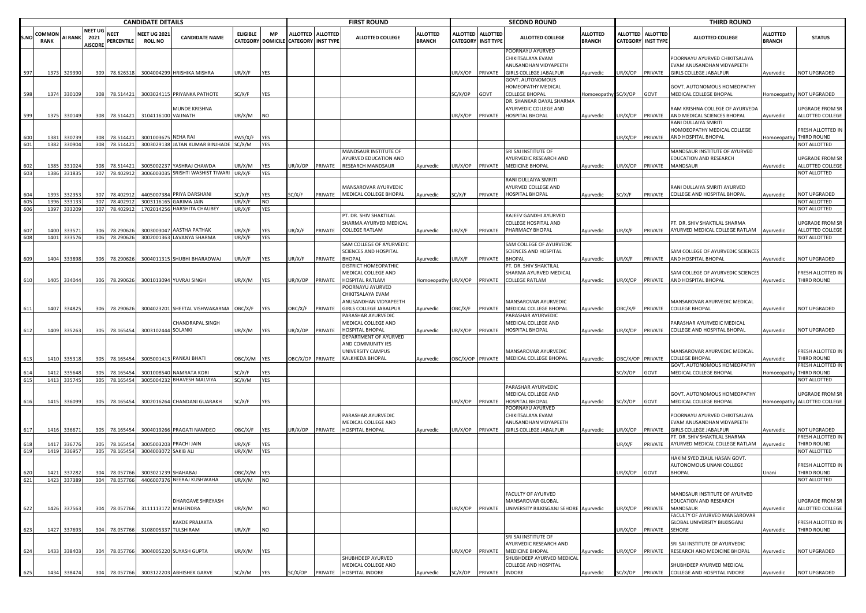|            |                |                       |                                          |                            | <b>CANDIDATE DETAILS</b>              |                                                                       |                  |                   |                                                           |         | <b>FIRST ROUND</b>                             |                                  |                 |                                       | <b>SECOND ROUND</b>                                             |                                  |                  |                                         | <b>THIRD ROUND</b>                                          |                                  |                                  |
|------------|----------------|-----------------------|------------------------------------------|----------------------------|---------------------------------------|-----------------------------------------------------------------------|------------------|-------------------|-----------------------------------------------------------|---------|------------------------------------------------|----------------------------------|-----------------|---------------------------------------|-----------------------------------------------------------------|----------------------------------|------------------|-----------------------------------------|-------------------------------------------------------------|----------------------------------|----------------------------------|
| S.NO       | COMMON<br>RANK | <b>AI RANK</b>        | <b>NEET UG</b><br>2021<br><b>AISCORE</b> | <b>NEET</b><br>PERCENTILE  | <b>NEET UG 2021</b><br><b>ROLL NO</b> | <b>CANDIDATE NAME</b>                                                 | <b>ELIGIBLE</b>  | <b>MP</b>         | ALLOTTED ALLOTTED<br>CATEGORY DOMICILE CATEGORY INST TYPE |         | <b>ALLOTTED COLLEGE</b>                        | <b>ALLOTTED</b><br><b>BRANCH</b> | ALLOTTED        | <b>ALLOTTED</b><br>CATEGORY INST TYPE | <b>ALLOTTED COLLEGE</b>                                         | <b>ALLOTTED</b><br><b>BRANCH</b> |                  | ALLOTTED ALLOTTED<br>CATEGORY INST TYPE | ALLOTTED COLLEGE                                            | <b>ALLOTTED</b><br><b>BRANCH</b> | <b>STATUS</b>                    |
|            |                |                       |                                          |                            |                                       |                                                                       |                  |                   |                                                           |         |                                                |                                  |                 |                                       | POORNAYU AYURVED<br>CHIKITSALAYA EVAM<br>ANUSANDHAN VIDYAPEETH  |                                  |                  |                                         | POORNAYU AYURVED CHIKITSALAYA<br>EVAM ANUSANDHAN VIDYAPEETH |                                  |                                  |
| 597        |                | 1373 329390           | 309                                      | 78.626318                  |                                       | 3004004299 HRISHIKA MISHRA                                            | UR/X/F           | YES               |                                                           |         |                                                |                                  | JR/X/OP         | PRIVATE                               | GIRLS COLLEGE JABALPUR<br>GOVT. AUTONOMOUS                      | Ayurvedic                        | JR/X/OP          | PRIVATE                                 | <b>GIRLS COLLEGE JABALPUR</b>                               | Ayurvedic                        | NOT UPGRADED                     |
|            |                |                       |                                          |                            |                                       |                                                                       |                  |                   |                                                           |         |                                                |                                  |                 |                                       | HOMEOPATHY MEDICAL                                              |                                  |                  |                                         | GOVT. AUTONOMOUS HOMEOPATHY                                 |                                  |                                  |
| 598        |                | 1374 330109           |                                          | 308 78.514421              |                                       | 3003024115 PRIYANKA PATHOTE                                           | SC/X/F           | YES               |                                                           |         |                                                |                                  | GC/X/OP         | GOVT                                  | COLLEGE BHOPAL<br>DR. SHANKAR DAYAL SHARMA                      | Homoeopathy SC/X/OP              |                  | GOVT                                    | MEDICAL COLLEGE BHOPAL                                      |                                  | Homoeopathy NOT UPGRADED         |
|            |                |                       |                                          |                            |                                       | MUNDE KRISHNA                                                         |                  |                   |                                                           |         |                                                |                                  |                 |                                       | AYURVEDIC COLLEGE AND                                           |                                  |                  |                                         | RAM KRISHNA COLLEGE OF AYURVEDA                             |                                  | JPGRADE FROM SR                  |
| 599        |                | 1375 330149           |                                          | 308 78.514421              | 3104116100 VAIJNATH                   |                                                                       | UR/X/M           | <b>NO</b>         |                                                           |         |                                                |                                  | UR/X/OP         | PRIVATE                               | HOSPITAL BHOPAL                                                 | Ayurvedic                        | JR/X/OP          | PRIVATE                                 | AND MEDICAL SCIENCES BHOPAL                                 | Ayurvedic                        | ALLOTTED COLLEGE                 |
|            |                |                       |                                          |                            |                                       |                                                                       |                  |                   |                                                           |         |                                                |                                  |                 |                                       |                                                                 |                                  |                  |                                         | RANI DULLAIYA SMRITI                                        |                                  |                                  |
| 600        | 1381           | 330739                | 308                                      | 78.514421                  | 300100367                             | <b>NEHA RAI</b>                                                       | :WS/X/F          | YES               |                                                           |         |                                                |                                  |                 |                                       |                                                                 |                                  | JR/X/OP          | PRIVATE                                 | HOMOEOPATHY MEDICAL COLLEGE<br>AND HOSPITAL BHOPAL          | <b>Homoeopathy</b>               | RESH ALLOTTED IN<br>THIRD ROUND  |
| 601        | 1382           | 330904                | 308                                      | 78.514421                  |                                       | 3003029138 JATAN KUMAR BINJHADE                                       | SC/X/M           | YES               |                                                           |         |                                                |                                  |                 |                                       |                                                                 |                                  |                  |                                         |                                                             |                                  | NOT ALLOTTED                     |
|            |                |                       |                                          |                            |                                       |                                                                       |                  |                   |                                                           |         | MANDSAUR INSTITUTE OF                          |                                  |                 |                                       | SRI SAI INSTITUTE OF                                            |                                  |                  |                                         | MANDSAUR INSTITUTE OF AYURVED                               |                                  |                                  |
|            |                |                       |                                          |                            |                                       |                                                                       |                  |                   |                                                           |         | AYURVED EDUCATION AND                          |                                  |                 |                                       | AYURVEDIC RESEARCH AND                                          |                                  |                  |                                         | EDUCATION AND RESEARCH                                      |                                  | JPGRADE FROM SR                  |
| 602<br>603 | 1385           | 331024<br>1386 331835 | 308                                      | 78.514421<br>307 78.402912 |                                       | 3005002237 YASHRAJ CHAWDA<br>3006003035 SRISHTI WASHIST TIWARI UR/X/F | UR/X/M           | YES<br><b>YES</b> | JR/X/OP                                                   | PRIVATE | <b>RESEARCH MANDSAUR</b>                       | Ayurvedic                        | UR/X/OP         | PRIVATE                               | <b>MEDICINE BHOPAL</b>                                          | Ayurvedic                        | UR/X/OP          | PRIVATE                                 | MANDSAUR                                                    | Ayurvedic                        | ALLOTTED COLLEGE<br>NOT ALLOTTED |
|            |                |                       |                                          |                            |                                       |                                                                       |                  |                   |                                                           |         |                                                |                                  |                 |                                       | RANI DULLAIYA SMRITI                                            |                                  |                  |                                         |                                                             |                                  |                                  |
|            |                |                       |                                          |                            |                                       |                                                                       |                  |                   |                                                           |         | MANSAROVAR AYURVEDIC                           |                                  |                 |                                       | AYURVED COLLEGE AND                                             |                                  |                  |                                         | RANI DULLAIYA SMRITI AYURVED                                |                                  |                                  |
|            | 1393           | 33235                 | 307                                      | 78.402912                  |                                       | 4405007384 PRIYA DARSHANI                                             | SC/X/F           | <b>YES</b>        | SC/X/F                                                    | PRIVATE | MEDICAL COLLEGE BHOPAL                         | Ayurvedic                        | SC/X/F          | PRIVATE                               | HOSPITAL BHOPAL                                                 | Ayurvedic                        | C/X/F            | PRIVATE                                 | COLLEGE AND HOSPITAL BHOPAL                                 | yurvedic                         | <b>NOT UPGRADED</b>              |
| 605<br>606 | 1396<br>1397   | 333133<br>33320       | 307<br>307                               | 78.402912<br>78.402912     | 170201425                             | 3003116165 GARIMA JAIN<br><b>HARSHITA CHAUBEY</b>                     | UR/X/F<br>UR/X/F | <b>NO</b><br>YES  |                                                           |         |                                                |                                  |                 |                                       |                                                                 |                                  |                  |                                         |                                                             |                                  | NOT ALLOTTED<br>NOT ALLOTTED     |
|            |                |                       |                                          |                            |                                       |                                                                       |                  |                   |                                                           |         | PT. DR. SHIV SHAKTILAL                         |                                  |                 |                                       | RAJEEV GANDHI AYURVED                                           |                                  |                  |                                         |                                                             |                                  |                                  |
|            |                |                       |                                          |                            |                                       |                                                                       |                  |                   |                                                           |         | SHARMA AYURVED MEDICAL                         |                                  |                 |                                       | COLLEGE HOSPITAL AND                                            |                                  |                  |                                         | PT. DR. SHIV SHAKTILAL SHARMA                               |                                  | JPGRADE FROM SR                  |
| 607        |                | 1400 33357            | 306                                      | 78.290626                  |                                       | 3003003047 AASTHA PATHAK                                              | UR/X/F           | YES               | JR/X/F                                                    | PRIVATE | <b>COLLEGE RATLAM</b>                          | Ayurvedic                        | JR/X/F          | PRIVATE                               | PHARMACY BHOPAL                                                 | Ayurvedic                        | JR/X/F           | PRIVATE                                 | AYURVED MEDICAL COLLEGE RATLAM                              | Ayurvedic                        | ALLOTTED COLLEGE                 |
| 608        | 1401           | 333576                | 306                                      | 78.290626                  |                                       | 3002001363 LAVANYA SHARMA                                             | UR/X/F           | <b>YES</b>        |                                                           |         | SAM COLLEGE OF AYURVEDIC                       |                                  |                 |                                       | SAM COLLEGE OF AYURVEDIC                                        |                                  |                  |                                         |                                                             |                                  | NOT ALLOTTED                     |
|            |                |                       |                                          |                            |                                       |                                                                       |                  |                   |                                                           |         | SCIENCES AND HOSPITAL                          |                                  |                 |                                       | SCIENCES AND HOSPITAL                                           |                                  |                  |                                         | SAM COLLEGE OF AYURVEDIC SCIENCES                           |                                  |                                  |
| 609        | 1404           | 333898                | 306                                      | 78.290626                  |                                       | 3004011315 SHUBHI BHARADWAJ                                           | UR/X/F           | YES               | JR/X/F                                                    | PRIVATE | <b>BHOPAL</b>                                  | Ayurvedic                        | JR/X/F          | PRIVATE                               | <b>BHOPAI</b>                                                   | Ayurvedic                        | JR/X/F           | PRIVATE                                 | AND HOSPITAL BHOPAL                                         | Ayurvedic                        | NOT UPGRADED                     |
|            |                |                       |                                          |                            |                                       |                                                                       |                  |                   |                                                           |         | DISTRICT HOMEOPATHIC                           |                                  |                 |                                       | PT. DR. SHIV SHAKTILAL                                          |                                  |                  |                                         |                                                             |                                  |                                  |
| 610        | 1405           | 334044                |                                          | 306 78.290626              |                                       | 3001013094 YUVRAJ SINGH                                               | UR/X/M           | YES               | JR/X/OP                                                   | PRIVATE | MEDICAL COLLEGE AND<br>HOSPITAL RATLAM         | <b>Homoeopathy</b>               |                 | PRIVATE                               | SHARMA AYURVED MEDICAL<br>COLLEGE RATLAM                        | Ayurvedic                        | JR/X/OP          | PRIVATE                                 | SAM COLLEGE OF AYURVEDIC SCIENCES<br>AND HOSPITAL BHOPAL    | Ayurvedic                        | RESH ALLOTTED IN<br>THIRD ROUND  |
|            |                |                       |                                          |                            |                                       |                                                                       |                  |                   |                                                           |         | POORNAYU AYURVED                               |                                  | UR/X/OP         |                                       |                                                                 |                                  |                  |                                         |                                                             |                                  |                                  |
|            |                |                       |                                          |                            |                                       |                                                                       |                  |                   |                                                           |         | CHIKITSALAYA EVAM                              |                                  |                 |                                       |                                                                 |                                  |                  |                                         |                                                             |                                  |                                  |
|            |                |                       |                                          |                            |                                       |                                                                       |                  |                   |                                                           |         | ANUSANDHAN VIDYAPEETH                          |                                  |                 |                                       | MANSAROVAR AYURVEDIC                                            |                                  |                  |                                         | MANSAROVAR AYURVEDIC MEDICAL                                |                                  |                                  |
| 611        |                | 1407 334825           | 306                                      | 78.290626                  |                                       | 3004023201 SHEETAL VISHWAKARMA OBC/X/F                                |                  | YES               | <b>DBC/X/F</b>                                            | PRIVATE | <b>GIRLS COLLEGE JABALPUR</b>                  | Ayurvedic                        | )BC/X/F         | PRIVATE                               | MEDICAL COLLEGE BHOPAL                                          | Ayurvedic                        | OBC/X/F          | PRIVATE                                 | <b>COLLEGE BHOPAL</b>                                       | Ayurvedic                        | NOT UPGRADED                     |
|            |                |                       |                                          |                            |                                       | CHANDRAPAL SINGH                                                      |                  |                   |                                                           |         | PARASHAR AYURVEDIC<br>MEDICAL COLLEGE AND      |                                  |                 |                                       | PARASHAR AYURVEDIC<br>MEDICAL COLLEGE AND                       |                                  |                  |                                         | ARASHAR AYURVEDIC MEDICAL                                   |                                  |                                  |
| 612        | 1409           | 335263                | 305                                      | 78.165454                  | 3003102444 SOLANKI                    |                                                                       | UR/X/M           | YES               | JR/X/OP                                                   | PRIVATE | HOSPITAL BHOPAL                                | Ayurvedic                        | JR/X/OP         | PRIVATE                               | HOSPITAL BHOPAL                                                 | Ayurvedic                        | JR/X/OP          | PRIVATE                                 | COLLEGE AND HOSPITAL BHOPAL                                 | vurvedic                         | NOT UPGRADED                     |
|            |                |                       |                                          |                            |                                       |                                                                       |                  |                   |                                                           |         | DEPARTMENT OF AYURVED                          |                                  |                 |                                       |                                                                 |                                  |                  |                                         |                                                             |                                  |                                  |
|            |                |                       |                                          |                            |                                       |                                                                       |                  |                   |                                                           |         | AND COMMUNITY IES                              |                                  |                 |                                       |                                                                 |                                  |                  |                                         |                                                             |                                  |                                  |
| 613        |                | 1410 335318           |                                          | 305 78.165454              |                                       | 3005001413 PANKAJ BHATI                                               | OBC/X/M YES      |                   | DBC/X/OP PRIVATE                                          |         | UNIVERSITY CAMPUS<br>KALKHEDA BHOPAL           | Ayurvedic                        |                 |                                       | MANSAROVAR AYURVEDIC<br>DBC/X/OP PRIVATE MEDICAL COLLEGE BHOPAL | Ayurvedic                        | OBC/X/OP PRIVATE |                                         | MANSAROVAR AYURVEDIC MEDICAL<br><b>COLLEGE BHOPAL</b>       | vyurvedic                        | FRESH ALLOTTED IN<br>THIRD ROUND |
|            |                |                       |                                          |                            |                                       |                                                                       |                  |                   |                                                           |         |                                                |                                  |                 |                                       |                                                                 |                                  |                  |                                         | GOVT. AUTONOMOUS HOMEOPATHY                                 |                                  | RESH ALLOTTED IN                 |
| 614        | 1412           | 335648                | 305                                      | 78.165454                  | 3001008540                            | <b>NAMRATA KORI</b>                                                   | SC/X/F           | YES               |                                                           |         |                                                |                                  |                 |                                       |                                                                 |                                  | SC/X/OP          | GOVT                                    | MEDICAL COLLEGE BHOPAL                                      | <b>Homoeopathy</b>               | THIRD ROUND                      |
| 615        |                | 1413 335745           |                                          | 305 78.165454              |                                       | 3005004232 BHAVESH MALVIYA                                            | SC/X/M           | <b>YES</b>        |                                                           |         |                                                |                                  |                 |                                       |                                                                 |                                  |                  |                                         |                                                             |                                  | <b>NOT ALLOTTED</b>              |
|            |                |                       |                                          |                            |                                       |                                                                       |                  |                   |                                                           |         |                                                |                                  |                 |                                       | PARASHAR AYURVEDIC<br>MEDICAL COLLEGE AND                       |                                  |                  |                                         | GOVT. AUTONOMOUS HOMEOPATHY                                 |                                  | JPGRADE FROM SR                  |
| 616        |                | 1415 336099           |                                          | 305 78.165454              |                                       | 3002016264 CHANDANI GUARAKH                                           | SC/X/F           | YES               |                                                           |         |                                                |                                  | JR/X/OP         | PRIVATE                               | HOSPITAL BHOPAL                                                 | Ayurvedic                        | SC/X/OP          | GOVT                                    | MEDICAL COLLEGE BHOPAL                                      |                                  | Homoeopathy ALLOTTED COLLEGE     |
|            |                |                       |                                          |                            |                                       |                                                                       |                  |                   |                                                           |         |                                                |                                  |                 |                                       | POORNAYU AYURVED                                                |                                  |                  |                                         |                                                             |                                  |                                  |
|            |                |                       |                                          |                            |                                       |                                                                       |                  |                   |                                                           |         | PARASHAR AYURVEDIC                             |                                  |                 |                                       | CHIKITSALAYA EVAM                                               |                                  |                  |                                         | POORNAYU AYURVED CHIKITSALAYA                               |                                  |                                  |
| 617        |                | 1416 336671           |                                          | 305 78.165454              |                                       | 3004019266 PRAGATI NAMDEO                                             | OBC/X/F          | YES               | JR/X/OP                                                   |         | MEDICAL COLLEGE AND<br>PRIVATE HOSPITAL BHOPAL | Ayurvedic                        | JR/X/OP         | PRIVATE                               | ANUSANDHAN VIDYAPEETH<br>GIRLS COLLEGE JABALPUR                 | Ayurvedic                        | JR/X/OP          | PRIVATE                                 | EVAM ANUSANDHAN VIDYAPEETH<br><b>GIRLS COLLEGE JABALPUR</b> | Ayurvedic                        | NOT UPGRADED                     |
|            |                |                       |                                          |                            |                                       |                                                                       |                  |                   |                                                           |         |                                                |                                  |                 |                                       |                                                                 |                                  |                  |                                         | PT. DR. SHIV SHAKTILAL SHARMA                               |                                  | FRESH ALLOTTED IN                |
|            | 1417           | 33677                 | 305                                      | 78.165454                  |                                       | 3005003203 PRACHI JAIN                                                | JR/X/F           | <b>YFS</b>        |                                                           |         |                                                |                                  |                 |                                       |                                                                 |                                  | JR/X/F           | PRIVATE                                 | AYURVED MEDICAL COLLEGE RATLAM                              | Ayurvedic                        | THIRD ROUND                      |
| 619        |                | 1419 336957           |                                          | 305 78.165454              | 3004003072 SAKIB ALI                  |                                                                       | UR/X/M           | YES               |                                                           |         |                                                |                                  |                 |                                       |                                                                 |                                  |                  |                                         | HAKIM SYED ZIAUL HASAN GOVT.                                |                                  | NOT ALLOTTED                     |
|            |                |                       |                                          |                            |                                       |                                                                       |                  |                   |                                                           |         |                                                |                                  |                 |                                       |                                                                 |                                  |                  |                                         | AUTONOMOUS UNANI COLLEGE                                    |                                  | RESH ALLOTTED IN                 |
| 620        |                | 1421 337282           |                                          | 304 78.057766              | 3003021239 SHAHABAJ                   |                                                                       | OBC/X/M YES      |                   |                                                           |         |                                                |                                  |                 |                                       |                                                                 |                                  | JR/X/OP GOVT     |                                         | BHOPAL                                                      | Jnani                            | THIRD ROUND                      |
| 621        |                | 1423 337389           |                                          |                            |                                       | 304 78.057766 4406007376 NEERAJ KUSHWAHA                              | UR/X/M           | <b>NO</b>         |                                                           |         |                                                |                                  |                 |                                       |                                                                 |                                  |                  |                                         |                                                             |                                  | NOT ALLOTTED                     |
|            |                |                       |                                          |                            |                                       |                                                                       |                  |                   |                                                           |         |                                                |                                  |                 |                                       | <b>FACULTY OF AYURVED</b>                                       |                                  |                  |                                         | MANDSAUR INSTITUTE OF AYURVED                               |                                  |                                  |
|            |                |                       |                                          |                            |                                       | DHARGAVE SHREYASH                                                     |                  |                   |                                                           |         |                                                |                                  |                 |                                       | MANSAROVAR GLOBAL                                               |                                  |                  |                                         | EDUCATION AND RESEARCH                                      |                                  | UPGRADE FROM SR                  |
| 622        |                | 1426 337563           |                                          | 304 78.057766              |                                       | 3111113172 MAHENDRA                                                   | UR/X/M           | <b>NO</b>         |                                                           |         |                                                |                                  | UR/X/OP PRIVATE |                                       | UNIVERSITY BILKISGANJ SEHORE Ayurvedic                          |                                  | UR/X/OP          | PRIVATE                                 | MANDSAUR                                                    | Ayurvedic                        | ALLOTTED COLLEGE                 |
|            |                |                       |                                          |                            |                                       |                                                                       |                  |                   |                                                           |         |                                                |                                  |                 |                                       |                                                                 |                                  |                  |                                         | FACULTY OF AYURVED MANSAROVAR                               |                                  |                                  |
| 623        |                | 1427 337693           |                                          | 304 78.057766              |                                       | KAKDE PRAJAKTA<br>3108005337 TULSHIRAM                                | UR/X/F           | <b>NO</b>         |                                                           |         |                                                |                                  |                 |                                       |                                                                 |                                  | UR/X/OP          | PRIVATE                                 | GLOBAL UNIVERSITY BILKISGANJ<br>SEHORE                      | Ayurvedic                        | FRESH ALLOTTED IN<br>THIRD ROUND |
|            |                |                       |                                          |                            |                                       |                                                                       |                  |                   |                                                           |         |                                                |                                  |                 |                                       | SRI SAI INSTITUTE OF                                            |                                  |                  |                                         |                                                             |                                  |                                  |
|            |                |                       |                                          |                            |                                       |                                                                       |                  |                   |                                                           |         |                                                |                                  |                 |                                       | AYURVEDIC RESEARCH AND                                          |                                  |                  |                                         | SRI SAI INSTITUTE OF AYURVEDIC                              |                                  |                                  |
| 624        |                | 1433 338403           |                                          | 304 78.057766              |                                       | 3004005220 SUYASH GUPTA                                               | UR/X/M           | <b>YES</b>        |                                                           |         |                                                |                                  | JR/X/OP         | PRIVATE                               | <b>MEDICINE BHOPAL</b>                                          | Ayurvedic                        | JR/X/OP          | PRIVATE                                 | RESEARCH AND MEDICINE BHOPAL                                | Ayurvedic                        | <b>NOT UPGRADED</b>              |
|            |                |                       |                                          |                            |                                       |                                                                       |                  |                   |                                                           |         | SHUBHDEEP AYURVED<br>MEDICAL COLLEGE AND       |                                  |                 |                                       | SHUBHDEEP AYURVED MEDICAL<br><b>COLLEGE AND HOSPITAL</b>        |                                  |                  |                                         | SHUBHDEEP AYURVED MEDICAL                                   |                                  |                                  |
| 625        |                | 1434 338474           |                                          |                            |                                       | 304 78.057766 3003122203 ABHISHEK GARVE                               | SC/X/M           | YES               | SC/X/OP                                                   | PRIVATE | HOSPITAL INDORE                                | Ayurvedic                        | SC/X/OP         | PRIVATE                               | <b>INDORE</b>                                                   | Ayurvedic                        |                  |                                         | SC/X/OP PRIVATE COLLEGE AND HOSPITAL INDORE                 | Ayurvedic                        | NOT UPGRADED                     |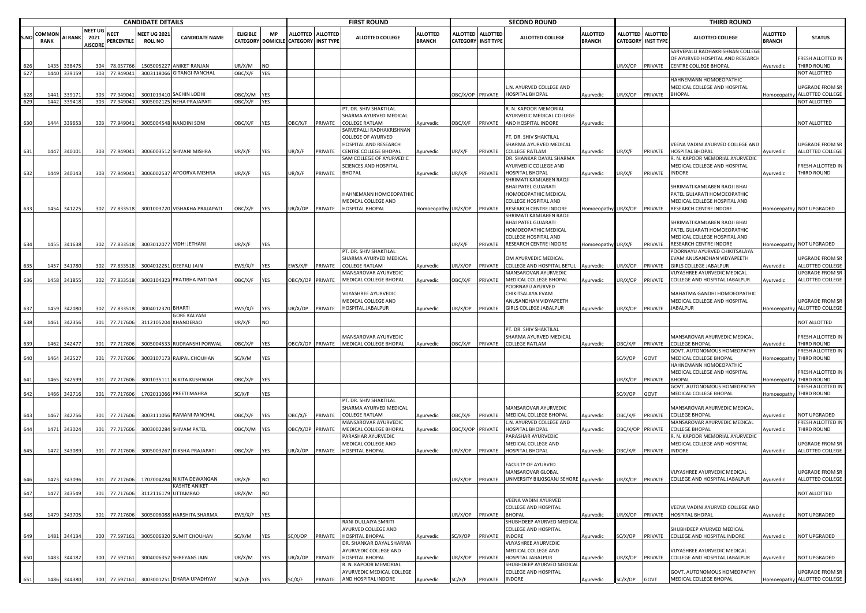|      |                       |                |                                          |                                  | <b>CANDIDATE DETAILS</b>              |                                                      |                 |             |                                      |                   | <b>FIRST ROUND</b>                             |                                  |                  |                                              | <b>SECOND ROUND</b>                                    |                                  |                  |                                                | <b>THIRD ROUND</b>                                                                            |                                  |                                              |
|------|-----------------------|----------------|------------------------------------------|----------------------------------|---------------------------------------|------------------------------------------------------|-----------------|-------------|--------------------------------------|-------------------|------------------------------------------------|----------------------------------|------------------|----------------------------------------------|--------------------------------------------------------|----------------------------------|------------------|------------------------------------------------|-----------------------------------------------------------------------------------------------|----------------------------------|----------------------------------------------|
| S.NO | COMMON<br><b>RANK</b> | <b>AI RANK</b> | <b>NEET UG</b><br>2021<br><b>AISCORE</b> | <b>NEET</b><br><b>PERCENTILE</b> | <b>NEET UG 202:</b><br><b>ROLL NO</b> | <b>CANDIDATE NAME</b>                                | <b>ELIGIBLE</b> | <b>MP</b>   | CATEGORY DOMICILE CATEGORY INST TYPE | ALLOTTED ALLOTTED | <b>ALLOTTED COLLEGE</b>                        | <b>ALLOTTED</b><br><b>BRANCH</b> | <b>ALLOTTED</b>  | <b>ALLOTTED</b><br><b>CATEGORY INST TYPE</b> | <b>ALLOTTED COLLEGE</b>                                | <b>ALLOTTED</b><br><b>BRANCH</b> |                  | ALLOTTED ALLOTTED<br><b>CATEGORY INST TYPE</b> | <b>ALLOTTED COLLEGE</b>                                                                       | <b>ALLOTTED</b><br><b>BRANCH</b> | <b>STATUS</b>                                |
| 626  | 1435                  | 338475         | 304                                      | 78.057766                        |                                       | 1505005227 ANIKET RANJAN                             | JR/X/M          | <b>NO</b>   |                                      |                   |                                                |                                  |                  |                                              |                                                        |                                  | JR/X/OP          | PRIVATE                                        | SARVEPALLI RADHAKRISHNAN COLLEGE<br>OF AYURVED HOSPITAL AND RESEARCH<br>CENTRE COLLEGE BHOPAL | Ayurvedic                        | FRESH ALLOTTED IN<br>THIRD ROUND             |
| 627  |                       | 1440 339159    | 303                                      | 77.949041                        |                                       | 3003118066 GITANGI PANCHAL                           | <b>JBC/X/F</b>  | <b>YES</b>  |                                      |                   |                                                |                                  |                  |                                              |                                                        |                                  |                  |                                                |                                                                                               |                                  | NOT ALLOTTED                                 |
|      |                       |                |                                          |                                  |                                       |                                                      |                 |             |                                      |                   |                                                |                                  |                  |                                              |                                                        |                                  |                  |                                                | HAHNEMANN HOMOEOPATHIC                                                                        |                                  |                                              |
| 628  | 1441                  | 33917          | 303                                      | 77.949041                        |                                       | 3001019410 SACHIN LODHI                              | OBC/X/M YES     |             |                                      |                   |                                                |                                  | OBC/X/OP PRIVATE |                                              | L.N. AYURVED COLLEGE AND<br>HOSPITAL BHOPAL            | Ayurvedic                        | JR/X/OP          | PRIVATE                                        | MEDICAL COLLEGE AND HOSPITAL<br><b>BHOPAL</b>                                                 | Homoeopathy                      | UPGRADE FROM SR<br>ALLOTTED COLLEGE          |
| 629  |                       | 1442 339418    |                                          | 303 77.949041                    |                                       | 3005002125 NEHA PRAJAPATI                            | OBC/X/F YES     |             |                                      |                   |                                                |                                  |                  |                                              |                                                        |                                  |                  |                                                |                                                                                               |                                  | NOT ALLOTTED                                 |
|      |                       |                |                                          |                                  |                                       |                                                      |                 |             |                                      |                   | PT. DR. SHIV SHAKTILAL                         |                                  |                  |                                              | R. N. KAPOOR MEMORIAL                                  |                                  |                  |                                                |                                                                                               |                                  |                                              |
|      |                       |                |                                          |                                  |                                       |                                                      |                 |             |                                      |                   | SHARMA AYURVED MEDICAL                         |                                  |                  |                                              | AYURVEDIC MEDICAL COLLEGE                              |                                  |                  |                                                |                                                                                               |                                  |                                              |
| 630  |                       | 1444 339653    | 303                                      | 77.949041                        |                                       | 3005004548 NANDINI SONI                              | <b>JBC/X/F</b>  | <b>YES</b>  | <b>DBC/X/F</b>                       | PRIVATE           | <b>COLLEGE RATLAM</b>                          | Ayurvedic                        | OBC/X/F          | PRIVATE                                      | AND HOSPITAL INDORE                                    | Ayurvedic                        |                  |                                                |                                                                                               |                                  | NOT ALLOTTED                                 |
|      |                       |                |                                          |                                  |                                       |                                                      |                 |             |                                      |                   | SARVEPALLI RADHAKRISHNAN<br>COLLEGE OF AYURVED |                                  |                  |                                              | PT. DR. SHIV SHAKTILAL                                 |                                  |                  |                                                |                                                                                               |                                  |                                              |
|      |                       |                |                                          |                                  |                                       |                                                      |                 |             |                                      |                   | HOSPITAL AND RESEARCH                          |                                  |                  |                                              | SHARMA AYURVED MEDICAL                                 |                                  |                  |                                                | VEENA VADINI AYURVED COLLEGE AND                                                              |                                  | UPGRADE FROM SR                              |
| 631  |                       | 1447 340101    |                                          | 303 77.949041                    |                                       | 3006003512 SHIVANI MISHRA                            | JR/X/F          | <b>YES</b>  | UR/X/F                               | PRIVATE           | CENTRE COLLEGE BHOPAL                          | Ayurvedic                        | UR/X/F           | PRIVATE                                      | COLLEGE RATLAM                                         | Ayurvedic                        | UR/X/F           | PRIVATE                                        | HOSPITAL BHOPAL                                                                               | Ayurvedic                        | ALLOTTED COLLEGE                             |
|      |                       |                |                                          |                                  |                                       |                                                      |                 |             |                                      |                   | SAM COLLEGE OF AYURVEDIC                       |                                  |                  |                                              | DR. SHANKAR DAYAL SHARMA                               |                                  |                  |                                                | R. N. KAPOOR MEMORIAL AYURVEDIC                                                               |                                  |                                              |
|      |                       |                |                                          |                                  |                                       |                                                      |                 |             |                                      |                   | <b>SCIENCES AND HOSPITAL</b>                   |                                  |                  |                                              | <b>AYURVEDIC COLLEGE AND</b>                           |                                  |                  |                                                | <b>MEDICAL COLLEGE AND HOSPITAL</b>                                                           |                                  | FRESH ALLOTTED IN                            |
| 632  |                       | 1449 340143    |                                          | 303 77.949041                    |                                       | 3006002537 APOORVA MISHRA                            | JR/X/F          | <b>YES</b>  | JR/X/F                               | PRIVATE           | BHOPAL                                         | Ayurvedic                        | UR/X/F           | PRIVATE                                      | IOSPITAL BHOPAL                                        | Ayurvedic                        | JR/X/F           | PRIVATE                                        | INDORE                                                                                        | Ayurvedic                        | THIRD ROUND                                  |
|      |                       |                |                                          |                                  |                                       |                                                      |                 |             |                                      |                   |                                                |                                  |                  |                                              | SHRIMATI KAMLABEN RAOJI<br>BHAI PATEL GUJARATI         |                                  |                  |                                                | SHRIMATI KAMLABEN RAOJI BHAI                                                                  |                                  |                                              |
|      |                       |                |                                          |                                  |                                       |                                                      |                 |             |                                      |                   | HAHNEMANN HOMOEOPATHIC                         |                                  |                  |                                              | HOMOEOPATHIC MEDICAL                                   |                                  |                  |                                                | PATEL GUJARATI HOMOEOPATHIC                                                                   |                                  |                                              |
|      |                       |                |                                          |                                  |                                       |                                                      |                 |             |                                      |                   | MEDICAL COLLEGE AND                            |                                  |                  |                                              | COLLEGE HOSPITAL AND                                   |                                  |                  |                                                | MEDICAL COLLEGE HOSPITAL AND                                                                  |                                  |                                              |
|      |                       | 1454 341225    |                                          | 302 77.833518                    |                                       | 3001003720 VISHAKHA PRAJAPATI                        | OBC/X/F         | <b>YES</b>  | UR/X/OP                              | PRIVATE           | <b>HOSPITAL BHOPAL</b>                         | Homoeopathy UR/X/OP              |                  | PRIVATE                                      | RESEARCH CENTRE INDORE                                 | omoeopathy UR/X/OP PRIVATE       |                  |                                                | RESEARCH CENTRE INDORE                                                                        |                                  | Homoeopathy NOT UPGRADED                     |
|      |                       |                |                                          |                                  |                                       |                                                      |                 |             |                                      |                   |                                                |                                  |                  |                                              | SHRIMATI KAMLABEN RAOJI                                |                                  |                  |                                                |                                                                                               |                                  |                                              |
|      |                       |                |                                          |                                  |                                       |                                                      |                 |             |                                      |                   |                                                |                                  |                  |                                              | <b>BHAI PATEL GUJARATI</b>                             |                                  |                  |                                                | SHRIMATI KAMLABEN RAOJI BHAI                                                                  |                                  |                                              |
|      |                       |                |                                          |                                  |                                       |                                                      |                 |             |                                      |                   |                                                |                                  |                  |                                              | HOMOEOPATHIC MEDICAL<br>COLLEGE HOSPITAL AND           |                                  |                  |                                                | PATEL GUJARATI HOMOEOPATHIC<br>MEDICAL COLLEGE HOSPITAL AND                                   |                                  |                                              |
|      |                       | 1455 341638    |                                          | 302 77.833518                    |                                       | 3003012077 VIDHI JETHANI                             | JR/X/F          | <b>IYES</b> |                                      |                   |                                                |                                  | UR/X/F           | PRIVATE                                      | RESEARCH CENTRE INDORE                                 | Iomoeopathy UR/X/F               |                  | PRIVATE                                        | RESEARCH CENTRE INDORE                                                                        |                                  | Homoeopathy NOT UPGRADED                     |
|      |                       |                |                                          |                                  |                                       |                                                      |                 |             |                                      |                   | PT. DR. SHIV SHAKTILAL                         |                                  |                  |                                              |                                                        |                                  |                  |                                                | POORNAYU AYURVED CHIKITSALAYA                                                                 |                                  |                                              |
|      |                       |                |                                          |                                  |                                       |                                                      |                 |             |                                      |                   | SHARMA AYURVED MEDICAL                         |                                  |                  |                                              | OM AYURVEDIC MEDICAL                                   |                                  |                  |                                                | VAM ANUSANDHAN VIDYAPEETH                                                                     |                                  | <b>UPGRADE FROM SR</b>                       |
| 635  |                       | 1457 341780    |                                          | 302 77.833518                    |                                       | 3004012251 DEEPALI JAIN                              | EWS/X/F         | <b>YES</b>  | EWS/X/F                              | PRIVATE           | <b>COLLEGE RATLAM</b>                          | Ayurvedic                        | JR/X/OP          | PRIVATE                                      | COLLEGE AND HOSPITAL BETUL                             | Ayurvedic                        | JR/X/OP          | PRIVATE                                        | GIRLS COLLEGE JABALPUR                                                                        | Ayurvedic                        | ALLOTTED COLLEGE                             |
|      |                       |                |                                          |                                  |                                       |                                                      |                 |             |                                      |                   | MANSAROVAR AYURVEDIC<br>MEDICAL COLLEGE BHOPAL |                                  |                  |                                              | MANSAROVAR AYURVEDIC                                   |                                  |                  |                                                | /IJYASHREE AYURVEDIC MEDICAL                                                                  |                                  | UPGRADE FROM SR                              |
| 636  | 1458                  | 341855         |                                          | 302 77.833518                    | 3003104323                            | PRATIBHA PATIDAR                                     | <b>JBC/X/F</b>  | <b>YES</b>  |                                      | OBC/X/OP PRIVATE  |                                                | Ayurvedic                        | )BC/X/F          | PRIVATE                                      | MEDICAL COLLEGE BHOPAL<br>POORNAYU AYURVED             | Ayurvedic                        | JR/X/OP          | PRIVATE                                        | COLLEGE AND HOSPITAL JABALPUR                                                                 | Ayurvedic                        | ALLOTTED COLLEGE                             |
|      |                       |                |                                          |                                  |                                       |                                                      |                 |             |                                      |                   | VIJYASHREE AYURVEDIC                           |                                  |                  |                                              | CHIKITSALAYA EVAM                                      |                                  |                  |                                                | MAHATMA GANDHI HOMOEOPATHIC                                                                   |                                  |                                              |
|      |                       |                |                                          |                                  |                                       |                                                      |                 |             |                                      |                   | MEDICAL COLLEGE AND                            |                                  |                  |                                              | ANUSANDHAN VIDYAPEETH                                  |                                  |                  |                                                | MEDICAL COLLEGE AND HOSPITAL                                                                  |                                  | UPGRADE FROM SR                              |
| 637  |                       | 1459 342080    | 302                                      | 77.833518                        | 3004012370 BHARTI                     |                                                      | :WS/X/F         | <b>IYES</b> | JR/X/OP                              | PRIVATE           | HOSPITAL JABALPUR                              | Ayurvedic                        | UR/X/OP          | PRIVATE                                      | GIRLS COLLEGE JABALPUR                                 | Ayurvedic                        | JR/X/OP          | PRIVATE                                        | <b>JABALPUR</b>                                                                               |                                  | Homoeopathy ALLOTTED COLLEGE                 |
|      |                       |                |                                          |                                  |                                       | GORE KALYANI                                         |                 |             |                                      |                   |                                                |                                  |                  |                                              |                                                        |                                  |                  |                                                |                                                                                               |                                  |                                              |
| 638  | 1461                  | 342356         |                                          | 301 77.717606                    |                                       | 3112105204 KHANDERAO                                 | UR/X/F          | <b>NO</b>   |                                      |                   |                                                |                                  |                  |                                              | PT. DR. SHIV SHAKTILAL                                 |                                  |                  |                                                |                                                                                               |                                  | NOT ALLOTTED                                 |
|      |                       |                |                                          |                                  |                                       |                                                      |                 |             |                                      |                   | MANSAROVAR AYURVEDIC                           |                                  |                  |                                              | SHARMA AYURVED MEDICAL                                 |                                  |                  |                                                | MANSAROVAR AYURVEDIC MEDICAL                                                                  |                                  | FRESH ALLOTTED IN                            |
| -639 | 1462                  | 342477         |                                          | 301 77.717606                    |                                       | 3005004533 RUDRANSHI PORWAL                          | OBC/X/F         | YES         | OBC/X/OP PRIVATE                     |                   | MEDICAL COLLEGE BHOPAL                         | Ayurvedic                        | OBC/X/F          | PRIVATE                                      | <b>COLLEGE RATLAM</b>                                  | Ayurvedic                        | OBC/X/F          | PRIVATE                                        | <b>COLLEGE BHOPAL</b>                                                                         | Ayurvedic                        | THIRD ROUND                                  |
|      |                       |                |                                          |                                  |                                       |                                                      |                 |             |                                      |                   |                                                |                                  |                  |                                              |                                                        |                                  |                  |                                                | GOVT. AUTONOMOUS HOMEOPATHY                                                                   |                                  | FRESH ALLOTTED IN                            |
| 640  |                       | 1464 342527    |                                          | 301 77.717606                    |                                       | 3003107173 RAJPAL CHOUHAN                            | SC/X/M          | YES         |                                      |                   |                                                |                                  |                  |                                              |                                                        |                                  | C/X/OP           | GOVT                                           | MEDICAL COLLEGE BHOPAL                                                                        |                                  | Homoeopathy THIRD ROUND                      |
|      |                       |                |                                          |                                  |                                       |                                                      |                 |             |                                      |                   |                                                |                                  |                  |                                              |                                                        |                                  |                  |                                                | HAHNEMANN HOMOEOPATHIC                                                                        |                                  |                                              |
| 641  |                       | 1465 342599    |                                          | 301 77.717606                    |                                       | 3001035111 NIKITA KUSHWAH                            | <b>JBC/X/F</b>  | <b>YES</b>  |                                      |                   |                                                |                                  |                  |                                              |                                                        |                                  | JR/X/OP          | PRIVATE                                        | MEDICAL COLLEGE AND HOSPITAL<br><b>BHOPAI</b>                                                 |                                  | FRESH ALLOTTED IN<br>Homoeopathy THIRD ROUND |
|      |                       |                |                                          |                                  |                                       |                                                      |                 |             |                                      |                   |                                                |                                  |                  |                                              |                                                        |                                  |                  |                                                | GOVT. AUTONOMOUS HOMEOPATHY                                                                   |                                  | FRESH ALLOTTED IN                            |
| 642  | 1466                  | 342716         | 301                                      | 77.717606                        |                                       | 1702011066 PREETI MAHRA                              | SC/X/F          | <b>YES</b>  |                                      |                   |                                                |                                  |                  |                                              |                                                        |                                  | SC/X/OP          | GOVT                                           | MEDICAL COLLEGE BHOPAL                                                                        | Homoeopathy                      | THIRD ROUND                                  |
|      |                       |                |                                          |                                  |                                       |                                                      |                 |             |                                      |                   | PT. DR. SHIV SHAKTILAL                         |                                  |                  |                                              |                                                        |                                  |                  |                                                |                                                                                               |                                  |                                              |
|      |                       |                |                                          |                                  |                                       |                                                      |                 |             |                                      |                   | SHARMA AYURVED MEDICAL                         |                                  |                  |                                              | MANSAROVAR AYURVEDIC                                   |                                  |                  |                                                | MANSAROVAR AYURVEDIC MEDICAL                                                                  |                                  |                                              |
| 643  | 1467                  | 342756         |                                          | 301 77.717606                    |                                       | 3003111056 RAMANI PANCHAL                            | <b>JBC/X/F</b>  | <b>YES</b>  | OBC/X/F                              | PRIVATE           | COLLEGE RATLAM<br>MANSAROVAR AYURVEDIC         | Ayurvedic                        | <b>DBC/X/F</b>   | PRIVATE                                      | MEDICAL COLLEGE BHOPAL<br>N. AYURVED COLLEGE AND       | Ayurvedic                        | OBC/X/F          | PRIVATE                                        | <b>COLLEGE BHOPAL</b><br>MANSAROVAR AYURVEDIC MEDICAL                                         | Ayurvedic                        | NOT UPGRADED<br>FRESH ALLOTTED IN            |
| 644  |                       | 1471 343024    |                                          | 301 77.717606                    |                                       | 3003002284 SHIVAM PATEL                              | DBC/X/M YES     |             | OBC/X/OP PRIVATE                     |                   | MEDICAL COLLEGE BHOPAL                         | Ayurvedic                        | ЭВС/Х/ОР         | PRIVATE                                      | HOSPITAL BHOPAL                                        | Ayurvedic                        | OBC/X/OP PRIVATE |                                                | COLLEGE BHOPAL                                                                                | Ayurvedic                        | THIRD ROUND                                  |
|      |                       |                |                                          |                                  |                                       |                                                      |                 |             |                                      |                   | PARASHAR AYURVEDIC                             |                                  |                  |                                              | PARASHAR AYURVEDIC                                     |                                  |                  |                                                | R. N. KAPOOR MEMORIAL AYURVEDIC                                                               |                                  |                                              |
|      |                       |                |                                          |                                  |                                       |                                                      |                 |             |                                      |                   | MEDICAL COLLEGE AND                            |                                  |                  |                                              | MEDICAL COLLEGE AND                                    |                                  |                  |                                                | <b>MEDICAL COLLEGE AND HOSPITAL</b>                                                           |                                  | UPGRADE FROM SR                              |
| 645  |                       | 1472 343089    |                                          | 301 77.717606                    |                                       | 3005003267 DIKSHA PRAJAPATI                          | <b>JBC/X/F</b>  | <b>YES</b>  | JR/X/OP                              | PRIVATE           | <b>HOSPITAL BHOPAL</b>                         | Ayurvedic                        | UR/X/OP          | PRIVATE                                      | HOSPITAL BHOPAL                                        | Ayurvedic                        | OBC/X/F          | PRIVATE                                        | INDORE                                                                                        | Ayurvedic                        | ALLOTTED COLLEGE                             |
|      |                       |                |                                          |                                  |                                       |                                                      |                 |             |                                      |                   |                                                |                                  |                  |                                              | FACULTY OF AYURVED                                     |                                  |                  |                                                |                                                                                               |                                  |                                              |
|      |                       |                |                                          |                                  |                                       |                                                      |                 |             |                                      |                   |                                                |                                  |                  |                                              | MANSAROVAR GLOBAL                                      |                                  |                  |                                                | VIJYASHREE AYURVEDIC MEDICAL                                                                  |                                  | <b>UPGRADE FROM SR</b>                       |
| 646  |                       |                |                                          |                                  |                                       | 1473 343096 301 77.717606 1702004284 NIKITA DEWANGAN | UR/X/F          | <b>NO</b>   |                                      |                   |                                                |                                  |                  |                                              | UR/X/OP PRIVATE UNIVERSITY BILKISGANJ SEHORE Avurvedic |                                  |                  |                                                | UR/X/OP PRIVATE COLLEGE AND HOSPITAL JABALPUR                                                 | Avurvedic                        | ALLOTTED COLLEGE                             |
|      |                       |                |                                          |                                  |                                       | <b>KASHTE ANIKET</b>                                 |                 |             |                                      |                   |                                                |                                  |                  |                                              |                                                        |                                  |                  |                                                |                                                                                               |                                  |                                              |
| 647  |                       | 1477 343549    |                                          | 301 77.717606                    |                                       | 3112116179 UTTAMRAO                                  | JR/X/M          | <b>NO</b>   |                                      |                   |                                                |                                  |                  |                                              |                                                        |                                  |                  |                                                |                                                                                               |                                  | NOT ALLOTTED                                 |
|      |                       |                |                                          |                                  |                                       |                                                      |                 |             |                                      |                   |                                                |                                  |                  |                                              | VEENA VADINI AYURVED<br>COLLEGE AND HOSPITAL           |                                  |                  |                                                | VEENA VADINI AYURVED COLLEGE AND                                                              |                                  |                                              |
| 648  | 1479                  | 343705         |                                          | 301 77.717606                    |                                       | 3005006088 HARSHITA SHARMA                           | :WS/X/F         | <b>YES</b>  |                                      |                   |                                                |                                  | JR/X/OP          | PRIVATE                                      | <b>BHOPAL</b>                                          | Ayurvedic                        |                  | JR/X/OP PRIVATE                                | HOSPITAL BHOPAL                                                                               | Ayurvedic                        | NOT UPGRADED                                 |
|      |                       |                |                                          |                                  |                                       |                                                      |                 |             |                                      |                   | RANI DULLAIYA SMRITI                           |                                  |                  |                                              | SHUBHDEEP AYURVED MEDICAL                              |                                  |                  |                                                |                                                                                               |                                  |                                              |
|      |                       |                |                                          |                                  |                                       |                                                      |                 |             |                                      |                   | AYURVED COLLEGE AND                            |                                  |                  |                                              | COLLEGE AND HOSPITAL                                   |                                  |                  |                                                | SHUBHDEEP AYURVED MEDICAL                                                                     |                                  |                                              |
| 649  |                       | 1481 344134    | 300                                      | 77.597161                        |                                       | 3005006320 SUMIT CHOUHAN                             | SC/X/M          | YES         | SC/X/OP                              | PRIVATE           | HOSPITAL BHOPAL                                | Ayurvedic                        | SC/X/OP          | PRIVATE                                      | <b>INDORE</b>                                          | Ayurvedic                        | SC/X/OP          | PRIVATE                                        | COLLEGE AND HOSPITAL INDORE                                                                   | Ayurvedic                        | NOT UPGRADED                                 |
|      |                       |                |                                          |                                  |                                       |                                                      |                 |             |                                      |                   | DR. SHANKAR DAYAL SHARMA                       |                                  |                  |                                              | VIJYASHREE AYURVEDIC                                   |                                  |                  |                                                |                                                                                               |                                  |                                              |
| 650  | 1483                  | 344182         | 300                                      | 77.597161                        |                                       | 3004006352 SHREYANS JAIN                             | JR/X/M          | YES         | JR/X/OP                              | PRIVATE           | AYURVEDIC COLLEGE AND<br>HOSPITAL BHOPAL       | Ayurvedic                        | UR/X/OP          | PRIVATE                                      | MEDICAL COLLEGE AND<br><b>OSPITAL JABALPUR</b>         | Ayurvedic                        | JR/X/OP          | PRIVATE                                        | VIJYASHREE AYURVEDIC MEDICAL<br>COLLEGE AND HOSPITAL JABALPUR                                 | Ayurvedic                        | NOT UPGRADED                                 |
|      |                       |                |                                          |                                  |                                       |                                                      |                 |             |                                      |                   | R. N. KAPOOR MEMORIAL                          |                                  |                  |                                              | SHUBHDEEP AYURVED MEDICAL                              |                                  |                  |                                                |                                                                                               |                                  |                                              |
|      |                       |                |                                          |                                  |                                       |                                                      |                 |             |                                      |                   | AYURVEDIC MEDICAL COLLEGE                      |                                  |                  |                                              | COLLEGE AND HOSPITAL                                   |                                  |                  |                                                | GOVT. AUTONOMOUS HOMEOPATHY                                                                   |                                  | <b>UPGRADE FROM SR</b>                       |
| 651  |                       | 1486 344380    |                                          |                                  |                                       | 300 77.597161 3003001251 DHARA UPADHYAY              | SC/X/F          | YES         | SC/X/F                               | PRIVATE           | AND HOSPITAL INDORE                            | Ayurvedic                        | SC/X/F           | PRIVATE                                      | <b>INDORE</b>                                          | Ayurvedic                        | SC/X/OP GOVT     |                                                | MEDICAL COLLEGE BHOPAL                                                                        |                                  | Homoeopathy ALLOTTED COLLEGE                 |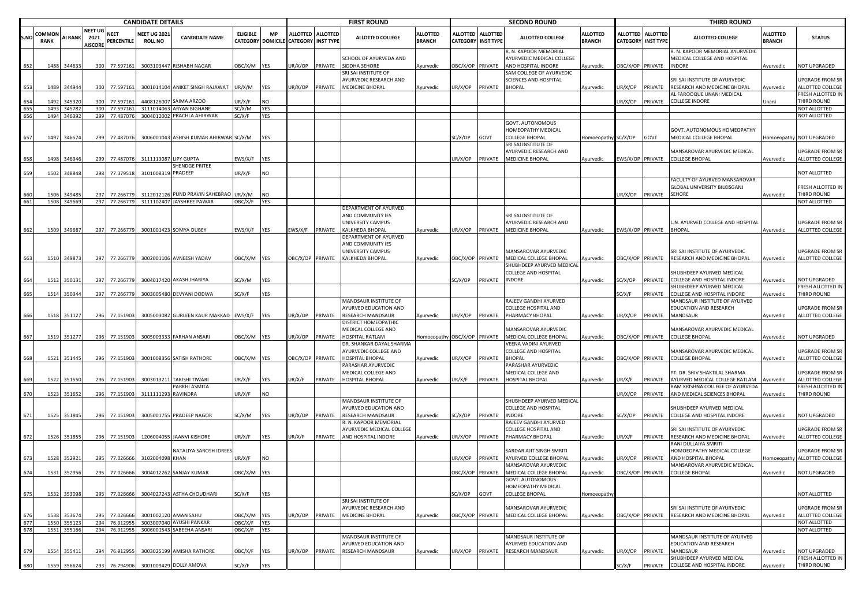|     |                       |                |                                          |                           | <b>CANDIDATE DETAILS</b>              |                                        |                 |            |                                      |                   | <b>FIRST ROUND</b>                                                |                                  |                             |                                     | <b>SECOND ROUND</b>                                                       |                                  |                  |                                         | <b>THIRD ROUND</b>                                                               |                                  |                                     |
|-----|-----------------------|----------------|------------------------------------------|---------------------------|---------------------------------------|----------------------------------------|-----------------|------------|--------------------------------------|-------------------|-------------------------------------------------------------------|----------------------------------|-----------------------------|-------------------------------------|---------------------------------------------------------------------------|----------------------------------|------------------|-----------------------------------------|----------------------------------------------------------------------------------|----------------------------------|-------------------------------------|
| S.N | COMMON<br><b>RANK</b> | <b>AI RANK</b> | <b>NEET UG</b><br>2021<br><b>AISCORE</b> | <b>NEET</b><br>PERCENTILE | <b>NEET UG 2021</b><br><b>ROLL NO</b> | <b>CANDIDATE NAME</b>                  | <b>ELIGIBLE</b> | <b>MP</b>  | CATEGORY DOMICILE CATEGORY INST TYPE | ALLOTTED ALLOTTED | <b>ALLOTTED COLLEGE</b>                                           | <b>ALLOTTED</b><br><b>BRANCH</b> | ALLOTTED<br><b>CATEGORY</b> | <b>ALLOTTED</b><br><b>INST TYPE</b> | ALLOTTED COLLEGE                                                          | <b>ALLOTTED</b><br><b>BRANCH</b> |                  | ALLOTTED ALLOTTED<br>CATEGORY INST TYPE | <b>ALLOTTED COLLEGE</b>                                                          | <b>ALLOTTED</b><br><b>BRANCH</b> | <b>STATUS</b>                       |
| 652 | 1488                  | 344633         |                                          | 300 77.597161             |                                       | 3003103447 RISHABH NAGAR               | OBC/X/M YES     |            | JR/X/OP                              | PRIVATE           | SCHOOL OF AYURVEDA AND<br>SIDDHA SEHORE                           | Ayurvedic                        | DBC/X/OP PRIVATE            |                                     | R. N. KAPOOR MEMORIAL<br>AYURVEDIC MEDICAL COLLEGE<br>AND HOSPITAL INDORE | Ayurvedic                        | OBC/X/OP PRIVATE |                                         | R. N. KAPOOR MEMORIAL AYURVEDIC<br>MEDICAL COLLEGE AND HOSPITAL<br><b>INDORE</b> | Ayurvedic                        | <b>NOT UPGRADED</b>                 |
| 653 | 1489                  | 344944         | 300                                      | 77.597161                 |                                       | 3001014104 ANIKET SINGH RAJAWAT        | JR/X/M          | YES        | JR/X/OP                              | PRIVATE           | SRI SAI INSTITUTE OF<br>AYURVEDIC RESEARCH AND<br>MEDICINE BHOPAL | Ayurvedic                        | JR/X/OP                     | PRIVATE                             | SAM COLLEGE OF AYURVEDIC<br>SCIENCES AND HOSPITAL<br>BHOPAL               | Ayurvedic                        | IR/X/OP          | PRIVATE                                 | SRI SAI INSTITUTE OF AYURVEDIC<br>RESEARCH AND MEDICINE BHOPAL                   | Ayurvedic                        | JPGRADE FROM SR<br>ALLOTTED COLLEGE |
| 654 | 1492                  | 34532          | 300                                      | 77.597161                 | 4408126007                            | SAIMA ARZOO                            | JR/X/F          | <b>NO</b>  |                                      |                   |                                                                   |                                  |                             |                                     |                                                                           |                                  | JR/X/OP          | PRIVATE                                 | AL FAROOQUE UNANI MEDICAL<br><b>COLLEGE INDORE</b>                               | Jnani                            | FRESH ALLOTTED IN<br>THIRD ROUND    |
| 655 | 1493                  | 345782         |                                          | 300 77.597161             |                                       | 3111014063 ARYAN BIGHANE               | SC/X/M          | YES        |                                      |                   |                                                                   |                                  |                             |                                     |                                                                           |                                  |                  |                                         |                                                                                  |                                  | NOT ALLOTTED                        |
| 656 | 1494                  | 346392         |                                          | 299 77.48707              |                                       | 3004012002 PRACHLA AHIRWAR             | SC/X/F          | YES        |                                      |                   |                                                                   |                                  |                             |                                     |                                                                           |                                  |                  |                                         |                                                                                  |                                  | NOT ALLOTTED                        |
|     |                       |                |                                          |                           |                                       |                                        |                 |            |                                      |                   |                                                                   |                                  |                             |                                     | GOVT. AUTONOMOUS                                                          |                                  |                  |                                         |                                                                                  |                                  |                                     |
| 657 | 1497                  | 346574         |                                          | 299 77.487076             |                                       | 3006001043 ASHISH KUMAR AHIRWAR SC/X/M |                 | YES        |                                      |                   |                                                                   |                                  | SC/X/OP                     | GOVT                                | HOMEOPATHY MEDICAL<br><b>COLLEGE BHOPAL</b>                               | Homoeopathy SC/X/OP              |                  | GOVT                                    | GOVT. AUTONOMOUS HOMEOPATHY<br>MEDICAL COLLEGE BHOPAL                            | Homoeopathy                      | NOT UPGRADED                        |
|     |                       |                |                                          |                           |                                       |                                        |                 |            |                                      |                   |                                                                   |                                  |                             |                                     | SRI SAI INSTITUTE OF                                                      |                                  |                  |                                         |                                                                                  |                                  |                                     |
| 658 | 1498                  | 346946         |                                          | 299 77.487076             | 3111113087 LIPY GUPTA                 |                                        | EWS/X/F         | <b>YES</b> |                                      |                   |                                                                   |                                  | JR/X/OP                     | PRIVATE                             | AYURVEDIC RESEARCH AND<br><b>MEDICINE BHOPAL</b>                          | Ayurvedic                        | EWS/X/OP PRIVATE |                                         | MANSAROVAR AYURVEDIC MEDICAL<br><b>COLLEGE BHOPAL</b>                            | Ayurvedic                        | JPGRADE FROM SR<br>ALLOTTED COLLEGE |
|     |                       |                |                                          |                           |                                       | SHENDGE PRITEE                         |                 |            |                                      |                   |                                                                   |                                  |                             |                                     |                                                                           |                                  |                  |                                         |                                                                                  |                                  |                                     |
| 659 | 1502                  | 348848         | 298                                      | 77.379518                 | 3101008319 PRADEEP                    |                                        | JR/X/F          | <b>NO</b>  |                                      |                   |                                                                   |                                  |                             |                                     |                                                                           |                                  |                  |                                         |                                                                                  |                                  | <b>NOT ALLOTTED</b>                 |
|     |                       |                |                                          |                           |                                       |                                        |                 |            |                                      |                   |                                                                   |                                  |                             |                                     |                                                                           |                                  |                  |                                         | FACULTY OF AYURVED MANSAROVAR<br>GLOBAL UNIVERSITY BILKISGANJ                    |                                  | FRESH ALLOTTED IN                   |
| 660 | 1506                  | 34948          | 297                                      | 77.266779                 |                                       | 3112012126 PUND PRAVIN SAHEBRAO UR/X/M |                 | <b>NO</b>  |                                      |                   |                                                                   |                                  |                             |                                     |                                                                           |                                  | JR/X/OP PRIVATE  |                                         | <b>SEHORE</b>                                                                    | Ayurvedic                        | THIRD ROUND                         |
| 661 | 1508                  | 349669         |                                          | 297 77.266779             |                                       | 3111102407 JAYSHREE PAWAR              | OBC/X/F         | <b>YES</b> |                                      |                   |                                                                   |                                  |                             |                                     |                                                                           |                                  |                  |                                         |                                                                                  |                                  | NOT ALLOTTED                        |
|     |                       |                |                                          |                           |                                       |                                        |                 |            |                                      |                   | DEPARTMENT OF AYURVED<br>AND COMMUNITY IES<br>UNIVERSITY CAMPUS   |                                  |                             |                                     | SRI SAI INSTITUTE OF<br>AYURVEDIC RESEARCH AND                            |                                  |                  |                                         | L.N. AYURVED COLLEGE AND HOSPITAI                                                |                                  | JPGRADE FROM SR                     |
| 662 |                       | 1509 349687    |                                          | 297 77.266779             |                                       | 3001001423 SOMYA DUBEY                 | EWS/X/F         | <b>YES</b> | EWS/X/F                              | PRIVATE           | KALKHEDA BHOPAL                                                   | Ayurvedic                        | JR/X/OP PRIVATE             |                                     | MEDICINE BHOPAL                                                           | Ayurvedic                        | EWS/X/OP PRIVATE |                                         | <b>BHOPAL</b>                                                                    | Ayurvedic                        | ALLOTTED COLLEGE                    |
|     |                       |                |                                          |                           |                                       |                                        |                 |            |                                      |                   | DEPARTMENT OF AYURVED                                             |                                  |                             |                                     |                                                                           |                                  |                  |                                         |                                                                                  |                                  |                                     |
|     |                       |                |                                          |                           |                                       |                                        |                 |            |                                      |                   | AND COMMUNITY IES                                                 |                                  |                             |                                     |                                                                           |                                  |                  |                                         |                                                                                  |                                  |                                     |
|     |                       |                |                                          |                           |                                       |                                        |                 |            |                                      |                   | UNIVERSITY CAMPUS                                                 |                                  |                             |                                     | MANSAROVAR AYURVEDIC                                                      |                                  |                  |                                         | SRI SAI INSTITUTE OF AYURVEDIC                                                   |                                  | UPGRADE FROM SR                     |
|     | 1510                  | 349873         | 297                                      | 77.266779                 |                                       | 3002001106 AVNEESH YADAV               | OBC/X/M YES     |            | OBC/X/OP PRIVATE                     |                   | KALKHEDA BHOPAL                                                   | Ayurvedic                        | BC/X/OP PRIVATE             |                                     | MEDICAL COLLEGE BHOPAL                                                    | Ayurvedic                        | OBC/X/OP PRIVATE |                                         | RESEARCH AND MEDICINE BHOPAL                                                     | Ayurvedic                        | ALLOTTED COLLEGE                    |
|     |                       |                |                                          |                           |                                       |                                        |                 |            |                                      |                   |                                                                   |                                  |                             |                                     | SHUBHDEEP AYURVED MEDICAL<br>COLLEGE AND HOSPITAL                         |                                  |                  |                                         |                                                                                  |                                  |                                     |
|     | 1512                  | 35013          | 297                                      | 77.266779                 |                                       | 3004017420 AKASH JHARIYA               | SC/X/M          | YES        |                                      |                   |                                                                   |                                  | SC/X/OP                     | PRIVATE                             | INDORE                                                                    | Ayurvedic                        | C/X/OP           | PRIVATE                                 | SHUBHDEEP AYURVED MEDICAL<br>COLLEGE AND HOSPITAL INDORE                         | Ayurvedic                        | NOT UPGRADED                        |
|     |                       |                |                                          |                           |                                       |                                        |                 |            |                                      |                   |                                                                   |                                  |                             |                                     |                                                                           |                                  |                  |                                         | SHUBHDEEP AYURVED MEDICAL                                                        |                                  | RESH ALLOTTED IN                    |
| 665 | 1514                  | 350344         |                                          | 297 77.266779             |                                       | 3003005480 DEVYANI DODWA               | SC/X/F          | YES        |                                      |                   |                                                                   |                                  |                             |                                     |                                                                           |                                  | SC/X/F           | PRIVATE                                 | COLLEGE AND HOSPITAL INDORE                                                      | Ayurvedic                        | THIRD ROUND                         |
|     |                       |                |                                          |                           |                                       |                                        |                 |            |                                      |                   | MANDSAUR INSTITUTE OF                                             |                                  |                             |                                     | RAJEEV GANDHI AYURVED                                                     |                                  |                  |                                         | MANDSAUR INSTITUTE OF AYURVED                                                    |                                  |                                     |
|     |                       |                |                                          |                           |                                       |                                        |                 |            |                                      |                   | <b>AYURVED EDUCATION AND</b>                                      |                                  |                             |                                     | COLLEGE HOSPITAL AND                                                      |                                  |                  |                                         | EDUCATION AND RESEARCH                                                           |                                  | JPGRADE FROM SR                     |
| 666 |                       | 1518 351127    |                                          | 296 77.151903             |                                       | 3005003082 GURLEEN KAUR MAKKAD EWS/X/F |                 | <b>YES</b> | JR/X/OP                              | PRIVATE           | <b>RESEARCH MANDSAUR</b><br>DISTRICT HOMEOPATHIC                  | Ayurvedic                        | JR/X/OP PRIVATE             |                                     | PHARMACY BHOPAL                                                           | Ayurvedic                        | JR/X/OP PRIVATE  |                                         | <b>MANDSAUR</b>                                                                  | Ayurvedic                        | ALLOTTED COLLEGE                    |
|     |                       |                |                                          |                           |                                       |                                        |                 |            |                                      |                   | MEDICAL COLLEGE AND                                               |                                  |                             |                                     | MANSAROVAR AYURVEDIC                                                      |                                  |                  |                                         | MANSAROVAR AYURVEDIC MEDICAL                                                     |                                  |                                     |
| 667 |                       | 1519 351277    |                                          | 296 77.151903             |                                       | 3005003333 FARHAN ANSARI               | OBC/X/M YES     |            | JR/X/OP                              | PRIVATE           | <b>HOSPITAL RATLAM</b>                                            | <b>Homoeopathy</b>               | OBC/X/OP PRIVATE            |                                     | MEDICAL COLLEGE BHOPAL                                                    | Ayurvedic                        | OBC/X/OP PRIVATE |                                         | <b>COLLEGE BHOPAL</b>                                                            | Ayurvedic                        | NOT UPGRADED                        |
|     |                       |                |                                          |                           |                                       |                                        |                 |            |                                      |                   | DR. SHANKAR DAYAL SHARMA                                          |                                  |                             |                                     | VEENA VADINI AYURVED                                                      |                                  |                  |                                         |                                                                                  |                                  |                                     |
|     |                       |                |                                          |                           |                                       |                                        |                 |            |                                      |                   | AYURVEDIC COLLEGE AND                                             |                                  |                             |                                     | <b>COLLEGE AND HOSPITAL</b>                                               |                                  |                  |                                         | MANSAROVAR AYURVEDIC MEDICAL                                                     |                                  | JPGRADE FROM SR                     |
| 668 |                       | 1521 351445    |                                          | 296 77.151903             |                                       | 3001008356 SATISH RATHORE              | OBC/X/M YES     |            | DBC/X/OP PRIVATE                     |                   | HOSPITAL BHOPAL                                                   | Ayurvedic                        | JR/X/OP                     | PRIVATE                             | <b>BHOPAL</b>                                                             | Ayurvedic                        | OBC/X/OP PRIVATE |                                         | <b>COLLEGE BHOPAL</b>                                                            | Ayurvedic                        | ALLOTTED COLLEGE                    |
|     |                       |                |                                          |                           |                                       |                                        |                 |            |                                      |                   | PARASHAR AYURVEDIO<br>MEDICAL COLLEGE AND                         |                                  |                             |                                     | PARASHAR AYURVEDIC<br>MEDICAL COLLEGE AND                                 |                                  |                  |                                         | PT. DR. SHIV SHAKTILAL SHARMA                                                    |                                  | JPGRADE FROM SR                     |
| 669 | 1522                  | 351550         |                                          | 296 77.151903             |                                       | 3003013211 TARISHI TIWARI              | JR/X/F          | YES        | JR/X/F                               | PRIVATE           | <b>HOSPITAL BHOPAL</b>                                            | Ayurvedic                        | JR/X/F                      | PRIVATE                             | <b>HOSPITAL BHOPAL</b>                                                    | Ayurvedic                        | JR/X/F           | PRIVATE                                 | AYURVED MEDICAL COLLEGE RATLAM                                                   | Ayurvedic                        | ALLOTTED COLLEGE                    |
|     |                       |                |                                          |                           |                                       | PARKHI ASMITA                          |                 |            |                                      |                   |                                                                   |                                  |                             |                                     |                                                                           |                                  |                  |                                         | RAM KRISHNA COLLEGE OF AYURVEDA                                                  |                                  | FRESH ALLOTTED IN                   |
| 670 | 1523                  | 351652         | 296                                      | 77.151903                 | 3111111293 RAVINDRA                   |                                        | UR/X/F          | <b>NO</b>  |                                      |                   |                                                                   |                                  |                             |                                     |                                                                           |                                  | JR/X/OP          | PRIVATE                                 | AND MEDICAL SCIENCES BHOPAL                                                      | Ayurvedic                        | THIRD ROUND                         |
|     |                       |                |                                          |                           |                                       |                                        |                 |            |                                      |                   | MANDSAUR INSTITUTE OF<br><b>AYURVED EDUCATION AND</b>             |                                  |                             |                                     | SHUBHDEEP AYURVED MEDICAL<br><b>COLLEGE AND HOSPITAL</b>                  |                                  |                  |                                         | SHUBHDEEP AYURVED MEDICAL                                                        |                                  |                                     |
| 671 |                       | 1525 351845    |                                          | 296 77.151903             |                                       | 3005001755 PRADEEP NAGOR               | SC/X/M          | <b>YES</b> | JR/X/OP                              | PRIVATE           | RESEARCH MANDSAUR                                                 | Ayurvedic                        | C/X/OP                      | PRIVATE                             | <b>INDORE</b>                                                             | Ayurvedic                        | SC/X/OP          | PRIVATE                                 | COLLEGE AND HOSPITAL INDORE                                                      | Ayurvedic                        | NOT UPGRADED                        |
|     |                       |                |                                          |                           |                                       |                                        |                 |            |                                      |                   | R. N. KAPOOR MEMORIAL                                             |                                  |                             |                                     | RAJEEV GANDHI AYURVED                                                     |                                  |                  |                                         |                                                                                  |                                  |                                     |
|     |                       |                |                                          |                           |                                       |                                        |                 |            |                                      |                   | AYURVEDIC MEDICAL COLLEGE                                         |                                  |                             |                                     | COLLEGE HOSPITAL AND                                                      |                                  |                  |                                         | SRI SAI INSTITUTE OF AYURVEDIC                                                   |                                  | JPGRADE FROM SR                     |
| 672 |                       | 1526 351855    |                                          | 296 77.151903             |                                       | 1206004055 JAANVI KISHORE              | UR/X/F          | YES        | UR/X/F                               | PRIVATE           | AND HOSPITAL INDORE                                               | Ayurvedic                        | JR/X/OP                     | PRIVATE                             | PHARMACY BHOPAL                                                           | Ayurvedic                        | JR/X/F           | PRIVATE                                 | RESEARCH AND MEDICINE BHOPAL                                                     | Ayurvedic                        | ALLOTTED COLLEGE                    |
|     |                       |                |                                          |                           |                                       | NATALIYA SAROSH IDREES                 |                 |            |                                      |                   |                                                                   |                                  |                             |                                     | SARDAR AJIT SINGH SMRITI                                                  |                                  |                  |                                         | RANI DULLAIYA SMRITI<br>HOMOEOPATHY MEDICAL COLLEGE                              |                                  | JPGRADE FROM SR                     |
| 673 | 1528                  | 352921         | 295                                      | 77.026666                 | 3102004098 KHAN                       |                                        | JR/X/F          | <b>NO</b>  |                                      |                   |                                                                   |                                  | JR/X/OP                     | PRIVATE                             | AYURVED COLLEGE BHOPAL                                                    | Ayurvedic                        | IR/X/OP          | PRIVATE                                 | AND HOSPITAL BHOPAL                                                              | <b>Iomoeopathy</b>               | ALLOTTED COLLEGE                    |
|     |                       |                |                                          |                           |                                       |                                        |                 |            |                                      |                   |                                                                   |                                  |                             |                                     | MANSAROVAR AYURVEDIC                                                      |                                  |                  |                                         | MANSAROVAR AYURVEDIC MEDICAL                                                     |                                  |                                     |
| 674 |                       | 1531 352956    |                                          | 295 77.026666             |                                       | 3004012262 SANJAY KUMAR                | DBC/X/M YES     |            |                                      |                   |                                                                   |                                  | DBC/X/OP PRIVATE            |                                     | MEDICAL COLLEGE BHOPAL                                                    | Ayurvedic                        | OBC/X/OP PRIVATE |                                         | <b>COLLEGE BHOPAL</b>                                                            | Ayurvedic                        | <b>NOT UPGRADED</b>                 |
|     |                       |                |                                          |                           |                                       |                                        |                 |            |                                      |                   |                                                                   |                                  |                             |                                     | GOVT. AUTONOMOUS                                                          |                                  |                  |                                         |                                                                                  |                                  |                                     |
|     |                       |                |                                          |                           |                                       | 3004027243 ASTHA CHOUDHARI             |                 |            |                                      |                   |                                                                   |                                  |                             |                                     | HOMEOPATHY MEDICAL                                                        |                                  |                  |                                         |                                                                                  |                                  |                                     |
| 675 |                       | 1532 353098    |                                          | 295 77.026666             |                                       |                                        | SC/X/F          | YES        |                                      |                   | SRI SAI INSTITUTE OF                                              |                                  | SC/X/OP                     | GOVT                                | <b>COLLEGE BHOPAL</b>                                                     | Homoeopathy                      |                  |                                         |                                                                                  |                                  | <b>NOT ALLOTTED</b>                 |
|     |                       |                |                                          |                           |                                       |                                        |                 |            |                                      |                   | AYURVEDIC RESEARCH AND                                            |                                  |                             |                                     | MANSAROVAR AYURVEDIC                                                      |                                  |                  |                                         | SRI SAI INSTITUTE OF AYURVEDIC                                                   |                                  | UPGRADE FROM SR                     |
| 676 | 1538                  | 353674         | 295                                      | 77.026666                 |                                       | 3001002120 AMAN SAHU                   | OBC/X/M YES     |            | JR/X/OP                              | PRIVATE           | <b>MEDICINE BHOPAL</b>                                            | Ayurvedic                        | OBC/X/OP PRIVATE            |                                     | MEDICAL COLLEGE BHOPAL                                                    | Ayurvedic                        | DBC/X/OP PRIVATE |                                         | RESEARCH AND MEDICINE BHOPAL                                                     | Ayurvedic                        | ALLOTTED COLLEGE                    |
| 677 | 1550                  | 355123         |                                          | 294 76.912955             |                                       | 3003007040 AYUSHI PANKAR               | OBC/X/F         | <b>YES</b> |                                      |                   |                                                                   |                                  |                             |                                     |                                                                           |                                  |                  |                                         |                                                                                  |                                  | NOT ALLOTTED                        |
| 678 | 1551                  | 355166         |                                          | 294 76.912955             |                                       | 3006001543 SABEEHA ANSARI              | OBC/X/F         | <b>YES</b> |                                      |                   |                                                                   |                                  |                             |                                     |                                                                           |                                  |                  |                                         |                                                                                  |                                  | NOT ALLOTTED                        |
|     |                       |                |                                          |                           |                                       |                                        |                 |            |                                      |                   | MANDSAUR INSTITUTE OF<br>AYURVED EDUCATION AND                    |                                  |                             |                                     | MANDSAUR INSTITUTE OF<br>AYURVED EDUCATION AND                            |                                  |                  |                                         | MANDSAUR INSTITUTE OF AYURVED<br>EDUCATION AND RESEARCH                          |                                  |                                     |
| 679 | 1554                  | 35541          |                                          | 294 76.912955             |                                       | 3003025199 AMISHA RATHORE              | OBC/X/F         | <b>YES</b> | JR/X/OP                              | PRIVATE           | RESEARCH MANDSAUR                                                 | Ayurvedic                        | JR/X/OP                     | PRIVATE                             | <b>RESEARCH MANDSAUR</b>                                                  | Ayurvedic                        | JR/X/OP          | PRIVATE                                 | <b>MANDSAUR</b>                                                                  | Ayurvedic                        | NOT UPGRADED                        |
|     |                       |                |                                          |                           |                                       |                                        |                 |            |                                      |                   |                                                                   |                                  |                             |                                     |                                                                           |                                  |                  |                                         | SHUBHDEEP AYURVED MEDICAL                                                        |                                  | FRESH ALLOTTED IN                   |
| 680 |                       | 1559 356624    |                                          | 293 76.794906             |                                       | 3001009429 DOLLY AMOVA                 | SC/X/F          | YES        |                                      |                   |                                                                   |                                  |                             |                                     |                                                                           |                                  | SC/X/F           | PRIVATE                                 | COLLEGE AND HOSPITAL INDORE                                                      | Ayurvedic                        | THIRD ROUND                         |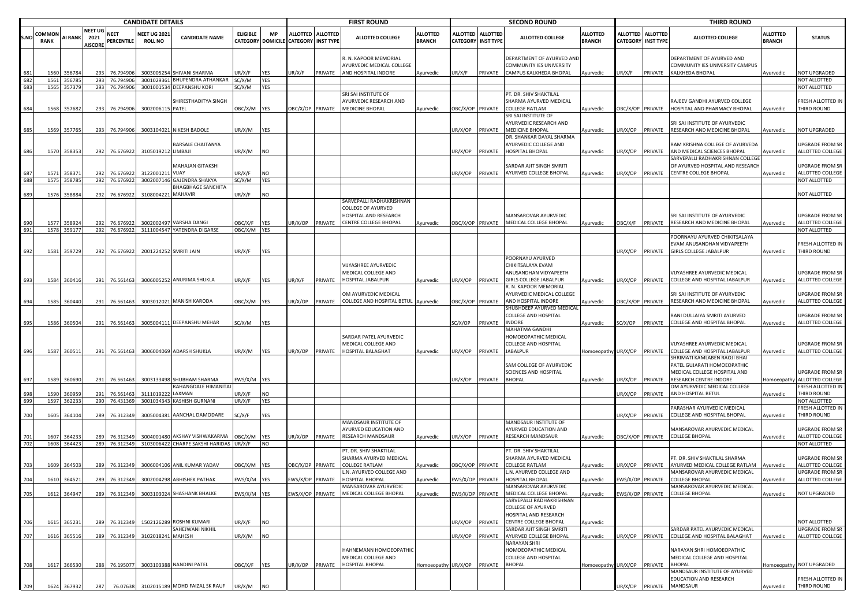|            |                              | <b>CANDIDATE DETAILS</b> |                                          |                                |                                      |                                                        |                        |                                       |                                                |         | <b>FIRST ROUND</b>                                 |                                  |                           |                   | <b>SECOND ROUND</b>                                     |                                  |                                    |                                     | <b>THIRD ROUND</b>                                             |                                  |                                         |
|------------|------------------------------|--------------------------|------------------------------------------|--------------------------------|--------------------------------------|--------------------------------------------------------|------------------------|---------------------------------------|------------------------------------------------|---------|----------------------------------------------------|----------------------------------|---------------------------|-------------------|---------------------------------------------------------|----------------------------------|------------------------------------|-------------------------------------|----------------------------------------------------------------|----------------------------------|-----------------------------------------|
| S.NO       | <b>COMMON</b><br><b>RANK</b> | <b>AI RANK</b>           | <b>NEET UG</b><br>2021<br><b>AISCORE</b> | <b>NEET</b><br>PERCENTILE      | <b>NEET UG 202</b><br><b>ROLL NO</b> | <b>CANDIDATE NAME</b>                                  | <b>ELIGIBLE</b>        | <b>MP</b><br><b>CATEGORY DOMICILE</b> | ALLOTTED ALLOTTED<br><b>CATEGORY INST TYPE</b> |         | ALLOTTED COLLEGE                                   | <b>ALLOTTED</b><br><b>BRANCH</b> | <b>CATEGORY INST TYPE</b> | ALLOTTED ALLOTTED | <b>ALLOTTED COLLEGE</b>                                 | <b>ALLOTTED</b><br><b>BRANCH</b> | <b>ALLOTTED</b><br><b>CATEGORY</b> | <b>ALLOTTED</b><br><b>INST TYPE</b> | <b>ALLOTTED COLLEGE</b>                                        | <b>ILLOTTED</b><br><b>BRANCH</b> | <b>STATUS</b>                           |
|            |                              |                          |                                          |                                |                                      |                                                        |                        |                                       |                                                |         | R. N. KAPOOR MEMORIAL<br>AYURVEDIC MEDICAL COLLEGE |                                  |                           |                   | DEPARTMENT OF AYURVED AND<br>COMMUNITY IES UNIVERSITY   |                                  |                                    |                                     | DEPARTMENT OF AYURVED AND<br>COMMUNITY IES UNIVERSITY CAMPUS   |                                  |                                         |
|            | 156                          | 35678                    | 293                                      | 76.79490                       | 300300525                            | SHIVANI SHARMA                                         | JR/X/F                 | YES                                   | JR/X/F                                         | PRIVATE | AND HOSPITAL INDORE                                | Ayurvedic                        | JR/X/F                    | PRIVATE           | CAMPUS KALKHEDA BHOPAL                                  | Ayurvedic                        | JR/X/F                             | PRIVATE                             | KALKHEDA BHOPAL                                                | Ayurvedic                        | <b>NOT UPGRADED</b>                     |
| 682<br>683 | 1561<br>1565                 | 356785<br>357379         |                                          | 293 76.794906<br>293 76.794906 | 3001029361                           | <b>BHUPENDRA ATHANKAR</b><br>3001001534 DEEPANSHU KORI | SC/X/M<br>SC/X/M       | <b>YES</b><br><b>YES</b>              |                                                |         |                                                    |                                  |                           |                   |                                                         |                                  |                                    |                                     |                                                                |                                  | <b>NOT ALLOTTED</b><br>NOT ALLOTTED     |
|            |                              |                          |                                          |                                |                                      |                                                        |                        |                                       |                                                |         | SRI SAI INSTITUTE OF                               |                                  |                           |                   | PT. DR. SHIV SHAKTILAL                                  |                                  |                                    |                                     |                                                                |                                  |                                         |
|            |                              |                          |                                          |                                |                                      | SHIRESTHADITYA SINGH                                   |                        |                                       |                                                |         | AYURVEDIC RESEARCH AND                             |                                  |                           |                   | SHARMA AYURVED MEDICAL                                  |                                  |                                    |                                     | RAJEEV GANDHI AYURVED COLLEGE                                  |                                  | RESH ALLOTTED IN                        |
|            | 1568                         | 357682                   |                                          | 293 76.794906                  | 3002006115 PATEL                     |                                                        | OBC/X/M YES            |                                       | DBC/X/OP PRIVATE                               |         | <b>MEDICINE BHOPAL</b>                             | Ayurvedic                        | OBC/X/OP PRIVATE          |                   | COLLEGE RATLAM                                          | Ayurvedic                        | BC/X/OP PRIVATE                    |                                     | HOSPITAL AND PHARMACY BHOPAL                                   | Ayurvedic                        | THIRD ROUND                             |
|            |                              |                          |                                          |                                |                                      |                                                        |                        |                                       |                                                |         |                                                    |                                  |                           |                   | SRI SAI INSTITUTE OF                                    |                                  |                                    |                                     |                                                                |                                  |                                         |
|            |                              |                          |                                          |                                |                                      |                                                        |                        |                                       |                                                |         |                                                    |                                  |                           |                   | <b>AYURVEDIC RESEARCH AND</b><br><b>MEDICINE BHOPAL</b> |                                  |                                    |                                     | SRI SAI INSTITUTE OF AYURVEDIC                                 |                                  | <b>IOT UPGRADED</b>                     |
| 685        |                              | 1569 357765              |                                          | 293 76.794906                  |                                      | 3003104021 NIKESH BADOLE                               | JR/X/M                 | <b>YES</b>                            |                                                |         |                                                    |                                  | JR/X/OP                   | <b>PRIVATE</b>    | DR. SHANKAR DAYAL SHARMA                                | Ayurvedic                        | JR/X/OP                            | PRIVATE                             | RESEARCH AND MEDICINE BHOPAL                                   | Ayurvedic                        |                                         |
|            |                              |                          |                                          |                                |                                      | BARSALE CHAITANYA                                      |                        |                                       |                                                |         |                                                    |                                  |                           |                   | <b>AYURVEDIC COLLEGE AND</b>                            |                                  |                                    |                                     | RAM KRISHNA COLLEGE OF AYURVEDA                                |                                  | <b>JPGRADE FROM SR</b>                  |
| 686        |                              | 1570 358353              |                                          | 292 76.676922                  | 3105019212 LIMBAJI                   |                                                        | UR/X/M                 | <b>NO</b>                             |                                                |         |                                                    |                                  | JR/X/OP                   | PRIVATE           | HOSPITAL BHOPAL                                         | Ayurvedic                        | UR/X/OP                            | PRIVATE                             | AND MEDICAL SCIENCES BHOPAL                                    | Ayurvedic                        | ALLOTTED COLLEGE                        |
|            |                              |                          |                                          |                                |                                      |                                                        |                        |                                       |                                                |         |                                                    |                                  |                           |                   |                                                         |                                  |                                    |                                     | SARVEPALLI RADHAKRISHNAN COLLEGI                               |                                  |                                         |
|            |                              |                          |                                          |                                |                                      | MAHAJAN GITAKSHI                                       |                        |                                       |                                                |         |                                                    |                                  |                           |                   | SARDAR AJIT SINGH SMRITI                                |                                  |                                    |                                     | OF AYURVED HOSPITAL AND RESEARCH                               |                                  | JPGRADE FROM SR                         |
| 688        | 1571<br>1575                 | 35837<br>358785          | 292<br>292                               | 76.67692<br>76.676922          | 312200121                            | VIJAY<br>3002007146 GAJENDRA SHAKYA                    | JR/X/F<br>SC/X/M       | NO<br><b>YES</b>                      |                                                |         |                                                    |                                  | IR/X/OP                   | PRIVATE           | AYURVED COLLEGE BHOPAL                                  | Ayurvedic                        | JR/X/OP                            | PRIVATE                             | <b>CENTRE COLLEGE BHOPAL</b>                                   | Ayurvedic                        | ALLOTTED COLLEGE<br><b>NOT ALLOTTED</b> |
|            |                              |                          |                                          |                                |                                      | BHAGBHAGE SANCHITA                                     |                        |                                       |                                                |         |                                                    |                                  |                           |                   |                                                         |                                  |                                    |                                     |                                                                |                                  |                                         |
| 689        | 1576                         | 358884                   |                                          | 292 76.67692                   | 3108004221 MAHAVIR                   |                                                        | UR/X/F                 | <b>NO</b>                             |                                                |         |                                                    |                                  |                           |                   |                                                         |                                  |                                    |                                     |                                                                |                                  | <b>IOT ALLOTTED</b>                     |
|            |                              |                          |                                          |                                |                                      |                                                        |                        |                                       |                                                |         | SARVEPALLI RADHAKRISHNAN                           |                                  |                           |                   |                                                         |                                  |                                    |                                     |                                                                |                                  |                                         |
|            |                              |                          |                                          |                                |                                      |                                                        |                        |                                       |                                                |         | <b>COLLEGE OF AYURVED</b>                          |                                  |                           |                   |                                                         |                                  |                                    |                                     |                                                                |                                  |                                         |
|            |                              |                          |                                          |                                |                                      |                                                        |                        |                                       |                                                |         | HOSPITAL AND RESEARCH                              |                                  |                           |                   | <b>MANSAROVAR AYURVEDIC</b>                             |                                  |                                    |                                     | SRI SAI INSTITUTE OF AYURVEDIC<br>RESEARCH AND MEDICINE BHOPAL |                                  | JPGRADE FROM SR                         |
| 691        | 1577                         | 358924<br>1578 359177    |                                          | 292 76.676922<br>292 76.676922 |                                      | 3002002497 VARSHA DANGI<br>3111004547 YATENDRA DIGARSE | OBC/X/F<br>OBC/X/M YES | <b>YES</b>                            | JR/X/OP                                        | PRIVATE | <b>CENTRE COLLEGE BHOPAL</b>                       | Ayurvedic                        | OBC/X/OP PRIVATE          |                   | MEDICAL COLLEGE BHOPAL                                  | Ayurvedic                        | )BC/X/F                            | PRIVATE                             |                                                                | Ayurvedic                        | ALLOTTED COLLEGE<br>NOT ALLOTTED        |
|            |                              |                          |                                          |                                |                                      |                                                        |                        |                                       |                                                |         |                                                    |                                  |                           |                   |                                                         |                                  |                                    |                                     | POORNAYU AYURVED CHIKITSALAYA                                  |                                  |                                         |
|            |                              |                          |                                          |                                |                                      |                                                        |                        |                                       |                                                |         |                                                    |                                  |                           |                   |                                                         |                                  |                                    |                                     | EVAM ANUSANDHAN VIDYAPEETH                                     |                                  | RESH ALLOTTED IN                        |
| 692        | 1581                         | 359729                   |                                          | 292 76.676922                  | 2001224252 SMRITI JAIN               |                                                        | UR/X/F                 | YES                                   |                                                |         |                                                    |                                  |                           |                   |                                                         |                                  | UR/X/OP                            | PRIVATE                             | <b>GIRLS COLLEGE JABALPUR</b>                                  | Ayurvedic                        | <b>THIRD ROUND</b>                      |
|            |                              |                          |                                          |                                |                                      |                                                        |                        |                                       |                                                |         |                                                    |                                  |                           |                   | POORNAYU AYURVED                                        |                                  |                                    |                                     |                                                                |                                  |                                         |
|            |                              |                          |                                          |                                |                                      |                                                        |                        |                                       |                                                |         | <b>VIJYASHREE AYURVEDIC</b><br>MEDICAL COLLEGE AND |                                  |                           |                   | CHIKITSALAYA EVAM<br>ANUSANDHAN VIDYAPEETH              |                                  |                                    |                                     | VIJYASHREE AYURVEDIC MEDICAL                                   |                                  | JPGRADE FROM SR                         |
| 693        | 1584                         | 360416                   |                                          | 291 76.561463                  |                                      | 3006005252 ANURIMA SHUKLA                              | JR/X/F                 | <b>YES</b>                            | JR/X/F                                         | PRIVATE | <b>HOSPITAL JABALPUR</b>                           | Ayurvedic                        | JR/X/OP PRIVATE           |                   | GIRLS COLLEGE JABALPUR                                  | Ayurvedic                        | JR/X/OP                            | PRIVATE                             | COLLEGE AND HOSPITAL JABALPUR                                  | Ayurvedic                        | ALLOTTED COLLEGE                        |
|            |                              |                          |                                          |                                |                                      |                                                        |                        |                                       |                                                |         |                                                    |                                  |                           |                   | R. N. KAPOOR MEMORIAL                                   |                                  |                                    |                                     |                                                                |                                  |                                         |
|            |                              |                          |                                          |                                |                                      |                                                        |                        |                                       |                                                |         | OM AYURVEDIC MEDICAL                               |                                  |                           |                   | AYURVEDIC MEDICAL COLLEGE                               |                                  |                                    |                                     | SRI SAI INSTITUTE OF AYURVEDIC                                 |                                  | JPGRADE FROM SR                         |
| 694        | 1585                         | 360440                   |                                          | 291 76.561463                  |                                      | 3003012021 MANISH KARODA                               | OBC/X/M YES            |                                       | JR/X/OP                                        | PRIVATE | COLLEGE AND HOSPITAL BETUL Ayurvedic               |                                  | DBC/X/OP PRIVATE          |                   | AND HOSPITAL INDORE                                     | Ayurvedic                        | OBC/X/OP PRIVATE                   |                                     | RESEARCH AND MEDICINE BHOPAL                                   | Ayurvedic                        | <b>ILLOTTED COLLEGE</b>                 |
|            |                              |                          |                                          |                                |                                      |                                                        |                        |                                       |                                                |         |                                                    |                                  |                           |                   | SHUBHDEEP AYURVED MEDICAL                               |                                  |                                    |                                     |                                                                |                                  | <b>JPGRADE FROM SR</b>                  |
| 695        | 1586                         | 360504                   |                                          | 291 76.561463                  |                                      | 3005004111 DEEPANSHU MEHAR                             | SC/X/M                 | <b>YES</b>                            |                                                |         |                                                    |                                  | SC/X/OP                   | PRIVATE           | COLLEGE AND HOSPITAL<br>INDORE                          | Ayurvedic                        | C/X/OP                             | PRIVATE                             | RANI DULLAIYA SMRITI AYURVED<br>COLLEGE AND HOSPITAL BHOPAL    | Ayurvedic                        | ALLOTTED COLLEGE                        |
|            |                              |                          |                                          |                                |                                      |                                                        |                        |                                       |                                                |         |                                                    |                                  |                           |                   | MAHATMA GANDHI                                          |                                  |                                    |                                     |                                                                |                                  |                                         |
|            |                              |                          |                                          |                                |                                      |                                                        |                        |                                       |                                                |         | SARDAR PATEL AYURVEDIC                             |                                  |                           |                   | HOMOEOPATHIC MEDICAL                                    |                                  |                                    |                                     |                                                                |                                  |                                         |
|            |                              |                          |                                          |                                |                                      |                                                        |                        |                                       |                                                |         | MEDICAL COLLEGE AND                                |                                  |                           |                   | COLLEGE AND HOSPITAL                                    |                                  |                                    |                                     | VIJYASHREE AYURVEDIC MEDICAL                                   |                                  | JPGRADE FROM SR                         |
| 696        |                              | 1587 360511              |                                          | 291 76.561463                  |                                      | 3006004069 ADARSH SHUKLA                               | UR/X/M                 | <b>YES</b>                            | JR/X/OP                                        | PRIVATE | <b>HOSPITAL BALAGHAT</b>                           | Ayurvedic                        | UR/X/OP                   | PRIVATE           | <b>JABALPUR</b>                                         | Homoeopathy UR/X/OP              |                                    | PRIVATE                             | COLLEGE AND HOSPITAL JABALPUR                                  | Ayurvedic                        | ALLOTTED COLLEGE                        |
|            |                              |                          |                                          |                                |                                      |                                                        |                        |                                       |                                                |         |                                                    |                                  |                           |                   | SAM COLLEGE OF AYURVEDIC                                |                                  |                                    |                                     | SHRIMATI KAMLABEN RAOJI BHAI<br>PATEL GUJARATI HOMOEOPATHIC    |                                  |                                         |
|            |                              |                          |                                          |                                |                                      |                                                        |                        |                                       |                                                |         |                                                    |                                  |                           |                   | SCIENCES AND HOSPITAL                                   |                                  |                                    |                                     | MEDICAL COLLEGE HOSPITAL AND                                   |                                  | JPGRADE FROM SR                         |
| 697        | 1589                         | 360690                   |                                          | 291 76.561463                  |                                      | 3003133498 SHUBHAM SHARMA                              | WS/X/M YES             |                                       |                                                |         |                                                    |                                  | JR/X/OP PRIVATE           |                   | <b>BHOPAL</b>                                           | Ayurvedic                        | UR/X/OP                            | PRIVATE                             | RESEARCH CENTRE INDORE                                         | Iomoeopathy                      | ALLOTTED COLLEGE                        |
|            |                              |                          |                                          |                                |                                      | RAHANGDALE HIMANITA                                    |                        |                                       |                                                |         |                                                    |                                  |                           |                   |                                                         |                                  |                                    |                                     | OM AYURVEDIC MEDICAL COLLEGE                                   |                                  | RESH ALLOTTED IN                        |
|            | 1590                         | 36095                    | 291                                      | 76.56146                       | 311101922                            | LAXMAN                                                 | JR/X/F                 | <b>NO</b>                             |                                                |         |                                                    |                                  |                           |                   |                                                         |                                  | JR/X/OP                            | PRIVATE                             | AND HOSPITAL BETUL                                             | Ayurvedic                        | <b>THIRD ROUND</b>                      |
| 699        |                              | 1597 362233              |                                          | 290 76.431369                  |                                      | 3001034343 KASHISH GURNANI                             | UR/X/F                 | YES                                   |                                                |         |                                                    |                                  |                           |                   |                                                         |                                  |                                    |                                     | ARASHAR AYURVEDIC MEDICAL                                      |                                  | <b>IOT ALLOTTED</b><br>RESH ALLOTTED IN |
| 700        | 1605                         | 364104                   |                                          | 289 76.312349                  | 3005004381                           | AANCHAL DAMODARE                                       | SC/X/F                 | YES                                   |                                                |         |                                                    |                                  |                           |                   |                                                         |                                  | UR/X/OP                            | PRIVATE                             | COLLEGE AND HOSPITAL BHOPAL                                    | Ayurvedic                        | <b>HIRD ROUND</b>                       |
|            |                              |                          |                                          |                                |                                      |                                                        |                        |                                       |                                                |         | MANDSAUR INSTITUTE OF                              |                                  |                           |                   | <b>MANDSAUR INSTITUTE OF</b>                            |                                  |                                    |                                     |                                                                |                                  |                                         |
|            |                              |                          |                                          |                                |                                      |                                                        |                        |                                       |                                                |         | AYURVED EDUCATION AND                              |                                  |                           |                   | <b>AYURVED EDUCATION AND</b>                            |                                  |                                    |                                     | MANSAROVAR AYURVEDIC MEDICAL                                   |                                  | JPGRADE FROM SR                         |
| 701        | 1607                         | 364233                   | 289                                      | 76.312349                      |                                      | 3004001480 AKSHAY VISHWAKARMA                          | OBC/X/M                | <b>YES</b>                            | JR/X/OP                                        | PRIVATE | <b>RESEARCH MANDSAUR</b>                           | Ayurvedic                        | JR/X/OP                   | PRIVATE           | RESEARCH MANDSAUR                                       | Ayurvedic                        | OBC/X/OP                           | PRIVATE                             | <b>COLLEGE BHOPAL</b>                                          | Ayurvedic                        | ALLOTTED COLLEGE<br>NOT ALLOTTED        |
| 702        |                              | 1608 364423              |                                          | 289 76.312349                  |                                      | 3103006422 CHARPE SAKSHI HARIDAS UR/X/F                |                        | <b>NO</b>                             |                                                |         | PT. DR. SHIV SHAKTILAL                             |                                  |                           |                   | PT. DR. SHIV SHAKTILAL                                  |                                  |                                    |                                     |                                                                |                                  |                                         |
|            |                              |                          |                                          |                                |                                      |                                                        |                        |                                       |                                                |         | SHARMA AYURVED MEDICAL                             |                                  |                           |                   | SHARMA AYURVED MEDICAL                                  |                                  |                                    |                                     | PT. DR. SHIV SHAKTILAL SHARMA                                  |                                  | JPGRADE FROM SR                         |
| 703        | 1609                         | 364503                   | 289                                      | 76.312349                      |                                      | 3006004106 ANIL KUMAR YADAV                            | OBC/X/M YES            |                                       | BC/X/OP PRIVATE                                |         | <b>COLLEGE RATLAM</b>                              | Ayurvedic                        | OBC/X/OP PRIVATE          |                   | <b>COLLEGE RATLAM</b>                                   | Ayurvedic                        | JR/X/OP                            | PRIVATE                             | AYURVED MEDICAL COLLEGE RATLAM                                 | Ayurvedic                        | <b>ILLOTTED COLLEGE</b>                 |
|            |                              |                          |                                          |                                |                                      |                                                        |                        |                                       |                                                |         | L.N. AYURVED COLLEGE AND                           |                                  |                           |                   | N. AYURVED COLLEGE AND                                  |                                  |                                    |                                     | MANSAROVAR AYURVEDIC MEDICAL                                   |                                  | <b>UPGRADE FROM SR</b>                  |
|            | 1610                         | 364521                   |                                          |                                |                                      | 289 76.312349 3002004298 ABHISHEK PATHAK               | FWS/X/M YFS            |                                       | WS/X/OP PRIVATE                                |         | HOSPITAL RHOPAL                                    | vurvedic                         | WS/X/OP PRIVATE           |                   | HOSPITAL BHOPAL                                         | urvedic                          | <b>FWS/X/OP PRIVATE</b>            |                                     | COLLEGE BHOPAL                                                 | vurvedic                         | ALLOTTED COLLEGE                        |
|            |                              |                          |                                          |                                |                                      | 3003103024 SHASHANK BHALKE                             | EWS/X/M YES            |                                       | EWS/X/OP PRIVATE                               |         | MANSAROVAR AYURVEDIC<br>MEDICAL COLLEGE BHOPAL     |                                  |                           |                   | <b>MANSAROVAR AYURVEDIC</b><br>MEDICAL COLLEGE BHOPAL   |                                  |                                    |                                     | MANSAROVAR AYURVEDIC MEDICAL<br><b>COLLEGE BHOPAL</b>          |                                  | NOT UPGRADED                            |
| 705        |                              | 1612 364947              |                                          | 289 76.312349                  |                                      |                                                        |                        |                                       |                                                |         |                                                    | Ayurvedic                        | EWS/X/OP PRIVATE          |                   | SARVEPALLI RADHAKRISHNAN                                | Ayurvedic                        | EWS/X/OP PRIVATE                   |                                     |                                                                | Ayurvedic                        |                                         |
|            |                              |                          |                                          |                                |                                      |                                                        |                        |                                       |                                                |         |                                                    |                                  |                           |                   | <b>COLLEGE OF AYURVED</b>                               |                                  |                                    |                                     |                                                                |                                  |                                         |
|            |                              |                          |                                          |                                |                                      |                                                        |                        |                                       |                                                |         |                                                    |                                  |                           |                   | HOSPITAL AND RESEARCH                                   |                                  |                                    |                                     |                                                                |                                  |                                         |
| 706        | 1615                         | 365231                   |                                          | 289 76.312349                  |                                      | 1502126289 ROSHNI KUMARI                               | UR/X/F                 | <b>NO</b>                             |                                                |         |                                                    |                                  | JR/X/OP                   | PRIVATE           | <b>CENTRE COLLEGE BHOPAL</b>                            | Ayurvedic                        |                                    |                                     |                                                                |                                  | NOT ALLOTTED                            |
|            |                              |                          |                                          |                                |                                      | SAHEJWANI NIKHIL                                       |                        |                                       |                                                |         |                                                    |                                  |                           |                   | SARDAR AJIT SINGH SMRITI<br>AYURVED COLLEGE BHOPAL      |                                  |                                    |                                     | SARDAR PATEL AYURVEDIC MEDICAL                                 |                                  | JPGRADE FROM SR                         |
| 707        |                              | 1616 365516              |                                          | 289 76.312349                  | 3102018241 MAHESH                    |                                                        | UR/X/M                 | <b>NO</b>                             |                                                |         |                                                    |                                  | UR/X/OP                   | PRIVATE           | VARAYAN SHRI                                            | Ayurvedic                        | UR/X/OP                            | PRIVATE                             | COLLEGE AND HOSPITAL BALAGHAT                                  | Ayurvedic                        | ALLOTTED COLLEGE                        |
|            |                              |                          |                                          |                                |                                      |                                                        |                        |                                       |                                                |         | HAHNEMANN HOMOEOPATHIC                             |                                  |                           |                   | HOMOEOPATHIC MEDICAL                                    |                                  |                                    |                                     | NARAYAN SHRI HOMOEOPATHIC                                      |                                  |                                         |
|            |                              |                          |                                          |                                |                                      |                                                        |                        |                                       |                                                |         | MEDICAL COLLEGE AND                                |                                  |                           |                   | COLLEGE AND HOSPITAL                                    |                                  |                                    |                                     | MEDICAL COLLEGE AND HOSPITAL                                   |                                  |                                         |
| 708        |                              | 1617 366530              |                                          | 288 76.195077                  |                                      | 3003103388 NANDINI PATEL                               | OBC/X/F YES            |                                       | JR/X/OP PRIVATE                                |         | HOSPITAL BHOPAL                                    | Homoeopathy UR/X/OP PRIVATE      |                           |                   | <b>BHOPAL</b>                                           | Homoeopathy UR/X/OP              |                                    | PRIVATE                             | <b>BHOPAL</b>                                                  |                                  | Iomoeopathy NOT UPGRADED                |
|            |                              |                          |                                          |                                |                                      |                                                        |                        |                                       |                                                |         |                                                    |                                  |                           |                   |                                                         |                                  |                                    |                                     | MANDSAUR INSTITUTE OF AYURVED                                  |                                  |                                         |
| 709        |                              | 1624 367932              | 287                                      |                                |                                      | 76.07638 3102015189 MOHD FAIZAL SK RAUF UR/X/M         |                        | <b>NO</b>                             |                                                |         |                                                    |                                  |                           |                   |                                                         |                                  | UR/X/OP PRIVATE                    |                                     | EDUCATION AND RESEARCH<br>MANDSAUR                             | Ayurvedic                        | <b>RESH ALLOTTED IN</b><br>THIRD ROUND  |
|            |                              |                          |                                          |                                |                                      |                                                        |                        |                                       |                                                |         |                                                    |                                  |                           |                   |                                                         |                                  |                                    |                                     |                                                                |                                  |                                         |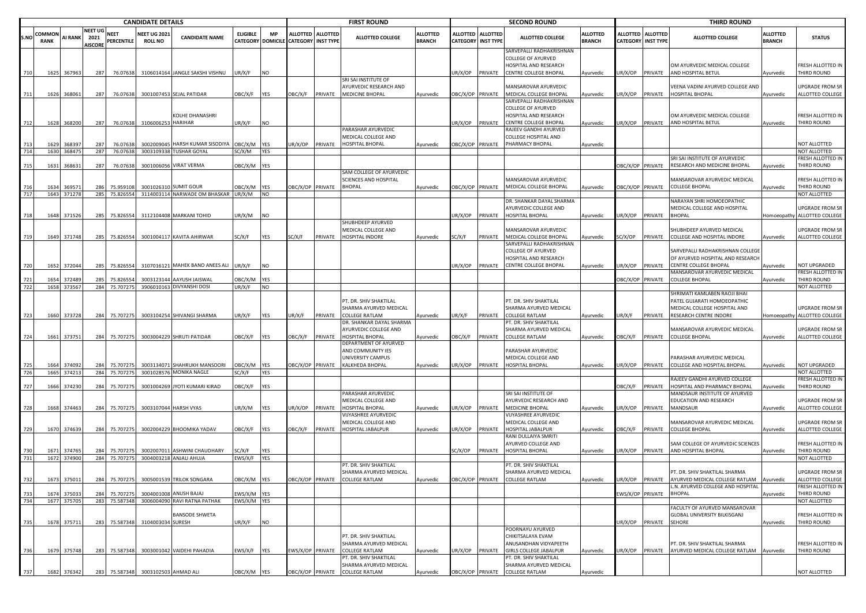|            |                       |                            |                                   |                            | <b>CANDIDATE DETAILS</b>              |                                                         |                   |                   |                                                           |         | <b>FIRST ROUND</b>                                |                                  |                  |                                              | <b>SECOND ROUND</b>                                                     |                           |                  |                                         | <b>THIRD ROUND</b>                                            |                                  |                                            |
|------------|-----------------------|----------------------------|-----------------------------------|----------------------------|---------------------------------------|---------------------------------------------------------|-------------------|-------------------|-----------------------------------------------------------|---------|---------------------------------------------------|----------------------------------|------------------|----------------------------------------------|-------------------------------------------------------------------------|---------------------------|------------------|-----------------------------------------|---------------------------------------------------------------|----------------------------------|--------------------------------------------|
| S.NO       | COMMON<br><b>RANK</b> | <b>AI RANK</b>             | NEET UG<br>2021<br><b>AISCORE</b> | <b>NEET</b><br>PERCENTILE  | <b>NEET UG 2021</b><br><b>ROLL NO</b> | <b>CANDIDATE NAME</b>                                   | <b>ELIGIBLE</b>   | <b>MP</b>         | ALLOTTED ALLOTTED<br>CATEGORY DOMICILE CATEGORY INST TYPE |         | ALLOTTED COLLEGE                                  | <b>ALLOTTED</b><br><b>BRANCH</b> | <b>ALLOTTED</b>  | <b>ALLOTTED</b><br><b>CATEGORY INST TYPE</b> | <b>ALLOTTED COLLEGE</b>                                                 | ALLOTTED<br><b>BRANCH</b> |                  | ALLOTTED ALLOTTED<br>CATEGORY INST TYPE | ALLOTTED COLLEGE                                              | <b>ALLOTTED</b><br><b>BRANCH</b> | <b>STATUS</b>                              |
|            |                       |                            |                                   |                            |                                       |                                                         |                   |                   |                                                           |         |                                                   |                                  |                  |                                              | SARVEPALLI RADHAKRISHNAN<br>COLLEGE OF AYURVED<br>HOSPITAL AND RESEARCH |                           |                  |                                         | OM AYURVEDIC MEDICAL COLLEGE                                  |                                  | FRESH ALLOTTED IN                          |
| 710        |                       | 1625 367963                | 287                               | 76.07638                   |                                       | 3106014164 JANGLE SAKSHI VISHNU                         | UR/X/F            | <b>NO</b>         |                                                           |         | SRI SAI INSTITUTE OF                              |                                  | UR/X/OP          | PRIVATE                                      | CENTRE COLLEGE BHOPAL                                                   | Ayurvedic                 | JR/X/OP          | PRIVATE                                 | AND HOSPITAL BETUL                                            | Ayurvedic                        | THIRD ROUND                                |
|            |                       |                            |                                   |                            |                                       |                                                         |                   |                   |                                                           |         | <b>AYURVEDIC RESEARCH AND</b>                     |                                  |                  |                                              | MANSAROVAR AYURVEDIC                                                    |                           |                  |                                         | /EENA VADINI AYURVED COLLEGE AND                              |                                  | UPGRADE FROM SR                            |
| 711        | 1626                  | 368061                     | 287                               | 76.07638                   |                                       | 3001007453 SEJAL PATIDAR                                | <b>JBC/X/F</b>    | <b>YES</b>        | OBC/X/F                                                   | PRIVATE | MEDICINE BHOPAL                                   | Ayurvedic                        | BC/X/OP PRIVATE  |                                              | MEDICAL COLLEGE BHOPAL                                                  | Ayurvedic                 | JR/X/OP          | PRIVATE                                 | HOSPITAL BHOPAL                                               | Ayurvedic                        | ALLOTTED COLLEGE                           |
|            |                       |                            |                                   |                            |                                       |                                                         |                   |                   |                                                           |         |                                                   |                                  |                  |                                              | SARVEPALLI RADHAKRISHNAN<br><b>COLLEGE OF AYURVED</b>                   |                           |                  |                                         |                                                               |                                  |                                            |
|            |                       |                            |                                   |                            |                                       | KOLHE DHANASHRI                                         |                   |                   |                                                           |         |                                                   |                                  |                  |                                              | HOSPITAL AND RESEARCH                                                   |                           |                  |                                         | OM AYURVEDIC MEDICAL COLLEGE                                  |                                  | FRESH ALLOTTED IN                          |
|            | 1628                  | 368200                     | 287                               | 76.07638                   | 310600625                             | <b>HARIHAR</b>                                          | JR/X/F            | <b>NO</b>         |                                                           |         |                                                   |                                  | UR/X/OP          | PRIVATE                                      | CENTRE COLLEGE BHOPAL                                                   | Ayurvedic                 | JR/X/OP          | PRIVATE                                 | AND HOSPITAL BETUL                                            | Ayurvedic                        | THIRD ROUND                                |
|            |                       |                            |                                   |                            |                                       |                                                         |                   |                   |                                                           |         | PARASHAR AYURVEDIC                                |                                  |                  |                                              | RAJEEV GANDHI AYURVED                                                   |                           |                  |                                         |                                                               |                                  |                                            |
|            | 1629                  | 368397                     | 287                               | 76.07638                   | 300200904                             | HARSH KUMAR SISODIYA                                    | OBC/X/M           | <b>YFS</b>        | JR/X/OP                                                   | PRIVATE | MEDICAL COLLEGE AND<br><b>HOSPITAL BHOPAL</b>     | Ayurvedic                        | BC/X/OP PRIVATE  |                                              | COLLEGE HOSPITAL AND<br>PHARMACY BHOPAL                                 | Ayurvedic                 |                  |                                         |                                                               |                                  | NOT ALLOTTED                               |
| 714        |                       | 1630 368475                | 287                               | 76.07638                   |                                       | 3003109338 TUSHAR GOYAL                                 | SC/X/M            | <b>YES</b>        |                                                           |         |                                                   |                                  |                  |                                              |                                                                         |                           |                  |                                         |                                                               |                                  | NOT ALLOTTED                               |
|            |                       |                            |                                   |                            |                                       |                                                         |                   |                   |                                                           |         |                                                   |                                  |                  |                                              |                                                                         |                           |                  |                                         | SRI SAI INSTITUTE OF AYURVEDIC                                |                                  | FRESH ALLOTTED IN                          |
| 715        | 1631                  | 36863                      | 287                               | 76.07638                   |                                       | 3001006056 VIRAT VERMA                                  | OBC/X/M           | YES               |                                                           |         |                                                   |                                  |                  |                                              |                                                                         |                           | OBC/X/OP PRIVATE |                                         | RESEARCH AND MEDICINE BHOPAL                                  | Ayurvedic                        | THIRD ROUND                                |
|            |                       |                            |                                   |                            |                                       |                                                         |                   |                   |                                                           |         | SAM COLLEGE OF AYURVEDIC<br>SCIENCES AND HOSPITAL |                                  |                  |                                              | MANSAROVAR AYURVEDIC                                                    |                           |                  |                                         | MANSAROVAR AYURVEDIC MEDICAL                                  |                                  | FRESH ALLOTTED IN                          |
| 716        | 1634                  | 36957                      | 286                               | 75.959108                  |                                       | 3001026310 SUMIT GOUR                                   | OBC/X/M           | <b>YES</b>        | OBC/X/OP PRIVATE                                          |         | <b>BHOPAL</b>                                     | Ayurvedic                        | OBC/X/OP PRIVATE |                                              | MEDICAL COLLEGE BHOPAL                                                  | Ayurvedic                 | OBC/X/OP PRIVATE |                                         | <b>COLLEGE BHOPAL</b>                                         | Ayurvedic                        | THIRD ROUND                                |
| 717        |                       | 1643 371278                |                                   | 285 75.826554              |                                       | 3114003114 NARWADE OM BHASKAR                           | UR/X/M NO         |                   |                                                           |         |                                                   |                                  |                  |                                              |                                                                         |                           |                  |                                         |                                                               |                                  | NOT ALLOTTED                               |
|            |                       |                            |                                   |                            |                                       |                                                         |                   |                   |                                                           |         |                                                   |                                  |                  |                                              | DR. SHANKAR DAYAL SHARMA                                                |                           |                  |                                         | NARAYAN SHRI HOMOEOPATHIC                                     |                                  |                                            |
| 718        |                       | 1648 371526                | 285                               | 75.826554                  |                                       | 3112104408 MARKANI TOHID                                | JR/X/M            | NO                |                                                           |         |                                                   |                                  | UR/X/OP          | PRIVATE                                      | AYURVEDIC COLLEGE AND<br>HOSPITAL BHOPAL                                | Ayurvedic                 | UR/X/OP          | PRIVATE                                 | MEDICAL COLLEGE AND HOSPITAL<br><b>BHOPAL</b>                 | Homoeopathy                      | <b>UPGRADE FROM SR</b><br>ALLOTTED COLLEGE |
|            |                       |                            |                                   |                            |                                       |                                                         |                   |                   |                                                           |         | SHUBHDEEP AYURVED                                 |                                  |                  |                                              |                                                                         |                           |                  |                                         |                                                               |                                  |                                            |
|            |                       |                            |                                   |                            |                                       |                                                         |                   |                   |                                                           |         | MEDICAL COLLEGE AND                               |                                  |                  |                                              | MANSAROVAR AYURVEDIC                                                    |                           |                  |                                         | SHUBHDEEP AYURVED MEDICAL                                     |                                  | <b>UPGRADE FROM SR</b>                     |
| 719        |                       | 1649 371748                | 285                               | 75.826554                  |                                       | 3001004117 KAVITA AHIRWAR                               | SC/X/F            | YES               | SC/X/F                                                    | PRIVATE | <b>HOSPITAL INDORE</b>                            | Ayurvedic                        | SC/X/F           | PRIVATE                                      | MEDICAL COLLEGE BHOPAL                                                  | Ayurvedic                 | SC/X/OP          | PRIVATE                                 | COLLEGE AND HOSPITAL INDORE                                   | Ayurvedic                        | ALLOTTED COLLEGE                           |
|            |                       |                            |                                   |                            |                                       |                                                         |                   |                   |                                                           |         |                                                   |                                  |                  |                                              | SARVEPALLI RADHAKRISHNAN<br>COLLEGE OF AYURVED                          |                           |                  |                                         | SARVEPALLI RADHAKRISHNAN COLLEGI                              |                                  |                                            |
|            |                       |                            |                                   |                            |                                       |                                                         |                   |                   |                                                           |         |                                                   |                                  |                  |                                              | HOSPITAL AND RESEARCH                                                   |                           |                  |                                         | OF AYURVED HOSPITAL AND RESEARCH                              |                                  |                                            |
| 720        |                       | 1652 372044                |                                   | 285 75.826554              |                                       | 3107016121 MAHEK BANO ANEES ALI                         | UR/X/F            | <b>NO</b>         |                                                           |         |                                                   |                                  | UR/X/OP          | PRIVATE                                      | <b>CENTRE COLLEGE BHOPAL</b>                                            | Ayurvedic                 | JR/X/OP          | PRIVATE                                 | CENTRE COLLEGE BHOPAL                                         | Ayurvedic                        | <b>NOT UPGRADED</b>                        |
|            |                       |                            |                                   |                            |                                       |                                                         |                   |                   |                                                           |         |                                                   |                                  |                  |                                              |                                                                         |                           |                  |                                         | <b>MANSAROVAR AYURVEDIC MEDICAL</b>                           |                                  | FRESH ALLOTTED IN                          |
| 721<br>722 | 1654                  | 372489<br>1658 373567      | 285                               | 75.826554<br>284 75.707275 |                                       | 3003123144 AAYUSH JAISWAL<br>3906010163 DIVYANSHI DOSI  | OBC/X/M<br>JR/X/F | YES<br><b>NO</b>  |                                                           |         |                                                   |                                  |                  |                                              |                                                                         |                           | OBC/X/OP PRIVATE |                                         | <b>COLLEGE BHOPAL</b>                                         | Ayurvedic                        | THIRD ROUND<br>NOT ALLOTTED                |
|            |                       |                            |                                   |                            |                                       |                                                         |                   |                   |                                                           |         |                                                   |                                  |                  |                                              |                                                                         |                           |                  |                                         | HRIMATI KAMLABEN RAOJI BHAI                                   |                                  |                                            |
|            |                       |                            |                                   |                            |                                       |                                                         |                   |                   |                                                           |         | PT. DR. SHIV SHAKTILAL                            |                                  |                  |                                              | PT. DR. SHIV SHAKTILAL                                                  |                           |                  |                                         | PATEL GUJARATI HOMOEOPATHIC                                   |                                  |                                            |
|            |                       |                            |                                   |                            |                                       |                                                         |                   |                   |                                                           |         | SHARMA AYURVED MEDICAL                            |                                  |                  |                                              | SHARMA AYURVED MEDICAL                                                  |                           |                  |                                         | MEDICAL COLLEGE HOSPITAL AND                                  |                                  | UPGRADE FROM SR                            |
| 723        |                       | 1660 373728                |                                   | 284 75.707275              |                                       | 3003104254 SHIVANGI SHARMA                              | JR/X/F            | YES               | JR/X/F                                                    | PRIVATE | COLLEGE RATLAM<br>DR. SHANKAR DAYAL SHARMA        | Ayurvedic                        | UR/X/F           | PRIVATE                                      | COLLEGE RATLAM<br>PT. DR. SHIV SHAKTILAL                                | Ayurvedic                 | UR/X/F           | PRIVATE                                 | RESEARCH CENTRE INDORE                                        |                                  | Homoeopathy ALLOTTED COLLEGE               |
|            |                       |                            |                                   |                            |                                       |                                                         |                   |                   |                                                           |         | AYURVEDIC COLLEGE AND                             |                                  |                  |                                              | SHARMA AYURVED MEDICAL                                                  |                           |                  |                                         | MANSAROVAR AYURVEDIC MEDICAL                                  |                                  | UPGRADE FROM SR                            |
| 724        |                       | 1661 373751                |                                   | 284 75.707275              |                                       | 3003004229 SHRUTI PATIDAR                               | <b>JBC/X/F</b>    | <b>IYES</b>       | OBC/X/F                                                   | PRIVATE | <b>HOSPITAL BHOPAL</b>                            | Ayurvedic                        | OBC/X/F          |                                              | PRIVATE COLLEGE RATLAM                                                  | Ayurvedic                 |                  |                                         | OBC/X/F PRIVATE COLLEGE BHOPAL                                | Ayurvedic                        | ALLOTTED COLLEGE                           |
|            |                       |                            |                                   |                            |                                       |                                                         |                   |                   |                                                           |         | DEPARTMENT OF AYURVED                             |                                  |                  |                                              |                                                                         |                           |                  |                                         |                                                               |                                  |                                            |
|            |                       |                            |                                   |                            |                                       |                                                         |                   |                   |                                                           |         | AND COMMUNITY IES<br>UNIVERSITY CAMPUS            |                                  |                  |                                              | PARASHAR AYURVEDIC<br>MEDICAL COLLEGE AND                               |                           |                  |                                         | <b>PARASHAR AYURVEDIC MEDICAL</b>                             |                                  |                                            |
|            | 1664                  | 374092                     | 284                               | 75.707275                  |                                       | 3003134071 SHAHRUKH MANSOORI                            | <b>JBC/X/M</b>    | <b>YES</b>        | OBC/X/OP PRIVATE                                          |         | KALKHEDA BHOPAL                                   | Ayurvedic                        | UR/X/OP          | PRIVATE                                      | IOSPITAL BHOPAL                                                         | Ayurvedic                 | JR/X/OP          | PRIVATE                                 | COLLEGE AND HOSPITAL BHOPAL                                   | Ayurvedic                        | NOT UPGRADED                               |
| 726        | 1665                  | 374213                     | 284                               | 75.707275                  |                                       | 3001028576 MONIKA NAGLE                                 | SC/X/F            | <b>YES</b>        |                                                           |         |                                                   |                                  |                  |                                              |                                                                         |                           |                  |                                         |                                                               |                                  | NOT ALLOTTED                               |
|            |                       |                            |                                   |                            |                                       |                                                         |                   |                   |                                                           |         |                                                   |                                  |                  |                                              |                                                                         |                           |                  |                                         | AJEEV GANDHI AYURVED COLLEGE                                  |                                  | FRESH ALLOTTED IN                          |
| 727        | 1666                  | 374230                     | 284                               | 75.707275                  |                                       | 3001004269 JYOTI KUMARI KIRAD                           | <b>JBC/X/F</b>    | YES               |                                                           |         | PARASHAR AYURVEDIC                                |                                  |                  |                                              | SRI SAI INSTITUTE OF                                                    |                           | OBC/X/F          | PRIVATE                                 | HOSPITAL AND PHARMACY BHOPAL<br>MANDSAUR INSTITUTE OF AYURVED | Ayurvedic                        | THIRD ROUND                                |
|            |                       |                            |                                   |                            |                                       |                                                         |                   |                   |                                                           |         | MEDICAL COLLEGE AND                               |                                  |                  |                                              | AYURVEDIC RESEARCH AND                                                  |                           |                  |                                         | <b>EDUCATION AND RESEARCH</b>                                 |                                  | UPGRADE FROM SR                            |
| 728        |                       | 1668 374463                |                                   | 284 75.707275              |                                       | 3003107044 HARSH VYAS                                   | JR/X/M            | YES               | JR/X/OP                                                   | PRIVATE | HOSPITAL BHOPAL                                   | Ayurvedic                        | UR/X/OP          | PRIVATE                                      | MEDICINE BHOPAL                                                         | Ayurvedic                 | JR/X/OP          | PRIVATE                                 | MANDSAUR                                                      | Ayurvedic                        | ALLOTTED COLLEGE                           |
|            |                       |                            |                                   |                            |                                       |                                                         |                   |                   |                                                           |         | VIJYASHREE AYURVEDIC                              |                                  |                  |                                              | VIJYASHREE AYURVEDIC                                                    |                           |                  |                                         |                                                               |                                  |                                            |
| 729        |                       | 1670 374639                |                                   | 284 75.707275              |                                       | 3002004229 BHOOMIKA YADAV                               | <b>JBC/X/F</b>    | <b>YES</b>        | OBC/X/F                                                   | PRIVATE | MEDICAL COLLEGE AND<br>HOSPITAL JABALPUR          | Ayurvedic                        | UR/X/OP          | PRIVATE                                      | MEDICAL COLLEGE AND<br>HOSPITAL JABALPUR                                | Ayurvedic                 | <b>JBC/X/F</b>   | PRIVATE                                 | MANSAROVAR AYURVEDIC MEDICAL<br><b>COLLEGE BHOPAL</b>         | Ayurvedic                        | UPGRADE FROM SR<br>ALLOTTED COLLEGE        |
|            |                       |                            |                                   |                            |                                       |                                                         |                   |                   |                                                           |         |                                                   |                                  |                  |                                              | RANI DULLAIYA SMRITI                                                    |                           |                  |                                         |                                                               |                                  |                                            |
|            |                       |                            |                                   |                            |                                       |                                                         |                   |                   |                                                           |         |                                                   |                                  |                  |                                              | AYURVED COLLEGE AND                                                     |                           |                  |                                         | SAM COLLEGE OF AYURVEDIC SCIENCES                             |                                  | FRESH ALLOTTED IN                          |
| 731        |                       | 1671 374765<br>1672 374900 | 284                               | 75.707275<br>284 75.707275 |                                       | 3002007011 ASHWINI CHAUDHARY<br>3004003218 ANJALI AHUJA | C/X/F<br>:WS/X/F  | YES<br><b>YES</b> |                                                           |         |                                                   |                                  | SC/X/OP          | PRIVATE                                      | <b>IOSPITAL BHOPAL</b>                                                  | Ayurvedic                 | JR/X/OP          | PRIVATE                                 | AND HOSPITAL BHOPAL                                           | Ayurvedic                        | THIRD ROUND<br>NOT ALLOTTED                |
|            |                       |                            |                                   |                            |                                       |                                                         |                   |                   |                                                           |         | PT. DR. SHIV SHAKTILAL                            |                                  |                  |                                              | PT. DR. SHIV SHAKTILAL                                                  |                           |                  |                                         |                                                               |                                  |                                            |
|            |                       |                            |                                   |                            |                                       |                                                         |                   |                   |                                                           |         | SHARMA AYURVED MEDICAL                            |                                  |                  |                                              | SHARMA AYURVED MEDICAL                                                  |                           |                  |                                         | PT. DR. SHIV SHAKTILAL SHARMA                                 |                                  | <b>UPGRADE FROM SR</b>                     |
| 732        | 1673                  | 375011                     |                                   |                            |                                       | 284 75.707275 3005001539 TRILOK SONGARA                 | OBC/X/M YES       |                   |                                                           |         | OBC/X/OP PRIVATE COLLEGE RATLAM                   | Avurvedic                        |                  |                                              | OBC/X/OP PRIVATE COLLEGE RATLAM                                         | Avurvedic                 |                  |                                         | UR/X/OP PRIVATE AYURVED MEDICAL COLLEGE RATLAM                | <b>Avurvedic</b>                 | ALLOTTED COLLEGE                           |
| 733        |                       | 1674 375033                | 284                               | 75.707275                  |                                       | 3004001008 ANUSH BAJAJ                                  | EWS/X/M YES       |                   |                                                           |         |                                                   |                                  |                  |                                              |                                                                         |                           | EWS/X/OP PRIVATE |                                         | L.N. AYURVED COLLEGE AND HOSPITAL<br>BHOPAL                   |                                  | FRESH ALLOTTED IN<br>THIRD ROUND           |
| 734        |                       | 1677 375705                | 283                               | 75.587348                  |                                       | 3006004090 RAVI RATNA PATHAK                            | EWS/X/M YES       |                   |                                                           |         |                                                   |                                  |                  |                                              |                                                                         |                           |                  |                                         |                                                               | Ayurvedic                        | NOT ALLOTTED                               |
|            |                       |                            |                                   |                            |                                       |                                                         |                   |                   |                                                           |         |                                                   |                                  |                  |                                              |                                                                         |                           |                  |                                         | <b>FACULTY OF AYURVED MANSAROVAR</b>                          |                                  |                                            |
|            |                       |                            |                                   |                            |                                       | <b>BANSODE SHWETA</b>                                   |                   |                   |                                                           |         |                                                   |                                  |                  |                                              |                                                                         |                           |                  |                                         | <b>GLOBAL UNIVERSITY BILKISGANJ</b>                           |                                  | FRESH ALLOTTED IN                          |
| 735        |                       | 1678 375711                |                                   | 283 75.587348              | 3104003034 SURESH                     |                                                         | JR/X/F            | <b>NO</b>         |                                                           |         |                                                   |                                  |                  |                                              | POORNAYU AYURVED                                                        |                           | JR/X/OP          | PRIVATE                                 | <b>SEHORE</b>                                                 | Ayurvedic                        | THIRD ROUND                                |
|            |                       |                            |                                   |                            |                                       |                                                         |                   |                   |                                                           |         | PT. DR. SHIV SHAKTILAL                            |                                  |                  |                                              | CHIKITSALAYA EVAM                                                       |                           |                  |                                         |                                                               |                                  |                                            |
|            |                       |                            |                                   |                            |                                       |                                                         |                   |                   |                                                           |         | SHARMA AYURVED MEDICAL                            |                                  |                  |                                              | ANUSANDHAN VIDYAPEETH                                                   |                           |                  |                                         | PT. DR. SHIV SHAKTILAL SHARMA                                 |                                  | FRESH ALLOTTED IN                          |
| 736        |                       | 1679 375748                |                                   | 283 75.587348              |                                       | 3003001042 VAIDEHI PAHADIA                              | EWS/X/F           | <b>YES</b>        | EWS/X/OP PRIVATE                                          |         | <b>COLLEGE RATLAM</b>                             | Ayurvedic                        | UR/X/OP          | PRIVATE                                      | GIRLS COLLEGE JABALPUR                                                  | Ayurvedic                 | UR/X/OP          | PRIVATE                                 | AYURVED MEDICAL COLLEGE RATLAM Ayurvedic                      |                                  | THIRD ROUND                                |
|            |                       |                            |                                   |                            |                                       |                                                         |                   |                   |                                                           |         | PT. DR. SHIV SHAKTILAL<br>SHARMA AYURVED MEDICAL  |                                  |                  |                                              | PT. DR. SHIV SHAKTILAL<br>SHARMA AYURVED MEDICAL                        |                           |                  |                                         |                                                               |                                  |                                            |
| 737        |                       | 1682 376342                |                                   |                            | 283 75.587348 3003102503 AHMAD ALI    |                                                         | OBC/X/M YES       |                   | OBC/X/OP PRIVATE                                          |         | <b>COLLEGE RATLAM</b>                             | Ayurvedic                        | OBC/X/OP PRIVATE |                                              | <b>COLLEGE RATLAM</b>                                                   | Ayurvedic                 |                  |                                         |                                                               |                                  | NOT ALLOTTED                               |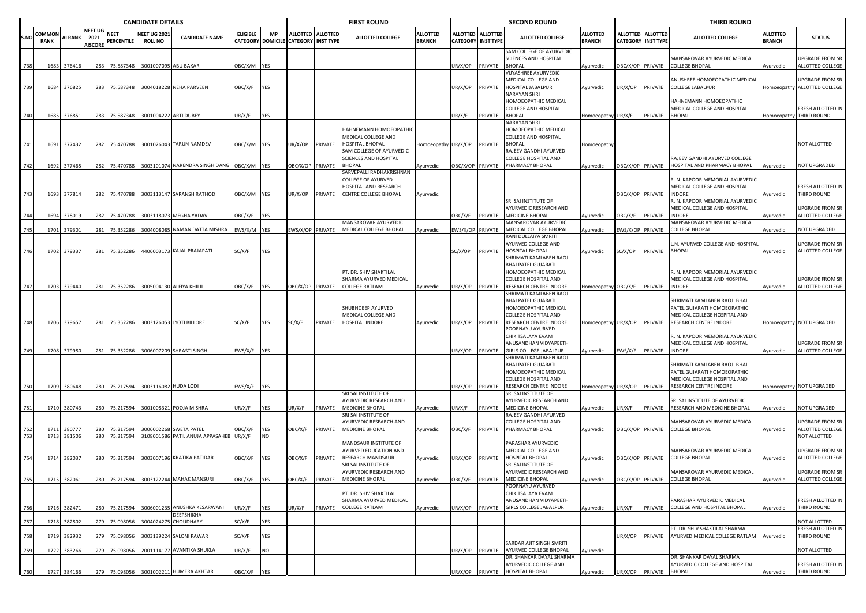|            |                       |                  |                                          |                        | <b>CANDIDATE DETAILS</b>              |                                                   |                  |                  |                                                           |         | <b>FIRST ROUND</b>                                                             |                                  |                  |                                         | <b>SECOND ROUND</b>                                                                                   |                                  |                  |                                                | <b>THIRD ROUND</b>                                                                                                    |                                  |                                                 |
|------------|-----------------------|------------------|------------------------------------------|------------------------|---------------------------------------|---------------------------------------------------|------------------|------------------|-----------------------------------------------------------|---------|--------------------------------------------------------------------------------|----------------------------------|------------------|-----------------------------------------|-------------------------------------------------------------------------------------------------------|----------------------------------|------------------|------------------------------------------------|-----------------------------------------------------------------------------------------------------------------------|----------------------------------|-------------------------------------------------|
| S.NC       | COMMON<br><b>RANK</b> | <b>AI RANK</b>   | <b>NEET UG</b><br>2021<br><b>AISCORE</b> | NEET<br>PERCENTILE     | <b>NEET UG 2021</b><br><b>ROLL NO</b> | <b>CANDIDATE NAME</b>                             | <b>ELIGIBLE</b>  | MP               | ALLOTTED ALLOTTED<br>CATEGORY DOMICILE CATEGORY INST TYPE |         | <b>ALLOTTED COLLEGE</b>                                                        | <b>ALLOTTED</b><br><b>BRANCH</b> |                  | ALLOTTED ALLOTTED<br>CATEGORY INST TYPE | <b>ALLOTTED COLLEGE</b>                                                                               | <b>ALLOTTED</b><br><b>BRANCH</b> |                  | ALLOTTED ALLOTTED<br><b>CATEGORY INST TYPE</b> | <b>ALLOTTED COLLEGE</b>                                                                                               | <b>ALLOTTED</b><br><b>BRANCH</b> | <b>STATUS</b>                                   |
| 738        | 1683                  | 376416           | 283                                      | 75.587348              |                                       | 3001007095 ABU BAKAR                              | OBC/X/M YES      |                  |                                                           |         |                                                                                |                                  | JR/X/OP          | PRIVATE                                 | SAM COLLEGE OF AYURVEDIC<br>SCIENCES AND HOSPITAL<br><b>BHOPAL</b>                                    | Ayurvedic                        |                  | OBC/X/OP PRIVATE                               | MANSAROVAR AYURVEDIC MEDICAL<br><b>COLLEGE BHOPAL</b>                                                                 | Ayurvedic                        | UPGRADE FROM SR<br>ALLOTTED COLLEGE             |
| 739        | 1684                  | 376825           | 283                                      | 75.587348              |                                       | 3004018228 NEHA PARVEEN                           | OBC/X/F          | <b>YES</b>       |                                                           |         |                                                                                |                                  | JR/X/OP          | PRIVATE                                 | <b>VIJYASHREE AYURVEDIC</b><br>MEDICAL COLLEGE AND<br>HOSPITAL JABALPUR                               | Ayurvedic                        | JR/X/OP          | PRIVATE                                        | ANUSHREE HOMOEOPATHIC MEDICAL<br>COLLEGE JABALPUR                                                                     |                                  | UPGRADE FROM SR<br>Homoeopathy ALLOTTED COLLEGE |
|            |                       |                  |                                          |                        |                                       |                                                   |                  |                  |                                                           |         |                                                                                |                                  |                  |                                         | NARAYAN SHRI<br>HOMOEOPATHIC MEDICAL<br>COLLEGE AND HOSPITAL                                          |                                  |                  |                                                | HAHNEMANN HOMOEOPATHIC<br>MEDICAL COLLEGE AND HOSPITAL                                                                |                                  | FRESH ALLOTTED IN                               |
| 740        | 1685                  | 376851           |                                          | 283 75.587348          |                                       | 3001004222 ARTI DUBEY                             | UR/X/F           | YES              |                                                           |         |                                                                                |                                  | UR/X/F           | PRIVATE                                 | <b>BHOPAL</b><br><b>NARAYAN SHRI</b>                                                                  | Homoeopathy UR/X/F               |                  | PRIVATE                                        | <b>BHOPAL</b>                                                                                                         |                                  | Homoeopathy THIRD ROUND                         |
|            |                       |                  |                                          |                        |                                       |                                                   |                  |                  |                                                           |         | HAHNEMANN HOMOEOPATHIC<br>MEDICAL COLLEGE AND                                  |                                  |                  |                                         | HOMOEOPATHIC MEDICAL<br><b>COLLEGE AND HOSPITAL</b>                                                   |                                  |                  |                                                |                                                                                                                       |                                  | NOT ALLOTTED                                    |
| 741        | 1691                  | 377432           |                                          | 282 75.470788          |                                       | 3001026043 TARUN NAMDEV                           | OBC/X/M YES      |                  | JR/X/OP                                                   | PRIVATE | HOSPITAL BHOPAL<br>SAM COLLEGE OF AYURVEDIC                                    | Homoeopathy UR/X/OP PRIVATE      |                  |                                         | <b>BHOPAL</b><br>RAJEEV GANDHI AYURVED                                                                | Homoeopathy                      |                  |                                                |                                                                                                                       |                                  |                                                 |
| 742        | 1692                  | 377465           | 282                                      | 75.470788              |                                       | 3003101074 NARENDRA SINGH DANGI OBC/X/M YES       |                  |                  | OBC/X/OP PRIVATE                                          |         | SCIENCES AND HOSPITAL<br><b>BHOPAL</b>                                         | Ayurvedic                        | OBC/X/OP PRIVATE |                                         | COLLEGE HOSPITAL AND<br>PHARMACY BHOPAL                                                               | Ayurvedic                        | OBC/X/OP PRIVATE |                                                | RAJEEV GANDHI AYURVED COLLEGE<br>HOSPITAL AND PHARMACY BHOPAL                                                         | Ayurvedic                        | NOT UPGRADED                                    |
|            |                       |                  |                                          |                        |                                       |                                                   |                  |                  |                                                           |         | SARVEPALLI RADHAKRISHNAN<br><b>COLLEGE OF AYURVED</b><br>HOSPITAL AND RESEARCH |                                  |                  |                                         |                                                                                                       |                                  |                  |                                                | . N. KAPOOR MEMORIAL AYURVEDIC<br>MEDICAL COLLEGE AND HOSPITAL                                                        |                                  | FRESH ALLOTTED IN                               |
| 743        | 1693                  | 377814           |                                          | 282 75.470788          |                                       | 3003113147 SARANSH RATHOD                         | OBC/X/M YES      |                  | JR/X/OP                                                   | PRIVATE | CENTRE COLLEGE BHOPAL                                                          | Ayurvedic                        |                  |                                         |                                                                                                       |                                  | OBC/X/OP PRIVATE |                                                | INDORE                                                                                                                | Ayurvedic                        | THIRD ROUND                                     |
| 744        | 1694                  | 378019           | 282                                      | 75.470788              |                                       | 3003118073 MEGHA YADAV                            | OBC/X/F          | <b>YES</b>       |                                                           |         |                                                                                |                                  | )BC/X/F          | PRIVATE                                 | SRI SAI INSTITUTE OF<br>AYURVEDIC RESEARCH AND<br><b>MEDICINE BHOPAL</b>                              | Ayurvedic                        | <b>JBC/X/F</b>   | PRIVATE                                        | . N. KAPOOR MEMORIAL AYURVEDIC<br>MEDICAL COLLEGE AND HOSPITAL<br><b>INDORE</b>                                       | Ayurvedic                        | UPGRADE FROM SR<br>ALLOTTED COLLEGE             |
| 745        | 1701                  | 379301           | 281                                      | 75.352286              |                                       | 3004008085 NAMAN DATTA MISHRA                     | EWS/X/M YES      |                  | WS/X/OP PRIVATE                                           |         | <b>MANSAROVAR AYURVEDIC</b><br>MEDICAL COLLEGE BHOPAL                          | Ayurvedic                        | WS/X/OP PRIVATE  |                                         | MANSAROVAR AYURVEDIC<br>MEDICAL COLLEGE BHOPAL                                                        | Ayurvedic                        | EWS/X/OP PRIVATE |                                                | <b>MANSAROVAR AYURVEDIC MEDICAL</b><br>COLLEGE BHOPAL                                                                 | Ayurvedic                        | NOT UPGRADED                                    |
| 746        | 1702                  | 379337           | 281                                      | 75.352286              |                                       | 4406003173 KAJAL PRAJAPATI                        | SC/X/F           | <b>YES</b>       |                                                           |         |                                                                                |                                  | SC/X/OP          | PRIVATE                                 | RANI DULLAIYA SMRITI<br>AYURVED COLLEGE AND<br><b>HOSPITAL BHOPAL</b>                                 | Ayurvedic                        | SC/X/OP          | PRIVATE                                        | .N. AYURVED COLLEGE AND HOSPITAL<br><b>BHOPAL</b>                                                                     | Ayurvedic                        | UPGRADE FROM SR<br>ALLOTTED COLLEGE             |
|            |                       |                  |                                          |                        |                                       |                                                   |                  |                  |                                                           |         | PT. DR. SHIV SHAKTILAL                                                         |                                  |                  |                                         | SHRIMATI KAMLABEN RAOJI<br>BHAI PATEL GUJARATI<br>HOMOEOPATHIC MEDICAL                                |                                  |                  |                                                | R. N. KAPOOR MEMORIAL AYURVEDIC                                                                                       |                                  |                                                 |
| 747        | 1703                  | 379440           | 281                                      | 75.352286              |                                       | 3005004130 ALFIYA KHILJI                          | OBC/X/F          | <b>YES</b>       | OBC/X/OP PRIVATE                                          |         | SHARMA AYURVED MEDICAL<br><b>COLLEGE RATLAM</b>                                | Ayurvedic                        | JR/X/OP          | PRIVATE                                 | COLLEGE HOSPITAL AND<br>RESEARCH CENTRE INDORE<br>SHRIMATI KAMLABEN RAOJI                             | Homoeopathy OBC/X/F              |                  | PRIVATE                                        | MEDICAL COLLEGE AND HOSPITAL<br>INDORE                                                                                | Ayurvedic                        | <b>UPGRADE FROM SR</b><br>ALLOTTED COLLEGE      |
| 748        |                       |                  | 281                                      | 75.352286              |                                       | 3003126053 JYOTI BILLORE                          | SC/X/F           | YES              | SC/X/F                                                    | PRIVATE | SHUBHDEEP AYURVED<br>MEDICAL COLLEGE AND<br><b>HOSPITAL INDORE</b>             |                                  | JR/X/OP          | PRIVATE                                 | BHAI PATEL GUJARATI<br>HOMOEOPATHIC MEDICAL<br>COLLEGE HOSPITAL AND<br>RESEARCH CENTRE INDORE         | lomoeopathy UR/X/OP              |                  | PRIVATE                                        | SHRIMATI KAMLABEN RAOJI BHAI<br>PATEL GUJARATI HOMOEOPATHIC<br>MEDICAL COLLEGE HOSPITAL AND<br>RESEARCH CENTRE INDORE |                                  | Homoeopathy NOT UPGRADED                        |
|            | 1706                  | 379657           |                                          |                        |                                       |                                                   |                  |                  |                                                           |         |                                                                                | Ayurvedic                        |                  |                                         | POORNAYU AYURVED<br>CHIKITSALAYA EVAM<br>ANUSANDHAN VIDYAPEETH                                        |                                  |                  |                                                | R. N. KAPOOR MEMORIAL AYURVEDIC<br>MEDICAL COLLEGE AND HOSPITAL                                                       |                                  | UPGRADE FROM SR                                 |
| 749        | 1708                  | 379980           | 281                                      | 75.352286              |                                       | 3006007209 SHRASTI SINGH                          | EWS/X/F          | <b>YES</b>       |                                                           |         |                                                                                |                                  | UR/X/OP          | PRIVATE                                 | <b>GIRLS COLLEGE JABALPUR</b>                                                                         | Ayurvedic                        | EWS/X/F          | PRIVATE                                        | <b>INDORE</b>                                                                                                         | Ayurvedic                        | ALLOTTED COLLEGE                                |
|            |                       |                  |                                          |                        |                                       |                                                   |                  |                  |                                                           |         |                                                                                |                                  |                  |                                         | SHRIMATI KAMLABEN RAOJI<br>BHAI PATEL GUJARATI<br>HOMOEOPATHIC MEDICAL<br><b>COLLEGE HOSPITAL AND</b> |                                  |                  |                                                | SHRIMATI KAMLABEN RAOJI BHAI<br>PATEL GUJARATI HOMOEOPATHIC<br>MEDICAL COLLEGE HOSPITAL AND                           |                                  |                                                 |
| 750        |                       | 1709 380648      |                                          | 280 75.217594          |                                       | 3003116082 HUDA LODI                              | EWS/X/F YES      |                  |                                                           |         |                                                                                |                                  | JR/X/OP PRIVATE  |                                         | <b>RESEARCH CENTRE INDORE</b>                                                                         | Iomoeopathy UR/X/OP PRIVATE      |                  |                                                | RESEARCH CENTRE INDORE                                                                                                |                                  | Homoeopathy NOT UPGRADED                        |
|            |                       |                  |                                          |                        |                                       |                                                   |                  |                  |                                                           |         | SRI SAI INSTITUTE OF<br>AYURVEDIC RESEARCH AND                                 |                                  |                  |                                         | SRI SAI INSTITUTE OF<br>AYURVEDIC RESEARCH AND                                                        |                                  |                  |                                                | SRI SAI INSTITUTE OF AYURVEDIC                                                                                        |                                  |                                                 |
| 751        | 1710                  | 380743           | 280                                      | 75.217594              |                                       | 3001008321 POOJA MISHRA                           | UR/X/F           | YES              | JR/X/F                                                    | PRIVATE | MEDICINE BHOPAL                                                                | Ayurvedic                        | JR/X/F           | PRIVATE                                 | <b>MEDICINE BHOPAL</b>                                                                                | Ayurvedic                        | JR/X/F           | PRIVATE                                        | RESEARCH AND MEDICINE BHOPAL                                                                                          | Ayurvedic                        | NOT UPGRADED                                    |
|            |                       |                  |                                          |                        |                                       |                                                   |                  |                  |                                                           |         | SRI SAI INSTITUTE OF<br>AYURVEDIC RESEARCH AND                                 |                                  |                  |                                         | RAJEEV GANDHI AYURVED<br>COLLEGE HOSPITAL AND                                                         |                                  |                  |                                                | MANSAROVAR AYURVEDIC MEDICAL                                                                                          |                                  | <b>UPGRADE FROM SR</b>                          |
| 752        | 1711                  | 380777           | 280                                      | 75.217594              |                                       | 3006002268 SWETA PATEL                            | OBC/X/F          | <b>YES</b>       | )BC/X/F                                                   | PRIVATE | <b>MEDICINE BHOPAL</b>                                                         | Ayurvedic                        | )BC/X/F          | PRIVATE                                 | PHARMACY BHOPAL                                                                                       | Ayurvedic                        | DBC/X/OP PRIVATE |                                                | <b>COLLEGE BHOPAL</b>                                                                                                 | Ayurvedic                        | ALLOTTED COLLEGE                                |
| 753        | 1713                  | 381506           | 280                                      | 75.217594              |                                       | 3108001586 PATIL ANUJA APPASAHEB UR/X/F           |                  | <b>NO</b>        |                                                           |         | MANDSAUR INSTITUTE OF<br>AYURVED EDUCATION AND                                 |                                  |                  |                                         | PARASHAR AYURVEDIC<br>MEDICAL COLLEGE AND                                                             |                                  |                  |                                                | MANSAROVAR AYURVEDIC MEDICAL                                                                                          |                                  | NOT ALLOTTED<br>UPGRADE FROM SR                 |
| 754        | 1714                  | 382037           | 280                                      | 75.217594              |                                       | 3003007196 KRATIKA PATIDAR                        | OBC/X/F          | <b>YES</b>       | <b>JBC/X/F</b>                                            | PRIVATE | <b>RESEARCH MANDSAUR</b><br>SRI SAI INSTITUTE OF<br>AYURVEDIC RESEARCH AND     | Ayurvedic                        | JR/X/OP          | PRIVATE                                 | <b>HOSPITAL BHOPAL</b><br>SRI SAI INSTITUTE OF<br>AYURVEDIC RESEARCH AND                              | Ayurvedic                        | OBC/X/OP PRIVATE |                                                | COLLEGE BHOPAL<br>MANSAROVAR AYURVEDIC MEDICAL                                                                        | Avurvedic                        | ALLOTTED COLLEGE<br>UPGRADE FROM SR             |
| 755        |                       | 1715 382061      |                                          |                        |                                       | 280 75.217594 3003122244 MAHAK MANSURI            | OBC/X/F YES      |                  | OBC/X/F                                                   |         | PRIVATE MEDICINE BHOPAL                                                        | Ayurvedic                        |                  |                                         | OBC/X/F PRIVATE MEDICINE BHOPAL<br>POORNAYU AYURVED                                                   | Ayurvedic                        |                  |                                                | OBC/X/OP PRIVATE COLLEGE BHOPAL                                                                                       | Ayurvedic                        | ALLOTTED COLLEGE                                |
| 756        | 1716                  | 382471           | 280                                      | 75.217594              |                                       | 3006001235 ANUSHKA KESARWANI                      | UR/X/F           | <b>YES</b>       | JR/X/F                                                    | PRIVATE | PT. DR. SHIV SHAKTILAL<br>SHARMA AYURVED MEDICAL<br><b>COLLEGE RATLAM</b>      | Ayurvedic                        | UR/X/OP          | PRIVATE                                 | CHIKITSALAYA EVAM<br>ANUSANDHAN VIDYAPEETH<br><b>GIRLS COLLEGE JABALPUR</b>                           | Ayurvedic                        | JR/X/F           | PRIVATE                                        | PARASHAR AYURVEDIC MEDICAL<br>COLLEGE AND HOSPITAL BHOPAL                                                             | Ayurvedic                        | FRESH ALLOTTED IN<br>THIRD ROUND                |
| 757        | 1718                  | 382802           | 279                                      | 75.09805               |                                       | DEEPSHIKHA<br>3004024275 CHOUDHARY                | SC/X/F           | YES              |                                                           |         |                                                                                |                                  |                  |                                         |                                                                                                       |                                  |                  |                                                |                                                                                                                       |                                  | NOT ALLOTTED                                    |
|            |                       |                  |                                          |                        |                                       |                                                   |                  |                  |                                                           |         |                                                                                |                                  |                  |                                         |                                                                                                       |                                  |                  |                                                | PT. DR. SHIV SHAKTILAL SHARMA                                                                                         |                                  | <b>FRESH ALLOTTED IN</b>                        |
| 758<br>759 | 1719<br>1722          | 382932<br>383266 | 279<br>279                               | 75.098056<br>75.098056 | 3003139224                            | <b>SALONI PAWAR</b><br>2001114177 AVANTIKA SHUKLA | SC/X/F<br>UR/X/F | YES<br><b>NO</b> |                                                           |         |                                                                                |                                  | JR/X/OP          | PRIVATE                                 | SARDAR AJIT SINGH SMRITI<br>AYURVED COLLEGE BHOPAL                                                    | Ayurvedic                        | JR/X/OP          | PRIVATE                                        | AYURVED MEDICAL COLLEGE RATLAM                                                                                        | Ayurvedic                        | THIRD ROUND<br>NOT ALLOTTED                     |
|            |                       |                  |                                          |                        |                                       |                                                   |                  |                  |                                                           |         |                                                                                |                                  |                  |                                         | DR. SHANKAR DAYAL SHARMA                                                                              |                                  |                  |                                                | DR. SHANKAR DAYAL SHARMA                                                                                              |                                  |                                                 |
| 760        |                       | 1727 384166      |                                          | 279 75.098056          |                                       | 3001002211 HUMERA AKHTAR                          | OBC/X/F YES      |                  |                                                           |         |                                                                                |                                  |                  |                                         | AYURVEDIC COLLEGE AND<br>UR/X/OP PRIVATE HOSPITAL BHOPAL                                              | Ayurvedic                        |                  | UR/X/OP PRIVATE BHOPAL                         | AYURVEDIC COLLEGE AND HOSPITAL                                                                                        | Ayurvedic                        | FRESH ALLOTTED IN<br>THIRD ROUND                |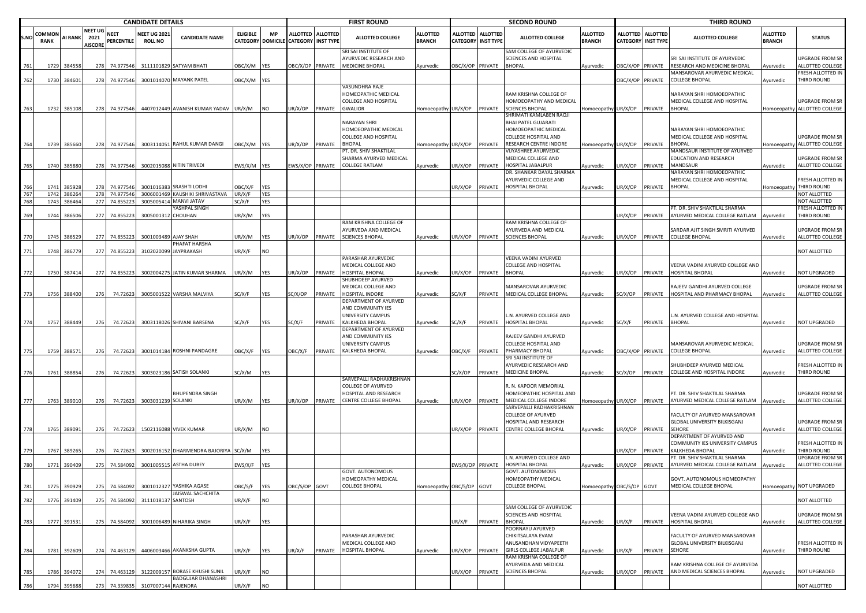|            |                       | <b>CANDIDATE DETAILS</b> |                                          |                               |                                   |                                                |                  |                   |                                                           |         | <b>FIRST ROUND</b>                                                             |                                  |                           |                   | <b>SECOND ROUND</b>                                                      |                                  |                  |                                              | <b>THIRD ROUND</b>                                                              |                                  |                                                   |
|------------|-----------------------|--------------------------|------------------------------------------|-------------------------------|-----------------------------------|------------------------------------------------|------------------|-------------------|-----------------------------------------------------------|---------|--------------------------------------------------------------------------------|----------------------------------|---------------------------|-------------------|--------------------------------------------------------------------------|----------------------------------|------------------|----------------------------------------------|---------------------------------------------------------------------------------|----------------------------------|---------------------------------------------------|
| S.NC       | COMMON<br><b>RANK</b> | <b>AI RANK</b>           | <b>NEET UG</b><br>2021<br><b>AISCORE</b> | NEET<br><b>PERCENTILE</b>     | NEET UG 202<br><b>ROLL NO</b>     | <b>CANDIDATE NAME</b>                          | <b>ELIGIBLE</b>  | МP                | ALLOTTED ALLOTTED<br>CATEGORY DOMICILE CATEGORY INST TYPE |         | <b>ALLOTTED COLLEGE</b>                                                        | <b>ALLOTTED</b><br><b>BRANCH</b> | <b>CATEGORY INST TYPE</b> | ALLOTTED ALLOTTED | <b>ALLOTTED COLLEGE</b>                                                  | <b>ALLOTTED</b><br><b>BRANCH</b> | <b>ALLOTTED</b>  | <b>ALLOTTED</b><br><b>CATEGORY INST TYPE</b> | <b>ALLOTTED COLLEGE</b>                                                         | <b>ALLOTTED</b><br><b>BRANCH</b> | <b>STATUS</b>                                     |
| 761        | 1729                  | 384558                   |                                          | 278 74.977546                 |                                   | 3111101829 SATYAM BHATI                        | OBC/X/M YES      |                   | OBC/X/OP PRIVATE                                          |         | SRI SAI INSTITUTE OF<br>AYURVEDIC RESEARCH AND<br><b>MEDICINE BHOPAL</b>       | Ayurvedic                        | OBC/X/OP PRIVATE          |                   | SAM COLLEGE OF AYURVEDIC<br>SCIENCES AND HOSPITAL<br><b>BHOPAL</b>       | Ayurvedic                        | DBC/X/OP PRIVATE |                                              | SRI SAI INSTITUTE OF AYURVEDIC<br>RESEARCH AND MEDICINE BHOPAL                  | Ayurvedic                        | JPGRADE FROM SR<br>ALLOTTED COLLEGE               |
| 762        |                       | 1730 384601              |                                          | 278 74.977546                 |                                   | 3001014070 MAYANK PATEL                        | OBC/X/M YES      |                   |                                                           |         |                                                                                |                                  |                           |                   |                                                                          |                                  | BC/X/OP PRIVATE  |                                              | MANSAROVAR AYURVEDIC MEDICAL<br><b>COLLEGE BHOPAL</b>                           | Ayurvedic                        | <b>RESH ALLOTTED IN</b><br>THIRD ROUND            |
|            |                       |                          |                                          |                               |                                   |                                                |                  |                   |                                                           |         | VASUNDHRA RAJE<br>HOMEOPATHIC MEDICAL<br><b>COLLEGE AND HOSPITAL</b>           |                                  |                           |                   | RAM KRISHNA COLLEGE OF<br>HOMOEOPATHY AND MEDICAL                        |                                  |                  |                                              | NARAYAN SHRI HOMOEOPATHIC<br>MEDICAL COLLEGE AND HOSPITAL                       |                                  | JPGRADE FROM SR                                   |
| 763        | 1732                  | 385108                   |                                          | 278 74.977546                 |                                   | 4407012449 AVANISH KUMAR YADAV UR/X/M          |                  | <b>NO</b>         | JR/X/OP PRIVATE                                           |         | GWALIOR                                                                        | Homoeopathy UR/X/OP PRIVATE      |                           |                   | <b>SCIENCES BHOPAL</b><br>SHRIMATI KAMLABEN RAOJI                        | Homoeopathy UR/X/OP              |                  | PRIVATE                                      | <b>BHOPAL</b>                                                                   |                                  | Homoeopathy ALLOTTED COLLEGE                      |
|            |                       |                          |                                          |                               |                                   |                                                |                  |                   |                                                           |         | NARAYAN SHRI<br>HOMOEOPATHIC MEDICAL<br><b>COLLEGE AND HOSPITAL</b>            |                                  |                           |                   | BHAI PATEL GUJARATI<br>HOMOEOPATHIC MEDICAL<br>COLLEGE HOSPITAL AND      |                                  |                  |                                              | NARAYAN SHRI HOMOEOPATHIC<br>MEDICAL COLLEGE AND HOSPITAL                       |                                  | JPGRADE FROM SR                                   |
| 764        | 1739                  | 385660                   |                                          | 278 74.977546                 |                                   | 3003114051 RAHUL KUMAR DANGI                   | OBC/X/M YES      |                   | JR/X/OP PRIVATE                                           |         | <b>BHOPAL</b><br>PT. DR. SHIV SHAKTILAL                                        | Iomoeopathy UR/X/OP PRIVATE      |                           |                   | RESEARCH CENTRE INDORE<br>VIJYASHREE AYURVEDIC                           | Homoeopathy UR/X/OP              |                  | PRIVATE                                      | <b>BHOPAL</b><br>MANDSAUR INSTITUTE OF AYURVED                                  |                                  | Homoeopathy ALLOTTED COLLEGE                      |
| 765        |                       | 1740 385880              |                                          | 278 74.977546                 |                                   | 3002015088 NITIN TRIVEDI                       | EWS/X/M YES      |                   | EWS/X/OP PRIVATE                                          |         | SHARMA AYURVED MEDICAL<br><b>COLLEGE RATLAM</b>                                | Ayurvedic                        | JR/X/OP                   | PRIVATE           | MEDICAL COLLEGE AND<br>HOSPITAL JABALPUR                                 | Ayurvedic                        | JR/X/OP          | PRIVATE                                      | EDUCATION AND RESEARCH<br>MANDSAUR                                              | Ayurvedic                        | JPGRADE FROM SR<br>ALLOTTED COLLEGE               |
| 766        | 1741                  | 38592                    | 278                                      | 74.977546                     | 3001016383                        | <b>SRASHTI LODHI</b>                           | OBC/X/F          | <b>YES</b>        |                                                           |         |                                                                                |                                  | JR/X/OP                   | PRIVATE           | DR. SHANKAR DAYAL SHARMA<br>AYURVEDIC COLLEGE AND<br>HOSPITAL BHOPAL     | Ayurvedic                        | JR/X/OP          | PRIVATE                                      | NARAYAN SHRI HOMOEOPATHIC<br>MEDICAL COLLEGE AND HOSPITAL<br><b>BHOPAL</b>      | lomoeopathy                      | RESH ALLOTTED IN<br>THIRD ROUND                   |
| 767<br>768 | 1743                  | 1742 386264<br>386464    |                                          | 278 74.977546<br>277 74.85522 | 300500541                         | 3006001469 KAUSHIKI SHRIVASTAVA<br>MANVI JATAV | UR/X/F<br>SC/X/F | <b>YES</b><br>YES |                                                           |         |                                                                                |                                  |                           |                   |                                                                          |                                  |                  |                                              |                                                                                 |                                  | NOT ALLOTTED<br><b>NOT ALLOTTED</b>               |
|            |                       |                          |                                          |                               |                                   | YASHPAL SINGH                                  |                  |                   |                                                           |         |                                                                                |                                  |                           |                   |                                                                          |                                  |                  |                                              | PT. DR. SHIV SHAKTILAL SHARMA                                                   |                                  | FRESH ALLOTTED IN                                 |
| 769        |                       | 1744 386506              |                                          | 277 74.855223                 | 3005001312 CHOUHAN                |                                                | UR/X/M           | YES               |                                                           |         |                                                                                |                                  |                           |                   |                                                                          |                                  | UR/X/OP          | PRIVATE                                      | AYURVED MEDICAL COLLEGE RATLAM                                                  | Ayurvedic                        | <b>THIRD ROUND</b>                                |
| 770        | 1745                  | 386529                   |                                          | 277 74.855223                 | 3001003489 AJAY SHAH              |                                                | UR/X/M           | YES               | JR/X/OP                                                   |         | RAM KRISHNA COLLEGE OF<br>AYURVEDA AND MEDICAL<br>PRIVATE SCIENCES BHOPAL      | Ayurvedic                        | UR/X/OP PRIVATE           |                   | RAM KRISHNA COLLEGE OF<br>AYURVEDA AND MEDICAL<br><b>SCIENCES BHOPAL</b> | Ayurvedic                        | UR/X/OP          | PRIVATE                                      | SARDAR AJIT SINGH SMRITI AYURVED<br><b>COLLEGE BHOPAL</b>                       | Ayurvedic                        | JPGRADE FROM SR<br>ALLOTTED COLLEGE               |
|            |                       |                          |                                          |                               |                                   | PHAFAT HARSHA                                  |                  |                   |                                                           |         |                                                                                |                                  |                           |                   |                                                                          |                                  |                  |                                              |                                                                                 |                                  |                                                   |
| 771        | 1748                  | 386779                   |                                          | 277 74.855223                 |                                   | 3102020099 JAYPRAKASH                          | UR/X/F           | <b>NO</b>         |                                                           |         |                                                                                |                                  |                           |                   |                                                                          |                                  |                  |                                              |                                                                                 |                                  | NOT ALLOTTED                                      |
|            |                       |                          |                                          |                               |                                   |                                                |                  |                   |                                                           |         | PARASHAR AYURVEDIC<br>MEDICAL COLLEGE AND                                      |                                  |                           |                   | VEENA VADINI AYURVED<br>COLLEGE AND HOSPITAL                             |                                  |                  |                                              | VEENA VADINI AYURVED COLLEGE AND                                                |                                  |                                                   |
| 772        | 1750                  | 387414                   |                                          | 277 74.855223                 |                                   | 3002004275 JATIN KUMAR SHARMA                  | UR/X/M           | <b>YES</b>        | JR/X/OP                                                   | PRIVATE | HOSPITAL BHOPAL                                                                | Ayurvedic                        | JR/X/OP PRIVATE           |                   | <b>BHOPAL</b>                                                            | Ayurvedic                        | JR/X/OP          | PRIVATE                                      | HOSPITAL BHOPAL                                                                 | Ayurvedic                        | NOT UPGRADED                                      |
| 773        | 1756                  | 388400                   | 276                                      | 74.72623                      |                                   | 3005001522 VARSHA MALVIYA                      | SC/X/F           | YES               | SC/X/OP                                                   | PRIVATE | SHUBHDEEP AYURVED<br>MEDICAL COLLEGE AND<br>HOSPITAL INDORE                    | Ayurvedic                        | SC/X/F                    | PRIVATE           | <b>MANSAROVAR AYURVEDIC</b><br>MEDICAL COLLEGE BHOPAL                    | Ayurvedic                        | SC/X/OP          | PRIVATE                                      | RAJEEV GANDHI AYURVED COLLEGE<br>HOSPITAL AND PHARMACY BHOPAL                   | Ayurvedic                        | JPGRADE FROM SR<br>ALLOTTED COLLEGE               |
|            |                       |                          |                                          |                               |                                   |                                                |                  |                   |                                                           |         | DEPARTMENT OF AYURVED<br>AND COMMUNITY IES                                     |                                  |                           |                   |                                                                          |                                  |                  |                                              |                                                                                 |                                  |                                                   |
| 774        | 1757                  | 388449                   | 276                                      | 74.72623                      |                                   | 3003118026 SHIVANI BARSENA                     | SC/X/F           | <b>YES</b>        | SC/X/F                                                    | PRIVATE | UNIVERSITY CAMPUS<br><b>KALKHEDA BHOPAL</b>                                    | Ayurvedic                        | SC/X/F                    | PRIVATE           | N. AYURVED COLLEGE AND<br>HOSPITAL BHOPAL                                | Ayurvedic                        | SC/X/F           | PRIVATE                                      | L.N. AYURVED COLLEGE AND HOSPITAL<br><b>BHOPAL</b>                              | Ayurvedic                        | NOT UPGRADED                                      |
|            |                       |                          |                                          |                               |                                   |                                                |                  |                   |                                                           |         | DEPARTMENT OF AYURVED<br>AND COMMUNITY IES                                     |                                  |                           |                   | RAJEEV GANDHI AYURVED                                                    |                                  |                  |                                              |                                                                                 |                                  |                                                   |
| 775        |                       | 1759 388571              | 276                                      | 74.72623                      |                                   | 3001014184 ROSHNI PANDAGRE                     | OBC/X/F          | <b>YES</b>        | <b>DBC/X/F</b>                                            | PRIVATE | UNIVERSITY CAMPUS<br>KALKHEDA BHOPAL                                           | Ayurvedic                        | OBC/X/F PRIVATE           |                   | COLLEGE HOSPITAL AND<br>PHARMACY BHOPAL                                  | Ayurvedic                        | OBC/X/OP PRIVATE |                                              | MANSAROVAR AYURVEDIC MEDICAL<br><b>COLLEGE BHOPAL</b>                           | Ayurvedic                        | JPGRADE FROM SR<br>ALLOTTED COLLEGE               |
| 776        | 1761                  | 388854                   | 276                                      | 74.72623                      |                                   | 3003023186 SATISH SOLANKI                      | SC/X/M           | <b>YES</b>        |                                                           |         |                                                                                |                                  | SC/X/OP                   | PRIVATE           | SRI SAI INSTITUTE OF<br>AYURVEDIC RESEARCH AND<br>MEDICINE BHOPAL        | Ayurvedic                        | SC/X/OP          | PRIVATE                                      | SHUBHDEEP AYURVED MEDICAL<br>COLLEGE AND HOSPITAL INDORE                        | Ayurvedic                        | <b>FRESH ALLOTTED IN</b><br><b>THIRD ROUND</b>    |
|            |                       |                          |                                          |                               |                                   | BHUPENDRA SINGH                                |                  |                   |                                                           |         | SARVEPALLI RADHAKRISHNAN<br><b>COLLEGE OF AYURVED</b><br>HOSPITAL AND RESEARCH |                                  |                           |                   | R. N. KAPOOR MEMORIAL<br>HOMEOPATHIC HOSPITAL AND                        |                                  |                  |                                              | PT. DR. SHIV SHAKTILAL SHARMA                                                   |                                  | JPGRADE FROM SR                                   |
| 777        |                       | 1763 389010              | 276                                      | 74.72623                      | 3003031239 SOLANKI                |                                                | UR/X/M           | <b>YES</b>        |                                                           |         | JR/X/OP PRIVATE CENTRE COLLEGE BHOPAL                                          | Ayurvedic                        | UR/X/OP PRIVATE           |                   | MEDICAL COLLEGE INDORE                                                   | Homoeopathy UR/X/OP              |                  | PRIVATE                                      | AYURVED MEDICAL COLLEGE RATLAM                                                  | Ayurvedic                        | ALLOTTED COLLEGE                                  |
|            |                       |                          |                                          |                               |                                   |                                                |                  |                   |                                                           |         |                                                                                |                                  |                           |                   | SARVEPALLI RADHAKRISHNAN<br><b>COLLEGE OF AYURVED</b>                    |                                  |                  |                                              | FACULTY OF AYURVED MANSAROVAR                                                   |                                  |                                                   |
|            |                       |                          |                                          |                               |                                   |                                                |                  |                   |                                                           |         |                                                                                |                                  |                           |                   | HOSPITAL AND RESEARCH                                                    |                                  |                  |                                              | GLOBAL UNIVERSITY BILKISGANJ                                                    |                                  | <b>UPGRADE FROM SR</b>                            |
| 778        |                       | 1765 389091              | 276                                      | 74.72623                      |                                   | 1502116088 VIVEK KUMAR                         | UR/X/M           | <b>NO</b>         |                                                           |         |                                                                                |                                  | UR/X/OP                   | PRIVATE           | CENTRE COLLEGE BHOPAL                                                    | Avurvedic                        | UR/X/OP          | PRIVATE                                      | <b>SEHORE</b>                                                                   | Ayurvedic                        | ALLOTTED COLLEGE                                  |
| 779        | 1767                  | 389265                   | 276                                      | 74.72623                      |                                   | 3002016152 DHARMENDRA BAJORIYA SC/X/M          |                  | YES               |                                                           |         |                                                                                |                                  |                           |                   |                                                                          |                                  | JR/X/OP          | PRIVATE                                      | DEPARTMENT OF AYURVED AND<br>COMMUNITY IES UNIVERSITY CAMPUS<br>KALKHEDA BHOPAL | Ayurvedic                        | RESH ALLOTTED IN<br>HIRD ROUND                    |
| 780        | 1771                  | 390409                   |                                          | 275 74.584092                 |                                   | 3001005515 ASTHA DUBEY                         | :WS/X/F          | <b>YES</b>        |                                                           |         |                                                                                |                                  | WS/X/OP PRIVATE           |                   | N. AYURVED COLLEGE AND<br>HOSPITAL BHOPAL                                | Ayurvedic                        | JR/X/OP          | PRIVATE                                      | PT. DR. SHIV SHAKTILAL SHARMA<br>AYURVED MEDICAL COLLEGE RATLAM                 | Ayurvedic                        | <b>JPGRADE FROM SR</b><br><b>ILLOTTED COLLEGE</b> |
|            |                       |                          |                                          |                               |                                   |                                                |                  |                   |                                                           |         | GOVT. AUTONOMOUS                                                               |                                  |                           |                   | GOVT. AUTONOMOUS                                                         |                                  |                  |                                              |                                                                                 |                                  |                                                   |
|            |                       |                          |                                          |                               |                                   | 3001012327 YASHIKA AGASE                       | OBC/S/F          |                   |                                                           |         | HOMEOPATHY MEDICAL                                                             |                                  |                           |                   | HOMEOPATHY MEDICAL<br>COLLEGE BHOPAL                                     |                                  |                  |                                              | GOVT, AUTONOMOUS HOMEOPATHY<br>MEDICAL COLLEGE BHOPAL                           |                                  | Iomoeopathy NOT UPGRADED                          |
| 781        | 1775                  | 390929                   |                                          | 275 74.584092                 |                                   | <b>IAISWAL SACHCHITA</b>                       |                  | <b>YES</b>        | OBC/S/OP GOVT                                             |         | <b>COLLEGE BHOPAL</b>                                                          | lomoeopathy OBC/S/OP GOVT        |                           |                   |                                                                          | Homoeopathy OBC/S/OP GOVT        |                  |                                              |                                                                                 |                                  |                                                   |
| 782        |                       | 1776 391409              |                                          | 275 74.584092                 | 3111018137 SANTOSH                |                                                | UR/X/F           | <b>NO</b>         |                                                           |         |                                                                                |                                  |                           |                   |                                                                          |                                  |                  |                                              |                                                                                 |                                  | <b>NOT ALLOTTED</b>                               |
| 783        |                       | 1777 391531              |                                          | 275 74.584092                 |                                   | 3001006489 NIHARIKA SINGH                      | UR/X/F           | YES               |                                                           |         |                                                                                |                                  | UR/X/F                    | PRIVATE           | SAM COLLEGE OF AYURVEDIC<br>SCIENCES AND HOSPITAL<br><b>BHOPAL</b>       | Ayurvedic                        | UR/X/F           | PRIVATE                                      | VEENA VADINI AYURVED COLLEGE AND<br><b>HOSPITAL BHOPAL</b>                      | Ayurvedic                        | UPGRADE FROM SR<br>ALLOTTED COLLEGE               |
|            |                       |                          |                                          |                               |                                   |                                                |                  |                   |                                                           |         | PARASHAR AYURVEDIC<br>MEDICAL COLLEGE AND                                      |                                  |                           |                   | POORNAYU AYURVED<br>CHIKITSALAYA EVAM<br>ANUSANDHAN VIDYAPEETH           |                                  |                  |                                              | ACULTY OF AYURVED MANSAROVAR<br>GLOBAL UNIVERSITY BILKISGANJ                    |                                  | RESH ALLOTTED IN                                  |
| 784        | 1781                  | 392609                   |                                          | 274 74.463129                 |                                   | 4406003466 AKANKSHA GUPTA                      | UR/X/F           | <b>YES</b>        | JR/X/F                                                    | PRIVATE | <b>HOSPITAL BHOPAL</b>                                                         | Ayurvedic                        | UR/X/OP PRIVATE           |                   | GIRLS COLLEGE JABALPUR<br>RAM KRISHNA COLLEGE OF                         | Ayurvedic                        | UR/X/F           | PRIVATE                                      | <b>SEHORE</b>                                                                   | Ayurvedic                        | THIRD ROUND                                       |
| 785        | 1786                  | 394072                   |                                          | 274 74.463129                 |                                   | 3122009157 BORASE KHUSHI SUNIL                 | UR/X/F           | <b>NO</b>         |                                                           |         |                                                                                |                                  | JR/X/OP                   | PRIVATE           | AYURVEDA AND MEDICAL<br><b>SCIENCES BHOPAL</b>                           | Ayurvedic                        | UR/X/OP          | PRIVATE                                      | RAM KRISHNA COLLEGE OF AYURVEDA<br>AND MEDICAL SCIENCES BHOPAL                  | Ayurvedic                        | NOT UPGRADED                                      |
|            |                       |                          |                                          |                               |                                   | <b>BADGUJAR DHANASHRI</b>                      |                  |                   |                                                           |         |                                                                                |                                  |                           |                   |                                                                          |                                  |                  |                                              |                                                                                 |                                  |                                                   |
| 786        |                       | 1794 395688              |                                          |                               | 273 74.339835 3107007144 RAJENDRA |                                                | UR/X/F           | <b>NO</b>         |                                                           |         |                                                                                |                                  |                           |                   |                                                                          |                                  |                  |                                              |                                                                                 |                                  | NOT ALLOTTED                                      |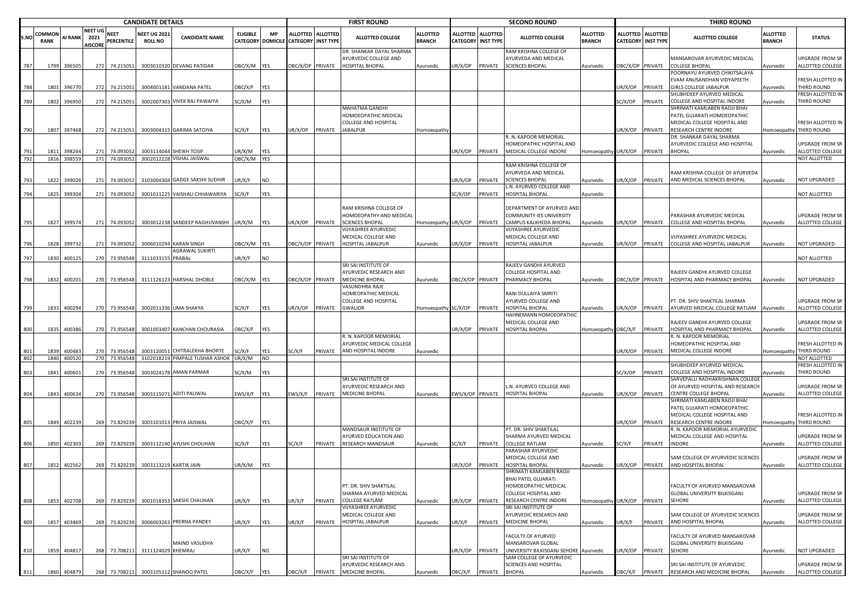|            |                       | <b>CANDIDATE DETAILS</b> |                                          |                        |                                       |                                                      |                       |            |                                                           |         | <b>FIRST ROUND</b>                                                          |                                  |                        |                   | <b>SECOND ROUND</b>                                                      |                                  |                                              |                 | <b>THIRD ROUND</b>                                                                          |                                  |                                            |
|------------|-----------------------|--------------------------|------------------------------------------|------------------------|---------------------------------------|------------------------------------------------------|-----------------------|------------|-----------------------------------------------------------|---------|-----------------------------------------------------------------------------|----------------------------------|------------------------|-------------------|--------------------------------------------------------------------------|----------------------------------|----------------------------------------------|-----------------|---------------------------------------------------------------------------------------------|----------------------------------|--------------------------------------------|
| .NO        | COMMON<br><b>RANK</b> | AI RANK                  | <b>NEET UG</b><br>2021<br><b>AISCORE</b> | NEET<br>PERCENTILE     | <b>NEET UG 2021</b><br><b>ROLL NO</b> | <b>CANDIDATE NAME</b>                                | <b>ELIGIBLE</b>       | MP         | ALLOTTED ALLOTTED<br>CATEGORY DOMICILE CATEGORY INST TYPE |         | <b>ALLOTTED COLLEGE</b>                                                     | <b>ALLOTTED</b><br><b>BRANCH</b> | CATEGORY INST TYPE     | ALLOTTED ALLOTTED | <b>ALLOTTED COLLEGE</b>                                                  | <b>ALLOTTED</b><br><b>BRANCH</b> | <b>ALLOTTED</b><br><b>CATEGORY INST TYPE</b> | <b>ALLOTTED</b> | <b>ALLOTTED COLLEGE</b>                                                                     | <b>ALLOTTED</b><br><b>BRANCH</b> | <b>STATUS</b>                              |
| 787        | 1799                  | 396505                   | 272                                      | 74.215051              |                                       | 3003010320 DEVANG PATIDAR                            | DBC/X/M YES           |            | DBC/X/OP PRIVATE                                          |         | DR. SHANKAR DAYAL SHARMA<br>AYURVEDIC COLLEGE AND<br><b>HOSPITAL BHOPAL</b> | Ayurvedic                        | JR/X/OP                | PRIVATE           | RAM KRISHNA COLLEGE OF<br><b>IYURVEDA AND MEDICAL</b><br>SCIENCES BHOPAL | Ayurvedic                        | BC/X/OP PRIVATE                              |                 | MANSAROVAR AYURVEDIC MEDICAL<br><b>COLLEGE BHOPAL</b>                                       | Ayurvedic                        | <b>JPGRADE FROM SR</b><br>ALLOTTED COLLEGE |
| 788        | 1801                  | 396770                   | 272                                      | 74.215051              |                                       | 3004001181 VANDANA PATEL                             | <b>JBC/X/F</b>        | <b>YES</b> |                                                           |         |                                                                             |                                  |                        |                   |                                                                          |                                  | IR/X/OP                                      | PRIVATE         | OORNAYU AYURVED CHIKITSALAYA<br>VAM ANUSANDHAN VIDYAPEETH<br>GIRLS COLLEGE JABALPUR         | vurvedic                         | RESH ALLOTTED IN<br>THIRD ROUND            |
| 789        | 1802                  | 396950                   | 272                                      | 74.215051              | 300200730                             | <b>VIVEK RAJ PAWAIYA</b>                             | SC/X/M                | YES        |                                                           |         |                                                                             |                                  |                        |                   |                                                                          |                                  | SC/X/OP                                      | PRIVATE         | HUBHDEEP AYURVED MEDICAL<br>COLLEGE AND HOSPITAL INDORE                                     | Ayurvedic                        | RESH ALLOTTED IN<br><b>HIRD ROUND</b>      |
|            |                       |                          |                                          |                        |                                       |                                                      |                       |            |                                                           |         | MAHATMA GANDHI<br>HOMOEOPATHIC MEDICAL<br><b>COLLEGE AND HOSPITAL</b>       |                                  |                        |                   |                                                                          |                                  |                                              |                 | SHRIMATI KAMLABEN RAOJI BHAI<br>PATEL GUJARATI HOMOEOPATHIC<br>MEDICAL COLLEGE HOSPITAL AND |                                  | RESH ALLOTTED IN                           |
| 790        |                       | 1807 397468              |                                          | 272 74.215051          |                                       | 3003004315 GARIMA SATOIYA                            | SC/X/F                | YES        | JR/X/OP                                                   | PRIVATE | <b>JABALPUR</b>                                                             | Homoeopath                       |                        |                   |                                                                          |                                  | JR/X/OP                                      | PRIVATE         | RESEARCH CENTRE INDORE                                                                      |                                  | Homoeopathy THIRD ROUND                    |
|            |                       |                          |                                          |                        |                                       |                                                      |                       |            |                                                           |         |                                                                             |                                  |                        |                   | R. N. KAPOOR MEMORIAL<br>HOMEOPATHIC HOSPITAL AND                        |                                  |                                              |                 | DR. SHANKAR DAYAL SHARMA<br>AYURVEDIC COLLEGE AND HOSPITAL                                  |                                  | JPGRADE FROM SR                            |
| 791<br>792 | 1811                  | 398264<br>1816 398559    | 271<br>271                               | 74.093052<br>74.093052 |                                       | 3003114044 SHEIKH TOSIF<br>3002012228 VISHAL JAISWAI | JR/X/M<br>OBC/X/M YES | YES        |                                                           |         |                                                                             |                                  | JR/X/OP PRIVATE        |                   | MEDICAL COLLEGE INDORE                                                   | Homoeopathy UR/X/OP              |                                              | PRIVATE         | <b>BHOPAL</b>                                                                               | Ayurvedic                        | ALLOTTED COLLEGE<br>NOT ALLOTTED           |
| 793        | 1822                  | 399026                   | 271                                      | 74.093052              |                                       | 3103004304 GADGE SAKSHI SUDHIR                       | JR/X/F                | <b>NO</b>  |                                                           |         |                                                                             |                                  | JR/X/OP                | PRIVATE           | RAM KRISHNA COLLEGE OF<br>AYURVEDA AND MEDICAL<br>SCIENCES BHOPAL        | Ayurvedic                        | JR/X/OP                                      | PRIVATE         | AM KRISHNA COLLEGE OF AYURVEDA<br>AND MEDICAL SCIENCES BHOPAL                               | Ayurvedic                        | <b>NOT UPGRADED</b>                        |
| 794        | 1825                  | 399304                   | 271                                      | 74.093052              | 300101122                             | <b>VAISHALI CHHAWARIYA</b>                           | SC/X/F                | YES        |                                                           |         |                                                                             |                                  | SC/X/OP                | PRIVATE           | N. AYURVED COLLEGE AND<br>HOSPITAL BHOPAL                                | Ayurvedic                        |                                              |                 |                                                                                             |                                  | NOT ALLOTTED                               |
|            |                       |                          |                                          |                        |                                       |                                                      |                       |            |                                                           |         | RAM KRISHNA COLLEGE OF                                                      |                                  |                        |                   | DEPARTMENT OF AYURVED AND                                                |                                  |                                              |                 |                                                                                             |                                  |                                            |
| 795        | 1827                  | 399574                   | 271                                      | 74.093052              |                                       | 3003012238 SANDEEP RAGHUVANSHI                       | UR/X/M                | YES        | JR/X/OP                                                   | PRIVATE | HOMOEOPATHY AND MEDICAL<br><b>SCIENCES BHOPAL</b>                           | Homoeopathy UR/X/OP PRIVATE      |                        |                   | COMMUNITY IES UNIVERSITY<br>CAMPUS KALKHEDA BHOPAL                       | Ayurvedic                        | JR/X/OP                                      | PRIVATE         | PARASHAR AYURVEDIC MEDICAL<br>COLLEGE AND HOSPITAL BHOPAL                                   | Ayurvedic                        | JPGRADE FROM SR<br>ALLOTTED COLLEGE        |
|            |                       |                          |                                          |                        |                                       |                                                      |                       |            |                                                           |         | VIJYASHREE AYURVEDIO                                                        |                                  |                        |                   | VIJYASHREE AYURVEDIC                                                     |                                  |                                              |                 |                                                                                             |                                  |                                            |
| 796        | 1828                  | 399732                   | 271                                      | 74.093052              |                                       | 3006010294 KARAN SINGH                               | DBC/X/M YES           |            | DBC/X/OP PRIVATE                                          |         | VIEDICAL COLLEGE AND<br>HOSPITAL JABALPUR                                   | Ayurvedic                        | JR/X/OP PRIVATE        |                   | MEDICAL COLLEGE AND<br>HOSPITAL JABALPUR                                 | Ayurvedic                        | JR/X/OP                                      | PRIVATE         | VIJYASHREE AYURVEDIC MEDICAL<br>COLLEGE AND HOSPITAL JABALPUR                               | Ayurvedic                        | <b>NOT UPGRADED</b>                        |
| 797        | 1830                  | 400125                   | 270                                      | 73.956548              | 311103315                             | AGRAWAL SUKIRTI<br>PRABAL                            | JR/X/F                | <b>NO</b>  |                                                           |         |                                                                             |                                  |                        |                   |                                                                          |                                  |                                              |                 |                                                                                             |                                  | NOT ALLOTTED                               |
|            |                       |                          |                                          |                        |                                       |                                                      |                       |            |                                                           |         | SRI SAI INSTITUTE OF                                                        |                                  |                        |                   | RAJEEV GANDHI AYURVED                                                    |                                  |                                              |                 |                                                                                             |                                  |                                            |
| 798        | 1832                  | 400201                   | 270                                      | 73.956548              |                                       | 3111126123 HARSHAL DHOBLE                            | OBC/X/M YES           |            | OBC/X/OP PRIVATE                                          |         | AYURVEDIC RESEARCH AND<br>MEDICINE BHOPAL                                   | Ayurvedic                        | OBC/X/OP PRIVATE       |                   | COLLEGE HOSPITAL AND<br>PHARMACY BHOPAL                                  | Ayurvedic                        | BC/X/OP PRIVATE                              |                 | RAJEEV GANDHI AYURVED COLLEGE<br>HOSPITAL AND PHARMACY BHOPAL                               | Ayurvedic                        | <b>NOT UPGRADED</b>                        |
|            |                       |                          |                                          |                        |                                       |                                                      |                       |            |                                                           |         | VASUNDHRA RAJE<br>HOMEOPATHIC MEDICAL<br>COLLEGE AND HOSPITAL               |                                  |                        |                   | RANI DULLAIYA SMRITI<br>AYURVED COLLEGE AND                              |                                  |                                              |                 | PT. DR. SHIV SHAKTILAL SHARMA                                                               |                                  | <b>UPGRADE FROM SR</b>                     |
| 799        | 1833                  | 400294                   | 270                                      | 73.956548              |                                       | 3002011336 UMA SHAKYA                                | SC/X/F                | <b>YES</b> | JR/X/OP                                                   | PRIVATE | <b>GWALIOR</b>                                                              | Homoeopathy                      | SC/X/OP                | PRIVATE           | HOSPITAL BHOPAL                                                          | Ayurvedic                        | JR/X/OP                                      | PRIVATE         | AYURVED MEDICAL COLLEGE RATLAM                                                              | Ayurvedic                        | ALLOTTED COLLEGE                           |
| 800        | 1835                  | 400386                   | 270                                      | 73.956548              |                                       | 3001003407 KANCHAN CHOURASIA                         | OBC/X/F               | YES        |                                                           |         |                                                                             |                                  | JR/X/OP                | PRIVATE           | HAHNEMANN HOMOEOPATHIC<br><b>MEDICAL COLLEGE AND</b><br>HOSPITAL BHOPAL  | Homoeopathy OBC/X/F              |                                              | PRIVATE         | RAJEEV GANDHI AYURVED COLLEGE<br>HOSPITAL AND PHARMACY BHOPAL                               | Ayurvedic                        | JPGRADE FROM SR<br>ALLOTTED COLLEGE        |
| 801        | 1839                  | 400483                   | 270                                      | 73.956548              |                                       | 3003120051 CHITRALEKHA BHORTE                        | SC/X/F                | <b>YES</b> | SC/X/F                                                    | PRIVATE | R. N. KAPOOR MEMORIAL<br>AYURVEDIC MEDICAL COLLEGE<br>AND HOSPITAL INDORE   | Ayurvedic                        |                        |                   |                                                                          |                                  | JR/X/OP                                      | PRIVATE         | R. N. KAPOOR MEMORIAL<br>HOMEOPATHIC HOSPITAL AND<br>MEDICAL COLLEGE INDORE                 | Homoeopath                       | RESH ALLOTTED IN<br>THIRD ROUND            |
| 802        |                       | 1840 400520              | 270                                      | 73.956548              |                                       | 3102018219 PIMPALE TUSHAR ASHOK                      | UR/X/M                | <b>NO</b>  |                                                           |         |                                                                             |                                  |                        |                   |                                                                          |                                  |                                              |                 |                                                                                             |                                  | <b>NOT ALLOTTED</b>                        |
| 803        | 1841                  | 400601                   | 270                                      | 73.956548              |                                       | 3003024178 AMAN PARMAR                               | SC/X/M                | YES        |                                                           |         |                                                                             |                                  |                        |                   |                                                                          |                                  | SC/X/OP                                      | PRIVATE         | SHUBHDEEP AYURVED MEDICAL<br>COLLEGE AND HOSPITAL INDORE                                    | Ayurvedic                        | RESH ALLOTTED II<br><b>THIRD ROUND</b>     |
|            |                       |                          |                                          |                        |                                       |                                                      |                       |            |                                                           |         | SRI SAI INSTITUTE OF<br>AYURVEDIC RESEARCH AND                              |                                  |                        |                   | .N. AYURVED COLLEGE AND                                                  |                                  |                                              |                 | SARVEPALLI RADHAKRISHNAN COLLEGI<br>OF AYURVED HOSPITAL AND RESEARCH                        |                                  | JPGRADE FROM SR                            |
| 804        | 1843                  | 400634                   | 270                                      | 73.956548              |                                       | 3003115071 ADITI PALIWAL                             | :WS/X/F               | <b>YES</b> | EWS/X/F                                                   | PRIVATE | <b>MEDICINE BHOPAL</b>                                                      | Ayurvedic                        | EWS/X/OP PRIVATE       |                   | HOSPITAL BHOPAL                                                          | Ayurvedic                        | JR/X/OP                                      | PRIVATE         | CENTRE COLLEGE BHOPAL<br>SHRIMATI KAMLABEN RAOJI BHAI<br>PATEL GUJARATI HOMOEOPATHIC        | Ayurvedic                        | ALLOTTED COLLEGE                           |
| 805        | 1849                  | 402239                   | 269                                      | 73.829239              |                                       | 3003101013 PRIYA JAISWAL                             | <b>JBC/X/F</b>        | <b>YES</b> |                                                           |         |                                                                             |                                  |                        |                   |                                                                          |                                  | JR/X/OP                                      | PRIVATE         | MEDICAL COLLEGE HOSPITAL AND<br>RESEARCH CENTRE INDORE                                      | <b>Homoeopathy</b>               | RESH ALLOTTED IN<br>THIRD ROUND            |
|            |                       |                          |                                          |                        |                                       |                                                      |                       |            |                                                           |         | MANDSAUR INSTITUTE OF<br>AYURVED EDUCATION AND                              |                                  |                        |                   | PT. DR. SHIV SHAKTILAL<br>SHARMA AYURVED MEDICAL                         |                                  |                                              |                 | R. N. KAPOOR MEMORIAL AYURVEDIC<br>MEDICAL COLLEGE AND HOSPITAL                             |                                  | JPGRADE FROM SR                            |
| 806        | 1850                  | 402303                   | 269                                      | 73.829239              |                                       | 3003112140 AYUSHI CHOUHAN                            | SC/X/F                | YES        | SC/X/F                                                    | PRIVATE | <b>RESEARCH MANDSAUR</b>                                                    | Ayurvedic                        | SC/X/F                 | PRIVATE           | COLLEGE RATLAM<br>ARASHAR AYURVEDIC                                      | Ayurvedic                        | SC/X/F                                       | PRIVATE         | <b>INDORE</b>                                                                               | Ayurvedic                        | ALLOTTED COLLEGE                           |
|            |                       |                          |                                          |                        |                                       |                                                      |                       |            |                                                           |         |                                                                             |                                  |                        |                   | VIEDICAL COLLEGE AND                                                     |                                  |                                              |                 | SAM COLLEGE OF AYURVEDIC SCIENCES                                                           |                                  | JPGRADE FROM SR                            |
| 807        | 1852                  | 402562                   | 269                                      | 73.829239              |                                       | 3003113219 KARTIK JAIN                               | JR/X/M                | YES        |                                                           |         |                                                                             |                                  | JR/X/OP                | PRIVATE           | <b>IOSPITAL BHOPAL</b><br>HRIMATI KAMLABEN RAOJI                         | Ayurvedic                        | IR/X/OP                                      | PRIVATE         | AND HOSPITAL BHOPAL                                                                         | Ayurvedic                        | ALLOTTED COLLEGE                           |
|            |                       |                          |                                          |                        |                                       |                                                      |                       |            |                                                           |         | PT. DR. SHIV SHAKTILAL                                                      |                                  |                        |                   | BHAI PATEL GUJARATI<br>HOMOEOPATHIC MEDICAL                              |                                  |                                              |                 | FACULTY OF AYURVED MANSAROVAR                                                               |                                  |                                            |
| 808        | 1853                  | 402708                   | 269                                      | 73.829239              |                                       | 3001018353 SAKSHI CHAUHAN                            | UR/X/F                | <b>YES</b> | JR/X/F                                                    | PRIVATE | SHARMA AYURVED MEDICAL<br><b>COLLEGE RATLAM</b>                             | Ayurvedic                        | JR/X/OP PRIVATE        |                   | COLLEGE HOSPITAL AND<br>RESEARCH CENTRE INDORE                           | Homoeopathy UR/X/OP              |                                              | PRIVATE         | GLOBAL UNIVERSITY BILKISGANJ<br><b>SEHORE</b>                                               | Ayurvedic                        | UPGRADE FROM SR<br>ALLOTTED COLLEGE        |
|            |                       |                          |                                          |                        |                                       |                                                      |                       |            |                                                           |         | VIJYASHREE AYURVEDIC<br>MEDICAL COLLEGE AND                                 |                                  |                        |                   | SRI SAI INSTITUTE OF<br>AYURVEDIC RESEARCH AND                           |                                  |                                              |                 | SAM COLLEGE OF AYURVEDIC SCIENCES                                                           |                                  | UPGRADE FROM SR                            |
| 809        | 1857                  | 403469                   | 269                                      | 73.829239              |                                       | 3006003263 PRERNA PANDEY                             | UR/X/F                | YES        | JR/X/F                                                    | PRIVATE | HOSPITAL JABALPUR                                                           | Ayurvedic                        | JR/X/F                 | PRIVATE           | <b>MEDICINE BHOPAL</b>                                                   | Ayurvedic                        | JR/X/F                                       | PRIVATE         | AND HOSPITAL BHOPAL                                                                         | Ayurvedic                        | ALLOTTED COLLEGE                           |
|            |                       |                          |                                          |                        |                                       | MAIND VASUDHA                                        |                       |            |                                                           |         |                                                                             |                                  |                        |                   | FACULTY OF AYURVED<br><b>MANSAROVAR GLOBAL</b>                           |                                  |                                              |                 | <b>FACULTY OF AYURVED MANSAROVAR</b><br><b>GLOBAL UNIVERSITY BILKISGANJ</b>                 |                                  |                                            |
| 810        | 1859                  | 404817                   | 268                                      | 73.708211              | 3111124029 KHEMRAJ                    |                                                      | JR/X/F                | <b>NO</b>  |                                                           |         |                                                                             |                                  | JR/X/OP PRIVATE        |                   | UNIVERSITY BILKISGANJ SEHORE Ayurvedic                                   |                                  | JR/X/OP                                      | PRIVATE         | <b>SEHORE</b>                                                                               | Ayurvedic                        | <b>NOT UPGRADED</b>                        |
|            |                       |                          |                                          |                        |                                       |                                                      |                       |            |                                                           |         | SRI SAI INSTITUTE OF<br>AYURVEDIC RESEARCH AND                              |                                  |                        |                   | SAM COLLEGE OF AYURVEDIC<br>SCIENCES AND HOSPITAL                        |                                  |                                              |                 | SRI SAI INSTITUTE OF AYURVEDIC                                                              |                                  | UPGRADE FROM SR                            |
| 811        | 1860                  | 404879                   |                                          |                        |                                       | 268 73.708211 3003105112 SHANOO PATEL                | OBC/X/F               | <b>YES</b> |                                                           |         | OBC/X/F PRIVATE MEDICINE BHOPAL                                             | Ayurvedic                        | OBC/X/F PRIVATE BHOPAL |                   |                                                                          | Ayurvedic                        | <b>JBC/X/F</b>                               | PRIVATE         | RESEARCH AND MEDICINE BHOPAL                                                                | Ayurvedic                        | ALLOTTED COLLEGE                           |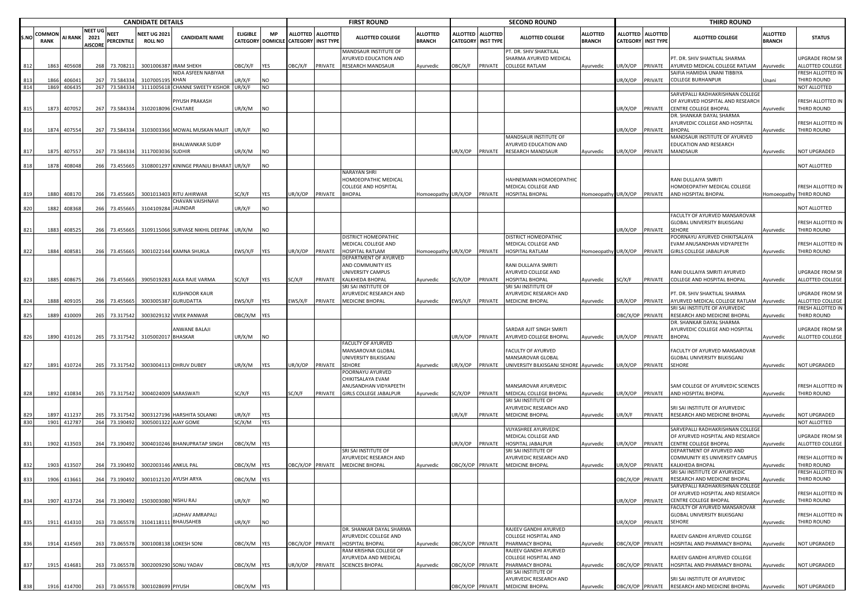|      |                       |                |                                   |                    | <b>CANDIDATE DETAILS</b>              |                                                   |                    |            |                                      |                   | <b>FIRST ROUND</b>                                                                 |                                  |                  |                                              | <b>SECOND ROUND</b>                                                                |                                  |                         |                                                | <b>THIRD ROUND</b>                                                                               |                                  |                                                                 |
|------|-----------------------|----------------|-----------------------------------|--------------------|---------------------------------------|---------------------------------------------------|--------------------|------------|--------------------------------------|-------------------|------------------------------------------------------------------------------------|----------------------------------|------------------|----------------------------------------------|------------------------------------------------------------------------------------|----------------------------------|-------------------------|------------------------------------------------|--------------------------------------------------------------------------------------------------|----------------------------------|-----------------------------------------------------------------|
| S.NC | COMMON<br><b>RANK</b> | <b>AI RANK</b> | NEET UG<br>2021<br><b>NISCORE</b> | NEET<br>PERCENTILE | <b>NEET UG 2021</b><br><b>ROLL NO</b> | <b>CANDIDATE NAME</b>                             | <b>ELIGIBLE</b>    | <b>MP</b>  | CATEGORY DOMICILE CATEGORY INST TYPE | ALLOTTED ALLOTTED | <b>ALLOTTED COLLEGE</b>                                                            | <b>ALLOTTED</b><br><b>BRANCH</b> | ALLOTTED         | <b>ALLOTTED</b><br><b>CATEGORY INST TYPE</b> | <b>ALLOTTED COLLEGE</b>                                                            | <b>ALLOTTED</b><br><b>BRANCH</b> |                         | ALLOTTED ALLOTTED<br><b>CATEGORY INST TYPE</b> | <b>ALLOTTED COLLEGE</b>                                                                          | <b>ALLOTTED</b><br><b>BRANCH</b> | <b>STATUS</b>                                                   |
| 812  | 1863                  | 405608         | 268                               | 73.708211          |                                       | 3001006387 IRAM SHEKH                             | OBC/X/F            | YES        | OBC/X/F                              | PRIVATE           | MANDSAUR INSTITUTE OF<br><b>AYURVED EDUCATION AND</b><br>RESEARCH MANDSAUR         | Ayurvedic                        | OBC/X/F          | PRIVATE                                      | PT. DR. SHIV SHAKTILAL<br>SHARMA AYURVED MEDICAL<br>COLLEGE RATLAM                 | Ayurvedic                        | JR/X/OP                 | PRIVATE                                        | PT. DR. SHIV SHAKTILAL SHARMA<br>AYURVED MEDICAL COLLEGE RATLAM                                  | Ayurvedic                        | UPGRADE FROM SR<br>ALLOTTED COLLEGE                             |
|      | 1866                  | 40604          | 267                               | 73.584334          | 310700519                             | NIDA ASFEEN NABIYAR<br><b>KHAN</b>                | JR/X/F             | NO         |                                      |                   |                                                                                    |                                  |                  |                                              |                                                                                    |                                  | JR/X/OP                 | PRIVATE                                        | SAIFIA HAMIDIA UNANI TIBBIYA<br>COLLEGE BURHANPUR                                                | Unani                            | FRESH ALLOTTED IN<br>THIRD ROUND                                |
| 814  | 1869                  | 406435         |                                   | 267 73.584334      |                                       | 3111005618 CHANNE SWEETY KISHOR<br>PIYUSH PRAKASH | JR/X/F             | <b>NO</b>  |                                      |                   |                                                                                    |                                  |                  |                                              |                                                                                    |                                  |                         |                                                | SARVEPALLI RADHAKRISHNAN COLLEGI<br>OF AYURVED HOSPITAL AND RESEARCH                             |                                  | NOT ALLOTTED<br>FRESH ALLOTTED IN                               |
| 815  | 1873                  | 407052         | 267                               | 73.584334          | 3102018096 CHATARE                    |                                                   | JR/X/M             | <b>NO</b>  |                                      |                   |                                                                                    |                                  |                  |                                              |                                                                                    |                                  | JR/X/OP                 | PRIVATE                                        | CENTRE COLLEGE BHOPAL<br>DR. SHANKAR DAYAL SHARMA<br>AYURVEDIC COLLEGE AND HOSPITAL              | Ayurvedic                        | THIRD ROUND<br>FRESH ALLOTTED IN                                |
| 816  |                       | 1874 407554    |                                   | 267 73.584334      |                                       | 3103003366 MOWAL MUSKAN MAJIT                     | JR/X/F             | <b>NO</b>  |                                      |                   |                                                                                    |                                  |                  |                                              | MANDSAUR INSTITUTE OF                                                              |                                  | JR/X/OP                 | PRIVATE                                        | <b>BHOPAL</b><br>MANDSAUR INSTITUTE OF AYURVED                                                   | Ayurvedic                        | THIRD ROUND                                                     |
| 817  | 1875                  | 407557         |                                   | 267 73.584334      | 3117003036 SUDHIR                     | <b>BHALWANKAR SUDIP</b>                           | JR/X/M             | <b>NO</b>  |                                      |                   |                                                                                    |                                  | UR/X/OP          | PRIVATE                                      | AYURVED EDUCATION AND<br><b>RESEARCH MANDSAUR</b>                                  | Ayurvedic                        | JR/X/OP                 | PRIVATE                                        | EDUCATION AND RESEARCH<br>MANDSAUR                                                               | Ayurvedic                        | NOT UPGRADED                                                    |
| 818  | 1878                  | 408048         | 266                               | 73.455665          |                                       | 3108001297 KININGE PRANJLI BHARAT UR/X/F          |                    | <b>NO</b>  |                                      |                   |                                                                                    |                                  |                  |                                              |                                                                                    |                                  |                         |                                                |                                                                                                  |                                  | NOT ALLOTTED                                                    |
|      | 1880                  | 408170         |                                   | 266 73.455665      |                                       | 3001013403 RITU AHIRWAR                           | SC/X/F             | YES        | JR/X/OP                              | PRIVATE           | NARAYAN SHRI<br>HOMOEOPATHIC MEDICAL<br>COLLEGE AND HOSPITAL<br><b>BHOPAL</b>      | Homoeopathy UR/X/OP              |                  | PRIVATE                                      | HAHNEMANN HOMOEOPATHIC<br>MEDICAL COLLEGE AND<br>HOSPITAL BHOPAL                   | Iomoeopathy UR/X/OP              |                         | PRIVATE                                        | RANI DULLAIYA SMRITI<br>HOMOEOPATHY MEDICAL COLLEGE<br>AND HOSPITAL BHOPAL                       |                                  | FRESH ALLOTTED IN<br>Homoeopathy THIRD ROUND                    |
| 820  | 1882                  | 408368         | 266                               | 73.455665          | 3104109284 JALINDAR                   | CHAVAN VAISHNAVI                                  | JR/X/F             | NO         |                                      |                   |                                                                                    |                                  |                  |                                              |                                                                                    |                                  |                         |                                                |                                                                                                  |                                  | NOT ALLOTTED                                                    |
| 821  | 1883                  | 408525         | 266                               | 73.455665          |                                       | 3109115066 SURVASE NIKHIL DEEPAK                  | UR/X/M             | <b>NO</b>  |                                      |                   |                                                                                    |                                  |                  |                                              |                                                                                    |                                  | JR/X/OP                 | PRIVATE                                        | FACULTY OF AYURVED MANSAROVAR<br><b>GLOBAL UNIVERSITY BILKISGANJ</b><br>SEHORE                   | Ayurvedic                        | FRESH ALLOTTED IN<br>THIRD ROUND                                |
|      |                       |                |                                   |                    |                                       |                                                   |                    |            |                                      |                   | DISTRICT HOMEOPATHIC<br>MEDICAL COLLEGE AND                                        |                                  |                  |                                              | DISTRICT HOMEOPATHIC<br>MEDICAL COLLEGE AND                                        |                                  |                         |                                                | POORNAYU AYURVED CHIKITSALAYA<br>EVAM ANUSANDHAN VIDYAPEETH                                      |                                  | FRESH ALLOTTED IN                                               |
| 822  | 1884                  | 408581         | 266                               | 73.455665          |                                       | 3001022144 KAMNA SHUKLA                           | EWS/X/F            | <b>YES</b> | JR/X/OP                              | PRIVATE           | HOSPITAL RATLAM<br>DEPARTMENT OF AYURVED<br>AND COMMUNITY IES<br>UNIVERSITY CAMPUS | Homoeopathy UR/X/OP              |                  | PRIVATE                                      | HOSPITAL RATLAM<br>RANI DULLAIYA SMRITI<br>AYURVED COLLEGE AND                     | Iomoeopathy UR/X/OP              |                         | PRIVATE                                        | <b>GIRLS COLLEGE JABALPUR</b><br>RANI DULLAIYA SMRITI AYURVED                                    | Ayurvedic                        | THIRD ROUND<br>UPGRADE FROM SR                                  |
| 823  | 1885                  | 408675         |                                   | 266 73.455665      |                                       | 3905019283 ALKA RAJE VARMA                        | SC/X/F             | YES        | SC/X/F                               | PRIVATE           | KALKHEDA BHOPAL<br>SRI SAI INSTITUTE OF                                            | Ayurvedic                        | SC/X/OP          | PRIVATE                                      | HOSPITAL BHOPAL<br>SRI SAI INSTITUTE OF                                            | Ayurvedic                        | SC/X/F                  | PRIVATE                                        | COLLEGE AND HOSPITAL BHOPAL                                                                      | Ayurvedic                        | ALLOTTED COLLEGE                                                |
|      | 1888                  | 409105         | 266                               | 73.455665          | 300300538                             | <b>KUSHNOOR KAUR</b><br><b>GURUDATTA</b>          | :WS/X/F            | <b>YES</b> | EWS/X/F                              | PRIVATE           | AYURVEDIC RESEARCH AND<br>MEDICINE BHOPAL                                          | Ayurvedic                        | :WS/X/F          | PRIVATE                                      | AYURVEDIC RESEARCH AND<br>MEDICINE BHOPAL                                          | Ayurvedic                        | JR/X/OP                 | PRIVATE                                        | PT. DR. SHIV SHAKTILAL SHARMA<br>AYURVED MEDICAL COLLEGE RATLAM<br>RI SAI INSTITUTE OF AYURVEDIC | Ayurvedic                        | <b>UPGRADE FROM SR</b><br>ALLOTTED COLLEGE<br>FRESH ALLOTTED IN |
| 825  | 1889                  | 410009         |                                   | 265 73.317542      |                                       | 3003029132 VIVEK PANWAR                           | OBC/X/M YES        |            |                                      |                   |                                                                                    |                                  |                  |                                              |                                                                                    |                                  | OBC/X/OP PRIVATE        |                                                | RESEARCH AND MEDICINE BHOPAL<br>DR. SHANKAR DAYAL SHARMA                                         | Ayurvedic                        | THIRD ROUND                                                     |
| 826  | 1890                  | 410126         |                                   | 265 73.317542      | 3105002017 BHASKAR                    | ANWANE BALAJI                                     | JR/X/M             | <b>NO</b>  |                                      |                   |                                                                                    |                                  | UR/X/OP          | PRIVATE                                      | SARDAR AJIT SINGH SMRITI<br>AYURVED COLLEGE BHOPAL                                 | Ayurvedic                        | UR/X/OP                 | PRIVATE                                        | AYURVEDIC COLLEGE AND HOSPITAL<br><b>BHOPAL</b>                                                  | Ayurvedic                        | UPGRADE FROM SR<br>ALLOTTED COLLEGE                             |
| 827  |                       | 1891 410724    |                                   | 265 73.317542      |                                       | 3003004113 DHRUV DUBEY                            | JR/X/M             | <b>YES</b> | UR/X/OP                              | PRIVATE           | FACULTY OF AYURVED<br>MANSAROVAR GLOBAL<br>UNIVERSITY BILKISGANJ<br><b>SEHORE</b>  | Ayurvedic                        | UR/X/OP          | PRIVATE                                      | FACULTY OF AYURVED<br>MANSAROVAR GLOBAL<br>UNIVERSITY BILKISGANJ SEHORE Ayurvedic  |                                  | JR/X/OP                 | PRIVATE                                        | FACULTY OF AYURVED MANSAROVAR<br>GLOBAL UNIVERSITY BILKISGANJ<br><b>SEHORE</b>                   | Ayurvedic                        | NOT UPGRADED                                                    |
|      |                       |                |                                   |                    |                                       |                                                   |                    |            |                                      |                   | POORNAYU AYURVED<br>CHIKITSALAYA EVAM                                              |                                  |                  |                                              | MANSAROVAR AYURVEDIC                                                               |                                  |                         |                                                |                                                                                                  |                                  |                                                                 |
| 828  | 1892                  | 410834         | 265                               | 73.317542          |                                       | 3004024009 SARASWATI                              | SC/X/F             | <b>YES</b> | SC/X/F                               | PRIVATE           | ANUSANDHAN VIDYAPEETH<br>GIRLS COLLEGE JABALPUR                                    | Ayurvedic                        | SC/X/OP          | PRIVATE                                      | MEDICAL COLLEGE BHOPAL<br>SRI SAI INSTITUTE OF                                     | Ayurvedic                        | JR/X/OP                 | PRIVATE                                        | SAM COLLEGE OF AYURVEDIC SCIENCES<br>AND HOSPITAL BHOPAL                                         | Ayurvedic                        | FRESH ALLOTTED IN<br>THIRD ROUND                                |
|      | 1897                  | 411237         | 265                               | 73.317542          |                                       | 3003127196 HARSHITA SOLANKI                       | JR/X/F             | YES        |                                      |                   |                                                                                    |                                  | UR/X/F           | PRIVATE                                      | AYURVEDIC RESEARCH AND<br>MEDICINE BHOPAL                                          | Ayurvedic                        | JR/X/F                  | PRIVATE                                        | SRI SAI INSTITUTE OF AYURVEDIC<br>RESEARCH AND MEDICINE BHOPAL                                   | Ayurvedic                        | NOT UPGRADED                                                    |
| 830  |                       | 1901 412787    |                                   | 264 73.190492      |                                       | 3005001322 AJAY GOME                              | SC/X/M             | <b>YES</b> |                                      |                   |                                                                                    |                                  |                  |                                              |                                                                                    |                                  |                         |                                                |                                                                                                  |                                  | NOT ALLOTTED                                                    |
| 831  |                       | 1902 413503    |                                   | 264 73.190492      |                                       | 3004010246 BHANUPRATAP SINGH                      | DBC/X/M YES        |            |                                      |                   |                                                                                    |                                  | JR/X/OP          | PRIVATE                                      | VIJYASHREE AYURVEDIC<br>MEDICAL COLLEGE AND<br><b>IOSPITAL JABALPUR</b>            | Ayurvedic                        | JR/X/OP                 | PRIVATE                                        | SARVEPALLI RADHAKRISHNAN COLLEGI<br>OF AYURVED HOSPITAL AND RESEARCH<br>CENTRE COLLEGE BHOPAL    | Ayurvedic                        | <b>UPGRADE FROM SR</b><br>ALLOTTED COLLEGE                      |
| 832  | 1903                  | 413507         |                                   | 264 73.190492      | 3002003146 ANKUL PAL                  |                                                   | <b>JBC/X/M YES</b> |            |                                      | OBC/X/OP PRIVATE  | SRI SAI INSTITUTE OF<br>AYURVEDIC RESEARCH AND<br>MEDICINE BHOPAL                  | Ayurvedic                        | OBC/X/OP PRIVATE |                                              | SRI SAI INSTITUTE OF<br>AYURVEDIC RESEARCH AND<br><b>MEDICINE BHOPAL</b>           | Ayurvedic                        | JR/X/OP                 | PRIVATE                                        | DEPARTMENT OF AYURVED AND<br>COMMUNITY IES UNIVERSITY CAMPUS<br>(ALKHEDA BHOPAL                  | Ayurvedic                        | FRESH ALLOTTED IN<br>THIRD ROUND                                |
|      | 1906                  | 413661         | 264                               | 73 190492          |                                       | 3001012120 AVUSH ARYA                             | OBC/X/M            | <b>YFS</b> |                                      |                   |                                                                                    |                                  |                  |                                              |                                                                                    |                                  | <b>ORC/X/OP PRIVATE</b> |                                                | SRI SAI INSTITUTE OF AYURVEDIC<br><b>ESEARCH AND MEDICINE RHOPAL</b>                             |                                  | FRESH ALLOTTED IN<br>THIRD ROLIND                               |
|      |                       |                |                                   |                    |                                       |                                                   |                    |            |                                      |                   |                                                                                    |                                  |                  |                                              |                                                                                    |                                  |                         |                                                | SARVEPALLI RADHAKRISHNAN COLLEGI<br>OF AYURVED HOSPITAL AND RESEARCH                             |                                  | FRESH ALLOTTED IN                                               |
| 834  | 1907                  | 413724         |                                   | 264 73.190492      |                                       | 1503003080 NISHU RAJ<br>JADHAV AMRAPALI           | JR/X/F             | <b>NO</b>  |                                      |                   |                                                                                    |                                  |                  |                                              |                                                                                    |                                  | JR/X/OP                 | PRIVATE                                        | CENTRE COLLEGE BHOPAL<br><b>FACULTY OF AYURVED MANSAROVAR</b><br>GLOBAL UNIVERSITY BILKISGANJ    | Ayurvedic                        | THIRD ROUND<br>FRESH ALLOTTED IN                                |
| 835  |                       | 1911 414310    |                                   | 263 73.065578      |                                       | 3104118111 BHAUSAHEB                              | UR/X/F             | <b>NO</b>  |                                      |                   | DR. SHANKAR DAYAL SHARMA                                                           |                                  |                  |                                              | RAJEEV GANDHI AYURVED                                                              |                                  | JR/X/OP                 | PRIVATE                                        | <b>SEHORE</b>                                                                                    | Ayurvedic                        | THIRD ROUND                                                     |
| 836  |                       | 1914 414569    |                                   | 263 73.065578      |                                       | 3001008138 LOKESH SONI                            | OBC/X/M YES        |            | OBC/X/OP PRIVATE                     |                   | AYURVEDIC COLLEGE AND<br>HOSPITAL BHOPAL                                           | Ayurvedic                        | OBC/X/OP PRIVATE |                                              | COLLEGE HOSPITAL AND<br>PHARMACY BHOPAL                                            | Ayurvedic                        | OBC/X/OP PRIVATE        |                                                | RAJEEV GANDHI AYURVED COLLEGE<br>HOSPITAL AND PHARMACY BHOPAL                                    | Ayurvedic                        | NOT UPGRADED                                                    |
| 837  | 1915                  | 414681         |                                   | 263 73.065578      |                                       | 3002009290 SONU YADAV                             | OBC/X/M YES        |            | UR/X/OP                              | PRIVATE           | RAM KRISHNA COLLEGE OF<br>AYURVEDA AND MEDICAL<br><b>SCIENCES BHOPAL</b>           | Ayurvedic                        | OBC/X/OP PRIVATE |                                              | RAJEEV GANDHI AYURVED<br>COLLEGE HOSPITAL AND<br>PHARMACY BHOPAL                   | Ayurvedic                        | OBC/X/OP PRIVATE        |                                                | RAJEEV GANDHI AYURVED COLLEGE<br>HOSPITAL AND PHARMACY BHOPAL                                    | Ayurvedic                        | NOT UPGRADED                                                    |
| 838  | 1916                  | 414700         | 263                               | 73.065578          | 3001028699 PIYUSH                     |                                                   | OBC/X/M YES        |            |                                      |                   |                                                                                    |                                  |                  |                                              | SRI SAI INSTITUTE OF<br>AYURVEDIC RESEARCH AND<br>OBC/X/OP PRIVATE MEDICINE BHOPAL | Ayurvedic                        | OBC/X/OP PRIVATE        |                                                | SRI SAI INSTITUTE OF AYURVEDIC<br>RESEARCH AND MEDICINE BHOPAL                                   | Ayurvedic                        | NOT UPGRADED                                                    |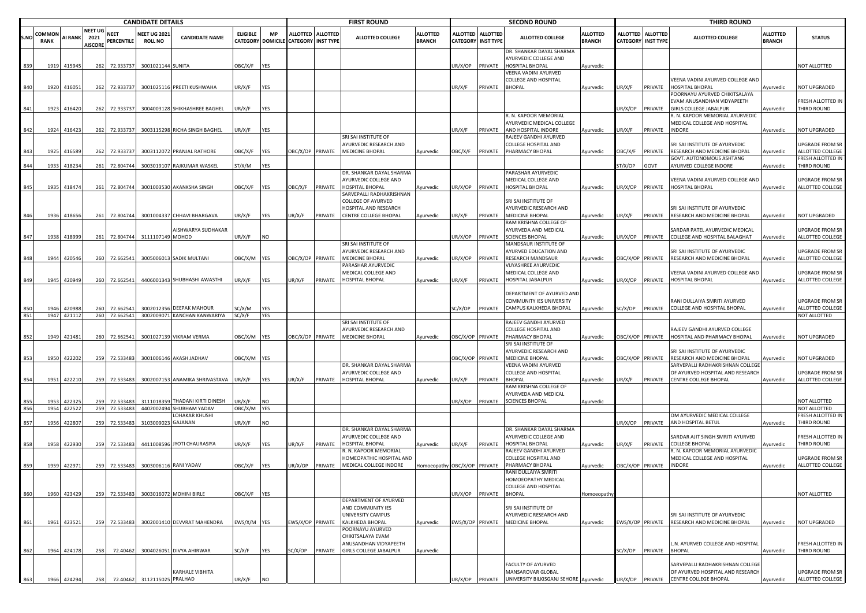|      |             | <b>CANDIDATE DETAILS</b> |                |               |                                |                                          |                 |                   |                           |                   | <b>FIRST ROUND</b>                                         |                      |                  |                           | <b>SECOND ROUND</b>                                  |                 |                         |                  | <b>THIRD ROUND</b>                                              |                 |                                             |
|------|-------------|--------------------------|----------------|---------------|--------------------------------|------------------------------------------|-----------------|-------------------|---------------------------|-------------------|------------------------------------------------------------|----------------------|------------------|---------------------------|------------------------------------------------------|-----------------|-------------------------|------------------|-----------------------------------------------------------------|-----------------|---------------------------------------------|
|      | COMMON      |                          | NEET UG        | <b>NEET</b>   | <b>NEET UG 2021</b>            |                                          | <b>ELIGIBLE</b> | <b>MP</b>         |                           | ALLOTTED ALLOTTED |                                                            | <b>ALLOTTED</b>      |                  | ALLOTTED ALLOTTED         |                                                      | <b>ALLOTTED</b> | <b>ALLOTTED</b>         | <b>ALLOTTED</b>  |                                                                 | <b>ALLOTTED</b> |                                             |
| S.NO | <b>RANK</b> | <b>AI RANK</b>           | 2021           | PERCENTILE    | <b>ROLL NO</b>                 | <b>CANDIDATE NAME</b>                    |                 | CATEGORY DOMICILE | <b>CATEGORY INST TYPE</b> |                   | <b>ALLOTTED COLLEGE</b>                                    | <b>BRANCH</b>        |                  | <b>CATEGORY INST TYPE</b> | ALLOTTED COLLEGE                                     | <b>BRANCH</b>   | <b>CATEGORY</b>         | <b>INST TYPE</b> | <b>ALLOTTED COLLEGE</b>                                         | <b>BRANCH</b>   | <b>STATUS</b>                               |
|      |             |                          | <b>AISCORE</b> |               |                                |                                          |                 |                   |                           |                   |                                                            |                      |                  |                           | DR. SHANKAR DAYAL SHARMA                             |                 |                         |                  |                                                                 |                 |                                             |
|      |             |                          |                |               |                                |                                          |                 |                   |                           |                   |                                                            |                      |                  |                           | AYURVEDIC COLLEGE AND                                |                 |                         |                  |                                                                 |                 |                                             |
|      | 1919        | 415945                   |                | 262 72.933737 | 3001021144 SUNITA              |                                          | OBC/X/F         | YES               |                           |                   |                                                            |                      | JR/X/OP          | PRIVATE                   | <b>HOSPITAL BHOPAL</b>                               | Ayurvedic       |                         |                  |                                                                 |                 | <b>IOT ALLOTTED</b>                         |
|      |             |                          |                |               |                                |                                          |                 |                   |                           |                   |                                                            |                      |                  |                           | VEENA VADINI AYURVED                                 |                 |                         |                  |                                                                 |                 |                                             |
|      |             |                          |                |               |                                |                                          |                 |                   |                           |                   |                                                            |                      |                  |                           | <b>COLLEGE AND HOSPITAL</b>                          |                 |                         |                  | VEENA VADINI AYURVED COLLEGE AND                                |                 |                                             |
| 840  |             | 1920 41605               |                | 262 72.933737 |                                | 3001025116 PREETI KUSHWAHA               | UR/X/F          | YES               |                           |                   |                                                            |                      | JR/X/F           | PRIVATE                   | <b>BHOPAL</b>                                        | Ayurvedic       | JR/X/F                  | PRIVATE          | <b>HOSPITAL BHOPAL</b>                                          | Ayurvedic       | <b>NOT UPGRADED</b>                         |
|      |             |                          |                |               |                                |                                          |                 |                   |                           |                   |                                                            |                      |                  |                           |                                                      |                 |                         |                  | POORNAYU AYURVED CHIKITSALAYA<br>EVAM ANUSANDHAN VIDYAPEETH     |                 | RESH ALLOTTED IN                            |
| 841  | 1923        | 416420                   |                | 262 72.933737 |                                | 3004003128 SHIKHASHREE BAGHEL            | UR/X/F          | YES               |                           |                   |                                                            |                      |                  |                           |                                                      |                 | UR/X/OP                 | PRIVATE          | <b>GIRLS COLLEGE JABALPUR</b>                                   | Ayurvedic       | THIRD ROUND                                 |
|      |             |                          |                |               |                                |                                          |                 |                   |                           |                   |                                                            |                      |                  |                           | R. N. KAPOOR MEMORIAL                                |                 |                         |                  | R. N. KAPOOR MEMORIAL AYURVEDIC                                 |                 |                                             |
|      |             |                          |                |               |                                |                                          |                 |                   |                           |                   |                                                            |                      |                  |                           | AYURVEDIC MEDICAL COLLEGE                            |                 |                         |                  | MEDICAL COLLEGE AND HOSPITAL                                    |                 |                                             |
| 842  |             | 1924 416423              |                | 262 72.933737 |                                | 3003115298 RICHA SINGH BAGHEL            | UR/X/F          | YES               |                           |                   |                                                            |                      | JR/X/F           | PRIVATE                   | AND HOSPITAL INDORE                                  | Ayurvedic       | UR/X/F                  | PRIVATE          | <b>INDORE</b>                                                   | Ayurvedic       | <b>NOT UPGRADED</b>                         |
|      |             |                          |                |               |                                |                                          |                 |                   |                           |                   | SRI SAI INSTITUTE OF                                       |                      |                  |                           | RAJEEV GANDHI AYURVED                                |                 |                         |                  |                                                                 |                 |                                             |
|      | 1925        |                          |                |               |                                | 3003112072 PRANJAL RATHORE               |                 |                   |                           |                   | AYURVEDIC RESEARCH AND<br>DBC/X/OP PRIVATE MEDICINE BHOPAL |                      |                  |                           | <b>COLLEGE HOSPITAL AND</b>                          |                 |                         |                  | SRI SAI INSTITUTE OF AYURVEDIC                                  |                 | JPGRADE FROM SR                             |
| 843  |             | 416589                   |                | 262 72.933737 |                                |                                          | OBC/X/F         | <b>YES</b>        |                           |                   |                                                            | Ayurvedic            | OBC/X/F          | PRIVATE                   | PHARMACY BHOPAL                                      | Ayurvedic       | OBC/X/F                 | PRIVATE          | RESEARCH AND MEDICINE BHOPAL<br>GOVT. AUTONOMOUS ASHTANG        | Ayurvedic       | ALLOTTED COLLEGE<br><b>RESH ALLOTTED IN</b> |
| 844  | 1933        | 418234                   |                | 261 72.804744 |                                | 3003019107 RAJKUMAR WASKEL               | ST/X/M          | YES               |                           |                   |                                                            |                      |                  |                           |                                                      |                 | T/X/OP                  | GOVT             | AYURVED COLLEGE INDORE                                          | Ayurvedic       | <b>THIRD ROUND</b>                          |
|      |             |                          |                |               |                                |                                          |                 |                   |                           |                   | DR. SHANKAR DAYAL SHARMA                                   |                      |                  |                           | PARASHAR AYURVEDIC                                   |                 |                         |                  |                                                                 |                 |                                             |
|      |             |                          |                |               |                                |                                          |                 |                   |                           |                   | AYURVEDIC COLLEGE AND                                      |                      |                  |                           | MEDICAL COLLEGE AND                                  |                 |                         |                  | VEENA VADINI AYURVED COLLEGE AND                                |                 | JPGRADE FROM SR                             |
| 845  | 1935        | 418474                   |                | 261 72.804744 |                                | 3001003530 AKANKSHA SINGH                | OBC/X/F         | YES               | <b>DBC/X/F</b>            | PRIVATE           | HOSPITAL BHOPAL                                            | Ayurvedic            | JR/X/OP PRIVATE  |                           | HOSPITAL BHOPAL                                      | Ayurvedic       | JR/X/OP                 | PRIVATE          | <b>HOSPITAL BHOPAL</b>                                          | Ayurvedic       | ALLOTTED COLLEGE                            |
|      |             |                          |                |               |                                |                                          |                 |                   |                           |                   | SARVEPALLI RADHAKRISHNAN                                   |                      |                  |                           |                                                      |                 |                         |                  |                                                                 |                 |                                             |
|      |             |                          |                |               |                                |                                          |                 |                   |                           |                   | COLLEGE OF AYURVED                                         |                      |                  |                           | SRI SAI INSTITUTE OF                                 |                 |                         |                  |                                                                 |                 |                                             |
| 846  | 1936        | 418656                   |                |               |                                | 261 72.804744 3001004337 CHHAVI BHARGAVA | JR/X/F          | YES               | JR/X/F                    | PRIVATE           | HOSPITAL AND RESEARCH<br><b>CENTRE COLLEGE BHOPAL</b>      | Ayurvedic            | JR/X/F           | PRIVATE                   | AYURVEDIC RESEARCH AND<br><b>MEDICINE BHOPAL</b>     | Ayurvedic       | UR/X/F                  | PRIVATE          | SRI SAI INSTITUTE OF AYURVEDIC<br>RESEARCH AND MEDICINE BHOPAL  | Ayurvedic       | NOT UPGRADED                                |
|      |             |                          |                |               |                                |                                          |                 |                   |                           |                   |                                                            |                      |                  |                           | RAM KRISHNA COLLEGE OF                               |                 |                         |                  |                                                                 |                 |                                             |
|      |             |                          |                |               |                                | AISHWARYA SUDHAKAR                       |                 |                   |                           |                   |                                                            |                      |                  |                           | AYURVEDA AND MEDICAL                                 |                 |                         |                  | SARDAR PATEL AYURVEDIC MEDICAL                                  |                 | <b>JPGRADE FROM SR</b>                      |
| 847  | 1938        | 418999                   |                |               | 261 72.804744 3111107149 MOHOD |                                          | UR/X/F          | N <sub>O</sub>    |                           |                   |                                                            |                      | JR/X/OP          | PRIVATE                   | <b>SCIENCES BHOPAL</b>                               | Ayurvedic       | UR/X/OP                 | PRIVATE          | COLLEGE AND HOSPITAL BALAGHAT                                   | Ayurvedic       | ALLOTTED COLLEGE                            |
|      |             |                          |                |               |                                |                                          |                 |                   |                           |                   | SRI SAI INSTITUTE OF                                       |                      |                  |                           | MANDSAUR INSTITUTE OF                                |                 |                         |                  |                                                                 |                 |                                             |
|      |             |                          |                |               |                                |                                          |                 |                   |                           |                   | AYURVEDIC RESEARCH AND                                     |                      |                  |                           | AYURVED EDUCATION AND                                |                 |                         |                  | SRI SAI INSTITUTE OF AYURVEDIC                                  |                 | UPGRADE FROM SR                             |
| 848  | 1944        | 420546                   |                | 260 72.662541 |                                | 3005006013 SADIK MULTANI                 | OBC/X/M         | <b>YES</b>        | BC/X/OP PRIVATE           |                   | <b>MEDICINE BHOPAL</b>                                     | Ayurvedic            | JR/X/OP          | PRIVATE                   | <b>RESEARCH MANDSAUR</b>                             | Ayurvedic       | BC/X/OP PRIVATE         |                  | RESEARCH AND MEDICINE BHOPAL                                    | Ayurvedic       | ALLOTTED COLLEGE                            |
|      |             |                          |                |               |                                |                                          |                 |                   |                           |                   | PARASHAR AYURVEDIC<br>MEDICAL COLLEGE AND                  |                      |                  |                           | VIJYASHREE AYURVEDIC                                 |                 |                         |                  |                                                                 |                 |                                             |
| 849  | 1945        | 420949                   |                | 260 72.662541 |                                | 4406001343 SHUBHASHI AWASTHI             | UR/X/F          | YES               | JR/X/F                    | PRIVATE           | <b>HOSPITAL BHOPAI</b>                                     | Ayurvedic            | JR/X/F           | PRIVATE                   | MEDICAL COLLEGE AND<br><b>HOSPITAL JABALPUR</b>      | Ayurvedic       | JR/X/OP                 | PRIVATE          | VEENA VADINI AYURVED COLLEGE AND<br><b>HOSPITAL BHOPAI</b>      | Ayurvedic       | JPGRADE FROM SR<br>ALLOTTED COLLEGE         |
|      |             |                          |                |               |                                |                                          |                 |                   |                           |                   |                                                            |                      |                  |                           |                                                      |                 |                         |                  |                                                                 |                 |                                             |
|      |             |                          |                |               |                                |                                          |                 |                   |                           |                   |                                                            |                      |                  |                           | DEPARTMENT OF AYURVED AND                            |                 |                         |                  |                                                                 |                 |                                             |
|      |             |                          |                |               |                                |                                          |                 |                   |                           |                   |                                                            |                      |                  |                           | COMMUNITY IES UNIVERSITY                             |                 |                         |                  | RANI DULLAIYA SMRITI AYURVED                                    |                 | <b>UPGRADE FROM SR</b>                      |
|      | 1946        | 420988                   | 260            | 72.662541     |                                | 3002012356 DEEPAK MAHOUR                 | C/X/M           | YES               |                           |                   |                                                            |                      | SC/X/OP          | PRIVATE                   | CAMPUS KALKHEDA BHOPAL                               | Ayurvedic       | SC/X/OP                 | PRIVATE          | COLLEGE AND HOSPITAL BHOPAL                                     | Ayurvedic       | ALLOTTED COLLEGE                            |
| 851  | 1947        | 421112                   |                | 260 72.662541 |                                | 3002009071 KANCHAN KANWARIYA             | SC/X/F          | YES               |                           |                   |                                                            |                      |                  |                           |                                                      |                 |                         |                  |                                                                 |                 | NOT ALLOTTED                                |
|      |             |                          |                |               |                                |                                          |                 |                   |                           |                   | SRI SAI INSTITUTE OF                                       |                      |                  |                           | RAJEEV GANDHI AYURVED                                |                 |                         |                  |                                                                 |                 |                                             |
|      |             |                          |                |               |                                |                                          |                 |                   |                           |                   | AYURVEDIC RESEARCH AND                                     |                      |                  |                           | <b>COLLEGE HOSPITAL AND</b>                          |                 |                         |                  | RAJEEV GANDHI AYURVED COLLEGE                                   |                 |                                             |
| 852  |             | 1949 421481              |                | 260 72.662541 |                                | 3001027139 VIKRAM VERMA                  | OBC/X/M YES     |                   |                           |                   | BC/X/OP PRIVATE MEDICINE BHOPAL                            | Ayurvedic            | DBC/X/OP PRIVATE |                           | PHARMACY BHOPAL<br>SRI SAI INSTITUTE OF              | Ayurvedic       |                         | OBC/X/OP PRIVATE | HOSPITAL AND PHARMACY BHOPAL                                    | Ayurvedic       | <b>NOT UPGRADED</b>                         |
|      |             |                          |                |               |                                |                                          |                 |                   |                           |                   |                                                            |                      |                  |                           | AYURVEDIC RESEARCH AND                               |                 |                         |                  | SRI SAI INSTITUTE OF AYURVEDIC                                  |                 |                                             |
| 853  |             | 1950 422202              |                | 259 72.533483 |                                | 3001006146 AKASH JADHAV                  | OBC/X/M YES     |                   |                           |                   |                                                            |                      | DBC/X/OP PRIVATE |                           | <b>MEDICINE BHOPAL</b>                               | Ayurvedic       | OBC/X/OP PRIVATE        |                  | RESEARCH AND MEDICINE BHOPAL                                    | vyurvedic       | <b>NOT UPGRADED</b>                         |
|      |             |                          |                |               |                                |                                          |                 |                   |                           |                   | DR. SHANKAR DAYAL SHARMA                                   |                      |                  |                           | VEENA VADINI AYURVED                                 |                 |                         |                  | SARVEPALLI RADHAKRISHNAN COLLEGE                                |                 |                                             |
|      |             |                          |                |               |                                |                                          |                 |                   |                           |                   | AYURVEDIC COLLEGE AND                                      |                      |                  |                           | <b>COLLEGE AND HOSPITAL</b>                          |                 |                         |                  | OF AYURVED HOSPITAL AND RESEARCH                                |                 | JPGRADE FROM SR                             |
| 854  |             | 1951 422210              |                | 259 72.533483 |                                | 3002007153 ANAMIKA SHRIVASTAVA           | UR/X/F          | YES               | UR/X/F                    |                   | PRIVATE HOSPITAL BHOPAL                                    | Ayurvedic            | JR/X/F           | PRIVATE                   | <b>BHOPAL</b>                                        | Ayurvedic       | UR/X/F                  | PRIVATE          | <b>CENTRE COLLEGE BHOPAL</b>                                    | Ayurvedic       | ALLOTTED COLLEGE                            |
|      |             |                          |                |               |                                |                                          |                 |                   |                           |                   |                                                            |                      |                  |                           | RAM KRISHNA COLLEGE OF                               |                 |                         |                  |                                                                 |                 |                                             |
|      | 1953        | 42232                    | 259            | 72.533483     |                                | 3111018359 THADANI KIRTI DINESH          | JR/X/F          | NO                |                           |                   |                                                            |                      | JR/X/OP PRIVATE  |                           | AYURVEDA AND MEDICAL<br><b>SCIENCES BHOPAL</b>       |                 |                         |                  |                                                                 |                 | <b>IOT ALLOTTED</b>                         |
| 856  | 1954        | 42252                    |                | 259 72.533483 |                                | 4402002494 SHUBHAM YADAV                 | OBC/X/M         | <b>YES</b>        |                           |                   |                                                            |                      |                  |                           |                                                      | Ayurvedic       |                         |                  |                                                                 |                 | NOT ALLOTTED                                |
|      |             |                          |                |               |                                | LOHAKAR KHUSHI                           |                 |                   |                           |                   |                                                            |                      |                  |                           |                                                      |                 |                         |                  | OM AYURVEDIC MEDICAL COLLEGE                                    |                 | RESH ALLOTTED IN                            |
| 857  | 1956        | 422807                   |                | 259 72.533483 | 3103009023 GAJANAN             |                                          | UR/X/F          | NO                |                           |                   |                                                            |                      |                  |                           |                                                      |                 | UR/X/OP                 | PRIVATE          | AND HOSPITAL BETUL                                              | Ayurvedic       | <b>THIRD ROUND</b>                          |
|      |             |                          |                |               |                                |                                          |                 |                   |                           |                   | DR. SHANKAR DAYAL SHARMA                                   |                      |                  |                           | DR. SHANKAR DAYAL SHARMA                             |                 |                         |                  |                                                                 |                 |                                             |
|      |             |                          |                |               |                                |                                          |                 |                   |                           |                   | AYURVEDIC COLLEGE AND                                      |                      |                  |                           | AYURVEDIC COLLEGE AND                                |                 |                         |                  | SARDAR AJIT SINGH SMRITI AYURVED                                |                 | <b>RESH ALLOTTED IN</b>                     |
|      | 1958        | 422930                   | 259            | 72.533483     |                                | 4411008596 JYOTI CHAURASIYA              | JR/X/F          | YES               | JR/X/F                    | PRIVATE           | <b>HOSPITAL BHOPAL</b>                                     | Ayurvedic            | JR/X/F           | PRIVATE                   | <b>HOSPITAL BHOPAL</b>                               | Ayurvedic       | UR/X/F                  | PRIVATE          | <b>COLLEGE BHOPAL</b>                                           | vurvedic        | <b>HIRD ROUND</b>                           |
|      |             |                          |                |               |                                |                                          |                 |                   |                           |                   | R. N. KAPOOR MEMORIAL<br>HOMEOPATHIC HOSPITAL AND          |                      |                  |                           | RAJEEV GANDHI AYURVED<br><b>COLLEGE HOSPITAL AND</b> |                 |                         |                  | R. N. KAPOOR MEMORIAL AYURVEDIC<br>MEDICAL COLLEGE AND HOSPITAL |                 | JPGRADE FROM SR                             |
|      | 1959        | 422971                   |                | 259 72.533483 |                                | 3003006116 RANI YADAV                    | <b>JBC/X/F</b>  | <b>YES</b>        | JR/X/OP                   | PRIVATE           | MEDICAL COLLEGE INDORE                                     | Homoeopathy OBC/X/OP |                  | PRIVATE                   | PHARMACY BHOPAL                                      | Ayurvedic       | <b>DBC/X/OP PRIVATE</b> |                  | <b>INDORE</b>                                                   | Ayurvedic       | ALLOTTED COLLEGE                            |
|      |             |                          |                |               |                                |                                          |                 |                   |                           |                   |                                                            |                      |                  |                           | RANI DULLAIYA SMRITI                                 |                 |                         |                  |                                                                 |                 |                                             |
|      |             |                          |                |               |                                |                                          |                 |                   |                           |                   |                                                            |                      |                  |                           | HOMOEOPATHY MEDICAL                                  |                 |                         |                  |                                                                 |                 |                                             |
|      |             |                          |                |               |                                |                                          |                 |                   |                           |                   |                                                            |                      |                  |                           | <b>COLLEGE AND HOSPITAL</b>                          |                 |                         |                  |                                                                 |                 |                                             |
| 860  |             | 1960 423429              |                | 259 72.533483 |                                | 3003016072 MOHINI BIRLE                  | OBC/X/F         | YES               |                           |                   |                                                            |                      | UR/X/OP PRIVATE  |                           | <b>BHOPAL</b>                                        | Homoeopath      |                         |                  |                                                                 |                 | <b>NOT ALLOTTED</b>                         |
|      |             |                          |                |               |                                |                                          |                 |                   |                           |                   | DEPARTMENT OF AYURVED                                      |                      |                  |                           | SRI SAI INSTITUTE OF                                 |                 |                         |                  |                                                                 |                 |                                             |
|      |             |                          |                |               |                                |                                          |                 |                   |                           |                   | AND COMMUNITY IES<br>UNIVERSITY CAMPUS                     |                      |                  |                           | AYURVEDIC RESEARCH AND                               |                 |                         |                  | SRI SAI INSTITUTE OF AYURVEDIC                                  |                 |                                             |
| 861  |             | 1961 423521              |                | 259 72.533483 |                                | 3002001410 DEVVRAT MAHENDRA              | EWS/X/M YES     |                   |                           |                   | WS/X/OP PRIVATE KALKHEDA BHOPAL                            | Ayurvedic            |                  |                           | EWS/X/OP PRIVATE MEDICINE BHOPAL                     | Ayurvedic       |                         | EWS/X/OP PRIVATE | RESEARCH AND MEDICINE BHOPAL                                    | Ayurvedic       | NOT UPGRADED                                |
|      |             |                          |                |               |                                |                                          |                 |                   |                           |                   | POORNAYU AYURVED                                           |                      |                  |                           |                                                      |                 |                         |                  |                                                                 |                 |                                             |
|      |             |                          |                |               |                                |                                          |                 |                   |                           |                   | CHIKITSALAYA EVAM                                          |                      |                  |                           |                                                      |                 |                         |                  |                                                                 |                 |                                             |
|      |             |                          |                |               |                                |                                          |                 |                   |                           |                   | ANUSANDHAN VIDYAPEETH                                      |                      |                  |                           |                                                      |                 |                         |                  | L.N. AYURVED COLLEGE AND HOSPITAL                               |                 | RESH ALLOTTED IN                            |
| 862  |             | 1964 424178              | 258            |               |                                | 72.40462 3004026051 DIVYA AHIRWAR        | SC/X/F          | <b>YES</b>        | SC/X/OP                   | PRIVATE           | GIRLS COLLEGE JABALPUR                                     | Ayurvedic            |                  |                           |                                                      |                 | SC/X/OP                 | PRIVATE          | <b>BHOPAL</b>                                                   | Ayurvedic       | THIRD ROUND                                 |
|      |             |                          |                |               |                                |                                          |                 |                   |                           |                   |                                                            |                      |                  |                           |                                                      |                 |                         |                  |                                                                 |                 |                                             |
|      |             |                          |                |               |                                | KARHALE VIBHITA                          |                 |                   |                           |                   |                                                            |                      |                  |                           | FACULTY OF AYURVED<br>MANSAROVAR GLOBAL              |                 |                         |                  | SARVEPALLI RADHAKRISHNAN COLLEGE                                |                 |                                             |
| 863  | 1966        | 424294                   | 258            |               | 72.40462 3112115025 PRALHAD    |                                          | UR/X/F          | NO                |                           |                   |                                                            |                      | UR/X/OP          | PRIVATE                   | UNIVERSITY BILKISGANJ SEHORE Ayurvedic               |                 | UR/X/OP PRIVATE         |                  | OF AYURVED HOSPITAL AND RESEARCH<br>CENTRE COLLEGE BHOPAL       | Ayurvedic       | UPGRADE FROM SR<br>ALLOTTED COLLEGE         |
|      |             |                          |                |               |                                |                                          |                 |                   |                           |                   |                                                            |                      |                  |                           |                                                      |                 |                         |                  |                                                                 |                 |                                             |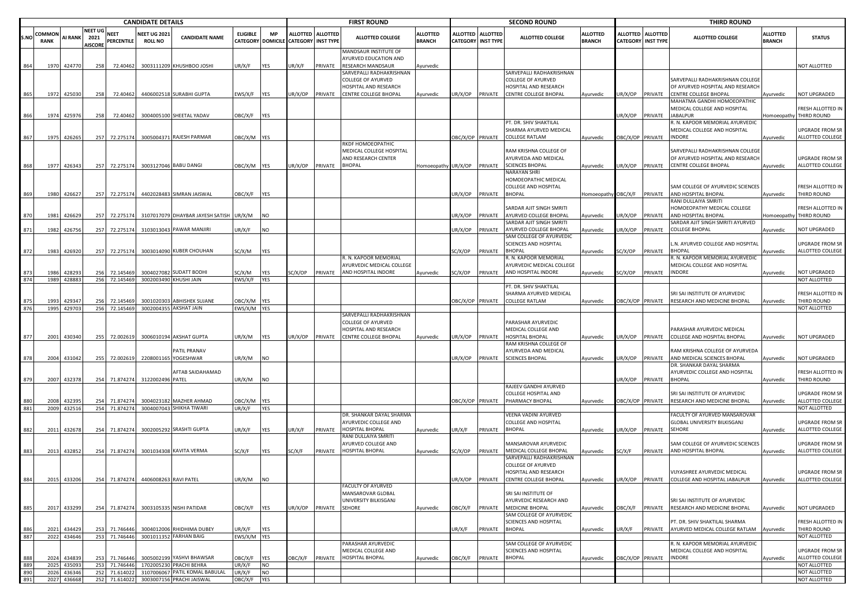|            |              |                  |                        |                                | <b>CANDIDATE DETAILS</b>                        |                                                     |                          |                   |                                      |                 | <b>FIRST ROUND</b>                                    |                             |                  |                    | <b>SECOND ROUND</b>                                            |                             |                  |                           | <b>THIRD ROUND</b>                                                                      |                    |                                              |
|------------|--------------|------------------|------------------------|--------------------------------|-------------------------------------------------|-----------------------------------------------------|--------------------------|-------------------|--------------------------------------|-----------------|-------------------------------------------------------|-----------------------------|------------------|--------------------|----------------------------------------------------------------|-----------------------------|------------------|---------------------------|-----------------------------------------------------------------------------------------|--------------------|----------------------------------------------|
|            | COMMON       |                  | NEET UG                | <b>NEET</b>                    | <b>NEET UG 2021</b>                             |                                                     | <b>ELIGIBLE</b>          | <b>MP</b>         | ALLOTTED ALLOTTED                    |                 |                                                       | <b>ALLOTTED</b>             |                  | ALLOTTED ALLOTTED  |                                                                | <b>ALLOTTED</b>             |                  | ALLOTTED ALLOTTED         |                                                                                         | <b>ALLOTTED</b>    |                                              |
| S.NO       | RANK         | <b>AI RANK</b>   | 2021<br><b>AISCORE</b> | PERCENTILE                     | <b>ROLL NO</b>                                  | <b>CANDIDATE NAME</b>                               |                          |                   | CATEGORY DOMICILE CATEGORY INST TYPE |                 | <b>ALLOTTED COLLEGE</b>                               | <b>BRANCH</b>               |                  | CATEGORY INST TYPE | <b>ALLOTTED COLLEGE</b>                                        | <b>BRANCH</b>               |                  | <b>CATEGORY INST TYPE</b> | <b>ALLOTTED COLLEGE</b>                                                                 | <b>BRANCH</b>      | <b>STATUS</b>                                |
|            |              |                  |                        |                                |                                                 |                                                     |                          |                   |                                      |                 | MANDSAUR INSTITUTE OF<br>AYURVED EDUCATION AND        |                             |                  |                    |                                                                |                             |                  |                           |                                                                                         |                    |                                              |
|            |              | 1970 424770      | 258                    | 72.40462                       |                                                 | 3003111209 KHUSHBOO JOSHI                           | JR/X/F                   | YES               | IR/X/F                               | PRIVATE         | <b>RESEARCH MANDSAUR</b><br>SARVEPALLI RADHAKRISHNAN  | Ayurvedic                   |                  |                    | SARVEPALLI RADHAKRISHNAN                                       |                             |                  |                           |                                                                                         |                    | <b>NOT ALLOTTED</b>                          |
|            |              |                  |                        |                                |                                                 |                                                     |                          |                   |                                      |                 | COLLEGE OF AYURVED                                    |                             |                  |                    | <b>COLLEGE OF AYURVED</b>                                      |                             |                  |                           | SARVEPALLI RADHAKRISHNAN COLLEGE                                                        |                    |                                              |
|            |              |                  |                        |                                |                                                 |                                                     |                          |                   |                                      |                 | HOSPITAL AND RESEARCH                                 |                             |                  |                    | HOSPITAL AND RESEARCH                                          |                             |                  |                           | OF AYURVED HOSPITAL AND RESEARCH                                                        |                    |                                              |
| 865        |              | 1972 425030      | 258                    | 72.40462                       |                                                 | 4406002518 SURABHI GUPTA                            | :WS/X/F                  | <b>YES</b>        | JR/X/OP                              | PRIVATE         | CENTRE COLLEGE BHOPAL                                 | Ayurvedic                   | JR/X/OP PRIVATE  |                    | CENTRE COLLEGE BHOPAL                                          | Ayurvedic                   | JR/X/OP PRIVATE  |                           | <b>CENTRE COLLEGE BHOPAL</b>                                                            | Ayurvedic          | <b>NOT UPGRADED</b>                          |
|            |              |                  |                        |                                |                                                 |                                                     |                          |                   |                                      |                 |                                                       |                             |                  |                    |                                                                |                             |                  |                           | MAHATMA GANDHI HOMOEOPATHIC                                                             |                    |                                              |
| 866        |              | 1974 425976      | 258                    | 72.40462                       |                                                 | 3004005100 SHEETAL YADAV                            | OBC/X/F                  | YES               |                                      |                 |                                                       |                             |                  |                    |                                                                |                             | JR/X/OP          | PRIVATE                   | MEDICAL COLLEGE AND HOSPITAL<br><b>JABALPUR</b>                                         |                    | FRESH ALLOTTED IN<br>Iomoeopathy THIRD ROUND |
|            |              |                  |                        |                                |                                                 |                                                     |                          |                   |                                      |                 |                                                       |                             |                  |                    | PT. DR. SHIV SHAKTILAL                                         |                             |                  |                           | R. N. KAPOOR MEMORIAL AYURVEDIC                                                         |                    |                                              |
|            |              |                  |                        |                                |                                                 |                                                     |                          |                   |                                      |                 |                                                       |                             |                  |                    | SHARMA AYURVED MEDICAL                                         |                             |                  |                           | MEDICAL COLLEGE AND HOSPITAL                                                            |                    | UPGRADE FROM SR                              |
| 867        |              | 1975 426265      |                        | 257 72.275174                  |                                                 | 3005004371 RAJESH PARMAR                            | DBC/X/M YES              |                   |                                      |                 |                                                       |                             | OBC/X/OP PRIVATE |                    | <b>COLLEGE RATLAM</b>                                          | Ayurvedic                   | OBC/X/OP PRIVATE |                           | INDORE                                                                                  | Ayurvedic          | ALLOTTED COLLEGE                             |
|            |              |                  |                        |                                |                                                 |                                                     |                          |                   |                                      |                 | RKDF HOMOEOPATHIC                                     |                             |                  |                    |                                                                |                             |                  |                           |                                                                                         |                    |                                              |
|            |              |                  |                        |                                |                                                 |                                                     |                          |                   |                                      |                 | MEDICAL COLLEGE HOSPITAL<br>AND RESEARCH CENTER       |                             |                  |                    | RAM KRISHNA COLLEGE OF<br>AYURVEDA AND MEDICAL                 |                             |                  |                           | SARVEPALLI RADHAKRISHNAN COLLEGE<br>OF AYURVED HOSPITAL AND RESEARCH                    |                    | UPGRADE FROM SR                              |
| 868        |              | 1977 426343      |                        |                                | 257 72.275174 3003127046 BABU DANGI             |                                                     | OBC/X/M YES              |                   | JR/X/OP                              | PRIVATE         | <b>BHOPAL</b>                                         | Homoeopathy UR/X/OP PRIVATE |                  |                    | <b>SCIENCES BHOPAL</b>                                         | Ayurvedic                   | JR/X/OP PRIVATE  |                           | <b>CENTRE COLLEGE BHOPAL</b>                                                            | Ayurvedic          | ALLOTTED COLLEGE                             |
|            |              |                  |                        |                                |                                                 |                                                     |                          |                   |                                      |                 |                                                       |                             |                  |                    | NARAYAN SHRI                                                   |                             |                  |                           |                                                                                         |                    |                                              |
|            |              |                  |                        |                                |                                                 |                                                     |                          |                   |                                      |                 |                                                       |                             |                  |                    | HOMOEOPATHIC MEDICAL                                           |                             |                  |                           |                                                                                         |                    |                                              |
|            |              |                  |                        |                                |                                                 |                                                     |                          |                   |                                      |                 |                                                       |                             |                  |                    | COLLEGE AND HOSPITAL                                           |                             |                  |                           | SAM COLLEGE OF AYURVEDIC SCIENCES                                                       |                    | FRESH ALLOTTED IN                            |
| 869        | 1980         | 426627           |                        | 257 72.275174                  |                                                 | 4402028483 SIMRAN JAISWAL                           | )BC/X/F                  | <b>YES</b>        |                                      |                 |                                                       |                             | JR/X/OP PRIVATE  |                    | <b>BHOPAL</b>                                                  | Homoeopathy OBC/X/F PRIVATE |                  |                           | AND HOSPITAL BHOPAL<br>RANI DULLAIYA SMRITI                                             | Ayurvedic          | THIRD ROUND                                  |
|            |              |                  |                        |                                |                                                 |                                                     |                          |                   |                                      |                 |                                                       |                             |                  |                    | SARDAR AJIT SINGH SMRITI                                       |                             |                  |                           | HOMOEOPATHY MEDICAL COLLEGE                                                             |                    | FRESH ALLOTTED IN                            |
|            | 1981         | 426629           |                        | 257 72.275174                  |                                                 | 3107017079 DHAYBAR JAYESH SATISH                    | UR/X/M                   | NO                |                                      |                 |                                                       |                             | JR/X/OP          | PRIVATE            | AYURVED COLLEGE BHOPAL                                         | Ayurvedic                   | JR/X/OP          | PRIVATE                   | AND HOSPITAL BHOPAL                                                                     | <b>Homoeopathy</b> | THIRD ROUND                                  |
|            |              |                  |                        |                                |                                                 |                                                     |                          |                   |                                      |                 |                                                       |                             |                  |                    | SARDAR AJIT SINGH SMRITI                                       |                             |                  |                           | SARDAR AJIT SINGH SMRITI AYURVED                                                        |                    |                                              |
| 871        |              | 1982 426756      |                        | 257 72.275174                  |                                                 | 3103013043 PAWAR MANJIRI                            | JR/X/F                   | NO                |                                      |                 |                                                       |                             | JR/X/OP          | PRIVATE            | AYURVED COLLEGE BHOPAL<br>SAM COLLEGE OF AYURVEDIC             | Ayurvedic                   | IR/X/OP          | PRIVATE                   | COLLEGE BHOPAL                                                                          | Ayurvedic          | NOT UPGRADED                                 |
|            |              |                  |                        |                                |                                                 |                                                     |                          |                   |                                      |                 |                                                       |                             |                  |                    | SCIENCES AND HOSPITAL                                          |                             |                  |                           | N. AYURVED COLLEGE AND HOSPITAL                                                         |                    | UPGRADE FROM SR                              |
| 872        |              | 1983 426920      |                        | 257 72.275174                  |                                                 | 3003014090 KUBER CHOUHAN                            | SC/X/M                   | YES               |                                      |                 |                                                       |                             | SC/X/OP          | PRIVATE            | <b>BHOPAL</b>                                                  | Ayurvedic                   | SC/X/OP          | PRIVATE                   | BHOPAL                                                                                  | Ayurvedic          | ALLOTTED COLLEGE                             |
|            |              |                  |                        |                                |                                                 |                                                     |                          |                   |                                      |                 | R. N. KAPOOR MEMORIAL                                 |                             |                  |                    | R. N. KAPOOR MEMORIAL                                          |                             |                  |                           | R. N. KAPOOR MEMORIAL AYURVEDIC                                                         |                    |                                              |
|            |              |                  |                        |                                |                                                 |                                                     |                          |                   |                                      |                 | AYURVEDIC MEDICAL COLLEGE                             |                             |                  |                    | AYURVEDIC MEDICAL COLLEGE                                      |                             |                  |                           | MEDICAL COLLEGE AND HOSPITAL                                                            |                    |                                              |
| 873<br>874 | 1986<br>1989 | 42829<br>428883  |                        | 256 72.145469<br>256 72.145469 |                                                 | 3004027082 SUDATT BODHI<br>3002003490 KHUSHI JAIN   | SC/X/M<br>:WS/X/F        | YES<br><b>YES</b> | C/X/OP                               | PRIVATE         | AND HOSPITAL INDORE                                   | Ayurvedic                   | SC/X/OP          | PRIVATE            | AND HOSPITAL INDORE                                            | Ayurvedic                   | SC/X/OP          | PRIVATE                   | <b>INDORE</b>                                                                           | Ayurvedic          | NOT UPGRADED<br>NOT ALLOTTED                 |
|            |              |                  |                        |                                |                                                 |                                                     |                          |                   |                                      |                 |                                                       |                             |                  |                    | PT. DR. SHIV SHAKTILAL                                         |                             |                  |                           |                                                                                         |                    |                                              |
|            |              |                  |                        |                                |                                                 |                                                     |                          |                   |                                      |                 |                                                       |                             |                  |                    | SHARMA AYURVED MEDICAL                                         |                             |                  |                           | SRI SAI INSTITUTE OF AYURVEDIC                                                          |                    | FRESH ALLOTTED IN                            |
|            | 1993         | 429347           |                        | 256 72.145469                  |                                                 | 3001020303 ABHISHEK SUJANE                          | DBC/X/M YES              |                   |                                      |                 |                                                       |                             | OBC/X/OP PRIVATE |                    | <b>COLLEGE RATLAM</b>                                          | Ayurvedic                   | OBC/X/OP PRIVATE |                           | RESEARCH AND MEDICINE BHOPAL                                                            | Ayurvedic          | THIRD ROUND                                  |
|            | 1995         | 429703           |                        | 256 72.145469                  |                                                 | 3002004355 AKSHAT JAIN                              | EWS/X/M YES              |                   |                                      |                 |                                                       |                             |                  |                    |                                                                |                             |                  |                           |                                                                                         |                    | NOT ALLOTTED                                 |
|            |              |                  |                        |                                |                                                 |                                                     |                          |                   |                                      |                 | SARVEPALLI RADHAKRISHNAN<br><b>COLLEGE OF AYURVED</b> |                             |                  |                    | PARASHAR AYURVEDIC                                             |                             |                  |                           |                                                                                         |                    |                                              |
|            |              |                  |                        |                                |                                                 |                                                     |                          |                   |                                      |                 | HOSPITAL AND RESEARCH                                 |                             |                  |                    | MEDICAL COLLEGE AND                                            |                             |                  |                           | PARASHAR AYURVEDIC MEDICAL                                                              |                    |                                              |
| 877        |              | 2001 430340      |                        | 255 72.002619                  |                                                 | 3006010194 AKSHAT GUPTA                             | JR/X/M                   | YES               |                                      | JR/X/OP PRIVATE | <b>CENTRE COLLEGE BHOPAL</b>                          | Ayurvedic                   |                  | JR/X/OP PRIVATE    | HOSPITAL BHOPAL                                                | Ayurvedic                   |                  |                           | UR/X/OP PRIVATE COLLEGE AND HOSPITAL BHOPAL                                             | Ayurvedic          | NOT UPGRADED                                 |
|            |              |                  |                        |                                |                                                 |                                                     |                          |                   |                                      |                 |                                                       |                             |                  |                    | RAM KRISHNA COLLEGE OF                                         |                             |                  |                           |                                                                                         |                    |                                              |
|            |              |                  |                        |                                |                                                 | PATIL PRANAV                                        |                          |                   |                                      |                 |                                                       |                             |                  |                    | AYURVEDA AND MEDICAL                                           |                             |                  |                           | RAM KRISHNA COLLEGE OF AYURVEDA                                                         |                    |                                              |
| 878        |              | 2004 431042      | 255                    | 72.002619                      |                                                 | 2208001165 YOGESHWAR                                | JR/X/M                   | NO                |                                      |                 |                                                       |                             | JR/X/OP PRIVATE  |                    | <b>SCIENCES BHOPAL</b>                                         | Ayurvedic                   | IR/X/OP          | PRIVATE                   | AND MEDICAL SCIENCES BHOPAL<br>DR. SHANKAR DAYAL SHARMA                                 | Ayurvedic          | NOT UPGRADED                                 |
|            |              |                  |                        |                                |                                                 | AFTAB SAIDAHAMAD                                    |                          |                   |                                      |                 |                                                       |                             |                  |                    |                                                                |                             |                  |                           | AYURVEDIC COLLEGE AND HOSPITAL                                                          |                    | FRESH ALLOTTED IN                            |
|            | 2007         | 432378           |                        | 254 71.874274                  | 3122002496 PATEL                                |                                                     | JR/X/M                   | NO                |                                      |                 |                                                       |                             |                  |                    |                                                                |                             |                  | JR/X/OP PRIVATE           | <b>BHOPAL</b>                                                                           | Ayurvedic          | THIRD ROUND                                  |
|            |              |                  |                        |                                |                                                 |                                                     |                          |                   |                                      |                 |                                                       |                             |                  |                    | RAJEEV GANDHI AYURVED                                          |                             |                  |                           |                                                                                         |                    |                                              |
|            |              |                  |                        |                                |                                                 |                                                     |                          |                   |                                      |                 |                                                       |                             |                  |                    | COLLEGE HOSPITAL AND                                           |                             |                  |                           | SRI SAI INSTITUTE OF AYURVEDIC                                                          |                    | UPGRADE FROM SR                              |
| 881        | 2008<br>2009 | 43239<br>432516  | 254                    | 71.874274<br>254 71.874274     |                                                 | 3004023182 MAZHER AHMAD<br>3004007043 SHIKHA TIWARI | <b>DBC/X/M</b><br>JR/X/F | <b>YES</b><br>YES |                                      |                 |                                                       |                             | OBC/X/OP PRIVATE |                    | PHARMACY BHOPAL                                                | Ayurvedic                   | OBC/X/OP PRIVATE |                           | RESEARCH AND MEDICINE BHOPAL                                                            | Ayurvedic          | ALLOTTED COLLEGE<br>NOT ALLOTTED             |
|            |              |                  |                        |                                |                                                 |                                                     |                          |                   |                                      |                 | DR. SHANKAR DAYAL SHARMA                              |                             |                  |                    | VEENA VADINI AYURVED                                           |                             |                  |                           | FACULTY OF AYURVED MANSAROVAR                                                           |                    |                                              |
|            |              |                  |                        |                                |                                                 |                                                     |                          |                   |                                      |                 | AYURVEDIC COLLEGE AND                                 |                             |                  |                    | COLLEGE AND HOSPITAL                                           |                             |                  |                           | GLOBAL UNIVERSITY BILKISGANJ                                                            |                    | UPGRADE FROM SR                              |
| 882        |              | 2011 432678      |                        | 254 71.874274                  |                                                 | 3002005292 SRASHTI GUPTA                            | JR/X/F                   | YES               | JR/X/F                               | PRIVATE         | <b>HOSPITAL BHOPAL</b>                                | Ayurvedic                   | JR/X/F           | PRIVATE            | <b>BHOPAL</b>                                                  | Ayurvedic                   | UR/X/OP PRIVATE  |                           | <b>SEHORE</b>                                                                           | Ayurvedic          | ALLOTTED COLLEGE                             |
|            |              |                  |                        |                                |                                                 |                                                     |                          |                   |                                      |                 | RANI DULLAIYA SMRITI<br>AYURVED COLLEGE AND           |                             |                  |                    | MANSAROVAR AYURVEDIC                                           |                             |                  |                           | SAM COLLEGE OF AYURVEDIC SCIENCES                                                       |                    | UPGRADE FROM SR                              |
| 883        |              | 2013 432852      |                        | 254 71.874274                  |                                                 | 3001034308 KAVITA VERMA                             | SC/X/F                   | YES               | SC/X/F                               | PRIVATE         | <b>HOSPITAL BHOPAL</b>                                | Ayurvedic                   | iC/X/OP          | PRIVATE            | MEDICAL COLLEGE BHOPAL                                         | Ayurvedic                   | SC/X/F           | PRIVATE                   | AND HOSPITAL BHOPAL                                                                     | Ayurvedic          | ALLOTTED COLLEGE                             |
|            |              |                  |                        |                                |                                                 |                                                     |                          |                   |                                      |                 |                                                       |                             |                  |                    | SARVEPALLI RADHAKRISHNAN                                       |                             |                  |                           |                                                                                         |                    |                                              |
|            |              |                  |                        |                                |                                                 |                                                     |                          |                   |                                      |                 |                                                       |                             |                  |                    | <b>COLLEGE OF AYURVED</b>                                      |                             |                  |                           |                                                                                         |                    |                                              |
| 884        |              |                  |                        |                                | 2015 433206 254 71.874274 4406008263 RAVI PATEL |                                                     | UR/X/M                   | <b>NO</b>         |                                      |                 |                                                       |                             |                  |                    | HOSPITAL AND RESEARCH<br>UR/X/OP PRIVATE CENTRE COLLEGE BHOPAL |                             |                  |                           | VIJYASHREE AYURVEDIC MEDICAL<br>Ayurvedic UR/X/OP PRIVATE COLLEGE AND HOSPITAL JABALPUR | Ayurvedic          | <b>UPGRADE FROM SR</b><br>ALLOTTED COLLEGE   |
|            |              |                  |                        |                                |                                                 |                                                     |                          |                   |                                      |                 | FACULTY OF AYURVED                                    |                             |                  |                    |                                                                |                             |                  |                           |                                                                                         |                    |                                              |
|            |              |                  |                        |                                |                                                 |                                                     |                          |                   |                                      |                 | MANSAROVAR GLOBAL                                     |                             |                  |                    | SRI SAI INSTITUTE OF                                           |                             |                  |                           |                                                                                         |                    |                                              |
|            |              |                  |                        |                                |                                                 |                                                     |                          |                   |                                      |                 | UNIVERSITY BILKISGANJ                                 |                             |                  |                    | AYURVEDIC RESEARCH AND                                         |                             |                  |                           | SRI SAI INSTITUTE OF AYURVEDIC                                                          |                    |                                              |
| 885        |              | 2017 433299      |                        | 254 71.874274                  |                                                 | 3003105335 NISHI PATIDAR                            | OBC/X/F                  | <b>YES</b>        | JR/X/OP                              | PRIVATE         | SEHORE                                                | Ayurvedic                   | <b>JBC/X/F</b>   | PRIVATE            | <b>MEDICINE BHOPAL</b><br>SAM COLLEGE OF AYURVEDIC             | Ayurvedic                   | OBC/X/F          | PRIVATE                   | RESEARCH AND MEDICINE BHOPAL                                                            | Ayurvedic          | NOT UPGRADED                                 |
|            |              |                  |                        |                                |                                                 |                                                     |                          |                   |                                      |                 |                                                       |                             |                  |                    | SCIENCES AND HOSPITAL                                          |                             |                  |                           | PT. DR. SHIV SHAKTILAL SHARMA                                                           |                    | FRESH ALLOTTED IN                            |
| 886        | 2021         | 434429           |                        | 253 71.746446                  |                                                 | 3004012006 RHIDHIMA DUBEY                           | JR/X/F                   | YES               |                                      |                 |                                                       |                             | JR/X/F           | PRIVATE            | <b>BHOPAL</b>                                                  | Ayurvedic                   | JR/X/F           | PRIVATE                   | AYURVED MEDICAL COLLEGE RATLAM Ayurvedic                                                |                    | THIRD ROUND                                  |
| 887        | 2022         | 434646           |                        | 253 71.746446                  |                                                 | 3001011352 FARHAN BAIG                              | WS/X/M                   | YES               |                                      |                 |                                                       |                             |                  |                    |                                                                |                             |                  |                           |                                                                                         |                    | NOT ALLOTTED                                 |
|            |              |                  |                        |                                |                                                 |                                                     |                          |                   |                                      |                 | PARASHAR AYURVEDIC                                    |                             |                  |                    | SAM COLLEGE OF AYURVEDIC                                       |                             |                  |                           | R. N. KAPOOR MEMORIAL AYURVEDIC                                                         |                    |                                              |
|            |              |                  |                        |                                |                                                 | 3005002199 YASHVI BHAWSAR                           |                          |                   | OBC/X/F                              | PRIVATE         | MEDICAL COLLEGE AND<br>HOSPITAL BHOPAL                |                             |                  |                    | SCIENCES AND HOSPITAL<br><b>BHOPAL</b>                         |                             | OBC/X/OP PRIVATE |                           | MEDICAL COLLEGE AND HOSPITAL<br><b>INDORE</b>                                           |                    | <b>UPGRADE FROM SR</b>                       |
| 888<br>889 | 2024<br>2025 | 434839<br>435093 |                        | 253 71.746446<br>253 71.746446 |                                                 | 1702005230 PRACHI BEHRA                             | <b>JBC/X/F</b><br>JR/X/F | YES<br><b>NO</b>  |                                      |                 |                                                       | Ayurvedic                   | <b>JBC/X/F</b>   | PRIVATE            |                                                                | Ayurvedic                   |                  |                           |                                                                                         | Ayurvedic          | ALLOTTED COLLEGE<br>NOT ALLOTTED             |
| 890        | 2026         | 436346           |                        | 252 71.614022                  |                                                 | 3107006067 PATIL KOMAL BABULAL                      | JR/X/F                   | <b>NO</b>         |                                      |                 |                                                       |                             |                  |                    |                                                                |                             |                  |                           |                                                                                         |                    | NOT ALLOTTED                                 |
| 891        |              | 2027 436668      |                        | 252 71.614022                  |                                                 | 3003007156 PRACHI JAISWAL                           | OBC/X/F                  | YES               |                                      |                 |                                                       |                             |                  |                    |                                                                |                             |                  |                           |                                                                                         |                    | NOT ALLOTTED                                 |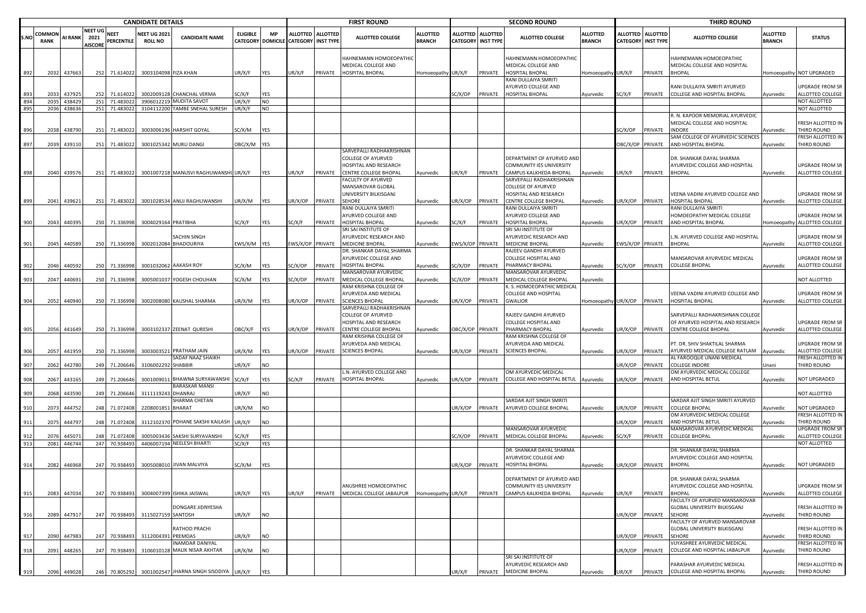|     |                       | <b>CANDIDATE DETAILS</b> |                                          |                           |                                       |                                                            |                 |            |                                      |                   | <b>FIRST ROUND</b>                                 |                                  |                                    |                                     | <b>SECOND ROUND</b>                                  |                                  |                         |                                                | <b>THIRD ROUND</b>                                              |                                  |                                     |
|-----|-----------------------|--------------------------|------------------------------------------|---------------------------|---------------------------------------|------------------------------------------------------------|-----------------|------------|--------------------------------------|-------------------|----------------------------------------------------|----------------------------------|------------------------------------|-------------------------------------|------------------------------------------------------|----------------------------------|-------------------------|------------------------------------------------|-----------------------------------------------------------------|----------------------------------|-------------------------------------|
|     | OMMON:<br><b>RANK</b> | <b>AI RANK</b>           | <b>NEET UG</b><br>2021<br><b>AISCORE</b> | <b>NEET</b><br>PERCENTILE | <b>NEET UG 2021</b><br><b>ROLL NO</b> | <b>CANDIDATE NAME</b>                                      | <b>ELIGIBLE</b> | <b>MP</b>  | CATEGORY DOMICILE CATEGORY INST TYPE | ALLOTTED ALLOTTED | ALLOTTED COLLEGE                                   | <b>ALLOTTED</b><br><b>BRANCH</b> | <b>ALLOTTED</b><br><b>CATEGORY</b> | <b>ALLOTTED</b><br><b>INST TYPE</b> | ALLOTTED COLLEGE                                     | <b>ALLOTTED</b><br><b>BRANCH</b> |                         | ALLOTTED ALLOTTED<br><b>CATEGORY INST TYPE</b> | <b>ALLOTTED COLLEGE</b>                                         | <b>ALLOTTED</b><br><b>BRANCH</b> | <b>STATUS</b>                       |
|     |                       |                          |                                          |                           |                                       |                                                            |                 |            |                                      |                   | HAHNEMANN HOMOEOPATHIC<br>MEDICAL COLLEGE AND      |                                  |                                    |                                     | HAHNEMANN HOMOEOPATHIC<br>MEDICAL COLLEGE AND        |                                  |                         |                                                | HAHNEMANN HOMOEOPATHIC<br>MEDICAL COLLEGE AND HOSPITAL          |                                  |                                     |
|     | 2032                  | 437663                   | 252                                      | 71.614022                 | 3003104098 FIZA KHAN                  |                                                            | JR/X/F          | YES        | IR/X/F                               | PRIVATE           | HOSPITAL BHOPAL                                    | Homoeopathy                      | JR/X/F                             | PRIVATE                             | HOSPITAL BHOPAL<br>RANI DULLAIYA SMRITI              | Iomoeopathy                      | JR/X/F                  | PRIVATE                                        | BHOPAL                                                          |                                  | Homoeopathy NOT UPGRADED            |
|     | 2033                  | 43792                    |                                          | 252 71.614022             |                                       | 3002009128 CHANCHAL VERMA                                  | C/X/F           | YES        |                                      |                   |                                                    |                                  | SC/X/OP                            | PRIVATE                             | AYURVED COLLEGE AND<br>HOSPITAL BHOPAL               | Ayurvedic                        | SC/X/F                  | PRIVATE                                        | RANI DULLAIYA SMRITI AYURVED<br>COLLEGE AND HOSPITAL BHOPAL     | Ayurvedic                        | UPGRADE FROM SR<br>ALLOTTED COLLEGE |
| 894 | 2035                  | 438429                   |                                          | 251 71.483022             |                                       | 3906012219 MUDITA SAVOT                                    | JR/X/F          | <b>NO</b>  |                                      |                   |                                                    |                                  |                                    |                                     |                                                      |                                  |                         |                                                |                                                                 |                                  | NOT ALLOTTED                        |
| 895 | 2036                  | 438636                   |                                          | 251 71.483022             | 3104112200                            | <b>TAMBE SNEHAL SURESH</b>                                 | JR/X/F          | <b>NO</b>  |                                      |                   |                                                    |                                  |                                    |                                     |                                                      |                                  |                         |                                                |                                                                 |                                  | NOT ALLOTTED                        |
|     |                       |                          |                                          |                           |                                       |                                                            |                 |            |                                      |                   |                                                    |                                  |                                    |                                     |                                                      |                                  |                         |                                                | R. N. KAPOOR MEMORIAL AYURVEDIC<br>MEDICAL COLLEGE AND HOSPITAL |                                  | FRESH ALLOTTED IN                   |
| 896 | 2038                  | 438790                   |                                          | 251 71.483022             |                                       | 3003006196 HARSHIT GOYAL                                   | SC/X/M          | YES        |                                      |                   |                                                    |                                  |                                    |                                     |                                                      |                                  | C/X/OP                  | PRIVATE                                        | INDORE                                                          | <b>Nyurvedic</b>                 | THIRD ROUND                         |
|     |                       |                          |                                          |                           |                                       |                                                            |                 |            |                                      |                   |                                                    |                                  |                                    |                                     |                                                      |                                  |                         |                                                | SAM COLLEGE OF AYURVEDIC SCIENCES                               |                                  | FRESH ALLOTTED IN                   |
| 897 | 2039                  | 439110                   |                                          | 251 71.483022             |                                       | 3001025342 MURLI DANGI                                     | DBC/X/M YES     |            |                                      |                   | SARVEPALLI RADHAKRISHNAN                           |                                  |                                    |                                     |                                                      |                                  | <b>DBC/X/OP PRIVATE</b> |                                                | AND HOSPITAL BHOPAL                                             | Ayurvedic                        | THIRD ROUND                         |
|     |                       |                          |                                          |                           |                                       |                                                            |                 |            |                                      |                   | <b>COLLEGE OF AYURVED</b>                          |                                  |                                    |                                     | DEPARTMENT OF AYURVED AND                            |                                  |                         |                                                | DR. SHANKAR DAYAL SHARMA                                        |                                  |                                     |
|     |                       |                          |                                          |                           |                                       |                                                            |                 |            |                                      |                   | HOSPITAL AND RESEARCH                              |                                  |                                    |                                     | COMMUNITY IES UNIVERSITY                             |                                  |                         |                                                | AYURVEDIC COLLEGE AND HOSPITAL                                  |                                  | UPGRADE FROM SR                     |
|     |                       | 2040 439576              |                                          | 251 71.483022             |                                       | 3001007218 MANUSVI RAGHUWANSHI UR/X/F                      |                 | YES        | JR/X/F                               | PRIVATE           | <b>CENTRE COLLEGE BHOPAL</b><br>FACULTY OF AYURVED | Ayurvedic                        | JR/X/F                             | PRIVATE                             | CAMPUS KALKHEDA BHOPAL<br>SARVEPALLI RADHAKRISHNAN   | Ayurvedic                        | UR/X/F                  | PRIVATE                                        | <b>BHOPAL</b>                                                   | Ayurvedic                        | ALLOTTED COLLEGE                    |
|     |                       |                          |                                          |                           |                                       |                                                            |                 |            |                                      |                   | MANSAROVAR GLOBAL                                  |                                  |                                    |                                     | COLLEGE OF AYURVED                                   |                                  |                         |                                                |                                                                 |                                  |                                     |
|     |                       |                          |                                          |                           |                                       |                                                            |                 |            |                                      |                   | UNIVERSITY BILKISGANJ                              |                                  |                                    |                                     | HOSPITAL AND RESEARCH                                |                                  |                         |                                                | VEENA VADINI AYURVED COLLEGE AND                                |                                  | UPGRADE FROM SR                     |
|     |                       | 2041 439621              |                                          | 251 71.483022             |                                       | 3001028534 ANUJ RAGHUWANSHI                                | JR/X/M          | YES        | JR/X/OP                              | PRIVATE           | <b>SEHORE</b>                                      | Ayurvedic                        | JR/X/OP                            | PRIVATE                             | <b>CENTRE COLLEGE BHOPAL</b>                         | Ayurvedic                        | JR/X/OP                 | PRIVATE                                        | HOSPITAL BHOPAL                                                 | Ayurvedic                        | ALLOTTED COLLEGE                    |
|     |                       |                          |                                          |                           |                                       |                                                            |                 |            |                                      |                   | RANI DULLAIYA SMRITI<br>AYURVED COLLEGE AND        |                                  |                                    |                                     | RANI DULLAIYA SMRITI<br>AYURVED COLLEGE AND          |                                  |                         |                                                | RANI DULLAIYA SMRITI<br>HOMOEOPATHY MEDICAL COLLEGE             |                                  | UPGRADE FROM SR                     |
| 900 | 2043                  | 440395                   |                                          | 250 71.336998             | 3004029164 PRATIBHA                   |                                                            | SC/X/F          | YES        | SC/X/F                               | PRIVATE           | <b>HOSPITAL BHOPAL</b>                             | Ayurvedic                        | SC/X/F                             | PRIVATE                             | HOSPITAL BHOPAL                                      | Ayurvedic                        | JR/X/OP                 | PRIVATE                                        | AND HOSPITAL BHOPAL                                             | Homoeopathy                      | ALLOTTED COLLEGE                    |
|     |                       |                          |                                          |                           |                                       |                                                            |                 |            |                                      |                   | SRI SAI INSTITUTE OF                               |                                  |                                    |                                     | SRI SAI INSTITUTE OF                                 |                                  |                         |                                                |                                                                 |                                  |                                     |
|     |                       |                          |                                          |                           |                                       | SACHIN SINGH                                               |                 |            |                                      |                   | AYURVEDIC RESEARCH AND                             |                                  |                                    |                                     | AYURVEDIC RESEARCH AND                               |                                  |                         |                                                | N. AYURVED COLLEGE AND HOSPITAL                                 |                                  | UPGRADE FROM SR                     |
| 901 | 2045                  | 440589                   |                                          | 250 71.336998             |                                       | 3002012084 BHADOURIYA                                      | WS/X/M YES      |            | WS/X/OP PRIVATE                      |                   | <b>MEDICINE BHOPAL</b><br>DR. SHANKAR DAYAL SHARMA | Ayurvedic                        | WS/X/OP PRIVATE                    |                                     | <b>MEDICINE BHOPAL</b><br>RAJEEV GANDHI AYURVED      | Ayurvedic                        | WS/X/OP PRIVATE         |                                                | BHOPAL                                                          | Ayurvedic                        | ALLOTTED COLLEGE                    |
|     |                       |                          |                                          |                           |                                       |                                                            |                 |            |                                      |                   | AYURVEDIC COLLEGE AND                              |                                  |                                    |                                     | COLLEGE HOSPITAL AND                                 |                                  |                         |                                                | MANSAROVAR AYURVEDIC MEDICAL                                    |                                  | UPGRADE FROM SR                     |
| 902 | 2046                  | 440592                   |                                          | 250 71.336998             |                                       | 3001032062 AAKASH ROY                                      | SC/X/M          | YES        | SC/X/OP                              | PRIVATE           | HOSPITAL BHOPAL                                    | Ayurvedic                        | C/X/OP                             | PRIVATE                             | PHARMACY BHOPAL                                      | Ayurvedic                        | C/X/OP                  | PRIVATE                                        | COLLEGE BHOPAL                                                  | Ayurvedic                        | ALLOTTED COLLEGE                    |
|     |                       |                          |                                          |                           |                                       |                                                            |                 |            |                                      |                   | MANSAROVAR AYURVEDIC                               |                                  |                                    |                                     | MANSAROVAR AYURVEDIC                                 |                                  |                         |                                                |                                                                 |                                  |                                     |
| 903 | 2047                  | 440691                   |                                          | 250 71.336998             |                                       | 3005001037 YOGESH CHOUHAN                                  | SC/X/M          | YES        | C/X/OP                               | PRIVATE           | MEDICAL COLLEGE BHOPAL<br>RAM KRISHNA COLLEGE OF   | Ayurvedic                        | SC/X/OP                            | PRIVATE                             | MEDICAL COLLEGE BHOPAL<br>K. S. HOMOEOPATHIC MEDICAL | Ayurvedic                        |                         |                                                |                                                                 |                                  | NOT ALLOTTED                        |
|     |                       |                          |                                          |                           |                                       |                                                            |                 |            |                                      |                   | AYURVEDA AND MEDICAL                               |                                  |                                    |                                     | COLLEGE AND HOSPITAL                                 |                                  |                         |                                                | VEENA VADINI AYURVED COLLEGE AND                                |                                  | UPGRADE FROM SR                     |
| 904 | 2052                  | 440940                   |                                          | 250 71.336998             |                                       | 3002008080 KAUSHAL SHARMA                                  | JR/X/M          | YES        | IR/X/OP                              | PRIVATE           | <b>SCIENCES BHOPAL</b>                             | Ayurvedic                        | JR/X/OP                            | PRIVATE                             | <b>GWALIOR</b>                                       | Homoeopathy UR/X/OP PRIVATE      |                         |                                                | HOSPITAL BHOPAL                                                 | Ayurvedic                        | ALLOTTED COLLEGE                    |
|     |                       |                          |                                          |                           |                                       |                                                            |                 |            |                                      |                   | SARVEPALLI RADHAKRISHNAN<br>COLLEGE OF AYURVED     |                                  |                                    |                                     | RAJEEV GANDHI AYURVED                                |                                  |                         |                                                | SARVEPALLI RADHAKRISHNAN COLLEGE                                |                                  |                                     |
|     |                       |                          |                                          |                           |                                       |                                                            |                 |            |                                      |                   | HOSPITAL AND RESEARCH                              |                                  |                                    |                                     | COLLEGE HOSPITAL AND                                 |                                  |                         |                                                | OF AYURVED HOSPITAL AND RESEARCH                                |                                  | UPGRADE FROM SR                     |
| 905 | 2056                  | 441649                   |                                          | 250 71.336998             |                                       | 3003102337 ZEENAT QURESHI                                  | <b>JBC/X/F</b>  | YES        | IR/X/OP                              | PRIVATE           | CENTRE COLLEGE BHOPAL                              | Ayurvedic                        | OBC/X/OP PRIVATE                   |                                     | PHARMACY BHOPAL                                      | Ayurvedic                        | JR/X/OP PRIVATE         |                                                | CENTRE COLLEGE BHOPAL                                           | Ayurvedic                        | ALLOTTED COLLEGE                    |
|     |                       |                          |                                          |                           |                                       |                                                            |                 |            |                                      |                   | RAM KRISHNA COLLEGE OF                             |                                  |                                    |                                     | RAM KRISHNA COLLEGE OF                               |                                  |                         |                                                |                                                                 |                                  |                                     |
|     | 2057                  | 441959                   |                                          | 250 71.336998             |                                       | 3003003521 PRATHAM JAIN                                    | JR/X/M          | YES        | IR/X/OP                              | PRIVATE           | AYURVEDA AND MEDICAL<br><b>SCIENCES BHOPAL</b>     | Ayurvedic                        | JR/X/OP                            | PRIVATE                             | AYURVEDA AND MEDICAL<br><b>SCIENCES BHOPAL</b>       |                                  | IR/X/OP                 | PRIVATE                                        | PT. DR. SHIV SHAKTILAL SHARMA<br>AYURVED MEDICAL COLLEGE RATLAM | Ayurvedic                        | UPGRADE FROM SR<br>ALLOTTED COLLEGE |
|     |                       |                          |                                          |                           |                                       | SADAF NAAZ SHAIKH                                          |                 |            |                                      |                   |                                                    |                                  |                                    |                                     |                                                      | Ayurvedic                        |                         |                                                | AL FAROOQUE UNANI MEDICAL                                       |                                  | FRESH ALLOTTED IN                   |
| 907 | 2062                  | 442780                   |                                          | 249 71.206646             | 3106002292 SHABBIR                    |                                                            | JR/X/F          | NO.        |                                      |                   |                                                    |                                  |                                    |                                     |                                                      |                                  | R/X/OP                  | PRIVATE                                        | COLLEGE INDORE                                                  | Jnani                            | THIRD ROUND                         |
|     |                       |                          |                                          |                           |                                       |                                                            |                 |            |                                      |                   | L.N. AYURVED COLLEGE AND                           |                                  |                                    |                                     | OM AYURVEDIC MEDICAL                                 |                                  |                         |                                                | OM AYURVEDIC MEDICAL COLLEGE                                    |                                  |                                     |
| 908 | 2067                  | 44316                    |                                          | 249 71.206646             |                                       | 3001009011 BHAWNA SURYAWANSHI<br><b>BARASKAR MANSI</b>     | SC/X/F          | YES        | SC/X/F                               | PRIVATE           | <b>HOSPITAL BHOPAL</b>                             | Ayurvedic                        | JR/X/OP                            | PRIVATE                             | COLLEGE AND HOSPITAL BETUL                           | Ayurvedic                        | JR/X/OP                 | PRIVATE                                        | AND HOSPITAL BETUL                                              | Ayurvedic                        | NOT UPGRADED                        |
| 909 | 2068                  | 443590                   | 249                                      | 71.206646                 | 3111119243 DHANRAJ                    |                                                            | JR/X/F          | <b>NO</b>  |                                      |                   |                                                    |                                  |                                    |                                     |                                                      |                                  |                         |                                                |                                                                 |                                  | NOT ALLOTTED                        |
|     |                       |                          |                                          |                           |                                       | SHARMA CHETAN                                              |                 |            |                                      |                   |                                                    |                                  |                                    |                                     | SARDAR AJIT SINGH SMRITI                             |                                  |                         |                                                | SARDAR AJIT SINGH SMRITI AYURVED                                |                                  |                                     |
| 910 | 2073                  | 444752                   |                                          | 248 71.072408             | 2208001851 BHARAT                     |                                                            | JR/X/M          | NO         |                                      |                   |                                                    |                                  | JR/X/OP                            | PRIVATE                             | AYURVED COLLEGE BHOPAL                               | Ayurvedic                        | IR/X/OP                 | PRIVATE                                        | COLLEGE BHOPAL<br>OM AYURVEDIC MEDICAL COLLEGE                  | Ayurvedic                        | NOT UPGRADED<br>FRESH ALLOTTED IN   |
| 911 | 2075                  | 444797                   | 248                                      | 71.072408                 |                                       | 3112102370 POHANE SAKSHI KAILASH                           | JR/X/F          | NO         |                                      |                   |                                                    |                                  |                                    |                                     |                                                      |                                  | IR/X/OP                 | PRIVATE                                        | AND HOSPITAL BETUL                                              | Ayurvedic                        | THIRD ROUND                         |
|     |                       |                          |                                          |                           |                                       |                                                            |                 |            |                                      |                   |                                                    |                                  |                                    |                                     | MANSAROVAR AYURVEDIC                                 |                                  |                         |                                                | MANSAROVAR AYURVEDIC MEDICAL                                    |                                  | <b>UPGRADE FROM SR</b>              |
| 91  | 2076                  | 44507                    |                                          | 248 71.072408             |                                       | 3005003436 SAKSHI SURYAVANSHI<br>4406007194 NEELESH BHARTI | SC/X/F          | <b>YES</b> |                                      |                   |                                                    |                                  | SC/X/OP                            | PRIVATE                             | MEDICAL COLLEGE BHOPAL                               | Ayurvedic                        | C/X/F                   | PRIVATE                                        | COLLEGE BHOPAL                                                  | Ayurvedic                        | ALLOTTED COLLEGE                    |
| 913 | 2081                  | 446744                   |                                          | 247 70.938493             |                                       |                                                            | SC/X/F          | YES        |                                      |                   |                                                    |                                  |                                    |                                     | DR. SHANKAR DAYAL SHARMA                             |                                  |                         |                                                | DR. SHANKAR DAYAL SHARMA                                        |                                  | NOT ALLOTTED                        |
|     |                       |                          |                                          |                           |                                       |                                                            |                 |            |                                      |                   |                                                    |                                  |                                    |                                     | AYURVEDIC COLLEGE AND                                |                                  |                         |                                                | AYURVEDIC COLLEGE AND HOSPITAL                                  |                                  |                                     |
| 914 | 2082                  | 446968                   |                                          | 247 70.938493             |                                       | 3005008010 JIVAN MALVIYA                                   | SC/X/M          | YES        |                                      |                   |                                                    |                                  | JR/X/OP                            | PRIVATE                             | HOSPITAL BHOPAL                                      | Ayurvedic                        | JR/X/OP PRIVATE         |                                                | <b>BHOPAL</b>                                                   | Ayurvedic                        | NOT UPGRADED                        |
|     |                       |                          |                                          |                           |                                       |                                                            |                 |            |                                      |                   |                                                    |                                  |                                    |                                     | DEPARTMENT OF AYURVED AND                            |                                  |                         |                                                | DR. SHANKAR DAYAL SHARMA                                        |                                  |                                     |
|     |                       |                          |                                          |                           |                                       |                                                            |                 |            |                                      |                   | ANUSHREE HOMOEOPATHIC                              |                                  |                                    |                                     | COMMUNITY IES UNIVERSITY                             |                                  |                         |                                                | AYURVEDIC COLLEGE AND HOSPITAL                                  |                                  | <b>UPGRADE FROM SR</b>              |
| 915 |                       | 2083 447034              |                                          | 247 70.938493             |                                       | 3004007399 ISHIKA JAISWAL                                  | JR/X/F          | YES        | JR/X/F                               | PRIVATE           | MEDICAL COLLEGE JABALPUR                           | Homoeopathy UR/X/F               |                                    | PRIVATE                             | CAMPUS KALKHEDA BHOPAL                               | Ayurvedic                        | JR/X/F                  | PRIVATE                                        | <b>BHOPAL</b>                                                   | Ayurvedic                        | ALLOTTED COLLEGE                    |
|     |                       |                          |                                          |                           |                                       |                                                            |                 |            |                                      |                   |                                                    |                                  |                                    |                                     |                                                      |                                  |                         |                                                | <b>FACULTY OF AYURVED MANSAROVAR</b>                            |                                  |                                     |
| 916 | 2089                  | 447917                   |                                          | 247 70.938493             | 3115027159 SANTOSH                    | DONGARE JIDNYESHA                                          | UR/X/F          | NO.        |                                      |                   |                                                    |                                  |                                    |                                     |                                                      |                                  | JR/X/OP                 | PRIVATE                                        | GLOBAL UNIVERSITY BILKISGANJ<br>SEHORE                          | Ayurvedic                        | FRESH ALLOTTED IN<br>THIRD ROUND    |
|     |                       |                          |                                          |                           |                                       |                                                            |                 |            |                                      |                   |                                                    |                                  |                                    |                                     |                                                      |                                  |                         |                                                | FACULTY OF AYURVED MANSAROVAR                                   |                                  |                                     |
|     |                       |                          |                                          |                           |                                       | RATHOD PRACHI                                              |                 |            |                                      |                   |                                                    |                                  |                                    |                                     |                                                      |                                  |                         |                                                | GLOBAL UNIVERSITY BILKISGANJ                                    |                                  | FRESH ALLOTTED IN                   |
| 917 | 2090                  | 447983                   | 247                                      | 70.938493                 | 311200439                             | PREMDAS                                                    | JR/X/F          | NO.        |                                      |                   |                                                    |                                  |                                    |                                     |                                                      |                                  | JR/X/OP                 | PRIVATE                                        | <b>SEHORE</b>                                                   | Ayurvedic                        | THIRD ROUND                         |
| 918 | 2091                  | 448265                   |                                          | 247 70.938493             |                                       | INAMDAR DANIYAL<br>3106010128 MALIK NISAR AKHTAR           | JR/X/M          | NO.        |                                      |                   |                                                    |                                  |                                    |                                     |                                                      |                                  | IR/X/OP                 | PRIVATE                                        | VIJYASHREE AYURVEDIC MEDICAL<br>COLLEGE AND HOSPITAL JABALPUR   | Ayurvedic                        | FRESH ALLOTTED IN<br>THIRD ROUND    |
|     |                       |                          |                                          |                           |                                       |                                                            |                 |            |                                      |                   |                                                    |                                  |                                    |                                     | SRI SAI INSTITUTE OF                                 |                                  |                         |                                                |                                                                 |                                  |                                     |
|     |                       |                          |                                          |                           |                                       |                                                            |                 |            |                                      |                   |                                                    |                                  |                                    |                                     | AYURVEDIC RESEARCH AND                               |                                  |                         |                                                | PARASHAR AYURVEDIC MEDICAL                                      |                                  | FRESH ALLOTTED IN                   |
| 919 |                       | 2096 449028              |                                          | 246 70.805292             |                                       | 3001002547 JHARNA SINGH SISODIYA UR/X/F                    |                 | YES        |                                      |                   |                                                    |                                  | JR/X/F                             | PRIVATE                             | <b>MEDICINE BHOPAL</b>                               | Ayurvedic                        | JR/X/F                  | PRIVATE                                        | COLLEGE AND HOSPITAL BHOPAL                                     | Ayurvedic                        | THIRD ROUND                         |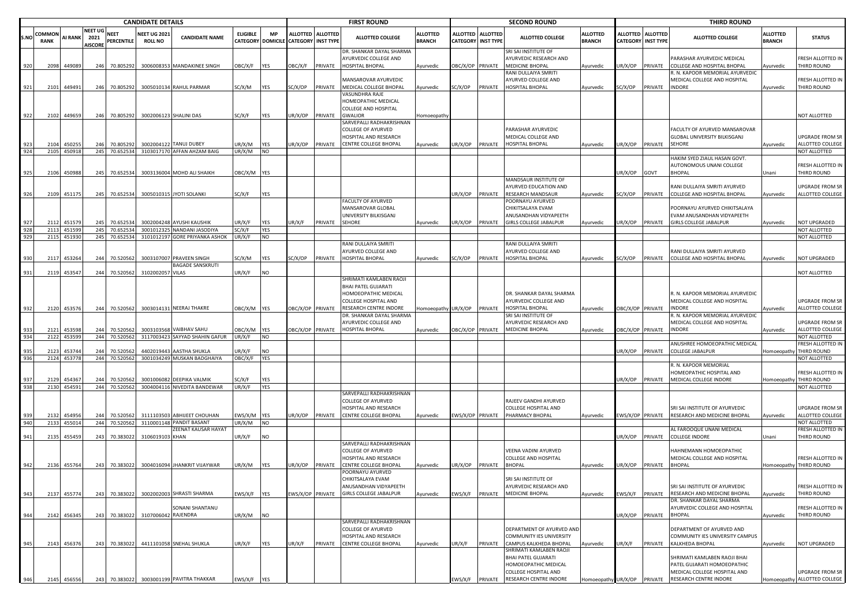|            |                       | <b>CANDIDATE DETAILS</b> |                                          |                               |                                      |                                                          |                                             |                         |                           |                   | <b>FIRST ROUND</b>                                                                                                          |                                  |                           |                   | <b>SECOND ROUND</b>                                                                                                      |                                  |                                    |                                     | <b>THIRD ROUND</b>                                                                                                    |                                  |                                                                   |
|------------|-----------------------|--------------------------|------------------------------------------|-------------------------------|--------------------------------------|----------------------------------------------------------|---------------------------------------------|-------------------------|---------------------------|-------------------|-----------------------------------------------------------------------------------------------------------------------------|----------------------------------|---------------------------|-------------------|--------------------------------------------------------------------------------------------------------------------------|----------------------------------|------------------------------------|-------------------------------------|-----------------------------------------------------------------------------------------------------------------------|----------------------------------|-------------------------------------------------------------------|
| S.N        | OMMON:<br><b>RANK</b> | <b>AI RANK</b>           | <b>NEET UG</b><br>2021<br><b>AISCORE</b> | <b>NEET</b><br>PERCENTILE     | <b>NEET UG 202</b><br><b>ROLL NO</b> | <b>CANDIDATE NAME</b>                                    | <b>ELIGIBLE</b><br><b>CATEGORY DOMICILE</b> | <b>MP</b>               | <b>CATEGORY INST TYPE</b> | ALLOTTED ALLOTTED | <b>ALLOTTED COLLEGE</b>                                                                                                     | <b>ALLOTTED</b><br><b>BRANCH</b> | <b>CATEGORY INST TYPE</b> | ALLOTTED ALLOTTED | <b>ALLOTTED COLLEGE</b>                                                                                                  | <b>ALLOTTED</b><br><b>BRANCH</b> | <b>ALLOTTED</b><br><b>CATEGORY</b> | <b>ALLOTTED</b><br><b>INST TYPE</b> | <b>ALLOTTED COLLEGE</b>                                                                                               | <b>ALLOTTED</b><br><b>BRANCH</b> | <b>STATUS</b>                                                     |
| 920        | 2098                  | 449089                   |                                          | 246 70.805292                 |                                      | 3006008353 MANDAKINEE SINGH                              | OBC/X/F                                     | <b>YES</b>              | <b>JBC/X/F</b>            | PRIVATE           | DR. SHANKAR DAYAL SHARMA<br>AYURVEDIC COLLEGE AND<br>HOSPITAL BHOPAL                                                        | Ayurvedic                        | OBC/X/OP PRIVATE          |                   | SRI SAI INSTITUTE OF<br>AYURVEDIC RESEARCH AND<br>MEDICINE BHOPAL                                                        | Ayurvedic                        | JR/X/OP                            | PRIVATE                             | PARASHAR AYURVEDIC MEDICAL<br>COLLEGE AND HOSPITAL BHOPAL                                                             | Ayurvedic                        | RESH ALLOTTED IN<br><b>THIRD ROUND</b>                            |
| 921        | 2101                  | 449491                   |                                          | 246 70.805292                 |                                      | 3005010134 RAHUL PARMAR                                  | SC/X/M                                      | <b>YES</b>              | SC/X/OP                   | PRIVATE           | MANSAROVAR AYURVEDIC<br>MEDICAL COLLEGE BHOPAL                                                                              | Ayurvedic                        | SC/X/OP                   | PRIVATE           | RANI DULLAIYA SMRITI<br><b>AYURVED COLLEGE AND</b><br>HOSPITAL BHOPAL                                                    | Ayurvedic                        | SC/X/OP                            | PRIVATE                             | N. KAPOOR MEMORIAL AYURVEDIC<br>MEDICAL COLLEGE AND HOSPITAL<br><b>INDORE</b>                                         | Ayurvedic                        | RESH ALLOTTED IN<br><b>THIRD ROUND</b>                            |
|            |                       |                          |                                          |                               |                                      |                                                          |                                             |                         |                           |                   | VASUNDHRA RAJE<br>HOMEOPATHIC MEDICAL<br><b>COLLEGE AND HOSPITAL</b>                                                        |                                  |                           |                   |                                                                                                                          |                                  |                                    |                                     |                                                                                                                       |                                  |                                                                   |
| 922        |                       | 2102 449659              |                                          | 246 70.805292                 |                                      | 3002006123 SHALINI DAS                                   | SC/X/F                                      | YES                     | JR/X/OP                   | PRIVATE           | <b>GWALIOR</b><br>SARVEPALLI RADHAKRISHNAN                                                                                  | Iomoeopathy                      |                           |                   |                                                                                                                          |                                  |                                    |                                     |                                                                                                                       |                                  | NOT ALLOTTED                                                      |
| 923<br>924 | 2104                  | 45025<br>2105 450918     | 246                                      | 70.805292<br>245 70.652534    |                                      | 3002004122 TANUJ DUBEY<br>3103017170 AFFAN AHZAM BAIG    | UR/X/M<br>UR/X/M                            | <b>YES</b><br><b>NO</b> | JR/X/OP                   | PRIVATE           | <b>COLLEGE OF AYURVED</b><br>HOSPITAL AND RESEARCH<br>CENTRE COLLEGE BHOPAL                                                 | Ayurvedic                        | JR/X/OP                   | PRIVATE           | PARASHAR AYURVEDIC<br>MEDICAL COLLEGE AND<br>HOSPITAL BHOPAL                                                             | Ayurvedic                        | JR/X/OP                            | PRIVATE                             | FACULTY OF AYURVED MANSAROVAR<br>GLOBAL UNIVERSITY BILKISGANJ<br>SEHORE                                               | Ayurvedic                        | <b>JPGRADE FROM SR</b><br>ALLOTTED COLLEGE<br><b>NOT ALLOTTED</b> |
|            |                       |                          |                                          |                               |                                      |                                                          |                                             |                         |                           |                   |                                                                                                                             |                                  |                           |                   |                                                                                                                          |                                  |                                    |                                     | HAKIM SYED ZIAUL HASAN GOVT.                                                                                          |                                  |                                                                   |
| 925        | 2106                  | 450988                   |                                          | 245 70.652534                 |                                      | 3003136004 MOHD ALI SHAIKH                               | OBC/X/M YES                                 |                         |                           |                   |                                                                                                                             |                                  |                           |                   | MANDSAUR INSTITUTE OF                                                                                                    |                                  | JR/X/OP                            | GOVT                                | AUTONOMOUS UNANI COLLEGE<br><b>BHOPAL</b>                                                                             | Jnani                            | RESH ALLOTTED IN<br>HIRD ROUND                                    |
| 926        |                       | 2109 451175              |                                          | 245 70.652534                 |                                      | 3005010315 JYOTI SOLANKI                                 | SC/X/F                                      | YES                     |                           |                   |                                                                                                                             |                                  | JR/X/OP PRIVATE           |                   | AYURVED EDUCATION AND<br>RESEARCH MANDSAUR                                                                               | Ayurvedic                        | SC/X/OP                            | <b>RIVATE</b>                       | RANI DULLAIYA SMRITI AYURVED<br>COLLEGE AND HOSPITAL BHOPAL                                                           | Ayurvedic                        | JPGRADE FROM SR<br>ALLOTTED COLLEGE                               |
|            |                       |                          |                                          |                               |                                      |                                                          |                                             |                         |                           |                   | FACULTY OF AYURVED<br>MANSAROVAR GLOBAL<br>UNIVERSITY BILKISGANJ                                                            |                                  |                           |                   | POORNAYU AYURVED<br>CHIKITSALAYA EVAM<br>ANUSANDHAN VIDYAPEETH                                                           |                                  |                                    |                                     | POORNAYU AYURVED CHIKITSALAYA<br>VAM ANUSANDHAN VIDYAPEETH                                                            |                                  |                                                                   |
| 92.<br>928 | 211<br>2113           | 451579<br>451599         |                                          | 245 70.65253<br>245 70.652534 |                                      | 3002004248 AYUSHI KAUSHIK<br>3001012325 NANDANI JASODIYA | JR/X/F<br>SC/X/F                            | YES<br><b>YES</b>       | JR/X/F                    | PRIVATE           | SEHORE                                                                                                                      | Ayurvedic                        | JR/X/OP                   | PRIVATE           | GIRLS COLLEGE JABALPUR                                                                                                   | Ayurvedic                        | JR/X/OP                            | PRIVATE                             | <b>GIRLS COLLEGE JABALPUR</b>                                                                                         | Ayurvedic                        | <b>IOT UPGRADED</b><br>NOT ALLOTTED                               |
| 929        | 2115                  | 451930                   |                                          | 245 70.652534                 |                                      | 3101012197 GORE PRIYANKA ASHOK                           | UR/X/F                                      | <b>NO</b>               |                           |                   |                                                                                                                             |                                  |                           |                   |                                                                                                                          |                                  |                                    |                                     |                                                                                                                       |                                  | NOT ALLOTTED                                                      |
|            |                       |                          |                                          |                               |                                      |                                                          |                                             |                         |                           |                   | RANI DULLAIYA SMRITI<br>AYURVED COLLEGE AND                                                                                 |                                  |                           |                   | RANI DULLAIYA SMRITI<br>AYURVED COLLEGE AND                                                                              |                                  |                                    |                                     | RANI DULLAIYA SMRITI AYURVED                                                                                          |                                  |                                                                   |
| 930        | 2117                  | 45326                    | 244                                      | 70.520562                     | 3003107007                           | <b>PRAVEEN SINGH</b>                                     | SC/X/M                                      | YES                     | C/X/OP                    | PRIVATE           | <b>HOSPITAL BHOPAL</b>                                                                                                      | Ayurvedic                        | SC/X/OP                   | PRIVATE           | HOSPITAL BHOPAL                                                                                                          | Ayurvedic                        | C/X/OP                             | PRIVATE                             | COLLEGE AND HOSPITAL BHOPAL                                                                                           | Ayurvedic                        | <b>NOT UPGRADED</b>                                               |
| 931        |                       | 2119 453547              |                                          | 244 70.520562                 | 3102002057 VILAS                     | <b>BAGADE SANSKRUTI</b>                                  | UR/X/F                                      | <b>NO</b>               |                           |                   |                                                                                                                             |                                  |                           |                   |                                                                                                                          |                                  |                                    |                                     |                                                                                                                       |                                  | <b>NOT ALLOTTED</b>                                               |
|            |                       |                          |                                          |                               |                                      |                                                          |                                             |                         |                           |                   | SHRIMATI KAMLABEN RAOJI<br><b>BHAI PATEL GUJARATI</b><br>HOMOEOPATHIC MEDICAL<br><b>COLLEGE HOSPITAL AND</b>                |                                  |                           |                   | DR. SHANKAR DAYAL SHARMA<br>AYURVEDIC COLLEGE AND                                                                        |                                  |                                    |                                     | R. N. KAPOOR MEMORIAL AYURVEDIC<br>MEDICAL COLLEGE AND HOSPITAL                                                       |                                  | UPGRADE FROM SR                                                   |
| 932        |                       | 2120 453576              |                                          | 244 70.520562                 |                                      | 3003014131 NEERAJ THAKRE                                 | OBC/X/M YES                                 |                         | DBC/X/OP PRIVATE          |                   | <b>RESEARCH CENTRE INDORE</b><br>DR. SHANKAR DAYAL SHARMA<br>AYURVEDIC COLLEGE AND                                          | omoeopathy UR/X/OP PRIVATE       |                           |                   | HOSPITAL BHOPAL<br>SRI SAI INSTITUTE OF<br>AYURVEDIC RESEARCH AND                                                        | Ayurvedic                        | OBC/X/OP PRIVATE                   |                                     | INDORF<br>R. N. KAPOOR MEMORIAL AYURVEDIC<br>MEDICAL COLLEGE AND HOSPITAL                                             | vyurvedic                        | ALLOTTED COLLEGE<br><b>UPGRADE FROM SR</b>                        |
| 933        | 2121                  | 453598                   |                                          | 244 70.52056                  |                                      | 3003103568 VAIBHAV SAHU                                  | OBC/X/M                                     | <b>YES</b>              |                           | BC/X/OP PRIVATE   | <b>HOSPITAL BHOPAL</b>                                                                                                      | Ayurvedic                        | BC/X/OP PRIVATE           |                   | MEDICINE BHOPAL                                                                                                          | Ayurvedic                        | BC/X/OP                            | PRIVATE                             | <b>INDORE</b>                                                                                                         | Ayurvedic                        | ALLOTTED COLLEGE                                                  |
| 934        | 2122                  | 453599                   |                                          | 244 70.520562                 |                                      | 3117003423 SAYYAD SHAHIN GAFUR                           | UR/X/F                                      | <b>NO</b>               |                           |                   |                                                                                                                             |                                  |                           |                   |                                                                                                                          |                                  |                                    |                                     |                                                                                                                       |                                  | NOT ALLOTTED                                                      |
| 935        | 2123                  | 453744                   |                                          | 244 70.520562                 |                                      | 4402019443 AASTHA SHUKLA                                 | JR/X/F                                      | NO                      |                           |                   |                                                                                                                             |                                  |                           |                   |                                                                                                                          |                                  | JR/X/OP                            | PRIVATE                             | ANUSHREE HOMOEOPATHIC MEDICAL<br>COLLEGE JABALPUR                                                                     | Homoeopathy                      | RESH ALLOTTED IN<br>THIRD ROUND                                   |
| 936        | 2124                  | 453778                   |                                          | 244 70.520562                 |                                      | 3001034249 MUSKAN BADGHAIYA                              | OBC/X/F                                     | <b>YES</b>              |                           |                   |                                                                                                                             |                                  |                           |                   |                                                                                                                          |                                  |                                    |                                     |                                                                                                                       |                                  | <b>NOT ALLOTTED</b>                                               |
| 93.        | 2129                  | 454367                   | 244                                      | 70.52056                      | 3001006082                           | <b>DEEPIKA VALMIK</b>                                    | SC/X/F                                      | YES                     |                           |                   |                                                                                                                             |                                  |                           |                   |                                                                                                                          |                                  | UR/X/OP                            | PRIVATE                             | R. N. KAPOOR MEMORIAL<br>IOMEOPATHIC HOSPITAL AND<br>MEDICAL COLLEGE INDORE                                           | lomoeopathy                      | RESH ALLOTTED IN<br>THIRD ROUND                                   |
| 938        | 2130                  | 454591                   |                                          | 244 70.520562                 |                                      | 3004004116 NIVEDITA BANDEWAR                             | UR/X/F                                      | YES                     |                           |                   |                                                                                                                             |                                  |                           |                   |                                                                                                                          |                                  |                                    |                                     |                                                                                                                       |                                  | <b>NOT ALLOTTED</b>                                               |
| 939<br>940 | 2132                  | 454956<br>2133 455014    | 244                                      | 70.520562<br>244 70.520562    |                                      | 3111103503 ABHIJEET CHOUHAN<br>3110001148 PANDIT BASANT  | EWS/X/M<br>UR/X/M                           | <b>YES</b>              | JR/X/OP                   | PRIVATE           | SARVEPALLI RADHAKRISHNAN<br><b>COLLEGE OF AYURVED</b><br>HOSPITAL AND RESEARCH<br><b>CENTRE COLLEGE BHOPAL</b>              | Ayurvedic                        | EWS/X/OP PRIVATE          |                   | RAJEEV GANDHI AYURVED<br>COLLEGE HOSPITAL AND<br>PHARMACY BHOPAL                                                         | Ayurvedic                        | <b>EWS/X/OP PRIVATE</b>            |                                     | SRI SAI INSTITUTE OF AYURVEDIC<br>RESEARCH AND MEDICINE BHOPAL                                                        | Ayurvedic                        | JPGRADE FROM SR<br>ALLOTTED COLLEGE<br><b>IOT ALLOTTED</b>        |
|            |                       |                          |                                          |                               |                                      | ZEENAT KAUSAR HAYAT                                      |                                             | <b>NO</b>               |                           |                   |                                                                                                                             |                                  |                           |                   |                                                                                                                          |                                  |                                    |                                     | AL FAROOQUE UNANI MEDICAL                                                                                             |                                  | RESH ALLOTTED IN                                                  |
| 941        | 2135                  | 455459                   | 243                                      | 70.383022                     | 310601910                            | <b>KHAN</b>                                              | UR/X/F                                      | <b>NO</b>               |                           |                   |                                                                                                                             |                                  |                           |                   |                                                                                                                          |                                  | JR/X/OP                            | PRIVATE                             | <b>COLLEGE INDORE</b>                                                                                                 | Jnani                            | <b>THIRD ROUND</b>                                                |
| 942        | 2136                  | 455764                   |                                          | 243 70.383022                 |                                      | 3004016094 JHANKRIT VIJAYWAR                             | JR/X/M                                      | <b>YES</b>              | JR/X/OP                   | PRIVATE           | SARVEPALLI RADHAKRISHNAN<br><b>COLLEGE OF AYURVED</b><br>HOSPITAL AND RESEARCH<br>CENTRE COLLEGE BHOPAL<br>POORNAYU AYURVED | Ayurvedic                        | JR/X/OP PRIVATE           |                   | VEENA VADINI AYURVED<br>COLLEGE AND HOSPITAL<br><b>BHOPAL</b>                                                            | Ayurvedic                        | JR/X/OP                            | PRIVATE                             | HAHNEMANN HOMOEOPATHIC<br>MEDICAL COLLEGE AND HOSPITAL<br><b>BHOPAL</b>                                               | <b>Homoeopathy</b>               | RESH ALLOTTED IN<br>THIRD ROUND                                   |
| 943        |                       | 2137 455774              |                                          | 243 70.383022                 |                                      | 3002002003 SHRASTI SHARMA                                | EWS/X/F YES                                 |                         | EWS/X/OP PRIVATE          |                   | CHIKITSALAYA EVAM<br>ANUSANDHAN VIDYAPEETH<br><b>GIRLS COLLEGE JABALPUR</b>                                                 | Ayurvedic                        | EWS/X/F PRIVATE           |                   | SRI SAI INSTITUTE OF<br>AYURVEDIC RESEARCH AND<br><b>MEDICINE BHOPAL</b>                                                 | Ayurvedic                        | EWS/X/F                            | PRIVATE                             | SRI SAI INSTITUTE OF AYURVEDIC<br>RESEARCH AND MEDICINE BHOPAL                                                        | Ayurvedic                        | RESH ALLOTTED IN<br><b>THIRD ROUND</b>                            |
|            |                       |                          |                                          |                               |                                      | SONANI SHANTANU                                          |                                             |                         |                           |                   |                                                                                                                             |                                  |                           |                   |                                                                                                                          |                                  |                                    |                                     | DR. SHANKAR DAYAL SHARMA<br>AYURVEDIC COLLEGE AND HOSPITAL                                                            |                                  | RESH ALLOTTED IN                                                  |
| 944        |                       | 2142 456345              |                                          | 243 70.383022                 | 3107006042 RAJENDRA                  |                                                          | UR/X/M                                      | <b>NO</b>               |                           |                   |                                                                                                                             |                                  |                           |                   |                                                                                                                          |                                  | UR/X/OP                            | PRIVATE                             | <b>BHOPAL</b>                                                                                                         | Ayurvedic                        | <b>THIRD ROUND</b>                                                |
| 945        |                       | 2143 456376              |                                          | 243 70.383022                 |                                      | 4411101058 SNEHAL SHUKLA                                 | UR/X/F                                      | <b>YES</b>              | JR/X/F                    | PRIVATE           | SARVEPALLI RADHAKRISHNAN<br>COLLEGE OF AYURVED<br>HOSPITAL AND RESEARCH<br>CENTRE COLLEGE BHOPAL                            | Ayurvedic                        | UR/X/F                    | PRIVATE           | DEPARTMENT OF AYURVED AND<br>COMMUNITY IES UNIVERSITY<br>CAMPUS KALKHEDA BHOPAL                                          | Ayurvedic                        | UR/X/F                             | PRIVATE                             | DEPARTMENT OF AYURVED AND<br>COMMUNITY IES UNIVERSITY CAMPUS<br>KALKHEDA BHOPAL                                       | Ayurvedic                        | NOT UPGRADED                                                      |
| 946        |                       | 2145 456556              |                                          |                               |                                      | 243 70.383022 3003001199 PAVITRA THAKKAR                 | EWS/X/F                                     | <b>YES</b>              |                           |                   |                                                                                                                             |                                  | EWS/X/F PRIVATE           |                   | SHRIMATI KAMLABEN RAOJI<br>BHAI PATEL GUJARATI<br>HOMOEOPATHIC MEDICAL<br>COLLEGE HOSPITAL AND<br>RESEARCH CENTRE INDORE | Homoeopathy UR/X/OP PRIVATE      |                                    |                                     | SHRIMATI KAMLABEN RAOJI BHAI<br>PATEL GUJARATI HOMOEOPATHIC<br>MEDICAL COLLEGE HOSPITAL AND<br>RESEARCH CENTRE INDORE |                                  | UPGRADE FROM SR<br>Homoeopathy ALLOTTED COLLEGE                   |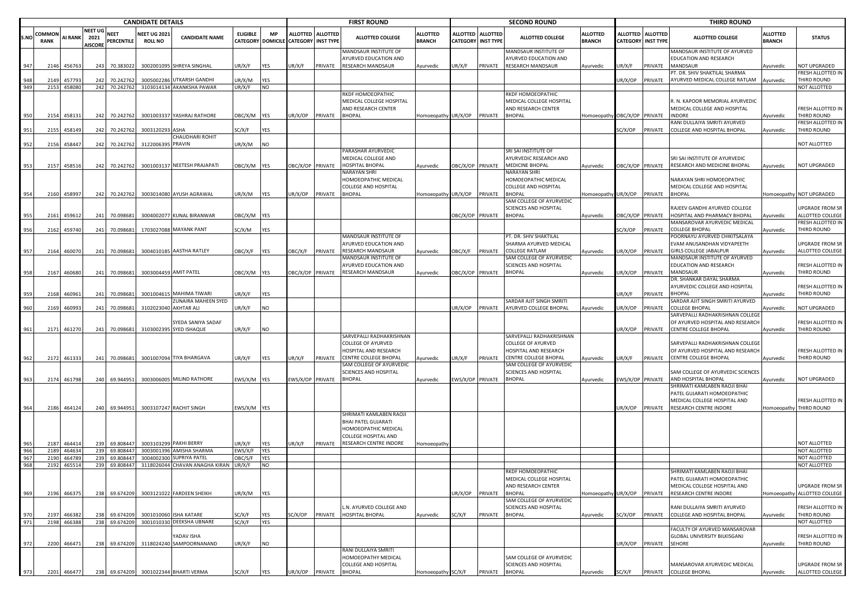|            |                              |                       |                                          |                                  | <b>CANDIDATE DETAILS</b>              |                                                        |                           |                          |                                      |                   | <b>FIRST ROUND</b>                                                                             |                                  |                                              |                    | <b>SECOND ROUND</b>                                                                   |                                  |                  |                                                | <b>THIRD ROUND</b>                                                                                              |                                  |                                                                  |
|------------|------------------------------|-----------------------|------------------------------------------|----------------------------------|---------------------------------------|--------------------------------------------------------|---------------------------|--------------------------|--------------------------------------|-------------------|------------------------------------------------------------------------------------------------|----------------------------------|----------------------------------------------|--------------------|---------------------------------------------------------------------------------------|----------------------------------|------------------|------------------------------------------------|-----------------------------------------------------------------------------------------------------------------|----------------------------------|------------------------------------------------------------------|
| S.N        | <b>COMMON</b><br><b>RANK</b> | <b>AI RANK</b>        | <b>NEET UG</b><br>2021<br><b>AISCORE</b> | <b>NEET</b><br><b>PERCENTILE</b> | <b>NEET UG 2021</b><br><b>ROLL NO</b> | <b>CANDIDATE NAME</b>                                  | <b>ELIGIBLE</b>           | <b>MP</b>                | CATEGORY DOMICILE CATEGORY INST TYPE | ALLOTTED ALLOTTED | <b>ALLOTTED COLLEGE</b>                                                                        | <b>ALLOTTED</b><br><b>BRANCH</b> | <b>ALLOTTED</b><br><b>CATEGORY INST TYPE</b> | <b>ALLOTTED</b>    | <b>ALLOTTED COLLEGE</b>                                                               | <b>ALLOTTED</b><br><b>BRANCH</b> |                  | ALLOTTED ALLOTTED<br><b>CATEGORY INST TYPE</b> | <b>ALLOTTED COLLEGE</b>                                                                                         | <b>ALLOTTED</b><br><b>BRANCH</b> | <b>STATUS</b>                                                    |
| 947        | 2146                         | 456763                |                                          | 243 70.383022                    |                                       | 3002001095 SHREYA SINGHAL                              | JR/X/F                    | <b>YES</b>               | UR/X/F                               | PRIVATE           | MANDSAUR INSTITUTE OF<br><b>AYURVED EDUCATION AND</b><br>RESEARCH MANDSAUR                     | Ayurvedic                        | UR/X/F                                       | PRIVATE            | MANDSAUR INSTITUTE OF<br>AYURVED EDUCATION AND<br>RESEARCH MANDSAUR                   | Ayurvedic                        | JR/X/F           | PRIVATE                                        | MANDSAUR INSTITUTE OF AYURVED<br>EDUCATION AND RESEARCH<br>MANDSAUR                                             | Avurvedic                        | NOT UPGRADED                                                     |
|            |                              |                       |                                          |                                  |                                       |                                                        |                           |                          |                                      |                   |                                                                                                |                                  |                                              |                    |                                                                                       |                                  |                  |                                                | <sup>PT.</sup> DR. SHIV SHAKTILAL SHARMA                                                                        |                                  | FRESH ALLOTTED IN                                                |
| 948<br>949 | 2149                         | 457793<br>2153 458080 |                                          | 242 70.242762<br>242 70.242762   |                                       | 3005002286 UTKARSH GANDHI<br>3103014134 AKANKSHA PAWAR | JR/X/M<br>UR/X/F          | YES<br><b>NO</b>         |                                      |                   |                                                                                                |                                  |                                              |                    |                                                                                       |                                  | JR/X/OP          | PRIVATE                                        | AYURVED MEDICAL COLLEGE RATLAM                                                                                  | Ayurvedic                        | THIRD ROUND<br>NOT ALLOTTED                                      |
|            |                              |                       |                                          |                                  |                                       |                                                        |                           |                          | UR/X/OP                              |                   | RKDF HOMOEOPATHIC<br>MEDICAL COLLEGE HOSPITAL<br>AND RESEARCH CENTER<br><b>BHOPAL</b>          |                                  |                                              |                    | RKDF HOMOEOPATHIC<br>MEDICAL COLLEGE HOSPITAL<br>AND RESEARCH CENTER<br><b>BHOPAL</b> |                                  |                  |                                                | R. N. KAPOOR MEMORIAL AYURVEDIC<br>MEDICAL COLLEGE AND HOSPITAL                                                 |                                  | FRESH ALLOTTED IN                                                |
| 950        | 2154                         | 458131                | 242                                      | 70.242762                        |                                       | 3001003337 YASHRAJ RATHORE                             | OBC/X/M YES               |                          |                                      | PRIVATE           |                                                                                                | Homoeopathy UR/X/OP              |                                              | PRIVATE            |                                                                                       | Iomoeopathy OBC/X/OP PRIVATE     |                  |                                                | INDORE<br>RANI DULLAIYA SMRITI AYURVED                                                                          | Ayurvedic                        | THIRD ROUND<br>FRESH ALLOTTED IN                                 |
| 951        | 2155                         | 458149                |                                          | 242 70.242762                    | 3003120293 ASHA                       |                                                        | SC/X/F                    | YES                      |                                      |                   |                                                                                                |                                  |                                              |                    |                                                                                       |                                  | C/X/OP           | PRIVATE                                        | COLLEGE AND HOSPITAL BHOPAL                                                                                     | Ayurvedic                        | THIRD ROUND                                                      |
| 952        | 2156                         | 458447                |                                          | 242 70.242762                    | 3122006395 PRAVIN                     | CHAUDHARI ROHIT                                        | JR/X/M                    | NO                       |                                      |                   |                                                                                                |                                  |                                              |                    |                                                                                       |                                  |                  |                                                |                                                                                                                 |                                  | NOT ALLOTTED                                                     |
| 953        | 2157                         | 458516                | 242                                      | 70.242762                        |                                       | 3001003137 NEETESH PRAJAPATI                           | OBC/X/M YES               |                          | OBC/X/OP PRIVATE                     |                   | PARASHAR AYURVEDIC<br>MEDICAL COLLEGE AND<br>HOSPITAL BHOPAL                                   | Ayurvedic                        | OBC/X/OP PRIVATE                             |                    | SRI SAI INSTITUTE OF<br>AYURVEDIC RESEARCH AND<br><b>MEDICINE BHOPAL</b>              | Ayurvedic                        | OBC/X/OP PRIVATE |                                                | SRI SAI INSTITUTE OF AYURVEDIC<br>RESEARCH AND MEDICINE BHOPAL                                                  | Ayurvedic                        | NOT UPGRADED                                                     |
|            |                              |                       |                                          |                                  |                                       |                                                        |                           |                          |                                      |                   | NARAYAN SHRI<br>HOMOEOPATHIC MEDICAL<br>COLLEGE AND HOSPITAL                                   |                                  |                                              |                    | NARAYAN SHRI<br>HOMOEOPATHIC MEDICAL<br>COLLEGE AND HOSPITAL                          |                                  |                  |                                                | NARAYAN SHRI HOMOEOPATHIC<br>MEDICAL COLLEGE AND HOSPITAL                                                       |                                  |                                                                  |
| 954        |                              | 2160 458997           |                                          | 242 70.242762                    |                                       | 3003014080 AYUSH AGRAWAL                               | JR/X/M                    | <b>YES</b>               | JR/X/OP                              | PRIVATE           | <b>BHOPAL</b>                                                                                  | Homoeopathy UR/X/OP              |                                              | PRIVATE            | <b>BHOPAL</b><br>SAM COLLEGE OF AYURVEDIC                                             | Iomoeopathy UR/X/OP PRIVATE      |                  |                                                | <b>BHOPAL</b>                                                                                                   |                                  | Homoeopathy NOT UPGRADED                                         |
| 955        |                              | 2161 459612           |                                          | 241 70.098681                    |                                       | 3004002077 KUNAL BIRANWAR                              | DBC/X/M YES               |                          |                                      |                   |                                                                                                |                                  | DBC/X/OP PRIVATE                             |                    | SCIENCES AND HOSPITAL<br><b>BHOPAL</b>                                                | Ayurvedic                        |                  | BC/X/OP PRIVATE                                | RAJEEV GANDHI AYURVED COLLEGE<br>HOSPITAL AND PHARMACY BHOPAL<br>MANSAROVAR AYURVEDIC MEDICAL                   | Ayurvedic                        | UPGRADE FROM SR<br>ALLOTTED COLLEGE<br>FRESH ALLOTTED IN         |
| 956        | 2162                         | 459740                | 241                                      | 70.098681                        |                                       | 1703027088 MAYANK PANT                                 | SC/X/M                    | YES                      |                                      |                   |                                                                                                |                                  |                                              |                    |                                                                                       |                                  | SC/X/OP          | PRIVATE                                        | COLLEGE BHOPAL                                                                                                  | Ayurvedic                        | THIRD ROUND                                                      |
| 957        | 2164                         | 460070                |                                          | 241 70.098681                    |                                       | 3004010185 AASTHA RATLEY                               | OBC/X/F                   | <b>YES</b>               | OBC/X/F                              | PRIVATE           | MANDSAUR INSTITUTE OF<br>AYURVED EDUCATION AND<br>RESEARCH MANDSAUR                            | Ayurvedic                        | OBC/X/F                                      | PRIVATE            | PT. DR. SHIV SHAKTILAL<br>SHARMA AYURVED MEDICAL<br>COLLEGE RATLAM                    | Ayurvedic                        | JR/X/OP          | PRIVATE                                        | POORNAYU AYURVED CHIKITSALAYA<br>EVAM ANUSANDHAN VIDYAPEETH<br><b>GIRLS COLLEGE JABALPUR</b>                    | Ayurvedic                        | UPGRADE FROM SR<br>ALLOTTED COLLEGE                              |
| 958        | 2167                         | 460680                |                                          | 241 70.098681                    |                                       | 3003004459 AMIT PATEL                                  | OBC/X/M YES               |                          | OBC/X/OP PRIVATE                     |                   | MANDSAUR INSTITUTE OF<br>AYURVED EDUCATION AND<br>RESEARCH MANDSAUR                            | Ayurvedic                        | OBC/X/OP PRIVATE                             |                    | SAM COLLEGE OF AYURVEDIC<br>SCIENCES AND HOSPITAL<br><b>BHOPAL</b>                    | Ayurvedic                        | JR/X/OP          | PRIVATE                                        | MANDSAUR INSTITUTE OF AYURVED<br>EDUCATION AND RESEARCH<br>MANDSAUR                                             | Ayurvedic                        | FRESH ALLOTTED IN<br>THIRD ROUND                                 |
| 959        | 2168                         | 460961                |                                          | 241 70.098681                    |                                       | 3001004615 MAHIMA TIWARI<br><b>ZUNAIRA MAHEEN SYED</b> | JR/X/F                    | YES                      |                                      |                   |                                                                                                |                                  |                                              |                    |                                                                                       |                                  | JR/X/F           | PRIVATE                                        | DR. SHANKAR DAYAL SHARMA<br>AYURVEDIC COLLEGE AND HOSPITAL<br><b>BHOPAL</b><br>SARDAR AJIT SINGH SMRITI AYURVED | Ayurvedic                        | FRESH ALLOTTED IN<br>THIRD ROUND                                 |
| 960        | 2169                         | 460993                |                                          | 241 70.098681                    |                                       | 3102023040 AKHTAR ALI                                  | JR/X/F                    | <b>NO</b>                |                                      |                   |                                                                                                |                                  | UR/X/OP                                      | PRIVATE            | SARDAR AJIT SINGH SMRITI<br>AYURVED COLLEGE BHOPAL                                    | Ayurvedic                        | JR/X/OP          | PRIVATE                                        | COLLEGE BHOPAL                                                                                                  | Ayurvedic                        | <b>NOT UPGRADED</b>                                              |
| 961        | 2171                         | 461270                | 241                                      | 70.098681                        |                                       | SYEDA SANIYA SADAF<br>3103002395 SYED ISHAQUE          | JR/X/F                    | NO                       |                                      |                   |                                                                                                |                                  |                                              |                    |                                                                                       |                                  | JR/X/OP          | PRIVATE                                        | SARVEPALLI RADHAKRISHNAN COLLEGE<br>OF AYURVED HOSPITAL AND RESEARCH<br>CENTRE COLLEGE BHOPAL                   | Ayurvedic                        | FRESH ALLOTTED IN<br>THIRD ROUND                                 |
|            |                              |                       |                                          |                                  |                                       |                                                        |                           |                          |                                      |                   | SARVEPALLI RADHAKRISHNAN<br>COLLEGE OF AYURVED                                                 |                                  |                                              |                    | SARVEPALLI RADHAKRISHNAN<br>COLLEGE OF AYURVED                                        |                                  |                  |                                                | SARVEPALLI RADHAKRISHNAN COLLEGI                                                                                |                                  |                                                                  |
| 962        |                              | 2172 461333           |                                          | 241 70.098681                    |                                       | 3001007094 TIYA BHARGAVA                               | JR/X/F                    | YES                      | UR/X/F                               | PRIVATE           | HOSPITAL AND RESEARCH<br>CENTRE COLLEGE BHOPAL<br>SAM COLLEGE OF AYURVEDIC                     | Ayurvedic                        | UR/X/F                                       | PRIVATE            | HOSPITAL AND RESEARCH<br>CENTRE COLLEGE BHOPAL<br>SAM COLLEGE OF AYURVEDIC            | Ayurvedic                        | UR/X/F           | PRIVATE                                        | OF AYURVED HOSPITAL AND RESEARCH<br>CENTRE COLLEGE BHOPAL                                                       | Ayurvedic                        | FRESH ALLOTTED IN<br>THIRD ROUND                                 |
| 963        |                              | 2174 461798           | 240                                      | 69.944951                        |                                       | 3003006005 MILIND RATHORE                              | EWS/X/M YES               |                          | EWS/X/OP PRIVATE                     |                   | SCIENCES AND HOSPITAL<br><b>BHOPAL</b>                                                         | Ayurvedic                        | EWS/X/OP PRIVATE                             |                    | SCIENCES AND HOSPITAL<br><b>BHOPAL</b>                                                | Ayurvedic                        |                  | EWS/X/OP PRIVATE                               | SAM COLLEGE OF AYURVEDIC SCIENCES<br>AND HOSPITAL BHOPAL                                                        | Ayurvedic                        | NOT UPGRADED                                                     |
|            |                              |                       |                                          |                                  |                                       |                                                        |                           |                          |                                      |                   |                                                                                                |                                  |                                              |                    |                                                                                       |                                  |                  |                                                | SHRIMATI KAMLABEN RAOJI BHAI<br>PATEL GUJARATI HOMOEOPATHIC<br>MEDICAL COLLEGE HOSPITAL AND                     |                                  | FRESH ALLOTTED IN                                                |
| 964        |                              | 2186 464124           |                                          | 240 69.944951                    |                                       | 3003107247 RACHIT SINGH                                | EWS/X/M YES               |                          |                                      |                   |                                                                                                |                                  |                                              |                    |                                                                                       |                                  | JR/X/OP          | PRIVATE                                        | RESEARCH CENTRE INDORE                                                                                          |                                  | Homoeopathy THIRD ROUND                                          |
|            |                              |                       |                                          |                                  |                                       |                                                        |                           |                          |                                      |                   | SHRIMATI KAMLABEN RAOJI<br>BHAI PATEL GUJARATI<br>HOMOEOPATHIC MEDICAL<br>COLLEGE HOSPITAL AND |                                  |                                              |                    |                                                                                       |                                  |                  |                                                |                                                                                                                 |                                  |                                                                  |
|            | 2187                         | 46441                 | 239                                      | 69.808447                        |                                       | 3003103299 PAKHI BERRY<br>3003001396 AMISHA SHARMA     | JR/X/F                    | YES                      | UR/X/F                               | PRIVATE           | RESEARCH CENTRE INDORE                                                                         | Homoeopathy                      |                                              |                    |                                                                                       |                                  |                  |                                                |                                                                                                                 |                                  | NOT ALLOTTED                                                     |
| 966<br>967 | 2189<br>2190                 | 464634<br>46478       | 239<br>239                               | 69.808447<br>69.80844            | 300400230                             | SUPRIYA PATEL                                          | :WS/X/F<br><b>DBC/S/F</b> | <b>YES</b><br><b>YES</b> |                                      |                   |                                                                                                |                                  |                                              |                    |                                                                                       |                                  |                  |                                                |                                                                                                                 |                                  | NOT ALLOTTED<br>NOT ALLOTTED                                     |
| 968        | 2192                         | 465514                | 239                                      | 69.808447                        |                                       | 3118026044 CHAVAN ANAGHA KIRAN                         | JR/X/F                    | <b>NO</b>                |                                      |                   |                                                                                                |                                  |                                              |                    |                                                                                       |                                  |                  |                                                |                                                                                                                 |                                  | NOT ALLOTTED                                                     |
|            |                              |                       |                                          |                                  |                                       |                                                        |                           |                          |                                      |                   |                                                                                                |                                  |                                              |                    | RKDF HOMOEOPATHIC<br><b>MEDICAL COLLEGE HOSPITAL</b><br>AND RESEARCH CENTER           |                                  |                  |                                                | <b>SHRIMATI KAMLABEN RAOJI BHAI</b><br>PATEL GUJARATI HOMOEOPATHIC<br>MEDICAL COLLEGE HOSPITAL AND              |                                  | <b>UPGRADE FROM SR</b>                                           |
| 969<br>970 | 2197                         | 2196 466375<br>466382 | 238<br>238                               | 69.674209<br>69.674209           |                                       | 3003121022 FARDEEN SHEIKH<br>3001010060 ISHA KATARE    | JR/X/M<br>SC/X/F          | <b>YES</b><br>YES        | C/X/OP                               | PRIVATE           | L.N. AYURVED COLLEGE AND<br><b>HOSPITAL BHOPAL</b>                                             | Ayurvedic                        | UR/X/OP<br>SC/X/F                            | PRIVATE<br>PRIVATE | <b>BHOPAL</b><br>SAM COLLEGE OF AYURVEDIC<br>SCIENCES AND HOSPITAL<br><b>BHOPAL</b>   | Iomoeopathy UR/X/OP<br>Ayurvedic | SC/X/OP          | PRIVATE<br>PRIVATE                             | RESEARCH CENTRE INDORE<br>RANI DULLAIYA SMRITI AYURVED<br>COLLEGE AND HOSPITAL BHOPAL                           | Ayurvedic                        | Homoeopathy ALLOTTED COLLEGE<br>FRESH ALLOTTED IN<br>THIRD ROUND |
| 971        | 2198                         | 466388                |                                          | 238 69.674209                    |                                       | 3001010330 DEEKSHA UBNARE                              | SC/X/F                    | YES                      |                                      |                   |                                                                                                |                                  |                                              |                    |                                                                                       |                                  |                  |                                                |                                                                                                                 |                                  | NOT ALLOTTED                                                     |
| 972        |                              | 2200 466471           | 238                                      | 69.674209                        |                                       | YADAV ISHA<br>3118024240 SAMPOORNANAND                 | JR/X/F                    | <b>NO</b>                |                                      |                   |                                                                                                |                                  |                                              |                    |                                                                                       |                                  | JR/X/OP          | PRIVATE                                        | FACULTY OF AYURVED MANSAROVAR<br><b>GLOBAL UNIVERSITY BILKISGANJ</b><br>SEHORE                                  | Ayurvedic                        | FRESH ALLOTTED IN<br>THIRD ROUND                                 |
|            |                              |                       |                                          |                                  |                                       |                                                        |                           |                          |                                      |                   | RANI DULLAIYA SMRITI<br>HOMOEOPATHY MEDICAL<br>COLLEGE AND HOSPITAL                            |                                  |                                              |                    | SAM COLLEGE OF AYURVEDIC<br>SCIENCES AND HOSPITAL                                     |                                  |                  |                                                | MANSAROVAR AYURVEDIC MEDICAL                                                                                    |                                  | UPGRADE FROM SR                                                  |
| 973        |                              | 2201 466477           | 238                                      | 69.674209                        |                                       | 3001022344 BHARTI VERMA                                | SC/X/F                    | <b>YES</b>               | UR/X/OP                              | PRIVATE BHOPAL    |                                                                                                | Homoeopathy SC/X/F               |                                              | PRIVATE            | <b>BHOPAL</b>                                                                         | Ayurvedic                        | SC/X/F           | PRIVATE                                        | <b>COLLEGE BHOPAL</b>                                                                                           | Ayurvedic                        | ALLOTTED COLLEGE                                                 |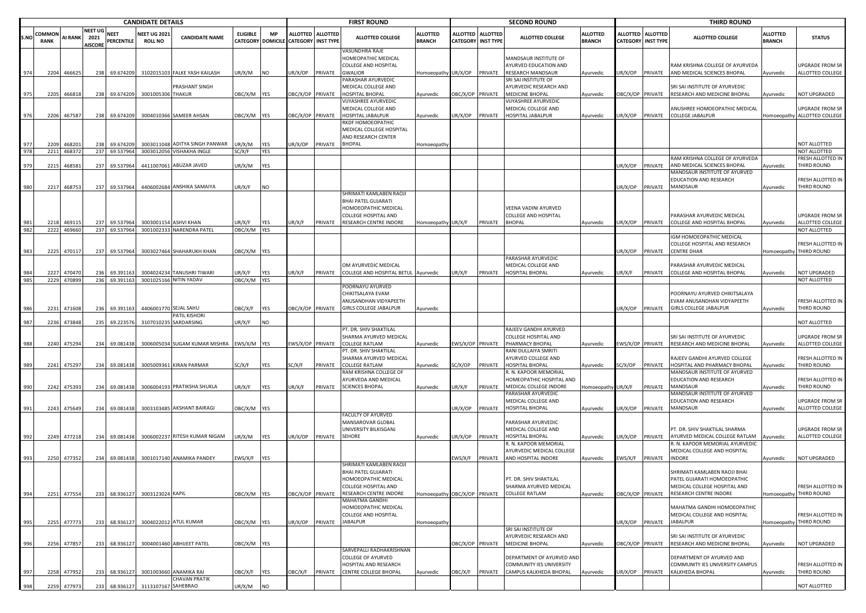|      |                       |                |                                          |                           | <b>CANDIDATE DETAILS</b>              |                                                |                 |            |                                      |                   | <b>FIRST ROUND</b>                                                   |                                  |                  |                                              | <b>SECOND ROUND</b>                              |                                  |                  |                                                | <b>THIRD ROUND</b>                                                        |                                  |                                            |
|------|-----------------------|----------------|------------------------------------------|---------------------------|---------------------------------------|------------------------------------------------|-----------------|------------|--------------------------------------|-------------------|----------------------------------------------------------------------|----------------------------------|------------------|----------------------------------------------|--------------------------------------------------|----------------------------------|------------------|------------------------------------------------|---------------------------------------------------------------------------|----------------------------------|--------------------------------------------|
| S.NO | COMMON<br><b>RANK</b> | <b>AI RANK</b> | <b>NEET UG</b><br>2021<br><b>AISCORE</b> | <b>NEET</b><br>PERCENTILE | <b>NEET UG 2021</b><br><b>ROLL NO</b> | <b>CANDIDATE NAME</b>                          | <b>ELIGIBLE</b> | <b>MP</b>  | CATEGORY DOMICILE CATEGORY INST TYPE | ALLOTTED ALLOTTED | <b>ALLOTTED COLLEGE</b>                                              | <b>ALLOTTED</b><br><b>BRANCH</b> | <b>ALLOTTED</b>  | <b>ALLOTTED</b><br><b>CATEGORY INST TYPE</b> | ALLOTTED COLLEGE                                 | <b>ALLOTTED</b><br><b>BRANCH</b> |                  | ALLOTTED ALLOTTED<br><b>CATEGORY INST TYPE</b> | <b>ALLOTTED COLLEGE</b>                                                   | <b>ALLOTTED</b><br><b>BRANCH</b> | <b>STATUS</b>                              |
|      |                       |                |                                          |                           |                                       |                                                |                 |            |                                      |                   | VASUNDHRA RAJE<br>HOMEOPATHIC MEDICAL<br>COLLEGE AND HOSPITAL        |                                  |                  |                                              | MANDSAUR INSTITUTE OF<br>AYURVED EDUCATION AND   |                                  |                  |                                                | RAM KRISHNA COLLEGE OF AYURVEDA                                           |                                  | UPGRADE FROM SR                            |
| 974  |                       | 2204 466625    | 238                                      | 69.674209                 |                                       | 3102015103 FALKE YASH KAILASH                  | UR/X/M          | <b>INO</b> | UR/X/OP                              | PRIVATE           | <b>GWALIOR</b>                                                       | Homoeopathy UR/X/OP              |                  | PRIVATE                                      | <b>RESEARCH MANDSAUR</b>                         | Ayurvedic                        | JR/X/OP          | PRIVATE                                        | AND MEDICAL SCIENCES BHOPAL                                               | Ayurvedic                        | ALLOTTED COLLEGE                           |
|      |                       |                |                                          |                           |                                       |                                                |                 |            |                                      |                   | PARASHAR AYURVEDIC                                                   |                                  |                  |                                              | SRI SAI INSTITUTE OF                             |                                  |                  |                                                |                                                                           |                                  |                                            |
| 975  |                       | 2205 466818    |                                          | 238 69.674209             | 3001005306 THAKUR                     | PRASHANT SINGH                                 | OBC/X/M YES     |            | OBC/X/OP PRIVATE                     |                   | MEDICAL COLLEGE AND<br>HOSPITAL BHOPAL                               | Ayurvedic                        | OBC/X/OP PRIVATE |                                              | AYURVEDIC RESEARCH AND<br>MEDICINE BHOPAL        | Ayurvedic                        |                  | OBC/X/OP PRIVATE                               | SRI SAI INSTITUTE OF AYURVEDIC<br>RESEARCH AND MEDICINE BHOPAL            | Ayurvedic                        | NOT UPGRADED                               |
|      |                       |                |                                          |                           |                                       |                                                |                 |            |                                      |                   | VIJYASHREE AYURVEDIC                                                 |                                  |                  |                                              | VIJYASHREE AYURVEDIC                             |                                  |                  |                                                |                                                                           |                                  |                                            |
|      |                       |                |                                          |                           |                                       |                                                |                 |            |                                      |                   | MEDICAL COLLEGE AND                                                  |                                  |                  |                                              | MEDICAL COLLEGE AND                              |                                  |                  |                                                | ANUSHREE HOMOEOPATHIC MEDICAL                                             |                                  | UPGRADE FROM SR                            |
| 976  | 2206                  | 467587         | 238                                      | 69.674209                 |                                       | 3004010366 SAMEER AHSAN                        | OBC/X/M YES     |            | OBC/X/OP PRIVATE                     |                   | HOSPITAL JABALPUR                                                    | Ayurvedic                        | UR/X/OP          | PRIVATE                                      | HOSPITAL JABALPUR                                | Ayurvedic                        | UR/X/OP          | PRIVATE                                        | COLLEGE JABALPUR                                                          |                                  | Homoeopathy ALLOTTED COLLEGE               |
|      |                       |                |                                          |                           |                                       |                                                |                 |            |                                      |                   | RKDF HOMOEOPATHIC<br>MEDICAL COLLEGE HOSPITAL<br>AND RESEARCH CENTER |                                  |                  |                                              |                                                  |                                  |                  |                                                |                                                                           |                                  |                                            |
| 977  | 2209                  | 46820          | 238                                      | 69.674209                 |                                       | 3003011048 ADITYA SINGH PANWAR                 | JR/X/M          | YES        | JR/X/OP                              | PRIVATE           | <b>BHOPAL</b>                                                        | Homoeopathy                      |                  |                                              |                                                  |                                  |                  |                                                |                                                                           |                                  | NOT ALLOTTED                               |
| 978  |                       | 2211 468372    |                                          | 237 69.537964             |                                       | 3003012056 VISHAKHA INGLE                      | SC/X/F          | <b>YES</b> |                                      |                   |                                                                      |                                  |                  |                                              |                                                  |                                  |                  |                                                |                                                                           |                                  | NOT ALLOTTED                               |
| 979  | 2215                  | 46858          | 237                                      | 69.537964                 |                                       | 4411007061 ABUZAR JAVED                        | JR/X/M          | YES        |                                      |                   |                                                                      |                                  |                  |                                              |                                                  |                                  | JR/X/OP          | PRIVATE                                        | RAM KRISHNA COLLEGE OF AYURVEDA<br>AND MEDICAL SCIENCES BHOPAL            |                                  | FRESH ALLOTTED IN<br>THIRD ROUND           |
|      |                       |                |                                          |                           |                                       |                                                |                 |            |                                      |                   |                                                                      |                                  |                  |                                              |                                                  |                                  |                  |                                                | MANDSAUR INSTITUTE OF AYURVED                                             | Ayurvedic                        |                                            |
| 980  | 2217                  | 468753         |                                          | 237 69.537964             |                                       | 4406002684 ANSHIKA SAMAIYA                     | JR/X/F          | <b>NO</b>  |                                      |                   |                                                                      |                                  |                  |                                              |                                                  |                                  | JR/X/OP          | PRIVATE                                        | EDUCATION AND RESEARCH<br>MANDSAUR                                        | Ayurvedic                        | FRESH ALLOTTED IN<br>THIRD ROUND           |
|      |                       |                |                                          |                           |                                       |                                                |                 |            |                                      |                   | SHRIMATI KAMLABEN RAOJI                                              |                                  |                  |                                              |                                                  |                                  |                  |                                                |                                                                           |                                  |                                            |
|      |                       |                |                                          |                           |                                       |                                                |                 |            |                                      |                   | BHAI PATEL GUJARATI                                                  |                                  |                  |                                              |                                                  |                                  |                  |                                                |                                                                           |                                  |                                            |
|      |                       |                |                                          |                           |                                       |                                                |                 |            |                                      |                   | HOMOEOPATHIC MEDICAL<br>COLLEGE HOSPITAL AND                         |                                  |                  |                                              | VEENA VADINI AYURVED<br>COLLEGE AND HOSPITAL     |                                  |                  |                                                | PARASHAR AYURVEDIC MEDICAL                                                |                                  | UPGRADE FROM SR                            |
| 981  | 2218                  | 469115         |                                          | 237 69.537964             |                                       | 3003001154 ASHVI KHAN                          | JR/X/F          | <b>YES</b> | JR/X/F                               | PRIVATE           | RESEARCH CENTRE INDORE                                               | Homoeopathy UR/X/F               |                  | PRIVATE                                      | <b>BHOPAL</b>                                    | Ayurvedic                        | JR/X/OP          | PRIVATE                                        | COLLEGE AND HOSPITAL BHOPAL                                               | Ayurvedic                        | ALLOTTED COLLEGE                           |
| 982  | 2222                  | 469660         |                                          | 237 69.537964             |                                       | 3001002333 NARENDRA PATEL                      | OBC/X/M YES     |            |                                      |                   |                                                                      |                                  |                  |                                              |                                                  |                                  |                  |                                                |                                                                           |                                  | NOT ALLOTTED                               |
|      |                       |                |                                          |                           |                                       |                                                |                 |            |                                      |                   |                                                                      |                                  |                  |                                              |                                                  |                                  |                  |                                                | GM HOMOEOPATHIC MEDICAL                                                   |                                  |                                            |
|      |                       |                |                                          |                           |                                       |                                                |                 |            |                                      |                   |                                                                      |                                  |                  |                                              |                                                  |                                  |                  |                                                | COLLEGE HOSPITAL AND RESEARCH                                             |                                  | FRESH ALLOTTED IN                          |
| 983  | 2225                  | 470117         |                                          | 237 69.537964             |                                       | 3003027464 SHAHARUKH KHAN                      | OBC/X/M YES     |            |                                      |                   |                                                                      |                                  |                  |                                              | PARASHAR AYURVEDIC                               |                                  | JR/X/OP          | PRIVATE                                        | CENTRE DHAR                                                               |                                  | Homoeopathy THIRD ROUND                    |
|      |                       |                |                                          |                           |                                       |                                                |                 |            |                                      |                   | OM AYURVEDIC MEDICAL                                                 |                                  |                  |                                              | MEDICAL COLLEGE AND                              |                                  |                  |                                                | PARASHAR AYURVEDIC MEDICAL                                                |                                  |                                            |
| 984  | 2227                  | 470470         | 236                                      | 69.391163                 |                                       | 3004024234 TANUSHRI TIWARI                     | JR/X/F          | <b>YES</b> | JR/X/F                               | PRIVATE           | COLLEGE AND HOSPITAL BETUL Ayurvedic                                 |                                  | UR/X/F           | PRIVATE                                      | <b>IOSPITAL BHOPAL</b>                           | Ayurvedic                        | JR/X/F           | PRIVATE                                        | COLLEGE AND HOSPITAL BHOPAL                                               | Ayurvedic                        | <b>NOT UPGRADED</b>                        |
| 985  | 2229                  | 470899         |                                          | 236 69.391163             |                                       | 3001025166 NITIN YADAV                         | OBC/X/M YES     |            |                                      |                   |                                                                      |                                  |                  |                                              |                                                  |                                  |                  |                                                |                                                                           |                                  | NOT ALLOTTED                               |
|      |                       |                |                                          |                           |                                       |                                                |                 |            |                                      |                   | POORNAYU AYURVED<br>CHIKITSALAYA EVAM                                |                                  |                  |                                              |                                                  |                                  |                  |                                                | POORNAYU AYURVED CHIKITSALAYA                                             |                                  |                                            |
|      |                       |                |                                          |                           |                                       |                                                |                 |            |                                      |                   | ANUSANDHAN VIDYAPEETH                                                |                                  |                  |                                              |                                                  |                                  |                  |                                                | EVAM ANUSANDHAN VIDYAPEETH                                                |                                  | FRESH ALLOTTED IN                          |
| 986  |                       | 2231 471608    |                                          | 236 69.391163             |                                       | 4406001770 SEJAL SAHU                          | OBC/X/F         | <b>YES</b> | OBC/X/OP PRIVATE                     |                   | GIRLS COLLEGE JABALPUR                                               | Ayurvedic                        |                  |                                              |                                                  |                                  | JR/X/OP          | PRIVATE                                        | <b>GIRLS COLLEGE JABALPUR</b>                                             | Ayurvedic                        | THIRD ROUND                                |
|      |                       |                |                                          |                           |                                       | PATIL KISHORI                                  |                 |            |                                      |                   |                                                                      |                                  |                  |                                              |                                                  |                                  |                  |                                                |                                                                           |                                  |                                            |
| 987  | 2236                  | 473848         | 235                                      | 69.223576                 |                                       | 3107010235 SARDARSING                          | UR/X/F          | <b>NO</b>  |                                      |                   | PT. DR. SHIV SHAKTILAL                                               |                                  |                  |                                              | RAJEEV GANDHI AYURVED                            |                                  |                  |                                                |                                                                           |                                  | NOT ALLOTTED                               |
|      |                       |                |                                          |                           |                                       |                                                |                 |            |                                      |                   | SHARMA AYURVED MEDICAL                                               |                                  |                  |                                              | COLLEGE HOSPITAL AND                             |                                  |                  |                                                | SRI SAI INSTITUTE OF AYURVEDIC                                            |                                  | <b>UPGRADE FROM SR</b>                     |
| 988  | 2240                  | 475294         | 234                                      | 69.081438                 |                                       | 3006005034 SUGAM KUMAR MISHRA                  | EWS/X/M YES     |            | EWS/X/OP PRIVATE                     |                   | <b>COLLEGE RATLAM</b>                                                | Ayurvedic                        | EWS/X/OP PRIVATE |                                              | PHARMACY BHOPAL                                  | Ayurvedic                        |                  | WS/X/OP PRIVATE                                | RESEARCH AND MEDICINE BHOPAL                                              | Ayurvedic                        | ALLOTTED COLLEGE                           |
|      |                       |                |                                          |                           |                                       |                                                |                 |            |                                      |                   | PT. DR. SHIV SHAKTILAL                                               |                                  |                  |                                              | RANI DULLAIYA SMRITI                             |                                  |                  |                                                |                                                                           |                                  |                                            |
| 989  |                       | 2241 475297    |                                          | 234 69.081438             |                                       | 3005009361 KIRAN PARMAR                        | SC/X/F          | YES        | SC/X/F                               | PRIVATE           | SHARMA AYURVED MEDICAL<br><b>COLLEGE RATLAM</b>                      | Ayurvedic                        | SC/X/OP          | PRIVATE                                      | AYURVED COLLEGE AND<br><b>IOSPITAL BHOPAL</b>    | Ayurvedic                        | SC/X/OP          | PRIVATE                                        | RAJEEV GANDHI AYURVED COLLEGE<br>HOSPITAL AND PHARMACY BHOPAL             | Ayurvedic                        | FRESH ALLOTTED IN<br>THIRD ROUND           |
|      |                       |                |                                          |                           |                                       |                                                |                 |            |                                      |                   | RAM KRISHNA COLLEGE OF                                               |                                  |                  |                                              | R. N. KAPOOR MEMORIAL                            |                                  |                  |                                                | MANDSAUR INSTITUTE OF AYURVED                                             |                                  |                                            |
|      |                       |                |                                          |                           |                                       |                                                |                 |            |                                      |                   | AYURVEDA AND MEDICAL                                                 |                                  |                  |                                              | HOMEOPATHIC HOSPITAL AND                         |                                  |                  |                                                | EDUCATION AND RESEARCH                                                    |                                  | FRESH ALLOTTED IN                          |
| 990  | 2242                  | 475393         |                                          | 234 69.081438             |                                       | 3006004193 PRATIKSHA SHUKLA                    | JR/X/F          | YES        | UR/X/F                               | PRIVATE           | <b>SCIENCES BHOPAL</b>                                               | Ayurvedic                        | UR/X/F           | PRIVATE                                      | MEDICAL COLLEGE INDORE                           | Iomoeopathy UR/X/F               |                  | PRIVATE                                        | MANDSAUR                                                                  | Ayurvedic                        | THIRD ROUND                                |
|      |                       |                |                                          |                           |                                       |                                                |                 |            |                                      |                   |                                                                      |                                  |                  |                                              | PARASHAR AYURVEDIC<br>MEDICAL COLLEGE AND        |                                  |                  |                                                | MANDSAUR INSTITUTE OF AYURVED<br>EDUCATION AND RESEARCH                   |                                  | UPGRADE FROM SR                            |
| 991  |                       | 2243 475649    |                                          | 234 69.081438             |                                       | 3003103485 AKSHANT BAIRAGI                     | DBC/X/M YES     |            |                                      |                   |                                                                      |                                  | UR/X/OP          | PRIVATE                                      | <b>IOSPITAL BHOPAL</b>                           | Ayurvedic                        | UR/X/OP          | PRIVATE                                        | MANDSAUR                                                                  | Ayurvedic                        | ALLOTTED COLLEGE                           |
|      |                       |                |                                          |                           |                                       |                                                |                 |            |                                      |                   | FACULTY OF AYURVED                                                   |                                  |                  |                                              |                                                  |                                  |                  |                                                |                                                                           |                                  |                                            |
|      |                       |                |                                          |                           |                                       |                                                |                 |            |                                      |                   | MANSAROVAR GLOBAL                                                    |                                  |                  |                                              | PARASHAR AYURVEDIC                               |                                  |                  |                                                |                                                                           |                                  |                                            |
| 992  |                       | 2249 477218    |                                          | 234 69.081438             |                                       | 3006002237 RITESH KUMAR NIGAM                  | UR/X/M          | <b>YES</b> | UR/X/OP                              | PRIVATE           | UNIVERSITY BILKISGANJ<br>SEHORE                                      | Ayurvedic                        | UR/X/OP          | PRIVATE                                      | MEDICAL COLLEGE AND<br>HOSPITAL BHOPAL           | Ayurvedic                        | JR/X/OP          | PRIVATE                                        | PT. DR. SHIV SHAKTILAL SHARMA<br>AYURVED MEDICAL COLLEGE RATLAM Ayurvedic |                                  | <b>UPGRADE FROM SR</b><br>ALLOTTED COLLEGE |
|      |                       |                |                                          |                           |                                       |                                                |                 |            |                                      |                   |                                                                      |                                  |                  |                                              | . N. KAPOOR MEMORIAL                             |                                  |                  |                                                | I. N. KAPOOR MEMORIAL AYURVEDIC                                           |                                  |                                            |
|      |                       |                |                                          |                           |                                       |                                                |                 |            |                                      |                   |                                                                      |                                  |                  |                                              | AYURVEDIC MEDICAL COLLEGE                        |                                  |                  |                                                | MEDICAL COLLEGE AND HOSPITAL                                              |                                  |                                            |
| 993  |                       | 2250 477352    |                                          | 234 69.081438             |                                       | 3001017140 ANAMIKA PANDEY                      | EWS/X/F PES     |            |                                      |                   |                                                                      |                                  | EWS/X/F          | PRIVATE                                      | AND HOSPITAL INDORE                              | Ayurvedic                        | EWS/X/F          | PRIVATE                                        | <b>INDORE</b>                                                             | Ayurvedic                        | <b>NOT UPGRADED</b>                        |
|      |                       |                |                                          |                           |                                       |                                                |                 |            |                                      |                   | SHRIMATI KAMLABEN RAOJI<br>BHAI PATEL GUJARATI                       |                                  |                  |                                              |                                                  |                                  |                  |                                                | SHRIMATI KAMLABEN RAOJI BHAI                                              |                                  |                                            |
|      |                       |                |                                          |                           |                                       |                                                |                 |            |                                      |                   | HOMOEOPATHIC MEDICAL                                                 |                                  |                  |                                              | PT. DR. SHIV SHAKTILAL                           |                                  |                  |                                                | PATEL GUJARATI HOMOEOPATHIC                                               |                                  |                                            |
|      |                       |                |                                          |                           |                                       |                                                |                 |            |                                      |                   | COLLEGE HOSPITAL AND                                                 |                                  |                  |                                              | SHARMA AYURVED MEDICAL                           |                                  |                  |                                                | MEDICAL COLLEGE HOSPITAL AND                                              |                                  | FRESH ALLOTTED IN                          |
| 994  |                       | 2251 477554    |                                          | 233 68.936127             | 3003123024 KAPIL                      |                                                | DBC/X/M YES     |            | OBC/X/OP PRIVATE                     |                   | RESEARCH CENTRE INDORE                                               | Homoeopathy OBC/X/OP PRIVATE     |                  |                                              | COLLEGE RATLAM                                   | Ayurvedic                        | OBC/X/OP PRIVATE |                                                | RESEARCH CENTRE INDORE                                                    |                                  | Homoeopathy THIRD ROUND                    |
|      |                       |                |                                          |                           |                                       |                                                |                 |            |                                      |                   | <b>MAHATMA GANDHI</b><br>HOMOEOPATHIC MEDICAL                        |                                  |                  |                                              |                                                  |                                  |                  |                                                | MAHATMA GANDHI HOMOEOPATHIC                                               |                                  |                                            |
|      |                       |                |                                          |                           |                                       |                                                |                 |            |                                      |                   | COLLEGE AND HOSPITAL                                                 |                                  |                  |                                              |                                                  |                                  |                  |                                                | MEDICAL COLLEGE AND HOSPITAL                                              |                                  | FRESH ALLOTTED IN                          |
| 995  |                       | 2255 477773    |                                          | 233 68.936127             |                                       | 3004022012 ATUL KUMAR                          | OBC/X/M YES     |            | UR/X/OP                              | PRIVATE           | <b>JABALPUR</b>                                                      | Homoeopathy                      |                  |                                              |                                                  |                                  |                  | JR/X/OP PRIVATE                                | <b>JABALPUR</b>                                                           |                                  | Homoeopathy THIRD ROUND                    |
|      |                       |                |                                          |                           |                                       |                                                |                 |            |                                      |                   |                                                                      |                                  |                  |                                              | SRI SAI INSTITUTE OF                             |                                  |                  |                                                |                                                                           |                                  |                                            |
|      |                       |                |                                          |                           |                                       | 3004001460 ABHIJEET PATEL                      |                 |            |                                      |                   |                                                                      |                                  |                  | OBC/X/OP PRIVATE                             | AYURVEDIC RESEARCH AND<br><b>MEDICINE BHOPAL</b> |                                  |                  |                                                | SRI SAI INSTITUTE OF AYURVEDIC<br>RESEARCH AND MEDICINE BHOPAL            |                                  | NOT UPGRADED                               |
| 996  |                       | 2256 477857    |                                          | 233 68.936127             |                                       |                                                | OBC/X/M YES     |            |                                      |                   | SARVEPALLI RADHAKRISHNAN                                             |                                  |                  |                                              |                                                  | Ayurvedic                        |                  | OBC/X/OP PRIVATE                               |                                                                           | Ayurvedic                        |                                            |
|      |                       |                |                                          |                           |                                       |                                                |                 |            |                                      |                   | COLLEGE OF AYURVED                                                   |                                  |                  |                                              | DEPARTMENT OF AYURVED AND                        |                                  |                  |                                                | DEPARTMENT OF AYURVED AND                                                 |                                  |                                            |
|      |                       |                |                                          |                           |                                       |                                                |                 |            |                                      |                   | HOSPITAL AND RESEARCH                                                |                                  |                  |                                              | COMMUNITY IES UNIVERSITY                         |                                  |                  |                                                | COMMUNITY IES UNIVERSITY CAMPUS                                           |                                  | FRESH ALLOTTED IN                          |
| 997  | 2258                  | 477952         | 233                                      | 68.936127                 |                                       | 3001003660 ANAMIKA RAI<br><b>CHAVAN PRATIK</b> | OBC/X/F         | <b>YES</b> | OBC/X/F                              | PRIVATE           | CENTRE COLLEGE BHOPAL                                                | Ayurvedic                        | OBC/X/F          | PRIVATE                                      | CAMPUS KALKHEDA BHOPAL                           | Ayurvedic                        |                  | UR/X/OP PRIVATE                                | KALKHEDA BHOPAL                                                           | Ayurvedic                        | THIRD ROUND                                |
| 998  |                       | 2259 477973    |                                          |                           | 233 68.936127 3113107167 SAHEBRAO     |                                                | UR/X/M NO       |            |                                      |                   |                                                                      |                                  |                  |                                              |                                                  |                                  |                  |                                                |                                                                           |                                  | NOT ALLOTTED                               |
|      |                       |                |                                          |                           |                                       |                                                |                 |            |                                      |                   |                                                                      |                                  |                  |                                              |                                                  |                                  |                  |                                                |                                                                           |                                  |                                            |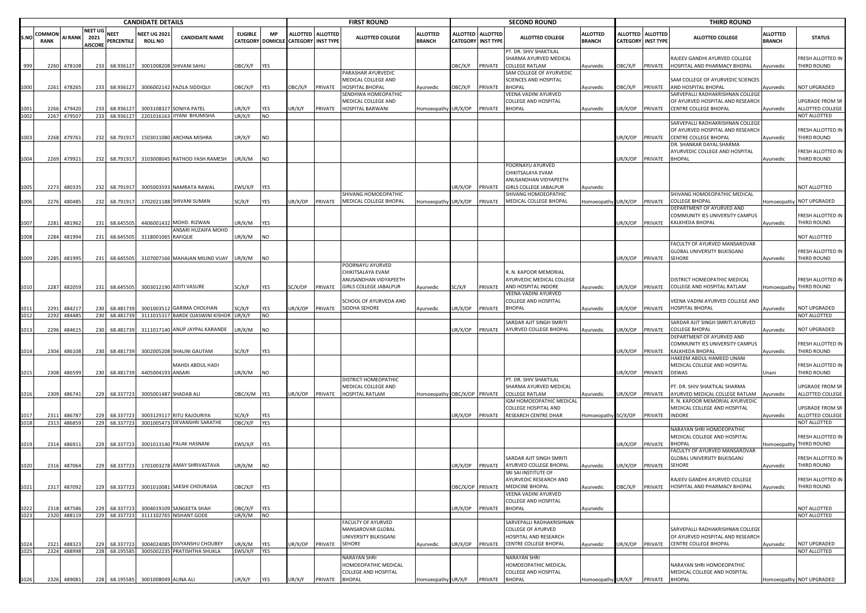|              |                      | <b>CANDIDATE DETAILS</b> |                                          |                           |                                      |                                                               |                   |                          |                                      |                   | <b>FIRST ROUND</b>                                                                       |                                   |                                              |                 | <b>SECOND ROUND</b>                                                                                        |                                   |                |                                              | <b>THIRD ROUND</b>                                                                                   |                                  |                                                            |
|--------------|----------------------|--------------------------|------------------------------------------|---------------------------|--------------------------------------|---------------------------------------------------------------|-------------------|--------------------------|--------------------------------------|-------------------|------------------------------------------------------------------------------------------|-----------------------------------|----------------------------------------------|-----------------|------------------------------------------------------------------------------------------------------------|-----------------------------------|----------------|----------------------------------------------|------------------------------------------------------------------------------------------------------|----------------------------------|------------------------------------------------------------|
| S.NO         | COMMO<br><b>RANK</b> | AI RANK                  | <b>NEET UG</b><br>2021<br><b>AISCORE</b> | <b>NEET</b><br>PERCENTILE | <b>NEET UG 202</b><br><b>ROLL NO</b> | <b>CANDIDATE NAME</b>                                         | <b>ELIGIBLE</b>   | <b>MP</b>                | CATEGORY DOMICILE CATEGORY INST TYPE | ALLOTTED ALLOTTED | <b>ALLOTTED COLLEGE</b>                                                                  | <b>ILLOTTED</b><br><b>BRANCH</b>  | <b>ALLOTTED</b><br><b>CATEGORY INST TYPE</b> | <b>ALLOTTED</b> | <b>ALLOTTED COLLEGE</b>                                                                                    | <b>ALLOTTED</b><br><b>BRANCH</b>  | ALLOTTED       | <b>ALLOTTED</b><br><b>CATEGORY INST TYPE</b> | <b>ALLOTTED COLLEGE</b>                                                                              | <b>ALLOTTED</b><br><b>BRANCH</b> | <b>STATUS</b>                                              |
| 999          | 2260                 | 478108                   | 233                                      | 68.936127                 |                                      | 3001008208 SHIVANI SAHU                                       | OBC/X/F           | <b>YES</b>               |                                      |                   |                                                                                          |                                   | <b>JBC/X/F</b>                               | PRIVATE         | PT. DR. SHIV SHAKTILAL<br>SHARMA AYURVED MEDICAL<br>COLLEGE RATLAM                                         | Ayurvedic                         | OBC/X/F        | PRIVATE                                      | RAJEEV GANDHI AYURVED COLLEGE<br>HOSPITAL AND PHARMACY BHOPAL                                        | Ayurvedic                        | FRESH ALLOTTED IN<br>THIRD ROUND                           |
| 1000         | 2261                 | 478265                   | 233                                      | 68.936127                 |                                      | 3006002142 FAZILA SIDDIQUI                                    | OBC/X/F           | <b>YES</b>               | OBC/X/F                              | PRIVATE           | PARASHAR AYURVEDIC<br>MEDICAL COLLEGE AND<br><b>HOSPITAL BHOPAL</b>                      | Ayurvedic                         | )BC/X/F                                      | PRIVATE         | SAM COLLEGE OF AYURVEDIC<br>SCIENCES AND HOSPITAL<br><b>BHOPAL</b>                                         | Ayurvedic                         | <b>DBC/X/F</b> | PRIVATE                                      | SAM COLLEGE OF AYURVEDIC SCIENCES<br>AND HOSPITAL BHOPAL                                             | Ayurvedic                        | NOT UPGRADED                                               |
| 1001<br>1002 | 2266<br>2267         | 479420<br>479507         | 233<br>233                               | 68.93612<br>68.936127     |                                      | 3003108327 SONIYA PATEL<br>2201016163 JIYANI BHUMISHA         | JR/X/F<br>UR/X/F  | YES<br><b>NO</b>         | UR/X/F                               | PRIVATE           | SENDHWA HOMEOPATHIC<br>MEDICAL COLLEGE AND<br>HOSPITAL BARWANI                           | Homoeopathy UR/X/OP               |                                              | PRIVATE         | VEENA VADINI AYURVED<br><b>COLLEGE AND HOSPITAL</b><br><b>BHOPAL</b>                                       | Ayurvedic                         | JR/X/OP        | PRIVATE                                      | SARVEPALLI RADHAKRISHNAN COLLEGI<br>OF AYURVED HOSPITAL AND RESEARCH<br><b>CENTRE COLLEGE BHOPAL</b> | Ayurvedic                        | <b>UPGRADE FROM SR</b><br>ALLOTTED COLLEGE<br>NOT ALLOTTED |
| 1003         | 2268                 | 479761                   | 232                                      | 68.791917                 |                                      | 1503011080 ARCHNA MISHRA                                      | UR/X/F            | <b>NO</b>                |                                      |                   |                                                                                          |                                   |                                              |                 |                                                                                                            |                                   | JR/X/OP        | PRIVATE                                      | SARVEPALLI RADHAKRISHNAN COLLEGE<br>OF AYURVED HOSPITAL AND RESEARCH<br><b>CENTRE COLLEGE BHOPAL</b> | Ayurvedic                        | FRESH ALLOTTED IN<br>THIRD ROUND                           |
| 1004         | 2269                 | 479921                   | 232                                      | 68.791917                 |                                      | 3103008045 RATHOD YASH RAMESH                                 | UR/X/M            | <b>NO</b>                |                                      |                   |                                                                                          |                                   |                                              |                 |                                                                                                            |                                   | UR/X/OP        | PRIVATE                                      | DR. SHANKAR DAYAL SHARMA<br>AYURVEDIC COLLEGE AND HOSPITAL<br><b>BHOPAL</b>                          | Ayurvedic                        | FRESH ALLOTTED IN<br>THIRD ROUND                           |
| 1005         | 2273                 | 480335                   | 232                                      | 68.791917                 |                                      | 3005003593 NAMRATA RAWAL                                      | :WS/X/F           | <b>YES</b>               |                                      |                   |                                                                                          |                                   | JR/X/OP                                      | PRIVATE         | POORNAYU AYURVED<br>CHIKITSALAYA EVAM<br>ANUSANDHAN VIDYAPEETH<br><b>GIRLS COLLEGE JABALPUR</b>            | Ayurvedic                         |                |                                              |                                                                                                      |                                  | NOT ALLOTTED                                               |
| 1006         | 2276                 | 480485                   | 232                                      | 68.791917                 |                                      | 1702021188 SHIVANI SUMAN                                      | SC/X/F            | YES                      | UR/X/OP                              | PRIVATE           | SHIVANG HOMOEOPATHIC<br>MEDICAL COLLEGE BHOPAL                                           | Homoeopathy UR/X/OP               |                                              | PRIVATE         | SHIVANG HOMOEOPATHIC<br>MEDICAL COLLEGE BHOPAL                                                             | Homoeopathy UR/X/OP               |                | PRIVATE                                      | SHIVANG HOMOEOPATHIC MEDICAL<br>COLLEGE BHOPAL                                                       |                                  | Homoeopathy NOT UPGRADED                                   |
| 1007         | 2281                 | 481962                   | 231                                      | 68.645505                 |                                      | 4406001432 MOHD. RIZWAN                                       | JR/X/M            | <b>YES</b>               |                                      |                   |                                                                                          |                                   |                                              |                 |                                                                                                            |                                   | JR/X/OP        | PRIVATE                                      | DEPARTMENT OF AYURVED AND<br>COMMUNITY IES UNIVERSITY CAMPUS<br>KALKHEDA BHOPAL                      | Ayurvedic                        | FRESH ALLOTTED IN<br>THIRD ROUND                           |
| 1008         | 2284                 | 481994                   | 231                                      | 68.645505                 | 3118001065 RAFIQUE                   | ANSARI HUZAIFA MOHD                                           | JR/X/M            | <b>NO</b>                |                                      |                   |                                                                                          |                                   |                                              |                 |                                                                                                            |                                   |                |                                              |                                                                                                      |                                  | NOT ALLOTTED                                               |
| 1009         | 2285                 | 481995                   | 231                                      | 68.645505                 |                                      | 3107007166 MAHAJAN MILIND VIJAY                               | UR/X/M            | NO                       |                                      |                   |                                                                                          |                                   |                                              |                 |                                                                                                            |                                   | UR/X/OP        | PRIVATE                                      | <b>FACULTY OF AYURVED MANSAROVAR</b><br>GLOBAL UNIVERSITY BILKISGANJ<br>SEHORE                       | Ayurvedic                        | FRESH ALLOTTED IN<br>THIRD ROUND                           |
| 1010         | 2287                 | 482059                   |                                          | 231 68.645505             |                                      | 3003012190 ADITI VASURE                                       | SC/X/F            | YES                      | SC/X/OP                              | PRIVATE           | POORNAYU AYURVED<br>CHIKITSALAYA EVAM<br>ANUSANDHAN VIDYAPEETH<br>GIRLS COLLEGE JABALPUR | Ayurvedic                         | SC/X/F                                       |                 | R. N. KAPOOR MEMORIAL<br>AYURVEDIC MEDICAL COLLEGE<br>PRIVATE AND HOSPITAL INDORE                          | Ayurvedic                         | UR/X/OP        |                                              | DISTRICT HOMEOPATHIC MEDICAL<br>PRIVATE COLLEGE AND HOSPITAL RATLAM                                  |                                  | FRESH ALLOTTED IN<br>Homoeopathy THIRD ROUND               |
| 1011<br>1012 | 2291<br>2292         | 484217<br>484485         | 230<br>230                               | 68.481739<br>68.481739    |                                      | 3001003512 GARIMA CHOUHAN<br>3111015317 BARDE OJASWINI KISHOR | SC/X/F<br>UR/X/F  | YES<br><b>NO</b>         | JR/X/OP                              | PRIVATE           | SCHOOL OF AYURVEDA AND<br>SIDDHA SEHORE                                                  | Ayurvedic                         | JR/X/OP                                      | PRIVATE         | VEENA VADINI AYURVED<br>COLLEGE AND HOSPITAL<br><b>BHOPAL</b>                                              | Ayurvedic                         | JR/X/OP        | PRIVATE                                      | VEENA VADINI AYURVED COLLEGE AND<br>HOSPITAL BHOPAL                                                  | <b>Ayurvedic</b>                 | NOT UPGRADED<br>NOT ALLOTTED                               |
|              |                      |                          |                                          |                           |                                      |                                                               |                   |                          |                                      |                   |                                                                                          |                                   |                                              |                 | SARDAR AJIT SINGH SMRITI                                                                                   |                                   |                |                                              | SARDAR AJIT SINGH SMRITI AYURVED                                                                     |                                  |                                                            |
| 1013         | 2296                 | 484615                   | 230                                      | 68.481739                 |                                      | 3111017140 ANUP JAYPAL KARANDE                                | JR/X/M            | <b>NO</b>                |                                      |                   |                                                                                          |                                   | JR/X/OP                                      | PRIVATE         | AYURVED COLLEGE BHOPAL                                                                                     | Ayurvedic                         | JR/X/OP        | PRIVATE                                      | COLLEGE BHOPAL<br>DEPARTMENT OF AYURVED AND                                                          | Ayurvedic                        | NOT UPGRADED                                               |
| 1014         | 2304                 | 486108                   | 230                                      | 68.481739                 |                                      | 3002005208 SHALINI GAUTAM                                     | SC/X/F            | YES                      |                                      |                   |                                                                                          |                                   |                                              |                 |                                                                                                            |                                   | JR/X/OP        | PRIVATE                                      | COMMUNITY IES UNIVERSITY CAMPUS<br>KALKHEDA BHOPAL<br>HAKEEM ABDUL HAMEED UNANI                      | Ayurvedic                        | FRESH ALLOTTED IN<br>THIRD ROUND                           |
| 1015         | 2308                 | 486599                   | 230                                      | 68.481739                 | 4405004193 ANSARI                    | MAHDI ABDUL HADI                                              | UR/X/M            | NO                       |                                      |                   |                                                                                          |                                   |                                              |                 |                                                                                                            |                                   | UR/X/OP        | PRIVATE                                      | MEDICAL COLLEGE AND HOSPITAL<br>DEWAS                                                                | Unani                            | FRESH ALLOTTED IN<br>THIRD ROUND                           |
| 1016         | 2309                 | 486741                   | 229                                      | 68.337723                 |                                      | 3005001487 SHADAB ALI                                         | ОВС/Х/М           | <b>YES</b>               | JR/X/OP                              | PRIVATE           | DISTRICT HOMEOPATHIC<br>MEDICAL COLLEGE AND<br>HOSPITAL RATLAM                           | Homoeopathy OBC/X/OP              |                                              | PRIVATE         | PT. DR. SHIV SHAKTILAL<br>SHARMA AYURVED MEDICAL<br>COLLEGE RATLAM                                         | Ayurvedic                         | JR/X/OP        | PRIVATE                                      | PT. DR. SHIV SHAKTILAL SHARMA<br>AYURVED MEDICAL COLLEGE RATLAM                                      | Ayurvedic                        | <b>UPGRADE FROM SR</b><br>ALLOTTED COLLEGE                 |
| 1018         | 2311<br>2313         | 486787<br>486859         | 229                                      | 68.33772<br>229 68.337723 |                                      | 3003129117 RITU RAJOURIYA<br>3001005473 DEVANSHRI SARATHE     | SC/X/F<br>OBC/X/F | <b>YES</b><br><b>YES</b> |                                      |                   |                                                                                          |                                   | JR/X/OP                                      | PRIVATE         | IGM HOMOEOPATHIC MEDICAL<br><b>COLLEGE HOSPITAL AND</b><br>RESEARCH CENTRE DHAR                            | Homoeopathy                       | SC/X/OP        | PRIVATE                                      | R. N. KAPOOR MEMORIAL AYURVEDIC<br>MEDICAL COLLEGE AND HOSPITAL<br><b>INDORE</b>                     | Ayurvedic                        | <b>UPGRADE FROM SR</b><br>ALLOTTED COLLEGE<br>NOT ALLOTTED |
| 1019         | 2314                 | 486911                   | 229                                      | 68.337723                 |                                      | 3001013140 PALAK HASNANI                                      | :WS/X/F           | <b>YES</b>               |                                      |                   |                                                                                          |                                   |                                              |                 |                                                                                                            |                                   | JR/X/OP        | PRIVATE                                      | NARAYAN SHRI HOMOEOPATHIC<br>MEDICAL COLLEGE AND HOSPITAL<br><b>BHOPAI</b>                           |                                  | FRESH ALLOTTED IN<br>Iomoeopathy THIRD ROUND               |
| 1020         | 2316                 | 487064                   | 229                                      | 68.337723                 |                                      | 1701003278 AMAY SHRIVASTAVA                                   | JR/X/M            | <b>NO</b>                |                                      |                   |                                                                                          |                                   | JR/X/OP                                      |                 | SARDAR AJIT SINGH SMRITI<br>PRIVATE AYURVED COLLEGE BHOPAL                                                 | Ayurvedic                         | UR/X/OP        | PRIVATE                                      | <b>FACULTY OF AYURVED MANSAROVAR</b><br>GLOBAL UNIVERSITY BILKISGANJ<br><b>SEHORE</b>                | Ayurvedic                        | FRESH ALLOTTED IN<br>THIRD ROUND                           |
| 1021         |                      | 2317 487092              | 229                                      |                           |                                      | 68.337723 3001010081 SAKSHI CHOURASIA                         | OBC/X/F YES       |                          |                                      |                   |                                                                                          |                                   |                                              |                 | SRI SAI INSTITUTE OF<br>AYURVEDIC RESEARCH AND<br>OBC/X/OP PRIVATE MEDICINE BHOPAL<br>VEENA VADINI AYURVED | Ayurvedic                         | OBC/X/F        |                                              | RAJEEV GANDHI AYURVED COLLEGE<br>PRIVATE HOSPITAL AND PHARMACY BHOPAL                                | Ayurvedic                        | <b><i>ERESH ALLOTTED IN</i></b><br>THIRD ROUND             |
| 1022         | 2318                 | 487586                   | 229                                      | 68.33772                  |                                      | 3004019109 SANGEETA SHAH                                      | OBC/X/F           | <b>YES</b>               |                                      |                   |                                                                                          |                                   | JR/X/OP                                      | PRIVATE         | <b>COLLEGE AND HOSPITAL</b><br><b>BHOPAL</b>                                                               | Ayurvedic                         |                |                                              |                                                                                                      |                                  | NOT ALLOTTED                                               |
| 1023         |                      | 2320 488119              | 229                                      | 68.337723                 |                                      | 3111102765 NISHANT GODE                                       | UR/X/M            | <b>NO</b>                |                                      |                   | FACULTY OF AYURVED                                                                       |                                   |                                              |                 | SARVEPALLI RADHAKRISHNAN                                                                                   |                                   |                |                                              |                                                                                                      |                                  | NOT ALLOTTED                                               |
| 1024         | 2321                 | 488323                   | 229                                      | 68.337723                 |                                      | 3004024085 DIVYANSHU CHOUBEY                                  | UR/X/M            | <b>YES</b>               | UR/X/OP                              | PRIVATE           | MANSAROVAR GLOBAL<br>UNIVERSITY BILKISGANJ<br>SEHORE                                     | Ayurvedic                         | JR/X/OP                                      |                 | <b>COLLEGE OF AYURVED</b><br>HOSPITAL AND RESEARCH<br>PRIVATE CENTRE COLLEGE BHOPAL                        | Ayurvedic                         | UR/X/OP        | PRIVATE                                      | SARVEPALLI RADHAKRISHNAN COLLEGE<br>OF AYURVED HOSPITAL AND RESEARCH<br>CENTRE COLLEGE BHOPAL        | Ayurvedic                        | NOT UPGRADED                                               |
| 1025         | 2324                 | 488998                   |                                          | 228 68.195585             |                                      | 3005002235 PRATISHTHA SHUKLA                                  | EWS/X/F YES       |                          |                                      |                   |                                                                                          |                                   |                                              |                 |                                                                                                            |                                   |                |                                              |                                                                                                      |                                  | NOT ALLOTTED                                               |
| 1026         |                      | 2326 489081              |                                          |                           | 228 68.195585 3001008049 ALINA ALI   |                                                               | UR/X/F            | <b>YES</b>               | UR/X/F                               | PRIVATE BHOPAL    | NARAYAN SHRI<br>HOMOEOPATHIC MEDICAL<br>COLLEGE AND HOSPITAL                             | Homoeopathy UR/X/F PRIVATE BHOPAL |                                              |                 | NARAYAN SHRI<br>HOMOEOPATHIC MEDICAL<br><b>COLLEGE AND HOSPITAL</b>                                        | Homoeopathy UR/X/F PRIVATE BHOPAL |                |                                              | NARAYAN SHRI HOMOEOPATHIC<br>MEDICAL COLLEGE AND HOSPITAL                                            |                                  | Homoeopathy NOT UPGRADED                                   |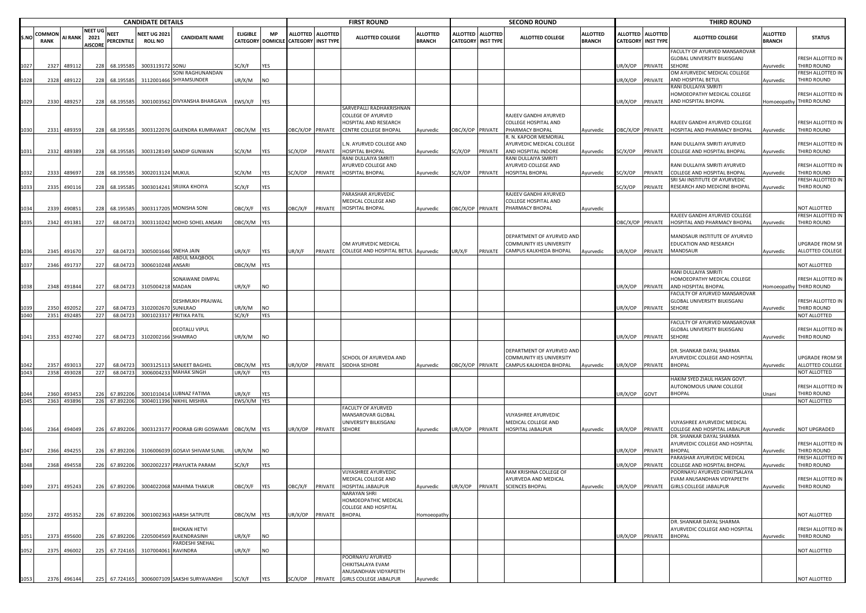|      |                       | <b>CANDIDATE DETAILS</b> |                                          |                           |                                       |                                                |                  |            |                                                           |                | <b>FIRST ROUND</b>                                                               |                                  |                           |                   | <b>SECOND ROUND</b>                                                                      |                                  |                                    |                                     | <b>THIRD ROUND</b>                                                                                    |                                  |                                                    |
|------|-----------------------|--------------------------|------------------------------------------|---------------------------|---------------------------------------|------------------------------------------------|------------------|------------|-----------------------------------------------------------|----------------|----------------------------------------------------------------------------------|----------------------------------|---------------------------|-------------------|------------------------------------------------------------------------------------------|----------------------------------|------------------------------------|-------------------------------------|-------------------------------------------------------------------------------------------------------|----------------------------------|----------------------------------------------------|
| S.NO | COMMON<br><b>RANK</b> | <b>AI RANK</b>           | <b>NEET UG</b><br>2021<br><b>AISCORE</b> | <b>NEET</b><br>PERCENTILE | <b>NEET UG 2021</b><br><b>ROLL NO</b> | <b>CANDIDATE NAME</b>                          | <b>ELIGIBLE</b>  | <b>MP</b>  | ALLOTTED ALLOTTED<br>CATEGORY DOMICILE CATEGORY INST TYPE |                | <b>ALLOTTED COLLEGE</b>                                                          | <b>ALLOTTED</b><br><b>BRANCH</b> | <b>CATEGORY INST TYPE</b> | ALLOTTED ALLOTTED | <b>ALLOTTED COLLEGE</b>                                                                  | <b>ALLOTTED</b><br><b>BRANCH</b> | <b>ALLOTTED</b><br><b>CATEGORY</b> | <b>ALLOTTED</b><br><b>INST TYPE</b> | <b>ALLOTTED COLLEGE</b>                                                                               | <b>ALLOTTED</b><br><b>BRANCH</b> | <b>STATUS</b>                                      |
| 1027 | 2327                  | 48911                    | 228                                      | 68.195585                 | 3003119172 SONU                       |                                                | SC/X/F           | YES        |                                                           |                |                                                                                  |                                  |                           |                   |                                                                                          |                                  | UR/X/OP                            | PRIVATE                             | FACULTY OF AYURVED MANSAROVAR<br>GLOBAL UNIVERSITY BILKISGANJ<br><b>SEHORE</b>                        | vyurvedic                        | RESH ALLOTTED IN<br>THIRD ROUND                    |
| 1028 | 2328                  | 489122                   |                                          | 228 68.195585             |                                       | SONI RAGHUNANDAN<br>3112001466 SHYAMSUNDER     | UR/X/M           | NO.        |                                                           |                |                                                                                  |                                  |                           |                   |                                                                                          |                                  | JR/X/OP                            | <b>RIVATE</b>                       | OM AYURVEDIC MEDICAL COLLEGE<br>AND HOSPITAL BETUL                                                    | Ayurvedic                        | <b>RESH ALLOTTED IN</b><br><b>THIRD ROUND</b>      |
| 1029 | 2330                  | 489257                   |                                          | 228 68.195585             |                                       | 3001003562 DIVYANSHA BHARGAVA                  | EWS/X/F          | <b>YES</b> |                                                           |                |                                                                                  |                                  |                           |                   |                                                                                          |                                  | UR/X/OP                            | PRIVATE                             | RANI DULLAIYA SMRIT<br>HOMOEOPATHY MEDICAL COLLEGE<br>AND HOSPITAL BHOPAL                             | Homoeopathy                      | RESH ALLOTTED IN<br>THIRD ROUND                    |
|      |                       |                          |                                          |                           |                                       |                                                |                  |            |                                                           |                | SARVEPALLI RADHAKRISHNAN                                                         |                                  |                           |                   |                                                                                          |                                  |                                    |                                     |                                                                                                       |                                  |                                                    |
|      |                       |                          |                                          |                           |                                       |                                                |                  |            |                                                           |                | <b>COLLEGE OF AYURVED</b><br>HOSPITAL AND RESEARCH                               |                                  |                           |                   | RAJEEV GANDHI AYURVED<br>COLLEGE HOSPITAL AND                                            |                                  |                                    |                                     | RAJEEV GANDHI AYURVED COLLEGE                                                                         |                                  | RESH ALLOTTED IN                                   |
| 1030 |                       | 2331 489359              |                                          | 228 68.195585             |                                       | 3003122076 GAJENDRA KUMRAWAT OBC/X/M YES       |                  |            |                                                           |                | OBC/X/OP PRIVATE CENTRE COLLEGE BHOPAL                                           | Ayurvedic                        | OBC/X/OP PRIVATE          |                   | PHARMACY BHOPAL<br>R. N. KAPOOR MEMORIAL                                                 | Ayurvedic                        | OBC/X/OP PRIVATE                   |                                     | HOSPITAL AND PHARMACY BHOPAL                                                                          | Ayurvedic                        | <b>THIRD ROUND</b>                                 |
|      |                       |                          |                                          |                           |                                       |                                                |                  |            |                                                           |                | L.N. AYURVED COLLEGE AND                                                         |                                  |                           |                   | AYURVEDIC MEDICAL COLLEGE                                                                |                                  |                                    |                                     | RANI DULLAIYA SMRITI AYURVED                                                                          |                                  | RESH ALLOTTED IN                                   |
| 1031 | 2332                  | 489389                   |                                          | 228 68.195585             |                                       | 3003128149 SANDIP GUNWAN                       | SC/X/M           | <b>YES</b> | SC/X/OP                                                   | PRIVATE        | HOSPITAL BHOPAL<br>RANI DULLAIYA SMRITI                                          | Ayurvedic                        | SC/X/OP                   | PRIVATE           | AND HOSPITAL INDORE<br>RANI DULLAIYA SMRITI                                              | Ayurvedic                        | SC/X/OP                            | PRIVATE                             | COLLEGE AND HOSPITAL BHOPAL                                                                           | Ayurvedic                        | <b>THIRD ROUND</b>                                 |
|      |                       |                          |                                          |                           |                                       |                                                |                  |            |                                                           |                | AYURVED COLLEGE AND                                                              |                                  |                           |                   | <b>AYURVED COLLEGE AND</b>                                                               |                                  |                                    |                                     | RANI DULLAIYA SMRITI AYURVED                                                                          |                                  | FRESH ALLOTTED IN                                  |
| 1032 | 2333                  | 489697                   | 228                                      | 68.195585                 | 3002013124 MUKUL                      |                                                | SC/X/M           | <b>YES</b> | C/X/OP                                                    | PRIVATE        | HOSPITAL BHOPAL                                                                  | Ayurvedic                        | C/X/OP                    | PRIVATE           | HOSPITAL BHOPAL                                                                          | Ayurvedic                        | C/X/OP                             | PRIVATE                             | COLLEGE AND HOSPITAL BHOPAL<br>SRI SAI INSTITUTE OF AYURVEDIC                                         | vyurvedic                        | THIRD ROUND<br>RESH ALLOTTED IN                    |
| 1033 | 2335                  | 49011                    | 228                                      | 68.195585                 | 3003014241                            | SRIJIKA KHOIYA                                 | SC/X/F           | <b>YES</b> |                                                           |                |                                                                                  |                                  |                           |                   |                                                                                          |                                  | SC/X/OP                            | PRIVATE                             | RESEARCH AND MEDICINE BHOPAL                                                                          | Ayurvedic                        | <b>THIRD ROUND</b>                                 |
|      | 2339                  | 49085                    | 228                                      | 68.195585                 |                                       | 3003117205 MONISHA SONI                        | OBC/X/F          | <b>YES</b> | <b>DBC/X/F</b>                                            | PRIVATE        | PARASHAR AYURVEDIC<br>MEDICAL COLLEGE AND<br><b>HOSPITAL BHOPAL</b>              | Ayurvedic                        | OBC/X/OP PRIVATE          |                   | RAJEEV GANDHI AYURVED<br>COLLEGE HOSPITAL AND<br>PHARMACY BHOPAL                         | Ayurvedic                        |                                    |                                     |                                                                                                       |                                  | <b>NOT ALLOTTED</b>                                |
|      |                       |                          |                                          |                           |                                       |                                                |                  |            |                                                           |                |                                                                                  |                                  |                           |                   |                                                                                          |                                  |                                    |                                     | RAJEEV GANDHI AYURVED COLLEGE                                                                         |                                  | RESH ALLOTTED IN                                   |
| 1035 |                       | 2342 491381              | 227                                      | 68.04723                  |                                       | 3003110242 MOHD SOHEL ANSARI                   | OBC/X/M YES      |            |                                                           |                |                                                                                  |                                  |                           |                   |                                                                                          |                                  | DBC/X/OP PRIVATE                   |                                     | HOSPITAL AND PHARMACY BHOPAL                                                                          | Ayurvedic                        | THIRD ROUND                                        |
| 1036 | 2345                  | 491670                   | 227                                      | 68.04723                  |                                       | 3005001646 SNEHA JAIN                          | UR/X/F           | YES        | JR/X/F                                                    | PRIVATE        | OM AYURVEDIC MEDICAL<br>COLLEGE AND HOSPITAL BETUL                               | Ayurvedic                        | UR/X/F                    | PRIVATE           | DEPARTMENT OF AYURVED AND<br>COMMUNITY IES UNIVERSITY<br>CAMPUS KALKHEDA BHOPAL          | Ayurvedic                        | UR/X/OP                            | PRIVATE                             | MANDSAUR INSTITUTE OF AYURVED<br>EDUCATION AND RESEARCH<br><b>MANDSAUR</b>                            | Ayurvedic                        | JPGRADE FROM SR<br>ALLOTTED COLLEGE                |
| 1037 | 2346                  | 491737                   | 227                                      | 68.04723                  | 3006010248 ANSARI                     | ABDUL MAQBOOL                                  | OBC/X/M YES      |            |                                                           |                |                                                                                  |                                  |                           |                   |                                                                                          |                                  |                                    |                                     |                                                                                                       |                                  | <b>NOT ALLOTTED</b>                                |
| 1038 | 2348                  | 491844                   | 227                                      | 68.04723                  | 3105004218 MADAN                      | SONAWANE DIMPAL                                | UR/X/F           | <b>NO</b>  |                                                           |                |                                                                                  |                                  |                           |                   |                                                                                          |                                  | UR/X/OP                            | PRIVATE                             | RANI DULLAIYA SMRITI<br>HOMOEOPATHY MEDICAL COLLEGE<br>AND HOSPITAL BHOPAL                            | Homoeopathy                      | RESH ALLOTTED IN<br>THIRD ROUND                    |
|      |                       |                          |                                          |                           |                                       | DESHMUKH PRAJWAL<br>SUNILRAO                   |                  | NΩ         |                                                           |                |                                                                                  |                                  |                           |                   |                                                                                          |                                  |                                    |                                     | FACULTY OF AYURVED MANSAROVAR<br>GLOBAL UNIVERSITY BILKISGANJ<br>SEHORE                               |                                  | FRESH ALLOTTED IN                                  |
| 1040 | 2350                  | 49205<br>2351 492485     | 227<br>227                               | 68.04723<br>68.04723      | 3102002670                            | 3001023317 PRITIKA PATIL                       | JR/X/M<br>SC/X/F | <b>YES</b> |                                                           |                |                                                                                  |                                  |                           |                   |                                                                                          |                                  | JR/X/OP                            | PRIVATE                             |                                                                                                       | Ayurvedic                        | THIRD ROUND<br><b>NOT ALLOTTED</b>                 |
| 1041 | 2353                  | 492740                   | 227                                      | 68.04723                  | 3102002166 SHAMRAO                    | DEOTALU VIPUL                                  | UR/X/M           | <b>INO</b> |                                                           |                |                                                                                  |                                  |                           |                   |                                                                                          |                                  | UR/X/OP                            | PRIVATE                             | FACULTY OF AYURVED MANSAROVAR<br>GLOBAL UNIVERSITY BILKISGANJ<br><b>SEHORE</b>                        | Ayurvedic                        | RESH ALLOTTED IN<br><b>THIRD ROUND</b>             |
|      |                       |                          |                                          |                           |                                       |                                                |                  |            |                                                           |                | SCHOOL OF AYURVEDA AND                                                           |                                  |                           |                   | DEPARTMENT OF AYURVED AND<br>COMMUNITY IES UNIVERSITY                                    |                                  |                                    |                                     | DR. SHANKAR DAYAL SHARMA<br>AYURVEDIC COLLEGE AND HOSPITAL                                            |                                  | JPGRADE FROM SR                                    |
|      | 235                   | 49301                    | 227                                      | 68.0472                   | 3003125113                            | SANJEET BAGHEL                                 | OBC/X/M          | <b>YES</b> | JR/X/OP                                                   | PRIVATE        | SIDDHA SEHORE                                                                    | Ayurvedic                        | OBC/X/OP PRIVATE          |                   | CAMPUS KALKHEDA BHOPAL                                                                   | Ayurvedic                        | JR/X/OP                            | PRIVATE                             | <b>BHOPAL</b>                                                                                         | Ayurvedic                        | ALLOTTED COLLEGE                                   |
| 1043 | 2358                  | 493028                   | 227                                      | 68.04723                  |                                       | 3006004233 MAHAK SINGH                         | UR/X/F           | <b>YES</b> |                                                           |                |                                                                                  |                                  |                           |                   |                                                                                          |                                  |                                    |                                     | HAKIM SYED ZIAUL HASAN GOVT.                                                                          |                                  | NOT ALLOTTED                                       |
|      | 2360                  | 493453                   | 226                                      | 67.892206                 |                                       | 3001010414 LUBNAZ FATIMA                       | UR/X/F           | <b>YES</b> |                                                           |                |                                                                                  |                                  |                           |                   |                                                                                          |                                  | UR/X/OP                            | GOVT                                | AUTONOMOUS UNANI COLLEGE<br><b>BHOPAL</b>                                                             | Jnani                            | RESH ALLOTTED IN<br><b>THIRD ROUND</b>             |
| 1045 |                       | 2363 493896              |                                          | 226 67.892206             |                                       | 3004011396 NIKHIL MISHRA                       | EWS/X/M YES      |            |                                                           |                | FACULTY OF AYURVED                                                               |                                  |                           |                   |                                                                                          |                                  |                                    |                                     |                                                                                                       |                                  | NOT ALLOTTED                                       |
|      |                       |                          |                                          | 226 67.892206             |                                       | 3003123177 POORAB GIRI GOSWAMI OBC/X/M YES     |                  |            |                                                           |                | MANSAROVAR GLOBAL<br>UNIVERSITY BILKISGANJ                                       |                                  |                           |                   | VIJYASHREE AYURVEDIC<br>MEDICAL COLLEGE AND<br>HOSPITAL JABALPUR                         |                                  |                                    |                                     | VIJYASHREE AYURVEDIC MEDICAL                                                                          |                                  |                                                    |
| 1046 |                       | 2364 494049              |                                          |                           |                                       |                                                |                  |            | JR/X/OP                                                   | PRIVATE SEHORE |                                                                                  | Ayurvedic                        | JR/X/OP PRIVATE           |                   |                                                                                          | Ayurvedic                        | UR/X/OP                            | PRIVATE                             | COLLEGE AND HOSPITAL JABALPUR<br>DR. SHANKAR DAYAL SHARMA                                             | Ayurvedic                        | NOT UPGRADED                                       |
| 1047 | 2366                  | 494255                   |                                          | 226 67.892206             |                                       | 3106006039 GOSAVI SHIVAM SUNIL                 | JR/X/M           | <b>NO</b>  |                                                           |                |                                                                                  |                                  |                           |                   |                                                                                          |                                  | JR/X/OP                            | <b>RIVATE</b>                       | AYURVEDIC COLLEGE AND HOSPITAL<br><b>BHOPAL</b><br>ARASHAR AYURVEDIC MEDICAL                          | Ayurvedic                        | RESH ALLOTTED IN<br>HIRD ROUND<br>RESH ALLOTTED IN |
| 1048 | 2368                  | 494558                   | 226                                      | 67.892206                 |                                       | 3002002237 PRAYUKTA PARAM                      | SC/X/F           | YES        |                                                           |                |                                                                                  |                                  |                           |                   |                                                                                          |                                  | JR/X/OP                            | PRIVATE                             | COLLEGE AND HOSPITAL BHOPAL                                                                           | Ayurvedic                        | <b>THIRD ROUND</b>                                 |
| 1049 |                       | 2371 495243              |                                          |                           |                                       | 226 67.892206 3004022068 MAHIMA THAKUR         | OBC/X/F YES      |            |                                                           |                | VIJYASHREE AYURVEDIC<br>MEDICAL COLLEGE AND<br>OBC/X/F PRIVATE HOSPITAL JABALPUR | Ayurvedic                        |                           |                   | RAM KRISHNA COLLEGE OF<br><b>AYURVEDA AND MEDICAL</b><br>UR/X/OP PRIVATE SCIENCES BHOPAL | Ayurvedic                        |                                    |                                     | POORNAYU AYURVED CHIKITSALAYA<br>EVAM ANUSANDHAN VIDYAPEETH<br>UR/X/OP PRIVATE GIRLS COLLEGE JABALPUR | Ayurvedic                        | FRESH ALLOTTED IN<br>THIRD ROUND                   |
|      |                       |                          |                                          |                           |                                       |                                                |                  |            |                                                           |                | NARAYAN SHRI<br>HOMOEOPATHIC MEDICAL<br>COLLEGE AND HOSPITAL                     |                                  |                           |                   |                                                                                          |                                  |                                    |                                     |                                                                                                       |                                  |                                                    |
| 1050 |                       | 2372 495352              |                                          | 226 67.892206             |                                       | 3001002363 HARSH SATPUTE                       | OBC/X/M YES      |            | UR/X/OP                                                   | PRIVATE        | <b>BHOPAL</b>                                                                    | Iomoeopathy                      |                           |                   |                                                                                          |                                  |                                    |                                     | DR. SHANKAR DAYAL SHARMA                                                                              |                                  | NOT ALLOTTED                                       |
| 1051 | 2373                  | 495600                   |                                          | 226 67.892206             |                                       | <b>BHOKAN HETVI</b><br>2205004569 RAJENDRASINH | UR/X/F           | <b>NO</b>  |                                                           |                |                                                                                  |                                  |                           |                   |                                                                                          |                                  | UR/X/OP                            | PRIVATE                             | AYURVEDIC COLLEGE AND HOSPITAL<br><b>BHOPAL</b>                                                       | Ayurvedic                        | FRESH ALLOTTED IN<br>THIRD ROUND                   |
| 1052 | 2375                  | 496002                   |                                          | 225 67.724165             | 3107004061 RAVINDRA                   | PARDESHI SNEHAL                                | UR/X/F           | <b>NO</b>  |                                                           |                |                                                                                  |                                  |                           |                   |                                                                                          |                                  |                                    |                                     |                                                                                                       |                                  | <b>NOT ALLOTTED</b>                                |
|      |                       |                          |                                          |                           |                                       |                                                |                  |            |                                                           |                | POORNAYU AYURVED<br>CHIKITSALAYA EVAM                                            |                                  |                           |                   |                                                                                          |                                  |                                    |                                     |                                                                                                       |                                  |                                                    |
| 1053 |                       | 2376 496144              |                                          |                           |                                       | 225 67.724165 3006007109 SAKSHI SURYAVANSHI    | SC/X/F           | YES        | SC/X/OP                                                   | PRIVATE        | ANUSANDHAN VIDYAPEETH<br><b>GIRLS COLLEGE JABALPUR</b>                           | Ayurvedic                        |                           |                   |                                                                                          |                                  |                                    |                                     |                                                                                                       |                                  | NOT ALLOTTED                                       |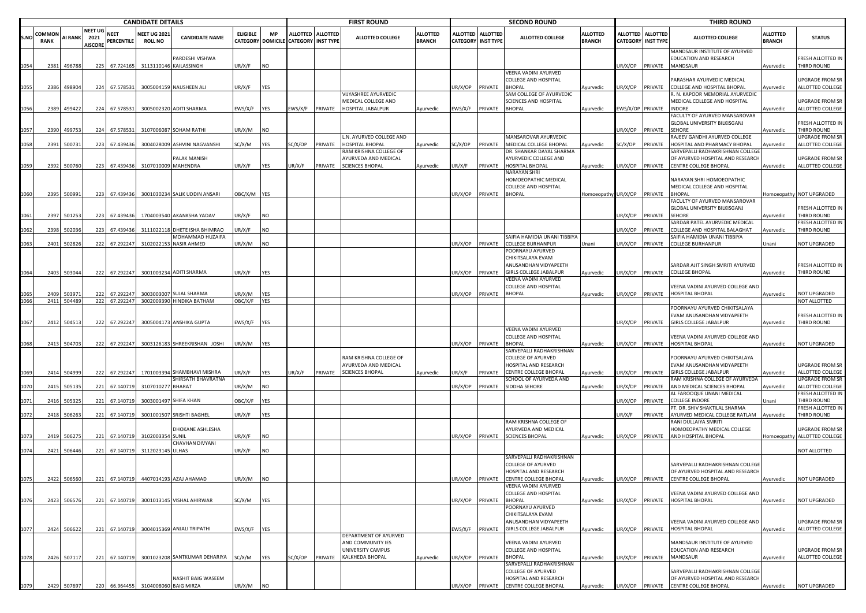|      |                      |              |                                  |                           | <b>CANDIDATE DETAILS</b>              |                                                   |                 |            |                                                           |         | <b>FIRST ROUND</b>                                               |                                  |                                              |                 | <b>SECOND ROUND</b>                                                                         |                                  |                  |                                         | <b>THIRD ROUND</b>                                                                                                      |                                  |                                                 |
|------|----------------------|--------------|----------------------------------|---------------------------|---------------------------------------|---------------------------------------------------|-----------------|------------|-----------------------------------------------------------|---------|------------------------------------------------------------------|----------------------------------|----------------------------------------------|-----------------|---------------------------------------------------------------------------------------------|----------------------------------|------------------|-----------------------------------------|-------------------------------------------------------------------------------------------------------------------------|----------------------------------|-------------------------------------------------|
| S.NO | COMMO<br><b>RANK</b> | AI RANK 2021 | <b>NEET UG</b><br><b>AISCORE</b> | <b>NEET</b><br>PERCENTILE | <b>NEET UG 2021</b><br><b>ROLL NO</b> | <b>CANDIDATE NAME</b>                             | <b>ELIGIBLE</b> | <b>MP</b>  | ALLOTTED ALLOTTED<br>CATEGORY DOMICILE CATEGORY INST TYPE |         | <b>ALLOTTED COLLEGE</b>                                          | <b>ALLOTTED</b><br><b>BRANCH</b> | <b>ALLOTTED</b><br><b>CATEGORY INST TYPE</b> | <b>ALLOTTED</b> | ALLOTTED COLLEGE                                                                            | <b>ALLOTTED</b><br><b>BRANCH</b> |                  | ALLOTTED ALLOTTED<br>CATEGORY INST TYPE | <b>ALLOTTED COLLEGE</b>                                                                                                 | <b>ALLOTTED</b><br><b>BRANCH</b> | <b>STATUS</b>                                   |
| 1054 | 2381                 | 496788       | 225                              | 67.724165                 |                                       | ARDESHI VISHWA<br>3113110146 KAILASSINGH          | UR/X/F          | <b>NO</b>  |                                                           |         |                                                                  |                                  |                                              |                 |                                                                                             |                                  | JR/X/OP          | PRIVATE                                 | MANDSAUR INSTITUTE OF AYURVED<br>EDUCATION AND RESEARCH<br><b>MANDSAUR</b>                                              | Ayurvedic                        | FRESH ALLOTTED IN<br>THIRD ROUND                |
| 1055 | 2386                 | 498904       | 224                              | 67.578531                 |                                       | 3005004159 NAUSHEEN ALI                           | UR/X/F          | YES        |                                                           |         |                                                                  |                                  | JR/X/OP                                      | PRIVATE         | VEENA VADINI AYURVED<br>COLLEGE AND HOSPITAL<br>BHOPAL                                      | Ayurvedic                        | JR/X/OP          | PRIVATE                                 | PARASHAR AYURVEDIC MEDICAL<br>COLLEGE AND HOSPITAL BHOPAL                                                               | Ayurvedic                        | JPGRADE FROM SR<br>ALLOTTED COLLEGE             |
| 1056 | 2389                 | 499422       | 224                              | 67.578531                 |                                       | 3005002320 ADITI SHARMA                           | EWS/X/F         | <b>YES</b> | WS/X/F                                                    | PRIVATE | VIJYASHREE AYURVEDIC<br>MEDICAL COLLEGE AND<br>HOSPITAL JABALPUR | Ayurvedic                        | :WS/X/F                                      | PRIVATE         | SAM COLLEGE OF AYURVEDIC<br><b>SCIENCES AND HOSPITAL</b><br><b>BHOPAL</b>                   | Ayurvedic                        | EWS/X/OP PRIVATE |                                         | R. N. KAPOOR MEMORIAL AYURVEDIC<br>MEDICAL COLLEGE AND HOSPITAL<br><b>INDORE</b>                                        | Ayurvedic                        | JPGRADE FROM SR<br>ALLOTTED COLLEGE             |
|      |                      |              |                                  |                           |                                       |                                                   |                 |            |                                                           |         |                                                                  |                                  |                                              |                 |                                                                                             |                                  |                  |                                         | FACULTY OF AYURVED MANSAROVAR<br>GLOBAL UNIVERSITY BILKISGANJ                                                           |                                  | RESH ALLOTTED IN                                |
| 1057 | 2390                 | 499753       | 224                              | 67.578531                 |                                       | 3107006087 SOHAM RATHI                            | UR/X/M          | <b>NO</b>  |                                                           |         | L.N. AYURVED COLLEGE AND                                         |                                  |                                              |                 | MANSAROVAR AYURVEDIC                                                                        |                                  | JR/X/OP          | PRIVATE                                 | <b>SFHORF</b><br>RAJEEV GANDHI AYURVED COLLEGE                                                                          | vurvedic                         | THIRD ROUND<br>JPGRADE FROM SR                  |
| 1058 | 2391                 | 500731       | 223                              | 67.439436                 | 3004028009                            | <b>ASHVINI NAGVANSHI</b>                          | SC/X/M          | YES        | GC/X/OP                                                   | PRIVATE | HOSPITAL BHOPAL                                                  | Ayurvedic                        | SC/X/OP                                      | PRIVATE         | MEDICAL COLLEGE BHOPAL                                                                      | Ayurvedic                        | SC/X/OP          | PRIVATE                                 | HOSPITAL AND PHARMACY BHOPAL                                                                                            | yurvedic                         | ALLOTTED COLLEGE                                |
|      |                      |              |                                  |                           |                                       | <b>ALAK MANISH</b>                                |                 |            |                                                           |         | RAM KRISHNA COLLEGE OF<br>AYURVEDA AND MEDICAL                   |                                  |                                              |                 | DR. SHANKAR DAYAL SHARMA<br>AYURVEDIC COLLEGE AND                                           |                                  |                  |                                         | SARVEPALLI RADHAKRISHNAN COLLEGI<br>OF AYURVED HOSPITAL AND RESEARCH                                                    |                                  | JPGRADE FROM SR                                 |
| 1059 | 2392                 | 500760       | 223                              | 67.439436                 | 3107010009 MAHENDRA                   |                                                   | UR/X/F          | <b>YES</b> | JR/X/F                                                    | PRIVATE | <b>SCIENCES BHOPAL</b>                                           | Ayurvedic                        | UR/X/F                                       | PRIVATE         | HOSPITAL BHOPAL<br>VARAYAN SHRI                                                             | Ayurvedic                        | JR/X/OP          | PRIVATE                                 | CENTRE COLLEGE BHOPAL                                                                                                   | Ayurvedic                        | ALLOTTED COLLEGE                                |
|      |                      |              |                                  |                           |                                       |                                                   |                 |            |                                                           |         |                                                                  |                                  |                                              |                 | HOMOEOPATHIC MEDICAL<br>COLLEGE AND HOSPITAL                                                |                                  |                  |                                         | NARAYAN SHRI HOMOEOPATHIC<br>MEDICAL COLLEGE AND HOSPITAL                                                               |                                  |                                                 |
| 1060 | 2395                 | 500991       |                                  | 223 67.439436             |                                       | 3001030234 SALIK UDDIN ANSARI                     | OBC/X/M YES     |            |                                                           |         |                                                                  |                                  | UR/X/OP                                      | PRIVATE         | <b>BHOPAL</b>                                                                               | Homoeopathy UR/X/OP PRIVATE      |                  |                                         | <b>BHOPAL</b><br>FACULTY OF AYURVED MANSAROVAR                                                                          |                                  | Iomoeopathy NOT UPGRADED                        |
| 1061 | 2397                 | 501253       | 223                              | 67.439436                 |                                       | 1704003540 AKANKSHA YADAV                         | UR/X/F          | <b>NO</b>  |                                                           |         |                                                                  |                                  |                                              |                 |                                                                                             |                                  | JR/X/OP          | PRIVATE                                 | GLOBAL UNIVERSITY BILKISGANJ<br><b>SEHORE</b>                                                                           | vurvedic                         | FRESH ALLOTTED IN<br>THIRD ROUND                |
| 1062 | 2398                 | 502036       | 223                              | 67.439436                 |                                       | 3111022118 DHETE ISHA BHIMRAO                     | UR/X/F          | <b>NO</b>  |                                                           |         |                                                                  |                                  |                                              |                 |                                                                                             |                                  | JR/X/OP          | PRIVATE                                 | SARDAR PATEL AYURVEDIC MEDICAL<br>COLLEGE AND HOSPITAL BALAGHAT                                                         | Ayurvedic                        | FRESH ALLOTTED IN<br>THIRD ROUND                |
| 1063 | 2401                 | 502826       | 222                              | 67.292247                 |                                       | MOHAMMAD HUZAIFA<br>3102022153 NASIR AHMED        | UR/X/M          | <b>NO</b>  |                                                           |         |                                                                  |                                  | UR/X/OP                                      | PRIVATE         | SAIFIA HAMIDIA UNANI TIBBIYA<br><b>COLLEGE BURHANPUR</b>                                    | Unani                            | JR/X/OP          | PRIVATE                                 | AIFIA HAMIDIA UNANI TIBBIYA<br><b>COLLEGE BURHANPUR</b>                                                                 | Jnani                            | <b>IOT UPGRADED</b>                             |
|      |                      |              |                                  |                           |                                       |                                                   |                 |            |                                                           |         |                                                                  |                                  |                                              |                 | POORNAYU AYURVED<br>CHIKITSALAYA EVAM                                                       |                                  |                  |                                         |                                                                                                                         |                                  |                                                 |
| 1064 | 2403                 | 503044       | 222                              | 67.292247                 |                                       | 3001003234 ADITI SHARMA                           | UR/X/F          | YES        |                                                           |         |                                                                  |                                  | JR/X/OP                                      | PRIVATE         | ANUSANDHAN VIDYAPEETH<br><b>GIRLS COLLEGE JABALPUR</b>                                      | Ayurvedic                        | JR/X/OP          | PRIVATE                                 | SARDAR AJIT SINGH SMRITI AYURVED<br><b>COLLEGE BHOPAL</b>                                                               | Ayurvedic                        | FRESH ALLOTTED IN<br>THIRD ROUND                |
|      | 2409                 | 50397        | 222                              | 67.29224                  | 3003003007                            | <b>SUJAL SHARMA</b>                               | UR/X/M          | <b>YES</b> |                                                           |         |                                                                  |                                  | JR/X/OP                                      | PRIVATE         | VEENA VADINI AYURVED<br>COLLEGE AND HOSPITAL<br><b>BHOPAL</b>                               |                                  |                  | PRIVATE                                 | VEENA VADINI AYURVED COLLEGE AND<br><b>HOSPITAL BHOPAL</b>                                                              |                                  | <b>NOT UPGRADED</b>                             |
| 1066 | 2411                 | 504489       | 222                              | 67.292247                 |                                       | 3002009390 HINDIKA BATHAM                         | OBC/X/F         | <b>YES</b> |                                                           |         |                                                                  |                                  |                                              |                 |                                                                                             | Ayurvedic                        | JR/X/OP          |                                         |                                                                                                                         | Ayurvedic                        | NOT ALLOTTED                                    |
|      |                      |              |                                  |                           |                                       |                                                   |                 |            |                                                           |         |                                                                  |                                  |                                              |                 |                                                                                             |                                  |                  |                                         | POORNAYU AYURVED CHIKITSALAYA                                                                                           |                                  |                                                 |
| 1067 | 2412                 | 504513       | 222                              | 67.292247                 |                                       | 3005004173 ANSHIKA GUPTA                          | EWS/X/F YES     |            |                                                           |         |                                                                  |                                  |                                              |                 |                                                                                             |                                  | JR/X/OP          | PRIVATE                                 | EVAM ANUSANDHAN VIDYAPEETH<br><b>GIRLS COLLEGE JABALPUR</b>                                                             | Ayurvedic                        | FRESH ALLOTTED IN<br>THIRD ROUND                |
|      |                      |              |                                  |                           |                                       |                                                   |                 |            |                                                           |         |                                                                  |                                  |                                              |                 | VEENA VADINI AYURVED<br>COLLEGE AND HOSPITAL                                                |                                  |                  |                                         | VEENA VADINI AYURVED COLLEGE AND                                                                                        |                                  |                                                 |
| 1068 | 2413                 | 504703       | 222                              | 67.292247                 |                                       | 3003126183 SHREEKRISHAN JOSHI                     | UR/X/M          | <b>YES</b> |                                                           |         |                                                                  |                                  | UR/X/OP                                      | PRIVATE         | <b>BHOPAL</b><br>SARVEPALLI RADHAKRISHNAN                                                   | Ayurvedic                        | JR/X/OP          | PRIVATE                                 | HOSPITAL BHOPAL                                                                                                         | Ayurvedic                        | NOT UPGRADED                                    |
|      |                      |              |                                  |                           |                                       |                                                   |                 |            |                                                           |         | RAM KRISHNA COLLEGE OF<br>AYURVEDA AND MEDICAL                   |                                  |                                              |                 | COLLEGE OF AYURVED<br>HOSPITAL AND RESEARCH                                                 |                                  |                  |                                         | POORNAYU AYURVED CHIKITSALAYA<br>EVAM ANUSANDHAN VIDYAPEETH                                                             |                                  | JPGRADE FROM SR                                 |
| 1069 | 2414                 | 504999       | 222                              | 67.292247                 |                                       | 1701003394 SHAMBHAVI MISHRA<br>SHIRSATH BHAVRATNA | UR/X/F          | YES        | UR/X/F                                                    | PRIVATE | <b>SCIENCES BHOPAL</b>                                           | Ayurvedic                        | UR/X/F                                       | PRIVATE         | CENTRE COLLEGE BHOPAL<br>SCHOOL OF AYURVEDA AND                                             | Ayurvedic                        | JR/X/OP          | PRIVATE                                 | <b>GIRLS COLLEGE JABALPUR</b><br>RAM KRISHNA COLLEGE OF AYURVEDA                                                        | Ayurvedic                        | ALLOTTED COLLEGE<br>JPGRADE FROM SR             |
| 1070 | 2415                 | 505135       | 221                              | 67.140719                 | 3107010277                            | <b>BHARAT</b>                                     | UR/X/M          | <b>NO</b>  |                                                           |         |                                                                  |                                  | JR/X/OP                                      | PRIVATE         | SIDDHA SEHORE                                                                               | Ayurvedic                        | JR/X/OP          | PRIVATE                                 | AND MEDICAL SCIENCES BHOPAL<br>AL FAROOQUE UNANI MEDICAL                                                                | Ayurvedic                        | ALLOTTED COLLEGE<br>RESH ALLOTTED IN            |
|      | 2416                 | 505325       | 221                              | 67.140719                 |                                       | 3003001497 SHIFA KHAN                             | OBC/X/F         | <b>YES</b> |                                                           |         |                                                                  |                                  |                                              |                 |                                                                                             |                                  | JR/X/OP          | PRIVATE                                 | <b>COLLEGE INDORE</b>                                                                                                   | Inani                            | <b>HIRD ROUND</b>                               |
| 1072 | 2418                 | 506263       | 221                              | 67.140719                 |                                       | 3001001507 SRISHTI BAGHEL                         | UR/X/F          | <b>YES</b> |                                                           |         |                                                                  |                                  |                                              |                 |                                                                                             |                                  | JR/X/F           | PRIVATE                                 | PT. DR. SHIV SHAKTILAL SHARMA<br>AYURVED MEDICAL COLLEGE RATLAM                                                         | Ayurvedic                        | RESH ALLOTTED IN<br>THIRD ROUND                 |
| 1073 | 2419                 | 506275       | 221                              | 67.140719                 | 3102003354 SUNIL                      | DHOKANE ASHLESHA                                  | UR/X/F          | <b>NO</b>  |                                                           |         |                                                                  |                                  | UR/X/OP                                      |                 | RAM KRISHNA COLLEGE OF<br>AYURVEDA AND MEDICAL<br>PRIVATE SCIENCES BHOPAL                   | Ayurvedic                        | UR/X/OP          | PRIVATE                                 | RANI DULLAIYA SMRITI<br>HOMOEOPATHY MEDICAL COLLEGE<br>AND HOSPITAL BHOPAL                                              |                                  | JPGRADE FROM SR<br>Homoeopathy ALLOTTED COLLEGE |
|      |                      | 2421 506446  |                                  |                           |                                       | CHAVHAN DIVYANI                                   |                 |            |                                                           |         |                                                                  |                                  |                                              |                 |                                                                                             |                                  |                  |                                         |                                                                                                                         |                                  |                                                 |
| 1074 |                      |              | 221                              | 67.140719                 | 3112023145 ULHAS                      |                                                   | UR/X/F          | <b>NO</b>  |                                                           |         |                                                                  |                                  |                                              |                 | SARVEPALLI RADHAKRISHNAN                                                                    |                                  |                  |                                         |                                                                                                                         |                                  | NOT ALLOTTED                                    |
|      |                      |              |                                  |                           |                                       | 2422 506560 221 67.140719 4407014193 AZAJ AHAMAD  |                 |            |                                                           |         |                                                                  |                                  |                                              |                 | <b>COLLEGE OF AYURVED</b><br>HOSPITAL AND RESEARCH<br>UR/X/OP PRIVATE CENTRE COLLEGE BHOPAL |                                  |                  |                                         | SARVEPALLI RADHAKRISHNAN COLLEGE<br>OF AYURVED HOSPITAL AND RESEARCH<br>Avurvedic UR/X/OP PRIVATE CENTRE COLLEGE BHOPAL |                                  | <b>NOT UPGRADED</b>                             |
| 1075 |                      |              |                                  |                           |                                       |                                                   | UR/X/M          | <b>NO</b>  |                                                           |         |                                                                  |                                  |                                              |                 | VEENA VADINI AYURVED                                                                        |                                  |                  |                                         | VEENA VADINI AYURVED COLLEGE AND                                                                                        | Ayurvedic                        |                                                 |
| 1076 |                      | 2423 506576  | 221                              | 67.140719                 |                                       | 3001013145 VISHAL AHIRWAR                         | SC/X/M          | <b>YES</b> |                                                           |         |                                                                  |                                  | UR/X/OP                                      | PRIVATE         | COLLEGE AND HOSPITAL<br><b>BHOPAL</b>                                                       | Ayurvedic                        | JR/X/OP          | PRIVATE                                 | <b>HOSPITAL BHOPAL</b>                                                                                                  | Ayurvedic                        | NOT UPGRADED                                    |
|      |                      |              |                                  |                           |                                       |                                                   |                 |            |                                                           |         |                                                                  |                                  |                                              |                 | POORNAYU AYURVED<br>CHIKITSALAYA EVAM<br>ANUSANDHAN VIDYAPEETH                              |                                  |                  |                                         | VEENA VADINI AYURVED COLLEGE AND                                                                                        |                                  | <b>UPGRADE FROM SR</b>                          |
| 1077 | 2424                 | 506622       | 221                              | 67.140719                 |                                       | 3004015369 ANJALI TRIPATHI                        | EWS/X/F YES     |            |                                                           |         | DEPARTMENT OF AYURVED                                            |                                  | EWS/X/F                                      |                 | PRIVATE GIRLS COLLEGE JABALPUR                                                              | Ayurvedic                        | JR/X/OP          | PRIVATE                                 | HOSPITAL BHOPAL                                                                                                         | Ayurvedic                        | ALLOTTED COLLEGE                                |
|      |                      |              |                                  |                           |                                       |                                                   |                 |            |                                                           |         | AND COMMUNITY IES<br>UNIVERSITY CAMPUS                           |                                  |                                              |                 | VEENA VADINI AYURVED<br>COLLEGE AND HOSPITAL                                                |                                  |                  |                                         | MANDSAUR INSTITUTE OF AYURVED<br>EDUCATION AND RESEARCH                                                                 |                                  | UPGRADE FROM SR                                 |
| 1078 |                      | 2426 507117  | 221                              | 67.140719                 |                                       | 3001023208 SANTKUMAR DEHARIYA SC/X/M              |                 | <b>YES</b> | SC/X/OP                                                   | PRIVATE | KALKHEDA BHOPAL                                                  | Ayurvedic                        | UR/X/OP                                      | PRIVATE         | <b>BHOPAL</b><br>SARVEPALLI RADHAKRISHNAN                                                   | Ayurvedic                        | UR/X/OP PRIVATE  |                                         | MANDSAUR                                                                                                                | Ayurvedic                        | ALLOTTED COLLEGE                                |
|      |                      |              |                                  |                           |                                       | NASHIT BAIG WASEEM                                |                 |            |                                                           |         |                                                                  |                                  |                                              |                 | COLLEGE OF AYURVED<br>HOSPITAL AND RESEARCH                                                 |                                  |                  |                                         | SARVEPALLI RADHAKRISHNAN COLLEGE<br>OF AYURVED HOSPITAL AND RESEARCH                                                    |                                  |                                                 |
|      | 2429                 | 507697       |                                  | 220 66.964455             | 3104008060 BAIG MIRZA                 |                                                   | UR/X/M          | <b>NO</b>  |                                                           |         |                                                                  |                                  | UR/X/OP                                      |                 | PRIVATE CENTRE COLLEGE BHOPAL                                                               | Ayurvedic                        | UR/X/OP PRIVATE  |                                         | CENTRE COLLEGE BHOPAL                                                                                                   | Ayurvedic                        | NOT UPGRADED                                    |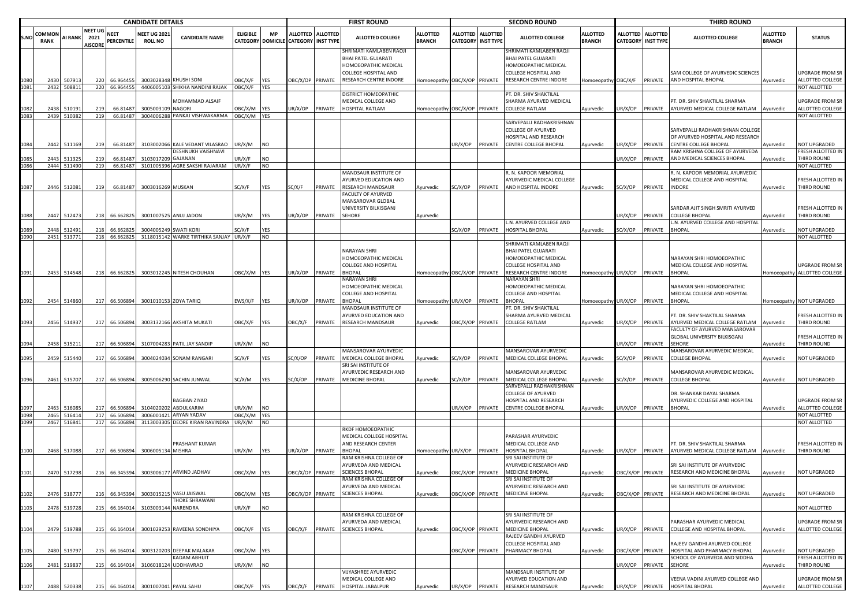|      | <b>CANDIDATE DETAILS</b> |                  |                                          |                           |                                      |                                                           |                                             |                         | <b>FIRST ROUND</b>                             |                |                                                                               |                                  | <b>SECOND ROUND</b> |                                                |                                                                        |                           | <b>THIRD ROUND</b>          |                                     |                                                                                                      |                                  |                                                            |
|------|--------------------------|------------------|------------------------------------------|---------------------------|--------------------------------------|-----------------------------------------------------------|---------------------------------------------|-------------------------|------------------------------------------------|----------------|-------------------------------------------------------------------------------|----------------------------------|---------------------|------------------------------------------------|------------------------------------------------------------------------|---------------------------|-----------------------------|-------------------------------------|------------------------------------------------------------------------------------------------------|----------------------------------|------------------------------------------------------------|
| S.NC | COMMON<br><b>RANK</b>    | <b>AI RANK</b>   | <b>NEET UG</b><br>2021<br><b>AISCORE</b> | NEET<br><b>PERCENTILE</b> | <b>NEET UG 202</b><br><b>ROLL NO</b> | <b>CANDIDATE NAME</b>                                     | <b>ELIGIBLE</b><br><b>CATEGORY DOMICILE</b> | МP                      | ALLOTTED ALLOTTED<br><b>CATEGORY INST TYPE</b> |                | <b>ALLOTTED COLLEGE</b>                                                       | <b>ALLOTTED</b><br><b>BRANCH</b> |                     | ALLOTTED ALLOTTED<br><b>CATEGORY INST TYPE</b> | <b>ALLOTTED COLLEGE</b>                                                | ALLOTTED<br><b>BRANCH</b> | ALLOTTED<br><b>CATEGORY</b> | <b>ALLOTTED</b><br><b>INST TYPE</b> | <b>ALLOTTED COLLEGE</b>                                                                              | <b>ILLOTTED</b><br><b>BRANCH</b> | <b>STATUS</b>                                              |
|      |                          |                  |                                          |                           |                                      |                                                           |                                             |                         |                                                |                | SHRIMATI KAMLABEN RAOJI<br><b>BHAI PATEL GUJARATI</b><br>HOMOEOPATHIC MEDICAL |                                  |                     |                                                | SHRIMATI KAMLABEN RAOJI<br>BHAI PATEL GUJARATI<br>HOMOEOPATHIC MEDICAL |                           |                             |                                     |                                                                                                      |                                  |                                                            |
|      | 2430                     | 50791            | 220                                      | 66.96445                  |                                      | 3003028348 KHUSHI SONI<br>4406005103 SHIKHA NANDINI RAJAK | <b>DBC/X/F</b>                              | <b>YES</b><br>YES       | BC/X/OP PRIVATE                                |                | COLLEGE HOSPITAL AND<br>RESEARCH CENTRE INDORE                                | Iomoeopathy OBC/X/OP PRIVATE     |                     |                                                | COLLEGE HOSPITAL AND<br>RESEARCH CENTRE INDORE                         | Homoeopathy OBC/X/F       |                             | PRIVATE                             | SAM COLLEGE OF AYURVEDIC SCIENCES<br>AND HOSPITAL BHOPAL                                             | Ayurvedic                        | <b>JPGRADE FROM SR</b><br>ALLOTTED COLLEGE<br>NOT ALLOTTED |
| 1081 | 2432                     | 508811           | 220                                      | 66.964455                 |                                      |                                                           | OBC/X/F                                     |                         |                                                |                | DISTRICT HOMEOPATHIC                                                          |                                  |                     |                                                | PT. DR. SHIV SHAKTILAL                                                 |                           |                             |                                     |                                                                                                      |                                  |                                                            |
|      |                          |                  |                                          |                           |                                      | MOHAMMAD ALSAIF                                           |                                             |                         |                                                |                | MEDICAL COLLEGE AND                                                           |                                  |                     |                                                | SHARMA AYURVED MEDICAL                                                 |                           |                             |                                     | PT. DR. SHIV SHAKTILAL SHARMA                                                                        |                                  | JPGRADE FROM SR                                            |
| 1082 | 2438<br>2439             | 51019:<br>510382 | 219<br>219                               | 66.81487<br>66.81487      | 3005003109 NAGORI                    | 3004006288 PANKAJ VISHWAKARMA                             | OBC/X/M<br>OBC/X/M YES                      | <b>YES</b>              | JR/X/OP                                        | PRIVATE        | <b>HOSPITAL RATLAM</b>                                                        | Homoeopathy OBC/X/OP PRIVATE     |                     |                                                | <b>COLLEGE RATLAM</b>                                                  | Ayurvedic                 | JR/X/OP                     | PRIVATE                             | AYURVED MEDICAL COLLEGE RATLAM                                                                       | Ayurvedic                        | ALLOTTED COLLEGE<br>NOT ALLOTTED                           |
|      |                          |                  |                                          |                           |                                      |                                                           |                                             |                         |                                                |                |                                                                               |                                  |                     |                                                | SARVEPALLI RADHAKRISHNAN                                               |                           |                             |                                     |                                                                                                      |                                  |                                                            |
|      | 2442                     | 511169           | 219                                      | 66.81487                  |                                      | 3103002066 KALE VEDANT VILASRAO                           | UR/X/M                                      | <b>INO</b>              |                                                |                |                                                                               |                                  | JR/X/OP PRIVATE     |                                                | COLLEGE OF AYURVED<br>HOSPITAL AND RESEARCH<br>CENTRE COLLEGE BHOPAL   |                           | JR/X/OP                     | PRIVATE                             | SARVEPALLI RADHAKRISHNAN COLLEGE<br>OF AYURVED HOSPITAL AND RESEARCH<br><b>CENTRE COLLEGE BHOPAL</b> |                                  | <b>IOT UPGRADED</b>                                        |
| 1084 |                          |                  |                                          |                           |                                      | DESHNUKH VAISHNAVI                                        |                                             |                         |                                                |                |                                                                               |                                  |                     |                                                |                                                                        | Ayurvedic                 |                             |                                     | RAM KRISHNA COLLEGE OF AYURVEDA                                                                      | Ayurvedic                        | RESH ALLOTTED IN                                           |
| 1085 | 2443                     | 51132            | 219                                      | 66.81487                  | 3103017209 GAJANAN                   |                                                           | UR/X/F                                      | <b>NO</b>               |                                                |                |                                                                               |                                  |                     |                                                |                                                                        |                           | UR/X/OP                     | PRIVATE                             | AND MEDICAL SCIENCES BHOPAL                                                                          | Ayurvedic                        | <b>THIRD ROUND</b>                                         |
| 1086 |                          | 2444 511490      | 219                                      |                           |                                      | 66.81487 3101005396 AGRE SAKSHI RAJARAM                   | UR/X/F                                      | <b>NO</b>               |                                                |                | MANDSAUR INSTITUTE OF                                                         |                                  |                     |                                                | R. N. KAPOOR MEMORIAL                                                  |                           |                             |                                     | R. N. KAPOOR MEMORIAL AYURVEDIC                                                                      |                                  | <b>NOT ALLOTTED</b>                                        |
|      |                          |                  |                                          |                           |                                      |                                                           |                                             |                         |                                                |                | AYURVED EDUCATION AND                                                         |                                  |                     |                                                | AYURVEDIC MEDICAL COLLEGE                                              |                           |                             |                                     | MEDICAL COLLEGE AND HOSPITAL                                                                         |                                  | RESH ALLOTTED IN                                           |
| 1087 | 2446                     | 512081           | 219                                      | 66.81487                  | 3003016269 MUSKAN                    |                                                           | SC/X/F                                      | YES                     | SC/X/F                                         | PRIVATE        | <b>RESEARCH MANDSAUR</b>                                                      | Ayurvedic                        | SC/X/OP PRIVATE     |                                                | AND HOSPITAL INDORE                                                    | Ayurvedic                 | SC/X/OP                     | PRIVATE                             | <b>INDORE</b>                                                                                        | <b>Ayurvedic</b>                 | <b>THIRD ROUND</b>                                         |
|      |                          |                  |                                          |                           |                                      |                                                           |                                             |                         |                                                |                | FACULTY OF AYURVED<br>MANSAROVAR GLOBAL<br>UNIVERSITY BILKISGANJ              |                                  |                     |                                                |                                                                        |                           |                             |                                     | ARDAR AJIT SINGH SMRITI AYURVED                                                                      |                                  | RESH ALLOTTED IN                                           |
| 1088 | 2447                     | 512473           |                                          | 218 66.662825             |                                      | 3001007525 ANUJ JADON                                     | UR/X/M                                      | <b>YES</b>              | JR/X/OP                                        | PRIVATE SEHORE |                                                                               | Ayurvedic                        |                     |                                                |                                                                        |                           | UR/X/OP                     | <b>PRIVATE</b>                      | COLLEGE BHOPAL                                                                                       | vyurvedic                        | <b>THIRD ROUND</b>                                         |
|      | 2448                     | 51249            | 218                                      | 66.66282                  | 300400524                            | <b>SWATI KORI</b>                                         | SC/X/F                                      | <b>YES</b>              |                                                |                |                                                                               |                                  | SC/X/OP             | PRIVATE                                        | L.N. AYURVED COLLEGE AND<br>HOSPITAL BHOPAL                            | Ayurvedic                 | C/X/OP                      | PRIVATE                             | .N. AYURVED COLLEGE AND HOSPITAL<br><b>BHOPAL</b>                                                    | Ayurvedic                        | NOT UPGRADED                                               |
| 1090 |                          | 2451 513771      |                                          | 218 66.662825             |                                      | 3118015142 WARKE TIRTHIKA SANJAY UR/X/F                   |                                             | <b>NO</b>               |                                                |                |                                                                               |                                  |                     |                                                |                                                                        |                           |                             |                                     |                                                                                                      |                                  | <b>NOT ALLOTTED</b>                                        |
|      |                          |                  |                                          |                           |                                      |                                                           |                                             |                         |                                                |                |                                                                               |                                  |                     |                                                | SHRIMATI KAMLABEN RAOJI                                                |                           |                             |                                     |                                                                                                      |                                  |                                                            |
|      |                          |                  |                                          |                           |                                      |                                                           |                                             |                         |                                                |                | <b>NARAYAN SHRI</b><br>HOMOEOPATHIC MEDICAL                                   |                                  |                     |                                                | BHAI PATEL GUJARATI<br>HOMOEOPATHIC MEDICAL                            |                           |                             |                                     | <b>NARAYAN SHRI HOMOEOPATHIC</b>                                                                     |                                  |                                                            |
|      |                          |                  |                                          |                           |                                      |                                                           |                                             |                         |                                                |                | <b>COLLEGE AND HOSPITAL</b>                                                   |                                  |                     |                                                | COLLEGE HOSPITAL AND                                                   |                           |                             |                                     | MEDICAL COLLEGE AND HOSPITAL                                                                         |                                  | JPGRADE FROM SR                                            |
| 1091 |                          | 2453 514548      |                                          | 218 66.662825             |                                      | 3003012245 NITESH CHOUHAN                                 | OBC/X/M YES                                 |                         | JR/X/OP PRIVATE                                |                | <b>BHOPAL</b>                                                                 | Iomoeopathy OBC/X/OP PRIVATE     |                     |                                                | RESEARCH CENTRE INDORE                                                 | Homoeopathy UR/X/OP       |                             | PRIVATE                             | <b>BHOPAL</b>                                                                                        |                                  | Homoeopathy ALLOTTED COLLEGE                               |
|      |                          |                  |                                          |                           |                                      |                                                           |                                             |                         |                                                |                | NARAYAN SHRI<br>HOMOEOPATHIC MEDICAL                                          |                                  |                     |                                                | NARAYAN SHRI<br>HOMOEOPATHIC MEDICAL                                   |                           |                             |                                     | NARAYAN SHRI HOMOEOPATHIC                                                                            |                                  |                                                            |
|      |                          |                  |                                          |                           |                                      |                                                           |                                             |                         |                                                |                | COLLEGE AND HOSPITAL                                                          |                                  |                     |                                                | COLLEGE AND HOSPITAL                                                   |                           |                             |                                     | MEDICAL COLLEGE AND HOSPITAL                                                                         |                                  |                                                            |
| 1092 |                          | 2454 514860      |                                          | 217 66.506894             |                                      | 3001010153 ZOYA TARIQ                                     | EWS/X/F                                     | <b>YES</b>              | JR/X/OP                                        | PRIVATE        | <b>BHOPAL</b>                                                                 | omoeopathy UR/X/OP               |                     | PRIVATE                                        | BHOPAL                                                                 | Homoeopathy UR/X/OP       |                             | PRIVATE                             | <b>BHOPAL</b>                                                                                        |                                  | Iomoeopathy NOT UPGRADED                                   |
|      |                          |                  |                                          |                           |                                      |                                                           |                                             |                         |                                                |                | MANDSAUR INSTITUTE OF<br>AYURVED EDUCATION AND                                |                                  |                     |                                                | PT. DR. SHIV SHAKTILAL<br>SHARMA AYURVED MEDICAL                       |                           |                             |                                     | PT. DR. SHIV SHAKTILAL SHARMA                                                                        |                                  | RESH ALLOTTED IN                                           |
| 1093 | 2456                     | 514937           |                                          | 217 66.506894             |                                      | 3003132166 AKSHITA MUKATI                                 | OBC/X/F                                     | <b>YES</b>              | )BC/X/F                                        | PRIVATE        | <b>RESEARCH MANDSAUR</b>                                                      | Ayurvedic                        | OBC/X/OP PRIVATE    |                                                | <b>COLLEGE RATLAM</b>                                                  | Ayurvedic                 | JR/X/OP                     | PRIVATE                             | AYURVED MEDICAL COLLEGE RATLAM                                                                       | Ayurvedic                        | HIRD ROUND                                                 |
|      |                          |                  |                                          |                           |                                      |                                                           |                                             |                         |                                                |                |                                                                               |                                  |                     |                                                |                                                                        |                           |                             |                                     | FACULTY OF AYURVED MANSAROVAR<br>GLOBAL UNIVERSITY BILKISGANJ                                        |                                  | RESH ALLOTTED IN                                           |
|      | 2458                     | 51521:           | 217                                      | 66.506894                 |                                      | 3107004283 PATIL JAY SANDIP                               | UR/X/M                                      | <b>NO</b>               |                                                |                |                                                                               |                                  |                     |                                                |                                                                        |                           | JR/X/OP                     | PRIVATE                             | <b>SEHORE</b>                                                                                        | vyurvedic                        | THIRD ROUND                                                |
|      |                          |                  |                                          |                           |                                      |                                                           |                                             |                         |                                                |                | MANSAROVAR AYURVEDIC                                                          |                                  |                     |                                                | <b>MANSAROVAR AYURVEDIC</b>                                            |                           |                             |                                     | MANSAROVAR AYURVEDIC MEDICAL                                                                         |                                  |                                                            |
| 1095 | 2459                     | 515440           | 217                                      | 66.506894                 |                                      | 3004024034 SONAM RANGARI                                  | SC/X/F                                      | YES                     | SC/X/OP                                        | PRIVATE        | MEDICAL COLLEGE BHOPAL<br>SRI SAI INSTITUTE OF                                | Ayurvedic                        | SC/X/OP             | PRIVATE                                        | MEDICAL COLLEGE BHOPAL                                                 | Ayurvedic                 | SC/X/OP                     | <b>RIVATE</b>                       | COLLEGE BHOPAL                                                                                       | Ayurvedic                        | <b>IOT UPGRADED</b>                                        |
|      |                          |                  |                                          |                           |                                      |                                                           |                                             |                         |                                                |                | AYURVEDIC RESEARCH AND                                                        |                                  |                     |                                                | <b>MANSAROVAR AYURVEDIC</b>                                            |                           |                             |                                     | MANSAROVAR AYURVEDIC MEDICAL                                                                         |                                  |                                                            |
| 1096 |                          | 2461 515707      | 217                                      | 66.506894                 |                                      | 3005006290 SACHIN JUNWAL                                  | SC/X/M                                      | YES                     | SC/X/OP                                        | PRIVATE        | <b>MEDICINE BHOPAL</b>                                                        | Ayurvedic                        | SC/X/OP             | PRIVATE                                        | MEDICAL COLLEGE BHOPAL<br>SARVEPALLI RADHAKRISHNAN                     | Ayurvedic                 | SC/X/OP                     | PRIVATE                             | <b>COLLEGE BHOPAL</b>                                                                                | Ayurvedic                        | <b>NOT UPGRADED</b>                                        |
|      |                          |                  |                                          |                           |                                      |                                                           |                                             |                         |                                                |                |                                                                               |                                  |                     |                                                | COLLEGE OF AYURVED                                                     |                           |                             |                                     | DR. SHANKAR DAYAL SHARMA                                                                             |                                  |                                                            |
|      |                          |                  |                                          |                           |                                      | BAGBAN ZIYAD                                              |                                             |                         |                                                |                |                                                                               |                                  |                     |                                                | HOSPITAL AND RESEARCH                                                  |                           |                             |                                     | AYURVEDIC COLLEGE AND HOSPITAL                                                                       |                                  | JPGRADE FROM SR                                            |
| 1097 | 2463<br>2465             | 516085<br>516414 | 217                                      | 66.506894<br>217 66.50689 | 300600142                            | 3104020202 ABDULKARIM<br><b>ARYAN YADAV</b>               | UR/X/M<br>OBC/X/M                           | <b>NO</b><br><b>YES</b> |                                                |                |                                                                               |                                  | JR/X/OP PRIVATE     |                                                | CENTRE COLLEGE BHOPAL                                                  | Ayurvedic                 | JR/X/OP                     | PRIVATE                             | <b>BHOPAL</b>                                                                                        | Ayurvedic                        | ALLOTTED COLLEGE<br>NOT ALLOTTED                           |
| 1099 |                          | 2467 516841      |                                          | 217 66.506894             |                                      | 3113003305 DEORE KIRAN RAVINDRA UR/X/M                    |                                             | <b>NO</b>               |                                                |                |                                                                               |                                  |                     |                                                |                                                                        |                           |                             |                                     |                                                                                                      |                                  | <b>NOT ALLOTTED</b>                                        |
|      |                          |                  |                                          |                           |                                      |                                                           |                                             |                         |                                                |                | RKDF HOMOEOPATHIC                                                             |                                  |                     |                                                |                                                                        |                           |                             |                                     |                                                                                                      |                                  |                                                            |
|      |                          |                  |                                          |                           |                                      | <b>RASHANT KUMAR</b>                                      |                                             |                         |                                                |                | MEDICAL COLLEGE HOSPITAL<br>AND RESEARCH CENTER                               |                                  |                     |                                                | PARASHAR AYURVEDIC<br>MEDICAL COLLEGE AND                              |                           |                             |                                     | PT. DR. SHIV SHAKTILAL SHARMA                                                                        |                                  | RESH ALLOTTED IN                                           |
| 1100 |                          | 2468 517088      |                                          | 217 66.506894             | 3006005134 MISHRA                    |                                                           | UR/X/M                                      | YES                     | JR/X/OP                                        | PRIVATE        | <b>BHOPAL</b>                                                                 | Iomoeopathy UR/X/OP              |                     | PRIVATE                                        | <b>HOSPITAL BHOPAL</b>                                                 | Ayurvedic                 | UR/X/OP                     | PRIVATE                             | AYURVED MEDICAL COLLEGE RATLAM                                                                       | Ayurvedic                        | THIRD ROUND                                                |
|      |                          |                  |                                          |                           |                                      |                                                           |                                             |                         |                                                |                | RAM KRISHNA COLLEGE OF<br>AYURVEDA AND MEDICAL                                |                                  |                     |                                                | SRI SAI INSTITUTE OF<br>YURVEDIC RESEARCH AND                          |                           |                             |                                     | SRI SAI INSTITUTE OF AYURVEDIC                                                                       |                                  |                                                            |
|      |                          | 2470 517298      |                                          | 216 66.345394             |                                      | 3003006177 ARVIND JADHAV                                  | OBC/X/M YES                                 |                         | OBC/X/OP PRIVATE                               |                | <b>SCIENCES BHOPAL</b>                                                        | Ayurvedic                        | OBC/X/OP PRIVATE    |                                                | <b>MEDICINE BHOPAL</b>                                                 | Ayurvedic                 | OBC/X/OP PRIVATE            |                                     | RESEARCH AND MEDICINE BHOPAL                                                                         | Ayurvedic                        | <b>NOT UPGRADED</b>                                        |
|      |                          |                  |                                          |                           |                                      |                                                           |                                             |                         |                                                |                | RAM KRISHNA COLLEGE OF                                                        |                                  |                     |                                                | SRI SAI INSTITUTE OF                                                   |                           |                             |                                     |                                                                                                      |                                  |                                                            |
| 1102 |                          | 2476 518777      |                                          | 216 66.345394             |                                      | 3003015215 VASU JAISWAL                                   | OBC/X/M YES                                 |                         | DBC/X/OP PRIVATE                               |                | AYURVEDA AND MEDICAL<br><b>SCIENCES BHOPAL</b>                                | Ayurvedic                        | OBC/X/OP PRIVATE    |                                                | AYURVEDIC RESEARCH AND<br>MEDICINE BHOPAL                              | Ayurvedic                 | DBC/X/OP PRIVATE            |                                     | SRI SAI INSTITUTE OF AYURVEDIC<br>RESEARCH AND MEDICINE BHOPAL                                       | Ayurvedic                        | NOT UPGRADED                                               |
|      |                          |                  |                                          |                           |                                      | <b>THOKE SHRAWANI</b>                                     |                                             |                         |                                                |                |                                                                               |                                  |                     |                                                |                                                                        |                           |                             |                                     |                                                                                                      |                                  |                                                            |
| 1103 | 2478                     | 519728           | 215                                      | 66.164014                 | 3103003144                           | NARENDRA                                                  | UR/X/F                                      | <b>NO</b>               |                                                |                | RAM KRISHNA COLLEGE OF                                                        |                                  |                     |                                                | SRI SAI INSTITUTE OF                                                   |                           |                             |                                     |                                                                                                      |                                  | NOT ALLOTTED                                               |
|      |                          |                  |                                          |                           |                                      |                                                           |                                             |                         |                                                |                | AYURVEDA AND MEDICAL                                                          |                                  |                     |                                                | AYURVEDIC RESEARCH AND                                                 |                           |                             |                                     | PARASHAR AYURVEDIC MEDICAL                                                                           |                                  | UPGRADE FROM SR                                            |
| 1104 | 2479                     | 519788           | 215                                      | 66.164014                 |                                      | 3001029253 RAVEENA SONDHIYA                               | OBC/X/F                                     | <b>YES</b>              | <b>DBC/X/F</b>                                 | PRIVATE        | <b>SCIENCES BHOPAL</b>                                                        | Ayurvedic                        | OBC/X/OP PRIVATE    |                                                | <b>MEDICINE BHOPAL</b>                                                 | Ayurvedic                 | JR/X/OP                     | PRIVATE                             | COLLEGE AND HOSPITAL BHOPAL                                                                          | Ayurvedic                        | ALLOTTED COLLEGE                                           |
|      |                          |                  |                                          |                           |                                      |                                                           |                                             |                         |                                                |                |                                                                               |                                  |                     |                                                | RAJEEV GANDHI AYURVED<br>COLLEGE HOSPITAL AND                          |                           |                             |                                     | RAJEEV GANDHI AYURVED COLLEGE                                                                        |                                  |                                                            |
| 1105 | 2480                     | 519797           | 215                                      | 66.164014                 |                                      | 3003120203 DEEPAK MALAKAR                                 | OBC/X/M YES                                 |                         |                                                |                |                                                                               |                                  | OBC/X/OP PRIVATE    |                                                | PHARMACY BHOPAL                                                        | Ayurvedic                 | OBC/X/OP                    | PRIVATE                             | HOSPITAL AND PHARMACY BHOPAL                                                                         | Ayurvedic                        | NOT UPGRADED                                               |
|      |                          |                  |                                          |                           |                                      | KADAM ABHIJIT                                             |                                             |                         |                                                |                |                                                                               |                                  |                     |                                                |                                                                        |                           |                             |                                     | SCHOOL OF AYURVEDA AND SIDDHA                                                                        |                                  | RESH ALLOTTED IN                                           |
| 1106 | 2481                     | 519837           | 215                                      | 66.164014                 |                                      | 3106018124 UDDHAVRAO                                      | UR/X/M                                      | <b>NO</b>               |                                                |                | VIJYASHREE AYURVEDIC                                                          |                                  |                     |                                                | MANDSAUR INSTITUTE OF                                                  |                           | UR/X/OP                     | PRIVATE                             | <b>SEHORE</b>                                                                                        | Ayurvedic                        | THIRD ROUND                                                |
|      |                          |                  |                                          |                           |                                      |                                                           |                                             |                         |                                                |                | MEDICAL COLLEGE AND                                                           |                                  |                     |                                                | <b>AYURVED EDUCATION AND</b>                                           |                           |                             |                                     | VEENA VADINI AYURVED COLLEGE AND                                                                     |                                  | UPGRADE FROM SR                                            |
| 1107 |                          | 2488 520338      |                                          | 215 66.164014             |                                      | 3001007041 PAYAL SAHU                                     | OBC/X/F                                     | <b>YES</b>              | )BC/X/F                                        | PRIVATE        | HOSPITAL JABALPUR                                                             | Ayurvedic                        | UR/X/OP PRIVATE     |                                                | RESEARCH MANDSAUR                                                      | Ayurvedic                 | UR/X/OP                     | PRIVATE                             | HOSPITAL BHOPAL                                                                                      | Ayurvedic                        | ALLOTTED COLLEGE                                           |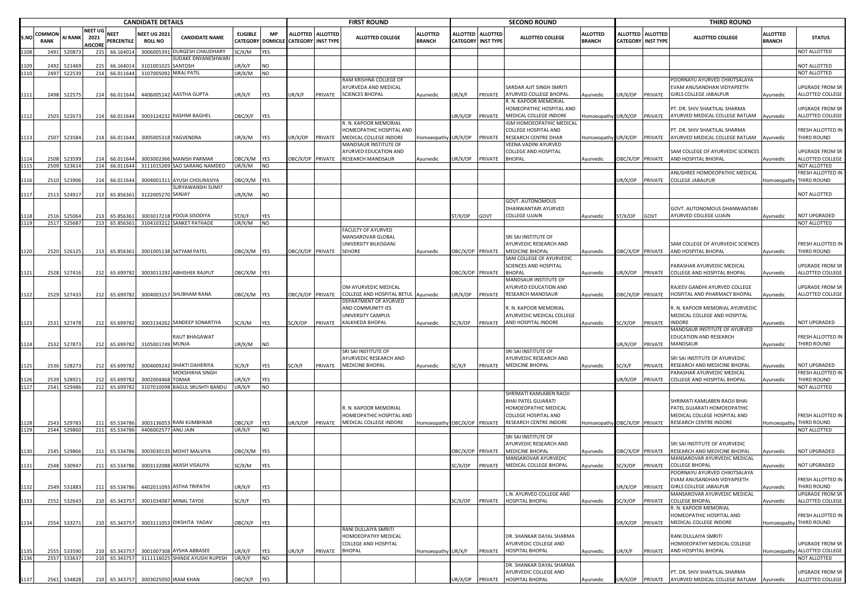|      |                       |                       |                                          |                           | <b>CANDIDATE DETAILS</b>              |                                 |                                    |                              |                           |                   | <b>FIRST ROUND</b>                          |                                  |                                    |                                     | <b>SECOND ROUND</b>                              |                                  |                  |                                         | <b>THIRD ROUND</b>                                        |                                  |                                  |
|------|-----------------------|-----------------------|------------------------------------------|---------------------------|---------------------------------------|---------------------------------|------------------------------------|------------------------------|---------------------------|-------------------|---------------------------------------------|----------------------------------|------------------------------------|-------------------------------------|--------------------------------------------------|----------------------------------|------------------|-----------------------------------------|-----------------------------------------------------------|----------------------------------|----------------------------------|
| S.NO | Common<br><b>RANK</b> | AI RANK               | <b>NEET UG</b><br>2021<br><b>NISCORE</b> | <b>NEET</b><br>PERCENTILE | <b>NEET UG 2021</b><br><b>ROLL NO</b> | <b>CANDIDATE NAME</b>           | <b>ELIGIBLE</b><br><b>CATEGORY</b> | <b>MP</b><br><b>DOMICILE</b> | <b>CATEGORY INST TYPE</b> | ALLOTTED ALLOTTED | ALLOTTED COLLEGE                            | <b>ALLOTTED</b><br><b>BRANCH</b> | <b>ALLOTTED</b><br><b>CATEGORY</b> | <b>ALLOTTED</b><br><b>INST TYPE</b> | <b>ALLOTTED COLLEGE</b>                          | <b>ALLOTTED</b><br><b>BRANCH</b> |                  | ALLOTTED ALLOTTED<br>CATEGORY INST TYPE | <b>ALLOTTED COLLEGE</b>                                   | <b>ALLOTTED</b><br><b>BRANCH</b> | <b>STATUS</b>                    |
| 110: | 2491                  | 52087                 | 215                                      | 66.16401                  | 3006005391                            | DURGESH CHAUDHARY               | SC/X/M                             | YES                          |                           |                   |                                             |                                  |                                    |                                     |                                                  |                                  |                  |                                         |                                                           |                                  | NOT ALLOTTED                     |
|      |                       |                       |                                          |                           |                                       | SUDAKE DNYANESHWAR              |                                    |                              |                           |                   |                                             |                                  |                                    |                                     |                                                  |                                  |                  |                                         |                                                           |                                  |                                  |
|      | 2492                  | 52146                 |                                          | 66.16401                  | 310100102                             | SANTOSH                         | JR/X/F                             | NO                           |                           |                   |                                             |                                  |                                    |                                     |                                                  |                                  |                  |                                         |                                                           |                                  | NOT ALLOTTED<br>NOT ALLOTTED     |
|      | 2497                  | 52253                 | 214                                      | 66.011644                 |                                       | 3107005092 NIRAJ PATIL          | JR/X/M                             | <b>NO</b>                    |                           |                   | RAM KRISHNA COLLEGE OF                      |                                  |                                    |                                     |                                                  |                                  |                  |                                         | OORNAYU AYURVED CHIKITSALAYA                              |                                  |                                  |
|      |                       |                       |                                          |                           |                                       |                                 |                                    |                              |                           |                   | AYURVEDA AND MEDICAL                        |                                  |                                    |                                     | SARDAR AJIT SINGH SMRITI                         |                                  |                  |                                         | EVAM ANUSANDHAN VIDYAPEETH                                |                                  | UPGRADE FROM SR                  |
| 1111 | 2498                  | 52257                 | 214                                      | 66.011644                 |                                       | 4406005142 AASTHA GUPTA         | JR/X/F                             | YES                          | UR/X/F                    | PRIVATE           | <b>SCIENCES BHOPAL</b>                      | Ayurvedic                        | JR/X/F                             | PRIVATE                             | AYURVED COLLEGE BHOPAL                           | Ayurvedic                        | JR/X/OP          | PRIVATE                                 | <b>GIRLS COLLEGE JABALPUR</b>                             | Ayurvedic                        | ALLOTTED COLLEGE                 |
|      |                       |                       |                                          |                           |                                       |                                 |                                    |                              |                           |                   |                                             |                                  |                                    |                                     | R. N. KAPOOR MEMORIAL                            |                                  |                  |                                         |                                                           |                                  |                                  |
|      |                       |                       |                                          |                           |                                       |                                 |                                    |                              |                           |                   |                                             |                                  |                                    |                                     | HOMEOPATHIC HOSPITAL AND                         |                                  |                  |                                         | PT. DR. SHIV SHAKTILAL SHARMA                             |                                  | UPGRADE FROM SR                  |
| 1112 | 2503                  | 522673                |                                          | 214 66.011644             |                                       | 3003124232 RASHMI BAGHEL        | OBC/X/F                            | <b>YES</b>                   |                           |                   | R. N. KAPOOR MEMORIAL                       |                                  | JR/X/OP                            | PRIVATE                             | MEDICAL COLLEGE INDORE                           | Homoeopathy UR/X/OP              |                  | PRIVATE                                 | AYURVED MEDICAL COLLEGE RATLAM                            | Ayurvedic                        | ALLOTTED COLLEGE                 |
|      |                       |                       |                                          |                           |                                       |                                 |                                    |                              |                           |                   | HOMEOPATHIC HOSPITAL AND                    |                                  |                                    |                                     | IGM HOMOEOPATHIC MEDICAL<br>COLLEGE HOSPITAL AND |                                  |                  |                                         | PT. DR. SHIV SHAKTILAL SHARMA                             |                                  | FRESH ALLOTTED IN                |
| 1113 | 2507                  | 523584                | 214                                      | 66.011644                 |                                       | 3005005318 YAGVENDRA            | JR/X/M                             | YES                          | JR/X/OP                   | PRIVATE           | MEDICAL COLLEGE INDORE                      | Homoeopathy UR/X/OP              |                                    | PRIVATE                             | RESEARCH CENTRE DHAR                             | Homoeopathy UR/X/OP              |                  | PRIVATE                                 | AYURVED MEDICAL COLLEGE RATLAM                            | Ayurvedic                        | THIRD ROUND                      |
|      |                       |                       |                                          |                           |                                       |                                 |                                    |                              |                           |                   | MANDSAUR INSTITUTE OF                       |                                  |                                    |                                     | VEENA VADINI AYURVED                             |                                  |                  |                                         |                                                           |                                  |                                  |
|      |                       |                       |                                          |                           |                                       |                                 |                                    |                              |                           |                   | AYURVED EDUCATION AND                       |                                  |                                    |                                     | COLLEGE AND HOSPITAL                             |                                  |                  |                                         | SAM COLLEGE OF AYURVEDIC SCIENCES                         |                                  | UPGRADE FROM SR                  |
|      | 2508                  | 52359                 | 214                                      | 66.011644                 |                                       | 3003002366 MANISH PARMAR        | <b>DBC/X/M</b>                     | YES                          | <b>DBC/X/OP PRIVATE</b>   |                   | <b>RESEARCH MANDSAUR</b>                    | Ayurvedic                        | R/X/OP                             | PRIVATE                             | <b>BHOPAL</b>                                    | Ayurvedic                        | DBC/X/OP PRIVATE |                                         | AND HOSPITAL BHOPAL                                       | Ayurvedic                        | ALLOTTED COLLEGE                 |
|      | 2509                  | 523614                | 214                                      | 66.011644                 |                                       | 3111015269 SAO SARANG NAMDEO    | JR/X/M                             | <b>NO</b>                    |                           |                   |                                             |                                  |                                    |                                     |                                                  |                                  |                  |                                         |                                                           |                                  | NOT ALLOTTED                     |
| 1116 | 2510                  | 52390                 | 214                                      | 66.011644                 |                                       | 3004001311 AYUSH CHOURASIYA     | <b>JBC/X/M</b>                     | YES                          |                           |                   |                                             |                                  |                                    |                                     |                                                  |                                  | JR/X/OP          | PRIVATE                                 | ANUSHREE HOMOEOPATHIC MEDICAL<br>COLLEGE JABALPUR         | Homoeopathy                      | FRESH ALLOTTED IN<br>THIRD ROUND |
|      |                       |                       |                                          |                           |                                       | SURYAWANSHI SUMIT               |                                    |                              |                           |                   |                                             |                                  |                                    |                                     |                                                  |                                  |                  |                                         |                                                           |                                  |                                  |
| 1117 | 2513                  | 524917                | 213                                      | 65.856361                 | 3122005270 SANJAY                     |                                 | JR/X/M                             | NO                           |                           |                   |                                             |                                  |                                    |                                     |                                                  |                                  |                  |                                         |                                                           |                                  | NOT ALLOTTED                     |
|      |                       |                       |                                          |                           |                                       |                                 |                                    |                              |                           |                   |                                             |                                  |                                    |                                     | GOVT. AUTONOMOUS                                 |                                  |                  |                                         |                                                           |                                  |                                  |
|      |                       |                       |                                          |                           |                                       |                                 |                                    |                              |                           |                   |                                             |                                  |                                    |                                     | DHANWANTARI AYURVED                              |                                  |                  |                                         | GOVT. AUTONOMOUS DHANWANTARI                              |                                  |                                  |
|      | 2516                  | 52506                 | 213                                      | 65.85636                  |                                       | 3003017218 POOJA SISODIYA       | ST/X/F                             | YES                          |                           |                   |                                             |                                  | ST/X/OP                            | GOVT                                | COLLEGE UJJAIN                                   | Ayurvedic                        | ነT/X/OP          | GOVT                                    | AYURVED COLLEGE UJJAIN                                    | Ayurvedic                        | NOT UPGRADED                     |
| 1119 | 2517                  | 52568                 |                                          | 213 65.856361             |                                       | 3104103212 SANKET PATHADE       | JR/X/M                             | NO                           |                           |                   | FACULTY OF AYURVED                          |                                  |                                    |                                     |                                                  |                                  |                  |                                         |                                                           |                                  | NOT ALLOTTED                     |
|      |                       |                       |                                          |                           |                                       |                                 |                                    |                              |                           |                   | MANSAROVAR GLOBAL                           |                                  |                                    |                                     | SRI SAI INSTITUTE OF                             |                                  |                  |                                         |                                                           |                                  |                                  |
|      |                       |                       |                                          |                           |                                       |                                 |                                    |                              |                           |                   | UNIVERSITY BILKISGANJ                       |                                  |                                    |                                     | AYURVEDIC RESEARCH AND                           |                                  |                  |                                         | SAM COLLEGE OF AYURVEDIC SCIENCES                         |                                  | FRESH ALLOTTED IN                |
| 1120 | 2520                  | 526125                |                                          | 213 65.856361             |                                       | 3001005138 SATYAM PATEL         | DBC/X/M YES                        |                              | OBC/X/OP PRIVATE          |                   | SEHORE                                      | Ayurvedic                        | DBC/X/OP                           | PRIVATE                             | <b>MEDICINE BHOPAL</b>                           | Ayurvedic                        | DBC/X/OP PRIVATE |                                         | AND HOSPITAL BHOPAL                                       | Ayurvedic                        | THIRD ROUND                      |
|      |                       |                       |                                          |                           |                                       |                                 |                                    |                              |                           |                   |                                             |                                  |                                    |                                     | SAM COLLEGE OF AYURVEDIC                         |                                  |                  |                                         |                                                           |                                  |                                  |
|      |                       |                       |                                          |                           |                                       |                                 |                                    |                              |                           |                   |                                             |                                  |                                    |                                     | SCIENCES AND HOSPITAL                            |                                  |                  |                                         | ARASHAR AYURVEDIC MEDICAL                                 |                                  | UPGRADE FROM SR                  |
| 1121 | 2528                  | 527416                |                                          | 212 65.699782             |                                       | 3003011292 ABHISHEK RAJPUT      | DBC/X/M YES                        |                              |                           |                   |                                             |                                  |                                    | BC/X/OP PRIVATE                     | <b>BHOPAL</b><br>MANDSAUR INSTITUTE OF           | Ayurvedic                        | JR/X/OP PRIVATE  |                                         | COLLEGE AND HOSPITAL BHOPAL                               | Ayurvedic                        | ALLOTTED COLLEGE                 |
|      |                       |                       |                                          |                           |                                       |                                 |                                    |                              |                           |                   | OM AYURVEDIC MEDICAL                        |                                  |                                    |                                     | AYURVED EDUCATION AND                            |                                  |                  |                                         | RAJEEV GANDHI AYURVED COLLEGE                             |                                  | UPGRADE FROM SR                  |
| 1122 | 2529                  | 527433                |                                          | 212 65.699782             |                                       | 3004003157 SHUBHAM RANA         | DBC/X/M YES                        |                              |                           | BC/X/OP PRIVATE   | COLLEGE AND HOSPITAL BETUL                  | Ayurvedic                        | R/X/OP                             | PRIVATE                             | RESEARCH MANDSAUR                                | Ayurvedic                        | DBC/X/OP PRIVATE |                                         | HOSPITAL AND PHARMACY BHOPAL                              | Ayurvedic                        | ALLOTTED COLLEGE                 |
|      |                       |                       |                                          |                           |                                       |                                 |                                    |                              |                           |                   | DEPARTMENT OF AYURVED                       |                                  |                                    |                                     |                                                  |                                  |                  |                                         |                                                           |                                  |                                  |
|      |                       |                       |                                          |                           |                                       |                                 |                                    |                              |                           |                   | AND COMMUNITY IES                           |                                  |                                    |                                     | R. N. KAPOOR MEMORIAL                            |                                  |                  |                                         | R. N. KAPOOR MEMORIAL AYURVEDIC                           |                                  |                                  |
|      |                       |                       |                                          |                           |                                       |                                 |                                    |                              |                           |                   | UNIVERSITY CAMPUS                           |                                  |                                    |                                     | AYURVEDIC MEDICAL COLLEGE                        |                                  |                  |                                         | MEDICAL COLLEGE AND HOSPITAL                              |                                  |                                  |
| 1123 |                       | 2531 527478           |                                          | 212 65.699782             |                                       | 3003134262 SANDEEP SONARTIYA    | SC/X/M                             | YES                          | SC/X/OP                   | PRIVATE           | KALKHEDA BHOPAL                             | Ayurvedic                        | SC/X/OP                            | PRIVATE                             | AND HOSPITAL INDORE                              | Ayurvedic                        | SC/X/OP          | PRIVATE                                 | INDORE<br>MANDSAUR INSTITUTE OF AYURVED                   | Ayurvedic                        | NOT UPGRADED                     |
|      |                       |                       |                                          |                           |                                       | RAUT BHAGAWAT                   |                                    |                              |                           |                   |                                             |                                  |                                    |                                     |                                                  |                                  |                  |                                         | EDUCATION AND RESEARCH                                    |                                  | FRESH ALLOTTED IN                |
| 1124 | 2532                  | 527873                | 212                                      | 65.699782                 | 3105001749 MUNJA                      |                                 | JR/X/M                             | <b>NO</b>                    |                           |                   |                                             |                                  |                                    |                                     |                                                  |                                  | JR/X/OP          | PRIVATE                                 | MANDSAUR                                                  | Ayurvedic                        | THIRD ROUND                      |
|      |                       |                       |                                          |                           |                                       |                                 |                                    |                              |                           |                   | SRI SAI INSTITUTE OF                        |                                  |                                    |                                     | SRI SAI INSTITUTE OF                             |                                  |                  |                                         |                                                           |                                  |                                  |
|      |                       |                       |                                          |                           |                                       |                                 |                                    |                              |                           |                   | AYURVEDIC RESEARCH AND                      |                                  |                                    |                                     | AYURVEDIC RESEARCH AND                           |                                  |                  |                                         | SRI SAI INSTITUTE OF AYURVEDIC                            |                                  |                                  |
| 1125 | 2536                  | 52827                 | 212                                      | 65.699782                 |                                       | 3004009242 SHAKTI DAHERIYA      | SC/X/F                             | YES                          | SC/X/F                    | PRIVATE           | MEDICINE BHOPAL                             | Ayurvedic                        | SC/X/F                             | PRIVATE                             | <b>MEDICINE BHOPAL</b>                           | Ayurvedic                        | SC/X/F           | PRIVATE                                 | RESEARCH AND MEDICINE BHOPAL                              | Ayurvedic                        | NOT UPGRADED                     |
|      |                       |                       |                                          |                           | 3002004468 TOMAR                      | MOKSHIKHA SINGH                 |                                    |                              |                           |                   |                                             |                                  |                                    |                                     |                                                  |                                  |                  |                                         | PARASHAR AYURVEDIC MEDICAL<br>COLLEGE AND HOSPITAL BHOPAL |                                  | FRESH ALLOTTED IN<br>THIRD ROUND |
| 1127 | 2539                  | 52892<br>2541 529486  |                                          | 65.69978<br>212 65.699782 |                                       | 3107010098 BAGUL SRUSHTI BANDU  | JR/X/F<br>UR/X/F                   | YES<br><b>NO</b>             |                           |                   |                                             |                                  |                                    |                                     |                                                  |                                  | JR/X/OP          | PRIVATE                                 |                                                           | Ayurvedic                        | NOT ALLOTTED                     |
|      |                       |                       |                                          |                           |                                       |                                 |                                    |                              |                           |                   |                                             |                                  |                                    |                                     | SHRIMATI KAMLABEN RAOJI                          |                                  |                  |                                         |                                                           |                                  |                                  |
|      |                       |                       |                                          |                           |                                       |                                 |                                    |                              |                           |                   |                                             |                                  |                                    |                                     | BHAI PATEL GUJARATI                              |                                  |                  |                                         | SHRIMATI KAMLABEN RAOJI BHAI                              |                                  |                                  |
|      |                       |                       |                                          |                           |                                       |                                 |                                    |                              |                           |                   | R. N. KAPOOR MEMORIAL                       |                                  |                                    |                                     | HOMOEOPATHIC MEDICAL                             |                                  |                  |                                         | PATEL GUJARATI HOMOEOPATHIC                               |                                  |                                  |
|      |                       |                       |                                          |                           |                                       |                                 |                                    |                              |                           |                   | HOMEOPATHIC HOSPITAL AND                    |                                  |                                    |                                     | COLLEGE HOSPITAL AND                             |                                  |                  |                                         | MEDICAL COLLEGE HOSPITAL AND                              |                                  | FRESH ALLOTTED IN                |
| 1128 | 2543                  | 529783<br>2544 529860 | 211                                      | 65.534786<br>65.534786    |                                       | 3003136053 RANI KUMBHKAR        | <b>DBC/X/F</b>                     | YES                          | UR/X/OP                   | PRIVATE           | MEDICAL COLLEGE INDORE                      | Homoeopathy OBC/X/OP PRIVATE     |                                    |                                     | RESEARCH CENTRE INDORE                           | Homoeopathy OBC/X/OP PRIVATE     |                  |                                         | RESEARCH CENTRE INDORE                                    | Homoeopathy                      | THIRD ROUND                      |
| 1129 |                       |                       | 211                                      |                           | 4406002577 ANU JAIN                   |                                 | UR/X/F                             | <b>NO</b>                    |                           |                   |                                             |                                  |                                    |                                     | SRI SAI INSTITUTE OF                             |                                  |                  |                                         |                                                           |                                  | NOT ALLOTTED                     |
|      |                       |                       |                                          |                           |                                       |                                 |                                    |                              |                           |                   |                                             |                                  |                                    |                                     | AYURVEDIC RESEARCH AND                           |                                  |                  |                                         | SRI SAI INSTITUTE OF AYURVEDIC                            |                                  |                                  |
| 1130 | 2545                  | 52986                 | 211                                      | 65.534786                 |                                       | 3003030135 MOHIT MALVIYA        | )BC/X/M                            | YES                          |                           |                   |                                             |                                  | BC/X/OP                            | PRIVATE                             | <b>MEDICINE BHOPAL</b>                           | Ayurvedic                        | BC/X/OP PRIVATE  |                                         | RESEARCH AND MEDICINE BHOPAL                              | <b>Nyurvedic</b>                 | NOT UPGRADED                     |
|      |                       |                       |                                          |                           |                                       |                                 |                                    |                              |                           |                   |                                             |                                  |                                    |                                     | MANSAROVAR AYURVEDIC                             |                                  |                  |                                         | <b>MANSAROVAR AYURVEDIC MEDICAL</b>                       |                                  |                                  |
| 1131 | 2548                  | 530947                | 211                                      | 65.534786                 |                                       | 3003132088 AKASH VISALIYA       | SC/X/M                             | YES                          |                           |                   |                                             |                                  | C/X/OP                             | PRIVATE                             | MEDICAL COLLEGE BHOPAL                           | Ayurvedic                        | SC/X/OP          | PRIVATE                                 | COLLEGE BHOPAL                                            | Ayurvedic                        | NOT UPGRADED                     |
|      |                       |                       |                                          |                           |                                       |                                 |                                    |                              |                           |                   |                                             |                                  |                                    |                                     |                                                  |                                  |                  |                                         | POORNAYU AYURVED CHIKITSALAYA                             |                                  |                                  |
| 1132 | 2549                  | 531883                |                                          | 211 65.534786             |                                       | 4402011093 ASTHA TRIPATHI       | JR/X/F                             | <b>YES</b>                   |                           |                   |                                             |                                  |                                    |                                     |                                                  |                                  | JR/X/OP          | PRIVATE                                 | EVAM ANUSANDHAN VIDYAPEETH<br>GIRLS COLLEGE JABALPUR      | Ayurvedic                        | FRESH ALLOTTED IN<br>THIRD ROUND |
|      |                       |                       |                                          |                           |                                       |                                 |                                    |                              |                           |                   |                                             |                                  |                                    |                                     | L.N. AYURVED COLLEGE AND                         |                                  |                  |                                         | MANSAROVAR AYURVEDIC MEDICAL                              |                                  | <b>UPGRADE FROM SR</b>           |
| 1133 |                       | 2552 532643           |                                          | 210 65.343757             |                                       | 3001034087 MINAL TAYDE          | SC/X/F                             | YES                          |                           |                   |                                             |                                  | SC/X/OP                            |                                     | PRIVATE HOSPITAL BHOPAL                          | Ayurvedic                        | SC/X/OP          | PRIVATE                                 | <b>COLLEGE BHOPAL</b>                                     | Ayurvedic                        | ALLOTTED COLLEGE                 |
|      |                       |                       |                                          |                           |                                       |                                 |                                    |                              |                           |                   |                                             |                                  |                                    |                                     |                                                  |                                  |                  |                                         | R. N. KAPOOR MEMORIAL                                     |                                  |                                  |
|      |                       |                       |                                          |                           |                                       |                                 |                                    |                              |                           |                   |                                             |                                  |                                    |                                     |                                                  |                                  |                  |                                         | HOMEOPATHIC HOSPITAL AND                                  |                                  | FRESH ALLOTTED IN                |
| 1134 |                       | 2554 533271           | 210                                      | 65.343757                 |                                       | 3003111053 DIKSHITA YADAV       | <b>JBC/X/F</b>                     | <b>YES</b>                   |                           |                   |                                             |                                  |                                    |                                     |                                                  |                                  | JR/X/OP          | PRIVATE                                 | MEDICAL COLLEGE INDORE                                    |                                  | Homoeopathy THIRD ROUND          |
|      |                       |                       |                                          |                           |                                       |                                 |                                    |                              |                           |                   | RANI DULLAIYA SMRITI<br>HOMOEOPATHY MEDICAL |                                  |                                    |                                     | DR. SHANKAR DAYAL SHARMA                         |                                  |                  |                                         | RANI DULLAIYA SMRITI                                      |                                  |                                  |
|      |                       |                       |                                          |                           |                                       |                                 |                                    |                              |                           |                   | COLLEGE AND HOSPITAL                        |                                  |                                    |                                     | AYURVEDIC COLLEGE AND                            |                                  |                  |                                         | HOMOEOPATHY MEDICAL COLLEGE                               |                                  | UPGRADE FROM SR                  |
| 1135 | 2555                  | 533590                | 210                                      | 65.343757                 |                                       | 3001007308 AYSHA ABBASEE        | JR/X/F                             | YES                          | UR/X/F                    | PRIVATE           | <b>BHOPAL</b>                               | Homoeopathy UR/X/F               |                                    |                                     | PRIVATE HOSPITAL BHOPAL                          | Ayurvedic                        | JR/X/F           | PRIVATE                                 | AND HOSPITAL BHOPAL                                       |                                  | Homoeopathy ALLOTTED COLLEGE     |
| 1136 |                       | 2557 533637           |                                          | 210 65.343757             |                                       | 3111116025 SHINDE AYUSHI RUPESH | UR/X/F                             | <b>NO</b>                    |                           |                   |                                             |                                  |                                    |                                     |                                                  |                                  |                  |                                         |                                                           |                                  | NOT ALLOTTED                     |
|      |                       |                       |                                          |                           |                                       |                                 |                                    |                              |                           |                   |                                             |                                  |                                    |                                     | DR. SHANKAR DAYAL SHARMA                         |                                  |                  |                                         |                                                           |                                  |                                  |
|      |                       |                       |                                          |                           |                                       |                                 |                                    |                              |                           |                   |                                             |                                  |                                    |                                     | AYURVEDIC COLLEGE AND                            |                                  |                  |                                         | PT. DR. SHIV SHAKTILAL SHARMA                             |                                  | UPGRADE FROM SR                  |
| 1137 | 2561                  | 534828                |                                          |                           | 210 65.343757 3003025050 IRAM KHAN    |                                 | OBC/X/F                            | YES                          |                           |                   |                                             |                                  |                                    |                                     | UR/X/OP PRIVATE HOSPITAL BHOPAL                  | Ayurvedic                        |                  |                                         | UR/X/OP PRIVATE AYURVED MEDICAL COLLEGE RATLAM Ayurvedic  |                                  | ALLOTTED COLLEGE                 |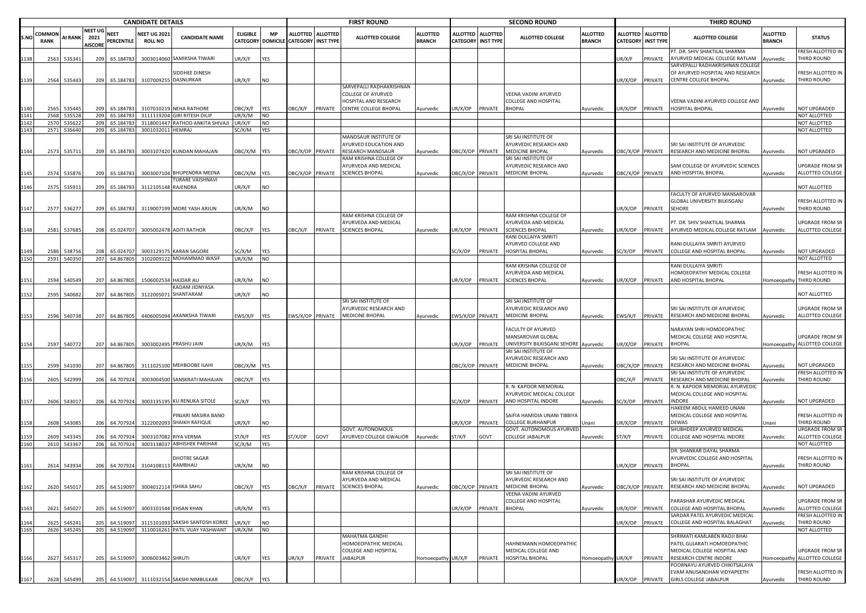|      |                       |                       |                                          |                           | <b>CANDIDATE DETAILS</b>              |                                                         |                          |                         |                                      |                   | <b>FIRST ROUND</b>                               |                                  |                                              |                 | <b>SECOND ROUND</b>                                      |                           |         |                                         | <b>THIRD ROUND</b>                                                   |                                  |                                       |
|------|-----------------------|-----------------------|------------------------------------------|---------------------------|---------------------------------------|---------------------------------------------------------|--------------------------|-------------------------|--------------------------------------|-------------------|--------------------------------------------------|----------------------------------|----------------------------------------------|-----------------|----------------------------------------------------------|---------------------------|---------|-----------------------------------------|----------------------------------------------------------------------|----------------------------------|---------------------------------------|
| S.NO | COMMON<br><b>RANK</b> | <b>AI RANK</b>        | <b>NEET UG</b><br>2021<br><b>AISCORE</b> | <b>NEET</b><br>PERCENTILE | <b>NEET UG 2021</b><br><b>ROLL NO</b> | <b>CANDIDATE NAME</b>                                   | <b>ELIGIBLE</b>          | <b>MP</b>               | CATEGORY DOMICILE CATEGORY INST TYPE | ALLOTTED ALLOTTED | <b>ALLOTTED COLLEGE</b>                          | <b>ALLOTTED</b><br><b>BRANCH</b> | <b>ALLOTTED</b><br><b>CATEGORY INST TYPE</b> | <b>ALLOTTED</b> | ALLOTTED COLLEGE                                         | ALLOTTED<br><b>BRANCH</b> |         | ALLOTTED ALLOTTED<br>CATEGORY INST TYPE | <b>ALLOTTED COLLEGE</b>                                              | <b>ALLOTTED</b><br><b>BRANCH</b> | <b>STATUS</b>                         |
| 1138 | 2563                  | 535341                | 209                                      | 65.184783                 |                                       | 3003014060 SAMIKSHA TIWARI                              | JR/X/F                   | YES                     |                                      |                   |                                                  |                                  |                                              |                 |                                                          |                           | UR/X/F  | PRIVATE                                 | PT. DR. SHIV SHAKTILAL SHARMA<br>YURVED MEDICAL COLLEGE RATLAM       | Ayurvedic                        | FRESH ALLOTTED IN<br>THIRD ROUND      |
|      |                       |                       |                                          |                           |                                       | SIDDHEE DINESH                                          |                          |                         |                                      |                   |                                                  |                                  |                                              |                 |                                                          |                           |         |                                         | SARVEPALLI RADHAKRISHNAN COLLEGI<br>OF AYURVED HOSPITAL AND RESEARCH |                                  | FRESH ALLOTTED IN                     |
| 1139 |                       | 2564 535443           | 209                                      | 65.184783                 |                                       | 3107009255 DASNURKAR                                    | JR/X/F                   | <b>NO</b>               |                                      |                   | SARVEPALLI RADHAKRISHNAN                         |                                  |                                              |                 |                                                          |                           |         | JR/X/OP PRIVATE                         | CENTRE COLLEGE BHOPAL                                                | Ayurvedic                        | THIRD ROUND                           |
|      |                       |                       |                                          |                           |                                       |                                                         |                          |                         |                                      |                   | COLLEGE OF AYURVED                               |                                  |                                              |                 | VEENA VADINI AYURVED                                     |                           |         |                                         |                                                                      |                                  |                                       |
|      |                       |                       |                                          |                           |                                       |                                                         |                          |                         |                                      |                   | HOSPITAL AND RESEARCH                            |                                  |                                              |                 | COLLEGE AND HOSPITAL                                     |                           |         |                                         | VEENA VADINI AYURVED COLLEGE AND                                     |                                  |                                       |
| 1141 | 2565<br>2568          | 535445<br>53552       | 209<br>209                               | 65.184783<br>65.184783    |                                       | 3107010219 NEHA RATHORE<br>3111119204 GIRI RITESH DILIF | <b>JBC/X/F</b><br>JR/X/M | <b>YES</b><br><b>NO</b> | OBC/X/F                              | PRIVATE           | CENTRE COLLEGE BHOPAL                            | Ayurvedic                        | UR/X/OP                                      | PRIVATE         | <b>BHOPAL</b>                                            | Ayurvedic                 | JR/X/OP | PRIVATE                                 | HOSPITAL BHOPAL                                                      | Ayurvedic                        | NOT UPGRADED<br>NOT ALLOTTED          |
|      | 2570                  | 535622                | 209                                      | 65.184783                 |                                       | 3118001447 RATHOD ANKITA SHIVAJI                        | UR/X/F                   | <b>NO</b>               |                                      |                   |                                                  |                                  |                                              |                 |                                                          |                           |         |                                         |                                                                      |                                  | NOT ALLOTTED                          |
| 1143 |                       | 2571 535640           |                                          | 209 65.184783             | 3001032011 HEMRAJ                     |                                                         | SC/X/M                   | <b>YES</b>              |                                      |                   | <b>MANDSAUR INSTITUTE OF</b>                     |                                  |                                              |                 | SRI SAI INSTITUTE OF                                     |                           |         |                                         |                                                                      |                                  | NOT ALLOTTED                          |
|      |                       |                       |                                          |                           |                                       |                                                         |                          |                         |                                      |                   | <b>AYURVED EDUCATION AND</b>                     |                                  |                                              |                 | AYURVEDIC RESEARCH AND                                   |                           |         |                                         | SRI SAI INSTITUTE OF AYURVEDIC                                       |                                  |                                       |
| 1144 | 2573                  | 535711                | 209                                      | 65.184783                 |                                       | 3003107420 KUNDAN MAHAJAN                               | DBC/X/M YES              |                         | OBC/X/OP PRIVATE                     |                   | RESEARCH MANDSAUR                                | Ayurvedic                        | OBC/X/OP PRIVATE                             |                 | MEDICINE BHOPAL<br>SRI SAI INSTITUTE OF                  | Ayurvedic                 |         | OBC/X/OP PRIVATE                        | RESEARCH AND MEDICINE BHOPAL                                         | Ayurvedic                        | NOT UPGRADED                          |
|      |                       |                       |                                          |                           |                                       |                                                         |                          |                         |                                      |                   | RAM KRISHNA COLLEGE OF<br>AYURVEDA AND MEDICAL   |                                  |                                              |                 | AYURVEDIC RESEARCH AND                                   |                           |         |                                         | SAM COLLEGE OF AYURVEDIC SCIENCES                                    |                                  | <b>UPGRADE FROM SR</b>                |
| 1145 |                       | 2574 535876           | 209                                      | 65.184783                 |                                       | 3003007104 BHUPENDRA MEENA                              | DBC/X/M YES              |                         | OBC/X/OP PRIVATE                     |                   | <b>SCIENCES BHOPAL</b>                           | Ayurvedic                        | OBC/X/OP PRIVATE                             |                 | <b>MEDICINE BHOPAL</b>                                   | Ayurvedic                 |         | DBC/X/OP PRIVATE                        | AND HOSPITAL BHOPAL                                                  | Ayurvedic                        | ALLOTTED COLLEGE                      |
| 1146 | 2575                  | 535913                | 209                                      | 65.184783                 | 3112105148                            | <b>FURARE VAISHNAVI</b><br>RAJENDRA                     | JR/X/F                   | <b>NO</b>               |                                      |                   |                                                  |                                  |                                              |                 |                                                          |                           |         |                                         |                                                                      |                                  | NOT ALLOTTED                          |
|      |                       |                       |                                          |                           |                                       |                                                         |                          |                         |                                      |                   |                                                  |                                  |                                              |                 |                                                          |                           |         |                                         | FACULTY OF AYURVED MANSAROVAR                                        |                                  |                                       |
|      |                       |                       |                                          |                           |                                       |                                                         |                          |                         |                                      |                   |                                                  |                                  |                                              |                 |                                                          |                           |         |                                         | GLOBAL UNIVERSITY BILKISGANJ                                         |                                  | FRESH ALLOTTED IN                     |
| 1147 | 2577                  | 536277                | 209                                      | 65.184783                 |                                       | 3119007199 MORE YASH ARJUN                              | UR/X/M                   | <b>NO</b>               |                                      |                   | RAM KRISHNA COLLEGE OF                           |                                  |                                              |                 | RAM KRISHNA COLLEGE OF                                   |                           | JR/X/OP | PRIVATE                                 | SEHORE                                                               | Ayurvedic                        | THIRD ROUND                           |
|      |                       |                       |                                          |                           |                                       |                                                         |                          |                         |                                      |                   | AYURVEDA AND MEDICAL                             |                                  |                                              |                 | AYURVEDA AND MEDICAL                                     |                           |         |                                         | PT. DR. SHIV SHAKTILAL SHARMA                                        |                                  | UPGRADE FROM SR                       |
| 1148 |                       | 2581 537685           | 208                                      | 65.024707                 |                                       | 3005002478 ADITI RATHOR                                 | OBC/X/F                  | <b>YES</b>              | OBC/X/F                              | PRIVATE           | <b>SCIENCES BHOPAL</b>                           | Ayurvedic                        | UR/X/OP                                      | PRIVATE         | <b>SCIENCES BHOPAL</b><br>RANI DULLAIYA SMRITI           | Ayurvedic                 | JR/X/OP | PRIVATE                                 | AYURVED MEDICAL COLLEGE RATLAM                                       | Ayurvedic                        | ALLOTTED COLLEGE                      |
|      |                       |                       |                                          |                           |                                       |                                                         |                          |                         |                                      |                   |                                                  |                                  |                                              |                 | AYURVED COLLEGE AND                                      |                           |         |                                         | RANI DULLAIYA SMRITI AYURVED                                         |                                  |                                       |
| 1149 | 2586                  | 538756                | 208                                      | 65.024707                 |                                       | 3003129175 KARAN SAGORE                                 | SC/X/M                   | <b>YES</b>              |                                      |                   |                                                  |                                  | SC/X/OP                                      | PRIVATE         | HOSPITAL BHOPAL                                          | Ayurvedic                 | C/X/OP  | PRIVATE                                 | COLLEGE AND HOSPITAL BHOPAL                                          | Ayurvedic                        | NOT UPGRADED                          |
|      | 2591                  | 540350                |                                          | 207 64.867805             |                                       | 3102009122 MOHAMMAD WASIF                               | JR/X/M                   | <b>NO</b>               |                                      |                   |                                                  |                                  |                                              |                 | RAM KRISHNA COLLEGE OF                                   |                           |         |                                         | RANI DULLAIYA SMRITI                                                 |                                  | NOT ALLOTTED                          |
|      |                       |                       |                                          |                           |                                       |                                                         |                          |                         |                                      |                   |                                                  |                                  |                                              |                 | AYURVEDA AND MEDICAL                                     |                           |         |                                         | HOMOEOPATHY MEDICAL COLLEGE                                          |                                  | FRESH ALLOTTED IN                     |
|      | 2594                  | 540549                | 207                                      | 64.867805                 | 150600253                             | <b>HAIDAR ALI</b>                                       | JR/X/M                   | NO.                     |                                      |                   |                                                  |                                  | UR/X/OP                                      | PRIVATE         | <b>SCIENCES BHOPAL</b>                                   | Ayurvedic                 | JR/X/OP | PRIVATE                                 | AND HOSPITAL BHOPAL                                                  | Homoeopathy                      | THIRD ROUND                           |
| 1152 | 2595                  | 540682                | 207                                      | 64.867805                 | 312200507                             | KADAM JIDNYASA<br>SHANTARAM                             | JR/X/F                   | <b>NO</b>               |                                      |                   |                                                  |                                  |                                              |                 |                                                          |                           |         |                                         |                                                                      |                                  | NOT ALLOTTED                          |
|      |                       |                       |                                          |                           |                                       |                                                         |                          |                         |                                      |                   | SRI SAI INSTITUTE OF                             |                                  |                                              |                 | SRI SAI INSTITUTE OF                                     |                           |         |                                         |                                                                      |                                  |                                       |
| 1153 |                       | 2596 540738           | 207                                      | 64.867805                 |                                       | 4406005094 AKANKSHA TIWARI                              | EWS/X/F                  | <b>YFS</b>              |                                      | EWS/X/OP PRIVATE  | <b>AYURVEDIC RESEARCH AND</b><br>MEDICINE BHOPAL | Ayurvedic                        | EWS/X/OP PRIVATE                             |                 | AYURVEDIC RESEARCH AND<br>MEDICINE BHOPAL                | Ayurvedic                 | EWS/X/F | PRIVATE                                 | SRI SAI INSTITUTE OF AYURVEDIC<br>RESEARCH AND MEDICINE BHOPAL       | Ayurvedic                        | UPGRADE FROM SR<br>ALLOTTED COLLEGE   |
|      |                       |                       |                                          |                           |                                       |                                                         |                          |                         |                                      |                   |                                                  |                                  |                                              |                 |                                                          |                           |         |                                         |                                                                      |                                  |                                       |
|      |                       |                       |                                          |                           |                                       |                                                         |                          |                         |                                      |                   |                                                  |                                  |                                              |                 | FACULTY OF AYURVED<br>MANSAROVAR GLOBAL                  |                           |         |                                         | NARAYAN SHRI HOMOEOPATHIC<br>MEDICAL COLLEGE AND HOSPITAL            |                                  | UPGRADE FROM SR                       |
| 1154 | 2597                  | 540772                | 207                                      | 64.867805                 |                                       | 3003002495 PRASHU JAIN                                  | JR/X/M                   | YES                     |                                      |                   |                                                  |                                  | UR/X/OP                                      | PRIVATE         | UNIVERSITY BILKISGANJ SEHORE Ayurvedic                   |                           | JR/X/OP | PRIVATE                                 | <b>BHOPAL</b>                                                        |                                  | Homoeopathy ALLOTTED COLLEGE          |
|      |                       |                       |                                          |                           |                                       |                                                         |                          |                         |                                      |                   |                                                  |                                  |                                              |                 | SRI SAI INSTITUTE OF                                     |                           |         |                                         |                                                                      |                                  |                                       |
|      | 2599                  | 541030                | 207                                      | 64.867805                 |                                       | 3111025100 MEHBOOBE ILAHI                               | ЭВС/Х/М                  | <b>YES</b>              |                                      |                   |                                                  |                                  | OBC/X/OP PRIVATE                             |                 | AYURVEDIC RESEARCH AND<br>MEDICINE BHOPAL                | Ayurvedic                 |         | BC/X/OP PRIVATE                         | SRI SAI INSTITUTE OF AYURVEDIC<br>RESEARCH AND MEDICINE BHOPAL       | Ayurvedic                        | NOT UPGRADED                          |
|      |                       |                       |                                          |                           |                                       |                                                         |                          |                         |                                      |                   |                                                  |                                  |                                              |                 |                                                          |                           |         |                                         | SRI SAI INSTITUTE OF AYURVEDIC                                       |                                  | FRESH ALLOTTED IN                     |
| 1156 | 2605                  | 542999                | 206                                      | 64.707924                 |                                       | 3003004500 SANSKRATI MAHAJAN                            | <b>JBC/X/F</b>           | <b>YES</b>              |                                      |                   |                                                  |                                  |                                              |                 | R. N. KAPOOR MEMORIAL                                    |                           | OBC/X/F | PRIVATE                                 | RESEARCH AND MEDICINE BHOPAL                                         | Ayurvedic                        | THIRD ROUND                           |
|      |                       |                       |                                          |                           |                                       |                                                         |                          |                         |                                      |                   |                                                  |                                  |                                              |                 | AYURVEDIC MEDICAL COLLEGE                                |                           |         |                                         | R. N. KAPOOR MEMORIAL AYURVEDIC<br>MEDICAL COLLEGE AND HOSPITAL      |                                  |                                       |
| 1157 |                       | 2606 543017           | 206                                      | 64.707924                 |                                       | 3003135195 KU RENUKA SITOLE                             | SC/X/F                   | YES                     |                                      |                   |                                                  |                                  | SC/X/OP                                      | PRIVATE         | AND HOSPITAL INDORE                                      | Ayurvedic                 | C/X/OP  | PRIVATE                                 | NDORE                                                                | Ayurvedic                        | NOT UPGRADED                          |
|      |                       |                       |                                          |                           |                                       | PINJARI MASIRA BANO                                     |                          |                         |                                      |                   |                                                  |                                  |                                              |                 | SAIFIA HAMIDIA UNANI TIBBIYA                             |                           |         |                                         | HAKEEM ABDUL HAMEED UNANI<br>MEDICAL COLLEGE AND HOSPITAL            |                                  | FRESH ALLOTTED IN                     |
| 1158 | 2608                  | 543085                | 206                                      | 64.707924                 |                                       | 3122002093 SHAIKH RAFIQUE                               | JR/X/F                   | <b>NO</b>               |                                      |                   |                                                  |                                  | UR/X/OP                                      | PRIVATE         | COLLEGE BURHANPUR                                        | Jnani                     | JR/X/OP | PRIVATE                                 | DEWAS                                                                | Unani                            | THIRD ROUND                           |
|      |                       |                       |                                          |                           |                                       |                                                         |                          |                         |                                      |                   | GOVT. AUTONOMOUS                                 |                                  |                                              |                 | GOVT. AUTONOMOUS AYURVED                                 |                           |         |                                         | SHUBHDEEP AYURVED MEDICAL                                            |                                  | <b>UPGRADE FROM SR</b>                |
| 1160 | 2609                  | 543345<br>2610 543367 | 206<br>206                               | 64.707924<br>64.707924    |                                       | 3003107082 RIYA VERMA<br>3003138037 ABHISHEK PARIHAR    | ST/X/F<br>SC/X/M         | YES<br><b>YES</b>       | ST/X/OP                              | GOVT              | AYURVED COLLEGE GWALIOR                          | Ayurvedic                        | ST/X/F                                       | GOVT            | COLLEGE JABALPUR                                         | Ayurvedic                 | ST/X/F  | PRIVATE                                 | COLLEGE AND HOSPITAL INDORE                                          | Ayurvedic                        | ALLOTTED COLLEGE<br>NOT ALLOTTED      |
|      |                       |                       |                                          |                           |                                       |                                                         |                          |                         |                                      |                   |                                                  |                                  |                                              |                 |                                                          |                           |         |                                         | DR. SHANKAR DAYAL SHARMA                                             |                                  |                                       |
| 1161 | 2614                  | 543934                | 206                                      | 64.707924                 | 310410811                             | DHOTRE SAGAR<br>RAMBHAU                                 | JR/X/M                   | NO.                     |                                      |                   |                                                  |                                  |                                              |                 |                                                          |                           | JR/X/OP | PRIVATE                                 | AYURVEDIC COLLEGE AND HOSPITAL<br><b>BHOPAL</b>                      | Ayurvedic                        | FRESH ALLOTTED IN<br>THIRD ROUND      |
|      |                       |                       |                                          |                           |                                       |                                                         |                          |                         |                                      |                   | RAM KRISHNA COLLEGE OF                           |                                  |                                              |                 | SRI SAI INSTITUTE OF                                     |                           |         |                                         |                                                                      |                                  |                                       |
|      |                       |                       |                                          |                           |                                       |                                                         |                          |                         |                                      |                   | AYURVEDA AND MEDICAL                             |                                  |                                              |                 | AYURVEDIC RESEARCH AND                                   |                           |         |                                         | SRI SAI INSTITUTE OF AYURVEDIC                                       |                                  |                                       |
| 1162 |                       | 2620 545017           |                                          | 205 64.519097             |                                       | 3004012114 ISHIKA SAHU                                  | OBC/X/F YES              |                         | OBC/X/F PRIVATE                      |                   | <b>SCIENCES BHOPAL</b>                           | Ayurvedic                        |                                              |                 | OBC/X/OP PRIVATE MEDICINE BHOPAL<br>VEENA VADINI AYURVED | Ayurvedic                 |         |                                         | OBC/X/OP PRIVATE RESEARCH AND MEDICINE BHOPAL                        | Ayurvedic                        | <b>NOT UPGRADED</b>                   |
|      |                       |                       |                                          |                           |                                       |                                                         |                          |                         |                                      |                   |                                                  |                                  |                                              |                 | COLLEGE AND HOSPITAL                                     |                           |         |                                         | PARASHAR AYURVEDIC MEDICAL                                           |                                  | <b>UPGRADE FROM SR</b>                |
|      | 2621                  | 545027                | 205                                      | 64.519097                 |                                       | 3003101544 EHSAN KHAN                                   | JR/X/M                   | <b>YES</b>              |                                      |                   |                                                  |                                  | UR/X/OP                                      | PRIVATE         | <b>BHOPAL</b>                                            | Ayurvedic                 | JR/X/OP | PRIVATE                                 | COLLEGE AND HOSPITAL BHOPAL<br><b>SARDAR PATEL AYURVEDIC MEDICAL</b> | Ayurvedic                        | ALLOTTED COLLEGE<br>FRESH ALLOTTED IN |
| 1164 | 2625                  | 545241                | 205                                      | 64.519097                 |                                       | 3115101093 SAKSHI SANTOSH KORKE                         | JR/X/F                   | <b>NO</b>               |                                      |                   |                                                  |                                  |                                              |                 |                                                          |                           | UR/X/OP | PRIVATE                                 | COLLEGE AND HOSPITAL BALAGHAT                                        | Ayurvedic                        | THIRD ROUND                           |
| 1165 | 2626                  | 545245                |                                          | 205 64.519097             |                                       | 3110016261 PATIL VIJAY YASHWANT                         | UR/X/M                   | <b>NO</b>               |                                      |                   |                                                  |                                  |                                              |                 |                                                          |                           |         |                                         |                                                                      |                                  | NOT ALLOTTED                          |
|      |                       |                       |                                          |                           |                                       |                                                         |                          |                         |                                      |                   | MAHATMA GANDHI<br>HOMOEOPATHIC MEDICAL           |                                  |                                              |                 | HAHNEMANN HOMOEOPATHIC                                   |                           |         |                                         | SHRIMATI KAMLABEN RAOJI BHAI<br>PATEL GUJARATI HOMOEOPATHIC          |                                  |                                       |
|      |                       |                       |                                          |                           |                                       |                                                         |                          |                         |                                      |                   | COLLEGE AND HOSPITAL                             |                                  |                                              |                 | MEDICAL COLLEGE AND                                      |                           |         |                                         | MEDICAL COLLEGE HOSPITAL AND                                         |                                  | UPGRADE FROM SR                       |
| 1166 |                       | 2627 545317           |                                          | 205 64.519097             | 3006003462 SHRUTI                     |                                                         | JR/X/F                   | YES                     | UR/X/F                               | PRIVATE           | <b>JABALPUR</b>                                  | Homoeopathy UR/X/F               |                                              | PRIVATE         | <b>HOSPITAL BHOPAL</b>                                   | Homoeopathy UR/X/F        |         | PRIVATE                                 | RESEARCH CENTRE INDORE<br>POORNAYU AYURVED CHIKITSALAYA              |                                  | Homoeopathy ALLOTTED COLLEGE          |
|      |                       |                       |                                          |                           |                                       |                                                         |                          |                         |                                      |                   |                                                  |                                  |                                              |                 |                                                          |                           |         |                                         | EVAM ANUSANDHAN VIDYAPEETH                                           |                                  | FRESH ALLOTTED IN                     |
| 1167 |                       | 2628 545499           |                                          |                           |                                       | 205 64.519097 3111032154 SAKSHI NIMBULKAR               | OBC/X/F                  | <b>YES</b>              |                                      |                   |                                                  |                                  |                                              |                 |                                                          |                           |         |                                         | UR/X/OP PRIVATE GIRLS COLLEGE JABALPUR                               | Ayurvedic                        | THIRD ROUND                           |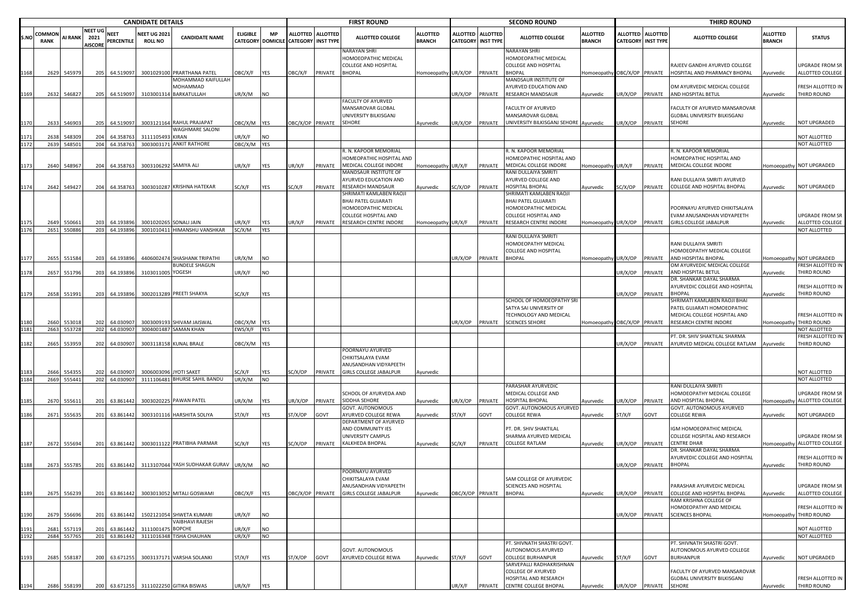|              | <b>CANDIDATE DETAILS</b> |                      |                                   |                            |                                       |                                                              |                            | <b>FIRST ROUND</b> |                                      |                   |                                                                                    | <b>SECOND ROUND</b>              |                                              |                 |                                                                               | <b>THIRD ROUND</b>               |         |                                                |                                                                                 |                                  |                                                 |
|--------------|--------------------------|----------------------|-----------------------------------|----------------------------|---------------------------------------|--------------------------------------------------------------|----------------------------|--------------------|--------------------------------------|-------------------|------------------------------------------------------------------------------------|----------------------------------|----------------------------------------------|-----------------|-------------------------------------------------------------------------------|----------------------------------|---------|------------------------------------------------|---------------------------------------------------------------------------------|----------------------------------|-------------------------------------------------|
| S.NC         | COMMON<br><b>RANK</b>    | <b>AI RANK</b>       | NEET UG<br>2021<br><b>AISCORE</b> | NEET<br>PERCENTILE         | <b>NEET UG 2021</b><br><b>ROLL NO</b> | <b>CANDIDATE NAME</b>                                        | <b>ELIGIBLE</b>            | <b>MP</b>          | CATEGORY DOMICILE CATEGORY INST TYPE | ALLOTTED ALLOTTED | <b>ALLOTTED COLLEGE</b>                                                            | <b>ALLOTTED</b><br><b>BRANCH</b> | <b>ALLOTTED</b><br><b>CATEGORY INST TYPE</b> | <b>ALLOTTED</b> | <b>ALLOTTED COLLEGE</b>                                                       | <b>ALLOTTED</b><br><b>BRANCH</b> |         | ALLOTTED ALLOTTED<br><b>CATEGORY INST TYPE</b> | <b>ALLOTTED COLLEGE</b>                                                         | <b>ALLOTTED</b><br><b>BRANCH</b> | <b>STATUS</b>                                   |
|              |                          |                      |                                   |                            |                                       |                                                              |                            |                    |                                      |                   | NARAYAN SHRI<br>HOMOEOPATHIC MEDICAL<br>COLLEGE AND HOSPITAL                       |                                  |                                              |                 | NARAYAN SHRI<br>HOMOEOPATHIC MEDICAL<br>COLLEGE AND HOSPITAL                  |                                  |         |                                                | RAJEEV GANDHI AYURVED COLLEGE                                                   |                                  | <b>UPGRADE FROM SR</b>                          |
| 1168         |                          | 2629 545979          | 205                               | 64.519097                  |                                       | 3001029100 PRARTHANA PATEL<br>MOHAMMAD KAIFULLAH<br>MOHAMMAD | <b>JBC/X/F</b>             | <b>YES</b>         | OBC/X/F                              | PRIVATE           | <b>BHOPAL</b>                                                                      | Homoeopathy UR/X/OP              |                                              | PRIVATE         | <b>BHOPAL</b><br>MANDSAUR INSTITUTE OF<br>AYURVED EDUCATION AND               | lomoeopathy OBC/X/OP PRIVATE     |         |                                                | HOSPITAL AND PHARMACY BHOPAL<br>OM AYURVEDIC MEDICAL COLLEGE                    | Ayurvedic                        | ALLOTTED COLLEGE<br>FRESH ALLOTTED IN           |
| 1169         | 2632                     | 546827               | 205                               | 64.519097                  | 31030013                              | BARKATULLAH                                                  | JR/X/M                     | <b>NO</b>          |                                      |                   |                                                                                    |                                  | UR/X/OP                                      | PRIVATE         | RESEARCH MANDSAUR                                                             | Ayurvedic                        | JR/X/OP | PRIVATE                                        | AND HOSPITAL BETUL                                                              | Ayurvedic                        | THIRD ROUND                                     |
|              |                          |                      |                                   |                            |                                       |                                                              |                            |                    |                                      |                   | FACULTY OF AYURVED<br>MANSAROVAR GLOBAL<br>UNIVERSITY BILKISGANJ                   |                                  |                                              |                 | FACULTY OF AYURVED<br>MANSAROVAR GLOBAL                                       |                                  |         |                                                | FACULTY OF AYURVED MANSAROVAR<br>GLOBAL UNIVERSITY BILKISGANJ                   |                                  |                                                 |
|              |                          | 2633 546903          | 205                               | 64.519097                  |                                       | 3003121164 RAHUL PRAJAPAT<br>WAGHMARE SALONI                 | DBC/X/M YES                |                    | OBC/X/OP PRIVATE                     |                   | SEHORE                                                                             | Ayurvedic                        | JR/X/OP                                      | PRIVATE         | UNIVERSITY BILKISGANJ SEHORE Ayurvedic                                        |                                  | JR/X/OP | PRIVATE                                        | SEHORE                                                                          | Ayurvedic                        | NOT UPGRADED                                    |
| 1171         | 2638                     | 548309               | 204                               | 64.358763                  | 3111105493 KIRAN                      |                                                              | UR/X/F                     | <b>NO</b>          |                                      |                   |                                                                                    |                                  |                                              |                 |                                                                               |                                  |         |                                                |                                                                                 |                                  | NOT ALLOTTED                                    |
| 1172         |                          | 2639 548501          |                                   | 204 64.358763              |                                       | 3003003171 ANKIT RATHORE                                     | DBC/X/M YES                |                    |                                      |                   | R. N. KAPOOR MEMORIAL                                                              |                                  |                                              |                 | R. N. KAPOOR MEMORIAL                                                         |                                  |         |                                                | I. N. KAPOOR MEMORIAL                                                           |                                  | NOT ALLOTTED                                    |
|              |                          |                      |                                   |                            |                                       |                                                              |                            |                    |                                      |                   | HOMEOPATHIC HOSPITAL AND                                                           |                                  |                                              |                 | HOMEOPATHIC HOSPITAL AND                                                      |                                  |         |                                                | HOMEOPATHIC HOSPITAL AND                                                        |                                  |                                                 |
| 1173         | 2640                     | 548967               | 204                               | 64.358763                  |                                       | 3003106292 SAMIYA ALI                                        | JR/X/F                     | YES                | UR/X/F                               | PRIVATE           | MEDICAL COLLEGE INDORE                                                             | Homoeopathy UR/X/F               |                                              | PRIVATE         | MEDICAL COLLEGE INDORE                                                        | Iomoeopathy UR/X/F               |         | PRIVATE                                        | MEDICAL COLLEGE INDORE                                                          |                                  | Homoeopathy NOT UPGRADED                        |
|              |                          |                      |                                   |                            |                                       |                                                              |                            |                    |                                      |                   | MANDSAUR INSTITUTE OF<br><b>AYURVED EDUCATION AND</b>                              |                                  |                                              |                 | RANI DULLAIYA SMRITI<br>AYURVED COLLEGE AND                                   |                                  |         |                                                | RANI DULLAIYA SMRITI AYURVED                                                    |                                  |                                                 |
| 1174         |                          | 2642 549427          | 204                               | 64.358763                  |                                       | 3003010287 KRISHNA HATEKAR                                   | SC/X/F                     | YES                | SC/X/F                               | PRIVATE           | RESEARCH MANDSAUR                                                                  | Ayurvedic                        | SC/X/OP                                      | PRIVATE         | <b>IOSPITAL BHOPAL</b>                                                        | Ayurvedic                        | SC/X/OP | PRIVATE                                        | COLLEGE AND HOSPITAL BHOPAL                                                     | Ayurvedic                        | NOT UPGRADED                                    |
|              |                          |                      |                                   |                            |                                       |                                                              |                            |                    |                                      |                   | SHRIMATI KAMLABEN RAOJI<br>BHAI PATEL GUJARATI<br>HOMOEOPATHIC MEDICAL             |                                  |                                              |                 | SHRIMATI KAMLABEN RAOJI<br><b>BHAI PATEL GUJARATI</b><br>HOMOEOPATHIC MEDICAL |                                  |         |                                                | POORNAYU AYURVED CHIKITSALAYA                                                   |                                  |                                                 |
|              |                          | 2649 550661          | 203                               | 64.193896                  |                                       | 3001020265 SONALI JAIN                                       | JR/X/F                     | YES                | UR/X/F                               | PRIVATE           | COLLEGE HOSPITAL AND<br>RESEARCH CENTRE INDORE                                     | Homoeopathy UR/X/F               |                                              | PRIVATE         | COLLEGE HOSPITAL AND<br>RESEARCH CENTRE INDORE                                | Iomoeopathy UR/X/OP              |         | PRIVATE                                        | EVAM ANUSANDHAN VIDYAPEETH<br><b>GIRLS COLLEGE JABALPUR</b>                     | Ayurvedic                        | UPGRADE FROM SR<br>ALLOTTED COLLEGE             |
|              |                          | 2651 550886          |                                   | 203 64.193896              |                                       | 3001010411 HIMANSHU VANSHKAR                                 | SC/X/M                     | <b>YES</b>         |                                      |                   |                                                                                    |                                  |                                              |                 |                                                                               |                                  |         |                                                |                                                                                 |                                  | NOT ALLOTTED                                    |
|              |                          |                      |                                   |                            |                                       |                                                              |                            |                    |                                      |                   |                                                                                    |                                  |                                              |                 | RANI DULLAIYA SMRITI                                                          |                                  |         |                                                |                                                                                 |                                  |                                                 |
|              |                          |                      |                                   |                            |                                       |                                                              |                            |                    |                                      |                   |                                                                                    |                                  |                                              |                 | HOMOEOPATHY MEDICAL<br>COLLEGE AND HOSPITAL                                   |                                  |         |                                                | RANI DULLAIYA SMRITI<br>HOMOEOPATHY MEDICAL COLLEGE                             |                                  |                                                 |
|              |                          | 2655 551584          | 203                               | 64.193896                  |                                       | 4406002474 SHASHANK TRIPATHI                                 | JR/X/M                     | <b>NO</b>          |                                      |                   |                                                                                    |                                  | UR/X/OP                                      | PRIVATE         | <b>BHOPAL</b>                                                                 | Iomoeopathy UR/X/OP              |         | PRIVATE                                        | AND HOSPITAL BHOPAL                                                             |                                  | Iomoeopathy NOT UPGRADED                        |
| 1178         | 2657                     | 551796               |                                   | 64.193896                  | 3103011005 YOGESH                     | <b>BUNDELE SHAGUN</b>                                        | UR/X/F                     | <b>NO</b>          |                                      |                   |                                                                                    |                                  |                                              |                 |                                                                               |                                  | JR/X/OP |                                                | OM AYURVEDIC MEDICAL COLLEGE<br>AND HOSPITAL BETUL                              |                                  | FRESH ALLOTTED IN<br>THIRD ROUND                |
|              |                          |                      | 203                               |                            |                                       |                                                              |                            |                    |                                      |                   |                                                                                    |                                  |                                              |                 |                                                                               |                                  |         | PRIVATE                                        | DR. SHANKAR DAYAL SHARMA                                                        | Ayurvedic                        |                                                 |
| 1179         | 2658                     | 551991               | 203                               | 64.193896                  |                                       | 3002013289 PREETI SHAKYA                                     | SC/X/F                     | <b>YES</b>         |                                      |                   |                                                                                    |                                  |                                              |                 | SCHOOL OF HOMOEOPATHY SRI                                                     |                                  | JR/X/OP | PRIVATE                                        | AYURVEDIC COLLEGE AND HOSPITAL<br><b>BHOPAL</b><br>SHRIMATI KAMLABEN RAOJI BHAI | Ayurvedic                        | FRESH ALLOTTED IN<br>THIRD ROUND                |
|              |                          |                      |                                   |                            |                                       |                                                              |                            |                    |                                      |                   |                                                                                    |                                  |                                              |                 | SATYA SAI UNIVERSITY OF                                                       |                                  |         |                                                | PATEL GUJARATI HOMOEOPATHIC                                                     |                                  |                                                 |
|              |                          |                      |                                   |                            |                                       |                                                              |                            |                    |                                      |                   |                                                                                    |                                  |                                              |                 | TECHNOLOGY AND MEDICAL                                                        |                                  |         |                                                | MEDICAL COLLEGE HOSPITAL AND                                                    |                                  | FRESH ALLOTTED IN                               |
|              | 2660                     | 55301<br>2663 553728 | 202                               | 64.030907<br>202 64.030907 | 300300919                             | SHIVAM JAISWAL<br>3004001487 SAMAN KHAN                      | OBC/X/M YES<br>EWS/X/F YES |                    |                                      |                   |                                                                                    |                                  | UR/X/OP                                      | PRIVATE         | <b>SCIENCES SEHORE</b>                                                        | Homoeopathy OBC/X/OP PRIVATE     |         |                                                | RESEARCH CENTRE INDORE                                                          | Homoeopathy                      | THIRD ROUND<br>NOT ALLOTTED                     |
|              |                          |                      |                                   |                            |                                       |                                                              |                            |                    |                                      |                   |                                                                                    |                                  |                                              |                 |                                                                               |                                  |         |                                                | PT. DR. SHIV SHAKTILAL SHARMA                                                   |                                  | FRESH ALLOTTED IN                               |
| 1182         | 2665                     | 553959               | 202                               | 64.030907                  |                                       | 3003118158 KUNAL BRALE                                       | OBC/X/M YES                |                    |                                      |                   | POORNAYU AYURVED                                                                   |                                  |                                              |                 |                                                                               |                                  | UR/X/OP | PRIVATE                                        | AYURVED MEDICAL COLLEGE RATLAM                                                  | Ayurvedic                        | THIRD ROUND                                     |
| 1183<br>1184 | 2666                     | 55435<br>2669 555441 | 202                               | 64.030907<br>202 64.030907 | 300600309                             | <b>6 JYOTI SAKET</b><br>3111106481 BHURSE SAHIL BANDU        | SC/X/F<br>UR/X/M           | YES<br><b>NO</b>   | SC/X/OP                              | PRIVATE           | CHIKITSALAYA EVAM<br>ANUSANDHAN VIDYAPEETH<br>GIRLS COLLEGE JABALPUR               | Ayurvedic                        |                                              |                 |                                                                               |                                  |         |                                                |                                                                                 |                                  | NOT ALLOTTED<br>NOT ALLOTTED                    |
|              |                          |                      |                                   |                            |                                       |                                                              |                            |                    |                                      |                   |                                                                                    |                                  |                                              |                 | PARASHAR AYURVEDIC                                                            |                                  |         |                                                | RANI DULLAIYA SMRITI                                                            |                                  |                                                 |
|              |                          | 2670 555611          |                                   | 201 63.861442              |                                       | 3003020225 PAWAN PATEL                                       | JR/X/M                     | <b>YES</b>         | JR/X/OP                              | PRIVATE           | SCHOOL OF AYURVEDA AND<br>SIDDHA SEHORE<br>GOVT. AUTONOMOUS                        | Ayurvedic                        | JR/X/OP                                      | PRIVATE         | MEDICAL COLLEGE AND<br>HOSPITAL BHOPAL<br>GOVT. AUTONOMOUS AYURVED            | Ayurvedic                        | JR/X/OP | PRIVATE                                        | HOMOEOPATHY MEDICAL COLLEGE<br>AND HOSPITAL BHOPAL<br>GOVT. AUTONOMOUS AYURVED  |                                  | UPGRADE FROM SR<br>Homoeopathy ALLOTTED COLLEGE |
| 1186         | 2671                     | 55563                |                                   | 201 63.861442              |                                       | 3003101116 HARSHITA SOLIYA                                   | ST/X/F                     | YES                | ST/X/OP                              | GOVT              | AYURVED COLLEGE REWA                                                               | Ayurvedic                        | ST/X/F                                       | GOVT            | COLLEGE REWA                                                                  | Ayurvedic                        | ST/X/F  | GOVT                                           | COLLEGE REWA                                                                    | Ayurvedic                        | NOT UPGRADED                                    |
|              |                          |                      |                                   |                            |                                       |                                                              |                            |                    |                                      |                   | DEPARTMENT OF AYURVED<br>AND COMMUNITY IES<br>UNIVERSITY CAMPUS<br>KALKHEDA BHOPAL |                                  |                                              |                 | PT. DR. SHIV SHAKTILAL<br>SHARMA AYURVED MEDICAL<br><b>COLLEGE RATLAM</b>     |                                  |         |                                                | GM HOMOEOPATHIC MEDICAL<br>COLLEGE HOSPITAL AND RESEARCH<br>CENTRE DHAR         |                                  | UPGRADE FROM SR<br>Homoeopathy ALLOTTED COLLEGE |
| 1187         |                          | 2672 555694          |                                   | 201 63.861442              |                                       | 3003011122 PRATIBHA PARMAR                                   | SC/X/F                     | YES                | SC/X/OP                              | PRIVATE           |                                                                                    | Ayurvedic                        | SC/X/F                                       | PRIVATE         |                                                                               | Ayurvedic                        | JR/X/OP | PRIVATE                                        | DR. SHANKAR DAYAL SHARMA                                                        |                                  |                                                 |
|              |                          |                      |                                   |                            |                                       |                                                              |                            |                    |                                      |                   |                                                                                    |                                  |                                              |                 |                                                                               |                                  |         |                                                | AYURVEDIC COLLEGE AND HOSPITAL                                                  |                                  | FRESH ALLOTTED IN                               |
| 1188         | 2673                     | 555785               | 201                               | 63.861442                  |                                       | 3113107044 YASH SUDHAKAR GURAV                               | UR/X/M                     | <b>NO</b>          |                                      |                   | POORNAYU AYURVED                                                                   |                                  |                                              |                 |                                                                               |                                  | JR/X/OP | PRIVATE                                        | <b>BHOPAL</b>                                                                   | Ayurvedic                        | THIRD ROUND                                     |
| 1189         |                          | 2675 556239          |                                   | 201 63.861442              |                                       | 3003013052 MITALI GOSWAMI                                    | OBC/X/F YES                |                    | OBC/X/OP PRIVATE                     |                   | CHIKITSALAYA EVAM<br>ANUSANDHAN VIDYAPEETH<br>GIRLS COLLEGE JABALPUR               | Ayurvedic                        | OBC/X/OP PRIVATE                             |                 | SAM COLLEGE OF AYURVEDIC<br>SCIENCES AND HOSPITAL<br><b>BHOPAL</b>            | Ayurvedic                        | UR/X/OP | PRIVATE                                        | PARASHAR AYURVEDIC MEDICAL<br>COLLEGE AND HOSPITAL BHOPAL                       | Ayurvedic                        | <b>UPGRADE FROM SR</b><br>ALLOTTED COLLEGE      |
|              |                          |                      |                                   |                            |                                       |                                                              |                            |                    |                                      |                   |                                                                                    |                                  |                                              |                 |                                                                               |                                  |         |                                                | RAM KRISHNA COLLEGE OF                                                          |                                  |                                                 |
| 1190         |                          | 2679 556696          |                                   | 201 63.861442              |                                       | 1502121054 SHWETA KUMARI<br><b>VAIBHAVI RAJESH</b>           | JR/X/F                     | <b>NO</b>          |                                      |                   |                                                                                    |                                  |                                              |                 |                                                                               |                                  | UR/X/OP | PRIVATE                                        | HOMOEOPATHY AND MEDICAL<br><b>SCIENCES BHOPAL</b>                               |                                  | FRESH ALLOTTED IN<br>Homoeopathy THIRD ROUND    |
| 1191         | 2681                     | 557119               | 201                               | 63.861442                  | 3111001475 BOPCHE                     |                                                              | UR/X/F                     | <b>NO</b>          |                                      |                   |                                                                                    |                                  |                                              |                 |                                                                               |                                  |         |                                                |                                                                                 |                                  | NOT ALLOTTED                                    |
| 1192         |                          | 2684 557765          |                                   | 201 63.861442              |                                       | 3111016348 TISHA CHAUHAN                                     | UR/X/F                     | <b>NO</b>          |                                      |                   |                                                                                    |                                  |                                              |                 | PT. SHIVNATH SHASTRI GOVT.                                                    |                                  |         |                                                | PT. SHIVNATH SHASTRI GOVT.                                                      |                                  | NOT ALLOTTED                                    |
| 1193         | 2685                     | 558187               | 200                               | 63.671255                  |                                       | 3003137171 VARSHA SOLANKI                                    | ST/X/F                     | YES                | ST/X/OP                              | GOVT              | GOVT, AUTONOMOUS<br>AYURVED COLLEGE REWA                                           | Ayurvedic                        | ST/X/F                                       | GOVT            | AUTONOMOUS AYURVED<br><b>COLLEGE BURHANPUR</b>                                | Ayurvedic                        | ST/X/F  | GOVT                                           | AUTONOMOUS AYURVED COLLEGE<br>BURHANPUR                                         | Ayurvedic                        | NOT UPGRADED                                    |
|              |                          |                      |                                   |                            |                                       |                                                              |                            |                    |                                      |                   |                                                                                    |                                  |                                              |                 | SARVEPALLI RADHAKRISHNAN<br>COLLEGE OF AYURVED<br>HOSPITAL AND RESEARCH       |                                  |         |                                                | <b>FACULTY OF AYURVED MANSAROVAR</b><br>GLOBAL UNIVERSITY BILKISGANJ            |                                  | FRESH ALLOTTED IN                               |
| 1194         |                          | 2686 558199          |                                   |                            |                                       | 200 63.671255 3111022250 GITIKA BISWAS                       | UR/X/F                     | <b>YES</b>         |                                      |                   |                                                                                    |                                  | UR/X/F                                       |                 | PRIVATE CENTRE COLLEGE BHOPAL                                                 | Ayurvedic                        |         | UR/X/OP PRIVATE SEHORE                         |                                                                                 | Ayurvedic                        | THIRD ROUND                                     |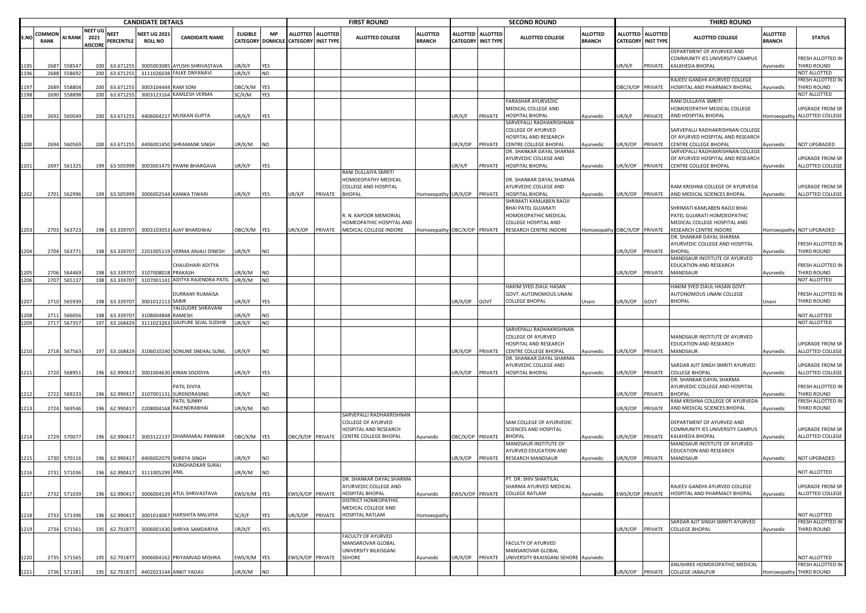|      |                       |                |                                          |                           | <b>CANDIDATE DETAILS</b>              |                                 |                 |            |                                      |                   | <b>FIRST ROUND</b>                          |                                  |                  |                                              | <b>SECOND ROUND</b>                                   |                                  |                         |                                                | <b>THIRD ROUND</b>                                                              |                                  |                                          |
|------|-----------------------|----------------|------------------------------------------|---------------------------|---------------------------------------|---------------------------------|-----------------|------------|--------------------------------------|-------------------|---------------------------------------------|----------------------------------|------------------|----------------------------------------------|-------------------------------------------------------|----------------------------------|-------------------------|------------------------------------------------|---------------------------------------------------------------------------------|----------------------------------|------------------------------------------|
| S.NO | COMMON<br><b>RANK</b> | <b>AI RANK</b> | <b>NEET UG</b><br>2021<br><b>AISCORE</b> | <b>NEET</b><br>PERCENTILE | <b>NEET UG 2021</b><br><b>ROLL NO</b> | <b>CANDIDATE NAME</b>           | <b>ELIGIBLE</b> | <b>MP</b>  | CATEGORY DOMICILE CATEGORY INST TYPE | ALLOTTED ALLOTTED | <b>ALLOTTED COLLEGE</b>                     | <b>ALLOTTED</b><br><b>BRANCH</b> | <b>ALLOTTED</b>  | <b>ALLOTTED</b><br><b>CATEGORY INST TYPE</b> | <b>ALLOTTED COLLEGE</b>                               | <b>ALLOTTED</b><br><b>BRANCH</b> |                         | ALLOTTED ALLOTTED<br><b>CATEGORY INST TYPE</b> | <b>ALLOTTED COLLEGE</b>                                                         | <b>ALLOTTED</b><br><b>BRANCH</b> | <b>STATUS</b>                            |
|      | 2687                  | 558547         | 200                                      | 63.671255                 |                                       | 3005003085 AYUSHI SHRIVASTAVA   | JR/X/F          | YES        |                                      |                   |                                             |                                  |                  |                                              |                                                       |                                  | JR/X/F                  |                                                | DEPARTMENT OF AYURVED AND<br>COMMUNITY IES UNIVERSITY CAMPUS<br>KALKHEDA BHOPAL |                                  | FRESH ALLOTTED IN<br>THIRD ROUND         |
|      | 2688                  | 558692         | 200                                      | 63.671255                 |                                       | 3111026038 FALKE DNYANAVI       | JR/X/F          | <b>NO</b>  |                                      |                   |                                             |                                  |                  |                                              |                                                       |                                  |                         | PRIVATE                                        |                                                                                 | Ayurvedic                        | NOT ALLOTTED                             |
|      |                       |                |                                          |                           |                                       |                                 |                 |            |                                      |                   |                                             |                                  |                  |                                              |                                                       |                                  |                         |                                                | RAJEEV GANDHI AYURVED COLLEGE                                                   |                                  | FRESH ALLOTTED IN                        |
|      | 2689                  | 55880          | 200                                      | 63.67125                  | 3003104444 RAM SONI                   |                                 | OBC/X/M         | <b>YES</b> |                                      |                   |                                             |                                  |                  |                                              |                                                       |                                  | <b>OBC/X/OP PRIVATE</b> |                                                | HOSPITAL AND PHARMACY BHOPAL                                                    | Ayurvedic                        | THIRD ROUND                              |
| 1198 | 2690                  | 558898         |                                          | 200 63.67125              |                                       | 3003123164 KAMLESH VERMA        | SC/X/M          | YES        |                                      |                   |                                             |                                  |                  |                                              |                                                       |                                  |                         |                                                |                                                                                 |                                  | NOT ALLOTTED                             |
|      |                       |                |                                          |                           |                                       |                                 |                 |            |                                      |                   |                                             |                                  |                  |                                              | PARASHAR AYURVEDIC                                    |                                  |                         |                                                | RANI DULLAIYA SMRITI                                                            |                                  |                                          |
|      |                       |                |                                          |                           |                                       |                                 |                 |            |                                      |                   |                                             |                                  |                  |                                              | MEDICAL COLLEGE AND                                   |                                  |                         |                                                | HOMOEOPATHY MEDICAL COLLEGE                                                     |                                  | UPGRADE FROM SR                          |
| 1199 | 2692                  | 560049         | 200                                      | 63.671255                 |                                       | 4406004217 MUSKAN GUPTA         | UR/X/F          | YES        |                                      |                   |                                             |                                  | UR/X/F           | PRIVATE                                      | HOSPITAL BHOPAL                                       | Ayurvedic                        | JR/X/F                  | PRIVATE                                        | AND HOSPITAL BHOPAL                                                             |                                  | Homoeopathy ALLOTTED COLLEGE             |
|      |                       |                |                                          |                           |                                       |                                 |                 |            |                                      |                   |                                             |                                  |                  |                                              | SARVEPALLI RADHAKRISHNAN<br><b>COLLEGE OF AYURVED</b> |                                  |                         |                                                | SARVEPALLI RADHAKRISHNAN COLLEGE                                                |                                  |                                          |
|      |                       |                |                                          |                           |                                       |                                 |                 |            |                                      |                   |                                             |                                  |                  |                                              | HOSPITAL AND RESEARCH                                 |                                  |                         |                                                | OF AYURVED HOSPITAL AND RESEARCH                                                |                                  |                                          |
| 1200 |                       | 2694 560569    | 200                                      | 63.671255                 |                                       | 4406001450 SHRAMANK SINGH       | JR/X/M          | <b>NO</b>  |                                      |                   |                                             |                                  | UR/X/OP          | PRIVATE                                      | CENTRE COLLEGE BHOPAL                                 | Ayurvedic                        | JR/X/OP                 | PRIVATE                                        | <b>CENTRE COLLEGE BHOPAL</b>                                                    | Ayurvedic                        | NOT UPGRADED                             |
|      |                       |                |                                          |                           |                                       |                                 |                 |            |                                      |                   |                                             |                                  |                  |                                              | DR. SHANKAR DAYAL SHARMA                              |                                  |                         |                                                | SARVEPALLI RADHAKRISHNAN COLLEGE                                                |                                  |                                          |
|      |                       |                |                                          |                           |                                       |                                 |                 |            |                                      |                   |                                             |                                  |                  |                                              | AYURVEDIC COLLEGE AND                                 |                                  |                         |                                                | OF AYURVED HOSPITAL AND RESEARCH                                                |                                  | UPGRADE FROM SR                          |
| 1201 |                       | 2697 561325    | 199                                      | 63.505999                 |                                       | 3003001475 PAWNI BHARGAVA       | JR/X/F          | YES        |                                      |                   |                                             |                                  | UR/X/F           | PRIVATE                                      | HOSPITAL BHOPAL                                       | Ayurvedic                        | JR/X/OP                 | PRIVATE                                        | CENTRE COLLEGE BHOPAL                                                           | Ayurvedic                        | ALLOTTED COLLEGE                         |
|      |                       |                |                                          |                           |                                       |                                 |                 |            |                                      |                   | RANI DULLAIYA SMRITI                        |                                  |                  |                                              |                                                       |                                  |                         |                                                |                                                                                 |                                  |                                          |
|      |                       |                |                                          |                           |                                       |                                 |                 |            |                                      |                   | HOMOEOPATHY MEDICAL                         |                                  |                  |                                              | DR. SHANKAR DAYAL SHARMA                              |                                  |                         |                                                |                                                                                 |                                  |                                          |
|      |                       |                |                                          |                           |                                       | 3006002544 KANIKA TIWARI        |                 |            |                                      |                   | COLLEGE AND HOSPITAL<br><b>BHOPAL</b>       |                                  |                  |                                              | AYURVEDIC COLLEGE AND<br>HOSPITAL BHOPAL              |                                  |                         |                                                | RAM KRISHNA COLLEGE OF AYURVEDA<br>JR/X/OP PRIVATE AND MEDICAL SCIENCES BHOPAL  |                                  | UPGRADE FROM SR<br>ALLOTTED COLLEGE      |
| 1202 |                       | 2701 562996    | 199                                      | 63.505999                 |                                       |                                 | JR/X/F          | <b>YES</b> | UR/X/F                               | PRIVATE           |                                             | Homoeopathy UR/X/OP              |                  | PRIVATE                                      | SHRIMATI KAMLABEN RAOJI                               | Ayurvedic                        |                         |                                                |                                                                                 | Ayurvedic                        |                                          |
|      |                       |                |                                          |                           |                                       |                                 |                 |            |                                      |                   |                                             |                                  |                  |                                              | <b>BHAI PATEL GUJARATI</b>                            |                                  |                         |                                                | SHRIMATI KAMLABEN RAOJI BHAI                                                    |                                  |                                          |
|      |                       |                |                                          |                           |                                       |                                 |                 |            |                                      |                   | R. N. KAPOOR MEMORIAL                       |                                  |                  |                                              | HOMOEOPATHIC MEDICAL                                  |                                  |                         |                                                | PATEL GUJARATI HOMOEOPATHIC                                                     |                                  |                                          |
|      |                       |                |                                          |                           |                                       |                                 |                 |            |                                      |                   | HOMEOPATHIC HOSPITAL AND                    |                                  |                  |                                              | COLLEGE HOSPITAL AND                                  |                                  |                         |                                                | MEDICAL COLLEGE HOSPITAL AND                                                    |                                  |                                          |
| 1203 |                       | 2703 563723    |                                          | 198 63.339707             |                                       | 3003103053 AJAY BHARDWAJ        | OBC/X/M YES     |            | UR/X/OP                              | PRIVATE           | MEDICAL COLLEGE INDORE                      | Homoeopathy OBC/X/OP PRIVATE     |                  |                                              | RESEARCH CENTRE INDORE                                | Homoeopathy OBC/X/OP PRIVATE     |                         |                                                | RESEARCH CENTRE INDORE                                                          |                                  | Homoeopathy NOT UPGRADED                 |
|      |                       |                |                                          |                           |                                       |                                 |                 |            |                                      |                   |                                             |                                  |                  |                                              |                                                       |                                  |                         |                                                | DR. SHANKAR DAYAL SHARMA                                                        |                                  |                                          |
|      |                       |                |                                          |                           |                                       |                                 |                 |            |                                      |                   |                                             |                                  |                  |                                              |                                                       |                                  |                         |                                                | AYURVEDIC COLLEGE AND HOSPITAL                                                  |                                  | FRESH ALLOTTED IN                        |
| 1204 |                       | 2704 563771    |                                          | 198 63.339707             |                                       | 2201005119 VERMA ANJALI DINESH  | JR/X/F          | <b>NO</b>  |                                      |                   |                                             |                                  |                  |                                              |                                                       |                                  | JR/X/OP                 | PRIVATE                                        | <b>BHOPAL</b>                                                                   | Ayurvedic                        | THIRD ROUND                              |
|      |                       |                |                                          |                           |                                       | CHAUDHARI ADITYA                |                 |            |                                      |                   |                                             |                                  |                  |                                              |                                                       |                                  |                         |                                                | MANDSAUR INSTITUTE OF AYURVED<br>EDUCATION AND RESEARCH                         |                                  |                                          |
|      | 2706                  | 564469         | 198                                      | 63.339707                 | 3107008018 PRAKASH                    |                                 | JR/X/M          | <b>NO</b>  |                                      |                   |                                             |                                  |                  |                                              |                                                       |                                  | JR/X/OP                 | PRIVATE                                        | MANDSAUR                                                                        | Ayurvedic                        | FRESH ALLOTTED IN<br>THIRD ROUND         |
|      | 2707                  | 565137         |                                          | 198 63.339707             |                                       | 3107001141 ADITYA RAJENDRA PATI | UR/X/M          | <b>NO</b>  |                                      |                   |                                             |                                  |                  |                                              |                                                       |                                  |                         |                                                |                                                                                 |                                  | NOT ALLOTTED                             |
|      |                       |                |                                          |                           |                                       |                                 |                 |            |                                      |                   |                                             |                                  |                  |                                              | HAKIM SYED ZIAUL HASAN                                |                                  |                         |                                                | HAKIM SYED ZIAUL HASAN GOVT.                                                    |                                  |                                          |
|      |                       |                |                                          |                           |                                       | DURRANY RUMAISA                 |                 |            |                                      |                   |                                             |                                  |                  |                                              | GOVT. AUTONOMOUS UNANI                                |                                  |                         |                                                | AUTONOMOUS UNANI COLLEGE                                                        |                                  | FRESH ALLOTTED IN                        |
| 1207 | 2710                  | 565939         | 198                                      | 63.339707                 | 3001012113 SABIR                      |                                 | JR/X/F          | YES        |                                      |                   |                                             |                                  | UR/X/OP          | GOVT                                         | COLLEGE BHOPAL                                        | Jnani                            | UR/X/OP                 | GOVT                                           | <b>BHOPAL</b>                                                                   | Unani                            | THIRD ROUND                              |
|      |                       |                |                                          |                           |                                       | <b>/ALGUDRE SHRAVANI</b>        |                 |            |                                      |                   |                                             |                                  |                  |                                              |                                                       |                                  |                         |                                                |                                                                                 |                                  |                                          |
|      | 2711                  | 56605          | 198                                      | 63.339707                 | 3108004848 RAMESH                     |                                 | JR/X/F          | NO         |                                      |                   |                                             |                                  |                  |                                              |                                                       |                                  |                         |                                                |                                                                                 |                                  | NOT ALLOTTED                             |
|      | 2717                  | 567357         |                                          | 197 63.168429             |                                       | 3111023263 GAJPURE SEJAL SUDHIR | JR/X/F          | <b>NO</b>  |                                      |                   |                                             |                                  |                  |                                              | SARVEPALLI RADHAKRISHNAN                              |                                  |                         |                                                |                                                                                 |                                  | NOT ALLOTTED                             |
|      |                       |                |                                          |                           |                                       |                                 |                 |            |                                      |                   |                                             |                                  |                  |                                              | <b>COLLEGE OF AYURVED</b>                             |                                  |                         |                                                | MANDSAUR INSTITUTE OF AYURVED                                                   |                                  |                                          |
|      |                       |                |                                          |                           |                                       |                                 |                 |            |                                      |                   |                                             |                                  |                  |                                              | HOSPITAL AND RESEARCH                                 |                                  |                         |                                                | EDUCATION AND RESEARCH                                                          |                                  | <b>UPGRADE FROM SR</b>                   |
|      | 2718                  | 567563         |                                          | 197 63.168429             |                                       | 3106010240 SONUNE SNEHAL SUNIL  | UR/X/F          | <b>NO</b>  |                                      |                   |                                             |                                  | UR/X/OP          | PRIVATE                                      | CENTRE COLLEGE BHOPAL                                 | Ayurvedic                        | JR/X/OP                 | PRIVATE                                        | MANDSAUR                                                                        | Ayurvedic                        | ALLOTTED COLLEGE                         |
|      |                       |                |                                          |                           |                                       |                                 |                 |            |                                      |                   |                                             |                                  |                  |                                              | DR. SHANKAR DAYAL SHARMA                              |                                  |                         |                                                |                                                                                 |                                  |                                          |
|      |                       |                |                                          |                           |                                       |                                 |                 |            |                                      |                   |                                             |                                  |                  |                                              | AYURVEDIC COLLEGE AND                                 |                                  |                         |                                                | SARDAR AJIT SINGH SMRITI AYURVED                                                |                                  | <b>UPGRADE FROM SR</b>                   |
| 1211 | 2720                  | 56895          | 196                                      | 62.990417                 |                                       | 3001004630 KIRAN SISODIYA       | JR/X/F          | <b>YES</b> |                                      |                   |                                             |                                  | UR/X/OP          | PRIVATE                                      | HOSPITAL BHOPAL                                       | Ayurvedic                        | JR/X/OP                 | PRIVATE                                        | <b>COLLEGE BHOPAL</b>                                                           | Ayurvedic                        | ALLOTTED COLLEGE                         |
|      |                       |                |                                          |                           |                                       | PATIL DIVYA                     |                 |            |                                      |                   |                                             |                                  |                  |                                              |                                                       |                                  |                         |                                                | DR. SHANKAR DAYAL SHARMA                                                        |                                  |                                          |
|      | 2722                  | 569233         | 196                                      | 62.990417                 | 310700113                             | SURENDRASING                    | UR/X/F          | <b>NO</b>  |                                      |                   |                                             |                                  |                  |                                              |                                                       |                                  | JR/X/OP                 | PRIVATE                                        | AYURVEDIC COLLEGE AND HOSPITAL<br><b>BHOPAL</b>                                 | Ayurvedic                        | FRESH ALLOTTED IN<br>THIRD ROUND         |
|      |                       |                |                                          |                           |                                       | <b>PATIL SUNNY</b>              |                 |            |                                      |                   |                                             |                                  |                  |                                              |                                                       |                                  |                         |                                                | AM KRISHNA COLLEGE OF AYURVEDA                                                  |                                  | FRESH ALLOTTED IN                        |
| 1213 |                       | 2724 569546    | 196                                      | 62.990417                 |                                       | 2208004168 RAJENDRABHAI         | JR/X/M          | <b>INO</b> |                                      |                   |                                             |                                  |                  |                                              |                                                       |                                  | JR/X/OP                 | PRIVATE                                        | AND MEDICAL SCIENCES BHOPAL                                                     | Ayurvedic                        | THIRD ROUND                              |
|      |                       |                |                                          |                           |                                       |                                 |                 |            |                                      |                   | SARVEPALLI RADHAKRISHNAN                    |                                  |                  |                                              |                                                       |                                  |                         |                                                |                                                                                 |                                  |                                          |
|      |                       |                |                                          |                           |                                       |                                 |                 |            |                                      |                   | COLLEGE OF AYURVED                          |                                  |                  |                                              | SAM COLLEGE OF AYURVEDIC                              |                                  |                         |                                                | DEPARTMENT OF AYURVED AND                                                       |                                  |                                          |
|      |                       |                |                                          |                           |                                       |                                 |                 |            |                                      |                   | HOSPITAL AND RESEARCH                       |                                  |                  |                                              | SCIENCES AND HOSPITAL                                 |                                  |                         |                                                | COMMUNITY IES UNIVERSITY CAMPUS                                                 |                                  | <b>UPGRADE FROM SR</b>                   |
| 1214 |                       | 2729 570077    |                                          | 196 62.990417             |                                       | 3003122137 DHARMARAJ PANWAR     | OBC/X/M YES     |            | OBC/X/OP PRIVATE                     |                   | <b>CENTRE COLLEGE BHOPAL</b>                | Ayurvedic                        | OBC/X/OP PRIVATE |                                              | <b>BHOPAL</b><br>MANDSAUR INSTITUTE OF                | Ayurvedic                        | JR/X/OP                 | PRIVATE                                        | KALKHEDA BHOPAL<br>MANDSAUR INSTITUTE OF AYURVED                                | Ayurvedic                        | ALLOTTED COLLEGE                         |
|      |                       |                |                                          |                           |                                       |                                 |                 |            |                                      |                   |                                             |                                  |                  |                                              | AYURVED EDUCATION AND                                 |                                  |                         |                                                | EDUCATION AND RESEARCH                                                          |                                  |                                          |
| 1215 |                       | 2730 570116    | 196                                      | 62.990417                 |                                       | 4406002079 SHREYA SINGH         | JR/X/F          | <b>NO</b>  |                                      |                   |                                             |                                  | UR/X/OP          | PRIVATE                                      | RESEARCH MANDSAUR                                     | Ayurvedic                        | UR/X/OP                 | PRIVATE                                        | MANDSAUR                                                                        | Ayurvedic                        | NOT UPGRADED                             |
|      |                       |                |                                          |                           |                                       | KUNGHADKAR SURAJ                |                 |            |                                      |                   |                                             |                                  |                  |                                              |                                                       |                                  |                         |                                                |                                                                                 |                                  |                                          |
| 1216 |                       | 2731 571036    | 196                                      | 62.990417                 | 3111005299 ANIL                       |                                 | JR/X/M          | NO         |                                      |                   |                                             |                                  |                  |                                              |                                                       |                                  |                         |                                                |                                                                                 |                                  | NOT ALLOTTED                             |
|      |                       |                |                                          |                           |                                       |                                 |                 |            |                                      |                   | DR. SHANKAR DAYAL SHARMA                    |                                  |                  |                                              | PT. DR. SHIV SHAKTILAL                                |                                  |                         |                                                |                                                                                 |                                  |                                          |
|      |                       |                |                                          |                           |                                       |                                 |                 |            |                                      |                   | AYURVEDIC COLLEGE AND                       |                                  |                  |                                              | SHARMA AYURVED MEDICAL                                |                                  |                         |                                                | RAJEEV GANDHI AYURVED COLLEGE                                                   |                                  | <b>UPGRADE FROM SR</b>                   |
| 1217 |                       | 2732 571039    | 196                                      | 62.990417                 |                                       | 3006004139 ATUL SHRIVASTAVA     | EWS/X/M YES     |            | EWS/X/OP PRIVATE                     |                   | HOSPITAL BHOPAL                             | Ayurvedic                        | EWS/X/OP PRIVATE |                                              | COLLEGE RATLAM                                        | Ayurvedic                        | EWS/X/OP PRIVATE        |                                                | HOSPITAL AND PHARMACY BHOPAL                                                    | Ayurvedic                        | ALLOTTED COLLEGE                         |
|      |                       |                |                                          |                           |                                       |                                 |                 |            |                                      |                   | DISTRICT HOMEOPATHIC<br>MEDICAL COLLEGE AND |                                  |                  |                                              |                                                       |                                  |                         |                                                |                                                                                 |                                  |                                          |
| 1218 |                       | 2733 571396    | 196                                      | 62.990417                 |                                       | 3001014067 HARSHITA MALVIYA     | SC/X/F          | <b>YES</b> | UR/X/OP                              | PRIVATE           | HOSPITAL RATLAM                             | Homoeopath                       |                  |                                              |                                                       |                                  |                         |                                                |                                                                                 |                                  | NOT ALLOTTED                             |
|      |                       |                |                                          |                           |                                       |                                 |                 |            |                                      |                   |                                             |                                  |                  |                                              |                                                       |                                  |                         |                                                | SARDAR AJIT SINGH SMRITI AYURVED                                                |                                  | FRESH ALLOTTED IN                        |
| 1219 |                       | 2734 571561    | 195                                      | 62.791877                 |                                       | 3006001430 SHRIYA SAMDARIYA     | UR/X/F          | <b>YES</b> |                                      |                   |                                             |                                  |                  |                                              |                                                       |                                  | UR/X/OP                 | PRIVATE                                        | COLLEGE BHOPAL                                                                  | Ayurvedic                        | THIRD ROUND                              |
|      |                       |                |                                          |                           |                                       |                                 |                 |            |                                      |                   | <b>FACULTY OF AYURVED</b>                   |                                  |                  |                                              |                                                       |                                  |                         |                                                |                                                                                 |                                  |                                          |
|      |                       |                |                                          |                           |                                       |                                 |                 |            |                                      |                   | MANSAROVAR GLOBAL                           |                                  |                  |                                              | FACULTY OF AYURVED                                    |                                  |                         |                                                |                                                                                 |                                  |                                          |
|      |                       |                |                                          |                           |                                       |                                 |                 |            |                                      |                   | UNIVERSITY BILKISGANJ                       |                                  |                  |                                              | MANSAROVAR GLOBAL                                     |                                  |                         |                                                |                                                                                 |                                  |                                          |
| 1220 |                       | 2735 571565    | 195                                      | 62.791877                 |                                       | 3006004162 PRIYAMVAD MISHRA     | EWS/X/M YES     |            | EWS/X/OP PRIVATE                     |                   | SEHORE                                      | Ayurvedic                        | UR/X/OP          | PRIVATE                                      | UNIVERSITY BILKISGANJ SEHORE Ayurvedic                |                                  |                         |                                                | ANUSHREE HOMOEOPATHIC MEDICAL                                                   |                                  | NOT ALLOTTED<br><b>FRESH ALLOTTED IN</b> |
| 1221 |                       | 2736 571581    | 195                                      | 62.791877                 |                                       | 4402023144 ANKIT YADAV          | UR/X/M          | <b>NO</b>  |                                      |                   |                                             |                                  |                  |                                              |                                                       |                                  |                         | UR/X/OP PRIVATE                                | <b>COLLEGE JABALPUR</b>                                                         |                                  | Homoeopathy THIRD ROUND                  |
|      |                       |                |                                          |                           |                                       |                                 |                 |            |                                      |                   |                                             |                                  |                  |                                              |                                                       |                                  |                         |                                                |                                                                                 |                                  |                                          |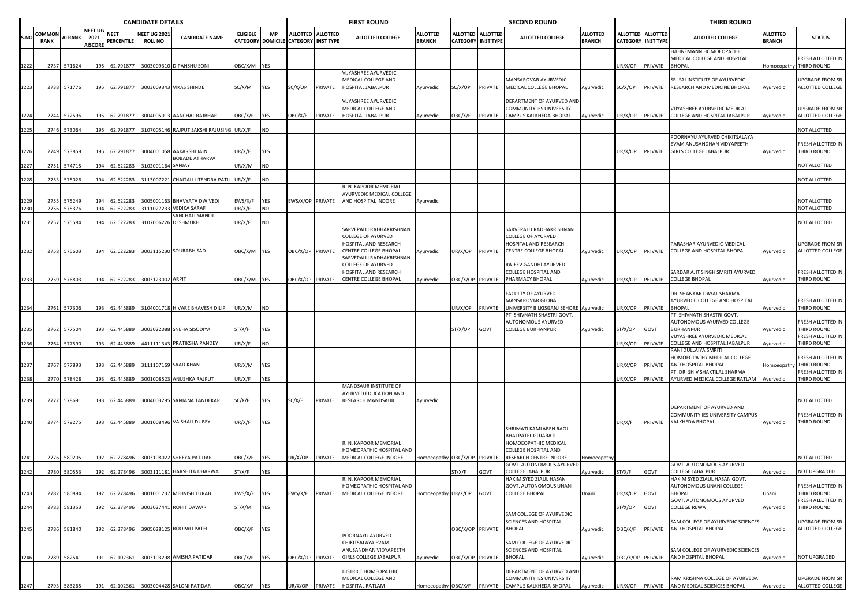|      |                              |                  | <b>CANDIDATE DETAILS</b>                 |                        |                                      |                                                        |                                             |                         |                                                |         | <b>FIRST ROUND</b>                                                                                      |                                  |                      |                                     | <b>SECOND ROUND</b>                                                               |                                  |                 |                                                | <b>THIRD ROUND</b>                                                                           |                                  |                                         |
|------|------------------------------|------------------|------------------------------------------|------------------------|--------------------------------------|--------------------------------------------------------|---------------------------------------------|-------------------------|------------------------------------------------|---------|---------------------------------------------------------------------------------------------------------|----------------------------------|----------------------|-------------------------------------|-----------------------------------------------------------------------------------|----------------------------------|-----------------|------------------------------------------------|----------------------------------------------------------------------------------------------|----------------------------------|-----------------------------------------|
| S.NO | <b>COMMON</b><br><b>RANK</b> | AI RANK          | <b>NEET UG</b><br>2021<br><b>AISCORI</b> | NEET<br>PERCENTILE     | <b>VEET UG 202</b><br><b>ROLL NO</b> | <b>CANDIDATE NAME</b>                                  | <b>ELIGIBLE</b><br><b>CATEGORY DOMICILE</b> | <b>MP</b>               | ALLOTTED ALLOTTED<br><b>CATEGORY INST TYPE</b> |         | <b>ALLOTTED COLLEGE</b>                                                                                 | <b>ALLOTTED</b><br><b>BRANCH</b> | ALLOTTED<br>CATEGORY | <b>ALLOTTED</b><br><b>INST TYPE</b> | <b>ALLOTTED COLLEGE</b>                                                           | <b>ALLOTTED</b><br><b>BRANCH</b> |                 | ALLOTTED ALLOTTED<br><b>CATEGORY INST TYPE</b> | <b>ALLOTTED COLLEGE</b>                                                                      | <b>ALLOTTED</b><br><b>BRANCH</b> | <b>STATUS</b>                           |
| 1222 | 2737                         | 571624           | 195                                      | 62.791877              |                                      | 3003009310 DIPANSHU SONI                               | OBC/X/M YES                                 |                         |                                                |         |                                                                                                         |                                  |                      |                                     |                                                                                   |                                  | JR/X/OP         | PRIVATE                                        | HAHNEMANN HOMOEOPATHIC<br>MEDICAL COLLEGE AND HOSPITAL<br><b>BHOPAL</b>                      | <b>Homoeopathy</b>               | RESH ALLOTTED IN<br>THIRD ROUND         |
| 1223 | 2738                         | 571776           | 195                                      | 62.791877              | 3003009343                           | <b>VIKAS SHINDE</b>                                    | SC/X/M                                      | <b>YES</b>              | SC/X/OP                                        | PRIVATE | VIJYASHREE AYURVEDIC<br>MEDICAL COLLEGE AND<br>HOSPITAL JABALPUR                                        | Ayurvedic                        | SC/X/OP PRIVATE      |                                     | MANSAROVAR AYURVEDIC<br>MEDICAL COLLEGE BHOPAL                                    | Ayurvedic                        | SC/X/OP         | PRIVATE                                        | SRI SAI INSTITUTE OF AYURVEDIC<br>RESEARCH AND MEDICINE BHOPAL                               | Ayurvedic                        | JPGRADE FROM SR<br>ALLOTTED COLLEGE     |
|      |                              |                  |                                          |                        |                                      |                                                        |                                             |                         |                                                |         | <b>VIJYASHREE AYURVEDIC</b><br>MEDICAL COLLEGE AND                                                      |                                  |                      |                                     | DEPARTMENT OF AYURVED AND<br>COMMUNITY IES UNIVERSITY                             |                                  |                 |                                                | VIJYASHREE AYURVEDIC MEDICAL                                                                 |                                  | <b>UPGRADE FROM SR</b>                  |
|      | 2744                         | 572596           | 195                                      | 62.791877              |                                      | 3004005013 AANCHAL RAJBHAR                             | OBC/X/F                                     | <b>YES</b>              | <b>DBC/X/F</b>                                 | PRIVATE | HOSPITAL JABALPUR                                                                                       | Ayurvedic                        | OBC/X/F PRIVATE      |                                     | CAMPUS KALKHEDA BHOPAL                                                            | Ayurvedic                        | JR/X/OP         | PRIVATE                                        | COLLEGE AND HOSPITAL JABALPUR                                                                | Ayurvedic                        | ALLOTTED COLLEGE                        |
| 1225 | 2746                         | 573064           | 195                                      | 62.791877              |                                      | 3107005146 RAJPUT SAKSHI RAJUSING UR/X/F               |                                             | <b>NO</b>               |                                                |         |                                                                                                         |                                  |                      |                                     |                                                                                   |                                  |                 |                                                |                                                                                              |                                  | NOT ALLOTTED                            |
| 1226 | 2749                         | 573859           | 195                                      | 62.791877              |                                      | 3004001058 AAKARSHI JAIN                               | UR/X/F                                      | <b>YES</b>              |                                                |         |                                                                                                         |                                  |                      |                                     |                                                                                   |                                  | JR/X/OP         | PRIVATE                                        | POORNAYU AYURVED CHIKITSALAYA<br>EVAM ANUSANDHAN VIDYAPEETH<br><b>GIRLS COLLEGE JABALPUR</b> | Ayurvedic                        | FRESH ALLOTTED IN<br>THIRD ROUND        |
| 1227 | 2751                         | 574715           | 194                                      | 62.622283              | 3102001164 SANJAY                    | <b>BOBADE ATHARVA</b>                                  | UR/X/M                                      | NO                      |                                                |         |                                                                                                         |                                  |                      |                                     |                                                                                   |                                  |                 |                                                |                                                                                              |                                  | NOT ALLOTTED                            |
|      |                              |                  |                                          |                        |                                      |                                                        |                                             |                         |                                                |         |                                                                                                         |                                  |                      |                                     |                                                                                   |                                  |                 |                                                |                                                                                              |                                  |                                         |
| 1228 | 2753                         | 575026           | 194                                      | 62.622283              |                                      | 3113007221 CHAITALI JITENDRA PATIL                     | UR/X/F                                      | NO                      |                                                |         | R. N. KAPOOR MEMORIAL<br>AYURVEDIC MEDICAL COLLEGE                                                      |                                  |                      |                                     |                                                                                   |                                  |                 |                                                |                                                                                              |                                  | NOT ALLOTTED                            |
| 1230 | 2755<br>2756                 | 575249<br>575376 | 194<br>194                               | 62.622283<br>62.622283 |                                      | 3005001163 BHAVYATA DWIVEDI<br>3111027233 VEDIKA SARAF | EWS/X/F<br>UR/X/F                           | <b>YES</b><br><b>NO</b> | EWS/X/OP PRIVATE                               |         | AND HOSPITAL INDORE                                                                                     | Ayurvedic                        |                      |                                     |                                                                                   |                                  |                 |                                                |                                                                                              |                                  | NOT ALLOTTED<br>NOT ALLOTTED            |
|      |                              |                  |                                          |                        |                                      | SANCHALI MANOJ                                         |                                             |                         |                                                |         |                                                                                                         |                                  |                      |                                     |                                                                                   |                                  |                 |                                                |                                                                                              |                                  |                                         |
| 1231 | 2757                         | 575584           | 194                                      | 62.622283              | 3107006226 DESHMUKH                  |                                                        | UR/X/F                                      | <b>NO</b>               |                                                |         | SARVEPALLI RADHAKRISHNAN<br><b>COLLEGE OF AYURVED</b><br>HOSPITAL AND RESEARCH                          |                                  |                      |                                     | SARVEPALLI RADHAKRISHNAN<br><b>COLLEGE OF AYURVED</b><br>HOSPITAL AND RESEARCH    |                                  |                 |                                                | PARASHAR AYURVEDIC MEDICAL                                                                   |                                  | NOT ALLOTTED<br>UPGRADE FROM SR         |
| 1232 | 2758                         | 575603           | 194                                      | 62.622283              |                                      | 3003115230 SOURABH SAD                                 | OBC/X/M YES                                 |                         | DBC/X/OP PRIVATE                               |         | <b>CENTRE COLLEGE BHOPAL</b>                                                                            | Ayurvedic                        | JR/X/OP PRIVATE      |                                     | CENTRE COLLEGE BHOPAL                                                             | Ayurvedic                        | JR/X/OP         | PRIVATE                                        | COLLEGE AND HOSPITAL BHOPAL                                                                  | Ayurvedic                        | ALLOTTED COLLEGE                        |
|      |                              |                  |                                          |                        |                                      |                                                        |                                             |                         |                                                |         | SARVEPALLI RADHAKRISHNAN<br><b>COLLEGE OF AYURVED</b><br>HOSPITAL AND RESEARCH<br>CENTRE COLLEGE BHOPAL |                                  |                      |                                     | RAJEEV GANDHI AYURVED<br>COLLEGE HOSPITAL AND<br>PHARMACY BHOPAL                  |                                  |                 |                                                | SARDAR AJIT SINGH SMRITI AYURVED<br><b>COLLEGE BHOPAL</b>                                    |                                  | FRESH ALLOTTED IN<br>THIRD ROUND        |
| 1233 | 2759                         | 576803           | 194                                      | 62.622283              | 3003123002 ARPIT                     |                                                        | OBC/X/M YES                                 |                         | BC/X/OP PRIVATE                                |         |                                                                                                         | Ayurvedic                        | DBC/X/OP PRIVATE     |                                     |                                                                                   | Ayurvedic                        | JR/X/OP PRIVATE |                                                |                                                                                              | Ayurvedic                        |                                         |
| 1234 | 2761                         | 577306           | 193                                      | 62.445889              |                                      | 3104001718 HIVARE BHAVESH DILIP                        | UR/X/M                                      | <b>NO</b>               |                                                |         |                                                                                                         |                                  | JR/X/OP              | PRIVATE                             | FACULTY OF AYURVED<br>MANSAROVAR GLOBAL<br>UNIVERSITY BILKISGANJ SEHORE Ayurvedic |                                  | JR/X/OP         | PRIVATE                                        | DR. SHANKAR DAYAL SHARMA<br>AYURVEDIC COLLEGE AND HOSPITAL<br><b>BHOPAL</b>                  | Ayurvedic                        | FRESH ALLOTTED IN<br>THIRD ROUND        |
|      |                              |                  |                                          |                        |                                      |                                                        |                                             |                         |                                                |         |                                                                                                         |                                  |                      |                                     | PT. SHIVNATH SHASTRI GOVT.                                                        |                                  |                 |                                                | PT. SHIVNATH SHASTRI GOVT.                                                                   |                                  |                                         |
|      |                              | 2762 577504      | 193                                      | 62.445889              |                                      | 3003022088 SNEHA SISODIYA                              | ST/X/F                                      | YES                     |                                                |         |                                                                                                         |                                  | ST/X/OP              | GOVT                                | AUTONOMOUS AYURVED<br><b>COLLEGE BURHANPUR</b>                                    | Ayurvedic                        | ST/X/OP         | GOVT                                           | AUTONOMOUS AYURVED COLLEGE<br><b>BURHANPUR</b>                                               | Ayurvedic                        | FRESH ALLOTTED IN<br>THIRD ROUND        |
| 1236 | 2764                         | 577590           | 193                                      | 62.445889              |                                      | 4411111343 PRATIKSHA PANDEY                            | UR/X/F                                      | <b>NO</b>               |                                                |         |                                                                                                         |                                  |                      |                                     |                                                                                   |                                  | JR/X/OP         | PRIVATE                                        | VIJYASHREE AYURVEDIC MEDICAL<br>COLLEGE AND HOSPITAL JABALPUR                                | Ayurvedic                        | FRESH ALLOTTED IN<br>THIRD ROUND        |
|      |                              |                  |                                          |                        |                                      |                                                        |                                             |                         |                                                |         |                                                                                                         |                                  |                      |                                     |                                                                                   |                                  |                 |                                                | RANI DULLAIYA SMRITI                                                                         |                                  |                                         |
| 1237 | 2767                         | 577893           | 193                                      | 62.445889              |                                      | 3111107169 SAAD KHAN                                   | UR/X/M                                      | YES                     |                                                |         |                                                                                                         |                                  |                      |                                     |                                                                                   |                                  | JR/X/OP         | PRIVATE                                        | HOMOEOPATHY MEDICAL COLLEGE<br>AND HOSPITAL BHOPAL                                           | Iomoeopath                       | RESH ALLOTTED IN<br>THIRD ROUND         |
| 1238 | 2770                         | 578428           | 193                                      | 62.445889              | 3001008523                           | ANUSHKA RAJPUT                                         | UR/X/F                                      | YES                     |                                                |         |                                                                                                         |                                  |                      |                                     |                                                                                   |                                  | JR/X/OP         | PRIVATE                                        | PT. DR. SHIV SHAKTILAL SHARMA<br>AYURVED MEDICAL COLLEGE RATLAM                              | Ayurvedic                        | RESH ALLOTTED IN<br>THIRD ROUND         |
|      |                              |                  |                                          |                        |                                      |                                                        |                                             |                         |                                                |         | MANDSAUR INSTITUTE OF<br>AYURVED EDUCATION AND                                                          |                                  |                      |                                     |                                                                                   |                                  |                 |                                                |                                                                                              |                                  |                                         |
| 1239 | 2772                         | 578691           | 193                                      | 62.445889              |                                      | 3004003295 SANJANA TANDEKAR                            | SC/X/F                                      | YES                     | SC/X/F                                         | PRIVATE | <b>RESEARCH MANDSAUR</b>                                                                                | Ayurvedic                        |                      |                                     |                                                                                   |                                  |                 |                                                | DEPARTMENT OF AYURVED AND                                                                    |                                  | <b>NOT ALLOTTED</b>                     |
| 1240 |                              | 2774 579275      | 193                                      | 62.445889              |                                      | 3001008496 VAISHALI DUBEY                              | UR/X/F                                      | YES                     |                                                |         |                                                                                                         |                                  |                      |                                     | SHRIMATI KAMLABEN RAOJI                                                           |                                  | UR/X/F          | PRIVATE                                        | COMMUNITY IES UNIVERSITY CAMPUS<br>KALKHEDA BHOPAL                                           | Ayurvedic                        | FRESH ALLOTTED IN<br><b>THIRD ROUND</b> |
|      |                              |                  |                                          |                        |                                      |                                                        |                                             |                         |                                                |         | R. N. KAPOOR MEMORIAL<br>HOMEOPATHIC HOSPITAL AND                                                       |                                  |                      |                                     | <b>BHAI PATEL GUJARATI</b><br>HOMOEOPATHIC MEDICAL<br>COLLEGE HOSPITAL AND        |                                  |                 |                                                |                                                                                              |                                  |                                         |
| 1241 | 2776                         | 580205           | 192                                      | 62.278496              |                                      | 3003108022 SHREYA PATIDAR                              | OBC/X/F                                     | YES                     | JR/X/OP                                        | PRIVATE | MEDICAL COLLEGE INDORE                                                                                  | Homoeopathy OBC/X/OP PRIVATE     |                      |                                     | RESEARCH CENTRE INDORE<br>GOVT. AUTONOMOUS AYURVED                                | Homoeopath                       |                 |                                                | GOVT. AUTONOMOUS AYURVED                                                                     |                                  | NOT ALLOTTED                            |
| 1242 | 2780                         | 580553           | 192                                      | 62.278496              |                                      | 3003111181 HARSHITA DHARWA                             | ST/X/F                                      | YES                     |                                                |         | R. N. KAPOOR MEMORIAL                                                                                   |                                  | ST/X/F               | GOVT                                | <b>COLLEGE JABALPUR</b>                                                           | Ayurvedic                        | ST/X/F          | GOVT                                           | <b>COLLEGE JABALPUR</b><br>HAKIM SYED ZIAUL HASAN GOVT.                                      | Ayurvedic                        | NOT UPGRADED                            |
| 1243 | 2782                         | 580894           | 192                                      | 62.278496              |                                      | 3001001237 MEHVISH TURAB                               | EWS/X/F                                     | <b>YES</b>              | EWS/X/F                                        | PRIVATE | HOMEOPATHIC HOSPITAL AND<br>MEDICAL COLLEGE INDORE                                                      | Homoeopathy UR/X/OP              |                      | GOVT                                | HAKIM SYED ZIAUL HASAN<br>GOVT. AUTONOMOUS UNANI<br><b>COLLEGE BHOPAL</b>         | Unani                            | JR/X/OP         | GOVT                                           | AUTONOMOUS UNANI COLLEGE<br><b>BHOPAL</b>                                                    | Jnani                            | FRESH ALLOTTED IN<br>THIRD ROUND        |
| 1244 | 2783                         | 581353           | 192                                      | 62.278496              |                                      | 3003027441 ROHIT DAWAR                                 | ST/X/M                                      | YES                     |                                                |         |                                                                                                         |                                  |                      |                                     |                                                                                   |                                  | ST/X/OP         | <b>TVOE</b>                                    | GOVT. AUTONOMOUS AYURVED<br><b>COLLEGE REWA</b>                                              | Ayurvedic                        | RESH ALLOTTED IN<br>THIRD ROUND         |
| 1245 | 2786                         | 581840           | 192                                      | 62.278496              |                                      | 3905028125 ROOPALI PATEL                               | OBC/X/F                                     | <b>YES</b>              |                                                |         |                                                                                                         |                                  | OBC/X/OP PRIVATE     |                                     | SAM COLLEGE OF AYURVEDIC<br>SCIENCES AND HOSPITAL<br><b>BHOPAL</b>                | Ayurvedic                        | DBC/X/F         | PRIVATE                                        | SAM COLLEGE OF AYURVEDIC SCIENCES<br>AND HOSPITAL BHOPAL                                     | Ayurvedic                        | JPGRADE FROM SR<br>ALLOTTED COLLEGE     |
|      |                              |                  |                                          |                        |                                      |                                                        |                                             |                         |                                                |         | POORNAYU AYURVED<br>CHIKITSALAYA EVAM<br>ANUSANDHAN VIDYAPEETH                                          |                                  |                      |                                     | SAM COLLEGE OF AYURVEDIC<br>SCIENCES AND HOSPITAL                                 |                                  |                 |                                                | SAM COLLEGE OF AYURVEDIC SCIENCES                                                            |                                  |                                         |
| 1246 | 2789                         | 582541           | 191                                      | 62.102361              |                                      | 3003103298 AMISHA PATIDAR                              | OBC/X/F YES                                 |                         | BC/X/OP PRIVATE                                |         | <b>GIRLS COLLEGE JABALPUR</b>                                                                           | Ayurvedic                        |                      | OBC/X/OP PRIVATE BHOPAL             |                                                                                   | Ayurvedic                        |                 |                                                | OBC/X/OP PRIVATE AND HOSPITAL BHOPAL                                                         | Ayurvedic                        | NOT UPGRADED                            |
|      |                              |                  |                                          |                        |                                      |                                                        |                                             |                         |                                                |         | DISTRICT HOMEOPATHIC<br>MEDICAL COLLEGE AND                                                             |                                  |                      |                                     | DEPARTMENT OF AYURVED AND<br>COMMUNITY IES UNIVERSITY                             |                                  |                 |                                                | RAM KRISHNA COLLEGE OF AYURVEDA                                                              |                                  | UPGRADE FROM SR                         |
| 1247 |                              | 2793 583265      |                                          |                        |                                      | 191 62.102361 3003004428 SALONI PATIDAR                | OBC/X/F                                     | <b>YES</b>              |                                                |         | JR/X/OP PRIVATE HOSPITAL RATLAM                                                                         |                                  |                      |                                     | Homoeopathy OBC/X/F PRIVATE CAMPUS KALKHEDA BHOPAL                                | Ayurvedic                        |                 |                                                | UR/X/OP PRIVATE AND MEDICAL SCIENCES BHOPAL                                                  | Ayurvedic                        | ALLOTTED COLLEGE                        |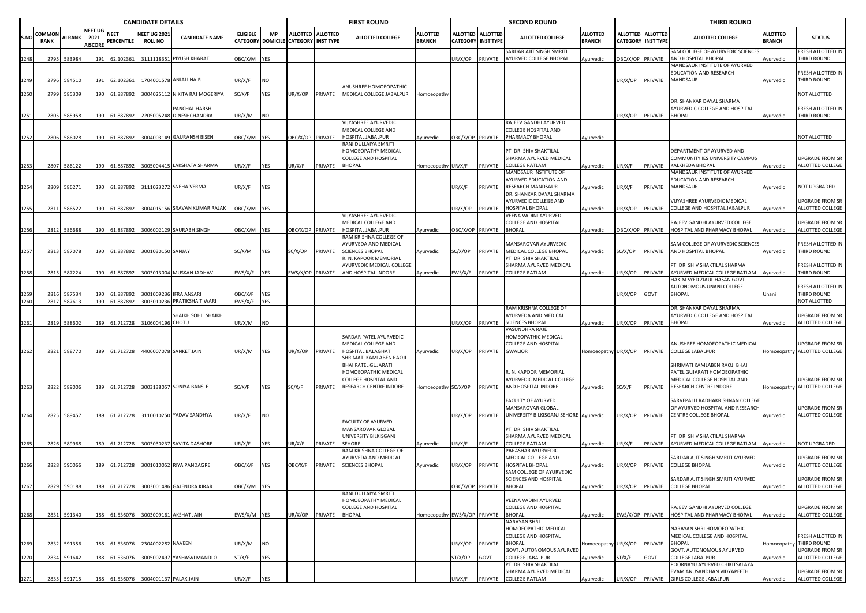|      |                              |             |                                          |                    | <b>CANDIDATE DETAILS</b>              |                                     |                 |            |                                                           |         | <b>FIRST ROUND</b>                                 |                                  |                         |                                         | <b>SECOND ROUND</b>                                         |                                  |                                              |                 | <b>THIRD ROUND</b>                                                  |                                  |                                       |
|------|------------------------------|-------------|------------------------------------------|--------------------|---------------------------------------|-------------------------------------|-----------------|------------|-----------------------------------------------------------|---------|----------------------------------------------------|----------------------------------|-------------------------|-----------------------------------------|-------------------------------------------------------------|----------------------------------|----------------------------------------------|-----------------|---------------------------------------------------------------------|----------------------------------|---------------------------------------|
| .N0  | <b>COMMON</b><br><b>RANK</b> | AI RANK     | <b>NEET UG</b><br>2021<br><b>AISCORE</b> | NEET<br>PERCENTILE | <b>NEET UG 2021</b><br><b>ROLL NO</b> | <b>CANDIDATE NAME</b>               | <b>ELIGIBLE</b> | MP         | ALLOTTED ALLOTTED<br>CATEGORY DOMICILE CATEGORY INST TYPE |         | <b>ALLOTTED COLLEGE</b>                            | <b>ALLOTTED</b><br><b>BRANCH</b> |                         | ALLOTTED ALLOTTED<br>CATEGORY INST TYPE | <b>ALLOTTED COLLEGE</b>                                     | <b>ALLOTTED</b><br><b>BRANCH</b> | <b>ALLOTTED</b><br><b>CATEGORY INST TYPE</b> | <b>ALLOTTED</b> | <b>ALLOTTED COLLEGE</b>                                             | <b>ALLOTTED</b><br><b>BRANCH</b> | <b>STATUS</b>                         |
| 248  | 2795                         | 583984      | 191                                      | 62.102361          |                                       | 3111118351 PIYUSH KHARAT            | DBC/X/M YES     |            |                                                           |         |                                                    |                                  | JR/X/OP                 | PRIVATE                                 | SARDAR AJIT SINGH SMRITI<br>AYURVED COLLEGE BHOPAL          | Ayurvedic                        | BC/X/OP                                      | PRIVATE         | SAM COLLEGE OF AYURVEDIC SCIENCES<br>AND HOSPITAL BHOPAL            | vurvedic                         | RESH ALLOTTED IN<br>THIRD ROUND       |
|      | 2796                         | 584510      | 191                                      | 62.102361          |                                       | 1704001578 ANJALI NAIR              | JR/X/F          | NO         |                                                           |         |                                                    |                                  |                         |                                         |                                                             |                                  | JR/X/OP                                      | PRIVATE         | MANDSAUR INSTITUTE OF AYURVED<br>EDUCATION AND RESEARCH<br>MANDSAUR | Ayurvedic                        | RESH ALLOTTED IN<br>THIRD ROUND       |
| 250  | 2799                         | 585309      | 190                                      | 61.887892          | 300402511                             | NIKITA RAJ MOGERIYA                 | SC/X/F          | <b>YES</b> | JR/X/OP                                                   | PRIVATE | ANUSHREE HOMOEOPATHIC<br>MEDICAL COLLEGE JABALPUR  |                                  |                         |                                         |                                                             |                                  |                                              |                 |                                                                     |                                  | NOT ALLOTTED                          |
|      |                              |             |                                          |                    |                                       |                                     |                 |            |                                                           |         |                                                    | Homoeopath                       |                         |                                         |                                                             |                                  |                                              |                 | DR. SHANKAR DAYAL SHARMA                                            |                                  |                                       |
|      |                              |             |                                          |                    |                                       | PANCHAL HARSH                       |                 |            |                                                           |         |                                                    |                                  |                         |                                         |                                                             |                                  |                                              |                 | AYURVEDIC COLLEGE AND HOSPITAL                                      |                                  | RESH ALLOTTED IN                      |
| 1251 | 2805                         | 585958      | 190                                      | 61.887892          |                                       | 2205005248 DINESHCHANDRA            | UR/X/M          | <b>NO</b>  |                                                           |         | VIJYASHREE AYURVEDIC                               |                                  |                         |                                         | RAJEEV GANDHI AYURVED                                       |                                  | UR/X/OP                                      | PRIVATE         | <b>BHOPAL</b>                                                       | Ayurvedic                        | THIRD ROUND                           |
|      |                              |             |                                          |                    |                                       |                                     |                 |            |                                                           |         | MEDICAL COLLEGE AND                                |                                  |                         |                                         | COLLEGE HOSPITAL AND                                        |                                  |                                              |                 |                                                                     |                                  |                                       |
| 252  | 2806                         | 586028      | 190                                      | 61.887892          |                                       | 3004003149 GAURANSH BISEN           | OBC/X/M YES     |            | <b>DBC/X/OP PRIVATE</b>                                   |         | HOSPITAL JABALPUR<br>RANI DULLAIYA SMRITI          | Ayurvedic                        | OBC/X/OP PRIVATE        |                                         | PHARMACY BHOPAL                                             | Ayurvedic                        |                                              |                 |                                                                     |                                  | <b>IOT ALLOTTED</b>                   |
|      |                              |             |                                          |                    |                                       |                                     |                 |            |                                                           |         | HOMOEOPATHY MEDICAL<br>COLLEGE AND HOSPITAL        |                                  |                         |                                         | PT. DR. SHIV SHAKTILAL<br>SHARMA AYURVED MEDICAL            |                                  |                                              |                 | DEPARTMENT OF AYURVED AND<br>COMMUNITY IES UNIVERSITY CAMPUS        |                                  | JPGRADE FROM SR                       |
| 1253 | 2807                         | 586122      | 190                                      | 61.887892          |                                       | 3005004415 LAKSHATA SHARMA          | UR/X/F          | YES        | UR/X/F                                                    | PRIVATE | <b>BHOPAL</b>                                      | Homoeopathy UR/X/F               |                         | PRIVATE                                 | <b>COLLEGE RATLAM</b><br>MANDSAUR INSTITUTE OF              | Ayurvedic                        | JR/X/F                                       | PRIVATE         | KALKHEDA BHOPAL<br>MANDSAUR INSTITUTE OF AYURVED                    | Ayurvedic                        | ALLOTTED COLLEGE                      |
|      |                              |             |                                          |                    |                                       |                                     |                 |            |                                                           |         |                                                    |                                  |                         |                                         | AYURVED EDUCATION AND                                       |                                  |                                              |                 | EDUCATION AND RESEARCH                                              |                                  |                                       |
| 254  | 2809                         | 586271      | 190                                      | 61.887892          |                                       | 3111023272 SNEHA VERMA              | JR/X/F          | <b>YES</b> |                                                           |         |                                                    |                                  | JR/X/F                  | PRIVATE                                 | RESEARCH MANDSAUR                                           | Ayurvedic                        | JR/X/F                                       | PRIVATE         | MANDSAUR                                                            | Ayurvedic                        | <b>NOT UPGRADED</b>                   |
|      |                              |             |                                          |                    |                                       |                                     |                 |            |                                                           |         |                                                    |                                  |                         |                                         | DR. SHANKAR DAYAL SHARMA<br>AYURVEDIC COLLEGE AND           |                                  |                                              |                 | VIJYASHREE AYURVEDIC MEDICAL                                        |                                  | <b>UPGRADE FROM SR</b>                |
| 255  | 2811                         | 586522      | 190                                      | 61.887892          |                                       | 3004015156 SRAVAN KUMAR RAJAK       | OBC/X/M YES     |            |                                                           |         |                                                    |                                  | JR/X/OP                 | PRIVATE                                 | HOSPITAL BHOPAL                                             | Ayurvedic                        | JR/X/OP                                      | PRIVATE         | COLLEGE AND HOSPITAL JABALPUR                                       | Ayurvedic                        | ALLOTTED COLLEGE                      |
|      |                              |             |                                          |                    |                                       |                                     |                 |            |                                                           |         | <b>VIJYASHREE AYURVEDIC</b><br>MEDICAL COLLEGE AND |                                  |                         |                                         | VEENA VADINI AYURVED<br>COLLEGE AND HOSPITAL                |                                  |                                              |                 | RAJEEV GANDHI AYURVED COLLEGE                                       |                                  | JPGRADE FROM SR                       |
| 1256 | 2812                         | 586688      | 190                                      | 61.887892          |                                       | 3006002129 SAURABH SINGH            | OBC/X/M YES     |            | OBC/X/OP PRIVATE                                          |         | HOSPITAL JABALPUR                                  | Ayurvedic                        | <b>DBC/X/OP PRIVATE</b> |                                         | BHOPAL                                                      | Ayurvedic                        | BC/X/OP PRIVATE                              |                 | HOSPITAL AND PHARMACY BHOPAL                                        | Ayurvedic                        | ALLOTTED COLLEGE                      |
|      |                              |             |                                          |                    |                                       |                                     |                 |            |                                                           |         | RAM KRISHNA COLLEGE OF                             |                                  |                         |                                         |                                                             |                                  |                                              |                 | SAM COLLEGE OF AYURVEDIC SCIENCES                                   |                                  |                                       |
| 1257 | 2813                         | 587078      | 190                                      | 61.887892          | 3001030150 SANJAY                     |                                     | SC/X/M          | YES        | SC/X/OP                                                   | PRIVATE | AYURVEDA AND MEDICAL<br><b>SCIENCES BHOPAL</b>     | Ayurvedic                        | SC/X/OP                 | PRIVATE                                 | <b>MANSAROVAR AYURVEDIC</b><br>MEDICAL COLLEGE BHOPAL       | Ayurvedic                        | SC/X/OP                                      | PRIVATE         | AND HOSPITAL BHOPAL                                                 | Ayurvedic                        | FRESH ALLOTTED IN<br>THIRD ROUND      |
|      |                              |             |                                          |                    |                                       |                                     |                 |            |                                                           |         | R. N. KAPOOR MEMORIAL                              |                                  |                         |                                         | PT. DR. SHIV SHAKTILAL                                      |                                  |                                              |                 |                                                                     |                                  |                                       |
| 258  | 2815                         | 587224      | 190                                      | 61.887892          |                                       | 3003013004 MUSKAN JADHAV            | EWS/X/F         | <b>YES</b> | WS/X/OP PRIVATE                                           |         | AYURVEDIC MEDICAL COLLEGE<br>AND HOSPITAL INDORE   | Ayurvedic                        | EWS/X/F PRIVATE         |                                         | SHARMA AYURVED MEDICAL<br>COLLEGE RATLAM                    | Ayurvedic                        | JR/X/OP                                      | PRIVATE         | PT. DR. SHIV SHAKTILAL SHARMA<br>AYURVED MEDICAL COLLEGE RATLAM     | Ayurvedic                        | RESH ALLOTTED IN<br>THIRD ROUND       |
|      |                              |             |                                          |                    |                                       |                                     |                 |            |                                                           |         |                                                    |                                  |                         |                                         |                                                             |                                  |                                              |                 | <b>HAKIM SYED ZIAUL HASAN GOVT.</b>                                 |                                  |                                       |
|      | 2816                         | 587534      | 190                                      | 61.887892          |                                       | <b>IFRA ANSARI</b>                  | <b>JBC/X/F</b>  | <b>YES</b> |                                                           |         |                                                    |                                  |                         |                                         |                                                             |                                  |                                              | GOVT            | AUTONOMOUS UNANI COLLEGE<br><b>BHOPAL</b>                           | Jnani                            | RESH ALLOTTED IN<br>THIRD ROUND       |
| 260  | 281                          | 587613      | 190                                      | 61.887892          | 300100923                             | 3003010236 PRATIKSHA TIWARI         | EWS/X/F         | <b>YES</b> |                                                           |         |                                                    |                                  |                         |                                         |                                                             |                                  | JR/X/OP                                      |                 |                                                                     |                                  | NOT ALLOTTED                          |
|      |                              |             |                                          |                    |                                       |                                     |                 |            |                                                           |         |                                                    |                                  |                         |                                         | RAM KRISHNA COLLEGE OF                                      |                                  |                                              |                 | DR. SHANKAR DAYAL SHARMA                                            |                                  |                                       |
| 261  | 2819                         | 588602      | 189                                      | 61.712728          | 310600419                             | SHAIKH SOHIL SHAIKH<br><b>CHOTU</b> | JR/X/M          | <b>NO</b>  |                                                           |         |                                                    |                                  | JR/X/OP PRIVATE         |                                         | AYURVEDA AND MEDICAL<br><b>SCIENCES BHOPAL</b>              | Ayurvedic                        | JR/X/OP                                      | PRIVATE         | AYURVEDIC COLLEGE AND HOSPITAL<br><b>BHOPAL</b>                     | Ayurvedic                        | JPGRADE FROM SR<br>ALLOTTED COLLEGE   |
|      |                              |             |                                          |                    |                                       |                                     |                 |            |                                                           |         |                                                    |                                  |                         |                                         | /ASUNDHRA RAJE                                              |                                  |                                              |                 |                                                                     |                                  |                                       |
|      |                              |             |                                          |                    |                                       |                                     |                 |            |                                                           |         | SARDAR PATEL AYURVEDIC<br>MEDICAL COLLEGE AND      |                                  |                         |                                         | HOMEOPATHIC MEDICAL<br>COLLEGE AND HOSPITAL                 |                                  |                                              |                 | ANUSHREE HOMOEOPATHIC MEDICAL                                       |                                  | JPGRADE FROM SR                       |
| 1262 | 2821                         | 588770      | 189                                      | 61.712728          |                                       | 4406007078 SANKET JAIN              | UR/X/M          | <b>YES</b> | JR/X/OP                                                   | PRIVATE | <b>HOSPITAL BALAGHAT</b>                           | Ayurvedic                        | JR/X/OP                 | PRIVATE                                 | GWALIOR                                                     | Homoeopathy UR/X/OP              |                                              | PRIVATE         | COLLEGE JABALPUR                                                    |                                  | Homoeopathy ALLOTTED COLLEGE          |
|      |                              |             |                                          |                    |                                       |                                     |                 |            |                                                           |         | SHRIMATI KAMLABEN RAOJI<br>BHAI PATEL GUJARATI     |                                  |                         |                                         |                                                             |                                  |                                              |                 | SHRIMATI KAMLABEN RAOJI BHAI                                        |                                  |                                       |
|      |                              |             |                                          |                    |                                       |                                     |                 |            |                                                           |         | HOMOEOPATHIC MEDICAL                               |                                  |                         |                                         | R. N. KAPOOR MEMORIAL                                       |                                  |                                              |                 | PATEL GUJARATI HOMOEOPATHIC                                         |                                  |                                       |
|      |                              |             |                                          |                    |                                       |                                     |                 |            |                                                           |         | COLLEGE HOSPITAL AND                               |                                  |                         |                                         | AYURVEDIC MEDICAL COLLEGE                                   |                                  |                                              |                 | MEDICAL COLLEGE HOSPITAL AND                                        |                                  | UPGRADE FROM SR                       |
| 1263 | 2822                         | 589006      | 189                                      | 61.712728          |                                       | 3003138057 SONIYA BANSLE            | SC/X/F          | <b>YES</b> | SC/X/F                                                    | PRIVATE | RESEARCH CENTRE INDORE                             | Homoeopathy SC/X/OP PRIVATE      |                         |                                         | AND HOSPITAL INDORE                                         | Ayurvedic                        | SC/X/F                                       | PRIVATE         | RESEARCH CENTRE INDORE                                              |                                  | Homoeopathy ALLOTTED COLLEGE          |
|      |                              |             |                                          |                    |                                       |                                     |                 |            |                                                           |         |                                                    |                                  |                         |                                         | FACULTY OF AYURVED                                          |                                  |                                              |                 | SARVEPALLI RADHAKRISHNAN COLLEGE                                    |                                  |                                       |
| 1264 |                              | 2825 589457 | 189                                      | 61.712728          |                                       | 3110010250 YADAV SANDHYA            | JR/X/F          | <b>NO</b>  |                                                           |         |                                                    |                                  | JR/X/OP PRIVATE         |                                         | MANSAROVAR GLOBAL<br>UNIVERSITY BILKISGANJ SEHORE Ayurvedic |                                  | JR/X/OP                                      | PRIVATE         | OF AYURVED HOSPITAL AND RESEARCH<br><b>CENTRE COLLEGE BHOPAL</b>    | Ayurvedic                        | JPGRADE FROM SR<br>ALLOTTED COLLEGE   |
|      |                              |             |                                          |                    |                                       |                                     |                 |            |                                                           |         | <b>FACULTY OF AYURVED</b>                          |                                  |                         |                                         |                                                             |                                  |                                              |                 |                                                                     |                                  |                                       |
|      |                              |             |                                          |                    |                                       |                                     |                 |            |                                                           |         | MANSAROVAR GLOBAL<br>UNIVERSITY BILKISGANJ         |                                  |                         |                                         | PT. DR. SHIV SHAKTILAL<br>SHARMA AYURVED MEDICAL            |                                  |                                              |                 | PT. DR. SHIV SHAKTILAL SHARMA                                       |                                  |                                       |
| 1265 | 2826                         | 589968      | 189                                      | 61.712728          |                                       | 3003030237 SAVITA DASHORE           | UR/X/F          | YES        | UR/X/F                                                    | PRIVATE | <b>SEHORE</b>                                      | Ayurvedic                        | JR/X/F                  | PRIVATE                                 | <b>COLLEGE RATLAM</b>                                       | Ayurvedic                        | JR/X/F                                       | PRIVATE         | AYURVED MEDICAL COLLEGE RATLAM                                      | Ayurvedic                        | NOT UPGRADED                          |
|      |                              |             |                                          |                    |                                       |                                     |                 |            |                                                           |         | RAM KRISHNA COLLEGE OF<br>AYURVEDA AND MEDICAL     |                                  |                         |                                         | ARASHAR AYURVEDIC<br>VIEDICAL COLLEGE AND                   |                                  |                                              |                 | SARDAR AJIT SINGH SMRITI AYURVED                                    |                                  | JPGRADE FROM SR                       |
| 1266 | 2828                         | 590066      | 189                                      | 61.712728          |                                       | 3001010052 RIYA PANDAGRE            | OBC/X/F         | <b>YES</b> | OBC/X/F                                                   | PRIVATE | <b>SCIENCES BHOPAL</b>                             | Ayurvedic                        | JR/X/OP                 | PRIVATE                                 | <b>IOSPITAL BHOPAL</b>                                      | Ayurvedic                        | IR/X/OP                                      | PRIVATE         | <b>COLLEGE BHOPAL</b>                                               | Ayurvedic                        | ALLOTTED COLLEGE                      |
|      |                              |             |                                          |                    |                                       |                                     |                 |            |                                                           |         |                                                    |                                  |                         |                                         | SAM COLLEGE OF AYURVEDIC                                    |                                  |                                              |                 |                                                                     |                                  |                                       |
| 1267 |                              | 2829 590188 |                                          | 189 61.712728      |                                       | 3003001486 GAJENDRA KIRAR           | OBC/X/M YES     |            |                                                           |         |                                                    |                                  |                         | OBC/X/OP PRIVATE                        | SCIENCES AND HOSPITAL<br><b>BHOPAL</b>                      | Ayurvedic                        |                                              |                 | SARDAR AJIT SINGH SMRITI AYURVED<br>UR/X/OP PRIVATE COLLEGE BHOPAL  | Ayurvedic                        | UPGRADE FROM SR<br>ALLOTTED COLLEGE   |
|      |                              |             |                                          |                    |                                       |                                     |                 |            |                                                           |         | RANI DULLAIYA SMRITI                               |                                  |                         |                                         |                                                             |                                  |                                              |                 |                                                                     |                                  |                                       |
|      |                              |             |                                          |                    |                                       |                                     |                 |            |                                                           |         | HOMOEOPATHY MEDICAL<br>COLLEGE AND HOSPITAL        |                                  |                         |                                         | VEENA VADINI AYURVED<br>COLLEGE AND HOSPITAL                |                                  |                                              |                 | RAJEEV GANDHI AYURVED COLLEGE                                       |                                  | UPGRADE FROM SR                       |
| 268  | 2831                         | 591340      | 188                                      | 61.536076          |                                       | 3003009161 AKSHAT JAIN              | EWS/X/M YES     |            | JR/X/OP                                                   | PRIVATE | <b>BHOPAL</b>                                      | Homoeopathy EWS/X/OP PRIVATE     |                         |                                         | <b>BHOPAL</b>                                               | Ayurvedic                        | EWS/X/OP PRIVATE                             |                 | HOSPITAL AND PHARMACY BHOPAL                                        | Ayurvedic                        | ALLOTTED COLLEGE                      |
|      |                              |             |                                          |                    |                                       |                                     |                 |            |                                                           |         |                                                    |                                  |                         |                                         | <b>NARAYAN SHRI</b><br>HOMOEOPATHIC MEDICAL                 |                                  |                                              |                 | NARAYAN SHRI HOMOEOPATHIC                                           |                                  |                                       |
|      |                              |             |                                          |                    |                                       |                                     |                 |            |                                                           |         |                                                    |                                  |                         |                                         | COLLEGE AND HOSPITAL                                        |                                  |                                              |                 | MEDICAL COLLEGE AND HOSPITAL                                        |                                  | RESH ALLOTTED IN                      |
| 269  | 2832                         | 591356      | 188                                      | 61.536076          | 2304002282 NAVEEN                     |                                     | JR/X/M          | <b>NO</b>  |                                                           |         |                                                    |                                  | JR/X/OP                 | PRIVATE                                 | <b>BHOPAL</b><br><b>GOVT. AUTONOMOUS AYURVED</b>            | Iomoeopathy UR/X/OP              |                                              | PRIVATE         | <b>BHOPAL</b><br>GOVT. AUTONOMOUS AYURVED                           | lomoeopathy                      | THIRD ROUND<br><b>JPGRADE FROM SR</b> |
| 270  | 2834                         | 591642      | 188                                      | 61.536076          |                                       | 3005002497 YASHASVI MANDLOI         | ST/X/F          | YES        |                                                           |         |                                                    |                                  | T/X/OP                  | GOVT                                    | COLLEGE JABALPUR                                            | Ayurvedic                        | ST/X/F                                       | GOVT            | COLLEGE JABALPUR                                                    | Ayurvedic                        | ALLOTTED COLLEGE                      |
|      |                              |             |                                          |                    |                                       |                                     |                 |            |                                                           |         |                                                    |                                  |                         |                                         | PT. DR. SHIV SHAKTILAL                                      |                                  |                                              |                 | POORNAYU AYURVED CHIKITSALAYA                                       |                                  |                                       |
| 1271 |                              | 2835 591715 |                                          | 188 61.536076      | 3004001137 PALAK JAIN                 |                                     | UR/X/F          | YES        |                                                           |         |                                                    |                                  | UR/X/F                  | PRIVATE                                 | SHARMA AYURVED MEDICAL<br><b>COLLEGE RATLAM</b>             | Ayurvedic                        | UR/X/OP PRIVATE                              |                 | EVAM ANUSANDHAN VIDYAPEETH<br><b>GIRLS COLLEGE JABALPUR</b>         | Ayurvedic                        | JPGRADE FROM SR<br>ALLOTTED COLLEGE   |
|      |                              |             |                                          |                    |                                       |                                     |                 |            |                                                           |         |                                                    |                                  |                         |                                         |                                                             |                                  |                                              |                 |                                                                     |                                  |                                       |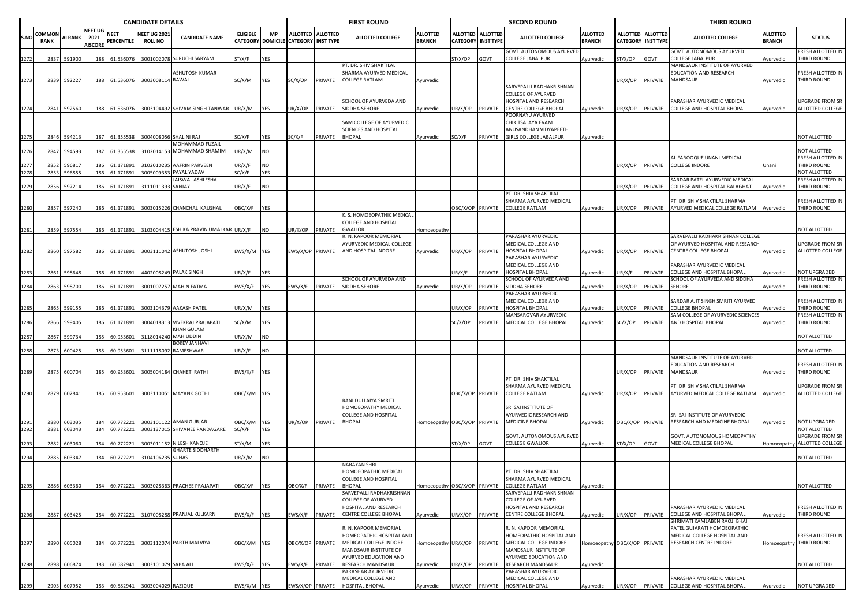|      |                      |                  |                                          |                        | <b>CANDIDATE DETAILS</b>             |                                           |                 |                                |                           |                   | <b>FIRST ROUND</b>                                                          |                                  |                                    |                                     | <b>SECOND ROUND</b>                                                         |                                  |                  |                                         | <b>THIRD ROUND</b>                                                                        |                                  |                                              |
|------|----------------------|------------------|------------------------------------------|------------------------|--------------------------------------|-------------------------------------------|-----------------|--------------------------------|---------------------------|-------------------|-----------------------------------------------------------------------------|----------------------------------|------------------------------------|-------------------------------------|-----------------------------------------------------------------------------|----------------------------------|------------------|-----------------------------------------|-------------------------------------------------------------------------------------------|----------------------------------|----------------------------------------------|
| .NC  | COMMO<br><b>RANK</b> | <b>AI RANK</b>   | <b>NEET UG</b><br>2021<br><b>AISCORE</b> | NEET<br>PERCENTILE     | <b>NEET UG 202</b><br><b>ROLL NO</b> | <b>CANDIDATE NAME</b>                     | <b>ELIGIBLE</b> | <b>MP</b><br>CATEGORY DOMICILE | <b>CATEGORY INST TYPE</b> | ALLOTTED ALLOTTED | <b>ALLOTTED COLLEGE</b>                                                     | <b>ALLOTTED</b><br><b>BRANCH</b> | <b>ALLOTTED</b><br><b>CATEGORY</b> | <b>ALLOTTED</b><br><b>INST TYPE</b> | <b>ALLOTTED COLLEGE</b>                                                     | <b>ALLOTTED</b><br><b>BRANCH</b> |                  | ALLOTTED ALLOTTED<br>CATEGORY INST TYPE | <b>ALLOTTED COLLEGE</b>                                                                   | <b>ALLOTTED</b><br><b>BRANCH</b> | <b>STATUS</b>                                |
| 272  | 2837                 | 591900           | 188                                      | 61.536076              | 3001002078                           | 8 SURUCHI SARYAM                          | ST/X/F          | YES                            |                           |                   |                                                                             |                                  | ST/X/OP                            | GOVT                                | GOVT. AUTONOMOUS AYURVED<br>COLLEGE JABALPUR                                | Ayurvedic                        | ST/X/OP          | GOVT                                    | GOVT. AUTONOMOUS AYURVED<br>COLLEGE JABALPUR                                              | Ayurvedic                        | FRESH ALLOTTED IN<br><b>THIRD ROUND</b>      |
|      |                      |                  |                                          |                        |                                      | ASHUTOSH KUMAR<br><b>RAWAL</b>            |                 |                                |                           |                   | PT. DR. SHIV SHAKTILAL<br>SHARMA AYURVED MEDICAL<br><b>COLLEGE RATLAM</b>   |                                  |                                    |                                     |                                                                             |                                  |                  |                                         | MANDSAUR INSTITUTE OF AYURVED<br>EDUCATION AND RESEARCH<br>MANDSAUR                       |                                  | RESH ALLOTTED IN<br>THIRD ROUND              |
| 273  | 2839                 | 592227           | 188                                      | 61.536076              | 300300811                            |                                           | SC/X/M          | YES                            | SC/X/OP                   | PRIVATE           |                                                                             | Ayurvedic                        |                                    |                                     | SARVEPALLI RADHAKRISHNAN<br>COLLEGE OF AYURVED                              |                                  | JR/X/OP PRIVATE  |                                         |                                                                                           | Ayurvedic                        |                                              |
| 1274 |                      | 2841 592560      | 188                                      | 61.536076              |                                      | 3003104492 SHIVAM SINGH TANWAR            | UR/X/M          | YES                            | UR/X/OP                   | PRIVATE           | SCHOOL OF AYURVEDA AND<br>SIDDHA SEHORE                                     | Ayurvedic                        | UR/X/OP                            | PRIVATE                             | HOSPITAL AND RESEARCH<br>CENTRE COLLEGE BHOPAL                              | Ayurvedic                        | JR/X/OP          | PRIVATE                                 | PARASHAR AYURVEDIC MEDICAL<br>COLLEGE AND HOSPITAL BHOPAL                                 | Ayurvedic                        | JPGRADE FROM SR<br>ALLOTTED COLLEGE          |
|      |                      |                  |                                          |                        |                                      |                                           |                 |                                |                           |                   | SAM COLLEGE OF AYURVEDIC<br>SCIENCES AND HOSPITAL                           |                                  |                                    |                                     | POORNAYU AYURVED<br>CHIKITSALAYA EVAM<br>ANUSANDHAN VIDYAPEETH              |                                  |                  |                                         |                                                                                           |                                  |                                              |
| 275  |                      | 2846 594213      | 187                                      | 61.355538              |                                      | 3004008056 SHALINI RAJ<br>MOHAMMAD FUZAIL | G/X/F           | YES                            | SC/X/F                    | PRIVATE           | <b>BHOPAL</b>                                                               | Ayurvedic                        | SC/X/F                             | PRIVATE                             | GIRLS COLLEGE JABALPUR                                                      | Ayurvedic                        |                  |                                         |                                                                                           |                                  | <b>NOT ALLOTTED</b>                          |
| 276  | 2847                 | 594593           | 187                                      | 61.355538              | 310201415                            | MOHAMMAD SHAMIM                           | JR/X/M          | NO                             |                           |                   |                                                                             |                                  |                                    |                                     |                                                                             |                                  |                  |                                         | AL FAROOQUE UNANI MEDICAL                                                                 |                                  | <b>IOT ALLOTTED</b><br>FRESH ALLOTTED IN     |
|      | 2852<br>2853         | 596817<br>596855 | 186<br>186                               | 61.171891<br>61.171891 | 3102010235<br>300500935              | AAFRIN PARVEEN<br>PAYAL YADAV             | UR/X/F<br>G/X/F | NO.<br>YES                     |                           |                   |                                                                             |                                  |                                    |                                     |                                                                             |                                  | JR/X/OP          | PRIVATE                                 | <b>COLLEGE INDORE</b>                                                                     | Unani                            | <b>THIRD ROUND</b><br>NOT ALLOTTED           |
|      |                      |                  |                                          |                        |                                      | <b>AISWAL ASHLESHA</b>                    |                 |                                |                           |                   |                                                                             |                                  |                                    |                                     |                                                                             |                                  |                  |                                         | SARDAR PATEL AYURVEDIC MEDICAL                                                            |                                  | RESH ALLOTTED IN                             |
| 279  | 2856                 | 597214           | 186                                      | 61.171891              | 311101139                            | SANJAY                                    | UR/X/F          | NO.                            |                           |                   |                                                                             |                                  |                                    |                                     |                                                                             |                                  | JR/X/OP          | PRIVATE                                 | COLLEGE AND HOSPITAL BALAGHAT                                                             | Ayurvedic                        | <b>THIRD ROUND</b>                           |
| 1280 | 2857                 | 597240           | 186                                      | 61.171891              |                                      | 3003015226 CHANCHAL KAUSHAL               | OBC/X/F         | YES                            |                           |                   |                                                                             |                                  | OBC/X/OP PRIVATE                   |                                     | PT. DR. SHIV SHAKTILAL<br>SHARMA AYURVED MEDICAL<br>COLLEGE RATLAM          | Ayurvedic                        | JR/X/OP          | PRIVATE                                 | PT. DR. SHIV SHAKTILAL SHARMA<br>AYURVED MEDICAL COLLEGE RATLAM                           | Ayurvedic                        | RESH ALLOTTED IN<br>THIRD ROUND              |
| 1281 | 2859                 | 597554           | 186                                      | 61.171891              |                                      | 3103004415 ESHIKA PRAVIN UMALKAR UR/X/F   |                 | NO.                            | JR/X/OP                   | PRIVATE           | K. S. HOMOEOPATHIC MEDICAL<br>COLLEGE AND HOSPITAL<br><b>GWALIOR</b>        | Homoeopath                       |                                    |                                     |                                                                             |                                  |                  |                                         |                                                                                           |                                  | <b>NOT ALLOTTED</b>                          |
|      |                      |                  |                                          |                        |                                      |                                           |                 |                                |                           |                   | R. N. KAPOOR MEMORIAL<br>AYURVEDIC MEDICAL COLLEGE                          |                                  |                                    |                                     | PARASHAR AYURVEDIC<br>MEDICAL COLLEGE AND                                   |                                  |                  |                                         | SARVEPALLI RADHAKRISHNAN COLLEGI<br>OF AYURVED HOSPITAL AND RESEARCH                      |                                  | JPGRADE FROM SR                              |
| 1282 |                      | 2860 597582      | 186                                      | 61.171891              |                                      | 3003111042 ASHUTOSH JOSHI                 | EWS/X/M YES     |                                | EWS/X/OP PRIVATE          |                   | AND HOSPITAL INDORE                                                         | Ayurvedic                        | UR/X/OP                            | PRIVATE                             | HOSPITAL BHOPAL                                                             | Ayurvedic                        | JR/X/OP          | PRIVATE                                 | <b>CENTRE COLLEGE BHOPAL</b>                                                              | Ayurvedic                        | ALLOTTED COLLEGE                             |
|      |                      |                  |                                          |                        |                                      |                                           |                 |                                |                           |                   |                                                                             |                                  |                                    |                                     | PARASHAR AYURVEDIC<br>MEDICAL COLLEGE AND                                   |                                  |                  |                                         | PARASHAR AYURVEDIC MEDICAL                                                                |                                  |                                              |
| 283  | 2861                 | 598648           | 186                                      | 61.171891              | 440200824                            | <b>PALAK SINGH</b>                        | JR/X/F          | YES                            |                           |                   |                                                                             |                                  | JR/X/F                             | PRIVATE                             | <b>IOSPITAL BHOPAL</b>                                                      | Ayurvedic                        | IR/X/F           | PRIVATE                                 | COLLEGE AND HOSPITAL BHOPAL                                                               | vurvedic                         | <b>NOT UPGRADED</b>                          |
| 1284 | 2863                 | 598700           | 186                                      | 61.171891              | 300100725                            | <b>MAHIN FATMA</b>                        | EWS/X/F         | YES                            | EWS/X/F                   | PRIVATE           | SCHOOL OF AYURVEDA AND<br>SIDDHA SEHORE                                     | Ayurvedic                        | UR/X/OP                            | PRIVATE                             | SCHOOL OF AYURVEDA AND<br>SIDDHA SEHORE                                     | Ayurvedic                        | JR/X/OP          | PRIVATE                                 | SCHOOL OF AYURVEDA AND SIDDHA<br>SEHORE                                                   | Ayurvedic                        | RESH ALLOTTED IN<br><b>THIRD ROUND</b>       |
|      |                      |                  |                                          |                        |                                      |                                           |                 |                                |                           |                   |                                                                             |                                  |                                    |                                     | PARASHAR AYURVEDIC<br>MEDICAL COLLEGE AND                                   |                                  |                  |                                         | SARDAR AJIT SINGH SMRITI AYURVED                                                          |                                  | FRESH ALLOTTED IN                            |
|      | 2865                 | 599155           | 186                                      | 61.171891              | 300310437                            | <b>AAKASH PATEL</b>                       | JR/X/M          | YES                            |                           |                   |                                                                             |                                  | JR/X/OP                            | PRIVATE                             | <b>IOSPITAL BHOPAL</b>                                                      | Ayurvedic                        | IR/X/OP          | PRIVATE                                 | COLLEGE BHOPAL                                                                            | vurvedic                         | THIRD ROUND                                  |
| 286  | 2866                 | 599405           | 186                                      | 61.171891              | 300401831                            | VIVEKRAJ PRAJAPATI                        | G/X/M           | YES                            |                           |                   |                                                                             |                                  | G/X/OP                             | PRIVATE                             | MANSAROVAR AYURVEDIC<br>MEDICAL COLLEGE BHOPAL                              | Ayurvedic                        | C/X/OP           | PRIVATE                                 | SAM COLLEGE OF AYURVEDIC SCIENCES<br>AND HOSPITAL BHOPAL                                  | Ayurvedic                        | RESH ALLOTTED IN<br><b>THIRD ROUND</b>       |
| 287  | 2867                 | 599734           | 185                                      | 60.953601              | 311801424                            | KHAN GULAM<br>MAHIUDDIN                   | JR/X/M          | NO                             |                           |                   |                                                                             |                                  |                                    |                                     |                                                                             |                                  |                  |                                         |                                                                                           |                                  | <b>NOT ALLOTTED</b>                          |
| 288  | 2873                 | 600425           | 185                                      | 60.953601              | 311111809                            | BOKEY JANHAVI<br>RAMESHWAR                | UR/X/F          | NO                             |                           |                   |                                                                             |                                  |                                    |                                     |                                                                             |                                  |                  |                                         |                                                                                           |                                  | NOT ALLOTTED                                 |
| 1289 |                      | 600704           |                                          | 60.953601              |                                      | 3005004184 CHAHETI RATHI                  |                 | YES                            |                           |                   |                                                                             |                                  |                                    |                                     |                                                                             |                                  | JR/X/OP PRIVATE  |                                         | MANDSAUR INSTITUTE OF AYURVED<br>EDUCATION AND RESEARCH<br>MANDSAUR                       |                                  | RESH ALLOTTED IN<br>THIRD ROUND              |
|      | 2875                 |                  | 185                                      |                        |                                      |                                           | EWS/X/F         |                                |                           |                   |                                                                             |                                  |                                    |                                     | PT. DR. SHIV SHAKTILAL                                                      |                                  |                  |                                         |                                                                                           | Ayurvedic                        |                                              |
| 1290 | 2879                 | 602841           | 185                                      | 60.953601              |                                      | 3003110051 MAYANK GOTHI                   | OBC/X/M YES     |                                |                           |                   |                                                                             |                                  | OBC/X/OP PRIVATE                   |                                     | SHARMA AYURVED MEDICAL<br><b>COLLEGE RATLAM</b>                             | Ayurvedic                        | JR/X/OP          | PRIVATE                                 | PT. DR. SHIV SHAKTILAL SHARMA<br>AYURVED MEDICAL COLLEGE RATLAM                           | Ayurvedic                        | JPGRADE FROM SR<br>ALLOTTED COLLEGE          |
|      |                      |                  |                                          |                        |                                      |                                           |                 |                                |                           |                   | RANI DULLAIYA SMRITI<br>HOMOEOPATHY MEDICAL                                 |                                  |                                    |                                     | SRI SAI INSTITUTE OF                                                        |                                  |                  |                                         |                                                                                           |                                  |                                              |
| 291  | 2880                 | 60303            | 184                                      | 60.772221              | 300310112                            | <b>AMAN GURJAR</b>                        | OBC/X/M         | YES                            | JR/X/OP                   | PRIVATE           | COLLEGE AND HOSPITAL<br><b>BHOPAL</b>                                       | Homoeopathy OBC/X/OP PRIVATE     |                                    |                                     | AYURVEDIC RESEARCH AND<br><b>MEDICINE BHOPAL</b>                            | Ayurvedic                        | OBC/X/OP PRIVATE |                                         | SRI SAI INSTITUTE OF AYURVEDIC<br>RESEARCH AND MEDICINE BHOPAL                            | Ayurvedic                        | NOT UPGRADED                                 |
| 292  |                      | 2881 603043      | 184                                      | 60.772221              |                                      | 3003137015 SHIVANEE PANDAGARE             | C/X/F           | YES                            |                           |                   |                                                                             |                                  |                                    |                                     |                                                                             |                                  |                  |                                         |                                                                                           |                                  | NOT ALLOTTED                                 |
|      | 2882                 | 603060           | 184                                      | 60.772221              | 300301115                            | <b>NILESH KANOJE</b>                      | ST/X/M          | YES                            |                           |                   |                                                                             |                                  | ST/X/OP                            | GOVT                                | GOVT. AUTONOMOUS AYURVED<br><b>COLLEGE GWALIOR</b>                          | Ayurvedic                        | ST/X/OP          | GOVT                                    | GOVT. AUTONOMOUS HOMEOPATHY<br>MEDICAL COLLEGE BHOPAL                                     | <b>Homoeopathy</b>               | JPGRADE FROM SR<br>ALLOTTED COLLEGE          |
| 294  | 2885                 | 603347           | 184                                      | 60.772221              | 310410623                            | <b>GHARTE SIDDHARTH</b><br><b>SUHAS</b>   | JR/X/M          | NO                             |                           |                   |                                                                             |                                  |                                    |                                     |                                                                             |                                  |                  |                                         |                                                                                           |                                  | NOT ALLOTTED                                 |
|      |                      |                  |                                          |                        |                                      |                                           |                 |                                |                           |                   | NARAYAN SHRI<br>HOMOEOPATHIC MEDICAL<br>COLLEGE AND HOSPITAL                |                                  |                                    |                                     | PT. DR. SHIV SHAKTILAL<br>SHARMA AYURVED MEDICAL                            |                                  |                  |                                         |                                                                                           |                                  |                                              |
| 1295 |                      | 2886 603360      | 184                                      | 60.772221              |                                      | 3003028363 PRACHEE PRAJAPATI              | OBC/X/F YES     |                                | OBC/X/F                   | <b>PRIVATE</b>    | <b>BHOPAL</b>                                                               |                                  |                                    |                                     | Homoeopathy OBC/X/OP PRIVATE COLLEGE RATLAM                                 | Ayurvedic                        |                  |                                         |                                                                                           |                                  | NOT ALLOTTED                                 |
|      |                      |                  |                                          |                        |                                      |                                           |                 |                                |                           |                   | SARVEPALLI RADHAKRISHNAN<br>COLLEGE OF AYURVED                              |                                  |                                    |                                     | SARVEPALLI RADHAKRISHNAN<br>COLLEGE OF AYURVED                              |                                  |                  |                                         |                                                                                           |                                  |                                              |
| 296  | 2887                 | 603425           | 184                                      | 60.772221              |                                      | 3107008288 PRANJAL KULKARNI               | EWS/X/F         | <b>YES</b>                     | EWS/X/F                   | PRIVATE           | HOSPITAL AND RESEARCH<br>CENTRE COLLEGE BHOPAL                              | Ayurvedic                        | UR/X/OP                            | PRIVATE                             | HOSPITAL AND RESEARCH<br>CENTRE COLLEGE BHOPAL                              | Ayurvedic                        | JR/X/OP PRIVATE  |                                         | PARASHAR AYURVEDIC MEDICAL<br>COLLEGE AND HOSPITAL BHOPAL<br>SHRIMATI KAMLABEN RAOJI BHAI | Ayurvedic                        | FRESH ALLOTTED IN<br>THIRD ROUND             |
| 1297 |                      | 2890 605028      | 184                                      | 60.772221              |                                      | 3003112074 PARTH MALVIYA                  | OBC/X/M YES     |                                | OBC/X/OP                  | PRIVATE           | R. N. KAPOOR MEMORIAL<br>HOMEOPATHIC HOSPITAL AND<br>MEDICAL COLLEGE INDORE | Homoeopathy                      | UR/X/OP                            | PRIVATE                             | R. N. KAPOOR MEMORIAL<br>HOMEOPATHIC HOSPITAL AND<br>MEDICAL COLLEGE INDORE | Iomoeopathy OBC/X/OP PRIVATE     |                  |                                         | PATEL GUJARATI HOMOEOPATHIC<br>MEDICAL COLLEGE HOSPITAL AND<br>RESEARCH CENTRE INDORE     |                                  | FRESH ALLOTTED IN<br>Homoeopathy THIRD ROUND |
|      |                      |                  |                                          |                        |                                      |                                           |                 |                                |                           |                   | MANDSAUR INSTITUTE OF<br><b>AYURVED EDUCATION AND</b>                       |                                  |                                    |                                     | MANDSAUR INSTITUTE OF<br>AYURVED EDUCATION AND                              |                                  |                  |                                         |                                                                                           |                                  |                                              |
| 298  | 2898                 | 606874           | 183                                      | 60.582941              | 3003101079 SABA ALI                  |                                           | EWS/X/F         | <b>YES</b>                     | :WS/X/F                   | PRIVATE           | RESEARCH MANDSAUR<br>PARASHAR AYURVEDIC                                     | Ayurvedic                        | UR/X/OP                            | PRIVATE                             | RESEARCH MANDSAUR<br>PARASHAR AYURVEDIC                                     | Ayurvedic                        |                  |                                         |                                                                                           |                                  | NOT ALLOTTED                                 |
| 1299 | 2903                 | 607952           |                                          |                        | 183 60.582941 3003004029 RAZIQUE     |                                           | EWS/X/M YES     |                                |                           | EWS/X/OP PRIVATE  | MEDICAL COLLEGE AND<br>HOSPITAL BHOPAL                                      | Ayurvedic                        | UR/X/OP                            | PRIVATE                             | MEDICAL COLLEGE AND<br>HOSPITAL BHOPAL                                      | Ayurvedic                        |                  |                                         | PARASHAR AYURVEDIC MEDICAL<br>UR/X/OP PRIVATE COLLEGE AND HOSPITAL BHOPAL                 | Ayurvedic                        | NOT UPGRADED                                 |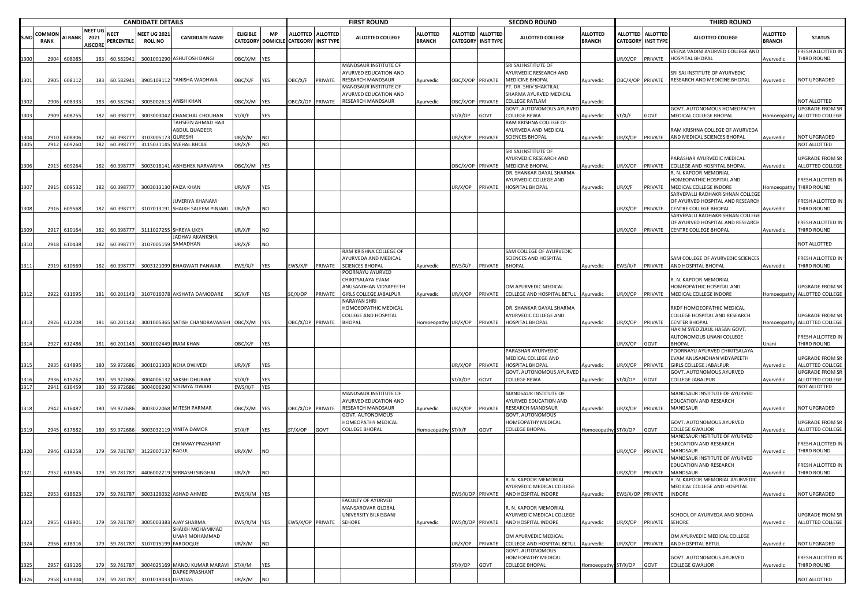|             |                       |                  |                                          |                        | <b>CANDIDATE DETAILS</b>              |                                             |                  |                         |                           |                   | <b>FIRST ROUND</b>                                                                                  |                                  |                         |                                              | <b>SECOND ROUND</b>                                                                         |                                  |                  |                                         | <b>THIRD ROUND</b>                                                   |                                  |                                     |
|-------------|-----------------------|------------------|------------------------------------------|------------------------|---------------------------------------|---------------------------------------------|------------------|-------------------------|---------------------------|-------------------|-----------------------------------------------------------------------------------------------------|----------------------------------|-------------------------|----------------------------------------------|---------------------------------------------------------------------------------------------|----------------------------------|------------------|-----------------------------------------|----------------------------------------------------------------------|----------------------------------|-------------------------------------|
| .NO         | COMMON<br><b>RANK</b> | AI RANK          | <b>NEET UG</b><br>2021<br><b>AISCORE</b> | NEET<br>PERCENTILE     | <b>NEET UG 2021</b><br><b>ROLL NO</b> | <b>CANDIDATE NAME</b>                       | <b>ELIGIBLE</b>  | MP<br>CATEGORY DOMICILE | <b>CATEGORY INST TYPE</b> | ALLOTTED ALLOTTED | <b>ALLOTTED COLLEGE</b>                                                                             | <b>ALLOTTED</b><br><b>BRANCH</b> | <b>ALLOTTED</b>         | <b>ALLOTTED</b><br><b>CATEGORY INST TYPE</b> | <b>ALLOTTED COLLEGE</b>                                                                     | <b>ALLOTTED</b><br><b>BRANCH</b> |                  | ALLOTTED ALLOTTED<br>CATEGORY INST TYPE | <b>ALLOTTED COLLEGE</b>                                              | <b>ALLOTTED</b><br><b>BRANCH</b> | <b>STATUS</b>                       |
| 300         | 2904                  | 608085           | 183                                      | 60.582941              |                                       | 3001001290 ASHUTOSH DANGI                   | OBC/X/M          | YES                     |                           |                   |                                                                                                     |                                  |                         |                                              |                                                                                             |                                  | JR/X/OP          | PRIVATE                                 | VEENA VADINI AYURVED COLLEGE AND<br>HOSPITAL BHOPAL                  | Ayurvedic                        | FRESH ALLOTTED IN<br>THIRD ROUND    |
| 1301        | 2905                  | 608112           | 183                                      | 60.582941              |                                       | 3905109112 TANISHA WADHWA                   | OBC/X/F          | YES                     | OBC/X/F                   | PRIVATE           | MANDSAUR INSTITUTE OF<br><b>AYURVED EDUCATION AND</b><br>RESEARCH MANDSAUR<br>MANDSAUR INSTITUTE OF | Ayurvedic                        | DBC/X/OP PRIVATE        |                                              | SRI SAI INSTITUTE OF<br>AYURVEDIC RESEARCH AND<br>MEDICINE BHOPAL<br>PT. DR. SHIV SHAKTILAL | Ayurvedic                        | OBC/X/OP PRIVATE |                                         | SRI SAI INSTITUTE OF AYURVEDIC<br>RESEARCH AND MEDICINE BHOPAL       | Ayurvedic                        | NOT UPGRADED                        |
| 1302        | 2906                  | 60833            | 183                                      | 60.582941              | 300500261                             | <b>ANISH KHAN</b>                           | OBC/X/M          | YES                     | OBC/X/OP PRIVATE          |                   | <b>AYURVED EDUCATION AND</b><br>RESEARCH MANDSAUR                                                   | Ayurvedic                        | <b>DBC/X/OP PRIVATE</b> |                                              | SHARMA AYURVED MEDICAL<br>COLLEGE RATLAM                                                    | Ayurvedic                        |                  |                                         |                                                                      |                                  | NOT ALLOTTED                        |
| 1303        | 2909                  | 608755           | 182                                      |                        |                                       |                                             | ST/X/F           | YES                     |                           |                   |                                                                                                     |                                  |                         | GOVT                                         | GOVT. AUTONOMOUS AYURVED<br>COLLEGE REWA                                                    |                                  |                  |                                         | GOVT. AUTONOMOUS HOMEOPATHY                                          |                                  | UPGRADE FROM SR<br>ALLOTTED COLLEGE |
|             |                       |                  |                                          | 60.398777              | 300300304                             | CHANCHAL CHOUHAN<br>TAHSEEN AHMAD HAJI      |                  |                         |                           |                   |                                                                                                     |                                  | ST/X/OP                 |                                              | RAM KRISHNA COLLEGE OF                                                                      | Ayurvedic                        | ST/X/F           | GOVT                                    | MEDICAL COLLEGE BHOPAL                                               | Homoeopathy                      |                                     |
|             |                       |                  |                                          |                        |                                       | ABDUL QUADEER                               |                  |                         |                           |                   |                                                                                                     |                                  |                         |                                              | AYURVEDA AND MEDICAL                                                                        |                                  |                  |                                         | RAM KRISHNA COLLEGE OF AYURVEDA                                      |                                  |                                     |
| 304<br>1305 | 2910<br>2912          | 608906<br>609260 | 182<br>182                               | 60.398777<br>60.398777 | 31030051<br>311503114                 | QURESHI<br><b>SNEHAL BHOLE</b>              | JR/X/M<br>UR/X/F | NO<br><b>NO</b>         |                           |                   |                                                                                                     |                                  | JR/X/OP                 | PRIVATE                                      | <b>SCIENCES BHOPAL</b>                                                                      | Ayurvedic                        | JR/X/OP          | PRIVATE                                 | AND MEDICAL SCIENCES BHOPAL                                          | Ayurvedic                        | NOT UPGRADED<br>NOT ALLOTTED        |
|             |                       |                  |                                          |                        |                                       |                                             |                  |                         |                           |                   |                                                                                                     |                                  |                         |                                              | SRI SAI INSTITUTE OF                                                                        |                                  |                  |                                         |                                                                      |                                  |                                     |
|             |                       |                  |                                          |                        |                                       |                                             |                  |                         |                           |                   |                                                                                                     |                                  |                         |                                              | AYURVEDIC RESEARCH AND                                                                      |                                  |                  |                                         | PARASHAR AYURVEDIC MEDICAL                                           |                                  | JPGRADE FROM SR                     |
| 1306        | 2913                  | 609264           | 182                                      | 60.398777              |                                       | 3003016141 ABHISHEK NARVARIYA               | ОВС/Х/М          | <b>YES</b>              |                           |                   |                                                                                                     |                                  | OBC/X/OP PRIVATE        |                                              | MEDICINE BHOPAL<br>DR. SHANKAR DAYAL SHARMA                                                 | Ayurvedic                        | JR/X/OP          | PRIVATE                                 | COLLEGE AND HOSPITAL BHOPAL<br>R. N. KAPOOR MEMORIAL                 | Ayurvedic                        | ALLOTTED COLLEGE                    |
|             |                       |                  |                                          |                        |                                       |                                             |                  |                         |                           |                   |                                                                                                     |                                  |                         |                                              | AYURVEDIC COLLEGE AND                                                                       |                                  |                  |                                         | HOMEOPATHIC HOSPITAL AND                                             |                                  | RESH ALLOTTED IN                    |
| 1307        | 2915                  | 609532           | 182                                      | 60.398777              |                                       | 3003013130 FAIZA KHAN                       | UR/X/F           | YES                     |                           |                   |                                                                                                     |                                  | UR/X/OP                 | PRIVATE                                      | HOSPITAL BHOPAL                                                                             | Ayurvedic                        | JR/X/F           | PRIVATE                                 | MEDICAL COLLEGE INDORE                                               | Iomoeopathy                      | THIRD ROUND                         |
|             |                       |                  |                                          |                        |                                       | IUVERIYA KHANAM                             |                  |                         |                           |                   |                                                                                                     |                                  |                         |                                              |                                                                                             |                                  |                  |                                         | SARVEPALLI RADHAKRISHNAN COLLEGI<br>OF AYURVED HOSPITAL AND RESEARCH |                                  | RESH ALLOTTED IN                    |
| 308         | 2916                  | 609568           | 182                                      | 60.398777              |                                       | 3107013191 SHAIKH SALEEM PINJARI            | UR/X/F           | NO.                     |                           |                   |                                                                                                     |                                  |                         |                                              |                                                                                             |                                  | JR/X/OP          | PRIVATE                                 | <b>CENTRE COLLEGE BHOPAL</b>                                         | Ayurvedic                        | THIRD ROUND                         |
|             |                       |                  |                                          |                        |                                       |                                             |                  |                         |                           |                   |                                                                                                     |                                  |                         |                                              |                                                                                             |                                  |                  |                                         | SARVEPALLI RADHAKRISHNAN COLLEGE                                     |                                  |                                     |
| 309         | 2917                  | 610164           | 182                                      | 60.398777              |                                       | 3111027255 SHREYA UKEY                      | JR/X/F           | NO.                     |                           |                   |                                                                                                     |                                  |                         |                                              |                                                                                             |                                  | IR/X/OP          | PRIVATE                                 | OF AYURVED HOSPITAL AND RESEARCH<br>CENTRE COLLEGE BHOPAL            | Ayurvedic                        | FRESH ALLOTTED IN<br>THIRD ROUND    |
|             |                       |                  |                                          |                        |                                       | <b>JADHAV AKANKSHA</b>                      |                  |                         |                           |                   |                                                                                                     |                                  |                         |                                              |                                                                                             |                                  |                  |                                         |                                                                      |                                  |                                     |
| 310         | 2918                  | 610438           | 182                                      | 60.398777              | 310700515                             | SAMADHAN                                    | UR/X/F           | NO                      |                           |                   |                                                                                                     |                                  |                         |                                              |                                                                                             |                                  |                  |                                         |                                                                      |                                  | <b>NOT ALLOTTED</b>                 |
|             |                       |                  |                                          |                        |                                       |                                             |                  |                         |                           |                   | RAM KRISHNA COLLEGE OF<br>AYURVEDA AND MEDICAL                                                      |                                  |                         |                                              | SAM COLLEGE OF AYURVEDIC<br>SCIENCES AND HOSPITAL                                           |                                  |                  |                                         | SAM COLLEGE OF AYURVEDIC SCIENCES                                    |                                  | FRESH ALLOTTED IN                   |
| 311         | 2919                  | 610569           | 182                                      | 60.398777              |                                       | 3003121099 BHAGWATI PANWAR                  | WS/X/F           | YES                     | EWS/X/F                   | PRIVATE           | <b>SCIENCES BHOPAL</b>                                                                              | Ayurvedic                        | EWS/X/F                 | PRIVATE                                      | <b>BHOPAL</b>                                                                               | Ayurvedic                        | EWS/X/F PRIVATE  |                                         | AND HOSPITAL BHOPAL                                                  | Ayurvedic                        | THIRD ROUND                         |
|             |                       |                  |                                          |                        |                                       |                                             |                  |                         |                           |                   | POORNAYU AYURVED                                                                                    |                                  |                         |                                              |                                                                                             |                                  |                  |                                         |                                                                      |                                  |                                     |
|             |                       |                  |                                          |                        |                                       |                                             |                  |                         |                           |                   | CHIKITSALAYA EVAM<br>ANUSANDHAN VIDYAPEETH                                                          |                                  |                         |                                              | OM AYURVEDIC MEDICAL                                                                        |                                  |                  |                                         | R. N. KAPOOR MEMORIAL<br>HOMEOPATHIC HOSPITAL AND                    |                                  | <b>JPGRADE FROM SR</b>              |
| 1312        | 2922                  | 611695           | 181                                      | 60.201143              |                                       | 3107016078 AKSHATA DAMODARE                 | SC/X/F           | YES                     | SC/X/OP                   | PRIVATE           | GIRLS COLLEGE JABALPUR                                                                              | Ayurvedic                        | UR/X/OP                 |                                              | PRIVATE COLLEGE AND HOSPITAL BETUL Ayurvedic                                                |                                  | JR/X/OP PRIVATE  |                                         | MEDICAL COLLEGE INDORE                                               | Homoeopathy                      | ALLOTTED COLLEGE                    |
|             |                       |                  |                                          |                        |                                       |                                             |                  |                         |                           |                   | NARAYAN SHRI                                                                                        |                                  |                         |                                              |                                                                                             |                                  |                  |                                         |                                                                      |                                  |                                     |
|             |                       |                  |                                          |                        |                                       |                                             |                  |                         |                           |                   | HOMOEOPATHIC MEDICAL<br>COLLEGE AND HOSPITAL                                                        |                                  |                         |                                              | DR. SHANKAR DAYAL SHARMA<br>AYURVEDIC COLLEGE AND                                           |                                  |                  |                                         | RKDF HOMOEOPATHIC MEDICAL<br>COLLEGE HOSPITAL AND RESEARCH           |                                  | <b>UPGRADE FROM SR</b>              |
| 1313        | 2926                  | 612208           | 181                                      | 60.201143              |                                       | 3001005365 SATISH CHANDRAVANSHI OBC/X/M YES |                  |                         | OBC/X/OP PRIVATE          |                   | <b>BHOPAL</b>                                                                                       | Homoeopathy UR/X/OP              |                         | PRIVATE                                      | HOSPITAL BHOPAL                                                                             | Ayurvedic                        | UR/X/OP PRIVATE  |                                         | <b>CENTER BHOPAL</b>                                                 | Iomoeopathy                      | ALLOTTED COLLEGE                    |
|             |                       |                  |                                          |                        |                                       |                                             |                  |                         |                           |                   |                                                                                                     |                                  |                         |                                              |                                                                                             |                                  |                  |                                         | HAKIM SYED ZIAUL HASAN GOVT.                                         |                                  |                                     |
| 314         | 2927                  | 612486           | 181                                      | 60.201143              | 300100244                             | <b>IRAM KHAN</b>                            | OBC/X/F          | <b>YES</b>              |                           |                   |                                                                                                     |                                  |                         |                                              |                                                                                             |                                  | JR/X/OP          | GOVT                                    | AUTONOMOUS UNANI COLLEGE<br><b>BHOPAL</b>                            | Jnani                            | FRESH ALLOTTED IN<br>THIRD ROUND    |
|             |                       |                  |                                          |                        |                                       |                                             |                  |                         |                           |                   |                                                                                                     |                                  |                         |                                              | PARASHAR AYURVEDIC                                                                          |                                  |                  |                                         | POORNAYU AYURVED CHIKITSALAYA                                        |                                  |                                     |
|             |                       |                  |                                          |                        |                                       |                                             |                  |                         |                           |                   |                                                                                                     |                                  |                         |                                              | MEDICAL COLLEGE AND                                                                         |                                  |                  |                                         | EVAM ANUSANDHAN VIDYAPEETH                                           |                                  | JPGRADE FROM SR                     |
| 315         | 2935                  | 614895           | 180                                      | 59.972686              | 300102130                             | <b>NEHA DWIVEDI</b>                         | JR/X/F           | YES                     |                           |                   |                                                                                                     |                                  | JR/X/OP                 | PRIVATE                                      | <b>IOSPITAL BHOPAL</b><br>GOVT. AUTONOMOUS AYURVED                                          | Ayurvedic                        | IR/X/OP          | PRIVATE                                 | <b>GIRLS COLLEGE JABALPUR</b><br>GOVT. AUTONOMOUS AYURVED            | Ayurvedic                        | ALLOTTED COLLEGE<br>JPGRADE FROM SR |
| 316         | 2936                  | 61526            | 180                                      | 59.97268               | 30040061                              | SAKSHI DHURWE                               | ST/X/F           | YES                     |                           |                   |                                                                                                     |                                  | ST/X/OP                 | GOVT                                         | COLLEGE REWA                                                                                | Ayurvedic                        | ST/X/OP          | GOVT                                    | COLLEGE JABALPUR                                                     | Ayurvedic                        | <b>ILLOTTED COLLEGE</b>             |
| 1317        |                       | 2941 616459      | 180                                      | 59.972686              |                                       | 3004006290 SOUMYA TIWARI                    | EWS/X/F          | YES                     |                           |                   |                                                                                                     |                                  |                         |                                              |                                                                                             |                                  |                  |                                         |                                                                      |                                  | NOT ALLOTTED                        |
|             |                       |                  |                                          |                        |                                       |                                             |                  |                         |                           |                   | MANDSAUR INSTITUTE OF<br><b>AYURVED EDUCATION AND</b>                                               |                                  |                         |                                              | MANDSAUR INSTITUTE OF<br><b>AYURVED EDUCATION AND</b>                                       |                                  |                  |                                         | MANDSAUR INSTITUTE OF AYURVED<br>EDUCATION AND RESEARCH              |                                  |                                     |
| 1318        | 2942                  | 616487           | 180                                      | 59.972686              |                                       | 3003022068 MITESH PARMAR                    | OBC/X/M          | YES                     | DBC/X/OP PRIVATE          |                   | RESEARCH MANDSAUR                                                                                   | Ayurvedic                        | UR/X/OP                 | PRIVATE                                      | RESEARCH MANDSAUR                                                                           | Ayurvedic                        | JR/X/OP PRIVATE  |                                         | MANDSAUR                                                             | Ayurvedic                        | <b>NOT UPGRADED</b>                 |
|             |                       |                  |                                          |                        |                                       |                                             |                  |                         |                           |                   | GOVT. AUTONOMOUS                                                                                    |                                  |                         |                                              | GOVT. AUTONOMOUS                                                                            |                                  |                  |                                         |                                                                      |                                  |                                     |
| 319         | 2945                  | 617682           | 180                                      | 59.972686              |                                       | 3003032119 VINITA DAMOR                     | ST/X/F           | YES                     | ST/X/OP                   | GOVT              | HOMEOPATHY MEDICAL<br>COLLEGE BHOPAL                                                                | Homoeopathy ST/X/F               |                         | GOVT                                         | HOMEOPATHY MEDICAL<br><b>COLLEGE BHOPAL</b>                                                 | Homoeopathy ST/X/OP              |                  | GOVT                                    | GOVT. AUTONOMOUS AYURVED<br>COLLEGE GWALIOR                          | Ayurvedic                        | JPGRADE FROM SR<br>ALLOTTED COLLEGE |
|             |                       |                  |                                          |                        |                                       |                                             |                  |                         |                           |                   |                                                                                                     |                                  |                         |                                              |                                                                                             |                                  |                  |                                         | MANDSAUR INSTITUTE OF AYURVED                                        |                                  |                                     |
|             |                       |                  |                                          |                        |                                       | CHINMAY PRASHANT                            |                  |                         |                           |                   |                                                                                                     |                                  |                         |                                              |                                                                                             |                                  |                  |                                         | EDUCATION AND RESEARCH                                               |                                  | <b>FRESH ALLOTTED IN</b>            |
| 320         | 2946                  | 618258           | 179                                      | 59.781787              | 3122007137 BAGUL                      |                                             | JR/X/M           | NO                      |                           |                   |                                                                                                     |                                  |                         |                                              |                                                                                             |                                  | JR/X/OP          | PRIVATE                                 | MANDSAUR<br>MANDSAUR INSTITUTE OF AYURVED                            | Ayurvedic                        | HIRD ROUND                          |
|             |                       |                  |                                          |                        |                                       |                                             |                  |                         |                           |                   |                                                                                                     |                                  |                         |                                              |                                                                                             |                                  |                  |                                         | EDUCATION AND RESEARCH                                               |                                  | <b>FRESH ALLOTTED IN</b>            |
| 1321        | 2952                  | 618545           | 179                                      | 59.781787              |                                       | 4406002219 SERRASHI SINGHAI                 | JR/X/F           | NO                      |                           |                   |                                                                                                     |                                  |                         |                                              | R. N. KAPOOR MEMORIAL                                                                       |                                  | JR/X/OP PRIVATE  |                                         | MANDSAUR<br>R. N. KAPOOR MEMORIAL AYURVEDIC                          | Ayurvedic                        | THIRD ROUND                         |
|             |                       |                  |                                          |                        |                                       |                                             |                  |                         |                           |                   |                                                                                                     |                                  |                         |                                              | AYURVEDIC MEDICAL COLLEGE                                                                   |                                  |                  |                                         | MEDICAL COLLEGE AND HOSPITAL                                         |                                  |                                     |
| 1322        | 2953                  | 618623           | 179                                      | 59.781787              |                                       | 3003126032 ASHAD AHMED                      | EWS/X/M YES      |                         |                           |                   |                                                                                                     |                                  | EWS/X/OP PRIVATE        |                                              | AND HOSPITAL INDORE                                                                         | Ayurvedic                        | EWS/X/OP PRIVATE |                                         | INDORE                                                               | Ayurvedic                        | NOT UPGRADED                        |
|             |                       |                  |                                          |                        |                                       |                                             |                  |                         |                           |                   | <b>FACULTY OF AYURVED</b><br>MANSAROVAR GLOBAL                                                      |                                  |                         |                                              | R. N. KAPOOR MEMORIAL                                                                       |                                  |                  |                                         |                                                                      |                                  |                                     |
|             |                       |                  |                                          |                        |                                       |                                             |                  |                         |                           |                   | UNIVERSITY BILKISGANJ                                                                               |                                  |                         |                                              | AYURVEDIC MEDICAL COLLEGE                                                                   |                                  |                  |                                         | SCHOOL OF AYURVEDA AND SIDDHA                                        |                                  | JPGRADE FROM SR                     |
| 323         | 2955                  | 618901           | 179                                      | 59.781787              |                                       | 3005003383 AJAY SHARMA                      | WS/X/M YES       |                         | EWS/X/OP PRIVATE          |                   | SEHORE                                                                                              | Ayurvedic                        |                         |                                              | EWS/X/OP PRIVATE AND HOSPITAL INDORE                                                        | Ayurvedic                        |                  | JR/X/OP PRIVATE SEHORE                  |                                                                      | Ayurvedic                        | ALLOTTED COLLEGE                    |
|             |                       |                  |                                          |                        |                                       | SHAIKH MOHAMMAD<br>UMAR MOHAMMAD            |                  |                         |                           |                   |                                                                                                     |                                  |                         |                                              | OM AYURVEDIC MEDICAL                                                                        |                                  |                  |                                         | OM AYURVEDIC MEDICAL COLLEGE                                         |                                  |                                     |
| 324         |                       | 2956 618916      | 179                                      | 59.781787              | 310701519                             | <b>FAROOQUE</b>                             | JR/X/M           | <b>NO</b>               |                           |                   |                                                                                                     |                                  | JR/X/OP                 | PRIVATE                                      | COLLEGE AND HOSPITAL BETUL Ayurvedic                                                        |                                  | JR/X/OP PRIVATE  |                                         | AND HOSPITAL BETUL                                                   | Ayurvedic                        | NOT UPGRADED                        |
|             |                       |                  |                                          |                        |                                       |                                             |                  |                         |                           |                   |                                                                                                     |                                  |                         |                                              | GOVT. AUTONOMOUS                                                                            |                                  |                  |                                         |                                                                      |                                  |                                     |
| 325         | 2957                  | 619126           | 179                                      | 59.781787              | 300402516                             | MANOJ KUMAR MARAVI                          | ST/X/M           | YES                     |                           |                   |                                                                                                     |                                  | ST/X/OP                 | GOVT                                         | HOMEOPATHY MEDICAL<br><b>COLLEGE BHOPAL</b>                                                 | Homoeopathy ST/X/OP GOVT         |                  |                                         | GOVT. AUTONOMOUS AYURVED<br><b>COLLEGE GWALIOR</b>                   | Ayurvedic                        | FRESH ALLOTTED IN<br>THIRD ROUND    |
|             |                       |                  |                                          |                        |                                       | <b>DAPKE PRASHANT</b>                       |                  |                         |                           |                   |                                                                                                     |                                  |                         |                                              |                                                                                             |                                  |                  |                                         |                                                                      |                                  |                                     |
| 1326        | 2958                  | 619304           | 179                                      | 59.781787              | 310101903                             | DEVIDAS                                     | UR/X/M           | NO                      |                           |                   |                                                                                                     |                                  |                         |                                              |                                                                                             |                                  |                  |                                         |                                                                      |                                  | NOT ALLOTTED                        |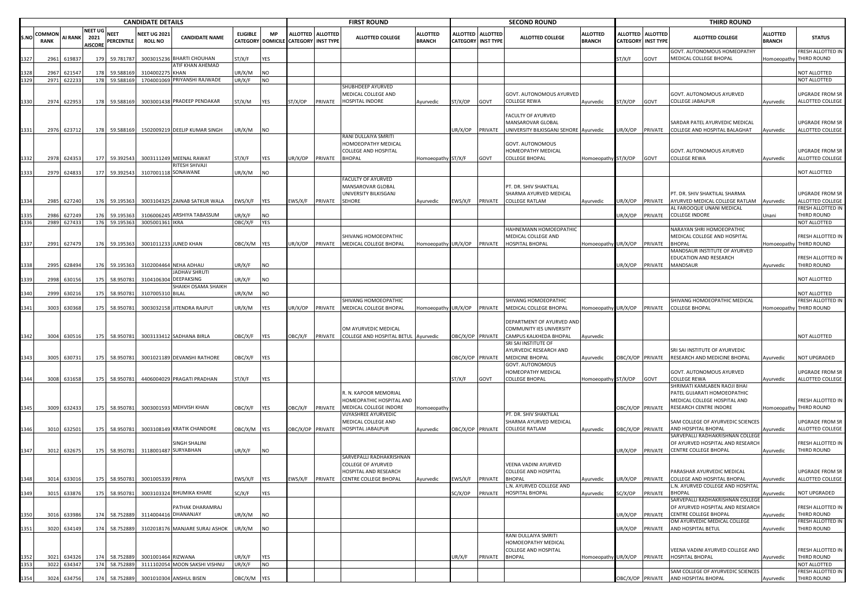|              | <b>CANDIDATE DETAILS</b> |                            |                                          |                                |                                                 |                                       |                                             |                  |                           | <b>FIRST ROUND</b> |                                                      |                                  |                             | <b>SECOND ROUND</b>                 |                                                 |                                  |                           | <b>THIRD ROUND</b> |                                                             |                                  |                                             |
|--------------|--------------------------|----------------------------|------------------------------------------|--------------------------------|-------------------------------------------------|---------------------------------------|---------------------------------------------|------------------|---------------------------|--------------------|------------------------------------------------------|----------------------------------|-----------------------------|-------------------------------------|-------------------------------------------------|----------------------------------|---------------------------|--------------------|-------------------------------------------------------------|----------------------------------|---------------------------------------------|
| S.NO         | Common<br><b>RANK</b>    | <b>AI RANK</b>             | <b>NEET UG</b><br>2021<br><b>AISCORE</b> | <b>NEET</b><br>PERCENTILE      | <b>NEET UG 202</b><br><b>ROLL NO</b>            | <b>CANDIDATE NAME</b>                 | <b>ELIGIBLE</b><br><b>CATEGORY DOMICILE</b> | MP               | <b>CATEGORY INST TYPE</b> | ALLOTTED ALLOTTED  | <b>ALLOTTED COLLEGE</b>                              | <b>ALLOTTED</b><br><b>BRANCH</b> | ALLOTTED<br><b>CATEGORY</b> | <b>ALLOTTED</b><br><b>INST TYPE</b> | <b>ALLOTTED COLLEGE</b>                         | <b>ALLOTTED</b><br><b>BRANCH</b> | <b>CATEGORY INST TYPE</b> | ALLOTTED ALLOTTED  | <b>ALLOTTED COLLEGE</b>                                     | <b>ALLOTTED</b><br><b>BRANCH</b> | <b>STATUS</b>                               |
| 1327         | 2961                     | 619837                     | 179                                      | 59.781787                      |                                                 | 3003015236 BHARTI CHOUHAN             | ST/X/F                                      | YES              |                           |                    |                                                      |                                  |                             |                                     |                                                 |                                  | ST/X/F                    | GOVT               | GOVT. AUTONOMOUS HOMEOPATHY<br>MEDICAL COLLEGE BHOPAL       |                                  | RESH ALLOTTED IN<br>Iomoeopathy THIRD ROUND |
|              | 2967                     | 62154                      |                                          | 59.58816                       | 310400227                                       | ATIF KHAN AHEMAD<br>KHAN              | JR/X/M                                      | NO               |                           |                    |                                                      |                                  |                             |                                     |                                                 |                                  |                           |                    |                                                             |                                  | NOT ALLOTTED                                |
| 1329         |                          | 2971 622233                | 178                                      | 59.588169                      |                                                 | 1704001069 PRIYANSHI RAJWADE          | UR/X/F                                      | NO               |                           |                    |                                                      |                                  |                             |                                     |                                                 |                                  |                           |                    |                                                             |                                  | NOT ALLOTTED                                |
|              |                          |                            |                                          |                                |                                                 |                                       |                                             |                  |                           |                    | SHUBHDEEP AYURVED                                    |                                  |                             |                                     |                                                 |                                  |                           |                    |                                                             |                                  |                                             |
| 1330         | 2974                     | 622953                     | 178                                      | 59.588169                      |                                                 | 3003001438 PRADEEP PENDAKAR           | ST/X/M                                      | YES              | ST/X/OP                   | PRIVATE            | MEDICAL COLLEGE AND<br><b>HOSPITAL INDORE</b>        | Ayurvedic                        | ST/X/OP                     | GOVT                                | GOVT. AUTONOMOUS AYURVED<br>COLLEGE REWA        | Ayurvedic                        | ST/X/OP                   | GOVT               | GOVT. AUTONOMOUS AYURVED<br>COLLEGE JABALPUR                | Ayurvedic                        | JPGRADE FROM SR<br>ALLOTTED COLLEGE         |
|              |                          |                            |                                          |                                |                                                 |                                       |                                             |                  |                           |                    |                                                      |                                  |                             |                                     |                                                 |                                  |                           |                    |                                                             |                                  |                                             |
|              |                          |                            |                                          |                                |                                                 |                                       |                                             |                  |                           |                    |                                                      |                                  |                             |                                     | FACULTY OF AYURVED                              |                                  |                           |                    |                                                             |                                  |                                             |
|              |                          |                            |                                          |                                |                                                 |                                       |                                             |                  |                           |                    |                                                      |                                  |                             |                                     | <b>MANSAROVAR GLOBAL</b>                        |                                  |                           |                    | SARDAR PATEL AYURVEDIC MEDICAL                              |                                  | <b>JPGRADE FROM SR</b>                      |
| 1331         |                          | 2976 623712                |                                          | 178 59.588169                  |                                                 | 1502009219 DEELIP KUMAR SINGH         | JR/X/M                                      | NO               |                           |                    | RANI DULLAIYA SMRITI                                 |                                  | JR/X/OP                     | PRIVATE                             | UNIVERSITY BILKISGANJ SEHORE Ayurvedic          |                                  | JR/X/OP                   | PRIVATE            | COLLEGE AND HOSPITAL BALAGHAT                               | Ayurvedic                        | ALLOTTED COLLEGE                            |
|              |                          |                            |                                          |                                |                                                 |                                       |                                             |                  |                           |                    | HOMOEOPATHY MEDICAL                                  |                                  |                             |                                     | GOVT. AUTONOMOUS                                |                                  |                           |                    |                                                             |                                  |                                             |
|              |                          |                            |                                          |                                |                                                 |                                       |                                             |                  |                           |                    | COLLEGE AND HOSPITAL                                 |                                  |                             |                                     | HOMEOPATHY MEDICAL                              |                                  |                           |                    | GOVT. AUTONOMOUS AYURVED                                    |                                  | <b>UPGRADE FROM SR</b>                      |
| 1332         |                          | 2978 624353                |                                          | 177 59.392543                  |                                                 | 3003111249 MEENAL RAWAT               | ST/X/F                                      | YES              | JR/X/OP                   | PRIVATE            | <b>BHOPAL</b>                                        | Homoeopathy                      | ST/X/F                      | GOVT                                | <b>COLLEGE BHOPAL</b>                           | Homoeopathy ST/X/OP              |                           | GOVT               | COLLEGE REWA                                                | Ayurvedic                        | ALLOTTED COLLEGE                            |
| 1333         |                          | 2979 624833                |                                          | 177 59.392543                  |                                                 | RITESH SHIVAJI<br>3107001118 SONAWANE | UR/X/M                                      | NO               |                           |                    |                                                      |                                  |                             |                                     |                                                 |                                  |                           |                    |                                                             |                                  | <b>NOT ALLOTTED</b>                         |
|              |                          |                            |                                          |                                |                                                 |                                       |                                             |                  |                           |                    | FACULTY OF AYURVED                                   |                                  |                             |                                     |                                                 |                                  |                           |                    |                                                             |                                  |                                             |
|              |                          |                            |                                          |                                |                                                 |                                       |                                             |                  |                           |                    | MANSAROVAR GLOBAL                                    |                                  |                             |                                     | PT. DR. SHIV SHAKTILAL                          |                                  |                           |                    |                                                             |                                  |                                             |
|              |                          |                            |                                          |                                |                                                 |                                       |                                             |                  |                           |                    | UNIVERSITY BILKISGANJ                                |                                  |                             |                                     | SHARMA AYURVED MEDICAL                          |                                  |                           |                    | PT. DR. SHIV SHAKTILAL SHARMA                               |                                  | JPGRADE FROM SR                             |
| 1334         |                          | 2985 627240                | 176                                      | 59.195363                      |                                                 | 3003104325 ZAINAB SATKUR WALA         | :WS/X/F                                     | YES              | EWS/X/F                   | PRIVATE            | SEHORE                                               | Ayurvedic                        | EWS/X/F PRIVATE             |                                     | <b>COLLEGE RATLAM</b>                           | Ayurvedic                        | JR/X/OP                   | PRIVATE            | AYURVED MEDICAL COLLEGE RATLAM<br>AL FAROOQUE UNANI MEDICAL | Ayurvedic                        | ALLOTTED COLLEGE<br>RESH ALLOTTED IN        |
|              | 2986                     | 62724                      | 176                                      | 59.195363                      |                                                 | 3106006245 ARSHIYA TABASSUM           | JR/X/F                                      | NO               |                           |                    |                                                      |                                  |                             |                                     |                                                 |                                  | JR/X/OP                   | PRIVATE            | COLLEGE INDORE                                              | Unani                            | THIRD ROUND                                 |
| 1336         |                          | 2989 627433                | 176                                      | 59.195363                      | 3005001361 IKRA                                 |                                       | OBC/X/F                                     | YES              |                           |                    |                                                      |                                  |                             |                                     |                                                 |                                  |                           |                    |                                                             |                                  | NOT ALLOTTED                                |
|              |                          |                            |                                          |                                |                                                 |                                       |                                             |                  |                           |                    |                                                      |                                  |                             |                                     | HAHNEMANN HOMOEOPATHIC                          |                                  |                           |                    | NARAYAN SHRI HOMOEOPATHIC                                   |                                  |                                             |
|              |                          |                            |                                          |                                |                                                 |                                       |                                             |                  |                           |                    | SHIVANG HOMOEOPATHIC                                 |                                  |                             |                                     | MEDICAL COLLEGE AND                             |                                  |                           |                    | MEDICAL COLLEGE AND HOSPITAL                                |                                  | RESH ALLOTTED IN                            |
| 1337         |                          | 2991 627479                |                                          | 176 59.195363                  |                                                 | 3001011233 JUNED KHAN                 | OBC/X/M                                     | YES              | JR/X/OP                   | PRIVATE            | MEDICAL COLLEGE BHOPAL                               | Homoeopathy                      | UR/X/OP                     | PRIVATE                             | HOSPITAL BHOPAL                                 | Homoeopathy UR/X/OP              |                           | PRIVATE            | <b>BHOPAL</b><br>MANDSAUR INSTITUTE OF AYURVED              |                                  | Iomoeopathy THIRD ROUND                     |
|              |                          |                            |                                          |                                |                                                 |                                       |                                             |                  |                           |                    |                                                      |                                  |                             |                                     |                                                 |                                  |                           |                    | EDUCATION AND RESEARCH                                      |                                  | RESH ALLOTTED IN                            |
| 1338         |                          | 2995 628494                |                                          | 176 59.195363                  |                                                 | 3102004464 NEHA ADHAU                 | JR/X/F                                      | NO               |                           |                    |                                                      |                                  |                             |                                     |                                                 |                                  | JR/X/OP                   | PRIVATE            | MANDSAUR                                                    | Ayurvedic                        | THIRD ROUND                                 |
|              |                          |                            |                                          |                                |                                                 | JADHAV SHRUTI                         |                                             |                  |                           |                    |                                                      |                                  |                             |                                     |                                                 |                                  |                           |                    |                                                             |                                  |                                             |
| 1339         | 2998                     | 63015                      | 175                                      | 58.950781                      | 310410630                                       | DEEPAKSING<br>SHAIKH OSAMA SHAIKH     | JR/X/F                                      | NO               |                           |                    |                                                      |                                  |                             |                                     |                                                 |                                  |                           |                    |                                                             |                                  | NOT ALLOTTED                                |
| 1340         | 2999                     | 63021                      |                                          | 175 58.950781                  | 310700531                                       | D BILAL                               | UR/X/M                                      | NO               |                           |                    |                                                      |                                  |                             |                                     |                                                 |                                  |                           |                    |                                                             |                                  | <b>IOT ALLOTTED</b>                         |
|              |                          |                            |                                          |                                |                                                 |                                       |                                             |                  |                           |                    | SHIVANG HOMOEOPATHIC                                 |                                  |                             |                                     | SHIVANG HOMOEOPATHIC                            |                                  |                           |                    | SHIVANG HOMOEOPATHIC MEDICAL                                |                                  | <b>RESH ALLOTTED IN</b>                     |
| 1341         |                          | 3003 630368                |                                          | 175 58.950781                  |                                                 | 3003032158 JITENDRA RAJPUT            | UR/X/M                                      | YES              | JR/X/OP                   | PRIVATE            | MEDICAL COLLEGE BHOPAL                               | Homoeopathy                      |                             |                                     | UR/X/OP PRIVATE MEDICAL COLLEGE BHOPAL          | Homoeopathy UR/X/OP              |                           | PRIVATE            | <b>COLLEGE BHOPAL</b>                                       |                                  | Iomoeopathy THIRD ROUND                     |
|              |                          |                            |                                          |                                |                                                 |                                       |                                             |                  |                           |                    |                                                      |                                  |                             |                                     | DEPARTMENT OF AYURVED AND                       |                                  |                           |                    |                                                             |                                  |                                             |
|              |                          |                            |                                          |                                |                                                 |                                       |                                             |                  |                           |                    | OM AYURVEDIC MEDICAL                                 |                                  |                             |                                     | COMMUNITY IES UNIVERSITY                        |                                  |                           |                    |                                                             |                                  |                                             |
| 1342         |                          | 3004 630516                |                                          | 175 58.950781                  |                                                 | 3003133412 SADHANA BIRLA              | OBC/X/F                                     | YES              |                           |                    | OBC/X/F PRIVATE COLLEGE AND HOSPITAL BETUL Ayurvedic |                                  | OBC/X/OP PRIVATE            |                                     | CAMPUS KALKHEDA BHOPAL                          | Ayurvedic                        |                           |                    |                                                             |                                  | <b>NOT ALLOTTED</b>                         |
|              |                          |                            |                                          |                                |                                                 |                                       |                                             |                  |                           |                    |                                                      |                                  |                             |                                     | SRI SAI INSTITUTE OF<br>AYURVEDIC RESEARCH AND  |                                  |                           |                    | SRI SAI INSTITUTE OF AYURVEDIC                              |                                  |                                             |
| 1343         |                          | 3005 630731                | 175                                      | 58.950781                      |                                                 | 3001021189 DEVANSHI RATHORE           | OBC/X/F                                     | YES              |                           |                    |                                                      |                                  | BC/X/OP PRIVATE             |                                     | MEDICINE BHOPAL                                 | Ayurvedic                        | BC/X/OP PRIVATE           |                    | RESEARCH AND MEDICINE BHOPAL                                | Ayurvedic                        | <b>NOT UPGRADED</b>                         |
|              |                          |                            |                                          |                                |                                                 |                                       |                                             |                  |                           |                    |                                                      |                                  |                             |                                     | GOVT. AUTONOMOUS                                |                                  |                           |                    |                                                             |                                  |                                             |
|              |                          |                            |                                          |                                |                                                 |                                       |                                             |                  |                           |                    |                                                      |                                  |                             |                                     | HOMEOPATHY MEDICAL                              |                                  |                           |                    | GOVT. AUTONOMOUS AYURVED                                    |                                  | JPGRADE FROM SR                             |
| 1344         |                          | 3008 631658                |                                          | 175 58.950781                  |                                                 | 4406004029 PRAGATI PRADHAN            | ST/X/F                                      | YES              |                           |                    |                                                      |                                  | ST/X/F                      | GOVT                                | <b>COLLEGE BHOPAL</b>                           | Iomoeopathy ST/X/OP              |                           | GOVT               | COLLEGE REWA<br>SHRIMATI KAMLABEN RAOJI BHAI                | Ayurvedic                        | ALLOTTED COLLEGE                            |
|              |                          |                            |                                          |                                |                                                 |                                       |                                             |                  |                           |                    | R. N. KAPOOR MEMORIAL                                |                                  |                             |                                     |                                                 |                                  |                           |                    | PATEL GUJARATI HOMOEOPATHIC                                 |                                  |                                             |
|              |                          |                            |                                          |                                |                                                 |                                       |                                             |                  |                           |                    | HOMEOPATHIC HOSPITAL AND                             |                                  |                             |                                     |                                                 |                                  |                           |                    | MEDICAL COLLEGE HOSPITAL AND                                |                                  | RESH ALLOTTED IN                            |
| 1345         |                          | 3009 632433                |                                          | 175 58.950781                  |                                                 | 3003001593 MEHVISH KHAN               | OBC/X/F                                     | YES              | <b>DBC/X/F</b>            | PRIVATE            | MEDICAL COLLEGE INDORE                               | Homoeopath                       |                             |                                     |                                                 |                                  | BC/X/OP PRIVATE           |                    | RESEARCH CENTRE INDORE                                      |                                  | Iomoeopathy THIRD ROUND                     |
|              |                          |                            |                                          |                                |                                                 |                                       |                                             |                  |                           |                    | VIJYASHREE AYURVEDIC                                 |                                  |                             |                                     | PT. DR. SHIV SHAKTILAL                          |                                  |                           |                    |                                                             |                                  | JPGRADE FROM SR                             |
| 1346         |                          | 3010 632501                |                                          | 175 58.950781                  |                                                 | 3003108149 KRATIK CHANDORE            | OBC/X/M YES                                 |                  |                           | OBC/X/OP PRIVATE   | MEDICAL COLLEGE AND<br>HOSPITAL JABALPUR             | Ayurvedic                        |                             | DBC/X/OP PRIVATE                    | SHARMA AYURVED MEDICAL<br><b>COLLEGE RATLAM</b> | Ayurvedic                        | BC/X/OP PRIVATE           |                    | SAM COLLEGE OF AYURVEDIC SCIENCES<br>AND HOSPITAL BHOPAL    | Ayurvedic                        | ALLOTTED COLLEGE                            |
|              |                          |                            |                                          |                                |                                                 |                                       |                                             |                  |                           |                    |                                                      |                                  |                             |                                     |                                                 |                                  |                           |                    | SARVEPALLI RADHAKRISHNAN COLLEGE                            |                                  |                                             |
|              |                          |                            |                                          |                                |                                                 | SINGH SHALINI                         |                                             |                  |                           |                    |                                                      |                                  |                             |                                     |                                                 |                                  |                           |                    | OF AYURVED HOSPITAL AND RESEARCH                            |                                  | RESH ALLOTTED IN                            |
| 1347         |                          | 3012 632675                |                                          |                                | 175 58.950781 3118001487 SURYABHAN              |                                       | JR/X/F                                      | NO               |                           |                    | SARVEPALLI RADHAKRISHNAN                             |                                  |                             |                                     |                                                 |                                  | JR/X/OP PRIVATE           |                    | CENTRE COLLEGE BHOPAL                                       | Ayurvedic                        | <b>THIRD ROUND</b>                          |
|              |                          |                            |                                          |                                |                                                 |                                       |                                             |                  |                           |                    | COLLEGE OF AYURVED                                   |                                  |                             |                                     | VEENA VADINI AYURVED                            |                                  |                           |                    |                                                             |                                  |                                             |
|              |                          |                            |                                          |                                |                                                 |                                       |                                             |                  |                           |                    | HOSPITAL AND RESEARCH                                |                                  |                             |                                     | COLLEGE AND HOSPITAL                            |                                  |                           |                    | PARASHAR AYURVEDIC MEDICAL                                  |                                  | <b>UPGRADE FROM SR</b>                      |
|              |                          |                            |                                          |                                | 1348 3014 633016 175 58.950781 3001005339 PRIYA |                                       | EWS/X/F YES                                 |                  |                           |                    | EWS/X/F PRIVATE CENTRE COLLEGE BHOPAL                | Ayurvedic                        | EWS/X/F PRIVATE BHOPAL      |                                     |                                                 | Ayurvedic                        |                           |                    | UR/X/OP PRIVATE COLLEGE AND HOSPITAL BHOPAL                 | Ayurvedic                        | ALLOTTED COLLEGE                            |
| 1349         |                          | 3015 633876                | 175                                      | 58.950781                      |                                                 | 3003103324 BHUMIKA KHARE              | SC/X/F                                      | YES              |                           |                    |                                                      |                                  | SC/X/OP                     | PRIVATE                             | L.N. AYURVED COLLEGE AND<br>HOSPITAL BHOPAL     | Ayurvedic                        | C/X/OP                    | PRIVATE            | L.N. AYURVED COLLEGE AND HOSPITAL<br><b>BHOPAL</b>          | Ayurvedic                        | NOT UPGRADED                                |
|              |                          |                            |                                          |                                |                                                 |                                       |                                             |                  |                           |                    |                                                      |                                  |                             |                                     |                                                 |                                  |                           |                    | SARVEPALLI RADHAKRISHNAN COLLEGE                            |                                  |                                             |
|              |                          |                            |                                          |                                |                                                 | PATHAK DHARAMRAJ                      |                                             |                  |                           |                    |                                                      |                                  |                             |                                     |                                                 |                                  |                           |                    | OF AYURVED HOSPITAL AND RESEARCH                            |                                  | RESH ALLOTTED IN                            |
| 1350         | 3016                     | 633986                     |                                          | 174 58.752889                  |                                                 | 3114004416 DHANANJAY                  | UR/X/M                                      | NO               |                           |                    |                                                      |                                  |                             |                                     |                                                 |                                  | JR/X/OP                   | PRIVATE            | <b>CENTRE COLLEGE BHOPAL</b>                                | Ayurvedic                        | THIRD ROUND                                 |
| 1351         |                          | 3020 634149                |                                          | 174 58.752889                  |                                                 | 3102018176 MANJARE SURAJ ASHOK        | UR/X/M                                      | NO               |                           |                    |                                                      |                                  |                             |                                     |                                                 |                                  | JR/X/OP                   | <b>PRIVATE</b>     | OM AYURVEDIC MEDICAL COLLEGE<br>AND HOSPITAL BETUL          | Ayurvedic                        | RESH ALLOTTED IN<br>THIRD ROUND             |
|              |                          |                            |                                          |                                |                                                 |                                       |                                             |                  |                           |                    |                                                      |                                  |                             |                                     | RANI DULLAIYA SMRITI                            |                                  |                           |                    |                                                             |                                  |                                             |
|              |                          |                            |                                          |                                |                                                 |                                       |                                             |                  |                           |                    |                                                      |                                  |                             |                                     | HOMOEOPATHY MEDICAL                             |                                  |                           |                    |                                                             |                                  |                                             |
|              |                          |                            |                                          |                                |                                                 |                                       |                                             |                  |                           |                    |                                                      |                                  |                             |                                     | COLLEGE AND HOSPITAL                            |                                  |                           |                    | VEENA VADINI AYURVED COLLEGE AND                            |                                  | RESH ALLOTTED IN                            |
| 1352<br>1353 |                          | 3021 634326<br>3022 634347 |                                          | 174 58.752889<br>174 58.752889 | 3001001464 RIZWANA                              | 3111102054 MOON SAKSHI VISHNU         | UR/X/F<br>UR/X/F                            | YES<br><b>NO</b> |                           |                    |                                                      |                                  | UR/X/F                      | PRIVATE                             | <b>BHOPAL</b>                                   | Homoeopathy UR/X/OP              |                           | PRIVATE            | <b>HOSPITAL BHOPAL</b>                                      | Ayurvedic                        | THIRD ROUND<br><b>NOT ALLOTTED</b>          |
|              |                          |                            |                                          |                                |                                                 |                                       |                                             |                  |                           |                    |                                                      |                                  |                             |                                     |                                                 |                                  |                           |                    | SAM COLLEGE OF AYURVEDIC SCIENCES                           |                                  | RESH ALLOTTED IN                            |
| 1354         |                          | 3024 634756                |                                          |                                |                                                 | 174 58.752889 3001010304 ANSHUL BISEN | OBC/X/M YES                                 |                  |                           |                    |                                                      |                                  |                             |                                     |                                                 |                                  | OBC/X/OP PRIVATE          |                    | AND HOSPITAL BHOPAL                                         | Ayurvedic                        | THIRD ROUND                                 |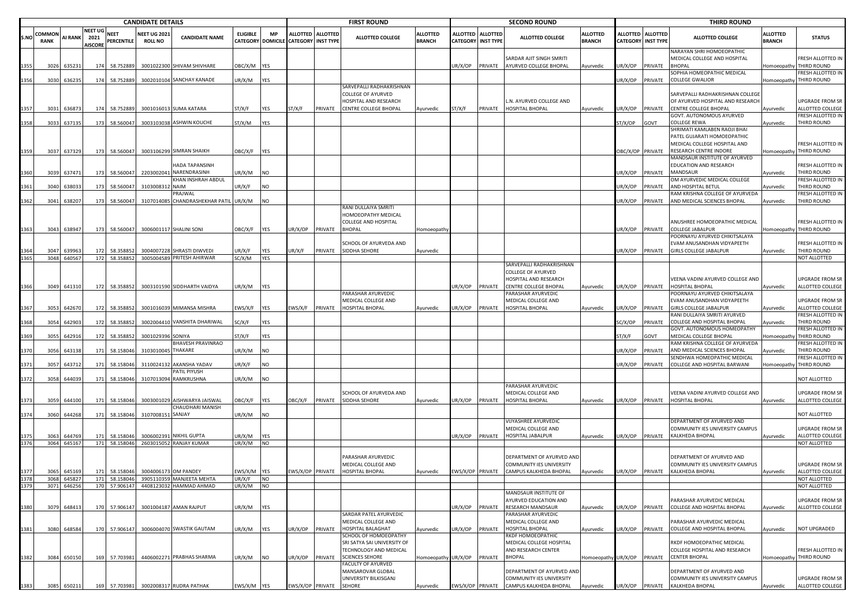|              |                       | <b>CANDIDATE DETAILS</b> |                                          |                           |                                       |                                           |                 |            |                                      | <b>FIRST ROUND</b> |                                                                                                          |                                  |                                              | <b>SECOND ROUND</b> |                                                                                                         |                                  |                  | <b>THIRD ROUND</b>                             |                                                                                             |                                  |                                              |
|--------------|-----------------------|--------------------------|------------------------------------------|---------------------------|---------------------------------------|-------------------------------------------|-----------------|------------|--------------------------------------|--------------------|----------------------------------------------------------------------------------------------------------|----------------------------------|----------------------------------------------|---------------------|---------------------------------------------------------------------------------------------------------|----------------------------------|------------------|------------------------------------------------|---------------------------------------------------------------------------------------------|----------------------------------|----------------------------------------------|
| S.NO         | COMMON<br><b>RANK</b> | <b>AI RANK</b>           | <b>NEET UG</b><br>2021<br><b>AISCORE</b> | <b>NEET</b><br>PERCENTILE | <b>NEET UG 202:</b><br><b>ROLL NO</b> | <b>CANDIDATE NAME</b>                     | <b>ELIGIBLE</b> | <b>MP</b>  | CATEGORY DOMICILE CATEGORY INST TYPE | ALLOTTED ALLOTTED  | <b>ALLOTTED COLLEGE</b>                                                                                  | <b>ALLOTTED</b><br><b>BRANCH</b> | <b>ALLOTTED</b><br><b>CATEGORY INST TYPE</b> | <b>ALLOTTED</b>     | <b>ALLOTTED COLLEGE</b>                                                                                 | <b>ALLOTTED</b><br><b>BRANCH</b> |                  | ALLOTTED ALLOTTED<br><b>CATEGORY INST TYPE</b> | <b>ALLOTTED COLLEGE</b>                                                                     | <b>ALLOTTED</b><br><b>BRANCH</b> | <b>STATUS</b>                                |
|              | 3026                  | 635231                   |                                          | 174 58.752889             |                                       | 3001022300 SHIVAM SHIVHARE                | DBC/X/M YES     |            |                                      |                    |                                                                                                          |                                  | UR/X/OP                                      |                     | SARDAR AJIT SINGH SMRITI<br>PRIVATE AYURVED COLLEGE BHOPAL                                              | Ayurvedic                        | JR/X/OP          | PRIVATE                                        | <b>NARAYAN SHRI HOMOEOPATHIC</b><br>MEDICAL COLLEGE AND HOSPITAL<br><b>BHOPAL</b>           |                                  | FRESH ALLOTTED IN<br>Homoeopathy THIRD ROUND |
| 1356         |                       | 3030 636235              |                                          | 174 58.752889             |                                       | 3002010104 SANCHAY KANADE                 | JR/X/M          | <b>YES</b> |                                      |                    |                                                                                                          |                                  |                                              |                     |                                                                                                         |                                  | JR/X/OP          | PRIVATE                                        | SOPHIA HOMEOPATHIC MEDICAL<br>COLLEGE GWALIOR                                               |                                  | FRESH ALLOTTED IN<br>Homoeopathy THIRD ROUND |
|              |                       |                          |                                          |                           |                                       |                                           |                 |            |                                      |                    | SARVEPALLI RADHAKRISHNAN<br>COLLEGE OF AYURVED<br>HOSPITAL AND RESEARCH                                  |                                  |                                              |                     | N. AYURVED COLLEGE AND                                                                                  |                                  |                  |                                                | SARVEPALLI RADHAKRISHNAN COLLEGI<br>OF AYURVED HOSPITAL AND RESEARCH                        |                                  | UPGRADE FROM SR                              |
|              | 3031                  | 636873                   | 174                                      | 58.752889                 |                                       | 3001016013 SUMA KATARA                    | T/X/F           | YES        | ST/X/F                               | PRIVATE            | CENTRE COLLEGE BHOPAL                                                                                    | Ayurvedic                        | ST/X/F                                       | PRIVATE             | HOSPITAL BHOPAL                                                                                         | Ayurvedic                        | JR/X/OP          | PRIVATE                                        | <b>CENTRE COLLEGE BHOPAL</b>                                                                | Ayurvedic                        | ALLOTTED COLLEGE                             |
| 1358         |                       | 3033 637135              | 173                                      | 58.560047                 |                                       | 3003103038 ASHWIN KOUCHE                  | ST/X/M          | YES        |                                      |                    |                                                                                                          |                                  |                                              |                     |                                                                                                         |                                  | ST/X/OP          | GOVT                                           | GOVT. AUTONOMOUS AYURVED<br>COLLEGE REWA                                                    | Ayurvedic                        | FRESH ALLOTTED IN<br>THIRD ROUND             |
|              |                       |                          |                                          |                           |                                       |                                           |                 |            |                                      |                    |                                                                                                          |                                  |                                              |                     |                                                                                                         |                                  |                  |                                                | SHRIMATI KAMLABEN RAOJI BHAI<br>PATEL GUJARATI HOMOEOPATHIC<br>MEDICAL COLLEGE HOSPITAL AND |                                  | FRESH ALLOTTED IN                            |
| 1359         |                       | 3037 637329              |                                          | 173 58.560047             |                                       | 3003106299 SIMRAN SHAIKH                  | DBC/X/F YES     |            |                                      |                    |                                                                                                          |                                  |                                              |                     |                                                                                                         |                                  | OBC/X/OP PRIVATE |                                                | RESEARCH CENTRE INDORE                                                                      |                                  | Homoeopathy THIRD ROUND                      |
| 1360         |                       | 3039 637471              | 173                                      | 58.560047                 |                                       | HADA TAPANSINH<br>2203002041 NARENDRASINH | JR/X/M          | <b>NO</b>  |                                      |                    |                                                                                                          |                                  |                                              |                     |                                                                                                         |                                  | JR/X/OP          | PRIVATE                                        | MANDSAUR INSTITUTE OF AYURVED<br>EDUCATION AND RESEARCH<br>MANDSAUR                         | Ayurvedic                        | FRESH ALLOTTED IN<br>THIRD ROUND             |
| 1361         | 3040                  | 638033                   | 173                                      | 58.560047                 | 3103008312 NAIM                       | KHAN INSHRAH ABDUL                        | JR/X/F          | <b>NO</b>  |                                      |                    |                                                                                                          |                                  |                                              |                     |                                                                                                         |                                  | JR/X/OP          | PRIVATE                                        | OM AYURVEDIC MEDICAL COLLEGE<br>AND HOSPITAL BETUL                                          | Ayurvedic                        | FRESH ALLOTTED IN<br>THIRD ROUND             |
|              |                       |                          |                                          |                           |                                       | <b>RAJWAL</b>                             |                 |            |                                      |                    |                                                                                                          |                                  |                                              |                     |                                                                                                         |                                  |                  |                                                | RAM KRISHNA COLLEGE OF AYURVEDA                                                             |                                  | FRESH ALLOTTED IN                            |
| 1362         | 3041                  | 638207                   | 173                                      | 58.560047                 |                                       | 3107014085 CHANDRASHEKHAR PATIL           | UR/X/M          | <b>NO</b>  |                                      |                    |                                                                                                          |                                  |                                              |                     |                                                                                                         |                                  | JR/X/OP          | PRIVATE                                        | AND MEDICAL SCIENCES BHOPAL                                                                 | Ayurvedic                        | THIRD ROUND                                  |
| 1363         |                       | 3043 638947              |                                          | 173 58.560047             |                                       | 3006001117 SHALINI SONI                   | OBC/X/F         | YES        | UR/X/OP                              | PRIVATE            | RANI DULLAIYA SMRITI<br>HOMOEOPATHY MEDICAL<br>COLLEGE AND HOSPITAL<br><b>BHOPAL</b>                     | Homoeopath                       |                                              |                     |                                                                                                         |                                  | JR/X/OP          | PRIVATE                                        | ANUSHREE HOMOEOPATHIC MEDICAL<br>COLLEGE JABALPUR                                           | Homoeopathy                      | FRESH ALLOTTED IN<br>THIRD ROUND             |
|              |                       |                          |                                          |                           |                                       |                                           |                 |            |                                      |                    | SCHOOL OF AYURVEDA AND                                                                                   |                                  |                                              |                     |                                                                                                         |                                  |                  |                                                | POORNAYU AYURVED CHIKITSALAYA<br>EVAM ANUSANDHAN VIDYAPEETH                                 |                                  | FRESH ALLOTTED IN                            |
| 1364         | 3047                  | 639963                   | 172                                      | 58.358852                 |                                       | 3004007228 SHRASTI DIWVEDI                | JR/X/F          | YES        | UR/X/F                               | PRIVATE            | SIDDHA SEHORE                                                                                            | Ayurvedic                        |                                              |                     |                                                                                                         |                                  | JR/X/OP          | PRIVATE                                        | GIRLS COLLEGE JABALPUR                                                                      | Ayurvedic                        | THIRD ROUND                                  |
|              | 3048                  | 640567                   |                                          | 172 58.358852             |                                       | 3005004589 PRITESH AHIRWAR                | SC/X/M          | <b>YES</b> |                                      |                    |                                                                                                          |                                  |                                              |                     |                                                                                                         |                                  |                  |                                                |                                                                                             |                                  | NOT ALLOTTED                                 |
|              |                       |                          |                                          |                           |                                       | 3003101590 SIDDHARTH VAIDYA               |                 |            |                                      |                    |                                                                                                          |                                  |                                              |                     | SARVEPALLI RADHAKRISHNAN<br><b>COLLEGE OF AYURVED</b><br>HOSPITAL AND RESEARCH<br>CENTRE COLLEGE BHOPAL |                                  |                  |                                                | VEENA VADINI AYURVED COLLEGE AND                                                            |                                  | UPGRADE FROM SR                              |
| 1366         | 3049                  | 641310                   |                                          | 172 58.358852             |                                       |                                           | JR/X/M          | <b>YES</b> |                                      |                    | PARASHAR AYURVEDIC                                                                                       |                                  | UR/X/OP                                      | PRIVATE             | PARASHAR AYURVEDIC                                                                                      | Ayurvedic                        |                  | JR/X/OP PRIVATE                                | HOSPITAL BHOPAL<br>POORNAYU AYURVED CHIKITSALAYA                                            | Ayurvedic                        | ALLOTTED COLLEGE                             |
|              |                       |                          |                                          |                           |                                       |                                           |                 |            |                                      |                    | MEDICAL COLLEGE AND                                                                                      |                                  |                                              |                     | MEDICAL COLLEGE AND                                                                                     |                                  |                  |                                                | EVAM ANUSANDHAN VIDYAPEETH                                                                  |                                  | <b>UPGRADE FROM SR</b>                       |
| 1367         | 3053                  | 642670                   | 172                                      | 58.358852                 |                                       | 3001016039 MIMANSA MISHRA                 | :WS/X/F         | <b>YES</b> | :WS/X/F                              | PRIVATE            | HOSPITAL BHOPAL                                                                                          | Ayurvedic                        | UR/X/OP                                      | PRIVATE             | <b>HOSPITAL BHOPAL</b>                                                                                  | Ayurvedic                        | JR/X/OP          | PRIVATE                                        | GIRLS COLLEGE JABALPUR<br>RANI DULLAIYA SMRITI AYURVED                                      | Ayurvedic                        | ALLOTTED COLLEGE<br>FRESH ALLOTTED IN        |
| 1368         | 3054                  | 642903                   | 172                                      | 58.358852                 |                                       | 3002004410 VANSHITA DHARIWAL              | SC/X/F          | <b>YES</b> |                                      |                    |                                                                                                          |                                  |                                              |                     |                                                                                                         |                                  | C/X/OP           | PRIVATE                                        | COLLEGE AND HOSPITAL BHOPAL                                                                 | Ayurvedic                        | THIRD ROUND                                  |
| 1369         | 305                   | 642916                   |                                          | 172 58.358852             | 3001029396 SONIYA                     |                                           | ST/X/F          | YES        |                                      |                    |                                                                                                          |                                  |                                              |                     |                                                                                                         |                                  | iT/X/F           | GOVT                                           | <b>GOVT. AUTONOMOUS HOMEOPATHY</b><br>MEDICAL COLLEGE BHOPAL                                | Homoeopathy                      | FRESH ALLOTTED IN<br>THIRD ROUND             |
|              |                       |                          |                                          |                           | 3103010045 THAKARE                    | <b>BHAVESH PRAVINRAO</b>                  |                 |            |                                      |                    |                                                                                                          |                                  |                                              |                     |                                                                                                         |                                  |                  | PRIVATE                                        | RAM KRISHNA COLLEGE OF AYURVEDA<br>AND MEDICAL SCIENCES BHOPAL                              |                                  | FRESH ALLOTTED IN<br>THIRD ROUND             |
|              | 3056                  | 643138                   | 171                                      | 58.158046                 |                                       |                                           | JR/X/M          | <b>NO</b>  |                                      |                    |                                                                                                          |                                  |                                              |                     |                                                                                                         |                                  | JR/X/OP          |                                                | <b>SENDHWA HOMEOPATHIC MEDICAL</b>                                                          | Ayurvedic                        | FRESH ALLOTTED IN                            |
|              | 3057                  | 643712                   | 171                                      | 58.158046                 |                                       | 3110024132 AKANSHA YADAV                  | JR/X/F          | <b>NO</b>  |                                      |                    |                                                                                                          |                                  |                                              |                     |                                                                                                         |                                  | JR/X/OP          | PRIVATE                                        | COLLEGE AND HOSPITAL BARWANI                                                                | Homoeopathy                      | THIRD ROUND                                  |
| 1372         | 3058                  | 644039                   |                                          | 171 58.158046             |                                       | PATIL PIYUSH<br>3107013094 RAMKRUSHNA     | JR/X/M          | <b>NO</b>  |                                      |                    |                                                                                                          |                                  |                                              |                     |                                                                                                         |                                  |                  |                                                |                                                                                             |                                  | NOT ALLOTTED                                 |
|              | 3059                  | 644100                   | 171                                      | 58.158046                 |                                       | 3003001029 AISHWARYA JAISWAL              | <b>JBC/X/F</b>  | <b>YES</b> | OBC/X/F                              | PRIVATE            | SCHOOL OF AYURVEDA AND<br>SIDDHA SEHORE                                                                  | Ayurvedic                        | UR/X/OP                                      | PRIVATE             | PARASHAR AYURVEDIC<br>MEDICAL COLLEGE AND<br><b>IOSPITAL BHOPAL</b>                                     | Ayurvedic                        | JR/X/OP          | PRIVATE                                        | VEENA VADINI AYURVED COLLEGE AND<br>HOSPITAL BHOPAL                                         | Ayurvedic                        | <b>UPGRADE FROM SR</b><br>ALLOTTED COLLEGE   |
|              |                       |                          |                                          |                           |                                       | CHAUDHARI MANISH                          |                 |            |                                      |                    |                                                                                                          |                                  |                                              |                     |                                                                                                         |                                  |                  |                                                |                                                                                             |                                  |                                              |
| 1374         | 3060                  | 644268                   |                                          | 171 58.158046             | 3107008151 SANJAY                     |                                           | JR/X/M          | <b>NO</b>  |                                      |                    |                                                                                                          |                                  |                                              |                     | VIJYASHREE AYURVEDIC                                                                                    |                                  |                  |                                                | DEPARTMENT OF AYURVED AND                                                                   |                                  | NOT ALLOTTED                                 |
|              | 3063                  | 644769                   |                                          | 171 58.158046             |                                       | 3006002391 NIKHIL GUPTA                   | UR/X/M          | YES        |                                      |                    |                                                                                                          |                                  | UR/X/OP                                      | PRIVATE             | MEDICAL COLLEGE AND<br>HOSPITAL JABALPUR                                                                | Ayurvedic                        | UR/X/OP          | PRIVATE                                        | COMMUNITY IES UNIVERSITY CAMPUS<br>KALKHEDA BHOPAL                                          | Ayurvedic                        | UPGRADE FROM SR<br>ALLOTTED COLLEGE          |
| 1376         |                       | 3064 645167              |                                          | 171 58.158046             |                                       | 2603015052 RANJAY KUMAR                   | UR/X/M          | <b>NO</b>  |                                      |                    |                                                                                                          |                                  |                                              |                     |                                                                                                         |                                  |                  |                                                |                                                                                             |                                  | NOT ALLOTTED                                 |
| 1377<br>1378 | 3065                  | 645169                   |                                          | 171 58.158046             |                                       | 3004006173 OM PANDEY                      | EWS/X/M YES     |            | EWS/X/OP PRIVATE                     |                    | PARASHAR AYURVEDIC<br>MEDICAL COLLEGE AND<br>HOSPITAL BHOPAL                                             | Ayurvedic                        | EWS/X/OP PRIVATE                             |                     | DEPARTMENT OF AYURVED AND<br>COMMUNITY IES UNIVERSITY<br>CAMPUS KALKHEDA BHOPAL                         | Ayurvedic                        | UR/X/OP PRIVATE  |                                                | DEPARTMENT OF AYURVED AND<br>COMMUNITY IES UNIVERSITY CAMPUS<br>KALKHEDA BHOPAL             | Ayurvedic                        | UPGRADE FROM SR<br>ALLOTTED COLLEGE          |
|              |                       | 3068 645827              |                                          | 171 58.158046             |                                       | 3905110359 MANJEETA MEHTA                 | UR/X/F          | <b>NO</b>  |                                      |                    |                                                                                                          |                                  |                                              |                     |                                                                                                         |                                  |                  |                                                |                                                                                             |                                  | NOT ALLOTTED                                 |
| 1379         |                       | 3071 646256              |                                          | 170 57.906147             |                                       | 4408123032 HAMMAD AHMAD                   | UR/X/M          | <b>NO</b>  |                                      |                    |                                                                                                          |                                  |                                              |                     | MANDSAUR INSTITUTE OF                                                                                   |                                  |                  |                                                |                                                                                             |                                  | NOT ALLOTTED                                 |
| 1380         |                       | 3079 648413              |                                          | 170 57.906147             |                                       | 3001004187 AMAN RAJPUT                    | UR/X/M          | <b>YES</b> |                                      |                    | SARDAR PATEL AYURVEDIC                                                                                   |                                  | UR/X/OP                                      | PRIVATE             | AYURVED EDUCATION AND<br>RESEARCH MANDSAUR<br>PARASHAR AYURVEDIC                                        | Ayurvedic                        | UR/X/OP          | PRIVATE                                        | PARASHAR AYURVEDIC MEDICAL<br>COLLEGE AND HOSPITAL BHOPAL                                   | Ayurvedic                        | <b>UPGRADE FROM SR</b><br>ALLOTTED COLLEGE   |
| 1381         | 3080                  | 648584                   |                                          | 170 57.906147             |                                       | 3006004070 SWASTIK GAUTAM                 | UR/X/M          | <b>YES</b> | UR/X/OP                              | PRIVATE            | MEDICAL COLLEGE AND<br>HOSPITAL BALAGHAT                                                                 | Ayurvedic                        | UR/X/OP                                      | PRIVATE             | MEDICAL COLLEGE AND<br><b>HOSPITAL BHOPAL</b>                                                           | Ayurvedic                        | UR/X/OP          | PRIVATE                                        | PARASHAR AYURVEDIC MEDICAL<br>COLLEGE AND HOSPITAL BHOPAL                                   | Ayurvedic                        | <b>NOT UPGRADED</b>                          |
| 1382         |                       | 3084 650150              | 169                                      | 57.703981                 |                                       | 4406002271 PRABHAS SHARMA                 | JR/X/M          | <b>NO</b>  | JR/X/OP                              | PRIVATE            | SCHOOL OF HOMOEOPATHY<br>SRI SATYA SAI UNIVERSITY OF<br>TECHNOLOGY AND MEDICAL<br><b>SCIENCES SEHORE</b> | Homoeopathy UR/X/OP              |                                              | PRIVATE             | RKDF HOMOEOPATHIC<br>MEDICAL COLLEGE HOSPITAL<br>AND RESEARCH CENTER<br><b>BHOPAL</b>                   | Homoeopathy UR/X/OP PRIVATE      |                  |                                                | RKDF HOMOEOPATHIC MEDICAL<br>COLLEGE HOSPITAL AND RESEARCH<br><b>CENTER BHOPAL</b>          |                                  | FRESH ALLOTTED IN<br>Homoeopathy THIRD ROUND |
|              |                       |                          |                                          |                           |                                       |                                           |                 |            |                                      |                    | FACULTY OF AYURVED<br>MANSAROVAR GLOBAL<br>UNIVERSITY BILKISGANJ                                         |                                  |                                              |                     | DEPARTMENT OF AYURVED AND<br>COMMUNITY IES UNIVERSITY                                                   |                                  |                  |                                                | DEPARTMENT OF AYURVED AND<br>COMMUNITY IES UNIVERSITY CAMPUS                                |                                  | UPGRADE FROM SR                              |
| 1383         |                       | 3085 650211              |                                          |                           |                                       | 169 57.703981 3002008317 RUDRA PATHAK     | EWS/X/M YES     |            | EWS/X/OP PRIVATE SEHORE              |                    |                                                                                                          | Ayurvedic                        |                                              |                     | EWS/X/OP PRIVATE CAMPUS KALKHEDA BHOPAL                                                                 | Ayurvedic                        |                  |                                                | UR/X/OP PRIVATE KALKHEDA BHOPAL                                                             | Ayurvedic                        | ALLOTTED COLLEGE                             |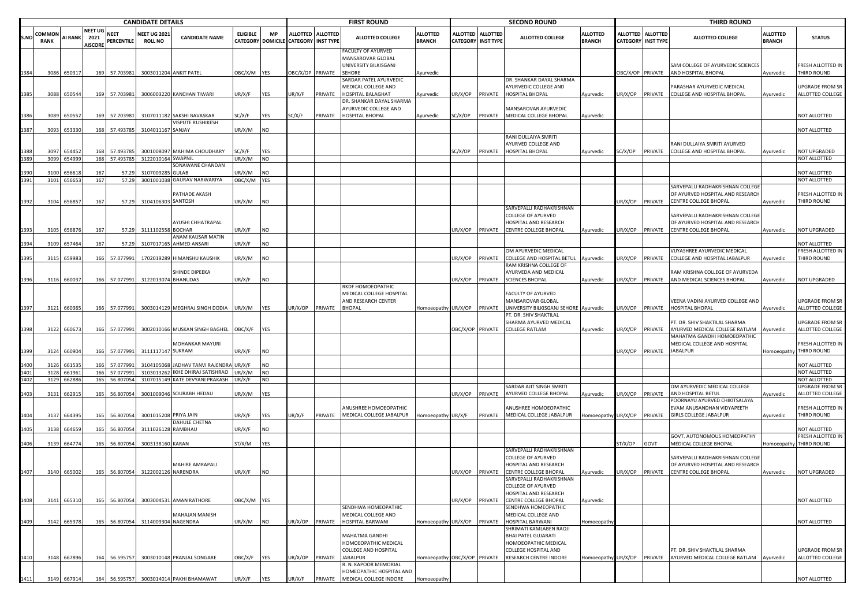|              | <b>CANDIDATE DETAILS</b>     |                |                                   |     |                           |                                       |                                  |                 |            |                                      | <b>FIRST ROUND</b> |                                                                  |                                  |                  | <b>SECOND ROUND</b>                     |                                                       |                                  |                  | <b>THIRD ROUND</b>                      |                                                                      |                                  |                                            |
|--------------|------------------------------|----------------|-----------------------------------|-----|---------------------------|---------------------------------------|----------------------------------|-----------------|------------|--------------------------------------|--------------------|------------------------------------------------------------------|----------------------------------|------------------|-----------------------------------------|-------------------------------------------------------|----------------------------------|------------------|-----------------------------------------|----------------------------------------------------------------------|----------------------------------|--------------------------------------------|
| S.NO         | <b>COMMON</b><br><b>RANK</b> | AI RANK        | NEET UG<br>2021<br><b>AISCORE</b> |     | <b>NEET</b><br>PERCENTILE | <b>NEET UG 2021</b><br><b>ROLL NO</b> | <b>CANDIDATE NAME</b>            | <b>ELIGIBLE</b> | <b>MP</b>  | CATEGORY DOMICILE CATEGORY INST TYPE | ALLOTTED ALLOTTED  | <b>ALLOTTED COLLEGE</b>                                          | <b>ALLOTTED</b><br><b>BRANCH</b> |                  | ALLOTTED ALLOTTED<br>CATEGORY INST TYPE | <b>ALLOTTED COLLEGE</b>                               | <b>ALLOTTED</b><br><b>BRANCH</b> |                  | ALLOTTED ALLOTTED<br>CATEGORY INST TYPE | <b>ALLOTTED COLLEGE</b>                                              | <b>ALLOTTED</b><br><b>BRANCH</b> | <b>STATUS</b>                              |
|              |                              |                |                                   |     |                           |                                       |                                  |                 |            |                                      |                    | FACULTY OF AYURVED<br>MANSAROVAR GLOBAL<br>UNIVERSITY BILKISGANJ |                                  |                  |                                         |                                                       |                                  |                  |                                         | SAM COLLEGE OF AYURVEDIC SCIENCES                                    |                                  | FRESH ALLOTTED IN                          |
|              | 3086                         | 65031          |                                   |     | 169 57.703981             | 3003011204 ANKIT PATEL                |                                  | OBC/X/M         | YES        | DBC/X/OP PRIVATE                     |                    | <b>SEHORE</b>                                                    | Ayurvedic                        |                  |                                         |                                                       |                                  | OBC/X/OP PRIVATE |                                         | AND HOSPITAL BHOPAL                                                  | Ayurvedic                        | THIRD ROUND                                |
|              |                              |                |                                   |     |                           |                                       |                                  |                 |            |                                      |                    | SARDAR PATEL AYURVEDIC                                           |                                  |                  |                                         | DR. SHANKAR DAYAL SHARMA                              |                                  |                  |                                         |                                                                      |                                  |                                            |
|              |                              |                |                                   |     |                           |                                       |                                  |                 |            |                                      |                    | MEDICAL COLLEGE AND                                              |                                  |                  |                                         | AYURVEDIC COLLEGE AND                                 |                                  |                  |                                         | PARASHAR AYURVEDIC MEDICAL                                           |                                  | UPGRADE FROM SR<br>ALLOTTED COLLEGE        |
| 1385         | 3088                         | 650544         |                                   |     | 169 57.703981             |                                       | 3006003220 KANCHAN TIWARI        | JR/X/F          | YES        | JR/X/F                               | PRIVATE            | HOSPITAL BALAGHAT<br>DR. SHANKAR DAYAL SHARMA                    | Ayurvedic                        | JR/X/OP PRIVATE  |                                         | HOSPITAL BHOPAL                                       | Ayurvedic                        | JR/X/OP PRIVATE  |                                         | COLLEGE AND HOSPITAL BHOPAL                                          | Ayurvedic                        |                                            |
|              |                              |                |                                   |     |                           |                                       |                                  |                 |            |                                      |                    | AYURVEDIC COLLEGE AND                                            |                                  |                  |                                         | MANSAROVAR AYURVEDIC                                  |                                  |                  |                                         |                                                                      |                                  |                                            |
| 1386         | 3089                         | 650552         |                                   |     | 169 57.703981             |                                       | 3107011182 SAKSHI BAVASKAR       | SC/X/F          | YES        | SC/X/F                               | PRIVATE            | HOSPITAL BHOPAL                                                  | Ayurvedic                        | SC/X/OP          | PRIVATE                                 | MEDICAL COLLEGE BHOPAL                                | Ayurvedic                        |                  |                                         |                                                                      |                                  | NOT ALLOTTED                               |
|              |                              |                |                                   |     |                           |                                       | VISPUTE RUSHIKESH                |                 |            |                                      |                    |                                                                  |                                  |                  |                                         |                                                       |                                  |                  |                                         |                                                                      |                                  |                                            |
| 1387         |                              | 3093 653330    |                                   |     | 168 57.493785             | 3104011167 SANJAY                     |                                  | JR/X/M          | NO         |                                      |                    |                                                                  |                                  |                  |                                         | RANI DULLAIYA SMRITI                                  |                                  |                  |                                         |                                                                      |                                  | NOT ALLOTTED                               |
|              |                              |                |                                   |     |                           |                                       |                                  |                 |            |                                      |                    |                                                                  |                                  |                  |                                         | AYURVED COLLEGE AND                                   |                                  |                  |                                         | RANI DULLAIYA SMRITI AYURVED                                         |                                  |                                            |
| 1388         | 3097                         | 654452         |                                   | 168 | 57.493785                 |                                       | 3001008097 MAHIMA CHOUDHARY      | SC/X/F          | YES        |                                      |                    |                                                                  |                                  | SC/X/OP          | PRIVATE                                 | <b>HOSPITAL BHOPAL</b>                                | Ayurvedic                        | SC/X/OP          | PRIVATE                                 | COLLEGE AND HOSPITAL BHOPAL                                          | Ayurvedic                        | <b>NOT UPGRADED</b>                        |
| 1389         | 3099                         | 654999         |                                   |     | 168 57.493785             | 3122010164 SWAPNIL                    |                                  | JR/X/M          | <b>NO</b>  |                                      |                    |                                                                  |                                  |                  |                                         |                                                       |                                  |                  |                                         |                                                                      |                                  | NOT ALLOTTED                               |
|              | 3100                         |                |                                   | 167 | 57.29                     | 310700928                             | SONAWANE CHANDAN<br><b>GULAB</b> | JR/X/M          | NΟ         |                                      |                    |                                                                  |                                  |                  |                                         |                                                       |                                  |                  |                                         |                                                                      |                                  | NOT ALLOTTED                               |
| 1390<br>1391 | 3101                         | 65661<br>65665 |                                   | 167 | 57.29                     |                                       | 3001001038 GAURAV NARWARIYA      | DBC/X/M         | <b>YES</b> |                                      |                    |                                                                  |                                  |                  |                                         |                                                       |                                  |                  |                                         |                                                                      |                                  | NOT ALLOTTED                               |
|              |                              |                |                                   |     |                           |                                       |                                  |                 |            |                                      |                    |                                                                  |                                  |                  |                                         |                                                       |                                  |                  |                                         | SARVEPALLI RADHAKRISHNAN COLLEGI                                     |                                  |                                            |
|              |                              |                |                                   |     |                           |                                       | PATHADE AKASH                    |                 |            |                                      |                    |                                                                  |                                  |                  |                                         |                                                       |                                  |                  |                                         | OF AYURVED HOSPITAL AND RESEARCH                                     |                                  | FRESH ALLOTTED IN                          |
| 1392         |                              | 3104 65685     |                                   | 167 | 57.29                     | 3104106303 SANTOSH                    |                                  | JR/X/M          | NO         |                                      |                    |                                                                  |                                  |                  |                                         | SARVEPALLI RADHAKRISHNAN                              |                                  | JR/X/OP          | PRIVATE                                 | <b>CENTRE COLLEGE BHOPAL</b>                                         | Ayurvedic                        | THIRD ROUND                                |
|              |                              |                |                                   |     |                           |                                       |                                  |                 |            |                                      |                    |                                                                  |                                  |                  |                                         | COLLEGE OF AYURVED                                    |                                  |                  |                                         | SARVEPALLI RADHAKRISHNAN COLLEGE                                     |                                  |                                            |
|              |                              |                |                                   |     |                           |                                       | AYUSHI CHHATRAPAL                |                 |            |                                      |                    |                                                                  |                                  |                  |                                         | HOSPITAL AND RESEARCH                                 |                                  |                  |                                         | OF AYURVED HOSPITAL AND RESEARCH                                     |                                  |                                            |
| 1393         | 3105                         | 656876         |                                   | 167 | 57.29                     | 3111102558 BOCHAR                     |                                  | JR/X/F          | NO         |                                      |                    |                                                                  |                                  | JR/X/OP PRIVATE  |                                         | CENTRE COLLEGE BHOPAL                                 | Ayurvedic                        | JR/X/OP PRIVATE  |                                         | CENTRE COLLEGE BHOPAL                                                | Ayurvedic                        | NOT UPGRADED                               |
|              |                              |                |                                   |     |                           |                                       | ANAM KAUSAR MATIN                |                 |            |                                      |                    |                                                                  |                                  |                  |                                         |                                                       |                                  |                  |                                         |                                                                      |                                  |                                            |
| 1394         | 3109                         | 657464         |                                   | 167 | 57.29                     |                                       | 3107017165 AHMED ANSARI          | JR/X/F          | NO         |                                      |                    |                                                                  |                                  |                  |                                         | OM AYURVEDIC MEDICAL                                  |                                  |                  |                                         | VIJYASHREE AYURVEDIC MEDICAL                                         |                                  | <b>NOT ALLOTTED</b><br>FRESH ALLOTTED IN   |
| 1395         | 3115                         | 659983         |                                   | 166 | 57.077991                 |                                       | 1702019289 HIMANSHU KAUSHIK      | JR/X/M          | NO         |                                      |                    |                                                                  |                                  | JR/X/OP          | PRIVATE                                 | COLLEGE AND HOSPITAL BETUL                            | Ayurvedic                        | JR/X/OP          | PRIVATE                                 | COLLEGE AND HOSPITAL JABALPUR                                        | Ayurvedic                        | THIRD ROUND                                |
|              |                              |                |                                   |     |                           |                                       |                                  |                 |            |                                      |                    |                                                                  |                                  |                  |                                         | RAM KRISHNA COLLEGE OF                                |                                  |                  |                                         |                                                                      |                                  |                                            |
|              |                              |                |                                   |     | 166 57.077991             |                                       | SHINDE DIPEEKA                   |                 |            |                                      |                    |                                                                  |                                  |                  |                                         | AYURVEDA AND MEDICAL<br><b>SCIENCES BHOPAL</b>        |                                  |                  |                                         | RAM KRISHNA COLLEGE OF AYURVEDA                                      |                                  |                                            |
| 1396         | 3116                         | 660037         |                                   |     |                           | 3122013074 BHANUDAS                   |                                  | JR/X/F          | NO         |                                      |                    | RKDF HOMOEOPATHIC                                                |                                  | JR/X/OP          | PRIVATE                                 |                                                       | Ayurvedic                        | JR/X/OP          | PRIVATE                                 | AND MEDICAL SCIENCES BHOPAL                                          | Ayurvedic                        | NOT UPGRADED                               |
|              |                              |                |                                   |     |                           |                                       |                                  |                 |            |                                      |                    | MEDICAL COLLEGE HOSPITAL                                         |                                  |                  |                                         | FACULTY OF AYURVED                                    |                                  |                  |                                         |                                                                      |                                  |                                            |
|              |                              |                |                                   |     |                           |                                       |                                  |                 |            |                                      |                    | AND RESEARCH CENTER                                              |                                  |                  |                                         | MANSAROVAR GLOBAL                                     |                                  |                  |                                         | VEENA VADINI AYURVED COLLEGE AND                                     |                                  | <b>UPGRADE FROM SR</b>                     |
| 1397         | 3121                         | 660365         |                                   |     | 166 57.077991             |                                       | 3003014129 MEGHRAJ SINGH DODIA   | UR/X/M          | YES        | IR/X/OP                              | PRIVATE            | <b>BHOPAL</b>                                                    | Homoeopathy                      | JR/X/OP          | PRIVATE                                 | UNIVERSITY BILKISGANJ SEHORE Ayurvedic                |                                  | JR/X/OP          | PRIVATE                                 | HOSPITAL BHOPAL                                                      | Ayurvedic                        | ALLOTTED COLLEGE                           |
|              |                              |                |                                   |     |                           |                                       |                                  |                 |            |                                      |                    |                                                                  |                                  |                  |                                         | PT. DR. SHIV SHAKTILAL<br>SHARMA AYURVED MEDICAL      |                                  |                  |                                         | PT. DR. SHIV SHAKTILAL SHARMA                                        |                                  | UPGRADE FROM SR                            |
| 1398         | 3122                         | 660673         |                                   |     | 166 57.077991             |                                       | 3002010166 MUSKAN SINGH BAGHEL   | <b>DBC/X/F</b>  | YES        |                                      |                    |                                                                  |                                  | DBC/X/OP PRIVATE |                                         | <b>COLLEGE RATLAM</b>                                 | Ayurvedic                        | IR/X/OP          | PRIVATE                                 | AYURVED MEDICAL COLLEGE RATLAM                                       | Ayurvedic                        | ALLOTTED COLLEGE                           |
|              |                              |                |                                   |     |                           |                                       |                                  |                 |            |                                      |                    |                                                                  |                                  |                  |                                         |                                                       |                                  |                  |                                         | MAHATMA GANDHI HOMOEOPATHIC                                          |                                  |                                            |
|              |                              |                |                                   |     |                           |                                       | MOHANKAR MAYURI                  |                 |            |                                      |                    |                                                                  |                                  |                  |                                         |                                                       |                                  |                  |                                         | MEDICAL COLLEGE AND HOSPITAL                                         |                                  | FRESH ALLOTTED IN                          |
|              | 3124                         | 660904         |                                   |     | 166 57.077991             | 3111117147 SUKRAM                     |                                  | JR/X/F          | NO         |                                      |                    |                                                                  |                                  |                  |                                         |                                                       |                                  | IR/X/OP          | PRIVATE                                 | <b>JABALPUR</b>                                                      | Homoeopathy                      | THIRD ROUND                                |
| 1400         | 3126                         | 661539         |                                   |     | 166 57.077991             | 3104105068                            | JADHAV TANVI RAJENDR             | JR/X/F          | NO         |                                      |                    |                                                                  |                                  |                  |                                         |                                                       |                                  |                  |                                         |                                                                      |                                  | NOT ALLOTTED                               |
| 1401         | 3128                         | 661961         |                                   |     | 166 57.077991             |                                       | 3103013262 IKHE DHIRAJ SATISHRAO | JR/X/M          | NO         |                                      |                    |                                                                  |                                  |                  |                                         |                                                       |                                  |                  |                                         |                                                                      |                                  | NOT ALLOTTED                               |
| 1402         | 3129                         | 662886         |                                   |     | 165 56.807054             |                                       | 3107015149 KATE DEVYANI PRAKASH  | JR/X/F          | <b>NO</b>  |                                      |                    |                                                                  |                                  |                  |                                         |                                                       |                                  |                  |                                         |                                                                      |                                  | NOT ALLOTTED                               |
| 1403         | 3131                         | 66291          |                                   | 165 | 56.807054                 |                                       | 3001009046 SOURABH HEDAU         | JR/X/M          | YES        |                                      |                    |                                                                  |                                  | JR/X/OP          | PRIVATE                                 | SARDAR AJIT SINGH SMRITI<br>AYURVED COLLEGE BHOPAL    | Ayurvedic                        | JR/X/OP          | PRIVATE                                 | OM AYURVEDIC MEDICAL COLLEGE<br>AND HOSPITAL BETUL                   | Ayurvedic                        | <b>UPGRADE FROM SR</b><br>ALLOTTED COLLEGE |
|              |                              |                |                                   |     |                           |                                       |                                  |                 |            |                                      |                    |                                                                  |                                  |                  |                                         |                                                       |                                  |                  |                                         | POORNAYU AYURVED CHIKITSALAYA                                        |                                  |                                            |
|              |                              |                |                                   |     |                           |                                       |                                  |                 |            |                                      |                    | ANUSHREE HOMOEOPATHIC                                            |                                  |                  |                                         | ANUSHREE HOMOEOPATHIC                                 |                                  |                  |                                         | EVAM ANUSANDHAN VIDYAPEETH                                           |                                  | FRESH ALLOTTED IN                          |
| 1404         | 3137                         | 66439          |                                   | 165 | 56.807054                 | 3001015208 PRIYA JAIN                 |                                  | JR/X/F          | YES        | JR/X/F                               | PRIVATE            | MEDICAL COLLEGE JABALPUR                                         | Iomoeopathy UR/X/F               |                  | PRIVATE                                 | MEDICAL COLLEGE JABALPUR                              | Homoeopathy UR/X/OP              |                  | PRIVATE                                 | <b>GIRLS COLLEGE JABALPUR</b>                                        | Ayurvedic                        | THIRD ROUND                                |
| 1405         | 3138                         | 664659         |                                   | 165 | 56.807054                 | 3111026128 RAMBHAU                    | DAHULE CHETNA                    | JR/X/F          | NO         |                                      |                    |                                                                  |                                  |                  |                                         |                                                       |                                  |                  |                                         |                                                                      |                                  | NOT ALLOTTED                               |
|              |                              |                |                                   |     |                           |                                       |                                  |                 |            |                                      |                    |                                                                  |                                  |                  |                                         |                                                       |                                  |                  |                                         | GOVT. AUTONOMOUS HOMEOPATHY                                          |                                  | FRESH ALLOTTED IN                          |
| 1406         | 3139                         | 664774         |                                   | 165 | 56.807054                 | 3003138160 KARAN                      |                                  | ST/X/M          | YES        |                                      |                    |                                                                  |                                  |                  |                                         |                                                       |                                  | ST/X/OP          | GOVT                                    | MEDICAL COLLEGE BHOPAL                                               | Homoeopathy                      | THIRD ROUND                                |
|              |                              |                |                                   |     |                           |                                       |                                  |                 |            |                                      |                    |                                                                  |                                  |                  |                                         | SARVEPALLI RADHAKRISHNAN<br><b>COLLEGE OF AYURVED</b> |                                  |                  |                                         |                                                                      |                                  |                                            |
|              |                              |                |                                   |     |                           |                                       | MAHIRE AMRAPALI                  |                 |            |                                      |                    |                                                                  |                                  |                  |                                         | HOSPITAL AND RESEARCH                                 |                                  |                  |                                         | SARVEPALLI RADHAKRISHNAN COLLEGE<br>OF AYURVED HOSPITAL AND RESEARCH |                                  |                                            |
| 1407         |                              | 3140 665002    |                                   |     | 165 56.807054             | 3122002126 NARENDRA                   |                                  | JR/X/F          | NO         |                                      |                    |                                                                  |                                  | JR/X/OP PRIVATE  |                                         | CENTRE COLLEGE BHOPAL                                 | Ayurvedic                        | UR/X/OP PRIVATE  |                                         | CENTRE COLLEGE BHOPAL                                                | Ayurvedic                        | NOT UPGRADED                               |
|              |                              |                |                                   |     |                           |                                       |                                  |                 |            |                                      |                    |                                                                  |                                  |                  |                                         | SARVEPALLI RADHAKRISHNAN                              |                                  |                  |                                         |                                                                      |                                  |                                            |
|              |                              |                |                                   |     |                           |                                       |                                  |                 |            |                                      |                    |                                                                  |                                  |                  |                                         | COLLEGE OF AYURVED                                    |                                  |                  |                                         |                                                                      |                                  |                                            |
| 1408         |                              | 3141 665310    |                                   |     | 165 56.807054             |                                       | 3003004531 AMAN RATHORE          | OBC/X/M YES     |            |                                      |                    |                                                                  |                                  | JR/X/OP PRIVATE  |                                         | HOSPITAL AND RESEARCH<br>CENTRE COLLEGE BHOPAL        | Ayurvedic                        |                  |                                         |                                                                      |                                  | NOT ALLOTTED                               |
|              |                              |                |                                   |     |                           |                                       |                                  |                 |            |                                      |                    | SENDHWA HOMEOPATHIC                                              |                                  |                  |                                         | SENDHWA HOMEOPATHIC                                   |                                  |                  |                                         |                                                                      |                                  |                                            |
|              |                              |                |                                   |     |                           |                                       | <b>MAHAJAN MANISH</b>            |                 |            |                                      |                    | MEDICAL COLLEGE AND                                              |                                  |                  |                                         | MEDICAL COLLEGE AND                                   |                                  |                  |                                         |                                                                      |                                  |                                            |
| 1409         |                              | 3142 665978    |                                   |     | 165 56.807054             | 3114009304 NAGENDRA                   |                                  | JR/X/M          | NO         | JR/X/OP                              | PRIVATE            | <b>HOSPITAL BARWANI</b>                                          | Homoeopathy UR/X/OP              |                  | PRIVATE                                 | HOSPITAL BARWANI                                      | Homoeopathy                      |                  |                                         |                                                                      |                                  | NOT ALLOTTED                               |
|              |                              |                |                                   |     |                           |                                       |                                  |                 |            |                                      |                    | MAHATMA GANDHI                                                   |                                  |                  |                                         | SHRIMATI KAMLABEN RAOJI<br><b>BHAI PATEL GUJARATI</b> |                                  |                  |                                         |                                                                      |                                  |                                            |
|              |                              |                |                                   |     |                           |                                       |                                  |                 |            |                                      |                    | HOMOEOPATHIC MEDICAL                                             |                                  |                  |                                         | HOMOEOPATHIC MEDICAL                                  |                                  |                  |                                         |                                                                      |                                  |                                            |
|              |                              |                |                                   |     |                           |                                       |                                  |                 |            |                                      |                    | <b>COLLEGE AND HOSPITAL</b>                                      |                                  |                  |                                         | COLLEGE HOSPITAL AND                                  |                                  |                  |                                         | PT. DR. SHIV SHAKTILAL SHARMA                                        |                                  | UPGRADE FROM SR                            |
| 1410         |                              | 3148 667896    |                                   |     | 164 56.595757             |                                       | 3003010148 PRANJAL SONGARE       | OBC/X/F         | YES        | JR/X/OP                              | PRIVATE            | <b>JABALPUR</b>                                                  | Homoeopathy OBC/X/OP PRIVATE     |                  |                                         | RESEARCH CENTRE INDORE                                | Homoeopathy UR/X/OP              |                  | PRIVATE                                 | AYURVED MEDICAL COLLEGE RATLAM Ayurvedic                             |                                  | ALLOTTED COLLEGE                           |
|              |                              |                |                                   |     |                           |                                       |                                  |                 |            |                                      |                    | R. N. KAPOOR MEMORIAL<br>HOMEOPATHIC HOSPITAL AND                |                                  |                  |                                         |                                                       |                                  |                  |                                         |                                                                      |                                  |                                            |
| 1411         |                              | 3149 667914    |                                   |     | 164 56.595757             |                                       | 3003014014 PAKHI BHAMAWAT        | UR/X/F          | YES        | IR/X/F                               | PRIVATE            | MEDICAL COLLEGE INDORE                                           | Homoeopath                       |                  |                                         |                                                       |                                  |                  |                                         |                                                                      |                                  | NOT ALLOTTED                               |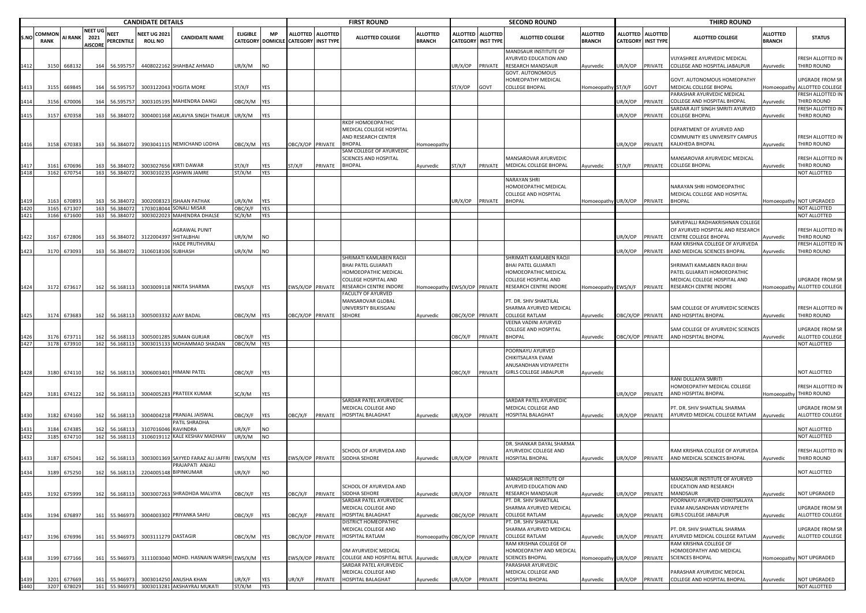|      |                       | <b>CANDIDATE DETAILS</b> |                                          |                                  |                                       |                                                                     |                          |                          |                                      |                   | <b>FIRST ROUND</b>                                                     |                                  |                  |                                              | <b>SECOND ROUND</b>                                                        |                                  |                  |                                                | <b>THIRD ROUND</b>                                                                            |                                  |                                          |
|------|-----------------------|--------------------------|------------------------------------------|----------------------------------|---------------------------------------|---------------------------------------------------------------------|--------------------------|--------------------------|--------------------------------------|-------------------|------------------------------------------------------------------------|----------------------------------|------------------|----------------------------------------------|----------------------------------------------------------------------------|----------------------------------|------------------|------------------------------------------------|-----------------------------------------------------------------------------------------------|----------------------------------|------------------------------------------|
| S.NO | COMMON<br><b>RANK</b> | <b>AI RANK</b>           | <b>NEET UG</b><br>2021<br><b>AISCORE</b> | <b>NEET</b><br><b>PERCENTILE</b> | <b>NEET UG 202:</b><br><b>ROLL NO</b> | <b>CANDIDATE NAME</b>                                               | <b>ELIGIBLE</b>          | <b>MP</b>                | CATEGORY DOMICILE CATEGORY INST TYPE | ALLOTTED ALLOTTED | <b>ALLOTTED COLLEGE</b>                                                | <b>ALLOTTED</b><br><b>BRANCH</b> | <b>ALLOTTED</b>  | <b>ALLOTTED</b><br><b>CATEGORY INST TYPE</b> | <b>ALLOTTED COLLEGE</b>                                                    | <b>ALLOTTED</b><br><b>BRANCH</b> |                  | ALLOTTED ALLOTTED<br><b>CATEGORY INST TYPE</b> | <b>ALLOTTED COLLEGE</b>                                                                       | <b>ALLOTTED</b><br><b>BRANCH</b> | <b>STATUS</b>                            |
| 1412 | 3150                  | 668132                   | 164                                      | 56.595757                        |                                       | 4408022162 SHAHBAZ AHMAD                                            | JR/X/M                   | <b>NO</b>                |                                      |                   |                                                                        |                                  | JR/X/OP          | PRIVATE                                      | MANDSAUR INSTITUTE OF<br>AYURVED EDUCATION AND<br>RESEARCH MANDSAUR        | Ayurvedic                        | JR/X/OP          | PRIVATE                                        | VIJYASHREE AYURVEDIC MEDICAL<br>COLLEGE AND HOSPITAL JABALPUR                                 | Ayurvedic                        | FRESH ALLOTTED IN<br>THIRD ROUND         |
| 1413 | 3155                  | 669845                   | 164                                      | 56.595757                        |                                       | 3003122043 YOGITA MORE                                              | ST/X/F                   | <b>YES</b>               |                                      |                   |                                                                        |                                  | ST/X/OP          | GOVT                                         | GOVT. AUTONOMOUS<br>HOMEOPATHY MEDICAL<br>COLLEGE BHOPAL                   | Iomoeopathy ST/X/F               |                  | GOVT                                           | <b>GOVT. AUTONOMOUS HOMEOPATHY</b><br>MEDICAL COLLEGE BHOPAL                                  | Homoeopath                       | UPGRADE FROM SR<br>ALLOTTED COLLEGE      |
|      | 3156                  | 670006                   |                                          | 164 56.595757                    |                                       | 3003105195 MAHENDRA DANGI                                           | DBC/X/M YES              |                          |                                      |                   |                                                                        |                                  |                  |                                              |                                                                            |                                  | JR/X/OP          | PRIVATE                                        | PARASHAR AYURVEDIC MEDICAL<br>COLLEGE AND HOSPITAL BHOPAL                                     | Ayurvedic                        | FRESH ALLOTTED IN<br>THIRD ROUND         |
|      | 3157                  | 670358                   | 163                                      | 56.384072                        |                                       | 3004001168 AKLAVYA SINGH THAKUR                                     | UR/X/M                   | <b>YES</b>               |                                      |                   |                                                                        |                                  |                  |                                              |                                                                            |                                  | JR/X/OP          | PRIVATE                                        | SARDAR AJIT SINGH SMRITI AYURVED<br><b>COLLEGE BHOPAL</b>                                     | Ayurvedic                        | FRESH ALLOTTED IN<br>THIRD ROUND         |
|      |                       |                          |                                          |                                  |                                       |                                                                     |                          |                          |                                      |                   | RKDF HOMOEOPATHIC<br>MEDICAL COLLEGE HOSPITAL<br>AND RESEARCH CENTER   |                                  |                  |                                              |                                                                            |                                  |                  |                                                | DEPARTMENT OF AYURVED AND<br>COMMUNITY IES UNIVERSITY CAMPUS                                  |                                  | FRESH ALLOTTED IN                        |
| 1416 |                       | 3158 670383              | 163                                      | 56.384072                        |                                       | 3903041115 NEMICHAND LODHA                                          | OBC/X/M YES              |                          | OBC/X/OP PRIVATE                     |                   | BHOPAL<br>SAM COLLEGE OF AYURVEDIC                                     | Homoeopath                       |                  |                                              |                                                                            |                                  | UR/X/OP          | PRIVATE                                        | KALKHEDA BHOPAL                                                                               | Ayurvedic                        | THIRD ROUND                              |
|      | 3161                  | 670696                   | 163                                      | 56.384072                        |                                       | 3003027656 KIRTI DAWAR                                              | ST/X/F                   | YES                      | ST/X/F                               | PRIVATE           | SCIENCES AND HOSPITAL<br>BHOPAL                                        | Ayurvedic                        | ST/X/F           | PRIVATE                                      | MANSAROVAR AYURVEDIC<br>MEDICAL COLLEGE BHOPAL                             | Ayurvedic                        | ST/X/F           | PRIVATE                                        | MANSAROVAR AYURVEDIC MEDICAL<br><b>COLLEGE BHOPAL</b>                                         | Ayurvedic                        | FRESH ALLOTTED IN<br>THIRD ROUND         |
| 1418 |                       | 3162 670754              |                                          | 163 56.384072                    |                                       | 3003010235 ASHWIN JAMRE                                             | ST/X/M                   | <b>YES</b>               |                                      |                   |                                                                        |                                  |                  |                                              | NARAYAN SHRI                                                               |                                  |                  |                                                |                                                                                               |                                  | NOT ALLOTTED                             |
|      |                       |                          |                                          |                                  |                                       |                                                                     |                          |                          |                                      |                   |                                                                        |                                  |                  |                                              | HOMOEOPATHIC MEDICAL<br>COLLEGE AND HOSPITAL                               |                                  |                  |                                                | NARAYAN SHRI HOMOEOPATHIC<br>MEDICAL COLLEGE AND HOSPITAL                                     |                                  |                                          |
|      | 3163<br>3165          | 670893<br>671307         | 163<br>163                               | 56.384072<br>56.384072           |                                       | 3002008323 ISHAAN PATHAK<br>1703018044 SONALI MISAR                 | JR/X/M<br><b>JBC/X/F</b> | <b>YES</b><br><b>YES</b> |                                      |                   |                                                                        |                                  | UR/X/OP          | PRIVATE                                      | BHOPAL                                                                     | Iomoeopathy UR/X/OP              |                  | PRIVATE                                        | BHOPAL                                                                                        |                                  | Homoeopathy NOT UPGRADED<br>NOT ALLOTTED |
|      |                       | 3166 671600              |                                          | 163 56.384072                    |                                       | 3003022023 MAHENDRA DHALSE                                          | SC/X/M                   | <b>YES</b>               |                                      |                   |                                                                        |                                  |                  |                                              |                                                                            |                                  |                  |                                                |                                                                                               |                                  | NOT ALLOTTED                             |
| 1422 | 3167                  | 672806                   | 163                                      | 56.384072                        | 3122004397                            | <b>AGRAWAL PUNIT</b><br>SHITALBHAI                                  | JR/X/M                   | <b>NO</b>                |                                      |                   |                                                                        |                                  |                  |                                              |                                                                            |                                  | JR/X/OP          | PRIVATE                                        | SARVEPALLI RADHAKRISHNAN COLLEGI<br>OF AYURVED HOSPITAL AND RESEARCH<br>CENTRE COLLEGE BHOPAL | Ayurvedic                        | FRESH ALLOTTED IN<br>THIRD ROUND         |
|      |                       |                          |                                          |                                  |                                       | HADE PRUTHVIRAJ                                                     |                          |                          |                                      |                   |                                                                        |                                  |                  |                                              |                                                                            |                                  |                  |                                                | RAM KRISHNA COLLEGE OF AYURVEDA                                                               |                                  | FRESH ALLOTTED IN                        |
|      | 3170                  | 673093                   | 163                                      | 56.384072                        | 3106018106 SUBHASH                    |                                                                     | JR/X/M                   | <b>INO</b>               |                                      |                   | SHRIMATI KAMLABEN RAOJI<br>BHAI PATEL GUJARATI<br>HOMOEOPATHIC MEDICAL |                                  |                  |                                              | SHRIMATI KAMLABEN RAOJI<br>BHAI PATEL GUJARATI<br>HOMOEOPATHIC MEDICAL     |                                  | JR/X/OP          | PRIVATE                                        | AND MEDICAL SCIENCES BHOPAL<br>SHRIMATI KAMLABEN RAOJI BHAI<br>PATEL GUJARATI HOMOEOPATHIC    | Ayurvedic                        | THIRD ROUND                              |
|      |                       |                          |                                          |                                  |                                       |                                                                     |                          |                          |                                      |                   | COLLEGE HOSPITAL AND                                                   |                                  |                  |                                              | COLLEGE HOSPITAL AND                                                       |                                  |                  |                                                | MEDICAL COLLEGE HOSPITAL AND                                                                  |                                  | UPGRADE FROM SR                          |
| 1424 |                       | 3172 673617              |                                          | 162 56.168113                    |                                       | 3003009118 NIKITA SHARMA                                            | EWS/X/F PES              |                          | EWS/X/OP PRIVATE                     |                   | RESEARCH CENTRE INDORE<br>FACULTY OF AYURVED                           |                                  |                  |                                              | Homoeopathy EWS/X/OP PRIVATE RESEARCH CENTRE INDORE                        | lomoeopathy EWS/X/F PRIVATE      |                  |                                                | RESEARCH CENTRE INDORE                                                                        |                                  | Homoeopathy ALLOTTED COLLEGE             |
| 1425 |                       | 3174 673683              |                                          | 162 56.168113                    |                                       | 3005003332 AJAY BADAL                                               | OBC/X/M YES              |                          | OBC/X/OP PRIVATE                     |                   | MANSAROVAR GLOBAL<br>UNIVERSITY BILKISGANJ<br>SEHORE                   | Ayurvedic                        | OBC/X/OP PRIVATE |                                              | PT. DR. SHIV SHAKTILAL<br>SHARMA AYURVED MEDICAL<br>COLLEGE RATLAM         | Ayurvedic                        | OBC/X/OP PRIVATE |                                                | SAM COLLEGE OF AYURVEDIC SCIENCES<br>AND HOSPITAL BHOPAL                                      | Ayurvedic                        | FRESH ALLOTTED IN<br>THIRD ROUND         |
|      | 3176                  | 67371                    | 162                                      | 56.168113                        |                                       | 3005001285 SUMAN GURJAR                                             | <b>JBC/X/F</b>           | <b>YES</b>               |                                      |                   |                                                                        |                                  | OBC/X/F          | PRIVATE                                      | VEENA VADINI AYURVED<br>COLLEGE AND HOSPITAL<br>BHOPAL                     | Ayurvedic                        |                  | OBC/X/OP PRIVATE                               | SAM COLLEGE OF AYURVEDIC SCIENCES<br>AND HOSPITAL BHOPAL                                      | Ayurvedic                        | UPGRADE FROM SR<br>ALLOTTED COLLEGE      |
| 1427 | 3178                  | 673910                   | 162                                      | 56.168113                        |                                       | 3003015133 MOHAMMAD SHADAN                                          | OBC/X/M YES              |                          |                                      |                   |                                                                        |                                  |                  |                                              |                                                                            |                                  |                  |                                                |                                                                                               |                                  | NOT ALLOTTED                             |
|      |                       |                          |                                          |                                  |                                       |                                                                     |                          |                          |                                      |                   |                                                                        |                                  |                  |                                              | POORNAYU AYURVED<br>CHIKITSALAYA EVAM<br>ANUSANDHAN VIDYAPEETH             |                                  |                  |                                                |                                                                                               |                                  |                                          |
| 1428 | 3180                  | 674110                   | 162                                      | 56.168113                        |                                       | 3006003401 HIMANI PATEL                                             | OBC/X/F                  | <b>YES</b>               |                                      |                   |                                                                        |                                  | OBC/X/F          | PRIVATE                                      | GIRLS COLLEGE JABALPUR                                                     | Ayurvedic                        |                  |                                                | RANI DULLAIYA SMRITI                                                                          |                                  | NOT ALLOTTED                             |
|      | 3181                  | 674122                   | 162                                      | 56.168113                        |                                       | 3004005283 PRATEEK KUMAR                                            | SC/X/M                   | YES                      |                                      |                   |                                                                        |                                  |                  |                                              |                                                                            |                                  | JR/X/OP          | PRIVATE                                        | HOMOEOPATHY MEDICAL COLLEGE<br>AND HOSPITAL BHOPAL                                            | Homoeopathy                      | FRESH ALLOTTED IN<br>THIRD ROUND         |
|      |                       |                          |                                          |                                  |                                       |                                                                     |                          |                          |                                      |                   | SARDAR PATEL AYURVEDIC<br>MEDICAL COLLEGE AND                          |                                  |                  |                                              | SARDAR PATEL AYURVEDIC<br>MEDICAL COLLEGE AND                              |                                  |                  |                                                | PT. DR. SHIV SHAKTILAL SHARMA                                                                 |                                  | UPGRADE FROM SR                          |
| 1430 | 3182                  | 674160                   | 162                                      | 56.168113                        |                                       | 3004004218 PRANJAL JAISWAL                                          | OBC/X/F                  | YES                      | OBC/X/F                              | PRIVATE           | HOSPITAL BALAGHAT                                                      | Ayurvedic                        | UR/X/OP          | PRIVATE                                      | HOSPITAL BALAGHAT                                                          | Ayurvedic                        | JR/X/OP          | PRIVATE                                        | AYURVED MEDICAL COLLEGE RATLAM                                                                | Ayurvedic                        | ALLOTTED COLLEGE                         |
|      | 3184                  | 674385                   |                                          | 56.16811                         | 310701604                             | PATIL SHRADHA<br>RAVINDRA                                           | JR/X/F                   | NO                       |                                      |                   |                                                                        |                                  |                  |                                              |                                                                            |                                  |                  |                                                |                                                                                               |                                  | NOT ALLOTTED                             |
| 1432 | 3185                  | 674710                   |                                          | 162 56.168113                    |                                       | 3106019112 KALE KESHAV MADHAV                                       | UR/X/M                   | <b>NO</b>                |                                      |                   |                                                                        |                                  |                  |                                              |                                                                            |                                  |                  |                                                |                                                                                               |                                  | NOT ALLOTTED                             |
| 1433 | 3187                  | 675041                   | 162                                      | 56.168113                        |                                       | 3003001369 SAYYED FARAZ ALI JAFFRI EWS/X/M                          |                          | YES                      | EWS/X/OP PRIVATE                     |                   | SCHOOL OF AYURVEDA AND<br>SIDDHA SEHORE                                | Ayurvedic                        | UR/X/OP          | PRIVATE                                      | DR. SHANKAR DAYAL SHARMA<br>AYURVEDIC COLLEGE AND<br>HOSPITAL BHOPAL       | Ayurvedic                        | UR/X/OP          | PRIVATE                                        | RAM KRISHNA COLLEGE OF AYURVEDA<br>AND MEDICAL SCIENCES BHOPAL                                | Ayurvedic                        | FRESH ALLOTTED IN<br>THIRD ROUND         |
| 1434 | 3189                  | 675250                   | 162                                      | 56.168113                        |                                       | PRAJAPATI ANJALI<br>2204005148 BIPINKUMAR                           | JR/X/F                   | <b>NO</b>                |                                      |                   |                                                                        |                                  |                  |                                              |                                                                            |                                  |                  |                                                |                                                                                               |                                  | NOT ALLOTTED                             |
| 1435 |                       | 3192 675999              |                                          | 162 56.168113                    |                                       | 3003007263 SHRADHDA MALVIYA                                         | OBC/X/F YES              |                          | OBC/X/F                              | PRIVATE           | SCHOOL OF AYURVEDA AND<br>SIDDHA SEHORE                                | Ayurvedic                        | UR/X/OP          | PRIVATE                                      | <b>MANDSAUR INSTITUTE OF</b><br>AYURVED EDUCATION AND<br>RESEARCH MANDSAUR | Ayurvedic                        | UR/X/OP PRIVATE  |                                                | MANDSAUR INSTITUTE OF AYURVED<br>EDUCATION AND RESEARCH<br>MANDSAUR                           | Ayurvedic                        | NOT UPGRADED                             |
|      |                       |                          |                                          |                                  |                                       |                                                                     |                          |                          |                                      |                   | SARDAR PATEL AYURVEDIC                                                 |                                  |                  |                                              | PT. DR. SHIV SHAKTILAL                                                     |                                  |                  |                                                | POORNAYU AYURVED CHIKITSALAYA                                                                 |                                  |                                          |
| 1436 |                       | 3194 676897              |                                          | 161 55.946973                    |                                       | 3004003302 PRIYANKA SAHU                                            | OBC/X/F YES              |                          | OBC/X/F                              | PRIVATE           | MEDICAL COLLEGE AND<br>HOSPITAL BALAGHAT                               | Ayurvedic                        | OBC/X/OP PRIVATE |                                              | SHARMA AYURVED MEDICAL<br><b>COLLEGE RATLAM</b>                            | Ayurvedic                        | UR/X/OP          | PRIVATE                                        | EVAM ANUSANDHAN VIDYAPEETH<br><b>GIRLS COLLEGE JABALPUR</b>                                   | Ayurvedic                        | UPGRADE FROM SR<br>ALLOTTED COLLEGE      |
|      |                       |                          |                                          |                                  |                                       |                                                                     |                          |                          |                                      |                   | DISTRICT HOMEOPATHIC<br>MEDICAL COLLEGE AND                            |                                  |                  |                                              | PT. DR. SHIV SHAKTILAL<br>SHARMA AYURVED MEDICAL                           |                                  |                  |                                                | PT. DR. SHIV SHAKTILAL SHARMA                                                                 |                                  | <b>UPGRADE FROM SR</b>                   |
| 1437 |                       | 3196 676996              |                                          | 161 55.946973                    | 3003111279 DASTAGIR                   |                                                                     | OBC/X/M YES              |                          | OBC/X/OP PRIVATE                     |                   | HOSPITAL RATLAM                                                        | Homoeopathy OBC/X/OP PRIVATE     |                  |                                              | COLLEGE RATLAM<br>RAM KRISHNA COLLEGE OF                                   | Ayurvedic                        | JR/X/OP          | PRIVATE                                        | AYURVED MEDICAL COLLEGE RATLAM<br>RAM KRISHNA COLLEGE OF                                      | Ayurvedic                        | ALLOTTED COLLEGE                         |
| 1438 |                       | 3199 677166              |                                          | 161 55.946973                    |                                       | 3111003040 MOHD. HASNAIN WARSHI EWS/X/M YES                         |                          |                          | EWS/X/OP PRIVATE                     |                   | OM AYURVEDIC MEDICAL<br>COLLEGE AND HOSPITAL BETUL Ayurvedic           |                                  | UR/X/OP          | PRIVATE                                      | HOMOEOPATHY AND MEDICAL<br><b>SCIENCES BHOPAL</b>                          | Iomoeopathy                      | UR/X/OP          | PRIVATE                                        | HOMOEOPATHY AND MEDICAL<br><b>SCIENCES BHOPAL</b>                                             |                                  | Homoeopathy NOT UPGRADED                 |
|      |                       |                          |                                          |                                  |                                       |                                                                     |                          |                          |                                      |                   | SARDAR PATEL AYURVEDIC<br>MEDICAL COLLEGE AND                          |                                  |                  |                                              | PARASHAR AYURVEDIC<br>MEDICAL COLLEGE AND                                  |                                  |                  |                                                | PARASHAR AYURVEDIC MEDICAL                                                                    |                                  |                                          |
| 1440 | 3201                  | 677669<br>3207 678029    | 161                                      | 55.946973                        |                                       | 3003014250 ANUSHA KHAN<br>161 55.946973 3003013281 AKSHAYRAJ MUKATI | JR/X/F<br>ST/X/M         | YES<br><b>YES</b>        | JR/X/F                               | PRIVATE           | HOSPITAL BALAGHAT                                                      | Ayurvedic                        | UR/X/OP          | PRIVATE                                      | HOSPITAL BHOPAL                                                            | Ayurvedic                        | JR/X/OP          | PRIVATE                                        | COLLEGE AND HOSPITAL BHOPAL                                                                   | Ayurvedic                        | NOT UPGRADED<br>NOT ALLOTTED             |
|      |                       |                          |                                          |                                  |                                       |                                                                     |                          |                          |                                      |                   |                                                                        |                                  |                  |                                              |                                                                            |                                  |                  |                                                |                                                                                               |                                  |                                          |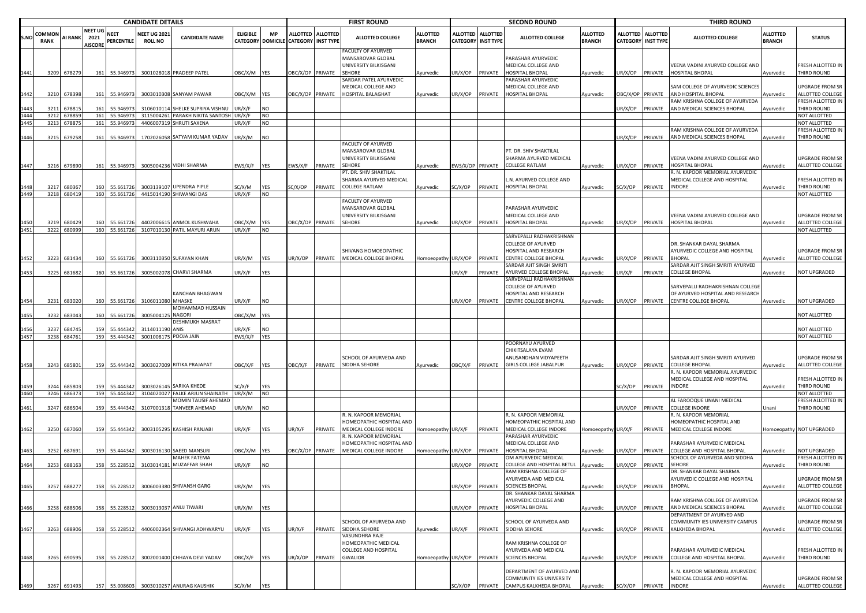|              |                              | <b>CANDIDATE DETAILS</b> |                                   |                                |                                       |                                                            |                  |             |                                                           |                 | <b>FIRST ROUND</b>                                               |                                  |                             |                                     | <b>SECOND ROUND</b>                                                            |                                  |                 |                                                | <b>THIRD ROUND</b>                                                        |                                  |                                            |
|--------------|------------------------------|--------------------------|-----------------------------------|--------------------------------|---------------------------------------|------------------------------------------------------------|------------------|-------------|-----------------------------------------------------------|-----------------|------------------------------------------------------------------|----------------------------------|-----------------------------|-------------------------------------|--------------------------------------------------------------------------------|----------------------------------|-----------------|------------------------------------------------|---------------------------------------------------------------------------|----------------------------------|--------------------------------------------|
| S.NC         | <b>COMMON</b><br><b>RANK</b> | <b>AI RANK</b>           | NEET UG<br>2021<br><b>AISCORE</b> | <b>NEET</b><br>PERCENTILE      | <b>NEET UG 2021</b><br><b>ROLL NO</b> | <b>CANDIDATE NAME</b>                                      | <b>ELIGIBLE</b>  | МP          | ALLOTTED ALLOTTED<br>CATEGORY DOMICILE CATEGORY INST TYPE |                 | <b>ALLOTTED COLLEGE</b>                                          | <b>ALLOTTED</b><br><b>BRANCH</b> | ALLOTTED<br><b>CATEGORY</b> | <b>ALLOTTED</b><br><b>INST TYPE</b> | ALLOTTED COLLEGE                                                               | <b>ALLOTTED</b><br><b>BRANCH</b> |                 | ALLOTTED ALLOTTED<br><b>CATEGORY INST TYPE</b> | <b>ALLOTTED COLLEGE</b>                                                   | <b>ALLOTTED</b><br><b>BRANCH</b> | <b>STATUS</b>                              |
|              |                              |                          |                                   |                                |                                       |                                                            |                  |             |                                                           |                 | FACULTY OF AYURVED<br>MANSAROVAR GLOBAL<br>UNIVERSITY BILKISGANJ |                                  |                             |                                     | PARASHAR AYURVEDIC<br>MEDICAL COLLEGE AND                                      |                                  |                 |                                                | VEENA VADINI AYURVED COLLEGE AND                                          |                                  | FRESH ALLOTTED IN                          |
| 1441         |                              | 3209 678279              |                                   | 161 55.946973                  |                                       | 3001028018 PRADEEP PATEL                                   | ЭВС/Х/М          | <b>YES</b>  |                                                           | BC/X/OP PRIVATE | <b>SEHORE</b><br>SARDAR PATEL AYURVEDIC<br>MEDICAL COLLEGE AND   | Ayurvedic                        | JR/X/OP                     | PRIVATE                             | HOSPITAL BHOPAL<br>PARASHAR AYURVEDIC<br>MEDICAL COLLEGE AND                   | Ayurvedic                        | JR/X/OP         | PRIVATE                                        | HOSPITAL BHOPAL<br>SAM COLLEGE OF AYURVEDIC SCIENCES                      | Ayurvedic                        | THIRD ROUND<br>UPGRADE FROM SR             |
| 1442         | 3210                         | 678398                   | 161                               | 55.946973                      |                                       | 3003010308 SANYAM PAWAR                                    | DBC/X/M          | <b>IYES</b> | BC/X/OP                                                   | PRIVATE         | HOSPITAL BALAGHAT                                                | Ayurvedic                        | JR/X/OP                     | PRIVATE                             | HOSPITAL BHOPAL                                                                | Ayurvedic                        | BC/X/OP PRIVATE |                                                | AND HOSPITAL BHOPAL                                                       | Ayurvedic                        | ALLOTTED COLLEGE                           |
| 1443         | 321                          | 67881                    | 161                               | 55.946973                      |                                       | 3106010114 SHELKE SUPRIYA VISHNU                           | JR/X/F           | <b>NO</b>   |                                                           |                 |                                                                  |                                  |                             |                                     |                                                                                |                                  | IR/X/OP         | PRIVATE                                        | RAM KRISHNA COLLEGE OF AYURVEDA<br>AND MEDICAL SCIENCES BHOPAL            | Ayurvedic                        | FRESH ALLOTTED IN<br>THIRD ROUND           |
| 1444         | 3212                         | 67885                    | 161                               | 55.94697                       |                                       | 3115004261 PARAKH NIKITA SANTOSH                           | JR/X/F           | NO          |                                                           |                 |                                                                  |                                  |                             |                                     |                                                                                |                                  |                 |                                                |                                                                           |                                  | NOT ALLOTTED                               |
| 1445         |                              | 3213 67887               |                                   | 161 55.946973                  |                                       | 4406007319 SHRUTI SAXENA                                   | JR/X/F           | <b>NO</b>   |                                                           |                 |                                                                  |                                  |                             |                                     |                                                                                |                                  |                 |                                                | RAM KRISHNA COLLEGE OF AYURVEDA                                           |                                  | NOT ALLOTTED<br>FRESH ALLOTTED IN          |
| 1446         | 3215                         | 679258                   | 161                               | 55.946973                      |                                       | 1702026058 SATYAM KUMAR YADAV                              | JR/X/M           | NO          |                                                           |                 |                                                                  |                                  |                             |                                     |                                                                                |                                  | JR/X/OP         | PRIVATE                                        | AND MEDICAL SCIENCES BHOPAL                                               | Ayurvedic                        | THIRD ROUND                                |
|              |                              |                          |                                   |                                |                                       |                                                            |                  |             |                                                           |                 | FACULTY OF AYURVED<br>MANSAROVAR GLOBAL<br>UNIVERSITY BILKISGANJ |                                  |                             |                                     | PT. DR. SHIV SHAKTILAL<br>SHARMA AYURVED MEDICAL                               |                                  |                 |                                                | VEENA VADINI AYURVED COLLEGE AND                                          |                                  | <b>UPGRADE FROM SR</b>                     |
| 1447         |                              | 3216 679890              |                                   | 161 55.946973                  |                                       | 3005004236 VIDHI SHARMA                                    | :WS/X/F          | YES         | EWS/X/F                                                   | PRIVATE         | <b>SEHORE</b><br>PT. DR. SHIV SHAKTILAL                          | Ayurvedic                        | WS/X/OP PRIVATE             |                                     | <b>COLLEGE RATLAM</b>                                                          | Ayurvedic                        | JR/X/OP         | PRIVATE                                        | HOSPITAL BHOPAL<br>R. N. KAPOOR MEMORIAL AYURVEDIC                        | Ayurvedic                        | ALLOTTED COLLEGE                           |
|              | 321                          | 680367                   | 160                               | 55.661726                      |                                       | 3003139107 UPENDRA PIPLE                                   | SC/X/M           | YES         | C/X/OP                                                    | PRIVATE         | SHARMA AYURVED MEDICAL<br>COLLEGE RATLAM                         | Ayurvedic                        | SC/X/OP                     | PRIVATE                             | L.N. AYURVED COLLEGE AND<br>HOSPITAL BHOPAL                                    | Ayurvedic                        | SC/X/OP         | PRIVATE                                        | MEDICAL COLLEGE AND HOSPITAL<br>INDORE                                    | Ayurvedic                        | FRESH ALLOTTED IN<br>THIRD ROUND           |
| 1449         |                              | 3218 680419              |                                   | 160 55.661726                  |                                       | 4415014190 SHIWANGI DAS                                    | JR/X/F           | <b>NO</b>   |                                                           |                 |                                                                  |                                  |                             |                                     |                                                                                |                                  |                 |                                                |                                                                           |                                  | NOT ALLOTTED                               |
|              |                              |                          |                                   |                                |                                       |                                                            |                  |             |                                                           |                 | FACULTY OF AYURVED<br>MANSAROVAR GLOBAL<br>UNIVERSITY BILKISGANJ |                                  |                             |                                     | PARASHAR AYURVEDIC<br>MEDICAL COLLEGE AND                                      |                                  |                 |                                                | VEENA VADINI AYURVED COLLEGE AND                                          |                                  | UPGRADE FROM SR                            |
| 1450<br>1451 | 3219                         | 680429<br>3222 680999    |                                   | 160 55.661726<br>160 55.661726 |                                       | 4402006615 ANMOL KUSHWAHA                                  | ЭВС/Х/М          | <b>YES</b>  | DBC/X/OP PRIVATE                                          |                 | <b>SEHORE</b>                                                    | Ayurvedic                        | JR/X/OP PRIVATE             |                                     | <b>HOSPITAL BHOPAL</b>                                                         | Ayurvedic                        | JR/X/OP         | PRIVATE                                        | HOSPITAL BHOPAL                                                           | Ayurvedic                        | ALLOTTED COLLEGE<br>NOT ALLOTTED           |
|              |                              |                          |                                   |                                |                                       | 3107010130 PATIL MAYURI ARUN                               | JR/X/F           | <b>NO</b>   |                                                           |                 | SHIVANG HOMOEOPATHIC                                             |                                  |                             |                                     | SARVEPALLI RADHAKRISHNAN<br><b>COLLEGE OF AYURVED</b><br>HOSPITAL AND RESEARCH |                                  |                 |                                                | DR. SHANKAR DAYAL SHARMA<br>AYURVEDIC COLLEGE AND HOSPITAL                |                                  | <b>UPGRADE FROM SR</b>                     |
| 1452         | 3223                         | 681434                   |                                   | 160 55.661726                  |                                       | 3003110350 SUFAYAN KHAN                                    | JR/X/M           | YES         | IR/X/OP                                                   | PRIVATE         | MEDICAL COLLEGE BHOPAL                                           | lomoeopathy UR/X/OP PRIVATE      |                             |                                     | CENTRE COLLEGE BHOPAL                                                          | Ayurvedic                        | JR/X/OP         | PRIVATE                                        | <b>BHOPAI</b>                                                             | Ayurvedic                        | ALLOTTED COLLEGE                           |
| 1453         | 3225                         | 681682                   |                                   | 160 55.661726                  |                                       | 3005002078 CHARVI SHARMA                                   | JR/X/F           | YES         |                                                           |                 |                                                                  |                                  | JR/X/F                      | PRIVATE                             | SARDAR AJIT SINGH SMRITI<br>AYURVED COLLEGE BHOPAL                             | Ayurvedic                        | JR/X/F          | PRIVATE                                        | SARDAR AJIT SINGH SMRITI AYURVED<br>COLLEGE BHOPAL                        | Ayurvedic                        | NOT UPGRADED                               |
|              |                              |                          |                                   |                                |                                       |                                                            |                  |             |                                                           |                 |                                                                  |                                  |                             |                                     | SARVEPALLI RADHAKRISHNAN                                                       |                                  |                 |                                                |                                                                           |                                  |                                            |
|              |                              |                          |                                   |                                |                                       | <b>KANCHAN BHAGWAN</b>                                     |                  |             |                                                           |                 |                                                                  |                                  |                             |                                     | COLLEGE OF AYURVED<br>HOSPITAL AND RESEARCH                                    |                                  |                 |                                                | SARVEPALLI RADHAKRISHNAN COLLEGE<br>OF AYURVED HOSPITAL AND RESEARCH      |                                  |                                            |
|              | 3231                         | 683020                   |                                   | 160 55.661726                  | 3106011080 MHASKE                     | MOHAMMAD HUSSAIN                                           | JR/X/F           | NO          |                                                           |                 |                                                                  |                                  | JR/X/OP                     | PRIVATE                             | CENTRE COLLEGE BHOPAL                                                          | Ayurvedic                        | JR/X/OP PRIVATE |                                                | CENTRE COLLEGE BHOPAL                                                     | Ayurvedic                        | <b>NOT UPGRADED</b>                        |
| 1455         | 3232                         | 683043                   | 160                               | 55.661726                      | 300500412                             | <b>NAGORI</b><br>DESHMUKH MASRAT                           | <b>DBC/X/M</b>   | <b>YES</b>  |                                                           |                 |                                                                  |                                  |                             |                                     |                                                                                |                                  |                 |                                                |                                                                           |                                  | NOT ALLOTTED                               |
|              | 3237                         | 68474                    | 159                               | 55.444342                      | 311401119                             | ANIS                                                       | JR/X/F           | NO.         |                                                           |                 |                                                                  |                                  |                             |                                     |                                                                                |                                  |                 |                                                |                                                                           |                                  | NOT ALLOTTED                               |
| 1457         |                              | 3238 68476               |                                   | 159 55.444342                  |                                       | 3001008175 POOJA JAIN                                      | EWS/X/F          | <b>YES</b>  |                                                           |                 |                                                                  |                                  |                             |                                     | POORNAYU AYURVED                                                               |                                  |                 |                                                |                                                                           |                                  | NOT ALLOTTED                               |
|              |                              |                          |                                   |                                |                                       |                                                            |                  |             |                                                           |                 | SCHOOL OF AYURVEDA AND                                           |                                  |                             |                                     | CHIKITSALAYA EVAM<br>ANUSANDHAN VIDYAPEETH                                     |                                  |                 |                                                | SARDAR AJIT SINGH SMRITI AYURVED                                          |                                  | UPGRADE FROM SR                            |
| 1458         |                              | 3243 685801              |                                   | 159 55.444342                  |                                       | 3003027009 RITIKA PRAJAPAT                                 | <b>JBC/X/F</b>   | YES         | <b>DBC/X/F</b>                                            | PRIVATE         | SIDDHA SEHORE                                                    | Ayurvedic                        | OBC/X/F PRIVATE             |                                     | <b>GIRLS COLLEGE JABALPUR</b>                                                  | Ayurvedic                        | JR/X/OP         | PRIVATE                                        | <b>COLLEGE BHOPAL</b><br>. N. KAPOOR MEMORIAL AYURVEDIC                   | Ayurvedic                        | ALLOTTED COLLEGE                           |
|              |                              |                          |                                   |                                |                                       |                                                            |                  |             |                                                           |                 |                                                                  |                                  |                             |                                     |                                                                                |                                  |                 |                                                | MEDICAL COLLEGE AND HOSPITAL                                              |                                  | FRESH ALLOTTED IN                          |
| 1459<br>1460 | 3244<br>3246                 | 68580<br>68637           | 159                               | 55.444342<br>159 55.444342     |                                       | 3003026145 SARIKA KHEDE<br>3104020027 FALKE ARJUN SHAINATH | SC/X/F<br>JR/X/M | YES<br>NO   |                                                           |                 |                                                                  |                                  |                             |                                     |                                                                                |                                  | G/X/OP          | PRIVATE                                        | <b>INDORE</b>                                                             | Ayurvedic                        | THIRD ROUND<br>NOT ALLOTTED                |
|              |                              |                          |                                   |                                |                                       | MOMIN TAUSIF AHEMAD                                        |                  |             |                                                           |                 |                                                                  |                                  |                             |                                     |                                                                                |                                  |                 |                                                | AL FAROOQUE UNANI MEDICAL                                                 |                                  | FRESH ALLOTTED IN                          |
| 1461         | 3247                         | 686504                   | 159                               | 55.444342                      |                                       | 3107001318 TANVEER AHEMAD                                  | JR/X/M           | NO          |                                                           |                 |                                                                  |                                  |                             |                                     |                                                                                |                                  | IR/X/OP         | PRIVATE                                        | <b>COLLEGE INDORE</b><br>R. N. KAPOOR MEMORIAL                            | Unani                            | THIRD ROUND                                |
|              |                              |                          |                                   |                                |                                       |                                                            |                  |             |                                                           |                 | R. N. KAPOOR MEMORIAL<br>HOMEOPATHIC HOSPITAL AND                |                                  |                             |                                     | R. N. KAPOOR MEMORIAL<br>HOMEOPATHIC HOSPITAL AND                              |                                  |                 |                                                | HOMEOPATHIC HOSPITAL AND                                                  |                                  |                                            |
| 1462         | 3250                         | 687060                   |                                   | 159 55.444342                  |                                       | 3003105295 KASHISH PANJABI                                 | JR/X/F           | YES         | IR/X/F                                                    | PRIVATE         | MEDICAL COLLEGE INDORE                                           | Homoeopathy UR/X/F               |                             | PRIVATE                             | MEDICAL COLLEGE INDORE                                                         | Homoeopathy UR/X/F               |                 | PRIVATE                                        | MEDICAL COLLEGE INDORE                                                    |                                  | Homoeopathy NOT UPGRADED                   |
|              |                              |                          |                                   |                                |                                       |                                                            |                  |             |                                                           |                 | R. N. KAPOOR MEMORIAL<br>HOMEOPATHIC HOSPITAL AND                |                                  |                             |                                     | PARASHAR AYURVEDIC<br>MEDICAL COLLEGE AND                                      |                                  |                 |                                                | PARASHAR AYURVEDIC MEDICAL                                                |                                  |                                            |
| 1463         | 3252                         | 687691                   |                                   | 55.444342                      |                                       | 3003016130 SAEED MANSURI                                   | ЭВС/Х/М          | YES         | BC/X/OP                                                   | PRIVATE         | MEDICAL COLLEGE INDORE                                           | <b>Homoeopathy</b>               | JR/X/OP                     | PRIVATE                             | HOSPITAL BHOPAL                                                                | Ayurvedic                        | IR/X/OP         | PRIVATE                                        | COLLEGE AND HOSPITAL BHOPAL                                               | Ayurvedic                        | NOT UPGRADED                               |
| 1464         | 3253                         | 688163                   | 158                               | 55.228512                      | 3103014181                            | MAHEK FATEMA<br><b>I MUZAFFAR SHAH</b>                     | JR/X/F           | NO          |                                                           |                 |                                                                  |                                  | JR/X/OP                     | PRIVATE                             | <b>OM AYURVEDIC MEDICAL</b><br>COLLEGE AND HOSPITAL BETUL                      | Ayurvedic                        | IR/X/OP         | PRIVATE                                        | SCHOOL OF AYURVEDA AND SIDDHA<br><b>SEHORE</b>                            | Ayurvedic                        | FRESH ALLOTTED IN<br>THIRD ROUND           |
|              |                              |                          |                                   |                                |                                       |                                                            |                  |             |                                                           |                 |                                                                  |                                  |                             |                                     | RAM KRISHNA COLLEGE OF                                                         |                                  |                 |                                                | DR. SHANKAR DAYAL SHARMA                                                  |                                  |                                            |
| 1465         |                              | 3257 688277              |                                   | 158 55.228512                  |                                       | 3006003380 SHIVANSH GARG                                   | JR/X/M           | <b>YES</b>  |                                                           |                 |                                                                  |                                  | JR/X/OP                     |                                     | AYURVEDA AND MEDICAL<br>PRIVATE SCIENCES BHOPAL                                | Ayurvedic                        |                 | UR/X/OP PRIVATE BHOPAL                         | <b>AYURVEDIC COLLEGE AND HOSPITAL</b>                                     | Ayurvedic                        | UPGRADE FROM SR<br>ALLOTTED COLLEGE        |
|              |                              |                          |                                   |                                |                                       |                                                            |                  |             |                                                           |                 |                                                                  |                                  |                             |                                     | DR. SHANKAR DAYAL SHARMA                                                       |                                  |                 |                                                |                                                                           |                                  |                                            |
| 1466         | 3258                         | 688506                   |                                   | 158 55.228512                  |                                       | 3003013037 ANUJ TIWARI                                     | JR/X/M           | YES         |                                                           |                 |                                                                  |                                  | JR/X/OP                     | PRIVATE                             | AYURVEDIC COLLEGE AND<br>HOSPITAL BHOPAL                                       | Ayurvedic                        | JR/X/OP PRIVATE |                                                | RAM KRISHNA COLLEGE OF AYURVEDA<br>AND MEDICAL SCIENCES BHOPAL            | Ayurvedic                        | <b>UPGRADE FROM SR</b><br>ALLOTTED COLLEGE |
|              |                              |                          |                                   |                                |                                       |                                                            |                  |             |                                                           |                 | SCHOOL OF AYURVEDA AND                                           |                                  |                             |                                     | SCHOOL OF AYURVEDA AND                                                         |                                  |                 |                                                | DEPARTMENT OF AYURVED AND<br>COMMUNITY IES UNIVERSITY CAMPUS              |                                  | UPGRADE FROM SR                            |
| 1467         | 3263                         | 688906                   |                                   | 158 55.228512                  |                                       | 4406002364 SHIVANGI ADHWARYU                               | UR/X/F           | <b>YES</b>  | JR/X/F                                                    | PRIVATE         | SIDDHA SEHORE<br>VASUNDHRA RAJE                                  | Ayurvedic                        | JR/X/F                      | PRIVATE                             | SIDDHA SEHORE                                                                  | Ayurvedic                        | JR/X/OP PRIVATE |                                                | KALKHEDA BHOPAL                                                           | Ayurvedic                        | ALLOTTED COLLEGE                           |
|              |                              |                          |                                   |                                |                                       |                                                            |                  |             |                                                           |                 | HOMEOPATHIC MEDICAL                                              |                                  |                             |                                     | RAM KRISHNA COLLEGE OF                                                         |                                  |                 |                                                |                                                                           |                                  |                                            |
| 1468         |                              | 3265 690595              |                                   | 158 55.228512                  |                                       | 3002001400 CHHAYA DEVI YADAV                               | OBC/X/F          | <b>YES</b>  | JR/X/OP                                                   | PRIVATE         | COLLEGE AND HOSPITAL<br><b>GWALIOR</b>                           | Homoeopathy UR/X/OP PRIVATE      |                             |                                     | AYURVEDA AND MEDICAL<br><b>SCIENCES BHOPAL</b>                                 | Ayurvedic                        |                 |                                                | PARASHAR AYURVEDIC MEDICAL<br>JR/X/OP PRIVATE COLLEGE AND HOSPITAL BHOPAL | Ayurvedic                        | FRESH ALLOTTED IN<br>THIRD ROUND           |
|              |                              |                          |                                   |                                |                                       |                                                            |                  |             |                                                           |                 |                                                                  |                                  |                             |                                     | DEPARTMENT OF AYURVED AND                                                      |                                  |                 |                                                | R. N. KAPOOR MEMORIAL AYURVEDIC                                           |                                  |                                            |
|              |                              |                          |                                   |                                |                                       |                                                            |                  |             |                                                           |                 |                                                                  |                                  |                             |                                     | COMMUNITY IES UNIVERSITY                                                       |                                  |                 |                                                | MEDICAL COLLEGE AND HOSPITAL                                              |                                  | UPGRADE FROM SR                            |
| 1469         |                              | 3267 691493              |                                   |                                |                                       | 157 55.008603 3003010257 ANURAG KAUSHIK                    | SC/X/M           | <b>YES</b>  |                                                           |                 |                                                                  |                                  |                             |                                     | SC/X/OP PRIVATE CAMPUS KALKHEDA BHOPAL                                         | Ayurvedic                        |                 | SC/X/OP PRIVATE INDORE                         |                                                                           | Ayurvedic                        | ALLOTTED COLLEGE                           |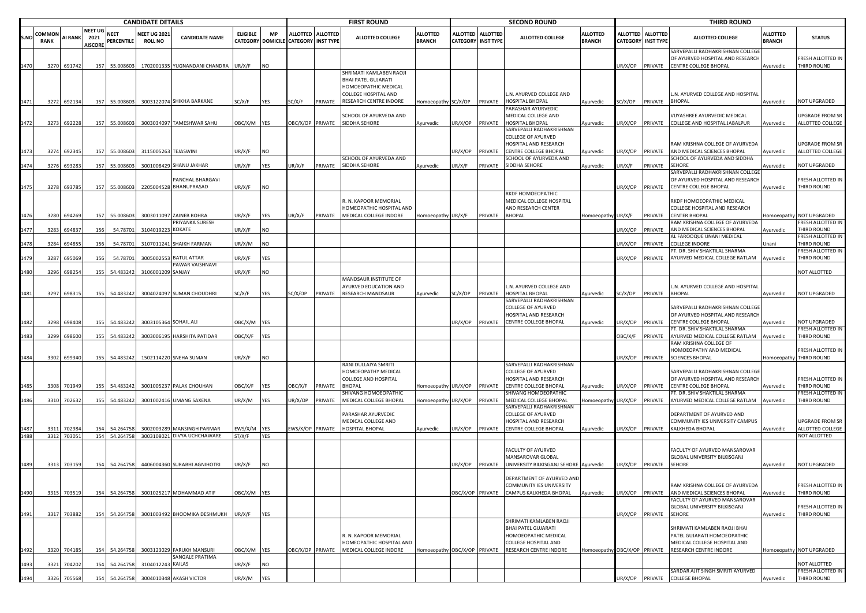|      | <b>CANDIDATE DETAILS</b> |                       |                                   |     |                            |                                       |                                                           |                       |            |                                                           | <b>FIRST ROUND</b> |                                                                                                                          |                                  |                                              | <b>SECOND ROUND</b> |                                                                                                       |                                  |                 | <b>THIRD ROUND</b>                             |                                                                                                 |                                  |                                              |
|------|--------------------------|-----------------------|-----------------------------------|-----|----------------------------|---------------------------------------|-----------------------------------------------------------|-----------------------|------------|-----------------------------------------------------------|--------------------|--------------------------------------------------------------------------------------------------------------------------|----------------------------------|----------------------------------------------|---------------------|-------------------------------------------------------------------------------------------------------|----------------------------------|-----------------|------------------------------------------------|-------------------------------------------------------------------------------------------------|----------------------------------|----------------------------------------------|
| S.NO | COMMON<br><b>RANK</b>    | AI RANK               | NEET UG<br>2021<br><b>AISCORE</b> |     | <b>NEET</b><br>PERCENTILE  | <b>NEET UG 2021</b><br><b>ROLL NO</b> | <b>CANDIDATE NAME</b>                                     | <b>ELIGIBLE</b>       | <b>MP</b>  | ALLOTTED ALLOTTED<br>CATEGORY DOMICILE CATEGORY INST TYPE |                    | <b>ALLOTTED COLLEGE</b>                                                                                                  | <b>ALLOTTED</b><br><b>BRANCH</b> | <b>ALLOTTED</b><br><b>CATEGORY INST TYPE</b> | <b>ALLOTTED</b>     | <b>ALLOTTED COLLEGE</b>                                                                               | <b>ALLOTTED</b><br><b>BRANCH</b> |                 | ALLOTTED ALLOTTED<br><b>CATEGORY INST TYPE</b> | <b>ALLOTTED COLLEGE</b>                                                                         | <b>ALLOTTED</b><br><b>BRANCH</b> | <b>STATUS</b>                                |
|      | 3270                     | 691742                |                                   | 157 | 55.008603                  |                                       | 1702001335 YUGNANDANI CHANDRA                             | UR/X/F                | <b>NO</b>  |                                                           |                    |                                                                                                                          |                                  |                                              |                     |                                                                                                       |                                  | UR/X/OP         | PRIVATE                                        | SARVEPALLI RADHAKRISHNAN COLLEGI<br>OF AYURVED HOSPITAL AND RESEARCH<br>CENTRE COLLEGE BHOPAL   | Ayurvedic                        | FRESH ALLOTTED IN<br>THIRD ROUND             |
| 1471 |                          | 3272 692134           |                                   |     | 157 55.008603              |                                       | 3003122074 SHIKHA BARKANE                                 | SC/X/F                | YES        | SC/X/F                                                    | PRIVATE            | SHRIMATI KAMLABEN RAOJI<br>BHAI PATEL GUJARATI<br>HOMOEOPATHIC MEDICAL<br>COLLEGE HOSPITAL AND<br>RESEARCH CENTRE INDORE | Homoeopathy SC/X/OP              |                                              | PRIVATE             | L.N. AYURVED COLLEGE AND<br><b>IOSPITAL BHOPAL</b>                                                    | Ayurvedic                        | SC/X/OP         | PRIVATE                                        | L.N. AYURVED COLLEGE AND HOSPITAL<br><b>BHOPAL</b>                                              | Ayurvedic                        | NOT UPGRADED                                 |
|      |                          |                       |                                   |     |                            |                                       |                                                           |                       |            |                                                           |                    | SCHOOL OF AYURVEDA AND                                                                                                   |                                  |                                              |                     | PARASHAR AYURVEDIC<br>MEDICAL COLLEGE AND                                                             |                                  |                 |                                                | VIJYASHREE AYURVEDIC MEDICAL                                                                    |                                  | UPGRADE FROM SR                              |
|      |                          | 3273 692228           |                                   | 157 | 55.008603                  |                                       | 3003034097 TAMESHWAR SAHU                                 | DBC/X/M YES           |            | OBC/X/OP PRIVATE                                          |                    | SIDDHA SEHORE                                                                                                            | Ayurvedic                        | UR/X/OP                                      | PRIVATE             | <b>IOSPITAL BHOPAL</b><br>SARVEPALLI RADHAKRISHNAN<br><b>COLLEGE OF AYURVED</b>                       | <b>Ayurvedic</b>                 | JR/X/OP         | PRIVATE                                        | COLLEGE AND HOSPITAL JABALPUR                                                                   | Ayurvedic                        | ALLOTTED COLLEGE                             |
| 1473 |                          | 3274 692345           |                                   |     | 157 55.008603              | 3115005263 TEJASWINI                  |                                                           | JR/X/F                | <b>NO</b>  |                                                           |                    | SCHOOL OF AYURVEDA AND                                                                                                   |                                  | JR/X/OP                                      | PRIVATE             | HOSPITAL AND RESEARCH<br>CENTRE COLLEGE BHOPAL<br>SCHOOL OF AYURVEDA AND                              | Ayurvedic                        | JR/X/OP         | PRIVATE                                        | RAM KRISHNA COLLEGE OF AYURVEDA<br>AND MEDICAL SCIENCES BHOPAL<br>SCHOOL OF AYURVEDA AND SIDDHA | Ayurvedic                        | UPGRADE FROM SR<br>ALLOTTED COLLEGE          |
| 1474 | 3276                     | 693283                |                                   | 157 | 55.008603                  |                                       | 3001008429 SHANU JAKHAR                                   | UR/X/F                | YES        | UR/X/F                                                    | PRIVATE            | SIDDHA SEHORE                                                                                                            | Ayurvedic                        | UR/X/F                                       | PRIVATE             | SIDDHA SEHORE                                                                                         | Ayurvedic                        | JR/X/F          | PRIVATE                                        | SEHORE                                                                                          | Ayurvedic                        | NOT UPGRADED                                 |
|      |                          |                       |                                   |     |                            |                                       | PANCHAL BHARGAVI                                          |                       |            |                                                           |                    |                                                                                                                          |                                  |                                              |                     |                                                                                                       |                                  |                 |                                                | SARVEPALLI RADHAKRISHNAN COLLEGE<br>OF AYURVED HOSPITAL AND RESEARCH                            |                                  | FRESH ALLOTTED IN                            |
| 1475 |                          | 3278 693785           |                                   |     | 157 55.008603              |                                       | 2205004528 BHANUPRASAD                                    | UR/X/F                | <b>NO</b>  |                                                           |                    |                                                                                                                          |                                  |                                              |                     |                                                                                                       |                                  | JR/X/OP         | PRIVATE                                        | <b>CENTRE COLLEGE BHOPAL</b>                                                                    | Ayurvedic                        | THIRD ROUND                                  |
|      |                          |                       |                                   |     |                            |                                       |                                                           |                       |            |                                                           |                    | R. N. KAPOOR MEMORIAL<br>HOMEOPATHIC HOSPITAL AND                                                                        |                                  |                                              |                     | RKDF HOMOEOPATHIC<br>MEDICAL COLLEGE HOSPITAL<br>AND RESEARCH CENTER                                  |                                  |                 |                                                | RKDF HOMOEOPATHIC MEDICAL<br>COLLEGE HOSPITAL AND RESEARCH                                      |                                  |                                              |
|      | 3280                     | 694269                |                                   | 157 | 55.008603                  |                                       | 3003011097 ZAINEB BOHRA<br><b>PRIYANKA SURESH</b>         | JR/X/F                | YES        | UR/X/F                                                    | PRIVATE            | MEDICAL COLLEGE INDORE                                                                                                   | Homoeopathy UR/X/F               |                                              | PRIVATE             | <b>BHOPAL</b>                                                                                         | Iomoeopathy                      | UR/X/F          | PRIVATE                                        | <b>CENTER BHOPAL</b><br>AM KRISHNA COLLEGE OF AYURVEDA                                          | Iomoeopathy                      | NOT UPGRADED<br>FRESH ALLOTTED IN            |
| 1477 | 3283                     | 694837                |                                   | 156 | 54.78701                   | 3104019223 KOKATE                     |                                                           | UR/X/F                | <b>NO</b>  |                                                           |                    |                                                                                                                          |                                  |                                              |                     |                                                                                                       |                                  | JR/X/OP         | PRIVATE                                        | AND MEDICAL SCIENCES BHOPAL<br>AL FAROOQUE UNANI MEDICAL                                        | Ayurvedic                        | THIRD ROUND<br>FRESH ALLOTTED IN             |
|      | 3284                     | 694855                |                                   | 156 | 54.78701                   |                                       | 3107011241 SHAIKH FARMAN                                  | JR/X/M                | NO         |                                                           |                    |                                                                                                                          |                                  |                                              |                     |                                                                                                       |                                  | JR/X/OP         | PRIVATE                                        | COLLEGE INDORE<br>PT. DR. SHIV SHAKTILAL SHARMA                                                 | Unani                            | THIRD ROUND<br>FRESH ALLOTTED IN             |
|      | 3287                     | 695069                |                                   | 156 | 54.78701                   |                                       | 3005002553 BATUL ATTAR<br>PAWAR VAISHNAVI                 | JR/X/F                | <b>YES</b> |                                                           |                    |                                                                                                                          |                                  |                                              |                     |                                                                                                       |                                  | JR/X/OP         | PRIVATE                                        | AYURVED MEDICAL COLLEGE RATLAM                                                                  | Ayurvedic                        | THIRD ROUND                                  |
| 1480 | 3296                     | 698254                |                                   | 155 | 54.483242                  | 3106001209 SANJAY                     |                                                           | JR/X/F                | <b>NO</b>  |                                                           |                    |                                                                                                                          |                                  |                                              |                     |                                                                                                       |                                  |                 |                                                |                                                                                                 |                                  | NOT ALLOTTED                                 |
|      |                          |                       |                                   |     |                            |                                       |                                                           |                       |            |                                                           |                    | MANDSAUR INSTITUTE OF<br><b>AYURVED EDUCATION AND</b>                                                                    |                                  |                                              |                     | .N. AYURVED COLLEGE AND                                                                               |                                  |                 |                                                | N. AYURVED COLLEGE AND HOSPITAL                                                                 |                                  |                                              |
| 1481 |                          | 3297 698315           |                                   |     | 155 54.483242              |                                       | 3004024097 SUMAN CHOUDHRI                                 | SC/X/F                | <b>YES</b> | SC/X/OP                                                   | PRIVATE            | RESEARCH MANDSAUR                                                                                                        | Ayurvedic                        | SC/X/OP                                      | PRIVATE             | HOSPITAL BHOPAL                                                                                       | Ayurvedic                        | SC/X/OP         | PRIVATE                                        | <b>BHOPAL</b>                                                                                   | Ayurvedic                        | NOT UPGRADED                                 |
| 1482 | 3298                     | 698408                |                                   | 155 | 54.483242                  | 3003105364 SOHAIL ALI                 |                                                           | DBC/X/M YES           |            |                                                           |                    |                                                                                                                          |                                  | JR/X/OP                                      | PRIVATE             | SARVEPALLI RADHAKRISHNAN<br>COLLEGE OF AYURVED<br>HOSPITAL AND RESEARCH<br>CENTRE COLLEGE BHOPAL      | Ayurvedic                        | JR/X/OP         | PRIVATE                                        | SARVEPALLI RADHAKRISHNAN COLLEGE<br>OF AYURVED HOSPITAL AND RESEARCH<br>CENTRE COLLEGE BHOPAL   | Ayurvedic                        | NOT UPGRADED                                 |
|      |                          |                       |                                   |     |                            |                                       |                                                           |                       |            |                                                           |                    |                                                                                                                          |                                  |                                              |                     |                                                                                                       |                                  |                 |                                                | T. DR. SHIV SHAKTILAL SHARMA                                                                    |                                  | FRESH ALLOTTED IN                            |
| 1483 | 3299                     | 698600                |                                   |     | 155 54.483242              |                                       | 3003006195 HARSHITA PATIDAR                               | DBC/X/F YES           |            |                                                           |                    |                                                                                                                          |                                  |                                              |                     |                                                                                                       |                                  | OBC/X/F         | PRIVATE                                        | AYURVED MEDICAL COLLEGE RATLAM Ayurvedic<br>RAM KRISHNA COLLEGE OF                              |                                  | THIRD ROUND                                  |
| 1484 |                          | 3302 699340           |                                   | 155 | 54.483242                  |                                       | 1502114220 SNEHA SUMAN                                    | JR/X/F                | <b>NO</b>  |                                                           |                    |                                                                                                                          |                                  |                                              |                     |                                                                                                       |                                  | JR/X/OP         | PRIVATE                                        | HOMOEOPATHY AND MEDICAL<br><b>SCIENCES BHOPAL</b>                                               |                                  | FRESH ALLOTTED IN<br>Homoeopathy THIRD ROUND |
|      |                          |                       |                                   |     |                            |                                       |                                                           |                       |            |                                                           |                    | RANI DULLAIYA SMRITI<br>HOMOEOPATHY MEDICAL<br>COLLEGE AND HOSPITAL                                                      |                                  |                                              |                     | SARVEPALLI RADHAKRISHNAN<br><b>COLLEGE OF AYURVED</b><br>HOSPITAL AND RESEARCH                        |                                  |                 |                                                | SARVEPALLI RADHAKRISHNAN COLLEGE<br>OF AYURVED HOSPITAL AND RESEARCH                            |                                  | FRESH ALLOTTED IN                            |
| 1485 |                          | 3308 701949           |                                   |     | 155 54.483242              |                                       | 3001005237 PALAK CHOUHAN                                  | <b>JBC/X/F</b>        | <b>YES</b> | OBC/X/F                                                   | PRIVATE            | <b>BHOPAL</b><br>SHIVANG HOMOEOPATHIC                                                                                    | Homoeopathy UR/X/OP              |                                              | PRIVATE             | CENTRE COLLEGE BHOPAL<br>SHIVANG HOMOEOPATHIC                                                         | Ayurvedic                        | JR/X/OP         | PRIVATE                                        | CENTRE COLLEGE BHOPAL<br>PT. DR. SHIV SHAKTILAL SHARMA                                          | Ayurvedic                        | THIRD ROUND<br>FRESH ALLOTTED IN             |
| 1486 | 3310                     | 702632                |                                   | 155 | 54.483242                  |                                       | 3001002416 UMANG SAXENA                                   | JR/X/M                | YES        | JR/X/OP                                                   | PRIVATE            | MEDICAL COLLEGE BHOPAL                                                                                                   | Homoeopathy UR/X/OP              |                                              | PRIVATE             | MEDICAL COLLEGE BHOPAL                                                                                | Iomoeopathy UR/X/OP              |                 | PRIVATE                                        | AYURVED MEDICAL COLLEGE RATLAM                                                                  | Ayurvedic                        | THIRD ROUND                                  |
|      |                          |                       |                                   |     |                            |                                       |                                                           |                       |            |                                                           |                    | PARASHAR AYURVEDIC<br>MEDICAL COLLEGE AND                                                                                |                                  |                                              |                     | SARVEPALLI RADHAKRISHNAN<br><b>COLLEGE OF AYURVED</b><br>HOSPITAL AND RESEARCH                        |                                  |                 |                                                | DEPARTMENT OF AYURVED AND<br>COMMUNITY IES UNIVERSITY CAMPUS                                    |                                  | UPGRADE FROM SR                              |
| 1488 | 3311                     | 702984<br>3312 703051 |                                   | 154 | 54.264758<br>154 54.264758 |                                       | 3002003289 MANSINGH PARMAR<br>3003108021 DIVYA UCHCHAWARE | EWS/X/M YES<br>ST/X/F | YES        | EWS/X/OP PRIVATE                                          |                    | HOSPITAL BHOPAL                                                                                                          | Ayurvedic                        | UR/X/OP                                      | PRIVATE             | <b>CENTRE COLLEGE BHOPAL</b>                                                                          | Ayurvedic                        |                 | JR/X/OP PRIVATE                                | KALKHEDA BHOPAL                                                                                 | Ayurvedic                        | ALLOTTED COLLEGE<br>NOT ALLOTTED             |
|      |                          | 3313 703159           |                                   |     | 154 54.264758              |                                       | 4406004360 SURABHI AGNIHOTRI                              | JR/X/F                | <b>NO</b>  |                                                           |                    |                                                                                                                          |                                  | UR/X/OP                                      | PRIVATE             | ACULTY OF AYURVED<br>MANSAROVAR GLOBAL<br>UNIVERSITY BILKISGANJ SEHORE Ayurvedic                      |                                  | UR/X/OP PRIVATE |                                                | <b>FACULTY OF AYURVED MANSAROVAR</b><br>GLOBAL UNIVERSITY BILKISGANJ<br>SEHORE                  | Ayurvedic                        | <b>NOT UPGRADED</b>                          |
| 1489 |                          |                       |                                   |     |                            |                                       |                                                           |                       |            |                                                           |                    |                                                                                                                          |                                  |                                              |                     | DEPARTMENT OF AYURVED AND<br>COMMUNITY IES UNIVERSITY                                                 |                                  |                 |                                                | RAM KRISHNA COLLEGE OF AYURVEDA                                                                 |                                  | FRESH ALLOTTED IN                            |
| 1490 |                          | 3315 703519           |                                   | 154 | 54.264758                  |                                       | 3001025217 MOHAMMAD ATIF                                  | OBC/X/M YES           |            |                                                           |                    |                                                                                                                          |                                  | OBC/X/OP PRIVATE                             |                     | CAMPUS KALKHEDA BHOPAL                                                                                | Ayurvedic                        | UR/X/OP         | PRIVATE                                        | AND MEDICAL SCIENCES BHOPAL                                                                     | Ayurvedic                        | THIRD ROUND                                  |
| 1491 |                          | 3317 703882           |                                   |     | 154 54.264758              |                                       | 3001003492 BHOOMIKA DESHMUKH                              | UR/X/F                | <b>YES</b> |                                                           |                    |                                                                                                                          |                                  |                                              |                     |                                                                                                       |                                  | UR/X/OP         | PRIVATE                                        | ACULTY OF AYURVED MANSAROVAR<br>GLOBAL UNIVERSITY BILKISGANJ<br><b>SEHORE</b>                   | Ayurvedic                        | FRESH ALLOTTED IN<br>THIRD ROUND             |
|      |                          |                       |                                   |     |                            |                                       |                                                           |                       |            |                                                           |                    | R. N. KAPOOR MEMORIAL<br>HOMEOPATHIC HOSPITAL AND                                                                        |                                  |                                              |                     | SHRIMATI KAMLABEN RAOJI<br><b>BHAI PATEL GUJARATI</b><br>HOMOEOPATHIC MEDICAL<br>COLLEGE HOSPITAL AND |                                  |                 |                                                | SHRIMATI KAMLABEN RAOJI BHAI<br>PATEL GUJARATI HOMOEOPATHIC<br>MEDICAL COLLEGE HOSPITAL AND     |                                  |                                              |
| 1492 |                          | 3320 704185           |                                   |     | 154 54.264758              |                                       | 3003123029 FARUKH MANSURI                                 | DBC/X/M YES           |            | OBC/X/OP PRIVATE                                          |                    | MEDICAL COLLEGE INDORE                                                                                                   |                                  |                                              |                     | Homoeopathy OBC/X/OP PRIVATE RESEARCH CENTRE INDORE                                                   | Iomoeopathy OBC/X/OP PRIVATE     |                 |                                                | RESEARCH CENTRE INDORE                                                                          |                                  | Homoeopathy NOT UPGRADED                     |
| 1493 | 3321                     | 704202                |                                   | 154 | 54.264758                  | 3104012243 KAILAS                     | SANGALE PRATIMA                                           | JR/X/F                | <b>NO</b>  |                                                           |                    |                                                                                                                          |                                  |                                              |                     |                                                                                                       |                                  |                 |                                                |                                                                                                 |                                  | NOT ALLOTTED                                 |
|      |                          |                       |                                   |     |                            |                                       |                                                           |                       |            |                                                           |                    |                                                                                                                          |                                  |                                              |                     |                                                                                                       |                                  |                 |                                                | SARDAR AJIT SINGH SMRITI AYURVED                                                                |                                  | FRESH ALLOTTED IN                            |
| 1494 |                          | 3326 705568           |                                   | 154 | 54.264758                  |                                       | 3004010348 AKASH VICTOR                                   | UR/X/M                | <b>YES</b> |                                                           |                    |                                                                                                                          |                                  |                                              |                     |                                                                                                       |                                  |                 | UR/X/OP PRIVATE                                | COLLEGE BHOPAL                                                                                  | Ayurvedic                        | THIRD ROUND                                  |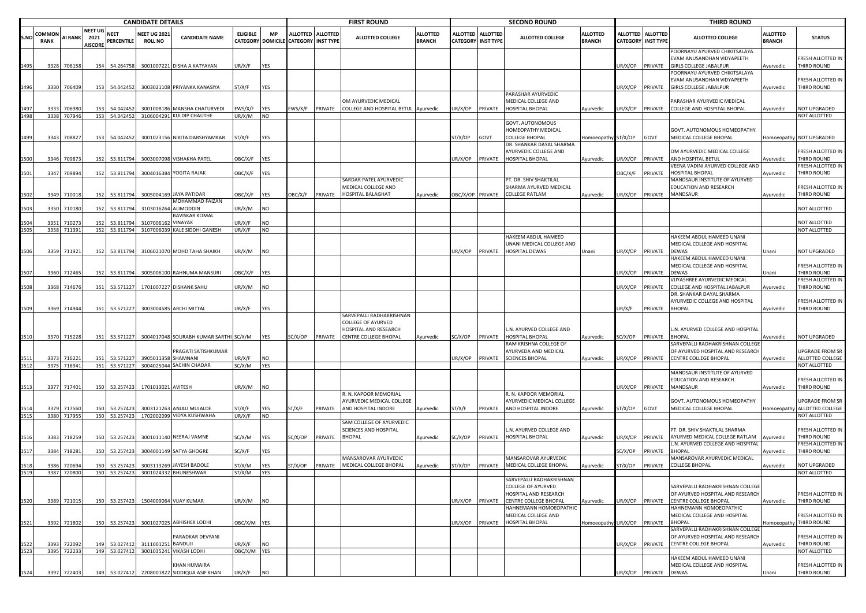|       |                      |                |                                          |                           | <b>CANDIDATE DETAILS</b>             |                                         |                 |                         |                           |                   | <b>FIRST ROUND</b>                                           |                                  |                 |                                              | <b>SECOND ROUND</b>                                                         |                                  |                |                                         | <b>THIRD ROUND</b>                                                                    |                                  |                                  |
|-------|----------------------|----------------|------------------------------------------|---------------------------|--------------------------------------|-----------------------------------------|-----------------|-------------------------|---------------------------|-------------------|--------------------------------------------------------------|----------------------------------|-----------------|----------------------------------------------|-----------------------------------------------------------------------------|----------------------------------|----------------|-----------------------------------------|---------------------------------------------------------------------------------------|----------------------------------|----------------------------------|
| ls.NO | COMMO<br><b>RANK</b> | <b>AI RANK</b> | <b>NEET UG</b><br>2021<br><b>AISCORE</b> | <b>NEET</b><br>PERCENTILE | <b>NEET UG 202</b><br><b>ROLL NO</b> | <b>CANDIDATE NAME</b>                   | <b>ELIGIBLE</b> | MP<br>CATEGORY DOMICILE | <b>CATEGORY INST TYPE</b> | ALLOTTED ALLOTTED | <b>ALLOTTED COLLEGE</b>                                      | <b>ALLOTTED</b><br><b>BRANCH</b> | <b>ALLOTTED</b> | <b>ALLOTTED</b><br><b>CATEGORY INST TYPE</b> | <b>ALLOTTED COLLEGE</b>                                                     | <b>ALLOTTED</b><br><b>BRANCH</b> |                | ALLOTTED ALLOTTED<br>CATEGORY INST TYPE | <b>ALLOTTED COLLEGE</b>                                                               | <b>ALLOTTED</b><br><b>BRANCH</b> | <b>STATUS</b>                    |
| 1495  | 3328                 | 706158         | 154                                      | 54.264758                 | 300100722                            | DISHA A KATYAYAN                        | UR/X/F          | YES                     |                           |                   |                                                              |                                  |                 |                                              |                                                                             |                                  | JR/X/OP        | PRIVATE                                 | POORNAYU AYURVED CHIKITSALAYA<br>EVAM ANUSANDHAN VIDYAPEETH<br>GIRLS COLLEGE JABALPUR | Ayurvedic                        | FRESH ALLOTTED IN<br>THIRD ROUND |
| 1496  |                      | 3330 706409    | 153                                      | 54.042452                 |                                      | 3003021108 PRIYANKA KANASIYA            | ST/X/F          | YES                     |                           |                   |                                                              |                                  |                 |                                              |                                                                             |                                  | JR/X/OP        | PRIVATE                                 | POORNAYU AYURVED CHIKITSALAYA<br>EVAM ANUSANDHAN VIDYAPEETH<br>GIRLS COLLEGE JABALPUR | Ayurvedic                        | FRESH ALLOTTED IN<br>THIRD ROUND |
|       | 333                  | 706980         | 153                                      | 54.042452                 | 300100818                            | MANSHA CHATURVEDI                       | EWS/X/F         | YES                     | EWS/X/F                   | PRIVATE           | OM AYURVEDIC MEDICAL<br>COLLEGE AND HOSPITAL BETUL Ayurvedic |                                  | JR/X/OP         | PRIVATE                                      | PARASHAR AYURVEDIC<br>MEDICAL COLLEGE AND<br><b>HOSPITAL BHOPAL</b>         | Ayurvedic                        | JR/X/OP        | PRIVATE                                 | PARASHAR AYURVEDIC MEDICAL<br>COLLEGE AND HOSPITAL BHOPAL                             | Ayurvedic                        | NOT UPGRADED                     |
| 498   | 3338                 | 707946         | 153                                      | 54.042452                 |                                      | 3106004291 KULDIP CHAUTHE               | UR/X/M          | NO                      |                           |                   |                                                              |                                  |                 |                                              |                                                                             |                                  |                |                                         |                                                                                       |                                  | NOT ALLOTTED                     |
|       |                      |                |                                          |                           |                                      |                                         |                 |                         |                           |                   |                                                              |                                  |                 |                                              | GOVT. AUTONOMOUS                                                            |                                  |                |                                         |                                                                                       |                                  |                                  |
|       |                      |                |                                          |                           |                                      |                                         |                 |                         |                           |                   |                                                              |                                  |                 |                                              | HOMEOPATHY MEDICAL                                                          |                                  |                |                                         | GOVT. AUTONOMOUS HOMEOPATHY                                                           |                                  |                                  |
| 1499  | 3343                 | 708827         | 153                                      | 54.042452                 | 300102315                            | NIKITA DARSHYAMKAR                      | ST/X/F          | YES                     |                           |                   |                                                              |                                  | ST/X/OP         | GOVT                                         | <b>COLLEGE BHOPAL</b>                                                       | Homoeopathy ST/X/OP              |                | GOVT                                    | MEDICAL COLLEGE BHOPAL                                                                |                                  | Homoeopathy NOT UPGRADED         |
| 500   | 3346                 | 709873         | 152                                      | 53.811794                 |                                      | 3003007098 VISHAKHA PATEL               | OBC/X/F         | YES                     |                           |                   |                                                              |                                  | JR/X/OP         | PRIVATE                                      | DR. SHANKAR DAYAL SHARMA<br>AYURVEDIC COLLEGE AND<br><b>HOSPITAL BHOPAL</b> | Ayurvedic                        | JR/X/OP        | PRIVATE                                 | OM AYURVEDIC MEDICAL COLLEGE<br>AND HOSPITAL BETUL                                    | Ayurvedic                        | FRESH ALLOTTED IN<br>THIRD ROUND |
|       |                      |                |                                          |                           |                                      |                                         |                 |                         |                           |                   |                                                              |                                  |                 |                                              |                                                                             |                                  |                |                                         | VEENA VADINI AYURVED COLLEGE AND                                                      |                                  | FRESH ALLOTTED IN                |
| 501   | 3347                 | 709894         | 152                                      | 53.811794                 |                                      | 3004016384 YOGITA RAJAK                 | OBC/X/F         | YES                     |                           |                   |                                                              |                                  |                 |                                              |                                                                             |                                  | <b>JBC/X/F</b> | PRIVATE                                 | HOSPITAL BHOPAL                                                                       | Ayurvedic                        | THIRD ROUND                      |
|       |                      |                |                                          |                           |                                      |                                         |                 |                         |                           |                   | SARDAR PATEL AYURVEDIC<br>MEDICAL COLLEGE AND                |                                  |                 |                                              | PT. DR. SHIV SHAKTILAL<br>SHARMA AYURVED MEDICAL                            |                                  |                |                                         | MANDSAUR INSTITUTE OF AYURVED<br>EDUCATION AND RESEARCH                               |                                  | FRESH ALLOTTED IN                |
| 502   | 3349                 | 710018         | 152                                      | 53.811794                 | 3005004169                           | <b>9 JAYA PATIDAR</b>                   | OBC/X/F         | YES                     | )BC/X/F                   | PRIVATE           | HOSPITAL BALAGHAT                                            | Ayurvedic                        |                 |                                              | OBC/X/OP PRIVATE COLLEGE RATLAM                                             | Ayurvedic                        |                | JR/X/OP PRIVATE                         | MANDSAUR                                                                              | Ayurvedic                        | THIRD ROUND                      |
|       |                      |                |                                          |                           |                                      | MOHAMMAD FAIZAN                         |                 |                         |                           |                   |                                                              |                                  |                 |                                              |                                                                             |                                  |                |                                         |                                                                                       |                                  |                                  |
| 503   | 3350                 | 710180         | 152                                      | 53.811794                 | 310301626                            | ALIMODDIN                               | UR/X/M          | NO                      |                           |                   |                                                              |                                  |                 |                                              |                                                                             |                                  |                |                                         |                                                                                       |                                  | NOT ALLOTTED                     |
|       |                      |                |                                          |                           |                                      | <b>BAVISKAR KOMAL</b>                   |                 |                         |                           |                   |                                                              |                                  |                 |                                              |                                                                             |                                  |                |                                         |                                                                                       |                                  |                                  |
|       | 3351                 | 710273         | 152                                      | 53.811794                 | 310700616                            | VINAYAK                                 | JR/X/F          | NO                      |                           |                   |                                                              |                                  |                 |                                              |                                                                             |                                  |                |                                         |                                                                                       |                                  | NOT ALLOTTED                     |
| 1505  |                      | 3358 711391    | 152                                      | 53.811794                 | 310700603                            | KALE SIDDHI GANESH                      | UR/X/F          | <b>NO</b>               |                           |                   |                                                              |                                  |                 |                                              |                                                                             |                                  |                |                                         |                                                                                       |                                  | NOT ALLOTTED                     |
|       |                      |                |                                          |                           |                                      |                                         |                 |                         |                           |                   |                                                              |                                  |                 |                                              | HAKEEM ABDUL HAMEED                                                         |                                  |                |                                         | HAKEEM ABDUL HAMEED UNANI                                                             |                                  |                                  |
|       | 3359                 |                |                                          |                           |                                      |                                         |                 |                         |                           |                   |                                                              |                                  |                 |                                              | UNANI MEDICAL COLLEGE AND                                                   |                                  |                |                                         | MEDICAL COLLEGE AND HOSPITAL                                                          |                                  |                                  |
| 506   |                      | 711921         | 152                                      | 53.811794                 |                                      | 3106021070 MOHD TAHA SHAIKH             | UR/X/M          | <b>NO</b>               |                           |                   |                                                              |                                  | JR/X/OP         | PRIVATE                                      | HOSPITAL DEWAS                                                              | Jnani                            | JR/X/OP        | PRIVATE                                 | <b>DEWAS</b><br>HAKEEM ABDUL HAMEED UNANI                                             | Unani                            | NOT UPGRADED                     |
|       |                      |                |                                          |                           |                                      |                                         |                 |                         |                           |                   |                                                              |                                  |                 |                                              |                                                                             |                                  |                |                                         | MEDICAL COLLEGE AND HOSPITAL                                                          |                                  | FRESH ALLOTTED IN                |
| 507   |                      | 3360 712465    | 152                                      | 53.811794                 | 300500610                            | RAHNUMA MANSURI                         | OBC/X/F         | YES                     |                           |                   |                                                              |                                  |                 |                                              |                                                                             |                                  | JR/X/OP        | PRIVATE                                 | DEWAS                                                                                 | Jnani                            | THIRD ROUND                      |
|       |                      |                |                                          |                           |                                      |                                         |                 |                         |                           |                   |                                                              |                                  |                 |                                              |                                                                             |                                  |                |                                         | VIJYASHREE AYURVEDIC MEDICAL                                                          |                                  | FRESH ALLOTTED IN                |
| 1508  | 3368                 | 714676         | 151                                      | 53.571227                 |                                      | 1701007227 DISHANK SAHU                 | UR/X/M          | NO                      |                           |                   |                                                              |                                  |                 |                                              |                                                                             |                                  | JR/X/OP        | PRIVATE                                 | COLLEGE AND HOSPITAL JABALPUR                                                         | Ayurvedic                        | THIRD ROUND                      |
|       |                      |                |                                          |                           |                                      |                                         |                 |                         |                           |                   |                                                              |                                  |                 |                                              |                                                                             |                                  |                |                                         | DR. SHANKAR DAYAL SHARMA                                                              |                                  |                                  |
|       |                      |                |                                          |                           |                                      |                                         |                 |                         |                           |                   |                                                              |                                  |                 |                                              |                                                                             |                                  |                |                                         | AYURVEDIC COLLEGE AND HOSPITAL                                                        |                                  | FRESH ALLOTTED IN                |
| 509   | 3369                 | 714944         | 151                                      | 53.571227                 |                                      | 3003004585 ARCHI MITTAL                 | UR/X/F          | YES                     |                           |                   |                                                              |                                  |                 |                                              |                                                                             |                                  | JR/X/F         | PRIVATE                                 | BHOPAL                                                                                | Ayurvedic                        | THIRD ROUND                      |
|       |                      |                |                                          |                           |                                      |                                         |                 |                         |                           |                   | SARVEPALLI RADHAKRISHNAN                                     |                                  |                 |                                              |                                                                             |                                  |                |                                         |                                                                                       |                                  |                                  |
|       |                      |                |                                          |                           |                                      |                                         |                 |                         |                           |                   | COLLEGE OF AYURVED                                           |                                  |                 |                                              |                                                                             |                                  |                |                                         |                                                                                       |                                  |                                  |
|       |                      |                |                                          |                           |                                      |                                         |                 |                         |                           |                   | HOSPITAL AND RESEARCH                                        |                                  |                 |                                              | L.N. AYURVED COLLEGE AND                                                    |                                  |                |                                         | L.N. AYURVED COLLEGE AND HOSPITAL                                                     |                                  |                                  |
| 1510  |                      | 3370 715228    | 151                                      | 53.571227                 |                                      | 3004017048 SOURABH KUMAR SARTHI SC/X/M  |                 | YES                     | SC/X/OP                   | PRIVATE           | CENTRE COLLEGE BHOPAL                                        | Ayurvedic                        | SC/X/OP         |                                              | PRIVATE HOSPITAL BHOPAL                                                     | Ayurvedic                        | SC/X/OP        | PRIVATE                                 | BHOPAL                                                                                | Ayurvedic                        | NOT UPGRADED                     |
|       |                      |                |                                          |                           |                                      | PRAGATI SATISHKUMAR                     |                 |                         |                           |                   |                                                              |                                  |                 |                                              | RAM KRISHNA COLLEGE OF<br>AYURVEDA AND MEDICAL                              |                                  |                |                                         | SARVEPALLI RADHAKRISHNAN COLLEGE<br>OF AYURVED HOSPITAL AND RESEARCH                  |                                  | UPGRADE FROM SR                  |
| 511   | 3373                 | 71622          | 151                                      | 53.571227                 | 390501135                            | SHAMNANI                                | JR/X/F          | NO                      |                           |                   |                                                              |                                  | JR/X/OP         |                                              | PRIVATE SCIENCES BHOPAL                                                     | Ayurvedic                        | JR/X/OP        | PRIVATE                                 | CENTRE COLLEGE BHOPAL                                                                 | Ayurvedic                        | ALLOTTED COLLEGE                 |
| 1512  |                      | 3375 716941    |                                          | 151 53.571227             |                                      | 3004025044 SACHIN CHADAR                | SC/X/M          | YES                     |                           |                   |                                                              |                                  |                 |                                              |                                                                             |                                  |                |                                         |                                                                                       |                                  | NOT ALLOTTED                     |
|       |                      |                |                                          |                           |                                      |                                         |                 |                         |                           |                   |                                                              |                                  |                 |                                              |                                                                             |                                  |                |                                         | MANDSAUR INSTITUTE OF AYURVED                                                         |                                  |                                  |
|       |                      |                |                                          |                           |                                      |                                         |                 |                         |                           |                   |                                                              |                                  |                 |                                              |                                                                             |                                  |                |                                         | EDUCATION AND RESEARCH                                                                |                                  | FRESH ALLOTTED IN                |
| 1513  | 3377                 | 717401         |                                          | 150 53.257423             | 1701013021 AVITESH                   |                                         | UR/X/M          | NO                      |                           |                   |                                                              |                                  |                 |                                              |                                                                             |                                  | JR/X/OP        | PRIVATE                                 | MANDSAUR                                                                              | Ayurvedic                        | THIRD ROUND                      |
|       |                      |                |                                          |                           |                                      |                                         |                 |                         |                           |                   | R. N. KAPOOR MEMORIAL                                        |                                  |                 |                                              | R. N. KAPOOR MEMORIAL                                                       |                                  |                |                                         |                                                                                       |                                  |                                  |
|       |                      |                |                                          |                           |                                      |                                         |                 |                         |                           |                   | AYURVEDIC MEDICAL COLLEGE                                    |                                  |                 |                                              | AYURVEDIC MEDICAL COLLEGE                                                   |                                  |                |                                         | GOVT. AUTONOMOUS HOMEOPATHY                                                           |                                  | UPGRADE FROM SR                  |
| 514   |                      | 3379 717560    | 150                                      | 53.257423                 |                                      | 3003121263 ANJALI MUJALDE               | ST/X/F          | YES                     | T/X/F                     | PRIVATE           | AND HOSPITAL INDORE                                          | Ayurvedic                        | ST/X/F          | PRIVATE                                      | AND HOSPITAL INDORE                                                         | Ayurvedic                        | T/X/OP         | GOVT                                    | MEDICAL COLLEGE BHOPAL                                                                | Homoeopathy                      | ALLOTTED COLLEGE                 |
| 1515  |                      | 3380 717955    | 150                                      | 53.257423                 |                                      | 1702002099 VIDYA KUSHWAHA               | UR/X/F          | NO                      |                           |                   |                                                              |                                  |                 |                                              |                                                                             |                                  |                |                                         |                                                                                       |                                  | NOT ALLOTTED                     |
|       |                      |                |                                          |                           |                                      |                                         |                 |                         |                           |                   | SAM COLLEGE OF AYURVEDIC                                     |                                  |                 |                                              |                                                                             |                                  |                |                                         |                                                                                       |                                  | FRESH ALLOTTED IN                |
| 516   | 3383                 | 718259         | 150                                      | 53.257423                 |                                      | 3001011140 NEERAJ VAMNE                 | SC/X/M          | YES                     | SC/X/OP                   | PRIVATE           | SCIENCES AND HOSPITAL<br><b>BHOPAL</b>                       |                                  | SC/X/OP         | PRIVATE                                      | L.N. AYURVED COLLEGE AND<br><b>HOSPITAL BHOPAL</b>                          |                                  | JR/X/OP        | PRIVATE                                 | PT. DR. SHIV SHAKTILAL SHARMA<br>AYURVED MEDICAL COLLEGE RATLAM                       |                                  | THIRD ROUND                      |
|       |                      |                |                                          |                           |                                      |                                         |                 |                         |                           |                   |                                                              | Ayurvedic                        |                 |                                              |                                                                             | Ayurvedic                        |                |                                         | N. AYURVED COLLEGE AND HOSPITAL                                                       | Ayurvedic                        | FRESH ALLOTTED IN                |
| 517   | 3384                 | 718281         | 150                                      | 53.257423                 |                                      | 3004001149 SATYA GHOGRE                 | SC/X/F          | YES                     |                           |                   |                                                              |                                  |                 |                                              |                                                                             |                                  | C/X/OP         | PRIVATE                                 | <b>BHOPAL</b>                                                                         | Ayurvedic                        | THIRD ROUND                      |
|       |                      |                |                                          |                           |                                      |                                         |                 |                         |                           |                   | MANSAROVAR AYURVEDIC                                         |                                  |                 |                                              | MANSAROVAR AYURVEDIC                                                        |                                  |                |                                         | <b>MANSAROVAR AYURVEDIC MEDICAL</b>                                                   |                                  |                                  |
|       | 338                  | 72069          | 150                                      | 53.25742                  | 300311326                            | AYESH BADOLE                            | ST/X/M          | YES                     | T/X/OP                    | PRIVATE           | MEDICAL COLLEGE BHOPAL                                       | Ayurvedic                        | ST/X/OP         | PRIVATE                                      | MEDICAL COLLEGE BHOPAL                                                      | Ayurvedic                        | T/X/OP         | PRIVATE                                 | <b>COLLEGE BHOPAL</b>                                                                 | Ayurvedic                        | NOT UPGRADED                     |
| 519   | 3387                 | 720800         | 150                                      | 53.257423                 |                                      | 3001024332 BHUNESHWAR                   | ST/X/M          | YES                     |                           |                   |                                                              |                                  |                 |                                              |                                                                             |                                  |                |                                         |                                                                                       |                                  | NOT ALLOTTED                     |
|       |                      |                |                                          |                           |                                      |                                         |                 |                         |                           |                   |                                                              |                                  |                 |                                              | SARVEPALLI RADHAKRISHNAN                                                    |                                  |                |                                         |                                                                                       |                                  |                                  |
|       |                      |                |                                          |                           |                                      |                                         |                 |                         |                           |                   |                                                              |                                  |                 |                                              | <b>COLLEGE OF AYURVED</b>                                                   |                                  |                |                                         | SARVEPALLI RADHAKRISHNAN COLLEGE                                                      |                                  |                                  |
|       |                      |                |                                          |                           |                                      |                                         |                 |                         |                           |                   |                                                              |                                  |                 |                                              | HOSPITAL AND RESEARCH                                                       |                                  |                |                                         | OF AYURVED HOSPITAL AND RESEARCH                                                      |                                  | FRESH ALLOTTED IN                |
| 520   |                      | 3389 721015    |                                          |                           |                                      | 150 53.257423 1504009064 VIJAY KUMAR    | UR/X/M          | <b>NO</b>               |                           |                   |                                                              |                                  | JR/X/OP         | PRIVATE                                      | <b>CENTRE COLLEGE BHOPAL</b><br>HAHNEMANN HOMOEOPATHIC                      | Ayurvedic                        | UR/X/OP        | PRIVATE                                 | CENTRE COLLEGE BHOPAL                                                                 | Ayurvedic                        | THIRD ROUND                      |
|       |                      |                |                                          |                           |                                      |                                         |                 |                         |                           |                   |                                                              |                                  |                 |                                              | MEDICAL COLLEGE AND                                                         |                                  |                |                                         | HAHNEMANN HOMOEOPATHIC<br>MEDICAL COLLEGE AND HOSPITAL                                |                                  | FRESH ALLOTTED IN                |
| 521   | 3392                 | 721802         | 150                                      | 53.257423                 |                                      | 3001027025 ABHISHEK LODHI               | OBC/X/M YES     |                         |                           |                   |                                                              |                                  | JR/X/OP         |                                              | PRIVATE HOSPITAL BHOPAL                                                     | Homoeopathy UR/X/OP              |                | PRIVATE                                 | <b>BHOPAL</b>                                                                         |                                  | Homoeopathy THIRD ROUND          |
|       |                      |                |                                          |                           |                                      |                                         |                 |                         |                           |                   |                                                              |                                  |                 |                                              |                                                                             |                                  |                |                                         | SARVEPALLI RADHAKRISHNAN COLLEG                                                       |                                  |                                  |
|       |                      |                |                                          |                           |                                      | PARADKAR DEVYANI                        |                 |                         |                           |                   |                                                              |                                  |                 |                                              |                                                                             |                                  |                |                                         | OF AYURVED HOSPITAL AND RESEARCH                                                      |                                  | FRESH ALLOTTED IN                |
| 522   | 3393                 | 722092         | 149                                      | 53.027412                 | 311100125                            | BANDUJI                                 | JR/X/F          | NO                      |                           |                   |                                                              |                                  |                 |                                              |                                                                             |                                  | JR/X/OP        | PRIVATE                                 | CENTRE COLLEGE BHOPAL                                                                 | Ayurvedic                        | THIRD ROUND                      |
| 523   | 3395                 | 722233         | 149                                      | 53.027412                 |                                      | 3001035241 VIKASH LODHI                 | OBC/X/M         | YES                     |                           |                   |                                                              |                                  |                 |                                              |                                                                             |                                  |                |                                         |                                                                                       |                                  | NOT ALLOTTED                     |
|       |                      |                |                                          |                           |                                      |                                         |                 |                         |                           |                   |                                                              |                                  |                 |                                              |                                                                             |                                  |                |                                         | HAKEEM ABDUL HAMEED UNANI                                                             |                                  |                                  |
|       |                      |                |                                          |                           |                                      | KHAN HUMAIRA                            |                 |                         |                           |                   |                                                              |                                  |                 |                                              |                                                                             |                                  |                |                                         | MEDICAL COLLEGE AND HOSPITAL                                                          |                                  | FRESH ALLOTTED IN                |
| 1524  | 3397                 | 722403         | 149                                      |                           |                                      | 53.027412 2208001822 SIDDIQUA ASIF KHAN | UR/X/F          | <b>NO</b>               |                           |                   |                                                              |                                  |                 |                                              |                                                                             |                                  |                | JR/X/OP PRIVATE                         | <b>DEWAS</b>                                                                          | Unani                            | THIRD ROUND                      |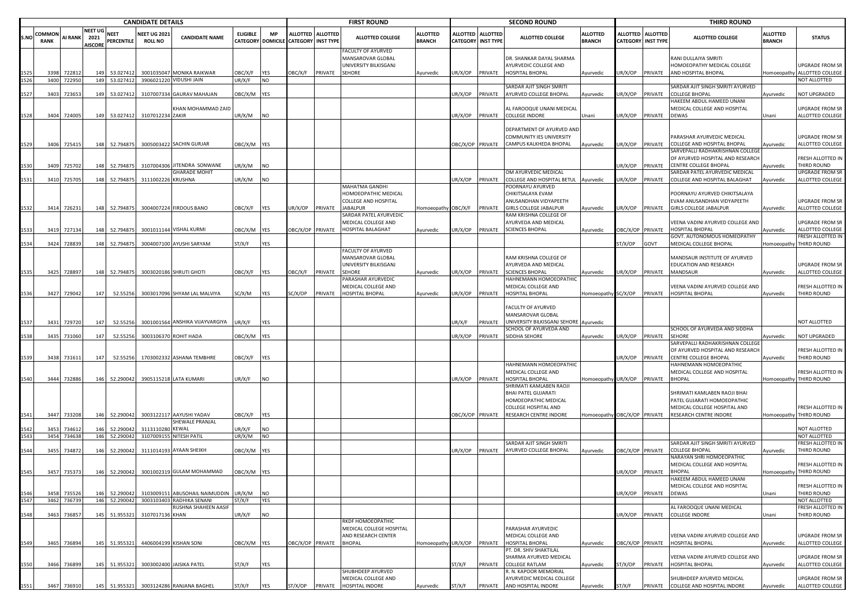|      | <b>CANDIDATE DETAILS</b>     |                |                                          |                           |                                       |                                             |                 |                                       |                                              | <b>FIRST ROUND</b> |                                                                 |                                  |                  | <b>SECOND ROUND</b>                            |                                                          |                                  |                                    | <b>THIRD ROUND</b>                  |                                                                |                                  |                                        |
|------|------------------------------|----------------|------------------------------------------|---------------------------|---------------------------------------|---------------------------------------------|-----------------|---------------------------------------|----------------------------------------------|--------------------|-----------------------------------------------------------------|----------------------------------|------------------|------------------------------------------------|----------------------------------------------------------|----------------------------------|------------------------------------|-------------------------------------|----------------------------------------------------------------|----------------------------------|----------------------------------------|
| S.NO | <b>COMMON</b><br><b>RANK</b> | <b>AI RANK</b> | <b>NEET UG</b><br>2021<br><b>AISCORE</b> | <b>NEET</b><br>PERCENTILE | <b>NEET UG 202:</b><br><b>ROLL NO</b> | <b>CANDIDATE NAME</b>                       | <b>ELIGIBLE</b> | <b>MP</b><br><b>CATEGORY DOMICILE</b> | <b>ALLOTTED</b><br><b>CATEGORY INST TYPE</b> | <b>ALLOTTED</b>    | <b>ALLOTTED COLLEGE</b>                                         | <b>ALLOTTED</b><br><b>BRANCH</b> |                  | ALLOTTED ALLOTTED<br><b>CATEGORY INST TYPE</b> | <b>ALLOTTED COLLEGE</b>                                  | <b>ALLOTTED</b><br><b>BRANCH</b> | <b>ALLOTTED</b><br><b>CATEGORY</b> | <b>ALLOTTED</b><br><b>INST TYPE</b> | <b>ALLOTTED COLLEGE</b>                                        | <b>ALLOTTED</b><br><b>BRANCH</b> | <b>STATUS</b>                          |
|      |                              |                |                                          |                           |                                       |                                             |                 |                                       |                                              |                    | ACULTY OF AYURVED<br>MANSAROVAR GLOBAL<br>UNIVERSITY BILKISGANJ |                                  |                  |                                                | DR. SHANKAR DAYAL SHARMA<br>AYURVEDIC COLLEGE AND        |                                  |                                    |                                     | RANI DULLAIYA SMRITI<br>HOMOEOPATHY MEDICAL COLLEGE            |                                  | JPGRADE FROM SR                        |
|      | 3398                         | 722812         | 149                                      | 53.027412                 |                                       | 3001035047 MONIKA RAIKWAR                   | <b>JBC/X/F</b>  | YES                                   | <b>DBC/X/F</b>                               | PRIVATE            | SEHORE                                                          | Ayurvedic                        | JR/X/OP          | PRIVATE                                        | HOSPITAL BHOPAL                                          | Ayurvedic                        | UR/X/OP                            | PRIVATE                             | AND HOSPITAL BHOPAL                                            | Homoeopathy                      | ALLOTTED COLLEGE                       |
|      |                              | 3400 722950    |                                          | 149 53.027412             |                                       | 3906021220 VIDUSHI JAIN                     | JR/X/F          | <b>NO</b>                             |                                              |                    |                                                                 |                                  |                  |                                                | SARDAR AJIT SINGH SMRITI                                 |                                  |                                    |                                     | SARDAR AJIT SINGH SMRITI AYURVED                               |                                  | <b>IOT ALLOTTED</b>                    |
| 1527 | 3403                         | 723653         | 149                                      | 53.027412                 | 310700733                             | <b>GAURAV MAHAJAN</b>                       | OBC/X/M         | <b>YES</b>                            |                                              |                    |                                                                 |                                  | JR/X/OP          | PRIVATE                                        | AYURVED COLLEGE BHOPAL                                   | Ayurvedic                        | JR/X/OP                            | PRIVATE                             | COLLEGE BHOPAL                                                 | Ayurvedic                        | <b>NOT UPGRADED</b>                    |
|      |                              |                |                                          |                           |                                       |                                             |                 |                                       |                                              |                    |                                                                 |                                  |                  |                                                |                                                          |                                  |                                    |                                     | HAKEEM ABDUL HAMEED UNANI                                      |                                  |                                        |
|      |                              |                |                                          |                           |                                       | KHAN MOHAMMAD ZAID                          |                 |                                       |                                              |                    |                                                                 |                                  |                  |                                                | AL FAROOQUE UNANI MEDICAL                                |                                  |                                    |                                     | MEDICAL COLLEGE AND HOSPITAL                                   |                                  | JPGRADE FROM SR                        |
| 1528 | 3404                         | 724005         | 149                                      | 53.027412                 | 3107012234 ZAKIR                      |                                             | UR/X/M          | <b>NO</b>                             |                                              |                    |                                                                 |                                  | JR/X/OP PRIVATE  |                                                | <b>COLLEGE INDORE</b>                                    | Unani                            | UR/X/OP                            | PRIVATE                             | <b>DEWAS</b>                                                   | Jnani                            | ALLOTTED COLLEGE                       |
|      |                              |                |                                          |                           |                                       |                                             |                 |                                       |                                              |                    |                                                                 |                                  |                  |                                                | DEPARTMENT OF AYURVED AND<br>COMMUNITY IES UNIVERSITY    |                                  |                                    |                                     | PARASHAR AYURVEDIC MEDICAL                                     |                                  | <b>JPGRADE FROM SR</b>                 |
| 1529 | 3406                         | 725415         | 148                                      | 52.794875                 |                                       | 3005003422 SACHIN GURJAR                    | DBC/X/M YES     |                                       |                                              |                    |                                                                 |                                  | OBC/X/OP PRIVATE |                                                | CAMPUS KALKHEDA BHOPAL                                   | Ayurvedic                        | JR/X/OP                            | PRIVATE                             | COLLEGE AND HOSPITAL BHOPAL<br>SARVEPALLI RADHAKRISHNAN COLLEG | Ayurvedic                        | ALLOTTED COLLEGE                       |
|      |                              |                |                                          |                           |                                       |                                             |                 |                                       |                                              |                    |                                                                 |                                  |                  |                                                |                                                          |                                  |                                    |                                     | OF AYURVED HOSPITAL AND RESEARCH                               |                                  | RESH ALLOTTED IN                       |
| 1530 | 3409                         | 725702         | 148                                      | 52.794875                 |                                       | 3107004306 JITENDRA SONWANE                 | JR/X/M          | NO.                                   |                                              |                    |                                                                 |                                  |                  |                                                |                                                          |                                  | UR/X/OP                            | PRIVATE                             | <b>CENTRE COLLEGE BHOPAL</b>                                   | Ayurvedic                        | <b>THIRD ROUND</b>                     |
|      |                              |                |                                          |                           |                                       | <b>GHARADE MOHIT</b>                        |                 |                                       |                                              |                    |                                                                 |                                  |                  |                                                | OM AYURVEDIC MEDICAL                                     |                                  |                                    |                                     | SARDAR PATEL AYURVEDIC MEDICAL                                 |                                  | JPGRADE FROM SR                        |
| 1531 | 3410                         | 725705         | 148                                      | 52.794875                 | 3111002226 KRUSHNA                    |                                             | JR/X/M          | NO                                    |                                              |                    | MAHATMA GANDHI                                                  |                                  | JR/X/OP          | PRIVATE                                        | COLLEGE AND HOSPITAL BETUL Ayurvedic<br>POORNAYU AYURVED |                                  | JR/X/OP                            | PRIVATE                             | COLLEGE AND HOSPITAL BALAGHAT                                  | Ayurvedic                        | ALLOTTED COLLEGE                       |
|      |                              |                |                                          |                           |                                       |                                             |                 |                                       |                                              |                    | IOMOEOPATHIC MEDICAL                                            |                                  |                  |                                                | CHIKITSALAYA EVAM                                        |                                  |                                    |                                     | POORNAYU AYURVED CHIKITSALAYA                                  |                                  |                                        |
|      |                              |                |                                          |                           |                                       |                                             |                 |                                       |                                              |                    | COLLEGE AND HOSPITAL                                            |                                  |                  |                                                | ANUSANDHAN VIDYAPEETH                                    |                                  |                                    |                                     | EVAM ANUSANDHAN VIDYAPEETH                                     |                                  | JPGRADE FROM SR                        |
| 1532 | 3414                         | 726231         | 148                                      | 52.794875                 |                                       | 3004007224 FIRDOUS BANO                     | <b>JBC/X/F</b>  | YES                                   | JR/X/OP                                      | PRIVATE            | <b>JABALPUR</b>                                                 | Homoeopathy OBC/X/F              |                  | PRIVATE                                        | <b>GIRLS COLLEGE JABALPUR</b>                            | Ayurvedic                        | UR/X/OP                            | PRIVATE                             | <b>GIRLS COLLEGE JABALPUR</b>                                  | Ayurvedic                        | ALLOTTED COLLEGE                       |
|      |                              |                |                                          |                           |                                       |                                             |                 |                                       |                                              |                    | SARDAR PATEL AYURVEDIC<br>MEDICAL COLLEGE AND                   |                                  |                  |                                                | RAM KRISHNA COLLEGE OF<br>AYURVEDA AND MEDICAL           |                                  |                                    |                                     | VEENA VADINI AYURVED COLLEGE AND                               |                                  | JPGRADE FROM SR                        |
| 1533 | 3419                         | 727134         | 148                                      | 52.794875                 |                                       | 3001011144 VISHAL KURMI                     | OBC/X/M         | YES                                   | BC/X/OP PRIVATE                              |                    | HOSPITAL BALAGHAT                                               | Ayurvedic                        | IR/X/OP          | PRIVATE                                        | <b>SCIENCES BHOPAL</b>                                   | Ayurvedic                        | BC/X/OP                            | PRIVATE                             | HOSPITAL BHOPAL                                                | Ayurvedic                        | ALLOTTED COLLEGE                       |
| 1534 | 3424                         | 728839         | 148                                      | 52.794875                 |                                       | 3004007100 AYUSHI SARYAM                    | ST/X/F          | YES                                   |                                              |                    |                                                                 |                                  |                  |                                                |                                                          |                                  | ST/X/OP                            | GOVT                                | GOVT. AUTONOMOUS HOMEOPATHY<br>MEDICAL COLLEGE BHOPAL          | Homoeopathy                      | RESH ALLOTTED IN<br>THIRD ROUND        |
|      |                              |                |                                          |                           |                                       |                                             |                 |                                       |                                              |                    | FACULTY OF AYURVED                                              |                                  |                  |                                                |                                                          |                                  |                                    |                                     |                                                                |                                  |                                        |
|      |                              |                |                                          |                           |                                       |                                             |                 |                                       |                                              |                    | MANSAROVAR GLOBAL                                               |                                  |                  |                                                | RAM KRISHNA COLLEGE OF                                   |                                  |                                    |                                     | MANDSAUR INSTITUTE OF AYURVED                                  |                                  |                                        |
|      |                              |                |                                          |                           |                                       |                                             |                 |                                       |                                              |                    | UNIVERSITY BILKISGANJ                                           |                                  |                  |                                                | AYURVEDA AND MEDICAL                                     |                                  |                                    |                                     | EDUCATION AND RESEARCH                                         |                                  | <b>JPGRADE FROM SR</b>                 |
| 1535 | 3425                         | 728897         | 148                                      | 52.794875                 |                                       | 3003020186 SHRUTI GHOTI                     | )BC/X/F         | YES                                   | )BC/X/F                                      | PRIVATE            | SEHORE<br>PARASHAR AYURVEDIC                                    | Ayurvedic                        | JR/X/OP PRIVATE  |                                                | <b>SCIENCES BHOPAL</b><br>HAHNEMANN HOMOEOPATHIC         | Ayurvedic                        | JR/X/OP                            | PRIVATE                             | <b>MANDSAUR</b>                                                | vurvedic                         | ALLOTTED COLLEGE                       |
|      |                              |                |                                          |                           |                                       |                                             |                 |                                       |                                              |                    | MEDICAL COLLEGE AND                                             |                                  |                  |                                                | MEDICAL COLLEGE AND                                      |                                  |                                    |                                     | VEENA VADINI AYURVED COLLEGE AND                               |                                  | RESH ALLOTTED IN                       |
| 1536 | 3427                         | 729042         | 147                                      | 52.55256                  |                                       | 3003017096 SHYAM LAL MALVIYA                | SC/X/M          | YES                                   | C/X/OP                                       | PRIVATE            | <b>HOSPITAL BHOPAL</b>                                          | Ayurvedic                        | JR/X/OP          | PRIVATE                                        | HOSPITAL BHOPAL                                          | Homoeopathy SC/X/OP              |                                    | PRIVATE                             | <b>HOSPITAL BHOPAI</b>                                         | Ayurvedic                        | <b>THIRD ROUND</b>                     |
|      |                              |                |                                          |                           |                                       |                                             |                 |                                       |                                              |                    |                                                                 |                                  |                  |                                                |                                                          |                                  |                                    |                                     |                                                                |                                  |                                        |
|      |                              |                |                                          |                           |                                       |                                             |                 |                                       |                                              |                    |                                                                 |                                  |                  |                                                | FACULTY OF AYURVED<br>MANSAROVAR GLOBAL                  |                                  |                                    |                                     |                                                                |                                  |                                        |
| 1537 | 3431                         | 729720         | 147                                      | 52.55256                  |                                       | 3001001564 ANSHIKA VIJAYVARGIYA             | JR/X/F          | <b>YES</b>                            |                                              |                    |                                                                 |                                  | JR/X/F           | PRIVATE                                        | UNIVERSITY BILKISGANJ SEHORE Ayurvedic                   |                                  |                                    |                                     |                                                                |                                  | <b>NOT ALLOTTED</b>                    |
|      |                              |                |                                          |                           |                                       |                                             |                 |                                       |                                              |                    |                                                                 |                                  |                  |                                                | SCHOOL OF AYURVEDA AND                                   |                                  |                                    |                                     | SCHOOL OF AYURVEDA AND SIDDHA                                  |                                  |                                        |
| 1538 | 3435                         | 731060         | 147                                      | 52.55256                  |                                       | 3003106370 ROHIT HADA                       | DBC/X/M YES     |                                       |                                              |                    |                                                                 |                                  | JR/X/OP          | PRIVATE                                        | SIDDHA SEHORE                                            | Ayurvedic                        | JR/X/OP                            | PRIVATE                             | <b>SEHORE</b><br>SARVEPALLI RADHAKRISHNAN COLLEG               | Ayurvedic                        | <b>NOT UPGRADED</b>                    |
|      |                              |                |                                          |                           |                                       |                                             |                 |                                       |                                              |                    |                                                                 |                                  |                  |                                                |                                                          |                                  |                                    |                                     | OF AYURVED HOSPITAL AND RESEARCH                               |                                  | <b>RESH ALLOTTED IN</b>                |
| 1539 | 3438                         | 731611         | 147                                      | 52.55256                  |                                       | 1703002332 ASHANA TEMBHRE                   | <b>DBC/X/F</b>  | <b>YES</b>                            |                                              |                    |                                                                 |                                  |                  |                                                |                                                          |                                  | JR/X/OP                            | PRIVATE                             | <b>CENTRE COLLEGE BHOPAL</b>                                   | <b>Ayurvedic</b>                 | THIRD ROUND                            |
|      |                              |                |                                          |                           |                                       |                                             |                 |                                       |                                              |                    |                                                                 |                                  |                  |                                                | HAHNEMANN HOMOEOPATHIC                                   |                                  |                                    |                                     | HAHNEMANN HOMOEOPATHIC                                         |                                  |                                        |
|      | 3444                         | 732886         | 146                                      | 52.290042                 |                                       | 3905115218 LATA KUMARI                      | JR/X/F          | NO                                    |                                              |                    |                                                                 |                                  | JR/X/OP PRIVATE  |                                                | MEDICAL COLLEGE AND<br>HOSPITAL BHOPAL                   |                                  |                                    | PRIVATE                             | MEDICAL COLLEGE AND HOSPITAL<br><b>BHOPAL</b>                  | <b>Homoeopathy</b>               | RESH ALLOTTED IN<br><b>HIRD ROUND</b>  |
| 1540 |                              |                |                                          |                           |                                       |                                             |                 |                                       |                                              |                    |                                                                 |                                  |                  |                                                | SHRIMATI KAMLABEN RAOJI                                  | Homoeopathy                      | UR/X/OP                            |                                     |                                                                |                                  |                                        |
|      |                              |                |                                          |                           |                                       |                                             |                 |                                       |                                              |                    |                                                                 |                                  |                  |                                                | BHAI PATEL GUJARATI                                      |                                  |                                    |                                     | SHRIMATI KAMLABEN RAOJI BHAI                                   |                                  |                                        |
|      |                              |                |                                          |                           |                                       |                                             |                 |                                       |                                              |                    |                                                                 |                                  |                  |                                                | HOMOEOPATHIC MEDICAL                                     |                                  |                                    |                                     | PATEL GUJARATI HOMOEOPATHIC                                    |                                  |                                        |
|      | 3447                         |                |                                          |                           |                                       |                                             |                 |                                       |                                              |                    |                                                                 |                                  |                  |                                                | COLLEGE HOSPITAL AND                                     |                                  |                                    |                                     | MEDICAL COLLEGE HOSPITAL AND                                   |                                  | RESH ALLOTTED IN                       |
| 1541 |                              | 733208         | 146                                      | 52.290042                 |                                       | 3003122117 AAYUSHI YADAV<br>SHEWALE PRANJAL | <b>JBC/X/F</b>  | YES                                   |                                              |                    |                                                                 |                                  | OBC/X/OP PRIVATE |                                                | RESEARCH CENTRE INDORE                                   | Homoeopathy OBC/X/OP PRIVATE     |                                    |                                     | RESEARCH CENTRE INDORE                                         | Homoeopathy                      | THIRD ROUND                            |
| 1542 | 3453                         | 73461          | 146                                      | 52.290042                 | 311311028                             | <b>KEWAL</b>                                | JR/X/F          | NO.                                   |                                              |                    |                                                                 |                                  |                  |                                                |                                                          |                                  |                                    |                                     |                                                                |                                  | <b>IOT ALLOTTED</b>                    |
| 1543 | 3454                         | 734638         | 146                                      | 52.290042                 | 310700915                             | NITESH PATIL                                | JR/X/M          | <b>NO</b>                             |                                              |                    |                                                                 |                                  |                  |                                                |                                                          |                                  |                                    |                                     |                                                                |                                  | NOT ALLOTTED                           |
| 1544 | 3455                         | 734872         | 146                                      | 52.290042                 |                                       | 3111014193 AYAAN SHEIKH                     | DBC/X/M YES     |                                       |                                              |                    |                                                                 |                                  | JR/X/OP PRIVATE  |                                                | SARDAR AJIT SINGH SMRITI<br>AYURVED COLLEGE BHOPAL       | Ayurvedic                        | BC/X/OP PRIVATE                    |                                     | SARDAR AJIT SINGH SMRITI AYURVED<br><b>COLLEGE BHOPAL</b>      | Avurvedic                        | <b>RESH ALLOTTED IN</b><br>THIRD ROUND |
|      |                              |                |                                          |                           |                                       |                                             |                 |                                       |                                              |                    |                                                                 |                                  |                  |                                                |                                                          |                                  |                                    |                                     | NARAYAN SHRI HOMOEOPATHIC                                      |                                  |                                        |
|      |                              |                |                                          |                           |                                       |                                             |                 |                                       |                                              |                    |                                                                 |                                  |                  |                                                |                                                          |                                  |                                    |                                     | MEDICAL COLLEGE AND HOSPITAL                                   |                                  | RESH ALLOTTED IN                       |
| 1545 | 3457                         | 735373         | 146                                      | 52.290042                 |                                       | 3001002319 GULAM MOHAMMAD                   | BC/X/M YES      |                                       |                                              |                    |                                                                 |                                  |                  |                                                |                                                          |                                  | JR/X/OP                            | PRIVATE                             | <b>BHOPAL</b>                                                  | <b>Homoeopathy</b>               | THIRD ROUND                            |
|      |                              |                |                                          |                           |                                       |                                             |                 |                                       |                                              |                    |                                                                 |                                  |                  |                                                |                                                          |                                  |                                    |                                     | HAKEEM ABDUL HAMEED UNANI                                      |                                  |                                        |
| 1546 | 3458                         | 735526         | 146                                      | 52.290042                 |                                       | 3103009151 ABUSOHAIL NAIMUDDIN              | UR/X/M          | NO                                    |                                              |                    |                                                                 |                                  |                  |                                                |                                                          |                                  | UR/X/OP                            | PRIVATE                             | MEDICAL COLLEGE AND HOSPITAL<br><b>DEWAS</b>                   | Jnani                            | RESH ALLOTTED IN<br><b>THIRD ROUND</b> |
| 1547 | 3462                         | 736739         |                                          | 146 52.290042             |                                       | 3003103403 RADHIKA SENANI                   | ST/X/F          | YES                                   |                                              |                    |                                                                 |                                  |                  |                                                |                                                          |                                  |                                    |                                     |                                                                |                                  | NOT ALLOTTED                           |
|      |                              |                |                                          |                           |                                       | RUSHNA SHAHEEN AASIF                        |                 |                                       |                                              |                    |                                                                 |                                  |                  |                                                |                                                          |                                  |                                    |                                     | AL FAROOQUE UNANI MEDICAL                                      |                                  | RESH ALLOTTED IN                       |
| 1548 | 3463                         | 736857         | 145                                      | 51.955321                 | 3107017136 KHAN                       |                                             | JR/X/F          | <b>NO</b>                             |                                              |                    | RKDF HOMOEOPATHIC                                               |                                  |                  |                                                |                                                          |                                  | UR/X/OP                            | PRIVATE                             | <b>COLLEGE INDORE</b>                                          | Jnani                            | <b>THIRD ROUND</b>                     |
|      |                              |                |                                          |                           |                                       |                                             |                 |                                       |                                              |                    | MEDICAL COLLEGE HOSPITAL                                        |                                  |                  |                                                | PARASHAR AYURVEDIC                                       |                                  |                                    |                                     |                                                                |                                  |                                        |
|      |                              |                |                                          |                           |                                       |                                             |                 |                                       |                                              |                    | AND RESEARCH CENTER                                             |                                  |                  |                                                | MEDICAL COLLEGE AND                                      |                                  |                                    |                                     | VEENA VADINI AYURVED COLLEGE AND                               |                                  | JPGRADE FROM SR                        |
| 1549 | 3465                         | 736894         | 145                                      | 51.955321                 |                                       | 4406004199 KISHAN SONI                      | DBC/X/M YES     |                                       | BC/X/OP PRIVATE                              |                    | <b>BHOPAL</b>                                                   | Homoeopathy UR/X/OP              |                  | PRIVATE                                        | <b>HOSPITAL BHOPAL</b>                                   | Ayurvedic                        | OBC/X/OP PRIVATE                   |                                     | HOSPITAL BHOPAL                                                | Ayurvedic                        | ALLOTTED COLLEGE                       |
|      |                              |                |                                          |                           |                                       |                                             |                 |                                       |                                              |                    |                                                                 |                                  |                  |                                                | PT. DR. SHIV SHAKTILAL<br>SHARMA AYURVED MEDICAL         |                                  |                                    |                                     | VEENA VADINI AYURVED COLLEGE AND                               |                                  | UPGRADE FROM SR                        |
| 1550 | 3466                         | 736899         | 145                                      | 51.955321                 |                                       | 3003002400 JAISIKA PATEL                    | ST/X/F          | YES                                   |                                              |                    |                                                                 |                                  | ST/X/F           | PRIVATE                                        | <b>COLLEGE RATLAM</b>                                    | Ayurvedic                        | ST/X/OP                            | PRIVATE                             | <b>HOSPITAL BHOPAL</b>                                         | Ayurvedic                        | ALLOTTED COLLEGE                       |
|      |                              |                |                                          |                           |                                       |                                             |                 |                                       |                                              |                    | SHUBHDEEP AYURVED                                               |                                  |                  |                                                | R. N. KAPOOR MEMORIAL                                    |                                  |                                    |                                     |                                                                |                                  |                                        |
|      |                              |                |                                          |                           |                                       |                                             |                 |                                       |                                              |                    | MEDICAL COLLEGE AND                                             |                                  |                  |                                                | AYURVEDIC MEDICAL COLLEGE                                |                                  |                                    |                                     | SHUBHDEEP AYURVED MEDICAL                                      |                                  | UPGRADE FROM SR                        |
| 1551 | 3467                         | 736910         | 145                                      | 51.955321                 |                                       | 3003124286 RANJANA BAGHEL                   | ST/X/F          | YES                                   | ST/X/OP                                      | PRIVATE            | HOSPITAL INDORE                                                 | Ayurvedic                        | ST/X/F           | PRIVATE                                        | AND HOSPITAL INDORE                                      | Ayurvedic                        | ST/X/F                             | PRIVATE                             | COLLEGE AND HOSPITAL INDORE                                    | vurvedic                         | ALLOTTED COLLEGE                       |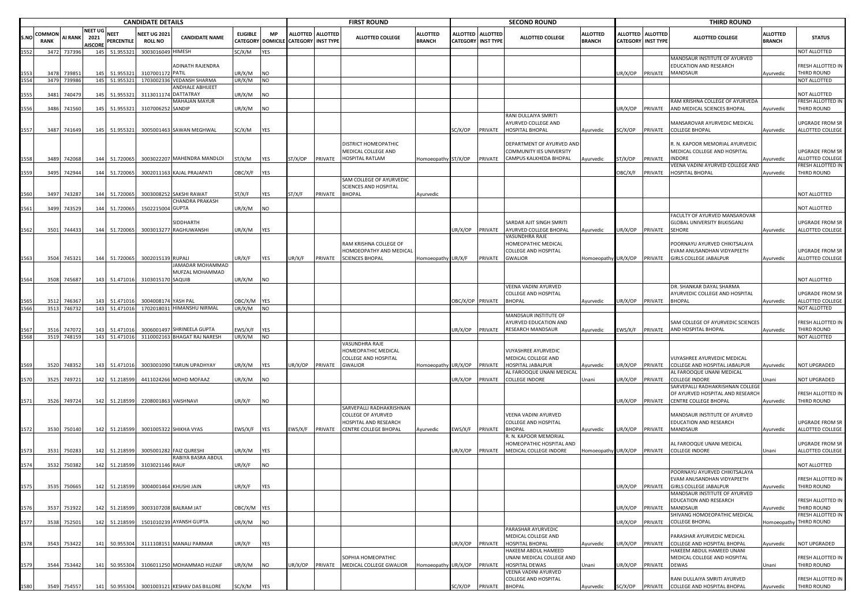|             | <b>CANDIDATE DETAILS</b>     |                       |                                          |                               |                                      |                                                            |                                    |                              |                           | <b>FIRST ROUND</b> |                                                                       |                                  |                                    | <b>SECOND ROUND</b>                 |                                                                                 |                                  |                           | <b>THIRD ROUND</b> |                                                                                  |                                  |                                          |
|-------------|------------------------------|-----------------------|------------------------------------------|-------------------------------|--------------------------------------|------------------------------------------------------------|------------------------------------|------------------------------|---------------------------|--------------------|-----------------------------------------------------------------------|----------------------------------|------------------------------------|-------------------------------------|---------------------------------------------------------------------------------|----------------------------------|---------------------------|--------------------|----------------------------------------------------------------------------------|----------------------------------|------------------------------------------|
| S.NO        | <b>COMMON</b><br><b>RANK</b> | AI RANK               | <b>NEET UG</b><br>2021<br><b>NISCORE</b> | <b>NEET</b><br>PERCENTILE     | <b>NEET UG 202</b><br><b>ROLL NO</b> | <b>CANDIDATE NAME</b>                                      | <b>ELIGIBLE</b><br><b>CATEGORY</b> | <b>MP</b><br><b>DOMICILE</b> | <b>CATEGORY INST TYPE</b> | ALLOTTED ALLOTTED  | ALLOTTED COLLEGE                                                      | <b>ALLOTTED</b><br><b>BRANCH</b> | <b>ALLOTTED</b><br><b>CATEGORY</b> | <b>ALLOTTED</b><br><b>INST TYPE</b> | <b>ALLOTTED COLLEGE</b>                                                         | <b>ALLOTTED</b><br><b>BRANCH</b> | <b>CATEGORY INST TYPE</b> | ALLOTTED ALLOTTED  | <b>ALLOTTED COLLEGE</b>                                                          | <b>ALLOTTED</b><br><b>BRANCH</b> | <b>STATUS</b>                            |
| 1552        |                              | 3472 737396           |                                          | 145 51.955321                 | 3003016049 HIMESH                    |                                                            | SC/X/M                             | YES                          |                           |                    |                                                                       |                                  |                                    |                                     |                                                                                 |                                  |                           |                    |                                                                                  |                                  | <b>NOT ALLOTTED</b>                      |
|             |                              |                       |                                          |                               |                                      | ADINATH RAJENDRA                                           |                                    |                              |                           |                    |                                                                       |                                  |                                    |                                     |                                                                                 |                                  |                           |                    | MANDSAUR INSTITUTE OF AYURVED<br>EDUCATION AND RESEARCH                          |                                  | RESH ALLOTTED IN                         |
|             | 3478                         | 73985<br>3479 739986  | 145                                      | 51.95532<br>145 51.955321     | 31070011                             | PATIL<br>1703002336 VEDANSH SHARMA                         | JR/X/M<br>UR/X/M                   | NO<br>NO                     |                           |                    |                                                                       |                                  |                                    |                                     |                                                                                 |                                  | JR/X/OP                   | PRIVATE            | MANDSAUR                                                                         | Ayurvedic                        | <b>HIRD ROUND</b><br><b>NOT ALLOTTED</b> |
|             |                              |                       |                                          |                               |                                      | ANDHALE ABHIJEET                                           |                                    |                              |                           |                    |                                                                       |                                  |                                    |                                     |                                                                                 |                                  |                           |                    |                                                                                  |                                  |                                          |
|             | 3481                         | 74047                 | 145                                      | 51.955321                     | 311301117                            | DATTATRAY                                                  | JR/X/M                             | NO                           |                           |                    |                                                                       |                                  |                                    |                                     |                                                                                 |                                  |                           |                    |                                                                                  |                                  | NOT ALLOTTED                             |
| 1556        |                              | 3486 741560           |                                          | 145 51.955321                 | 310700625                            | <b>MAHAJAN MAYUR</b><br>SANDIP                             | JR/X/M                             | NO                           |                           |                    |                                                                       |                                  |                                    |                                     |                                                                                 |                                  | JR/X/OP                   | PRIVATE            | RAM KRISHNA COLLEGE OF AYURVEDA<br>AND MEDICAL SCIENCES BHOPAL                   |                                  | RESH ALLOTTED IN<br>THIRD ROUND          |
|             |                              |                       |                                          |                               |                                      |                                                            |                                    |                              |                           |                    |                                                                       |                                  |                                    |                                     | RANI DULLAIYA SMRITI                                                            |                                  |                           |                    |                                                                                  | Ayurvedic                        |                                          |
|             |                              |                       |                                          |                               |                                      |                                                            |                                    |                              |                           |                    |                                                                       |                                  |                                    |                                     | AYURVED COLLEGE AND                                                             |                                  |                           |                    | MANSAROVAR AYURVEDIC MEDICAL                                                     |                                  | JPGRADE FROM SR                          |
| 1557        |                              | 3487 741649           |                                          | 145 51.955321                 |                                      | 3005001463 SAWAN MEGHWAL                                   | SC/X/M                             | YES                          |                           |                    |                                                                       |                                  | SC/X/OP                            | PRIVATE                             | HOSPITAL BHOPAL                                                                 | Ayurvedic                        | C/X/OP                    | PRIVATE            | COLLEGE BHOPAL                                                                   | Ayurvedic                        | ALLOTTED COLLEGE                         |
|             |                              | 3489 742068           |                                          | 144 51.720065                 |                                      | 3003022207 MAHENDRA MANDLOI                                | ST/X/M                             | YES                          | ST/X/OP                   | PRIVATE            | DISTRICT HOMEOPATHIC<br>MEDICAL COLLEGE AND<br><b>HOSPITAL RATLAM</b> | Homoeopath                       | ST/X/OP                            | PRIVATE                             | DEPARTMENT OF AYURVED AND<br>COMMUNITY IES UNIVERSITY<br>CAMPUS KALKHEDA BHOPAL | Ayurvedic                        | ST/X/OP                   | PRIVATE            | R. N. KAPOOR MEMORIAL AYURVEDIC<br>MEDICAL COLLEGE AND HOSPITAL<br><b>INDORE</b> | Ayurvedic                        | JPGRADE FROM SR<br>ALLOTTED COLLEGE      |
|             |                              |                       |                                          |                               |                                      |                                                            |                                    |                              |                           |                    |                                                                       |                                  |                                    |                                     |                                                                                 |                                  |                           |                    | /EENA VADINI AYURVED COLLEGE AND                                                 |                                  | <b>RESH ALLOTTED IN</b>                  |
| 1559        |                              | 3495 742944           |                                          | 144 51.720065                 |                                      | 3002011163 KAJAL PRAJAPATI                                 | OBC/X/F                            | YES                          |                           |                    | SAM COLLEGE OF AYURVEDIC                                              |                                  |                                    |                                     |                                                                                 |                                  | <b>JBC/X/F</b>            | PRIVATE            | HOSPITAL BHOPAL                                                                  | Ayurvedic                        | THIRD ROUND                              |
|             |                              |                       |                                          |                               |                                      |                                                            |                                    |                              |                           |                    | SCIENCES AND HOSPITAL                                                 |                                  |                                    |                                     |                                                                                 |                                  |                           |                    |                                                                                  |                                  |                                          |
|             |                              | 3497 74328            |                                          | 144 51.720065                 |                                      | 3003008252 SAKSHI RAWAT                                    | ST/X/F                             | YES                          | ST/X/F                    | PRIVATE            | <b>BHOPAL</b>                                                         | Ayurvedic                        |                                    |                                     |                                                                                 |                                  |                           |                    |                                                                                  |                                  | <b>NOT ALLOTTED</b>                      |
|             | 3499                         | 74352                 |                                          | 144 51.720065                 | 150221500                            | CHANDRA PRAKASH<br>4 GUPTA                                 | UR/X/M                             | NO                           |                           |                    |                                                                       |                                  |                                    |                                     |                                                                                 |                                  |                           |                    |                                                                                  |                                  | NOT ALLOTTED                             |
|             |                              |                       |                                          |                               |                                      |                                                            |                                    |                              |                           |                    |                                                                       |                                  |                                    |                                     |                                                                                 |                                  |                           |                    | ACULTY OF AYURVED MANSAROVAR                                                     |                                  |                                          |
| 1562        |                              | 3501 744433           |                                          | 144 51.720065                 |                                      | SIDDHARTH<br>3003013277 RAGHUWANSHI                        | UR/X/M                             | YES                          |                           |                    |                                                                       |                                  | JR/X/OP PRIVATE                    |                                     | SARDAR AJIT SINGH SMRITI<br><b>NYURVED COLLEGE BHOPAL</b><br>VASUNDHRA RAJE     | Ayurvedic                        | JR/X/OP                   | PRIVATE            | GLOBAL UNIVERSITY BILKISGANJ<br><b>SEHORE</b>                                    | Ayurvedic                        | JPGRADE FROM SR<br>ALLOTTED COLLEGE      |
|             |                              |                       |                                          |                               |                                      |                                                            |                                    |                              |                           |                    | RAM KRISHNA COLLEGE OF<br>HOMOEOPATHY AND MEDICAL                     |                                  |                                    |                                     | HOMEOPATHIC MEDICAL<br>COLLEGE AND HOSPITAL                                     |                                  |                           |                    | POORNAYU AYURVED CHIKITSALAYA<br>EVAM ANUSANDHAN VIDYAPEETH                      |                                  | UPGRADE FROM SR                          |
|             |                              | 3504 745321           |                                          | 144 51.720065                 | 300201513                            | 9 RUPALI<br>JAMADAR MOHAMMAD                               | JR/X/F                             | YES                          | JR/X/F                    | PRIVATE            | <b>SCIENCES BHOPAL</b>                                                | Homoeopathy                      | UR/X/F                             | PRIVATE                             | <b>GWALIOR</b>                                                                  | Iomoeopathy l                    | JR/X/OP                   | PRIVATE            | <b>GIRLS COLLEGE JABALPUR</b>                                                    | Ayurvedic                        | ALLOTTED COLLEGE                         |
|             |                              |                       |                                          |                               |                                      | MUFZAL MOHAMMAD                                            |                                    |                              |                           |                    |                                                                       |                                  |                                    |                                     |                                                                                 |                                  |                           |                    |                                                                                  |                                  |                                          |
| L564        | 3508                         | 74568                 |                                          | 143 51.471016                 | 310301517                            | 0 SAQUIB                                                   | UR/X/M                             | NO                           |                           |                    |                                                                       |                                  |                                    |                                     |                                                                                 |                                  |                           |                    |                                                                                  |                                  | NOT ALLOTTED                             |
|             |                              |                       |                                          |                               |                                      |                                                            |                                    |                              |                           |                    |                                                                       |                                  |                                    |                                     | VEENA VADINI AYURVED                                                            |                                  |                           |                    | DR. SHANKAR DAYAL SHARMA                                                         |                                  |                                          |
|             | 3512                         | 74636                 | 143                                      | 51.471016                     | 300400817                            | YASH PAL                                                   | OBC/X/M                            | YES                          |                           |                    |                                                                       |                                  | DBC/X/OP PRIVATE                   |                                     | COLLEGE AND HOSPITAL<br><b>BHOPAL</b>                                           |                                  | JR/X/OP                   | PRIVATE            | AYURVEDIC COLLEGE AND HOSPITAL<br><b>BHOPAL</b>                                  |                                  | UPGRADE FROM SR<br>ALLOTTED COLLEGE      |
| 1566        |                              | 3513 746732           |                                          | 143 51.471016                 |                                      | 1702018031 HIMANSHU NIRMAL                                 | JR/X/M                             | NO                           |                           |                    |                                                                       |                                  |                                    |                                     |                                                                                 | Ayurvedic                        |                           |                    |                                                                                  | Ayurvedic                        | <b>NOT ALLOTTED</b>                      |
|             |                              |                       |                                          |                               |                                      |                                                            |                                    |                              |                           |                    |                                                                       |                                  |                                    |                                     | MANDSAUR INSTITUTE OF                                                           |                                  |                           |                    |                                                                                  |                                  |                                          |
|             |                              |                       |                                          |                               |                                      |                                                            |                                    |                              |                           |                    |                                                                       |                                  |                                    |                                     | AYURVED EDUCATION AND                                                           |                                  |                           |                    | SAM COLLEGE OF AYURVEDIC SCIENCES                                                |                                  | FRESH ALLOTTED IN                        |
| 567<br>1568 | 3516                         | 747072<br>3519 748159 |                                          | 143 51.47101<br>143 51.471016 |                                      | 3006001497 SHRINEELA GUPTA<br>3110002163 BHAGAT RAJ NARESH | :WS/X/F<br>UR/X/M                  | YES<br>NO                    |                           |                    |                                                                       |                                  | JR/X/OP                            | PRIVATE                             | RESEARCH MANDSAUR                                                               | Ayurvedic                        | :WS/X/F                   | PRIVATE            | AND HOSPITAL BHOPAL                                                              | Ayurvedic                        | THIRD ROUND<br>NOT ALLOTTED              |
|             |                              |                       |                                          |                               |                                      |                                                            |                                    |                              |                           |                    | VASUNDHRA RAJE                                                        |                                  |                                    |                                     |                                                                                 |                                  |                           |                    |                                                                                  |                                  |                                          |
|             |                              |                       |                                          |                               |                                      |                                                            |                                    |                              |                           |                    | HOMEOPATHIC MEDICAL                                                   |                                  |                                    |                                     | VIJYASHREE AYURVEDIC                                                            |                                  |                           |                    |                                                                                  |                                  |                                          |
|             |                              |                       |                                          |                               |                                      |                                                            |                                    |                              |                           |                    | COLLEGE AND HOSPITAL                                                  |                                  |                                    |                                     | MEDICAL COLLEGE AND                                                             |                                  |                           |                    | VIJYASHREE AYURVEDIC MEDICAL                                                     |                                  |                                          |
| 1569        |                              | 3520 748352           |                                          | 143 51.471016                 |                                      | 3003001090 TARUN UPADHYAY                                  | UR/X/M                             | YES                          | UR/X/OP                   | PRIVATE            | <b>GWALIOR</b>                                                        | Homoeopath                       | UR/X/OP                            | PRIVATE                             | HOSPITAL JABALPUR<br>AL FAROOQUE UNANI MEDICAL                                  | Ayurvedic                        | JR/X/OP                   | PRIVATE            | COLLEGE AND HOSPITAL JABALPUR<br>AL FAROOQUE UNANI MEDICAL                       | Ayurvedic                        | NOT UPGRADED                             |
| 1570        |                              | 3525 749721           |                                          | 142 51.218599                 |                                      | 4411024266 MOHD MOFAAZ                                     | UR/X/M                             | NO                           |                           |                    |                                                                       |                                  | JR/X/OP                            | PRIVATE                             | <b>COLLEGE INDORE</b>                                                           | Unani                            | JR/X/OP                   | PRIVATE            | <b>COLLEGE INDORE</b>                                                            | Unani                            | <b>IOT UPGRADED</b>                      |
|             |                              |                       |                                          |                               |                                      |                                                            |                                    |                              |                           |                    |                                                                       |                                  |                                    |                                     |                                                                                 |                                  |                           |                    | SARVEPALLI RADHAKRISHNAN COLLEGE                                                 |                                  |                                          |
|             |                              | 3526 749724           |                                          | 142 51.218599                 | 2208001863 VAISHNAVI                 |                                                            | UR/X/F                             |                              |                           |                    |                                                                       |                                  |                                    |                                     |                                                                                 |                                  | JR/X/OP                   | PRIVATE            | OF AYURVED HOSPITAL AND RESEARCH<br>CENTRE COLLEGE BHOPAL                        |                                  | RESH ALLOTTED IN<br>THIRD ROUND          |
| 1571        |                              |                       |                                          |                               |                                      |                                                            |                                    | NO                           |                           |                    | SARVEPALLI RADHAKRISHNAN                                              |                                  |                                    |                                     |                                                                                 |                                  |                           |                    |                                                                                  | Ayurvedic                        |                                          |
|             |                              |                       |                                          |                               |                                      |                                                            |                                    |                              |                           |                    | COLLEGE OF AYURVED                                                    |                                  |                                    |                                     | VEENA VADINI AYURVED                                                            |                                  |                           |                    | MANDSAUR INSTITUTE OF AYURVED                                                    |                                  |                                          |
|             |                              |                       |                                          |                               |                                      |                                                            |                                    |                              |                           |                    | HOSPITAL AND RESEARCH                                                 |                                  |                                    |                                     | <b>COLLEGE AND HOSPITAL</b>                                                     |                                  |                           |                    | EDUCATION AND RESEARCH                                                           |                                  | <b>UPGRADE FROM SR</b>                   |
| 1572        |                              | 3530 750140           |                                          | 142 51.218599                 |                                      | 3001005322 SHIKHA VYAS                                     | EWS/X/F                            | YES                          | EWS/X/F                   | PRIVATE            | CENTRE COLLEGE BHOPAL                                                 | Ayurvedic                        | :WS/X/F                            | PRIVATE                             | <b>BHOPAL</b><br>R. N. KAPOOR MEMORIAL                                          | Ayurvedic                        | JR/X/OP                   | PRIVATE            | <b>MANDSAUR</b>                                                                  | Ayurvedic                        | ALLOTTED COLLEGE                         |
|             |                              |                       |                                          |                               |                                      |                                                            |                                    |                              |                           |                    |                                                                       |                                  |                                    |                                     | HOMEOPATHIC HOSPITAL AND                                                        |                                  |                           |                    | AL FAROOQUE UNANI MEDICAL                                                        |                                  | JPGRADE FROM SR                          |
| 1573        |                              | 3531 75028            |                                          | 142 51.218599                 |                                      | 3005001282 FAIZ QURESHI                                    | JR/X/M                             | YES                          |                           |                    |                                                                       |                                  | JR/X/OP                            | PRIVATE                             | MEDICAL COLLEGE INDORE                                                          | Homoeopathy UR/X/OP              |                           | PRIVATE            | <b>COLLEGE INDORE</b>                                                            | Unani                            | ALLOTTED COLLEGE                         |
| 1574        | 3532                         | 750382                |                                          | 142 51.218599                 | 3103021146 RAUF                      | RABIYA BASRA ABDUL                                         | UR/X/F                             | NO                           |                           |                    |                                                                       |                                  |                                    |                                     |                                                                                 |                                  |                           |                    |                                                                                  |                                  | NOT ALLOTTED                             |
|             |                              |                       |                                          |                               |                                      |                                                            |                                    |                              |                           |                    |                                                                       |                                  |                                    |                                     |                                                                                 |                                  |                           |                    | POORNAYU AYURVED CHIKITSALAYA                                                    |                                  |                                          |
|             |                              |                       |                                          |                               |                                      |                                                            |                                    |                              |                           |                    |                                                                       |                                  |                                    |                                     |                                                                                 |                                  |                           |                    | <b>FVAM ANUSANDHAN VIDYAPFETH</b>                                                |                                  | FRESH ALLOTTED IN                        |
| 1575        |                              | 3535 750665           |                                          |                               | 142 51.218599 3004001464 KHUSHI JAIN |                                                            | UR/X/F                             | <b>YES</b>                   |                           |                    |                                                                       |                                  |                                    |                                     |                                                                                 |                                  | JR/X/OP                   | PRIVATE            | <b>GIRLS COLLEGE JABALPUR</b>                                                    | Ayurvedic                        | THIRD ROUND                              |
|             |                              |                       |                                          |                               |                                      |                                                            |                                    |                              |                           |                    |                                                                       |                                  |                                    |                                     |                                                                                 |                                  |                           |                    | MANDSAUR INSTITUTE OF AYURVED<br>EDUCATION AND RESEARCH                          |                                  | RESH ALLOTTED IN                         |
| 1576        | 3537                         | 751922                |                                          | 142 51.218599                 |                                      | 3003107208 BALRAM JAT                                      | OBC/X/M YES                        |                              |                           |                    |                                                                       |                                  |                                    |                                     |                                                                                 |                                  | JR/X/OP                   | PRIVATE            | MANDSAUR                                                                         | Ayurvedic                        | THIRD ROUND                              |
|             |                              |                       |                                          |                               |                                      |                                                            |                                    |                              |                           |                    |                                                                       |                                  |                                    |                                     |                                                                                 |                                  |                           |                    | SHIVANG HOMOEOPATHIC MEDICAL                                                     |                                  | FRESH ALLOTTED IN                        |
| 1577        |                              | 3538 752501           |                                          | 142 51.218599                 |                                      | 1501010239 AYANSH GUPTA                                    | UR/X/M                             | <b>NO</b>                    |                           |                    |                                                                       |                                  |                                    |                                     | PARASHAR AYURVEDIC                                                              |                                  | JR/X/OP                   | PRIVATE            | <b>COLLEGE BHOPAL</b>                                                            |                                  | Homoeopathy THIRD ROUND                  |
| 1578        |                              | 3543 753422           |                                          |                               |                                      | 141 50.955304 3111108151 MANALI PARMAR                     | JR/X/F                             | YES                          |                           |                    |                                                                       |                                  | JR/X/OP                            | PRIVATE                             | MEDICAL COLLEGE AND<br>HOSPITAL BHOPAL                                          | Ayurvedic                        | JR/X/OP                   | PRIVATE            | PARASHAR AYURVEDIC MEDICAL<br>COLLEGE AND HOSPITAL BHOPAL                        | Ayurvedic                        | NOT UPGRADED                             |
|             |                              |                       |                                          |                               |                                      |                                                            |                                    |                              |                           |                    |                                                                       |                                  |                                    |                                     | HAKEEM ABDUL HAMEED                                                             |                                  |                           |                    | <b>HAKEEM ABDUL HAMEED UNANI</b>                                                 |                                  |                                          |
| 1579        |                              | 3544 753442           |                                          |                               |                                      | 141 50.955304 3106011250 MOHAMMAD HUZAIF                   | UR/X/M                             | <b>NO</b>                    | UR/X/OP                   | PRIVATE            | SOPHIA HOMEOPATHIC<br>MEDICAL COLLEGE GWALIOR                         | Homoeopathy                      | UR/X/OP                            | PRIVATE                             | UNANI MEDICAL COLLEGE AND<br>HOSPITAL DEWAS                                     | Unani                            | JR/X/OP                   | PRIVATE            | MEDICAL COLLEGE AND HOSPITAL<br><b>DEWAS</b>                                     | Unani                            | FRESH ALLOTTED IN<br>THIRD ROUND         |
|             |                              |                       |                                          |                               |                                      |                                                            |                                    |                              |                           |                    |                                                                       |                                  |                                    |                                     | VEENA VADINI AYURVED                                                            |                                  |                           |                    |                                                                                  |                                  |                                          |
|             |                              |                       |                                          |                               |                                      |                                                            |                                    |                              |                           |                    |                                                                       |                                  |                                    |                                     | COLLEGE AND HOSPITAL                                                            |                                  |                           |                    | RANI DULLAIYA SMRITI AYURVED                                                     |                                  | FRESH ALLOTTED IN                        |
| 1580        |                              | 3549 754557           |                                          |                               |                                      | 141 50.955304 3001003121 KESHAV DAS BILLORE                | SC/X/M                             | YES                          |                           |                    |                                                                       |                                  |                                    | SC/X/OP PRIVATE BHOPAL              |                                                                                 | Ayurvedic                        | SC/X/OP                   |                    | PRIVATE COLLEGE AND HOSPITAL BHOPAL                                              | Ayurvedic                        | THIRD ROUND                              |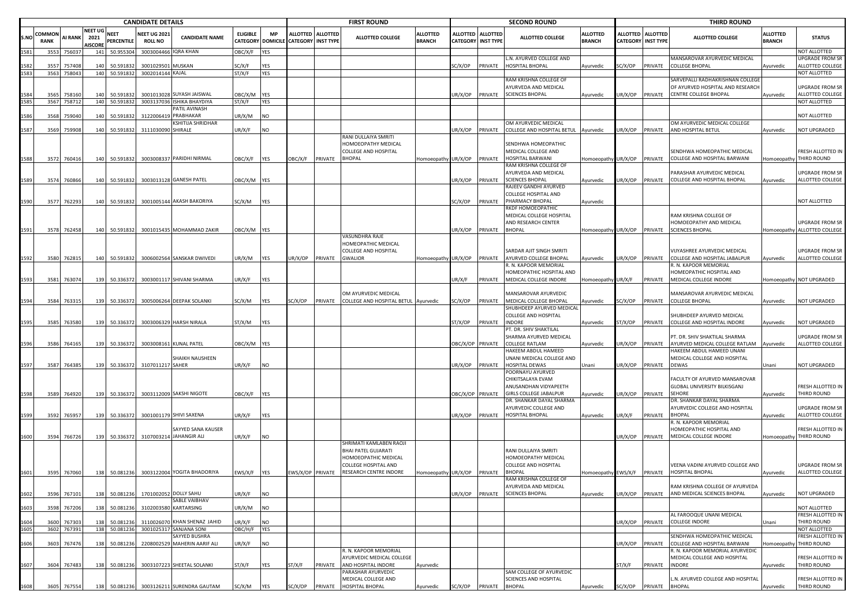|            |                       | <b>CANDIDATE DETAILS</b> |                                          |                       |                                       |                                           |                  |                         |                                              |                 | <b>FIRST ROUND</b>                     |                                  |                                              |                 | <b>SECOND ROUND</b>                                |                                  |         |                                                       | <b>THIRD ROUND</b>                                            |                                  |                                                        |
|------------|-----------------------|--------------------------|------------------------------------------|-----------------------|---------------------------------------|-------------------------------------------|------------------|-------------------------|----------------------------------------------|-----------------|----------------------------------------|----------------------------------|----------------------------------------------|-----------------|----------------------------------------------------|----------------------------------|---------|-------------------------------------------------------|---------------------------------------------------------------|----------------------------------|--------------------------------------------------------|
| S.NO       | COMMOI<br><b>RANK</b> | <b>AI RANK</b>           | <b>NEET UG</b><br>2021<br><b>AISCORE</b> | NEET<br>PERCENTILE    | <b>NEET UG 202:</b><br><b>ROLL NO</b> | <b>CANDIDATE NAME</b>                     | ELIGIBLE         | МP<br>CATEGORY DOMICILE | <b>ALLOTTED</b><br><b>CATEGORY INST TYPE</b> | <b>ALLOTTED</b> | <b>ALLOTTED COLLEGE</b>                | <b>ALLOTTED</b><br><b>BRANCH</b> | <b>ALLOTTED</b><br><b>CATEGORY INST TYPE</b> | <b>ALLOTTED</b> | <b>ALLOTTED COLLEGE</b>                            | <b>ALLOTTED</b><br><b>BRANCH</b> |         | <b>ALLOTTED ALLOTTED</b><br><b>CATEGORY INST TYPE</b> | <b>ALLOTTED COLLEGE</b>                                       | <b>ALLOTTED</b><br><b>BRANCH</b> | <b>STATUS</b>                                          |
| 581        | 3553                  | 756037                   | 141                                      | 50.955304             | 300300446                             | QRA KHAN                                  | OBC/X/F          | YES                     |                                              |                 |                                        |                                  |                                              |                 |                                                    |                                  |         |                                                       |                                                               |                                  | NOT ALLOTTED                                           |
|            |                       |                          |                                          |                       |                                       |                                           |                  |                         |                                              |                 |                                        |                                  |                                              |                 | L.N. AYURVED COLLEGE AND                           |                                  |         |                                                       | MANSAROVAR AYURVEDIC MEDICAL                                  |                                  | <b>UPGRADE FROM SR</b>                                 |
| 587<br>583 | 3557<br>3563          | 757408<br>758043         | 140<br>140                               | 50.59183<br>50.591832 | 3001029501 MUSKAN<br>3002014144 KAJAL |                                           | SC/X/F<br>ST/X/F | YES<br>YES              |                                              |                 |                                        |                                  | SC/X/OP                                      | PRIVATE         | HOSPITAL BHOPAL                                    | Ayurvedic                        | SC/X/OP | PRIVATE                                               | <b>COLLEGE BHOPAL</b>                                         | Ayurvedic                        | ALLOTTED COLLEGE<br>NOT ALLOTTED                       |
|            |                       |                          |                                          |                       |                                       |                                           |                  |                         |                                              |                 |                                        |                                  |                                              |                 | RAM KRISHNA COLLEGE OF                             |                                  |         |                                                       | SARVEPALLI RADHAKRISHNAN COLLEGE                              |                                  |                                                        |
|            |                       |                          |                                          |                       |                                       |                                           |                  |                         |                                              |                 |                                        |                                  |                                              |                 | AYURVEDA AND MEDICAL                               |                                  |         |                                                       | OF AYURVED HOSPITAL AND RESEARCH                              |                                  | <b>UPGRADE FROM SR</b>                                 |
|            | 3565                  | 758160                   | 140                                      | 50.59183              | 300101302                             | SUYASH JAISWAL                            | OBC/X/M          | YES                     |                                              |                 |                                        |                                  | UR/X/OP                                      | PRIVATE         | <b>SCIENCES BHOPAL</b>                             | Ayurvedic                        | JR/X/OP | PRIVATE                                               | CENTRE COLLEGE BHOPAL                                         | Ayurvedic                        | ALLOTTED COLLEGE                                       |
| 585        | 3567                  | 758712                   | 140                                      | 50.591832             | 300313703                             | <b>ISHIKA BHAYDIYA</b>                    | ST/X/F           | YES                     |                                              |                 |                                        |                                  |                                              |                 |                                                    |                                  |         |                                                       |                                                               |                                  | NOT ALLOTTED                                           |
|            |                       |                          |                                          |                       |                                       | PATIL AVINASH                             |                  |                         |                                              |                 |                                        |                                  |                                              |                 |                                                    |                                  |         |                                                       |                                                               |                                  |                                                        |
|            | 3568                  | 759040                   | 140                                      | 50.591832             | 31220064                              | PRABHAKAR<br>KSHITIJA SHRIDHAR            | UR/X/M           | NO                      |                                              |                 |                                        |                                  |                                              |                 |                                                    |                                  |         |                                                       | OM AYURVEDIC MEDICAL COLLEGE                                  |                                  | NOT ALLOTTED                                           |
| 587        |                       | 3569 759908              | 140                                      | 50.591832             | 311103009                             | SHIRALE                                   | UR/X/F           | NO                      |                                              |                 |                                        |                                  | JR/X/OP                                      | PRIVATE         | OM AYURVEDIC MEDICAL<br>COLLEGE AND HOSPITAL BETUL | Ayurvedic                        | JR/X/OP | PRIVATE                                               | AND HOSPITAL BETUL                                            | Ayurvedic                        | NOT UPGRADED                                           |
|            |                       |                          |                                          |                       |                                       |                                           |                  |                         |                                              |                 | RANI DULLAIYA SMRITI                   |                                  |                                              |                 |                                                    |                                  |         |                                                       |                                                               |                                  |                                                        |
|            |                       |                          |                                          |                       |                                       |                                           |                  |                         |                                              |                 | HOMOEOPATHY MEDICAL                    |                                  |                                              |                 | SENDHWA HOMEOPATHIC                                |                                  |         |                                                       |                                                               |                                  |                                                        |
|            |                       |                          |                                          |                       |                                       |                                           |                  |                         |                                              |                 | COLLEGE AND HOSPITAL                   |                                  |                                              |                 | MEDICAL COLLEGE AND                                |                                  |         |                                                       | SENDHWA HOMEOPATHIC MEDICAL                                   |                                  | FRESH ALLOTTED IN                                      |
| 1588       | 3572                  | 760416                   | 140                                      | 50.591832             |                                       | 3003008337 PARIDHI NIRMAL                 | OBC/X/F          | YES                     | OBC/X/F                                      | PRIVATE         | BHOPAL                                 | Homoeopathy UR/X/OP              |                                              | PRIVATE         | HOSPITAL BARWANI                                   | Homoeopathy                      | UR/X/OP | PRIVATE                                               | COLLEGE AND HOSPITAL BARWANI                                  |                                  | Homoeopathy THIRD ROUND                                |
|            |                       |                          |                                          |                       |                                       |                                           |                  |                         |                                              |                 |                                        |                                  |                                              |                 | RAM KRISHNA COLLEGE OF                             |                                  |         |                                                       |                                                               |                                  |                                                        |
| 1589       | 3574                  | 760866                   |                                          | 140 50.591832         |                                       | 3003013128 GANESH PATEL                   | ОВС/Х/М          | YES                     |                                              |                 |                                        |                                  | JR/X/OP                                      | PRIVATE         | AYURVEDA AND MEDICAL<br><b>SCIENCES BHOPAL</b>     | Ayurvedic                        | JR/X/OP | PRIVATE                                               | PARASHAR AYURVEDIC MEDICAL<br>COLLEGE AND HOSPITAL BHOPAL     | Ayurvedic                        | UPGRADE FROM SR<br>ALLOTTED COLLEGE                    |
|            |                       |                          |                                          |                       |                                       |                                           |                  |                         |                                              |                 |                                        |                                  |                                              |                 | RAJEEV GANDHI AYURVED                              |                                  |         |                                                       |                                                               |                                  |                                                        |
|            |                       |                          |                                          |                       |                                       |                                           |                  |                         |                                              |                 |                                        |                                  |                                              |                 | COLLEGE HOSPITAL AND                               |                                  |         |                                                       |                                                               |                                  |                                                        |
| 1590       |                       | 3577 762293              | 140                                      | 50.591832             |                                       | 3001005144 AKASH BAKORIYA                 | SC/X/M           | YES                     |                                              |                 |                                        |                                  | SC/X/OP                                      | PRIVATE         | PHARMACY BHOPAL                                    | Ayurvedic                        |         |                                                       |                                                               |                                  | NOT ALLOTTED                                           |
|            |                       |                          |                                          |                       |                                       |                                           |                  |                         |                                              |                 |                                        |                                  |                                              |                 | RKDF HOMOEOPATHIC                                  |                                  |         |                                                       |                                                               |                                  |                                                        |
|            |                       |                          |                                          |                       |                                       |                                           |                  |                         |                                              |                 |                                        |                                  |                                              |                 | MEDICAL COLLEGE HOSPITAL                           |                                  |         |                                                       | RAM KRISHNA COLLEGE OF                                        |                                  |                                                        |
| 1591       |                       |                          |                                          |                       |                                       |                                           |                  |                         |                                              |                 |                                        |                                  | UR/X/OP                                      |                 | AND RESEARCH CENTER<br><b>BHOPAL</b>               |                                  |         |                                                       | HOMOEOPATHY AND MEDICAL<br><b>SCIENCES BHOPAL</b>             |                                  | <b>UPGRADE FROM SR</b><br>Homoeopathy ALLOTTED COLLEGE |
|            |                       | 3578 762458              |                                          | 140 50.591832         |                                       | 3001015435 MOHAMMAD ZAKIR                 | OBC/X/M YES      |                         |                                              |                 | <b>/ASUNDHRA RAJE</b>                  |                                  |                                              | <b>PRIVATE</b>  |                                                    | Homoeopathy UR/X/OP PRIVATE      |         |                                                       |                                                               |                                  |                                                        |
|            |                       |                          |                                          |                       |                                       |                                           |                  |                         |                                              |                 | HOMEOPATHIC MEDICAL                    |                                  |                                              |                 |                                                    |                                  |         |                                                       |                                                               |                                  |                                                        |
|            |                       |                          |                                          |                       |                                       |                                           |                  |                         |                                              |                 | COLLEGE AND HOSPITAL                   |                                  |                                              |                 | SARDAR AJIT SINGH SMRITI                           |                                  |         |                                                       | VIJYASHREE AYURVEDIC MEDICAL                                  |                                  | <b>UPGRADE FROM SR</b>                                 |
| 592        |                       | 3580 762815              | 140                                      | 50.591832             |                                       | 3006002564 SANSKAR DWIVEDI                | JR/X/M           | YES                     | JR/X/OP                                      | PRIVATE         | <b>GWALIOR</b>                         | Homoeopathy UR/X/OP              |                                              |                 | PRIVATE AYURVED COLLEGE BHOPAL                     | Ayurvedic                        |         | JR/X/OP PRIVATE                                       | COLLEGE AND HOSPITAL JABALPUR                                 | Ayurvedic                        | ALLOTTED COLLEGE                                       |
|            |                       |                          |                                          |                       |                                       |                                           |                  |                         |                                              |                 |                                        |                                  |                                              |                 | R. N. KAPOOR MEMORIAL                              |                                  |         |                                                       | R.N. KAPOOR MEMORIAL                                          |                                  |                                                        |
|            |                       |                          |                                          |                       |                                       |                                           |                  |                         |                                              |                 |                                        |                                  |                                              |                 | HOMEOPATHIC HOSPITAL AND                           |                                  |         |                                                       | HOMEOPATHIC HOSPITAL AND                                      |                                  |                                                        |
| 593        | 3581                  | 763074                   | 139                                      | 50.336372             |                                       | 3003001117 SHIVANI SHARMA                 | UR/X/F           | YES                     |                                              |                 |                                        |                                  | UR/X/F                                       | PRIVATE         | MEDICAL COLLEGE INDORE                             | Homoeopathy                      | UR/X/F  | PRIVATE                                               | MEDICAL COLLEGE INDORE                                        |                                  | Homoeopathy NOT UPGRADED                               |
|            |                       |                          |                                          |                       |                                       |                                           |                  |                         |                                              |                 | OM AYURVEDIC MEDICAL                   |                                  |                                              |                 | MANSAROVAR AYURVEDIC                               |                                  |         |                                                       | MANSAROVAR AYURVEDIC MEDICAL                                  |                                  |                                                        |
| 1594       | 3584                  | 763315                   | 139                                      | 50.336372             |                                       | 3005006264 DEEPAK SOLANKI                 | SC/X/M           | YES                     | SC/X/OP                                      | PRIVATE         | COLLEGE AND HOSPITAL BETUL Ayurvedic   |                                  | C/X/OP                                       | PRIVATE         | MEDICAL COLLEGE BHOPAL                             | Ayurvedic                        | SC/X/OP | PRIVATE                                               | <b>COLLEGE BHOPAL</b>                                         | Ayurvedic                        | NOT UPGRADED                                           |
|            |                       |                          |                                          |                       |                                       |                                           |                  |                         |                                              |                 |                                        |                                  |                                              |                 | SHUBHDEEP AYURVED MEDICAL                          |                                  |         |                                                       |                                                               |                                  |                                                        |
|            |                       |                          |                                          |                       |                                       |                                           |                  |                         |                                              |                 |                                        |                                  |                                              |                 | <b>COLLEGE AND HOSPITAL</b>                        |                                  |         |                                                       | SHUBHDEEP AYURVED MEDICAL                                     |                                  |                                                        |
| 1595       | 3585                  | 763580                   | 139                                      | 50.336372             | 300300632                             | <b>HARSH NIRALA</b>                       | ST/X/M           | YES                     |                                              |                 |                                        |                                  | ST/X/OP                                      | PRIVATE         | INDORE                                             | Ayurvedic                        | ST/X/OP | PRIVATE                                               | COLLEGE AND HOSPITAL INDORE                                   | Ayurvedic                        | NOT UPGRADED                                           |
|            |                       |                          |                                          |                       |                                       |                                           |                  |                         |                                              |                 |                                        |                                  |                                              |                 | PT. DR. SHIV SHAKTILAL<br>SHARMA AYURVED MEDICAL   |                                  |         |                                                       | PT. DR. SHIV SHAKTILAL SHARMA                                 |                                  | <b>UPGRADE FROM SR</b>                                 |
| 596        | 3586                  | 764165                   | 139                                      | 50.336372             |                                       | 3003008161 KUNAL PATEL                    | OBC/X/M          | <b>YES</b>              |                                              |                 |                                        |                                  | OBC/X/OP PRIVATE                             |                 | COLLEGE RATLAM                                     | Ayurvedic                        | JR/X/OP | PRIVATE                                               | AYURVED MEDICAL COLLEGE RATLAM                                | Ayurvedic                        | ALLOTTED COLLEGE                                       |
|            |                       |                          |                                          |                       |                                       |                                           |                  |                         |                                              |                 |                                        |                                  |                                              |                 | HAKEEM ABDUL HAMEED                                |                                  |         |                                                       | HAKEEM ABDUL HAMEED UNANI                                     |                                  |                                                        |
|            |                       |                          |                                          |                       |                                       | SHAIKH NAUSHEEN                           |                  |                         |                                              |                 |                                        |                                  |                                              |                 | JNANI MEDICAL COLLEGE AND                          |                                  |         |                                                       | MEDICAL COLLEGE AND HOSPITAL                                  |                                  |                                                        |
| 1597       | 3587                  | 764385                   | 139                                      | 50.336372             | 310701121                             | <b>SAHER</b>                              | UR/X/F           | NO                      |                                              |                 |                                        |                                  | JR/X/OP                                      | PRIVATE         | <b>IOSPITAL DEWAS</b>                              | Jnani                            | JR/X/OP | PRIVATE                                               | DEWAS                                                         | Unani                            | NOT UPGRADED                                           |
|            |                       |                          |                                          |                       |                                       |                                           |                  |                         |                                              |                 |                                        |                                  |                                              |                 | POORNAYU AYURVED                                   |                                  |         |                                                       |                                                               |                                  |                                                        |
|            |                       |                          |                                          |                       |                                       |                                           |                  |                         |                                              |                 |                                        |                                  |                                              |                 | CHIKITSALAYA EVAM<br>ANUSANDHAN VIDYAPEETH         |                                  |         |                                                       | FACULTY OF AYURVED MANSAROVAR<br>GLOBAL UNIVERSITY BILKISGANJ |                                  | FRESH ALLOTTED IN                                      |
| 598        | 3589                  | 764920                   | 139                                      | 50.336372             |                                       | 3003112009 SAKSHI NIGOTE                  | OBC/X/F          | <b>YES</b>              |                                              |                 |                                        |                                  | BC/X/OP PRIVATE                              |                 | <b>GIRLS COLLEGE JABALPUR</b>                      | Ayurvedic                        | JR/X/OP | PRIVATE                                               | <b>SEHORE</b>                                                 | Ayurvedic                        | THIRD ROUND                                            |
|            |                       |                          |                                          |                       |                                       |                                           |                  |                         |                                              |                 |                                        |                                  |                                              |                 | DR. SHANKAR DAYAL SHARMA                           |                                  |         |                                                       | DR. SHANKAR DAYAL SHARMA                                      |                                  |                                                        |
|            |                       |                          |                                          |                       |                                       |                                           |                  |                         |                                              |                 |                                        |                                  |                                              |                 | AYURVEDIC COLLEGE AND                              |                                  |         |                                                       | AYURVEDIC COLLEGE AND HOSPITAL                                |                                  | <b>UPGRADE FROM SR</b>                                 |
| 1599       | 3592                  | 765957                   | 139                                      | 50.336372             | 300100117                             | SHIVI SAXENA                              | UR/X/F           | YES                     |                                              |                 |                                        |                                  | JR/X/OP                                      | PRIVATE         | <b>IOSPITAL BHOPAL</b>                             | Ayurvedic                        | JR/X/F  | PRIVATE                                               | <b>BHOPAL</b>                                                 | Ayurvedic                        | ALLOTTED COLLEGE                                       |
|            |                       |                          |                                          |                       |                                       |                                           |                  |                         |                                              |                 |                                        |                                  |                                              |                 |                                                    |                                  |         |                                                       | R. N. KAPOOR MEMORIAL                                         |                                  |                                                        |
|            |                       |                          |                                          |                       |                                       | SAYYED SANA KAUSER<br><b>JAHANGIR ALI</b> |                  |                         |                                              |                 |                                        |                                  |                                              |                 |                                                    |                                  |         | PRIVATE                                               | HOMEOPATHIC HOSPITAL AND<br>MEDICAL COLLEGE INDORE            |                                  | FRESH ALLOTTED IN<br>THIRD ROUND                       |
| 600        | 3594                  | 766726                   | 139                                      | 50.336372             | 310700321                             |                                           | UR/X/F           | NO                      |                                              |                 | SHRIMATI KAMLABEN RAOJI                |                                  |                                              |                 |                                                    |                                  | JR/X/OP |                                                       |                                                               | Homoeopathy                      |                                                        |
|            |                       |                          |                                          |                       |                                       |                                           |                  |                         |                                              |                 | BHAI PATEL GUJARATI                    |                                  |                                              |                 | RANI DULLAIYA SMRITI                               |                                  |         |                                                       |                                                               |                                  |                                                        |
|            |                       |                          |                                          |                       |                                       |                                           |                  |                         |                                              |                 | HOMOEOPATHIC MEDICAL                   |                                  |                                              |                 | HOMOEOPATHY MEDICAL                                |                                  |         |                                                       |                                                               |                                  |                                                        |
|            |                       |                          |                                          |                       |                                       |                                           |                  |                         |                                              |                 | COLLEGE HOSPITAL AND                   |                                  |                                              |                 | COLLEGE AND HOSPITAL                               |                                  |         |                                                       | VEENA VADINI AYURVED COLLEGE AND                              |                                  | UPGRADE FROM SR                                        |
| 1601       |                       | 3595 767060              |                                          | 138 50.081236         |                                       | 3003122004 YOGITA BHADORIYA               | EWS/X/F          | YES                     | EWS/X/OP PRIVATE                             |                 | RESEARCH CENTRE INDORE                 | Homoeopathy UR/X/OP              |                                              | PRIVATE         | <b>BHOPAL</b>                                      | Homoeopathy EWS/X/F PRIVATE      |         |                                                       | <b>HOSPITAL BHOPAL</b>                                        | Ayurvedic                        | ALLOTTED COLLEGE                                       |
|            |                       |                          |                                          |                       |                                       |                                           |                  |                         |                                              |                 |                                        |                                  |                                              |                 | AM KRISHNA COLLEGE OF<br>AYURVEDA AND MEDICAL      |                                  |         |                                                       | RAM KRISHNA COLLEGE OF AYURVEDA                               |                                  |                                                        |
| 1602       |                       | 3596 767101              | 138                                      | 50.081236             |                                       | 1701002052 DOLLY SAHU                     | JR/X/F           | NO                      |                                              |                 |                                        |                                  | JR/X/OP                                      |                 | PRIVATE SCIENCES BHOPAL                            | Ayurvedic                        | JR/X/OP | PRIVATE                                               | AND MEDICAL SCIENCES BHOPAL                                   | Ayurvedic                        | NOT UPGRADED                                           |
|            |                       |                          |                                          |                       |                                       | SABLE VAIBHAV                             |                  |                         |                                              |                 |                                        |                                  |                                              |                 |                                                    |                                  |         |                                                       |                                                               |                                  |                                                        |
| 603        | 3598                  | 767206                   | 138                                      | 50.081236             | 310200358                             | KARTARSING                                | JR/X/M           | NO                      |                                              |                 |                                        |                                  |                                              |                 |                                                    |                                  |         |                                                       |                                                               |                                  | NOT ALLOTTED                                           |
|            |                       |                          |                                          |                       |                                       |                                           |                  |                         |                                              |                 |                                        |                                  |                                              |                 |                                                    |                                  |         |                                                       | AL FAROOQUE UNANI MEDICAL                                     |                                  | FRESH ALLOTTED IN                                      |
| 1604       |                       | 3600 767303              | 138                                      | 50.081236             | 311002607                             | KHAN SHENAZ JAHID                         | UR/X/F           | NO                      |                                              |                 |                                        |                                  |                                              |                 |                                                    |                                  | UR/X/OP | PRIVATE                                               | <b>COLLEGE INDORE</b>                                         | Unani                            | THIRD ROUND                                            |
| 1605       |                       | 3602 767391              | 138                                      | 50.081236             | 300102531                             | SANJANA SONI<br>SAYYED BUSHRA             | OBC/H/F          | YES                     |                                              |                 |                                        |                                  |                                              |                 |                                                    |                                  |         |                                                       | SENDHWA HOMEOPATHIC MEDICAL                                   |                                  | NOT ALLOTTED<br>FRESH ALLOTTED IN                      |
| 606        | 3603                  | 767476                   | 138                                      | 50.081236             | 220800252                             | MAHERIN AARIF ALI                         | JR/X/F           | NO                      |                                              |                 |                                        |                                  |                                              |                 |                                                    |                                  | JR/X/OP | PRIVATE                                               | COLLEGE AND HOSPITAL BARWANI                                  | Homoeopathy                      | THIRD ROUND                                            |
|            |                       |                          |                                          |                       |                                       |                                           |                  |                         |                                              |                 | R. N. KAPOOR MEMORIAL                  |                                  |                                              |                 |                                                    |                                  |         |                                                       | R. N. KAPOOR MEMORIAL AYURVEDIC                               |                                  |                                                        |
|            |                       |                          |                                          |                       |                                       |                                           |                  |                         |                                              |                 | AYURVEDIC MEDICAL COLLEGE              |                                  |                                              |                 |                                                    |                                  |         |                                                       | MEDICAL COLLEGE AND HOSPITAL                                  |                                  | FRESH ALLOTTED IN                                      |
| 1607       | 3604                  | 767483                   | 138                                      | 50.081236             |                                       | 3003107223 SHEETAL SOLANKI                | ST/X/F           | YES                     | ST/X/F                                       | PRIVATE         | AND HOSPITAL INDORE                    | Ayurvedic                        |                                              |                 |                                                    |                                  | ST/X/F  | PRIVATE                                               | <b>INDORE</b>                                                 | Ayurvedic                        | THIRD ROUND                                            |
|            |                       |                          |                                          |                       |                                       |                                           |                  |                         |                                              |                 | PARASHAR AYURVEDIC                     |                                  |                                              |                 | SAM COLLEGE OF AYURVEDIC                           |                                  |         |                                                       |                                                               |                                  |                                                        |
| 1608       |                       | 3605 767554              | 138                                      | 50.081236             |                                       | 3003126211 SURENDRA GAUTAM                | SC/X/M           | YES                     | SC/X/OP                                      | PRIVATE         | MEDICAL COLLEGE AND<br>HOSPITAL BHOPAL | Ayurvedic                        | SC/X/OP                                      | PRIVATE BHOPAL  | SCIENCES AND HOSPITAL                              | Ayurvedic                        |         | SC/X/OP PRIVATE                                       | .N. AYURVED COLLEGE AND HOSPITAL<br><b>BHOPAL</b>             | Ayurvedic                        | FRESH ALLOTTED IN<br>THIRD ROUND                       |
|            |                       |                          |                                          |                       |                                       |                                           |                  |                         |                                              |                 |                                        |                                  |                                              |                 |                                                    |                                  |         |                                                       |                                                               |                                  |                                                        |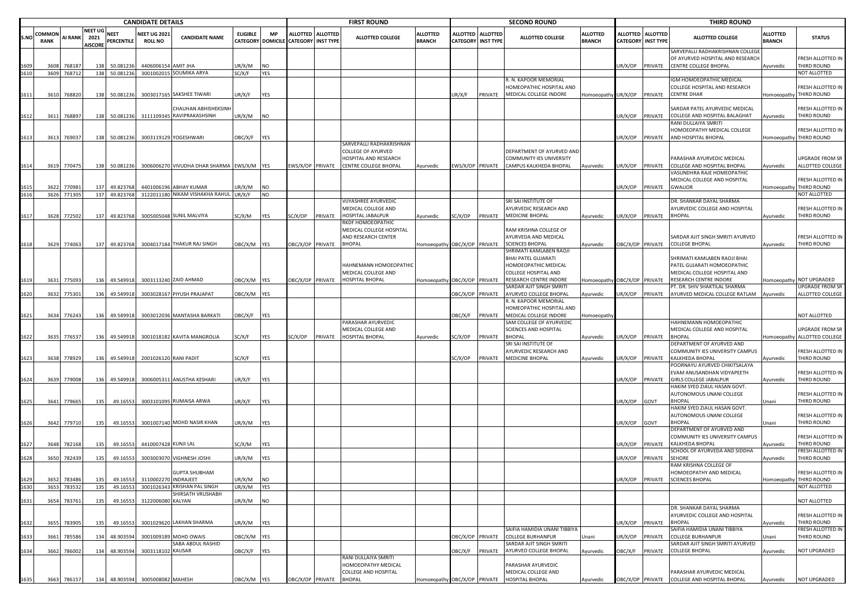|      |                              |             |                                   |                           | <b>CANDIDATE DETAILS</b>              |                                            |                 |                                |                           |                   | <b>FIRST ROUND</b>                            |                                  |                                    |                                     | <b>SECOND ROUND</b>             |                                  |                                              |                 | <b>THIRD ROUND</b>                                                                                   |                           |                                              |
|------|------------------------------|-------------|-----------------------------------|---------------------------|---------------------------------------|--------------------------------------------|-----------------|--------------------------------|---------------------------|-------------------|-----------------------------------------------|----------------------------------|------------------------------------|-------------------------------------|---------------------------------|----------------------------------|----------------------------------------------|-----------------|------------------------------------------------------------------------------------------------------|---------------------------|----------------------------------------------|
| S.NO | <b>COMMON</b><br><b>RANK</b> | AI RANK     | NEET UG<br>2021<br><b>AISCORE</b> | <b>NEET</b><br>PERCENTILE | <b>NEET UG 2021</b><br><b>ROLL NO</b> | <b>CANDIDATE NAME</b>                      | <b>ELIGIBLE</b> | <b>MP</b><br>CATEGORY DOMICILE | <b>CATEGORY INST TYPE</b> | ALLOTTED ALLOTTED | ALLOTTED COLLEGE                              | <b>ALLOTTED</b><br><b>BRANCH</b> | <b>ALLOTTED</b><br><b>CATEGORY</b> | <b>ALLOTTED</b><br><b>INST TYPE</b> | <b>ALLOTTED COLLEGE</b>         | <b>ALLOTTED</b><br><b>BRANCH</b> | <b>ALLOTTED</b><br><b>CATEGORY INST TYPE</b> | <b>ALLOTTED</b> | <b>ALLOTTED COLLEGE</b>                                                                              | ALLOTTED<br><b>BRANCH</b> | <b>STATUS</b>                                |
| 1609 | 3608                         | 76818       |                                   | 50.081236                 | 4406006154                            | <b>AMIT JHA</b>                            | JR/X/M          | NO                             |                           |                   |                                               |                                  |                                    |                                     |                                 |                                  | UR/X/OP                                      | PRIVATE         | SARVEPALLI RADHAKRISHNAN COLLEGE<br>OF AYURVED HOSPITAL AND RESEARCH<br><b>CENTRE COLLEGE BHOPAL</b> | Ayurvedic                 | FRESH ALLOTTED IN<br>THIRD ROUND             |
| 1610 | 3609                         | 768712      | 138                               | 50.081236                 |                                       | 3001002015 SOUMIKA ARYA                    | SC/X/F          | YES                            |                           |                   |                                               |                                  |                                    |                                     |                                 |                                  |                                              |                 |                                                                                                      |                           | NOT ALLOTTED                                 |
|      |                              |             |                                   |                           |                                       |                                            |                 |                                |                           |                   |                                               |                                  |                                    |                                     | R. N. KAPOOR MEMORIAL           |                                  |                                              |                 | IGM HOMOEOPATHIC MEDICAL                                                                             |                           |                                              |
|      |                              |             |                                   |                           |                                       |                                            |                 |                                |                           |                   |                                               |                                  |                                    |                                     | HOMEOPATHIC HOSPITAL AND        |                                  |                                              |                 | COLLEGE HOSPITAL AND RESEARCH                                                                        |                           | FRESH ALLOTTED IN                            |
| 1611 | 3610                         | 768820      | 138                               | 50.081236                 |                                       | 3003017165 SAKSHEE TIWARI                  | UR/X/F          | YES                            |                           |                   |                                               |                                  | JR/X/F                             | PRIVATE                             | MEDICAL COLLEGE INDORE          | Homoeopathy UR/X/OP              |                                              | PRIVATE         | <b>CENTRE DHAR</b>                                                                                   | Homoeopathy               | THIRD ROUND                                  |
|      |                              |             |                                   |                           |                                       |                                            |                 |                                |                           |                   |                                               |                                  |                                    |                                     |                                 |                                  |                                              |                 |                                                                                                      |                           |                                              |
|      |                              |             |                                   |                           |                                       | CHAUHAN ABHISHEKSINI                       |                 |                                |                           |                   |                                               |                                  |                                    |                                     |                                 |                                  |                                              |                 | SARDAR PATEL AYURVEDIC MEDICAL                                                                       |                           | FRESH ALLOTTED IN                            |
| 1612 |                              | 3611 768897 | 138                               | 50.081236                 |                                       | 3111109345 RAVIPRAKASHSINH                 | UR/X/M          | <b>NO</b>                      |                           |                   |                                               |                                  |                                    |                                     |                                 |                                  | UR/X/OP                                      | PRIVATE         | COLLEGE AND HOSPITAL BALAGHAT                                                                        | Ayurvedic                 | THIRD ROUND                                  |
|      |                              |             |                                   |                           |                                       |                                            |                 |                                |                           |                   |                                               |                                  |                                    |                                     |                                 |                                  |                                              |                 | RANI DULLAIYA SMRITI                                                                                 |                           |                                              |
|      |                              |             |                                   |                           |                                       |                                            |                 |                                |                           |                   |                                               |                                  |                                    |                                     |                                 |                                  |                                              |                 | HOMOEOPATHY MEDICAL COLLEGE                                                                          |                           | FRESH ALLOTTED IN                            |
| 1613 | 3613                         | 769037      | 138                               | 50.081236                 |                                       | 3003119129 YOGESHWARI                      | OBC/X/F         | YES                            |                           |                   |                                               |                                  |                                    |                                     |                                 |                                  | UR/X/OP                                      | PRIVATE         | AND HOSPITAL BHOPAL                                                                                  |                           | Homoeopathy THIRD ROUND                      |
|      |                              |             |                                   |                           |                                       |                                            |                 |                                |                           |                   | SARVEPALLI RADHAKRISHNAN                      |                                  |                                    |                                     |                                 |                                  |                                              |                 |                                                                                                      |                           |                                              |
|      |                              |             |                                   |                           |                                       |                                            |                 |                                |                           |                   | COLLEGE OF AYURVED                            |                                  |                                    |                                     | DEPARTMENT OF AYURVED AND       |                                  |                                              |                 |                                                                                                      |                           |                                              |
|      |                              |             |                                   |                           |                                       |                                            |                 |                                |                           |                   | HOSPITAL AND RESEARCH                         |                                  |                                    |                                     | <b>COMMUNITY IES UNIVERSITY</b> |                                  |                                              |                 | PARASHAR AYURVEDIC MEDICAL                                                                           |                           | <b>UPGRADE FROM SR</b>                       |
|      | 3619                         | 770475      | 138                               | 50.081236                 |                                       | 3006006270 VIVUDHA DHAR SHARMA EWS/X/M YES |                 |                                | EWS/X/OP PRIVATE          |                   | CENTRE COLLEGE BHOPAL                         | Ayurvedic                        |                                    | WS/X/OP PRIVATE                     | CAMPUS KALKHEDA BHOPAL          | Ayurvedic                        | UR/X/OP                                      | PRIVATE         | COLLEGE AND HOSPITAL BHOPAL                                                                          | Ayurvedic                 | ALLOTTED COLLEGE                             |
|      |                              |             |                                   |                           |                                       |                                            |                 |                                |                           |                   |                                               |                                  |                                    |                                     |                                 |                                  |                                              |                 | ASUNDHRA RAJE HOMEOPATHIC                                                                            |                           |                                              |
|      |                              |             |                                   |                           |                                       |                                            |                 |                                |                           |                   |                                               |                                  |                                    |                                     |                                 |                                  |                                              |                 | MEDICAL COLLEGE AND HOSPITAL                                                                         |                           | FRESH ALLOTTED IN                            |
|      | 3622                         | 77098       | 137                               | 49.823768                 | 4401006196                            | <b>ABHAY KUMAR</b>                         | JR/X/M          | NO                             |                           |                   |                                               |                                  |                                    |                                     |                                 |                                  | UR/X/OP                                      | PRIVATE         | <b>GWALIOR</b>                                                                                       | Homoeopathy               | THIRD ROUND                                  |
|      |                              | 3626 771305 |                                   | 137 49.823768             |                                       | 3122011180 NIKAM VISHAKHA RAHUL            | JR/X/F          | NO                             |                           |                   |                                               |                                  |                                    |                                     |                                 |                                  |                                              |                 |                                                                                                      |                           | NOT ALLOTTED                                 |
|      |                              |             |                                   |                           |                                       |                                            |                 |                                |                           |                   | VIJYASHREE AYURVEDIC                          |                                  |                                    |                                     | SRI SAI INSTITUTE OF            |                                  |                                              |                 | DR. SHANKAR DAYAL SHARMA                                                                             |                           |                                              |
|      |                              |             |                                   |                           |                                       |                                            |                 |                                |                           |                   | MEDICAL COLLEGE AND                           |                                  |                                    |                                     | AYURVEDIC RESEARCH AND          |                                  |                                              |                 | AYURVEDIC COLLEGE AND HOSPITAL                                                                       |                           | FRESH ALLOTTED IN                            |
| 1617 |                              | 3628 772502 |                                   | 137 49.823768             |                                       | 3005005048 SUNIL MALVIYA                   | SC/X/M          | YES                            | C/X/OP                    | PRIVATE           | HOSPITAL JABALPUR                             | Ayurvedic                        | SC/X/OP                            |                                     | PRIVATE MEDICINE BHOPAL         | Ayurvedic                        | UR/X/OP                                      | PRIVATE         | <b>BHOPAL</b>                                                                                        | Ayurvedic                 | THIRD ROUND                                  |
|      |                              |             |                                   |                           |                                       |                                            |                 |                                |                           |                   | RKDF HOMOEOPATHIO<br>MEDICAL COLLEGE HOSPITAL |                                  |                                    |                                     | RAM KRISHNA COLLEGE OF          |                                  |                                              |                 |                                                                                                      |                           |                                              |
|      |                              |             |                                   |                           |                                       |                                            |                 |                                |                           |                   | AND RESEARCH CENTER                           |                                  |                                    |                                     | AYURVEDA AND MEDICAL            |                                  |                                              |                 | SARDAR AJIT SINGH SMRITI AYURVED                                                                     |                           | FRESH ALLOTTED IN                            |
| 1618 |                              | 3629 774063 | 137                               | 49.823768                 |                                       | 3004017184 THAKUR RAJ SINGH                | DBC/X/M         | YES                            |                           | OBC/X/OP PRIVATE  | <b>BHOPAL</b>                                 | Homoeopathy OBC/X/OP PRIVATE     |                                    |                                     | <b>SCIENCES BHOPAL</b>          | Ayurvedic                        |                                              |                 | OBC/X/OP PRIVATE COLLEGE BHOPAL                                                                      | Ayurvedic                 | THIRD ROUND                                  |
|      |                              |             |                                   |                           |                                       |                                            |                 |                                |                           |                   |                                               |                                  |                                    |                                     | SHRIMATI KAMLABEN RAOJI         |                                  |                                              |                 |                                                                                                      |                           |                                              |
|      |                              |             |                                   |                           |                                       |                                            |                 |                                |                           |                   |                                               |                                  |                                    |                                     | <b>BHAI PATEL GUJARATI</b>      |                                  |                                              |                 | SHRIMATI KAMLABEN RAOJI BHAI                                                                         |                           |                                              |
|      |                              |             |                                   |                           |                                       |                                            |                 |                                |                           |                   | HAHNEMANN HOMOEOPATHIC                        |                                  |                                    |                                     | HOMOEOPATHIC MEDICAL            |                                  |                                              |                 | PATEL GUJARATI HOMOEOPATHIC                                                                          |                           |                                              |
|      |                              |             |                                   |                           |                                       |                                            |                 |                                |                           |                   | MEDICAL COLLEGE AND                           |                                  |                                    |                                     | COLLEGE HOSPITAL AND            |                                  |                                              |                 | MEDICAL COLLEGE HOSPITAL AND                                                                         |                           |                                              |
|      | 3631                         | 775093      | 136                               | 49.549918                 |                                       | 3003113240 ZAID AHMAD                      | OBC/X/M         | YES                            | OBC/X/OP PRIVATE          |                   | <b>HOSPITAL BHOPAL</b>                        | Homoeopathy OBC/X/OP             |                                    | PRIVATE                             | RESEARCH CENTRE INDORE          | Homoeopathy OBC/X/OP PRIVATE     |                                              |                 | RESEARCH CENTRE INDORE                                                                               |                           | Homoeopathy NOT UPGRADED                     |
|      |                              |             |                                   |                           |                                       |                                            |                 |                                |                           |                   |                                               |                                  |                                    |                                     | SARDAR AJIT SINGH SMRITI        |                                  |                                              |                 | PT. DR. SHIV SHAKTILAL SHARMA                                                                        |                           | UPGRADE FROM SR                              |
| 1620 |                              | 3632 775301 | 136                               | 49.549918                 | 300302816                             | PIYUSH PRAJAPAT                            | OBC/X/M YES     |                                |                           |                   |                                               |                                  | <b>DBC/X/OP</b>                    | PRIVATE                             | AYURVED COLLEGE BHOPAL          | Ayurvedic                        | UR/X/OP                                      | PRIVATE         | AYURVED MEDICAL COLLEGE RATLAM                                                                       | Ayurvedic                 | ALLOTTED COLLEGE                             |
|      |                              |             |                                   |                           |                                       |                                            |                 |                                |                           |                   |                                               |                                  |                                    |                                     | R. N. KAPOOR MEMORIAL           |                                  |                                              |                 |                                                                                                      |                           |                                              |
|      |                              |             |                                   |                           |                                       |                                            |                 |                                |                           |                   |                                               |                                  |                                    |                                     | HOMEOPATHIC HOSPITAL AND        |                                  |                                              |                 |                                                                                                      |                           |                                              |
| 1621 |                              | 3634 776243 | 136                               | 49.549918                 |                                       | 3003012036 MANTASHA BARKATI                | )BC/X/F         | YES                            |                           |                   |                                               |                                  | )BC/X/F                            | PRIVATE                             | MEDICAL COLLEGE INDORE          | Homoeopathy                      |                                              |                 |                                                                                                      |                           | NOT ALLOTTED                                 |
|      |                              |             |                                   |                           |                                       |                                            |                 |                                |                           |                   | PARASHAR AYURVEDIC                            |                                  |                                    |                                     | SAM COLLEGE OF AYURVEDIC        |                                  |                                              |                 | HAHNEMANN HOMOEOPATHIC                                                                               |                           |                                              |
|      |                              |             |                                   |                           |                                       |                                            |                 |                                |                           |                   | MEDICAL COLLEGE AND                           |                                  |                                    |                                     | SCIENCES AND HOSPITAL           |                                  |                                              |                 | MEDICAL COLLEGE AND HOSPITAL                                                                         |                           | UPGRADE FROM SR                              |
| 1622 |                              | 3635 776537 | 136                               | 49.549918                 |                                       | 3001018182 KAVITA MANGROLIA                | SC/X/F          | YES                            | SC/X/OP                   | PRIVATE           | HOSPITAL BHOPAL                               | Ayurvedic                        | SC/X/OP                            | PRIVATE                             | <b>BHOPAL</b>                   | Ayurvedic                        | UR/X/OP                                      | PRIVATE         | <b>BHOPAL</b>                                                                                        |                           | Homoeopathy ALLOTTED COLLEGE                 |
|      |                              |             |                                   |                           |                                       |                                            |                 |                                |                           |                   |                                               |                                  |                                    |                                     | SRI SAI INSTITUTE OF            |                                  |                                              |                 | DEPARTMENT OF AYURVED AND                                                                            |                           |                                              |
|      |                              |             |                                   |                           |                                       |                                            |                 |                                |                           |                   |                                               |                                  |                                    |                                     | AYURVEDIC RESEARCH AND          |                                  |                                              |                 | COMMUNITY IES UNIVERSITY CAMPUS                                                                      |                           | FRESH ALLOTTED IN                            |
| 1623 |                              | 3638 778929 | 136                               | 49.549918                 |                                       | 2001026120 RANI PADIT                      | SC/X/F          | YES                            |                           |                   |                                               |                                  | SC/X/OP                            | PRIVATE                             | <b>MEDICINE BHOPAL</b>          | Ayurvedic                        | UR/X/OP                                      | PRIVATE         | KALKHEDA BHOPAL                                                                                      | Ayurvedic                 | THIRD ROUND                                  |
|      |                              |             |                                   |                           |                                       |                                            |                 |                                |                           |                   |                                               |                                  |                                    |                                     |                                 |                                  |                                              |                 | POORNAYU AYURVED CHIKITSALAYA                                                                        |                           |                                              |
|      |                              |             |                                   |                           |                                       |                                            |                 |                                |                           |                   |                                               |                                  |                                    |                                     |                                 |                                  |                                              |                 | EVAM ANUSANDHAN VIDYAPEETH                                                                           |                           | FRESH ALLOTTED IN                            |
| 1624 |                              | 3639 779008 | 136                               | 49.549918                 |                                       | 3006005311 ANUSTHA KESHARI                 | JR/X/F          | YES                            |                           |                   |                                               |                                  |                                    |                                     |                                 |                                  | JR/X/OP                                      | PRIVATE         | <b>GIRLS COLLEGE JABALPUR</b>                                                                        | Ayurvedic                 | THIRD ROUND                                  |
|      |                              |             |                                   |                           |                                       |                                            |                 |                                |                           |                   |                                               |                                  |                                    |                                     |                                 |                                  |                                              |                 | HAKIM SYED ZIAUL HASAN GOVT.                                                                         |                           |                                              |
|      |                              |             |                                   |                           |                                       |                                            |                 |                                |                           |                   |                                               |                                  |                                    |                                     |                                 |                                  |                                              |                 | AUTONOMOUS UNANI COLLEGE                                                                             |                           | FRESH ALLOTTED IN                            |
| 1625 |                              | 3641 779665 | 135                               | 49.16553                  |                                       | 3003101095 RUMAISA ARWA                    | UR/X/F          | YES                            |                           |                   |                                               |                                  |                                    |                                     |                                 |                                  | JR/X/OP                                      | GOVT            | <b>BHOPAL</b>                                                                                        | Jnani                     | THIRD ROUND                                  |
|      |                              |             |                                   |                           |                                       |                                            |                 |                                |                           |                   |                                               |                                  |                                    |                                     |                                 |                                  |                                              |                 | HAKIM SYED ZIAUL HASAN GOVT.                                                                         |                           |                                              |
|      |                              |             |                                   |                           |                                       |                                            |                 |                                |                           |                   |                                               |                                  |                                    |                                     |                                 |                                  |                                              |                 | AUTONOMOUS UNANI COLLEGE                                                                             |                           | FRESH ALLOTTED IN                            |
| 1626 | 3642                         | 779710      | 135                               | 49.16553                  |                                       | 3001007140 MOHD NASIR KHAN                 | JR/X/M          | YES                            |                           |                   |                                               |                                  |                                    |                                     |                                 |                                  | UR/X/OP                                      | GOVT            | BHOPAL                                                                                               | Jnani                     | THIRD ROUND                                  |
|      |                              |             |                                   |                           |                                       |                                            |                 |                                |                           |                   |                                               |                                  |                                    |                                     |                                 |                                  |                                              |                 | DEPARTMENT OF AYURVED AND                                                                            |                           |                                              |
|      |                              |             |                                   |                           |                                       |                                            |                 |                                |                           |                   |                                               |                                  |                                    |                                     |                                 |                                  |                                              |                 | COMMUNITY IES UNIVERSITY CAMPUS                                                                      |                           | FRESH ALLOTTED IN                            |
|      | 3648                         | 782168      | 135                               | 49.16553                  | 4410007428 KUNJI LAL                  |                                            | SC/X/M          | YES                            |                           |                   |                                               |                                  |                                    |                                     |                                 |                                  | JR/X/OP                                      | PRIVATE         | KALKHEDA BHOPAL                                                                                      | <b>Nyurvedic</b>          | THIRD ROUND                                  |
|      |                              |             |                                   |                           |                                       |                                            |                 |                                |                           |                   |                                               |                                  |                                    |                                     |                                 |                                  |                                              |                 | SCHOOL OF AYURVEDA AND SIDDHA                                                                        |                           | FRESH ALLOTTED IN                            |
| 1628 | 3650                         | 782439      | 135                               | 49.16553                  |                                       | 3003003070 VIGHNESH JOSHI                  | JR/X/M          | YES                            |                           |                   |                                               |                                  |                                    |                                     |                                 |                                  | JR/X/OP                                      | PRIVATE         | SEHORE                                                                                               | Ayurvedic                 | THIRD ROUND                                  |
|      |                              |             |                                   |                           |                                       |                                            |                 |                                |                           |                   |                                               |                                  |                                    |                                     |                                 |                                  |                                              |                 | RAM KRISHNA COLLEGE OF                                                                               |                           |                                              |
| 1629 |                              | 3652 783486 |                                   |                           | 135 49.16553 3110002270 INDRAJEET     | <b>GUPTA SHUBHAM</b>                       | UR/X/M          | <b>NO</b>                      |                           |                   |                                               |                                  |                                    |                                     |                                 |                                  | UR/X/OP                                      |                 | HOMOEOPATHY AND MEDICAL<br>PRIVATE SCIENCES BHOPAL                                                   |                           | FRESH ALLOTTED IN<br>Homoeonathy THIRD ROUND |
| 1630 |                              |             |                                   |                           |                                       | <b>KRISHAN PAL SINGH</b>                   |                 | YES                            |                           |                   |                                               |                                  |                                    |                                     |                                 |                                  |                                              |                 |                                                                                                      |                           |                                              |
|      | 3653                         | 783532      | 135                               | 49.16553                  | 3001026343                            | <b>HIRSATH VRUSHABH</b>                    | UR/X/M          |                                |                           |                   |                                               |                                  |                                    |                                     |                                 |                                  |                                              |                 |                                                                                                      |                           | NOT ALLOTTED                                 |
|      |                              | 3654 783761 | 135                               | 49.16553                  | 3122006080 KALYAN                     |                                            | UR/X/M          | <b>NO</b>                      |                           |                   |                                               |                                  |                                    |                                     |                                 |                                  |                                              |                 |                                                                                                      |                           | NOT ALLOTTED                                 |
| 1631 |                              |             |                                   |                           |                                       |                                            |                 |                                |                           |                   |                                               |                                  |                                    |                                     |                                 |                                  |                                              |                 | DR. SHANKAR DAYAL SHARMA                                                                             |                           |                                              |
|      |                              |             |                                   |                           |                                       |                                            |                 |                                |                           |                   |                                               |                                  |                                    |                                     |                                 |                                  |                                              |                 | AYURVEDIC COLLEGE AND HOSPITAL                                                                       |                           | FRESH ALLOTTED IN                            |
| 1632 | 3655                         | 783905      | 135                               | 49.16553                  | 300102962                             | <b>LAKHAN SHARMA</b>                       | JR/X/M          | YES                            |                           |                   |                                               |                                  |                                    |                                     |                                 |                                  | JR/X/OP                                      | PRIVATE         | <b>BHOPAL</b>                                                                                        | Ayurvedic                 | THIRD ROUND                                  |
|      |                              |             |                                   |                           |                                       |                                            |                 |                                |                           |                   |                                               |                                  |                                    |                                     | SAIFIA HAMIDIA UNANI TIBBIYA    |                                  |                                              |                 | SAIFIA HAMIDIA UNANI TIBBIYA                                                                         |                           | FRESH ALLOTTED IN                            |
| 1633 |                              | 3661 785586 | 134                               | 48.903594                 | 3001009189                            | <b>MOHD OWAIS</b>                          | OBC/X/M         | YES                            |                           |                   |                                               |                                  | <b>DBC/X/OP</b>                    | PRIVATE                             | <b>COLLEGE BURHANPUR</b>        | Jnani                            | UR/X/OP                                      | PRIVATE         | COLLEGE BURHANPUR                                                                                    | Jnani                     | THIRD ROUND                                  |
|      |                              |             |                                   |                           |                                       | SABA ABDUL RASHID                          |                 |                                |                           |                   |                                               |                                  |                                    |                                     | SARDAR AJIT SINGH SMRITI        |                                  |                                              |                 | SARDAR AJIT SINGH SMRITI AYURVED                                                                     |                           |                                              |
| 1634 |                              | 3662 786002 | 134                               | 48.903594                 | 3003118102 KAUSAR                     |                                            | OBC/X/F         | YES                            |                           |                   |                                               |                                  | DBC/X/F                            | PRIVATE                             | AYURVED COLLEGE BHOPAL          | Ayurvedic                        | OBC/X/F                                      | PRIVATE         | COLLEGE BHOPAL                                                                                       | Ayurvedic                 | NOT UPGRADED                                 |
|      |                              |             |                                   |                           |                                       |                                            |                 |                                |                           |                   | RANI DULLAIYA SMRITI                          |                                  |                                    |                                     |                                 |                                  |                                              |                 |                                                                                                      |                           |                                              |
|      |                              |             |                                   |                           |                                       |                                            |                 |                                |                           |                   | HOMOEOPATHY MEDICAL                           |                                  |                                    |                                     | PARASHAR AYURVEDIC              |                                  |                                              |                 |                                                                                                      |                           |                                              |
|      |                              |             |                                   |                           |                                       |                                            |                 |                                |                           |                   | COLLEGE AND HOSPITAL                          |                                  |                                    |                                     | MEDICAL COLLEGE AND             |                                  |                                              |                 | PARASHAR AYURVEDIC MEDICAL                                                                           |                           |                                              |
| 1635 |                              | 3663 786157 | 134                               | 48.903594                 | 3005008082 MAHESH                     |                                            | OBC/X/M         | YES                            | OBC/X/OP PRIVATE          |                   | <b>BHOPAL</b>                                 | Homoeopathy OBC/X/OP PRIVATE     |                                    |                                     | HOSPITAL BHOPAL                 | Ayurvedic                        | OBC/X/OP PRIVATE                             |                 | COLLEGE AND HOSPITAL BHOPAL                                                                          | Ayurvedic                 | <b>NOT UPGRADED</b>                          |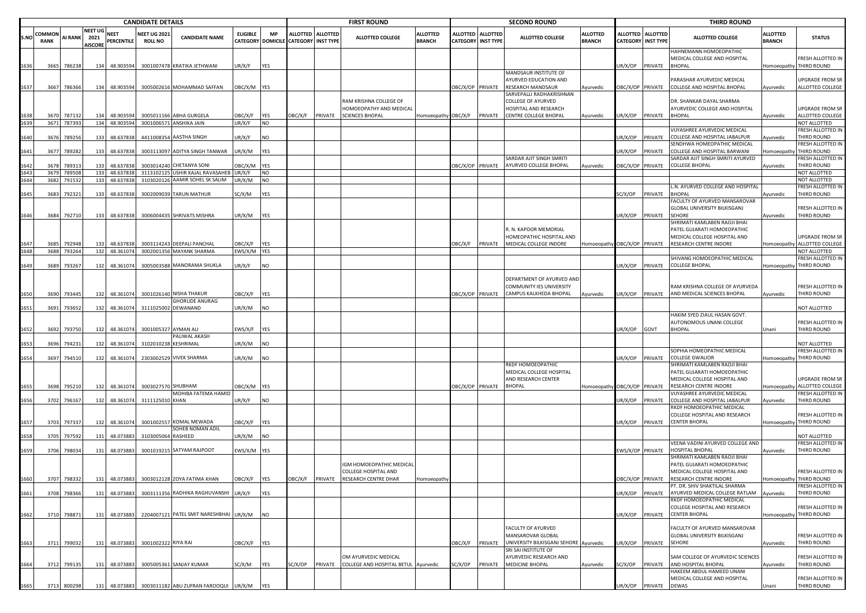|              |                       |                  |                                  |                           | <b>CANDIDATE DETAILS</b>             |                                                                            |                   |                  |                                      |                   | <b>FIRST ROUND</b>                                           |                                  |                             |                                     | <b>SECOND ROUND</b>                                                        |                                  |                  |                                                | <b>THIRD ROUND</b>                                                                          |                                  |                                                       |
|--------------|-----------------------|------------------|----------------------------------|---------------------------|--------------------------------------|----------------------------------------------------------------------------|-------------------|------------------|--------------------------------------|-------------------|--------------------------------------------------------------|----------------------------------|-----------------------------|-------------------------------------|----------------------------------------------------------------------------|----------------------------------|------------------|------------------------------------------------|---------------------------------------------------------------------------------------------|----------------------------------|-------------------------------------------------------|
| <b>S.NC</b>  | COMMOI<br><b>RANK</b> | AI RANK 2021     | <b>NEET UG</b><br><b>AISCORI</b> | <b>NEET</b><br>PERCENTILE | <b>NEET UG 202</b><br><b>ROLL NO</b> | <b>CANDIDATE NAME</b>                                                      | <b>ELIGIBLE</b>   | <b>MP</b>        | CATEGORY DOMICILE CATEGORY INST TYPE | ALLOTTED ALLOTTED | ALLOTTED COLLEGE                                             | <b>ALLOTTED</b><br><b>BRANCH</b> | ALLOTTED<br><b>CATEGORY</b> | <b>ALLOTTED</b><br><b>INST TYPE</b> | <b>ALLOTTED COLLEGE</b>                                                    | <b>ALLOTTED</b><br><b>BRANCH</b> |                  | ALLOTTED ALLOTTED<br><b>CATEGORY INST TYPE</b> | <b>ALLOTTED COLLEGE</b>                                                                     | <b>ALLOTTED</b><br><b>BRANCH</b> | <b>STATUS</b>                                         |
| 1636         | 3665                  | 786238           | 134                              | 48.903594                 |                                      | 3001007478 KRATIKA JETHWANI                                                | UR/X/F            | <b>YES</b>       |                                      |                   |                                                              |                                  |                             |                                     |                                                                            |                                  | JR/X/OP          | PRIVATE                                        | HAHNEMANN HOMOEOPATHIC<br>MEDICAL COLLEGE AND HOSPITAL<br><b>BHOPAL</b>                     |                                  | FRESH ALLOTTED IN<br>Homoeopathy THIRD ROUND          |
| 1637         | 3667                  | 786366           | 134                              | 48.903594                 |                                      | 3005002616 MOHAMMAD SAFFAN                                                 | OBC/X/M YES       |                  |                                      |                   |                                                              |                                  | OBC/X/OP PRIVATE            |                                     | MANDSAUR INSTITUTE OF<br>AYURVED EDUCATION AND<br><b>RESEARCH MANDSAUR</b> | Ayurvedic                        | OBC/X/OP PRIVATE |                                                | PARASHAR AYURVEDIC MEDICAL<br>COLLEGE AND HOSPITAL BHOPAL                                   | Ayurvedic                        | UPGRADE FROM SR<br>ALLOTTED COLLEGE                   |
|              |                       |                  |                                  |                           |                                      |                                                                            |                   |                  |                                      |                   | RAM KRISHNA COLLEGE OF<br>HOMOEOPATHY AND MEDICAL            |                                  |                             |                                     | SARVEPALLI RADHAKRISHNAN<br>COLLEGE OF AYURVED<br>HOSPITAL AND RESEARCH    |                                  |                  |                                                | DR. SHANKAR DAYAL SHARMA<br>AYURVEDIC COLLEGE AND HOSPITAL                                  |                                  | UPGRADE FROM SR                                       |
| 1638         | 3670<br>3671          | 787132<br>787393 | 134<br>134                       | 48.903594<br>48.903594    |                                      | 3005011166 ABHA GURGELA<br>3001006571 ANSHIKA JAIN                         | OBC/X/F<br>JR/X/F | YES<br><b>NO</b> | OBC/X/F                              | PRIVATE           | <b>SCIENCES BHOPAL</b>                                       | Homoeopathy OBC/X/F              |                             | PRIVATE                             | CENTRE COLLEGE BHOPAL                                                      | Ayurvedic                        | JR/X/OP          | PRIVATE                                        | <b>BHOPAL</b>                                                                               | Ayurvedic                        | ALLOTTED COLLEGE<br>NOT ALLOTTED                      |
| 1640         | 3676                  | 789256           | 133                              | 48.637838                 |                                      | 4411008354 AASTHA SINGH                                                    | UR/X/F            | <b>NO</b>        |                                      |                   |                                                              |                                  |                             |                                     |                                                                            |                                  | JR/X/OP          | PRIVATE                                        | VIJYASHREE AYURVEDIC MEDICAL<br>COLLEGE AND HOSPITAL JABALPUR<br>ENDHWA HOMEOPATHIC MEDICAL | Ayurvedic                        | FRESH ALLOTTED IN<br>THIRD ROUND<br>FRESH ALLOTTED IN |
| 1641         | 3677                  | 789282           | 133                              | 48.637838                 | 3003113097                           | ADITYA SINGH TANWAR                                                        | UR/X/M            | <b>YES</b>       |                                      |                   |                                                              |                                  |                             |                                     | SARDAR AJIT SINGH SMRITI                                                   |                                  | JR/X/OP          | PRIVATE                                        | COLLEGE AND HOSPITAL BARWANI<br>SARDAR AJIT SINGH SMRITI AYURVED                            | Homoeopathy                      | THIRD ROUND<br>FRESH ALLOTTED IN                      |
| 1642         | 367                   | 78931            | 133                              | 48.637838                 |                                      | 3003014240 CHETANYA SONI                                                   | OBC/X/M           | <b>YES</b>       |                                      |                   |                                                              |                                  | <b>DBC/X/OP PRIVATE</b>     |                                     | AYURVED COLLEGE BHOPAL                                                     | Ayurvedic                        | OBC/X/OP         | PRIVATE                                        | <b>COLLEGE BHOPAL</b>                                                                       | Ayurvedic                        | THIRD ROUND                                           |
| 1643<br>1644 | 3679                  | 789508           | 133                              | 48.637838                 |                                      | 3113102125 USHIR KAJAL RAVASAHEB UR/X/F<br>3103020126 AAMIR SOHEL SK SALIM |                   | <b>NO</b>        |                                      |                   |                                                              |                                  |                             |                                     |                                                                            |                                  |                  |                                                |                                                                                             |                                  | NOT ALLOTTED<br>NOT ALLOTTED                          |
|              | 3682                  | 791532           | 133                              | 48.637838                 |                                      |                                                                            | UR/X/M            | <b>NO</b>        |                                      |                   |                                                              |                                  |                             |                                     |                                                                            |                                  |                  |                                                | L.N. AYURVED COLLEGE AND HOSPITAL                                                           |                                  | FRESH ALLOTTED IN                                     |
| 1645         | 3683                  | 792321           | 133                              | 48.637838                 |                                      | 3002009039 TARUN MATHUR                                                    | SC/X/M            | <b>YES</b>       |                                      |                   |                                                              |                                  |                             |                                     |                                                                            |                                  | SC/X/OP          | PRIVATE                                        | <b>BHOPAL</b><br>FACULTY OF AYURVED MANSAROVAR                                              | Ayurvedic                        | THIRD ROUND                                           |
|              |                       |                  |                                  |                           |                                      |                                                                            |                   |                  |                                      |                   |                                                              |                                  |                             |                                     |                                                                            |                                  |                  |                                                | GLOBAL UNIVERSITY BILKISGANJ                                                                |                                  | FRESH ALLOTTED IN                                     |
| 1646         |                       | 3684 792710      | 133                              | 48.637838                 |                                      | 3006004435 SHRIVATS MISHRA                                                 | UR/X/M            | <b>YES</b>       |                                      |                   |                                                              |                                  |                             |                                     |                                                                            |                                  | JR/X/OP          | PRIVATE                                        | EHORE<br>SHRIMATI KAMLABEN RAOJI BHAI                                                       | Ayurvedic                        | THIRD ROUND                                           |
|              |                       |                  |                                  |                           |                                      |                                                                            |                   |                  |                                      |                   |                                                              |                                  |                             |                                     | R. N. KAPOOR MEMORIAL                                                      |                                  |                  |                                                | PATEL GUJARATI HOMOEOPATHIC                                                                 |                                  |                                                       |
|              |                       |                  |                                  |                           |                                      |                                                                            |                   |                  |                                      |                   |                                                              |                                  |                             |                                     | HOMEOPATHIC HOSPITAL AND                                                   |                                  |                  |                                                | MEDICAL COLLEGE HOSPITAL AND                                                                |                                  | UPGRADE FROM SR                                       |
| 1647         | 3685                  | 792948           | 133                              | 48.637838                 |                                      | 3003114243 DEEPALI PANCHAL                                                 | OBC/X/F           | <b>YES</b>       |                                      |                   |                                                              |                                  | )BC/X/F                     | PRIVATE                             | MEDICAL COLLEGE INDORE                                                     | Homoeopathy OBC/X/OP PRIVATE     |                  |                                                | RESEARCH CENTRE INDORE                                                                      |                                  | Homoeopathy ALLOTTED COLLEGE                          |
| 1648         | 3688                  | 793264           | 132                              | 48.361074                 |                                      | 3002001356 MAYANK SHARMA                                                   | EWS/X/M YES       |                  |                                      |                   |                                                              |                                  |                             |                                     |                                                                            |                                  |                  |                                                | SHIVANG HOMOEOPATHIC MEDICAL                                                                |                                  | NOT ALLOTTED<br>FRESH ALLOTTED IN                     |
| 1649         | 3689                  | 793267           | 132                              | 48.361074                 |                                      | 3005003588 MANORAMA SHUKLA                                                 | UR/X/F            | <b>NO</b>        |                                      |                   |                                                              |                                  |                             |                                     |                                                                            |                                  | JR/X/OP          | PRIVATE                                        | COLLEGE BHOPAL                                                                              |                                  | Homoeopathy THIRD ROUND                               |
|              |                       |                  |                                  |                           |                                      |                                                                            |                   |                  |                                      |                   |                                                              |                                  |                             |                                     | DEPARTMENT OF AYURVED AND<br>COMMUNITY IES UNIVERSITY                      |                                  |                  |                                                | RAM KRISHNA COLLEGE OF AYURVEDA                                                             |                                  | FRESH ALLOTTED IN                                     |
| 1650         | 3690                  | 793445           | 132                              | 48.361074                 |                                      | 3001026140 NISHA THAKUR                                                    | OBC/X/F           | YES              |                                      |                   |                                                              |                                  | OBC/X/OP PRIVATE            |                                     | CAMPUS KALKHEDA BHOPAL                                                     | Ayurvedic                        | UR/X/OP          |                                                | PRIVATE AND MEDICAL SCIENCES BHOPAL                                                         | Ayurvedic                        | THIRD ROUND                                           |
|              |                       |                  |                                  |                           |                                      | <b>GHORUDE ANURAG</b>                                                      |                   |                  |                                      |                   |                                                              |                                  |                             |                                     |                                                                            |                                  |                  |                                                |                                                                                             |                                  |                                                       |
| 1651         | 3691                  | 793652           | 132                              | 48.361074                 |                                      | 3111025002 DEWANAND                                                        | UR/X/M            | <b>NO</b>        |                                      |                   |                                                              |                                  |                             |                                     |                                                                            |                                  |                  |                                                | HAKIM SYED ZIAUL HASAN GOVT.                                                                |                                  | NOT ALLOTTED                                          |
| 1652         | 3692                  | 793750           | 132                              | 48.361074                 | 300100532                            | <b>AYMAN ALI</b>                                                           | :WS/X/F           | <b>YES</b>       |                                      |                   |                                                              |                                  |                             |                                     |                                                                            |                                  | JR/X/OP          | GOVT                                           | AUTONOMOUS UNANI COLLEGE<br><b>BHOPAL</b>                                                   | Unani                            | FRESH ALLOTTED IN<br>THIRD ROUND                      |
|              |                       |                  |                                  |                           |                                      | PALIWAL AKASH                                                              |                   |                  |                                      |                   |                                                              |                                  |                             |                                     |                                                                            |                                  |                  |                                                |                                                                                             |                                  |                                                       |
| 1653         | 3696                  | 79423            | 132                              | 48.361074                 |                                      | 3102010238 KESHRIMAL                                                       | UR/X/M            | <b>NO</b>        |                                      |                   |                                                              |                                  |                             |                                     |                                                                            |                                  |                  |                                                |                                                                                             |                                  | NOT ALLOTTED                                          |
| 1654         | 3697                  | 794510           | 132                              | 48.361074                 |                                      | 2303002529 VIVEK SHARMA                                                    | UR/X/M            | <b>NO</b>        |                                      |                   |                                                              |                                  |                             |                                     |                                                                            |                                  | JR/X/OP          | PRIVATE                                        | SOPHIA HOMEOPATHIC MEDICAL<br>COLLEGE GWALIOR                                               |                                  | FRESH ALLOTTED IN<br>Homoeopathy THIRD ROUND          |
|              |                       |                  |                                  |                           |                                      |                                                                            |                   |                  |                                      |                   |                                                              |                                  |                             |                                     | RKDF HOMOEOPATHIC                                                          |                                  |                  |                                                | SHRIMATI KAMLABEN RAOJI BHAI                                                                |                                  |                                                       |
|              |                       |                  |                                  |                           |                                      |                                                                            |                   |                  |                                      |                   |                                                              |                                  |                             |                                     | MEDICAL COLLEGE HOSPITAL<br>AND RESEARCH CENTER                            |                                  |                  |                                                | PATEL GUJARATI HOMOEOPATHIC<br>MEDICAL COLLEGE HOSPITAL AND                                 |                                  | UPGRADE FROM SR                                       |
| 1655         | 3698                  | 795210           | 132                              | 48.361074                 | 3003027570 SHUBHAM                   | MOHIBA FATEMA HAMID                                                        | OBC/X/M YES       |                  |                                      |                   |                                                              |                                  | OBC/X/OP PRIVATE            |                                     | <b>BHOPAL</b>                                                              | Homoeopathy OBC/X/OP PRIVATE     |                  |                                                | RESEARCH CENTRE INDORE<br>VIJYASHREE AYURVEDIC MEDICAL                                      |                                  | Homoeopathy ALLOTTED COLLEGE<br>FRESH ALLOTTED IN     |
| 1656         | 3702                  | 796167           | 132                              | 48.361074                 | 3111125010 KHAN                      |                                                                            | JR/X/F            | <b>NO</b>        |                                      |                   |                                                              |                                  |                             |                                     |                                                                            |                                  | JR/X/OP          | PRIVATE                                        | COLLEGE AND HOSPITAL JABALPUR                                                               | Ayurvedic                        | THIRD ROUND                                           |
|              |                       |                  |                                  |                           |                                      |                                                                            |                   |                  |                                      |                   |                                                              |                                  |                             |                                     |                                                                            |                                  |                  |                                                | RKDF HOMOEOPATHIC MEDICAL                                                                   |                                  |                                                       |
| 1657         | 3703                  | 797337           | 132                              | 48.361074                 | 3001002557                           | KOMAL MEWADA                                                               | OBC/X/F           | <b>YES</b>       |                                      |                   |                                                              |                                  |                             |                                     |                                                                            |                                  | JR/X/OP          | PRIVATE                                        | COLLEGE HOSPITAL AND RESEARCH<br><b>CENTER BHOPAL</b>                                       | Homoeopathy                      | FRESH ALLOTTED IN<br>THIRD ROUND                      |
| 1658         | 3705                  | 797592           | 131                              | 48.073883                 | 3103005064                           | SOHEB NOMAN ADIL<br>RASHEED                                                | UR/X/M            | <b>NO</b>        |                                      |                   |                                                              |                                  |                             |                                     |                                                                            |                                  |                  |                                                |                                                                                             |                                  | NOT ALLOTTED                                          |
|              |                       |                  |                                  |                           |                                      | 3001019215 SATYAM RAJPOOT                                                  |                   |                  |                                      |                   |                                                              |                                  |                             |                                     |                                                                            |                                  |                  |                                                | VEENA VADINI AYURVED COLLEGE AND<br>HOSPITAL BHOPAL                                         |                                  | FRESH ALLOTTED IN<br>THIRD ROUND                      |
| 1659         | 3706                  | 798034           | 131                              | 48.073883                 |                                      |                                                                            | EWS/X/M YES       |                  |                                      |                   |                                                              |                                  |                             |                                     |                                                                            |                                  | EWS/X/OP PRIVATE |                                                | HRIMATI KAMLABEN RAOJI BHAI                                                                 | Ayurvedic                        |                                                       |
|              |                       |                  |                                  |                           |                                      |                                                                            |                   |                  |                                      |                   | IGM HOMOEOPATHIC MEDICAL<br>COLLEGE HOSPITAL AND             |                                  |                             |                                     |                                                                            |                                  |                  |                                                | PATEL GUJARATI HOMOEOPATHIC<br>MEDICAL COLLEGE HOSPITAL AND                                 |                                  | FRESH ALLOTTED IN                                     |
| 1660         |                       |                  |                                  |                           |                                      | 3707 798332 131 48.073883 3003012128 ZOYA FATIMA KHAN                      | OBC/X/F YES       |                  |                                      |                   | OBC/X/F PRIVATE RESEARCH CENTRE DHAR                         | Homoeopathy                      |                             |                                     |                                                                            |                                  |                  |                                                | OBC/X/OP PRIVATE RESEARCH CENTRE INDORE                                                     |                                  | Homoeopathy THIRD ROUND                               |
|              |                       |                  |                                  |                           |                                      |                                                                            |                   |                  |                                      |                   |                                                              |                                  |                             |                                     |                                                                            |                                  |                  |                                                | PT. DR. SHIV SHAKTILAL SHARMA                                                               |                                  | FRESH ALLOTTED IN                                     |
| 1661         | 3708                  | 798366           | 131                              | 48.073883                 |                                      | 3003111356 RADHIKA RAGHUVANSHI UR/X/F                                      |                   | <b>YES</b>       |                                      |                   |                                                              |                                  |                             |                                     |                                                                            |                                  | JR/X/OP          | PRIVATE                                        | AYURVED MEDICAL COLLEGE RATLAM<br>RKDF HOMOEOPATHIC MEDICAL                                 | Ayurvedic                        | THIRD ROUND                                           |
| 1662         | 3710                  | 798871           | 131                              | 48.073883                 |                                      | 2204007121 PATEL SMIT NARESHBHAI UR/X/M                                    |                   | <b>NO</b>        |                                      |                   |                                                              |                                  |                             |                                     |                                                                            |                                  | JR/X/OP          | PRIVATE                                        | COLLEGE HOSPITAL AND RESEARCH<br><b>CENTER BHOPAL</b>                                       | Homoeopathy                      | FRESH ALLOTTED IN<br>THIRD ROUND                      |
|              |                       |                  |                                  |                           |                                      |                                                                            |                   |                  |                                      |                   |                                                              |                                  |                             |                                     | FACULTY OF AYURVED<br>MANSAROVAR GLOBAL                                    |                                  |                  |                                                | <b>FACULTY OF AYURVED MANSAROVAR</b><br>GLOBAL UNIVERSITY BILKISGANJ                        |                                  | FRESH ALLOTTED IN                                     |
| 1663         | 3711                  | 799032           | 131                              | 48.073883                 | 3001002322 RIYA RAI                  |                                                                            | OBC/X/F           | <b>YES</b>       |                                      |                   |                                                              |                                  | OBC/X/F                     | PRIVATE                             | UNIVERSITY BILKISGANJ SEHORE Ayurvedic                                     |                                  | JR/X/OP          | PRIVATE                                        | <b>SEHORE</b>                                                                               | Ayurvedic                        | THIRD ROUND                                           |
| 1664         | 3712                  | 799135           | 131                              | 48.073883                 |                                      | 3005005361 SANJAY KUMAR                                                    | SC/X/M            | YES              | SC/X/OP                              | PRIVATE           | OM AYURVEDIC MEDICAL<br>COLLEGE AND HOSPITAL BETUL Ayurvedic |                                  | SC/X/OP                     | PRIVATE                             | SRI SAI INSTITUTE OF<br>AYURVEDIC RESEARCH AND<br><b>MEDICINE BHOPAL</b>   | Ayurvedic                        | SC/X/OP          | PRIVATE                                        | SAM COLLEGE OF AYURVEDIC SCIENCES<br>AND HOSPITAL BHOPAL                                    | Ayurvedic                        | FRESH ALLOTTED IN<br>THIRD ROUND                      |
|              |                       |                  |                                  |                           |                                      |                                                                            |                   |                  |                                      |                   |                                                              |                                  |                             |                                     |                                                                            |                                  |                  |                                                | HAKEEM ABDUL HAMEED UNANI                                                                   |                                  |                                                       |
| 1665         | 3713                  | 800298           | 131                              | 48.073883                 |                                      | 3003011182 ABU ZUFRAN FAROOQUI UR/X/M                                      |                   | YES              |                                      |                   |                                                              |                                  |                             |                                     |                                                                            |                                  |                  | UR/X/OP PRIVATE DEWAS                          | MEDICAL COLLEGE AND HOSPITAL                                                                | Unani                            | FRESH ALLOTTED IN<br>THIRD ROUND                      |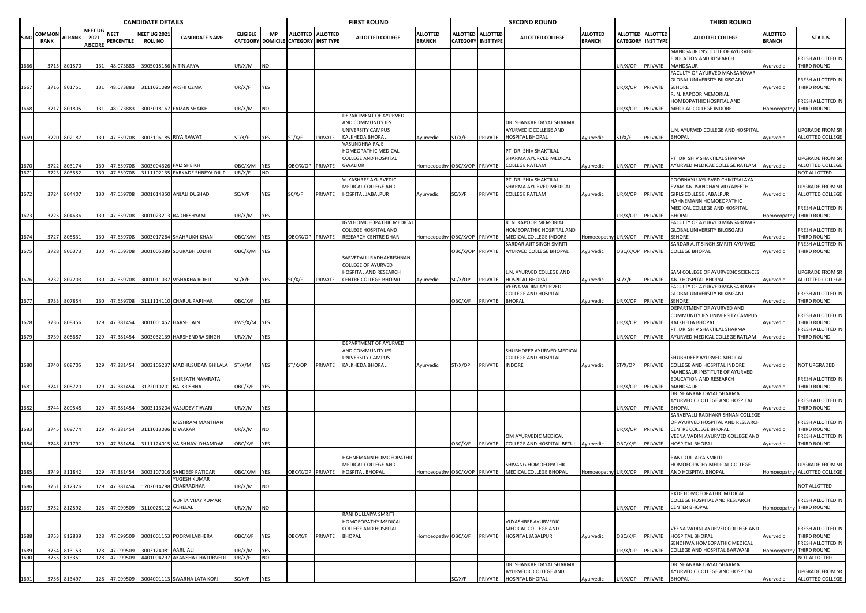|      |                       | <b>CANDIDATE DETAILS</b> |                                          |                           |                                       |                                            |                 |                         |                                                           |         | <b>FIRST ROUND</b>                                                                        |                                  |                  |                                                | <b>SECOND ROUND</b>                                                         |                                  |                                    |                                     | <b>THIRD ROUND</b>                                                                            |                                  |                                                   |
|------|-----------------------|--------------------------|------------------------------------------|---------------------------|---------------------------------------|--------------------------------------------|-----------------|-------------------------|-----------------------------------------------------------|---------|-------------------------------------------------------------------------------------------|----------------------------------|------------------|------------------------------------------------|-----------------------------------------------------------------------------|----------------------------------|------------------------------------|-------------------------------------|-----------------------------------------------------------------------------------------------|----------------------------------|---------------------------------------------------|
| S.NO | COMMON<br><b>RANK</b> | <b>AI RANK</b>           | <b>NEET UG</b><br>2021<br><b>AISCORE</b> | <b>NEET</b><br>PERCENTILE | <b>NEET UG 2021</b><br><b>ROLL NO</b> | <b>CANDIDATE NAME</b>                      | <b>ELIGIBLE</b> | <b>MP</b>               | ALLOTTED ALLOTTED<br>CATEGORY DOMICILE CATEGORY INST TYPE |         | <b>ALLOTTED COLLEGE</b>                                                                   | <b>ALLOTTED</b><br><b>BRANCH</b> |                  | ALLOTTED ALLOTTED<br><b>CATEGORY INST TYPE</b> | ALLOTTED COLLEGE                                                            | <b>ALLOTTED</b><br><b>BRANCH</b> | <b>ALLOTTED</b><br><b>CATEGORY</b> | <b>ALLOTTED</b><br><b>INST TYPE</b> | <b>ALLOTTED COLLEGE</b>                                                                       | <b>ALLOTTED</b><br><b>BRANCH</b> | <b>STATUS</b>                                     |
| 1666 | 3715                  | 801570                   | 131                                      | 48.073883                 |                                       | 3905015156 NITIN ARYA                      | UR/X/M          | <b>NO</b>               |                                                           |         |                                                                                           |                                  |                  |                                                |                                                                             |                                  | UR/X/OP                            | PRIVATE                             | MANDSAUR INSTITUTE OF AYURVED<br>EDUCATION AND RESEARCH<br><b>MANDSAUR</b>                    | Ayurvedic                        | RESH ALLOTTED IN<br>THIRD ROUND                   |
| 1667 | 3716                  | 801751                   | 131                                      | 48.073883                 |                                       | 3111021089 ARSHI UZMA                      | UR/X/F          | YES                     |                                                           |         |                                                                                           |                                  |                  |                                                |                                                                             |                                  | JR/X/OP                            | PRIVATE                             | ACULTY OF AYURVED MANSAROVAR<br>GLOBAL UNIVERSITY BILKISGANJ<br>SEHORE                        | Ayurvedic                        | RESH ALLOTTED IN<br>THIRD ROUND                   |
|      | 3717                  | 801805                   | 131                                      | 48.073883                 |                                       | 3003018167 FAIZAN SHAIKH                   | UR/X/M          | <b>NO</b>               |                                                           |         |                                                                                           |                                  |                  |                                                |                                                                             |                                  | UR/X/OP                            | PRIVATE                             | R. N. KAPOOR MEMORIAL<br>IOMEOPATHIC HOSPITAL AND<br>MEDICAL COLLEGE INDORE                   | Iomoeopathy                      | RESH ALLOTTED IN<br>THIRD ROUND                   |
| 1669 |                       | 3720 802187              |                                          | 130 47.659708             |                                       | 3003106185 RIYA RAWAT                      | ST/X/F          | YES                     | ST/X/F                                                    | PRIVATE | DEPARTMENT OF AYURVED<br>AND COMMUNITY IES<br>UNIVERSITY CAMPUS<br><b>KALKHEDA BHOPAL</b> | Ayurvedic                        | 5T/X/F           | PRIVATE                                        | DR. SHANKAR DAYAL SHARMA<br>AYURVEDIC COLLEGE AND<br>HOSPITAL BHOPAL        | Ayurvedic                        | ST/X/F                             | PRIVATE                             | .N. AYURVED COLLEGE AND HOSPITAL<br><b>BHOPAL</b>                                             | Ayurvedic                        | JPGRADE FROM SR<br>ALLOTTED COLLEGE               |
| 1670 |                       |                          | 130                                      | 47.659708                 |                                       | 3003004326 FAIZ SHEIKH                     | OBC/X/M         |                         | OBC/X/OP PRIVATE                                          |         | VASUNDHRA RAJE<br>HOMEOPATHIC MEDICAL<br><b>COLLEGE AND HOSPITAL</b><br><b>GWALIOR</b>    | Iomoeopathy OBC/X/OP PRIVATE     |                  |                                                | PT. DR. SHIV SHAKTILAL<br>SHARMA AYURVED MEDICAL<br>COLLEGE RATLAM          |                                  | UR/X/OP                            | PRIVATE                             | PT. DR. SHIV SHAKTILAL SHARMA<br>AYURVED MEDICAL COLLEGE RATLAM                               |                                  | JPGRADE FROM SR<br>ALLOTTED COLLEGE               |
| 1671 | 3722                  | 803174<br>3723 803552    |                                          | 130 47.659708             |                                       | 3111102135 FARKADE SHREYA DILIP            | UR/X/F          | <b>YES</b><br><b>NO</b> |                                                           |         |                                                                                           |                                  |                  |                                                |                                                                             | Ayurvedic                        |                                    |                                     |                                                                                               | Ayurvedic                        | <b>NOT ALLOTTED</b>                               |
| 1672 | 3724                  | 804407                   |                                          | 130 47.659708             |                                       | 3001014350 ANJALI DUSHAD                   | SC/X/F          | YES                     | SC/X/F                                                    | PRIVATE | VIJYASHREE AYURVEDIC<br>MEDICAL COLLEGE AND<br><b>HOSPITAL JABALPUR</b>                   | Ayurvedic                        | C/X/F            | PRIVATE                                        | PT. DR. SHIV SHAKTILAL<br>SHARMA AYURVED MEDICAL<br>COLLEGE RATLAM          | Ayurvedic                        | JR/X/OP                            | PRIVATE                             | POORNAYU AYURVED CHIKITSALAYA<br>EVAM ANUSANDHAN VIDYAPEETH<br><b>GIRLS COLLEGE JABALPUR</b>  | Ayurvedic                        | JPGRADE FROM SR<br>ALLOTTED COLLEGE               |
| 1673 | 3725                  | 804636                   | 130                                      | 47.659708                 |                                       | 3001023213 RADHESHYAM                      | JR/X/M          | YES                     |                                                           |         |                                                                                           |                                  |                  |                                                |                                                                             |                                  | JR/X/OP                            | PRIVATE                             | HAHNEMANN HOMOEOPATHIC<br>MEDICAL COLLEGE AND HOSPITAL<br><b>BHOPAL</b>                       |                                  | RESH ALLOTTED IN<br>omoeopathy THIRD ROUND        |
| 1674 | 3727                  | 805833                   | 130                                      | 47.659708                 |                                       | 3003017264 SHAHRUKH KHAN                   | OBC/X/M YES     |                         | BC/X/OP PRIVATE                                           |         | IGM HOMOEOPATHIC MEDICAL<br><b>COLLEGE HOSPITAL AND</b><br>RESEARCH CENTRE DHAR           | Iomoeopathy OBC/X/OP PRIVATE     |                  |                                                | R. N. KAPOOR MEMORIAL<br>HOMEOPATHIC HOSPITAL AND<br>MEDICAL COLLEGE INDORE | Homoeopath                       | UR/X/OP                            | PRIVATE                             | <b>FACULTY OF AYURVED MANSAROVAR</b><br>GLOBAL UNIVERSITY BILKISGANJ<br>SEHORE                | yurvedic                         | RESH ALLOTTED IN<br><b>HIRD ROUND</b>             |
|      |                       |                          |                                          |                           |                                       |                                            |                 |                         |                                                           |         |                                                                                           |                                  |                  |                                                | SARDAR AJIT SINGH SMRITI                                                    |                                  |                                    |                                     | SARDAR AJIT SINGH SMRITI AYURVED                                                              |                                  | FRESH ALLOTTED IN                                 |
| 1675 | 3728                  | 806373                   | 130                                      | 47.659708                 |                                       | 3001005089 SOURABH LODHI                   | OBC/X/M YES     |                         |                                                           |         | SARVEPALLI RADHAKRISHNAN                                                                  |                                  | OBC/X/OP PRIVATE |                                                | AYURVED COLLEGE BHOPAL                                                      | Ayurvedic                        | <b>DBC/X/OP</b>                    | PRIVATE                             | <b>COLLEGE BHOPAL</b>                                                                         | Ayurvedic                        | THIRD ROUND                                       |
| 1676 | 3732                  | 807203                   |                                          | 130 47.659708             |                                       | 3001011037 VISHAKHA ROHIT                  | SC/X/F          | <b>YES</b>              | SC/X/F                                                    | PRIVATE | COLLEGE OF AYURVED<br>HOSPITAL AND RESEARCH<br><b>CENTRE COLLEGE BHOPAL</b>               | Ayurvedic                        | SC/X/OP          | PRIVATE                                        | N. AYURVED COLLEGE AND<br>HOSPITAL BHOPAL<br>VEENA VADINI AYURVED           | Ayurvedic                        | SC/X/F                             | PRIVATE                             | SAM COLLEGE OF AYURVEDIC SCIENCES<br>AND HOSPITAL BHOPAL<br>FACULTY OF AYURVED MANSAROVAR     | Ayurvedic                        | <b>JPGRADE FROM SR</b><br><b>ALLOTTED COLLEGE</b> |
| 1677 | 3733                  | 807854                   |                                          | 130 47.659708             |                                       | 3111114110 CHARUL PARIHAR                  | OBC/X/F         | YES                     |                                                           |         |                                                                                           |                                  | OBC/X/F          | PRIVATE                                        | COLLEGE AND HOSPITAL<br><b>BHOPAL</b>                                       | Ayurvedic                        | JR/X/OP                            | PRIVATE                             | GLOBAL UNIVERSITY BILKISGANJ<br>SEHORE                                                        | Ayurvedic                        | RESH ALLOTTED IN<br>THIRD ROUND                   |
| 1678 | 3736                  | 808356                   | 129                                      | 47.381454                 |                                       | 3001001452 HARSH JAIN                      | WS/X/M YES      |                         |                                                           |         |                                                                                           |                                  |                  |                                                |                                                                             |                                  | JR/X/OP                            | PRIVATE                             | DEPARTMENT OF AYURVED AND<br>COMMUNITY IES UNIVERSITY CAMPUS<br>KALKHEDA BHOPAL               | Ayurvedic                        | RESH ALLOTTED IN<br><b>HIRD ROUND</b>             |
| 1679 | 3739                  | 808687                   |                                          | 129 47.381454             |                                       | 3003032139 HARSHENDRA SINGH                | UR/X/M          | YES                     |                                                           |         |                                                                                           |                                  |                  |                                                |                                                                             |                                  | UR/X/OP                            | PRIVATE                             | PT. DR. SHIV SHAKTILAL SHARMA<br>AYURVED MEDICAL COLLEGE RATLAM                               |                                  | RESH ALLOTTED IN<br>THIRD ROUND                   |
|      |                       |                          |                                          |                           |                                       |                                            |                 |                         |                                                           |         | DEPARTMENT OF AYURVED<br>AND COMMUNITY IES<br>UNIVERSITY CAMPUS                           |                                  |                  |                                                | SHUBHDEEP AYURVED MEDICAL<br>COLLEGE AND HOSPITAL                           |                                  |                                    |                                     | SHUBHDEEP AYURVED MEDICAL                                                                     | Ayurvedic                        |                                                   |
| 1680 |                       | 3740 808705              | 129                                      | 47.381454                 |                                       | 3003106237 MADHUSUDAN BHILALA              | ST/X/M          | <b>YES</b>              | ST/X/OP                                                   | PRIVATE | <b>KALKHEDA BHOPAL</b>                                                                    | Ayurvedic                        | ST/X/OP          | PRIVATE                                        | INDORE                                                                      | Ayurvedic                        | ST/X/OP                            | PRIVATE                             | COLLEGE AND HOSPITAL INDORE                                                                   | Ayurvedic                        | <b>NOT UPGRADED</b>                               |
| 1681 |                       | 3741 808720              |                                          | 129 47.381454             |                                       | HIRSATH NAMRATA<br>3122010201 BALKRISHNA   | OBC/X/F         | <b>YES</b>              |                                                           |         |                                                                                           |                                  |                  |                                                |                                                                             |                                  | UR/X/OP                            | PRIVATE                             | MANDSAUR INSTITUTE OF AYURVED<br>EDUCATION AND RESEARCH<br><b>MANDSAUR</b>                    | Ayurvedic                        | RESH ALLOTTED IN<br>THIRD ROUND                   |
| 1682 |                       | 3744 809548              | 129                                      | 47.381454                 |                                       | 3003113204 VASUDEV TIWARI                  | UR/X/M          | YES                     |                                                           |         |                                                                                           |                                  |                  |                                                |                                                                             |                                  | JR/X/OP                            | PRIVATE                             | DR. SHANKAR DAYAL SHARMA<br>AYURVEDIC COLLEGE AND HOSPITAL<br><b>BHOPAL</b>                   | vyurvedic                        | RESH ALLOTTED IN<br>HIRD ROUND                    |
| 1683 | 3745                  | 809774                   |                                          | 129 47.381454             | 3111013036 DIWAKAR                    | MESHRAM MANTHAN                            | UR/X/M          | <b>NO</b>               |                                                           |         |                                                                                           |                                  |                  |                                                |                                                                             |                                  | UR/X/OP                            | PRIVATE                             | SARVEPALLI RADHAKRISHNAN COLLEGE<br>OF AYURVED HOSPITAL AND RESEARCH<br>CENTRE COLLEGE BHOPAL | Ayurvedic                        | RESH ALLOTTED IN<br>THIRD ROUND                   |
|      |                       |                          |                                          |                           |                                       | 3111124015 VAISHNAVI DHAMDAR               |                 |                         |                                                           |         |                                                                                           |                                  | OBC/X/F PRIVATE  |                                                | OM AYURVEDIC MEDICAL                                                        |                                  |                                    | PRIVATE                             | VEENA VADINI AYURVED COLLEGE AND                                                              |                                  | RESH ALLOTTED IN                                  |
|      | 3748                  | 811791                   | 129                                      | 47.381454                 |                                       |                                            | OBC/X/F         | <b>YES</b>              |                                                           |         | HAHNEMANN HOMOEOPATHIC<br>MEDICAL COLLEGE AND                                             |                                  |                  |                                                | COLLEGE AND HOSPITAL BETUL<br>SHIVANG HOMOEOPATHIC                          | Ayurvedic                        | )BC/X/F                            |                                     | HOSPITAL BHOPAL<br>RANI DULLAIYA SMRITI<br>HOMOEOPATHY MEDICAL COLLEGE                        | Ayurvedic                        | <b>THIRD ROUND</b><br>JPGRADE FROM SR             |
| 1685 |                       | 3749 811842              |                                          | 129 47.381454             |                                       | 3003107016 SANDEEP PATIDAR<br>YUGESH KUMAR | OBC/X/M YES     |                         | OBC/X/OP PRIVATE                                          |         | <b>HOSPITAL BHOPAL</b>                                                                    |                                  |                  |                                                | Homoeopathy OBC/X/OP PRIVATE MEDICAL COLLEGE BHOPAL                         | Homoeopathy UR/X/OP              |                                    | PRIVATE                             | AND HOSPITAL BHOPAL                                                                           |                                  | Homoeopathy ALLOTTED COLLEGE                      |
| 1686 |                       | 3751 812326              |                                          |                           |                                       | 129 47.381454 1702014288 CHAKRADHARI       | UR/X/M          | <b>NO</b>               |                                                           |         |                                                                                           |                                  |                  |                                                |                                                                             |                                  |                                    |                                     |                                                                                               |                                  | NOT ALLOTTED                                      |
| 1687 |                       | 3752 812592              |                                          |                           | 128 47.099509 3110028112 ACHELAL      | <b>GUPTA VIJAY KUMAR</b>                   | UR/X/M          | <b>NO</b>               |                                                           |         |                                                                                           |                                  |                  |                                                |                                                                             |                                  | UR/X/OP                            | PRIVATE                             | RKDF HOMOEOPATHIC MEDICAL<br>COLLEGE HOSPITAL AND RESEARCH<br><b>CENTER BHOPAL</b>            | Homoeopathy                      | RESH ALLOTTED IN<br>THIRD ROUND                   |
|      |                       |                          |                                          |                           |                                       |                                            |                 |                         |                                                           |         | RANI DULLAIYA SMRITI<br>HOMOEOPATHY MEDICAL<br><b>COLLEGE AND HOSPITAL</b>                |                                  |                  |                                                | VIJYASHREE AYURVEDIC<br>MEDICAL COLLEGE AND                                 |                                  |                                    |                                     | VEENA VADINI AYURVED COLLEGE AND                                                              |                                  | FRESH ALLOTTED IN                                 |
| 1688 | 3753                  | 812839                   | 128                                      | 47.099509                 |                                       | 3001001153 POORVI LAKHERA                  | OBC/X/F         | <b>YES</b>              | BC/X/F                                                    | PRIVATE | <b>BHOPAL</b>                                                                             | Iomoeopathy OBC/X/F              |                  | PRIVATE                                        | HOSPITAL JABALPUR                                                           | Ayurvedic                        | )BC/X/F                            | PRIVATE                             | HOSPITAL BHOPAL                                                                               | Ayurvedic                        | THIRD ROUND                                       |
| 1689 | 3754                  | 813153                   | 128                                      | 47.099509                 | 3003124081                            | AARIJ ALI                                  | UR/X/M          | YES                     |                                                           |         |                                                                                           |                                  |                  |                                                |                                                                             |                                  | JR/X/OP                            | PRIVATE                             | SENDHWA HOMEOPATHIC MEDICAL<br>COLLEGE AND HOSPITAL BARWANI                                   | <b>Homoeopathy</b>               | FRESH ALLOTTED IN<br>THIRD ROUND                  |
| 1690 | 3755                  | 813351                   |                                          | 128 47.099509             |                                       | 4401004297 AKANSHA CHATURVEDI              | UR/X/F          | <b>NO</b>               |                                                           |         |                                                                                           |                                  |                  |                                                |                                                                             |                                  |                                    |                                     |                                                                                               |                                  | NOT ALLOTTED                                      |
|      |                       |                          |                                          |                           |                                       |                                            |                 |                         |                                                           |         |                                                                                           |                                  |                  |                                                | DR. SHANKAR DAYAL SHARMA<br>AYURVEDIC COLLEGE AND                           |                                  |                                    |                                     | DR. SHANKAR DAYAL SHARMA<br>AYURVEDIC COLLEGE AND HOSPITAL                                    |                                  | UPGRADE FROM SR                                   |
| 1691 | 3756                  | 813497                   |                                          | 128 47.099509             |                                       | 3004001113 SWARNA LATA KORI                | SC/X/F          | YES                     |                                                           |         |                                                                                           |                                  | C/X/F            | PRIVATE                                        | HOSPITAL BHOPAL                                                             | Ayurvedic                        | UR/X/OP                            | PRIVATE                             | <b>BHOPAL</b>                                                                                 | Ayurvedic                        | ALLOTTED COLLEGE                                  |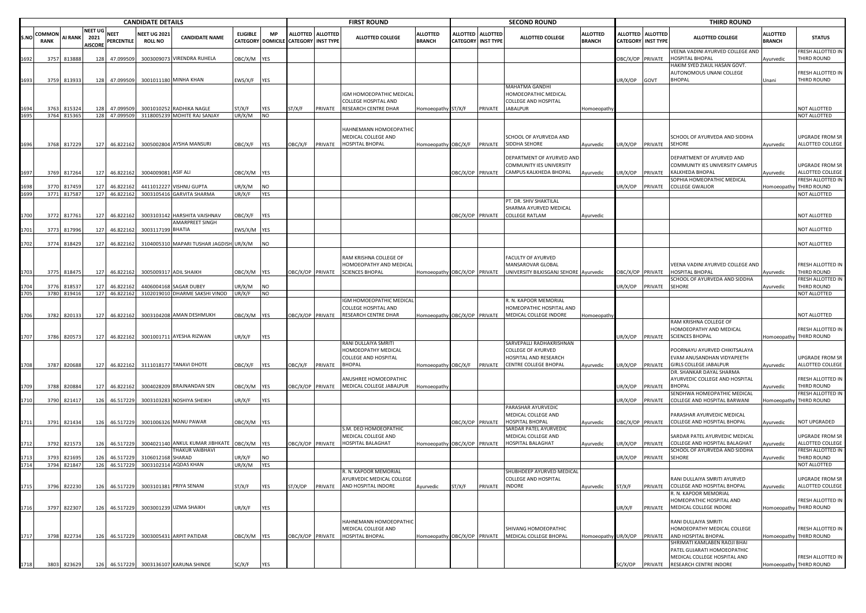|             |                |                      |                                          |                           | <b>CANDIDATE DETAILS</b>              |                                                 |                  |                                |                  |                                                | <b>FIRST ROUND</b>                            |                                  |                                    |                                     | <b>SECOND ROUND</b>                                                         |                                  |                  |                                         | <b>THIRD ROUND</b>                                          |                           |                                              |
|-------------|----------------|----------------------|------------------------------------------|---------------------------|---------------------------------------|-------------------------------------------------|------------------|--------------------------------|------------------|------------------------------------------------|-----------------------------------------------|----------------------------------|------------------------------------|-------------------------------------|-----------------------------------------------------------------------------|----------------------------------|------------------|-----------------------------------------|-------------------------------------------------------------|---------------------------|----------------------------------------------|
| <b>S.NO</b> | COMMON<br>RANK | AI RANK              | <b>NEET UG</b><br>2021<br><b>AISCORE</b> | <b>NEET</b><br>PERCENTILE | <b>NEET UG 2021</b><br><b>ROLL NO</b> | <b>CANDIDATE NAME</b>                           | <b>ELIGIBLE</b>  | MP<br><b>CATEGORY DOMICILE</b> |                  | ALLOTTED ALLOTTED<br><b>CATEGORY INST TYPE</b> | <b>ALLOTTED COLLEGE</b>                       | <b>ALLOTTED</b><br><b>BRANCH</b> | <b>ALLOTTED</b><br><b>CATEGORY</b> | <b>ALLOTTED</b><br><b>INST TYPE</b> | <b>ALLOTTED COLLEGE</b>                                                     | <b>ALLOTTED</b><br><b>BRANCH</b> |                  | ALLOTTED ALLOTTED<br>CATEGORY INST TYPE | <b>ALLOTTED COLLEGE</b>                                     | ALLOTTED<br><b>BRANCH</b> | <b>STATUS</b>                                |
|             |                |                      |                                          |                           |                                       |                                                 |                  |                                |                  |                                                |                                               |                                  |                                    |                                     |                                                                             |                                  |                  |                                         | VEENA VADINI AYURVED COLLEGE AND                            |                           | FRESH ALLOTTED IN                            |
| 1692        | 3757           | 813888               | 128                                      | 47.099509                 |                                       | 3003009073 VIRENDRA RUHELA                      | )BC/X/M          | YES                            |                  |                                                |                                               |                                  |                                    |                                     |                                                                             |                                  |                  | OBC/X/OP PRIVATE                        | HOSPITAL BHOPAL<br>HAKIM SYED ZIAUL HASAN GOVT.             | Ayurvedic                 | THIRD ROUND                                  |
|             |                |                      |                                          |                           |                                       |                                                 |                  |                                |                  |                                                |                                               |                                  |                                    |                                     |                                                                             |                                  |                  |                                         | AUTONOMOUS UNANI COLLEGE                                    |                           | FRESH ALLOTTED IN                            |
| 1693        | 3759           | 813933               | 128                                      | 47.099509                 |                                       | 3001011180 MINHA KHAN                           | EWS/X/F          | YES                            |                  |                                                |                                               |                                  |                                    |                                     |                                                                             |                                  | JR/X/OP          | GOVT                                    | <b>BHOPAL</b>                                               | Jnani                     | <b>HIRD ROUND</b>                            |
|             |                |                      |                                          |                           |                                       |                                                 |                  |                                |                  |                                                | IGM HOMOEOPATHIC MEDICAL                      |                                  |                                    |                                     | MAHATMA GANDHI<br>HOMOEOPATHIC MEDICAL                                      |                                  |                  |                                         |                                                             |                           |                                              |
|             |                |                      |                                          |                           |                                       |                                                 |                  |                                |                  |                                                | COLLEGE HOSPITAL AND                          |                                  |                                    |                                     | <b>COLLEGE AND HOSPITAL</b>                                                 |                                  |                  |                                         |                                                             |                           |                                              |
|             | 3763           | 81532                |                                          | 47.099509                 |                                       | 3001010252 RADHIKA NAGLE                        | ST/X/F           | YES                            | ST/X/F           | PRIVATE                                        | RESEARCH CENTRE DHAR                          | Homoeopathy ST/X/F               |                                    | PRIVATE                             | <b>JABALPUR</b>                                                             | Homoeopath                       |                  |                                         |                                                             |                           | NOT ALLOTTED                                 |
|             |                | 3764 815365          |                                          | 128 47.099509             |                                       | 3118005239 MOHITE RAJ SANJAY                    | UR/X/M           | <b>NO</b>                      |                  |                                                |                                               |                                  |                                    |                                     |                                                                             |                                  |                  |                                         |                                                             |                           | NOT ALLOTTED                                 |
|             |                |                      |                                          |                           |                                       |                                                 |                  |                                |                  |                                                | HAHNEMANN HOMOEOPATHIC                        |                                  |                                    |                                     |                                                                             |                                  |                  |                                         |                                                             |                           |                                              |
|             |                |                      |                                          |                           |                                       |                                                 |                  |                                |                  |                                                | MEDICAL COLLEGE AND                           |                                  |                                    |                                     | SCHOOL OF AYURVEDA AND                                                      |                                  |                  |                                         | SCHOOL OF AYURVEDA AND SIDDHA                               |                           | UPGRADE FROM SR                              |
| 1696        |                | 3768 817229          |                                          | 127 46.822162             |                                       | 3005002804 AYSHA MANSURI                        | <b>JBC/X/F</b>   | YES                            | OBC/X/F          | PRIVATE                                        | HOSPITAL BHOPAL                               | Homoeopathy OBC/X/F              |                                    | PRIVATE                             | SIDDHA SEHORE                                                               | Ayurvedic                        |                  | JR/X/OP PRIVATE                         | SEHORE                                                      | Ayurvedic                 | ALLOTTED COLLEGE                             |
|             |                |                      |                                          |                           |                                       |                                                 |                  |                                |                  |                                                |                                               |                                  |                                    |                                     | DEPARTMENT OF AYURVED AND                                                   |                                  |                  |                                         | DEPARTMENT OF AYURVED AND                                   |                           |                                              |
|             |                |                      |                                          |                           |                                       |                                                 |                  |                                |                  |                                                |                                               |                                  |                                    |                                     | COMMUNITY IES UNIVERSITY                                                    |                                  |                  |                                         | COMMUNITY IES UNIVERSITY CAMPUS                             |                           | <b>UPGRADE FROM SR</b>                       |
| 1697        | 3769           | 817264               | 127                                      | 46.822162                 | 3004009081 ASIF ALI                   |                                                 | DBC/X/M YES      |                                |                  |                                                |                                               |                                  | <b>DBC/X/OP</b>                    | PRIVATE                             | CAMPUS KALKHEDA BHOPAL                                                      | Ayurvedic                        | JR/X/OP          | PRIVATE                                 | KALKHEDA BHOPAI                                             | Ayurvedic                 | ALLOTTED COLLEGE                             |
| 1698        |                | 3770 817459          | 127                                      | 46.82216                  |                                       | 4411012227 VISHNU GUPTA                         | UR/X/M           | <b>NO</b>                      |                  |                                                |                                               |                                  |                                    |                                     |                                                                             |                                  | JR/X/OP          | PRIVATE                                 | <b>SOPHIA HOMEOPATHIC MEDICAL</b><br><b>COLLEGE GWALIOR</b> | Homoeopathy               | FRESH ALLOTTED IN<br>THIRD ROUND             |
| 1699        |                | 3771 817587          |                                          | 127 46.822162             |                                       | 3003105416 GARVITA SHARMA                       | UR/X/F           | YES                            |                  |                                                |                                               |                                  |                                    |                                     |                                                                             |                                  |                  |                                         |                                                             |                           | NOT ALLOTTED                                 |
|             |                |                      |                                          |                           |                                       |                                                 |                  |                                |                  |                                                |                                               |                                  |                                    |                                     | PT. DR. SHIV SHAKTILAL                                                      |                                  |                  |                                         |                                                             |                           |                                              |
|             |                |                      |                                          |                           |                                       |                                                 |                  |                                |                  |                                                |                                               |                                  |                                    |                                     | SHARMA AYURVED MEDICAL                                                      |                                  |                  |                                         |                                                             |                           |                                              |
| 1700        |                | 3772 817761          | 127                                      | 46.822162                 |                                       | 3003103142 HARSHITA VAISHNAV<br>AMARPREET SINGH | <b>JBC/X/F</b>   | YES                            |                  |                                                |                                               |                                  | BC/X/OP PRIVATE                    |                                     | <b>COLLEGE RATLAM</b>                                                       | Ayurvedic                        |                  |                                         |                                                             |                           | NOT ALLOTTED                                 |
| 1701        | 3773           | 81799                | 127                                      | 46.822162                 | 3003117199 BHATIA                     |                                                 | EWS/X/M YES      |                                |                  |                                                |                                               |                                  |                                    |                                     |                                                                             |                                  |                  |                                         |                                                             |                           | NOT ALLOTTED                                 |
|             |                |                      |                                          |                           |                                       |                                                 |                  |                                |                  |                                                |                                               |                                  |                                    |                                     |                                                                             |                                  |                  |                                         |                                                             |                           |                                              |
| 1702        | 3774           | 818429               | 127                                      | 46.82216                  |                                       | 3104005310 MAPARI TUSHAR JAGDISH UR/X/M         |                  | NO                             |                  |                                                |                                               |                                  |                                    |                                     |                                                                             |                                  |                  |                                         |                                                             |                           | NOT ALLOTTED                                 |
|             |                |                      |                                          |                           |                                       |                                                 |                  |                                |                  |                                                | RAM KRISHNA COLLEGE OF                        |                                  |                                    |                                     | <b>FACULTY OF AYURVED</b>                                                   |                                  |                  |                                         |                                                             |                           |                                              |
|             |                |                      |                                          |                           |                                       |                                                 |                  |                                |                  |                                                | HOMOEOPATHY AND MEDICAL                       |                                  |                                    |                                     | MANSAROVAR GLOBAL                                                           |                                  |                  |                                         | VEENA VADINI AYURVED COLLEGE AND                            |                           | FRESH ALLOTTED IN                            |
| L703        | 3775           | 818475               |                                          | 127 46.822162             |                                       | 3005009317 ADIL SHAIKH                          | DBC/X/M YES      |                                |                  | DBC/X/OP PRIVATE                               | <b>SCIENCES BHOPAL</b>                        |                                  |                                    |                                     | Homoeopathy OBC/X/OP PRIVATE UNIVERSITY BILKISGANJ SEHORE Ayurvedic         |                                  |                  | DBC/X/OP PRIVATE                        | HOSPITAL BHOPAL                                             | <b>\yurvedic</b>          | THIRD ROUND                                  |
|             |                |                      |                                          |                           |                                       |                                                 |                  |                                |                  |                                                |                                               |                                  |                                    |                                     |                                                                             |                                  |                  |                                         | SCHOOL OF AYURVEDA AND SIDDHA                               |                           | FRESH ALLOTTED IN                            |
| 1704        | 3776           | 81853<br>3780 819416 | 127                                      | 46.82216<br>127 46.822162 | 4406004168                            | SAGAR DUBEY<br>3102019010 DHARME SAKSHI VINOD   | JR/X/M<br>JR/X/F | <b>NO</b><br><b>NO</b>         |                  |                                                |                                               |                                  |                                    |                                     |                                                                             |                                  | JR/X/OP          | PRIVATE                                 | SEHORE                                                      | Ayurvedic                 | THIRD ROUND<br>NOT ALLOTTED                  |
|             |                |                      |                                          |                           |                                       |                                                 |                  |                                |                  |                                                | IGM HOMOEOPATHIC MEDICAL                      |                                  |                                    |                                     | R. N. KAPOOR MEMORIAL                                                       |                                  |                  |                                         |                                                             |                           |                                              |
|             |                |                      |                                          |                           |                                       |                                                 |                  |                                |                  |                                                | <b>COLLEGE HOSPITAL AND</b>                   |                                  |                                    |                                     | HOMEOPATHIC HOSPITAL AND                                                    |                                  |                  |                                         |                                                             |                           |                                              |
| 1706        |                | 3782 820133          |                                          | 127 46.822162             |                                       | 3003104208 AMAN DESHMUKH                        | DBC/X/M YES      |                                | OBC/X/OP PRIVATE |                                                | RESEARCH CENTRE DHAR                          | lomoeopathy OBC/X/OP PRIVATE     |                                    |                                     | MEDICAL COLLEGE INDORE                                                      | Homoeopath                       |                  |                                         |                                                             |                           | NOT ALLOTTED                                 |
|             |                |                      |                                          |                           |                                       |                                                 |                  |                                |                  |                                                |                                               |                                  |                                    |                                     |                                                                             |                                  |                  |                                         | RAM KRISHNA COLLEGE OF<br>HOMOEOPATHY AND MEDICAL           |                           | FRESH ALLOTTED IN                            |
| 1707        | 3786           | 820573               |                                          | 127 46.822162             |                                       | 3001001711 AYESHA RIZWAN                        | JR/X/F           | YES                            |                  |                                                |                                               |                                  |                                    |                                     |                                                                             |                                  |                  | JR/X/OP PRIVATE                         | <b>SCIENCES BHOPAL</b>                                      |                           | Homoeopathy THIRD ROUND                      |
|             |                |                      |                                          |                           |                                       |                                                 |                  |                                |                  |                                                | RANI DULLAIYA SMRITI                          |                                  |                                    |                                     | SARVEPALLI RADHAKRISHNAN                                                    |                                  |                  |                                         |                                                             |                           |                                              |
|             |                |                      |                                          |                           |                                       |                                                 |                  |                                |                  |                                                | HOMOEOPATHY MEDICAL                           |                                  |                                    |                                     | <b>COLLEGE OF AYURVED</b>                                                   |                                  |                  |                                         | POORNAYU AYURVED CHIKITSALAYA                               |                           |                                              |
| 1708        |                | 3787 820688          |                                          |                           |                                       | 127 46.822162 3111018177 TANAVI DHOTE           | OBC/X/F YES      |                                | OBC/X/F          | PRIVATE                                        | <b>COLLEGE AND HOSPITAL</b><br><b>BHOPAL</b>  | Homoeopathy OBC/X/F              |                                    |                                     | HOSPITAL AND RESEARCH<br>PRIVATE CENTRE COLLEGE BHOPAL                      | Ayurvedic                        | JR/X/OP          | PRIVATE                                 | EVAM ANUSANDHAN VIDYAPEETH<br><b>GIRLS COLLEGE JABALPUR</b> | Ayurvedic                 | UPGRADE FROM SR<br>ALLOTTED COLLEGE          |
|             |                |                      |                                          |                           |                                       |                                                 |                  |                                |                  |                                                |                                               |                                  |                                    |                                     |                                                                             |                                  |                  |                                         | DR. SHANKAR DAYAL SHARMA                                    |                           |                                              |
|             |                |                      |                                          |                           |                                       |                                                 |                  |                                |                  |                                                | ANUSHREE HOMOEOPATHIC                         |                                  |                                    |                                     |                                                                             |                                  |                  |                                         | AYURVEDIC COLLEGE AND HOSPITAL                              |                           | FRESH ALLOTTED IN                            |
| L709        | 3788           | 820884               |                                          | 127 46.822162             |                                       | 3004028209 BRAJNANDAN SEN                       | DBC/X/M YES      |                                |                  | DBC/X/OP PRIVATE                               | MEDICAL COLLEGE JABALPUR                      | Homoeopathy                      |                                    |                                     |                                                                             |                                  | JR/X/OP          | PRIVATE                                 | <b>BHOPAL</b>                                               | Ayurvedic                 | THIRD ROUND                                  |
| 1710        | 3790           | 821417               | 126                                      | 46.517229                 |                                       | 3003103283 NOSHIYA SHEIKH                       | JR/X/F           | YES                            |                  |                                                |                                               |                                  |                                    |                                     |                                                                             |                                  | JR/X/OP          | PRIVATE                                 | SENDHWA HOMEOPATHIC MEDICAL<br>COLLEGE AND HOSPITAL BARWANI | Homoeopathy               | FRESH ALLOTTED IN<br>THIRD ROUND             |
|             |                |                      |                                          |                           |                                       |                                                 |                  |                                |                  |                                                |                                               |                                  |                                    |                                     | PARASHAR AYURVEDIC                                                          |                                  |                  |                                         |                                                             |                           |                                              |
|             |                |                      |                                          |                           |                                       |                                                 |                  |                                |                  |                                                |                                               |                                  |                                    |                                     | MEDICAL COLLEGE AND                                                         |                                  |                  |                                         | PARASHAR AYURVEDIC MEDICAL                                  |                           |                                              |
| 1711        |                | 3791 821434          |                                          | 126 46.517229             |                                       | 3001006326 MANU PAWAR                           | OBC/X/M YES      |                                |                  |                                                | S.M. DEO HOMOEOPATHIC                         |                                  | DBC/X/OP                           | PRIVATE                             | <b>IOSPITAL BHOPAL</b><br>SARDAR PATEL AYURVEDIC                            | Ayurvedic                        | OBC/X/OP PRIVATE |                                         | COLLEGE AND HOSPITAL BHOPAL                                 | Ayurvedic                 | NOT UPGRADED                                 |
|             |                |                      |                                          |                           |                                       |                                                 |                  |                                |                  |                                                | MEDICAL COLLEGE AND                           |                                  |                                    |                                     | MEDICAL COLLEGE AND                                                         |                                  |                  |                                         | SARDAR PATEL AYURVEDIC MEDICAL                              |                           | UPGRADE FROM SR                              |
| 1712        | 3792           | 821573               |                                          | 126 46.517229             |                                       | 3004021140 ANKUL KUMAR JIBHKATE OBC/X/M YES     |                  |                                | OBC/X/OP PRIVATE |                                                | HOSPITAL BALAGHAT                             | Homoeopathy OBC/X/OP PRIVATE     |                                    |                                     | <b>HOSPITAL BALAGHAT</b>                                                    | Ayurvedic                        | JR/X/OP          | PRIVATE                                 | COLLEGE AND HOSPITAL BALAGHAT                               | Ayurvedic                 | ALLOTTED COLLEGE                             |
|             |                |                      |                                          |                           |                                       | THAKUR VAIBHAVI                                 |                  |                                |                  |                                                |                                               |                                  |                                    |                                     |                                                                             |                                  |                  |                                         | <b>SCHOOL OF AYURVEDA AND SIDDHA</b>                        |                           | FRESH ALLOTTED IN                            |
| 1714        | 3793           | 82169<br>3794 821847 | 126<br>126                               | 46.517229<br>46.517229    | 3106012168 SHARAD                     | 3003102314 AQDAS KHAN                           | JR/X/F<br>JR/X/M | NO<br>YES                      |                  |                                                |                                               |                                  |                                    |                                     |                                                                             |                                  | JR/X/OP          | PRIVATE                                 | <b>SEHORE</b>                                               | Ayurvedic                 | THIRD ROUND<br>NOT ALLOTTED                  |
|             |                |                      |                                          |                           |                                       |                                                 |                  |                                |                  |                                                | R. N. KAPOOR MEMORIAL                         |                                  |                                    |                                     | SHUBHDEEP AYURVED MEDICAL                                                   |                                  |                  |                                         |                                                             |                           |                                              |
|             |                |                      |                                          |                           |                                       |                                                 |                  |                                |                  |                                                | AYURVEDIC MEDICAL COLLEGE                     |                                  |                                    |                                     | COLLEGE AND HOSPITAL                                                        |                                  |                  |                                         | RANI DULLAIYA SMRITI AYURVED                                |                           | UPGRADE FROM SR                              |
| 1715        |                | 3796 822230          |                                          |                           |                                       | 126 46.517229 3003101381 PRIYA SENANI           | ST/X/F           | <b>YES</b>                     | ST/X/OP          |                                                | PRIVATE AND HOSPITAL INDORE                   | Ayurvedic                        | ST/X/F                             | PRIVATE INDORE                      |                                                                             | Ayurvedic                        | ST/X/F           |                                         | PRIVATE COLLEGE AND HOSPITAL BHOPAL                         | Ayurvedic                 | ALLOTTED COLLEGE                             |
|             |                |                      |                                          |                           |                                       |                                                 |                  |                                |                  |                                                |                                               |                                  |                                    |                                     |                                                                             |                                  |                  |                                         | R. N. KAPOOR MEMORIAL<br>HOMEOPATHIC HOSPITAL AND           |                           | FRESH ALLOTTED IN                            |
| 1716        |                | 3797 822307          |                                          | 126 46.517229             |                                       | 3003001239 UZMA SHAIKH                          | JR/X/F           | YES                            |                  |                                                |                                               |                                  |                                    |                                     |                                                                             |                                  | JR/X/F           | PRIVATE                                 | MEDICAL COLLEGE INDORE                                      |                           | Homoeopathy THIRD ROUND                      |
|             |                |                      |                                          |                           |                                       |                                                 |                  |                                |                  |                                                |                                               |                                  |                                    |                                     |                                                                             |                                  |                  |                                         |                                                             |                           |                                              |
|             |                |                      |                                          |                           |                                       |                                                 |                  |                                |                  |                                                | HAHNEMANN HOMOEOPATHIC                        |                                  |                                    |                                     |                                                                             |                                  |                  |                                         | RANI DULLAIYA SMRITI                                        |                           |                                              |
| 1717        |                | 3798 822734          |                                          | 126 46.517229             |                                       | 3003005431 ARPIT PATIDAR                        | OBC/X/M YES      |                                | OBC/X/OP PRIVATE |                                                | MEDICAL COLLEGE AND<br><b>HOSPITAL BHOPAL</b> |                                  |                                    |                                     | SHIVANG HOMOEOPATHIC<br>Homoeopathy OBC/X/OP PRIVATE MEDICAL COLLEGE BHOPAL | Homoeopathy UR/X/OP PRIVATE      |                  |                                         | HOMOEOPATHY MEDICAL COLLEGE<br>AND HOSPITAL BHOPAL          |                           | FRESH ALLOTTED IN<br>Homoeopathy THIRD ROUND |
|             |                |                      |                                          |                           |                                       |                                                 |                  |                                |                  |                                                |                                               |                                  |                                    |                                     |                                                                             |                                  |                  |                                         | SHRIMATI KAMLABEN RAOJI BHAI                                |                           |                                              |
|             |                |                      |                                          |                           |                                       |                                                 |                  |                                |                  |                                                |                                               |                                  |                                    |                                     |                                                                             |                                  |                  |                                         | PATEL GUJARATI HOMOEOPATHIC                                 |                           |                                              |
|             |                |                      |                                          |                           |                                       |                                                 |                  |                                |                  |                                                |                                               |                                  |                                    |                                     |                                                                             |                                  |                  |                                         | MEDICAL COLLEGE HOSPITAL AND                                |                           | FRESH ALLOTTED IN                            |
| 1718        |                | 3803 823629          |                                          |                           |                                       | 126 46.517229 3003136107 KARUNA SHINDE          | SC/X/F           | YES                            |                  |                                                |                                               |                                  |                                    |                                     |                                                                             |                                  |                  |                                         | SC/X/OP PRIVATE RESEARCH CENTRE INDORE                      |                           | Homoeopathy THIRD ROUND                      |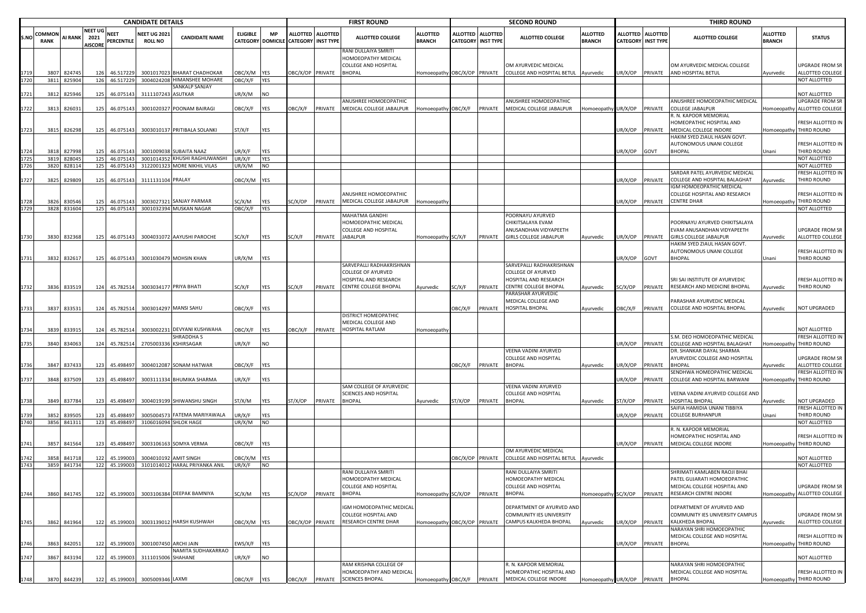|      |              |                 |                 |                       | <b>CANDIDATE DETAILS</b>       |                                                               |                   |                  |                                      |         | <b>FIRST ROUND</b>                          |                              |                  |                           | <b>SECOND ROUND</b>                                |                                    |                 |                           | <b>THIRD ROUND</b>                                               |                 |                                              |
|------|--------------|-----------------|-----------------|-----------------------|--------------------------------|---------------------------------------------------------------|-------------------|------------------|--------------------------------------|---------|---------------------------------------------|------------------------------|------------------|---------------------------|----------------------------------------------------|------------------------------------|-----------------|---------------------------|------------------------------------------------------------------|-----------------|----------------------------------------------|
| S.NO | COMMON       | <b>AI RANK</b>  | NEET UG<br>2021 | <b>NEET</b>           | <b>NEET UG 2021</b>            | <b>CANDIDATE NAME</b>                                         | <b>ELIGIBLE</b>   | <b>MP</b>        | ALLOTTED ALLOTTED                    |         | <b>ALLOTTED COLLEGE</b>                     | <b>ALLOTTED</b>              | <b>ALLOTTED</b>  | <b>ALLOTTED</b>           | <b>ALLOTTED COLLEGE</b>                            | <b>ALLOTTED</b>                    |                 | ALLOTTED ALLOTTED         | <b>ALLOTTED COLLEGE</b>                                          | <b>ALLOTTED</b> | <b>STATUS</b>                                |
|      | RANK         |                 | <b>AISCORE</b>  | PERCENTILE            | <b>ROLL NO</b>                 |                                                               |                   |                  | CATEGORY DOMICILE CATEGORY INST TYPE |         | RANI DULLAIYA SMRITI                        | <b>BRANCH</b>                |                  | <b>CATEGORY INST TYPE</b> |                                                    | <b>BRANCH</b>                      |                 | <b>CATEGORY INST TYPE</b> |                                                                  | <b>BRANCH</b>   |                                              |
|      |              |                 |                 |                       |                                |                                                               |                   |                  |                                      |         | HOMOEOPATHY MEDICAL                         |                              |                  |                           |                                                    |                                    |                 |                           |                                                                  |                 |                                              |
|      | 3807         | 824745          | 126             | 46.517229             |                                | 3001017023 BHARAT CHADHOKAR                                   | OBC/X/M           | YES              | OBC/X/OP PRIVATE                     |         | COLLEGE AND HOSPITAL<br><b>BHOPAL</b>       | Homoeopathy                  | OBC/X/OP PRIVATE |                           | OM AYURVEDIC MEDICAL<br>COLLEGE AND HOSPITAL BETUL | Ayurvedic                          | JR/X/OP         | PRIVATE                   | OM AYURVEDIC MEDICAL COLLEGE<br>AND HOSPITAL BETUL               | Ayurvedic       | UPGRADE FROM SR<br>ALLOTTED COLLEGE          |
|      |              | 3811 825904     | 126             | 46.517229             |                                | 3004024208 HIMANSHEE MOHARE                                   | OBC/X/F           | <b>YES</b>       |                                      |         |                                             |                              |                  |                           |                                                    |                                    |                 |                           |                                                                  |                 | NOT ALLOTTED                                 |
| 1721 | 3812         | 825946          | 125             | 46.075143             | 3111107243 ASUTKAR             | SANKALP SANJAY                                                | JR/X/M            | <b>NO</b>        |                                      |         |                                             |                              |                  |                           |                                                    |                                    |                 |                           |                                                                  |                 | NOT ALLOTTED                                 |
|      |              |                 |                 |                       |                                |                                                               |                   |                  |                                      |         | ANUSHREE HOMOEOPATHIC                       |                              |                  |                           | ANUSHREE HOMOEOPATHIC                              |                                    |                 |                           | ANUSHREE HOMOEOPATHIC MEDICAL                                    |                 | <b>UPGRADE FROM SR</b>                       |
| 1722 |              | 3813 826031     | 125             | 46.075143             |                                | 3001020327 POONAM BAIRAGI                                     | <b>JBC/X/F</b>    | YES              | OBC/X/F                              | PRIVATE | MEDICAL COLLEGE JABALPUR                    | Homoeopathy OBC/X/F          |                  |                           | PRIVATE MEDICAL COLLEGE JABALPUR                   | omoeopathy UR/X/OP                 |                 | PRIVATE                   | COLLEGE JABALPUR<br>R. N. KAPOOR MEMORIAL                        |                 | Homoeopathy ALLOTTED COLLEGE                 |
|      |              |                 |                 |                       |                                |                                                               |                   |                  |                                      |         |                                             |                              |                  |                           |                                                    |                                    |                 |                           | HOMEOPATHIC HOSPITAL AND                                         |                 | FRESH ALLOTTED IN                            |
| 1723 |              | 3815 826298     | 125             | 46.075143             |                                | 3003010137 PRITIBALA SOLANKI                                  | ST/X/F            | YES              |                                      |         |                                             |                              |                  |                           |                                                    |                                    | JR/X/OP         | PRIVATE                   | MEDICAL COLLEGE INDORE                                           |                 | Homoeopathy THIRD ROUND                      |
|      |              |                 |                 |                       |                                |                                                               |                   |                  |                                      |         |                                             |                              |                  |                           |                                                    |                                    |                 |                           | HAKIM SYED ZIAUL HASAN GOVT.<br>AUTONOMOUS UNANI COLLEGE         |                 | FRESH ALLOTTED IN                            |
| 1724 | 3818         | 827998          | 125             | 46.075143             |                                | 3001009038 SUBAITA NAAZ                                       | JR/X/F            | YES              |                                      |         |                                             |                              |                  |                           |                                                    |                                    | JR/X/OP         | GOVT                      | <b>BHOPAL</b>                                                    | Unani           | THIRD ROUND                                  |
|      | 3819<br>3820 | 828045<br>82811 | 125<br>125      | 46.075143<br>46.07514 |                                | 3001014352 KHUSHI RAGHUWANSHI<br>3122001323 MORE NIKHIL VILAS | JR/X/F<br>JR/X/M  | YES<br><b>NO</b> |                                      |         |                                             |                              |                  |                           |                                                    |                                    |                 |                           |                                                                  |                 | NOT ALLOTTED<br>NOT ALLOTTED                 |
|      |              |                 |                 |                       |                                |                                                               |                   |                  |                                      |         |                                             |                              |                  |                           |                                                    |                                    |                 |                           | SARDAR PATEL AYURVEDIC MEDICAL                                   |                 | FRESH ALLOTTED IN                            |
| 1727 |              | 3825 829809     | 125             | 46.075143             | 3111131104 PRALAY              |                                                               | DBC/X/M YES       |                  |                                      |         |                                             |                              |                  |                           |                                                    |                                    | JR/X/OP         | PRIVATE                   | COLLEGE AND HOSPITAL BALAGHAT                                    | Ayurvedic       | THIRD ROUND                                  |
|      |              |                 |                 |                       |                                |                                                               |                   |                  |                                      |         | ANUSHREE HOMOEOPATHIC                       |                              |                  |                           |                                                    |                                    |                 |                           | GM HOMOEOPATHIC MEDICAL<br>COLLEGE HOSPITAL AND RESEARCH         |                 | FRESH ALLOTTED IN                            |
| 1728 | 3826         | 830546          | 125             | 46.075143             |                                | 3003027321 SANJAY PARMAR                                      | SC/X/M            | YES              | SC/X/OP                              | PRIVATE | MEDICAL COLLEGE JABALPUR                    | Homoeopathy                  |                  |                           |                                                    |                                    | JR/X/OP         | PRIVATE                   | <b>CENTRE DHAR</b>                                               |                 | Homoeopathy THIRD ROUND                      |
| 1729 | 3828         | 831604          | 125             | 46.075143             |                                | 3001032394 MUSKAN NAGAR                                       | <b>JBC/X/F</b>    | YES              |                                      |         | MAHATMA GANDHI                              |                              |                  |                           | POORNAYU AYURVED                                   |                                    |                 |                           |                                                                  |                 | NOT ALLOTTED                                 |
|      |              |                 |                 |                       |                                |                                                               |                   |                  |                                      |         | HOMOEOPATHIC MEDICAL                        |                              |                  |                           | CHIKITSALAYA EVAM                                  |                                    |                 |                           | POORNAYU AYURVED CHIKITSALAYA                                    |                 |                                              |
|      |              |                 |                 |                       |                                |                                                               |                   |                  |                                      |         | COLLEGE AND HOSPITAL                        |                              |                  |                           | ANUSANDHAN VIDYAPEETH                              |                                    |                 |                           | EVAM ANUSANDHAN VIDYAPEETH                                       |                 | UPGRADE FROM SR                              |
| 1730 | 3830         | 832368          | 125             | 46.075143             |                                | 3004031072 AAYUSHI PAROCHE                                    | SC/X/F            | YES              | SC/X/F                               | PRIVATE | JABALPUR                                    | Homoeopathy SC/X/F           |                  | PRIVATE                   | <b>GIRLS COLLEGE JABALPUR</b>                      | Ayurvedic                          | JR/X/OP PRIVATE |                           | <b>GIRLS COLLEGE JABALPUR</b><br>HAKIM SYED ZIAUL HASAN GOVT.    | Ayurvedic       | ALLOTTED COLLEGE                             |
|      |              |                 |                 |                       |                                |                                                               |                   |                  |                                      |         |                                             |                              |                  |                           |                                                    |                                    |                 |                           | AUTONOMOUS UNANI COLLEGE                                         |                 | FRESH ALLOTTED IN                            |
| 1731 |              | 3832 832617     | 125             | 46.075143             |                                | 3001030479 MOHSIN KHAN                                        | JR/X/M            | <b>YES</b>       |                                      |         | SARVEPALLI RADHAKRISHNAN                    |                              |                  |                           | SARVEPALLI RADHAKRISHNAN                           |                                    | JR/X/OP         | GOVT                      | <b>BHOPAL</b>                                                    | Unani           | THIRD ROUND                                  |
|      |              |                 |                 |                       |                                |                                                               |                   |                  |                                      |         | COLLEGE OF AYURVED                          |                              |                  |                           | <b>COLLEGE OF AYURVED</b>                          |                                    |                 |                           |                                                                  |                 |                                              |
|      |              |                 |                 |                       |                                |                                                               |                   |                  |                                      |         | HOSPITAL AND RESEARCH                       |                              |                  |                           | HOSPITAL AND RESEARCH<br>CENTRE COLLEGE BHOPAL     |                                    |                 |                           | SRI SAI INSTITUTE OF AYURVEDIC                                   |                 | FRESH ALLOTTED IN                            |
| 1732 | 3836         | 833519          | 124             | 45.782514             |                                | 3003034177 PRIYA BHATI                                        | SC/X/F            | YES              | SC/X/F                               | PRIVATE | CENTRE COLLEGE BHOPAL                       | Ayurvedic                    | SC/X/F           | PRIVATE                   | PARASHAR AYURVEDIC                                 | Ayurvedic                          | SC/X/OP         | PRIVATE                   | RESEARCH AND MEDICINE BHOPAL                                     | Ayurvedic       | THIRD ROUND                                  |
|      |              |                 |                 |                       |                                |                                                               |                   |                  |                                      |         |                                             |                              |                  |                           | MEDICAL COLLEGE AND                                |                                    |                 |                           | PARASHAR AYURVEDIC MEDICAL                                       |                 |                                              |
|      | 3837         | 83353           | 124             | 45.782514             |                                | 3003014297 MANSI SAHU                                         | OBC/X/F           | YES              |                                      |         | DISTRICT HOMEOPATHIC                        |                              | OBC/X/F          | PRIVATE                   | HOSPITAL BHOPAL                                    | Ayurvedic                          | <b>DBC/X/F</b>  | PRIVATE                   | COLLEGE AND HOSPITAL BHOPAL                                      | Ayurvedic       | NOT UPGRADED                                 |
|      |              |                 |                 |                       |                                |                                                               |                   |                  |                                      |         | MEDICAL COLLEGE AND                         |                              |                  |                           |                                                    |                                    |                 |                           |                                                                  |                 |                                              |
|      | 3839         | 83391           | 124             | 45.782514             | 3003002231                     | DEVYANI KUSHWAHA                                              | <b>JBC/X/F</b>    | YES              | OBC/X/F                              | PRIVATE | HOSPITAL RATLAM                             | Homoeopathy                  |                  |                           |                                                    |                                    |                 |                           |                                                                  |                 | NOT ALLOTTED                                 |
|      | 3840         | 834063          |                 | 124 45.782514         | 270500333                      | <b>SHRADDHAS</b><br><b>KSHIRSAGAR</b>                         | JR/X/F            | <b>NO</b>        |                                      |         |                                             |                              |                  |                           |                                                    |                                    | UR/X/OP         | PRIVATE                   | S.M. DEO HOMOEOPATHIC MEDICAL<br>COLLEGE AND HOSPITAL BALAGHAT   |                 | FRESH ALLOTTED IN<br>Homoeopathy THIRD ROUND |
|      |              |                 |                 |                       |                                |                                                               |                   |                  |                                      |         |                                             |                              |                  |                           | VEENA VADINI AYURVED                               |                                    |                 |                           | DR. SHANKAR DAYAL SHARMA                                         |                 |                                              |
|      | 3847         | 837433          | 123             | 45.498497             |                                | 3004012087 SONAM HATWAR                                       | <b>JBC/X/F</b>    | YES              |                                      |         |                                             |                              | <b>JBC/X/F</b>   | PRIVATE                   | COLLEGE AND HOSPITAL<br><b>HOPAL</b>               | Ayurvedic                          | IR/X/OP         | PRIVATE                   | AYURVEDIC COLLEGE AND HOSPITAL<br><b>HOPAL</b>                   | Ayurvedic       | UPGRADE FROM SR<br>ALLOTTED COLLEGE          |
|      |              |                 |                 |                       |                                |                                                               |                   |                  |                                      |         |                                             |                              |                  |                           |                                                    |                                    |                 |                           | SENDHWA HOMEOPATHIC MEDICAL                                      |                 | FRESH ALLOTTED IN                            |
| 1737 | 3848         | 837509          | 123             | 45.498497             |                                | 3003111334 BHUMIKA SHARMA                                     | JR/X/F            | YES              |                                      |         | SAM COLLEGE OF AYURVEDIC                    |                              |                  |                           | VEENA VADINI AYURVED                               |                                    | UR/X/OP         | PRIVATE                   | COLLEGE AND HOSPITAL BARWANI                                     | Homoeopathy     | THIRD ROUND                                  |
|      |              |                 |                 |                       |                                |                                                               |                   |                  |                                      |         | SCIENCES AND HOSPITAL                       |                              |                  |                           | <b>COLLEGE AND HOSPITAL</b>                        |                                    |                 |                           | VEENA VADINI AYURVED COLLEGE AND                                 |                 |                                              |
|      | 3849         | 837784          | 123             | 45.498497             |                                | 3004019199 SHIWANSHU SINGH                                    | ST/X/M            | YES              | ST/X/OP                              | PRIVATE | BHOPAL                                      | Ayurvedic                    | ST/X/OP          | PRIVATE                   | <b>BHOPAL</b>                                      | Ayurvedic                          | T/X/OP          | PRIVATE                   | HOSPITAL BHOPAL                                                  | Ayurvedic       | NOT UPGRADED                                 |
|      | 3852         | 83950           | 123             | 45.498497             | 300500457                      | FATEMA MARIYAWALA                                             | JR/X/F            | <b>YES</b>       |                                      |         |                                             |                              |                  |                           |                                                    |                                    | JR/X/OP         | PRIVATE                   | AIFIA HAMIDIA UNANI TIBBIYA<br>COLLEGE BURHANPUR                 | Unani           | FRESH ALLOTTED IN<br>THIRD ROUND             |
| 1740 |              | 3856 841311     |                 | 123 45.498497         |                                | 3106016094 SHLOK HAGE                                         | JR/X/M            | <b>NO</b>        |                                      |         |                                             |                              |                  |                           |                                                    |                                    |                 |                           |                                                                  |                 | NOT ALLOTTED                                 |
|      |              |                 |                 |                       |                                |                                                               |                   |                  |                                      |         |                                             |                              |                  |                           |                                                    |                                    |                 |                           | . N. KAPOOR MEMORIAL<br><b>IOMEOPATHIC HOSPITAL AND</b>          |                 | FRESH ALLOTTED IN                            |
|      | 3857         | 841564          | 123             | 45.498497             |                                | 3003106163 SOMYA VERMA                                        | <b>JBC/X/F</b>    | <b>YES</b>       |                                      |         |                                             |                              |                  |                           |                                                    |                                    | JR/X/OP         | PRIVATE                   | MEDICAL COLLEGE INDORE                                           |                 | Homoeopathy THIRD ROUND                      |
|      |              |                 |                 |                       |                                |                                                               |                   |                  |                                      |         |                                             |                              |                  |                           | OM AYURVEDIC MEDICAL                               |                                    |                 |                           |                                                                  |                 |                                              |
| 1743 | 3858<br>3859 | 84171<br>841734 | 122<br>122      | 45.19900<br>45.199003 | 300401019                      | <b>AMIT SINGH</b><br>3101014012 HARAL PRIYANKA ANIL           | ЭВС/Х/М<br>UR/X/F | YES<br><b>NO</b> |                                      |         |                                             |                              | OBC/X/OP PRIVATE |                           | COLLEGE AND HOSPITAL BETUL Ayurvedic               |                                    |                 |                           |                                                                  |                 | NOT ALLOTTED<br>NOT ALLOTTED                 |
|      |              |                 |                 |                       |                                |                                                               |                   |                  |                                      |         | RANI DULLAIYA SMRITI                        |                              |                  |                           | RANI DULLAIYA SMRITI                               |                                    |                 |                           | SHRIMATI KAMLABEN RAOJI BHAI                                     |                 |                                              |
|      |              |                 |                 |                       |                                |                                                               |                   |                  |                                      |         | HOMOEOPATHY MEDICAL<br>COLLEGE AND HOSPITAL |                              |                  |                           | HOMOEOPATHY MEDICAL<br>COLLEGE AND HOSPITAL        |                                    |                 |                           | PATEL GUJARATI HOMOEOPATHIC<br>MEDICAL COLLEGE HOSPITAL AND      |                 | <b>UPGRADE FROM SR</b>                       |
| 1744 |              | 3860 841745     |                 | 122 45.199003         |                                | 3003106384 DEEPAK BAMNIYA                                     | SC/X/M            | <b>YES</b>       | SC/X/OP                              | PRIVATE | <b>BHOPAL</b>                               | Homoeopathy SC/X/OP          |                  | PRIVATE                   | <b>BHOPAL</b>                                      | Iomoeopathy SC/X/OP                |                 | PRIVATE                   | RESEARCH CENTRE INDORE                                           | Homoeopathy     | ALLOTTED COLLEGE                             |
|      |              |                 |                 |                       |                                |                                                               |                   |                  |                                      |         | IGM HOMOEOPATHIC MEDICAL                    |                              |                  |                           | DEPARTMENT OF AYURVED AND                          |                                    |                 |                           |                                                                  |                 |                                              |
|      |              |                 |                 |                       |                                |                                                               |                   |                  |                                      |         | COLLEGE HOSPITAL AND                        |                              |                  |                           | <b>COMMUNITY IES UNIVERSITY</b>                    |                                    |                 |                           | DEPARTMENT OF AYURVED AND<br>COMMUNITY IES UNIVERSITY CAMPUS     |                 | UPGRADE FROM SR                              |
| 1745 | 3862         | 841964          | 122             | 45.199003             |                                | 3003139012 HARSH KUSHWAH                                      | OBC/X/M YES       |                  | OBC/X/OP PRIVATE                     |         | RESEARCH CENTRE DHAR                        | Homoeopathy OBC/X/OP PRIVATE |                  |                           | CAMPUS KALKHEDA BHOPAL                             | Ayurvedic                          | UR/X/OP PRIVATE |                           | KALKHEDA BHOPAL                                                  | Ayurvedic       | ALLOTTED COLLEGE                             |
|      |              |                 |                 |                       |                                |                                                               |                   |                  |                                      |         |                                             |                              |                  |                           |                                                    |                                    |                 |                           | <b>NARAYAN SHRI HOMOEOPATHIC</b><br>MEDICAL COLLEGE AND HOSPITAL |                 | FRESH ALLOTTED IN                            |
| 1746 |              | 3863 842051     |                 | 122 45.199003         |                                | 3001007450 ARCHI JAIN                                         | :WS/X/F           | <b>YES</b>       |                                      |         |                                             |                              |                  |                           |                                                    |                                    | JR/X/OP PRIVATE |                           | <b>BHOPAL</b>                                                    |                 | Homoeopathy THIRD ROUND                      |
|      |              |                 |                 |                       |                                | NAMITA SUDHAKARRAO                                            |                   |                  |                                      |         |                                             |                              |                  |                           |                                                    |                                    |                 |                           |                                                                  |                 | NOT ALLOTTED                                 |
| 1747 | 3867         | 843194          |                 | 122 45.199003         | 3111015006 SHAHANE             |                                                               | JR/X/F            | <b>NO</b>        |                                      |         | RAM KRISHNA COLLEGE OF                      |                              |                  |                           | R. N. KAPOOR MEMORIAL                              |                                    |                 |                           | NARAYAN SHRI HOMOEOPATHIC                                        |                 |                                              |
|      |              |                 |                 |                       |                                |                                                               |                   |                  |                                      |         | HOMOEOPATHY AND MEDICAL                     |                              |                  |                           | HOMEOPATHIC HOSPITAL AND                           |                                    |                 |                           | MEDICAL COLLEGE AND HOSPITAL                                     |                 | FRESH ALLOTTED IN                            |
| 1748 |              | 3870 844239     |                 |                       | 122 45.199003 3005009346 LAXMI |                                                               | OBC/X/F           | <b>YES</b>       | OBC/X/F                              |         | PRIVATE SCIENCES BHOPAL                     |                              |                  |                           | Homoeopathy OBC/X/F PRIVATE MEDICAL COLLEGE INDORE | Homoeopathy UR/X/OP PRIVATE BHOPAL |                 |                           |                                                                  |                 | Homoeopathy THIRD ROUND                      |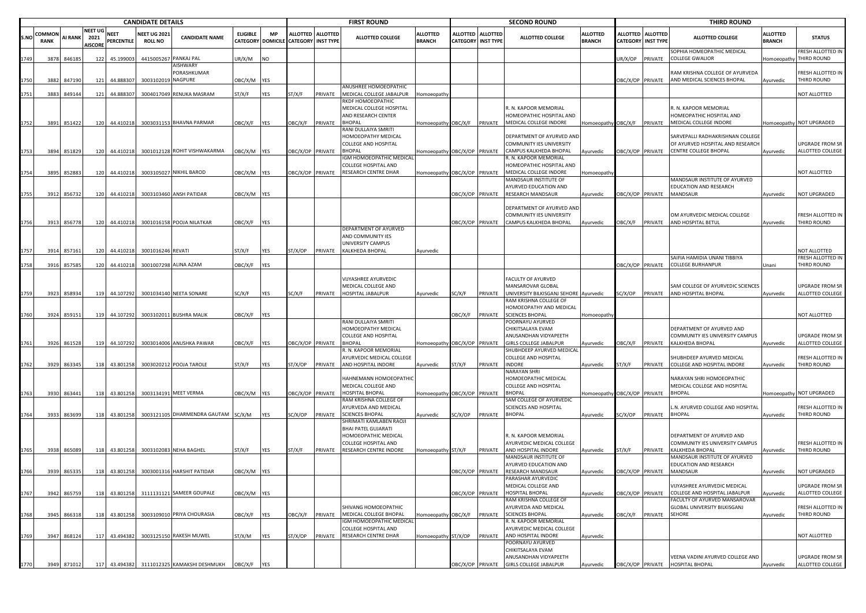|             |                |             |                                          |                           | <b>CANDIDATE DETAILS</b>              |                                            |                                             |            |                           |                   | <b>FIRST ROUND</b>                                 |                                  |                  |                                       | <b>SECOND ROUND</b>                                                              |                                  |                  |                                         | <b>THIRD ROUND</b>                                             |                                  |                                     |
|-------------|----------------|-------------|------------------------------------------|---------------------------|---------------------------------------|--------------------------------------------|---------------------------------------------|------------|---------------------------|-------------------|----------------------------------------------------|----------------------------------|------------------|---------------------------------------|----------------------------------------------------------------------------------|----------------------------------|------------------|-----------------------------------------|----------------------------------------------------------------|----------------------------------|-------------------------------------|
| <b>S.NO</b> | COMMON<br>RANK | AI RANK     | <b>NEET UG</b><br>2021<br><b>AISCORE</b> | <b>NEET</b><br>PERCENTILE | <b>NEET UG 2021</b><br><b>ROLL NO</b> | <b>CANDIDATE NAME</b>                      | <b>ELIGIBLE</b><br><b>CATEGORY DOMICILE</b> | MP         | <b>CATEGORY INST TYPE</b> | ALLOTTED ALLOTTED | <b>ALLOTTED COLLEGE</b>                            | <b>ALLOTTED</b><br><b>BRANCH</b> | <b>ALLOTTED</b>  | <b>ALLOTTED</b><br>CATEGORY INST TYPE | <b>ALLOTTED COLLEGE</b>                                                          | <b>ALLOTTED</b><br><b>BRANCH</b> |                  | ALLOTTED ALLOTTED<br>CATEGORY INST TYPE | <b>ALLOTTED COLLEGE</b>                                        | <b>ALLOTTED</b><br><b>BRANCH</b> | <b>STATUS</b>                       |
| 1749        | 3878           | 846185      |                                          | 122 45.199003             |                                       | 4415005267 PANKAJ PAL                      | JR/X/M                                      | NO         |                           |                   |                                                    |                                  |                  |                                       |                                                                                  |                                  | JR/X/OP          | PRIVATE                                 | SOPHIA HOMEOPATHIC MEDICAL<br><b>COLLEGE GWALIOR</b>           | Homoeopathy                      | FRESH ALLOTTED IN<br>THIRD ROUND    |
|             | 3882           |             | 121                                      | 44.888307                 | 3003102019 NAGPURE                    | AISHWARY<br>PORASHKUMAR                    |                                             |            |                           |                   |                                                    |                                  |                  |                                       |                                                                                  |                                  | DBC/X/OP PRIVATE |                                         | RAM KRISHNA COLLEGE OF AYURVEDA<br>AND MEDICAL SCIENCES BHOPAL |                                  | FRESH ALLOTTED IN<br>THIRD ROUND    |
|             |                | 847190      |                                          |                           |                                       |                                            | DBC/X/M YES                                 |            |                           |                   | ANUSHREE HOMOEOPATHIC                              |                                  |                  |                                       |                                                                                  |                                  |                  |                                         |                                                                | Ayurvedic                        |                                     |
| 1751        | 3883           | 849144      |                                          | 121 44.888307             |                                       | 3004017049 RENUKA MASRAM                   | ST/X/F                                      | YES        | ST/X/F                    | PRIVATE           | MEDICAL COLLEGE JABALPUR                           | Homoeopathy                      |                  |                                       |                                                                                  |                                  |                  |                                         |                                                                |                                  | NOT ALLOTTED                        |
|             |                |             |                                          |                           |                                       |                                            |                                             |            |                           |                   | RKDF HOMOEOPATHIC<br>MEDICAL COLLEGE HOSPITAL      |                                  |                  |                                       | R. N. KAPOOR MEMORIAL                                                            |                                  |                  |                                         | R. N. KAPOOR MEMORIAL                                          |                                  |                                     |
|             |                |             |                                          |                           |                                       |                                            |                                             |            |                           |                   | AND RESEARCH CENTER                                |                                  |                  |                                       | HOMEOPATHIC HOSPITAL AND                                                         |                                  |                  |                                         | HOMEOPATHIC HOSPITAL AND                                       |                                  |                                     |
| 1752        | 3891           | 851422      |                                          | 120 44.410218             |                                       | 3003031153 BHAVNA PARMAR                   | OBC/X/F                                     | <b>YES</b> | OBC/X/F                   | PRIVATE           | <b>BHOPAL</b>                                      | Homoeopathy OBC/X/F              |                  | PRIVATE                               | MEDICAL COLLEGE INDORE                                                           | Homoeopathy OBC/X/F              |                  | PRIVATE                                 | MEDICAL COLLEGE INDORE                                         |                                  | Homoeopathy NOT UPGRADED            |
|             |                |             |                                          |                           |                                       |                                            |                                             |            |                           |                   | RANI DULLAIYA SMRITI                               |                                  |                  |                                       |                                                                                  |                                  |                  |                                         | SARVEPALLI RADHAKRISHNAN COLLEGI                               |                                  |                                     |
|             |                |             |                                          |                           |                                       |                                            |                                             |            |                           |                   | HOMOEOPATHY MEDICAL<br><b>COLLEGE AND HOSPITAL</b> |                                  |                  |                                       | DEPARTMENT OF AYURVED AND<br><b>COMMUNITY IES UNIVERSITY</b>                     |                                  |                  |                                         | OF AYURVED HOSPITAL AND RESEARCH                               |                                  | UPGRADE FROM SR                     |
| 1753        | 3894           | 851829      |                                          | 120 44.410218             |                                       | 3001012128 ROHIT VISHWAKARMA               | BC/X/M YES                                  |            | DBC/X/OP PRIVATE          |                   | <b>BHOPAL</b>                                      | Homoeopathy OBC/X/OP             |                  | PRIVATE                               | CAMPUS KALKHEDA BHOPAL                                                           | Ayurvedic                        |                  |                                         | OBC/X/OP PRIVATE CENTRE COLLEGE BHOPAL                         | Ayurvedic                        | ALLOTTED COLLEGE                    |
|             |                |             |                                          |                           |                                       |                                            |                                             |            |                           |                   | IGM HOMOEOPATHIC MEDICAL                           |                                  |                  |                                       | R. N. KAPOOR MEMORIAL                                                            |                                  |                  |                                         |                                                                |                                  |                                     |
|             | 3895           | 85288       |                                          | 120 44.410218             |                                       | 3003105027 NIKHIL BAROD                    | DBC/X/M YES                                 |            | BC/X/OP PRIVATE           |                   | COLLEGE HOSPITAL AND<br>RESEARCH CENTRE DHAR       | Iomoeopathy OBC/X/OP             |                  | PRIVATE                               | HOMEOPATHIC HOSPITAL AND<br>MEDICAL COLLEGE INDORE                               | Homoeopath                       |                  |                                         |                                                                |                                  | NOT ALLOTTED                        |
|             |                |             |                                          |                           |                                       |                                            |                                             |            |                           |                   |                                                    |                                  |                  |                                       | MANDSAUR INSTITUTE OF                                                            |                                  |                  |                                         | MANDSAUR INSTITUTE OF AYURVED                                  |                                  |                                     |
|             |                |             |                                          |                           |                                       |                                            |                                             |            |                           |                   |                                                    |                                  |                  |                                       | AYURVED EDUCATION AND                                                            |                                  |                  |                                         | EDUCATION AND RESEARCH                                         |                                  |                                     |
| 1755        | 3912           | 856732      |                                          | 120 44.410218             |                                       | 3003103460 ANSH PATIDAR                    | DBC/X/M YES                                 |            |                           |                   |                                                    |                                  | DBC/X/OP         | PRIVATE                               | RESEARCH MANDSAUR                                                                | Ayurvedic                        | DBC/X/OP PRIVATE |                                         | MANDSAUR                                                       | Ayurvedic                        | NOT UPGRADED                        |
|             |                |             |                                          |                           |                                       |                                            |                                             |            |                           |                   |                                                    |                                  |                  |                                       | DEPARTMENT OF AYURVED AND                                                        |                                  |                  |                                         |                                                                |                                  |                                     |
|             |                |             |                                          |                           |                                       |                                            |                                             |            |                           |                   |                                                    |                                  |                  |                                       | COMMUNITY IES UNIVERSITY                                                         |                                  |                  |                                         | OM AYURVEDIC MEDICAL COLLEGE                                   |                                  | FRESH ALLOTTED IN                   |
| 1756        |                | 3913 856778 |                                          | 120 44.410218             |                                       | 3001016158 POOJA NILATKAR                  | DBC/X/F YES                                 |            |                           |                   |                                                    |                                  | DBC/X/OP         | PRIVATE                               | CAMPUS KALKHEDA BHOPAL                                                           | Ayurvedic                        | DBC/X/F PRIVATE  |                                         | AND HOSPITAL BETUL                                             | Ayurvedic                        | THIRD ROUND                         |
|             |                |             |                                          |                           |                                       |                                            |                                             |            |                           |                   | DEPARTMENT OF AYURVED                              |                                  |                  |                                       |                                                                                  |                                  |                  |                                         |                                                                |                                  |                                     |
|             |                |             |                                          |                           |                                       |                                            |                                             |            |                           |                   | AND COMMUNITY IES<br>UNIVERSITY CAMPUS             |                                  |                  |                                       |                                                                                  |                                  |                  |                                         |                                                                |                                  |                                     |
| 1757        | 3914           | 857161      |                                          | 120 44.410218             | 3001016246 REVATI                     |                                            | ST/X/F                                      | YES        | ST/X/OP                   | PRIVATE           | KALKHEDA BHOPAL                                    | Ayurvedic                        |                  |                                       |                                                                                  |                                  |                  |                                         |                                                                |                                  | NOT ALLOTTED                        |
|             |                |             |                                          |                           |                                       |                                            |                                             |            |                           |                   |                                                    |                                  |                  |                                       |                                                                                  |                                  |                  |                                         | SAIFIA HAMIDIA UNANI TIBBIYA                                   |                                  | FRESH ALLOTTED IN                   |
| 1758        | 3916           | 857585      | 120                                      | 44.410218                 |                                       | 3001007298 ALINA AZAM                      | )BC/X/F                                     | YES        |                           |                   |                                                    |                                  |                  |                                       |                                                                                  |                                  | DBC/X/OP PRIVATE |                                         | <b>COLLEGE BURHANPUR</b>                                       | Unani                            | <b>HIRD ROUND</b>                   |
|             |                |             |                                          |                           |                                       |                                            |                                             |            |                           |                   | VIJYASHREE AYURVEDIC                               |                                  |                  |                                       | FACULTY OF AYURVED                                                               |                                  |                  |                                         |                                                                |                                  |                                     |
|             |                |             |                                          |                           |                                       |                                            |                                             |            |                           |                   | MEDICAL COLLEGE AND                                |                                  |                  |                                       | MANSAROVAR GLOBAL                                                                |                                  |                  |                                         | SAM COLLEGE OF AYURVEDIC SCIENCES                              |                                  | UPGRADE FROM SR                     |
| 1759        |                | 3923 858934 |                                          | 119 44.107292             |                                       | 3001034140 NEETA SONARE                    | SC/X/F                                      | YES        | SC/X/F                    | PRIVATE           | HOSPITAL JABALPUR                                  | Ayurvedic                        | SC/X/F           | PRIVATE                               | UNIVERSITY BILKISGANJ SEHORE Ayurvedic                                           |                                  |                  |                                         | SC/X/OP PRIVATE AND HOSPITAL BHOPAL                            | Ayurvedic                        | ALLOTTED COLLEGE                    |
|             |                |             |                                          |                           |                                       |                                            |                                             |            |                           |                   |                                                    |                                  |                  |                                       | RAM KRISHNA COLLEGE OF<br>HOMOEOPATHY AND MEDICAL                                |                                  |                  |                                         |                                                                |                                  |                                     |
| 1760        |                | 3924 859151 |                                          | 119 44.107292             |                                       | 3003102011 BUSHRA MALIK                    | <b>JBC/X/F</b>                              | YES        |                           |                   |                                                    |                                  | )BC/X/F          | PRIVATE                               | <b>SCIENCES BHOPAL</b>                                                           | Homoeopath                       |                  |                                         |                                                                |                                  | NOT ALLOTTED                        |
|             |                |             |                                          |                           |                                       |                                            |                                             |            |                           |                   | RANI DULLAIYA SMRITI                               |                                  |                  |                                       | POORNAYU AYURVED                                                                 |                                  |                  |                                         |                                                                |                                  |                                     |
|             |                |             |                                          |                           |                                       |                                            |                                             |            |                           |                   | HOMOEOPATHY MEDICAL                                |                                  |                  |                                       | CHIKITSALAYA EVAM                                                                |                                  |                  |                                         | DEPARTMENT OF AYURVED AND                                      |                                  |                                     |
|             |                |             |                                          | 119 44.107292             |                                       |                                            |                                             |            | OBC/X/OP PRIVATE          |                   | COLLEGE AND HOSPITAL<br><b>BHOPAL</b>              |                                  |                  |                                       | ANUSANDHAN VIDYAPEETH                                                            |                                  |                  |                                         | COMMUNITY IES UNIVERSITY CAMPUS                                |                                  | UPGRADE FROM SR<br>ALLOTTED COLLEGE |
| 1761        |                | 3926 861528 |                                          |                           |                                       | 3003014006 ANUSHKA PAWAR                   | DBC/X/F YES                                 |            |                           |                   | R. N. KAPOOR MEMORIAL                              |                                  |                  |                                       | Homoeopathy OBC/X/OP PRIVATE GIRLS COLLEGE JABALPUR<br>SHUBHDEEP AYURVED MEDICAL | Ayurvedic                        |                  |                                         | OBC/X/F PRIVATE KALKHEDA BHOPAL                                | Ayurvedic                        |                                     |
|             |                |             |                                          |                           |                                       |                                            |                                             |            |                           |                   | AYURVEDIC MEDICAL COLLEGE                          |                                  |                  |                                       | <b>COLLEGE AND HOSPITAL</b>                                                      |                                  |                  |                                         | SHUBHDEEP AYURVED MEDICAL                                      |                                  | FRESH ALLOTTED IN                   |
| 1762        |                | 3929 863345 |                                          | 118 43.801258             |                                       | 3003020212 POOJA TAROLE                    | ST/X/F                                      | YES        | ST/X/OP                   | PRIVATE           | AND HOSPITAL INDORE                                | Ayurvedic                        | ST/X/F           | PRIVATE                               | <b>INDORE</b>                                                                    | Ayurvedic                        | 5T/X/F           | PRIVATE                                 | COLLEGE AND HOSPITAL INDORE                                    | Ayurvedic                        | <b>HIRD ROUND</b>                   |
|             |                |             |                                          |                           |                                       |                                            |                                             |            |                           |                   | HAHNEMANN HOMOEOPATHIC                             |                                  |                  |                                       | <b>NARAYAN SHRI</b><br>HOMOEOPATHIC MEDICAL                                      |                                  |                  |                                         | NARAYAN SHRI HOMOEOPATHIC                                      |                                  |                                     |
|             |                |             |                                          |                           |                                       |                                            |                                             |            |                           |                   | MEDICAL COLLEGE AND                                |                                  |                  |                                       | COLLEGE AND HOSPITAL                                                             |                                  |                  |                                         | MEDICAL COLLEGE AND HOSPITAL                                   |                                  |                                     |
| 1763        | 3930           | 863441      |                                          | 118 43.801258             |                                       | 3003134191 MEET VERMA                      | DBC/X/M YES                                 |            | OBC/X/OP PRIVATE          |                   | HOSPITAL BHOPAL                                    | Homoeopathy OBC/X/OP             |                  | PRIVATE                               | <b>BHOPAL</b>                                                                    | Homoeopathy OBC/X/OP PRIVATE     |                  |                                         | <b>BHOPAL</b>                                                  |                                  | Homoeopathy NOT UPGRADED            |
|             |                |             |                                          |                           |                                       |                                            |                                             |            |                           |                   | RAM KRISHNA COLLEGE OF                             |                                  |                  |                                       | SAM COLLEGE OF AYURVEDIC                                                         |                                  |                  |                                         |                                                                |                                  |                                     |
| 1764        | 3933           | 86369       |                                          | 118 43.801258             |                                       | 3003121105 DHARMENDRA GAUTAM SC/X/M        |                                             | YES        | SC/X/OP                   | PRIVATE           | AYURVEDA AND MEDICAL<br><b>SCIENCES BHOPAL</b>     | Ayurvedic                        | SC/X/OP          | PRIVATE                               | SCIENCES AND HOSPITAL<br><b>BHOPAL</b>                                           | Ayurvedic                        | SC/X/OP          | PRIVATE                                 | .N. AYURVED COLLEGE AND HOSPITAL<br>BHOPAL                     | Ayurvedic                        | RESH ALLOTTED IN<br>THIRD ROUND     |
|             |                |             |                                          |                           |                                       |                                            |                                             |            |                           |                   | SHRIMATI KAMLABEN RAOJI                            |                                  |                  |                                       |                                                                                  |                                  |                  |                                         |                                                                |                                  |                                     |
|             |                |             |                                          |                           |                                       |                                            |                                             |            |                           |                   | BHAI PATEL GUJARATI                                |                                  |                  |                                       |                                                                                  |                                  |                  |                                         |                                                                |                                  |                                     |
|             |                |             |                                          |                           |                                       |                                            |                                             |            |                           |                   | HOMOEOPATHIC MEDICAL                               |                                  |                  |                                       | R. N. KAPOOR MEMORIAL                                                            |                                  |                  |                                         | DEPARTMENT OF AYURVED AND                                      |                                  |                                     |
| 1765        | 3938           | 865089      |                                          |                           |                                       | 118 43.801258 3003102083 NEHA BAGHEL       | ST/X/F                                      | YES        | ST/X/F                    | PRIVATE           | COLLEGE HOSPITAL AND<br>RESEARCH CENTRE INDORE     | Homoeopathy ST/X/F               |                  | PRIVATE                               | AYURVEDIC MEDICAL COLLEGE<br>AND HOSPITAL INDORE                                 | Ayurvedic                        | ST/X/F           | PRIVATE                                 | COMMUNITY IES UNIVERSITY CAMPUS<br>KALKHEDA BHOPAL             | Ayurvedic                        | FRESH ALLOTTED IN<br>THIRD ROUND    |
|             |                |             |                                          |                           |                                       |                                            |                                             |            |                           |                   |                                                    |                                  |                  |                                       | MANDSAUR INSTITUTE OF                                                            |                                  |                  |                                         | MANDSAUR INSTITUTE OF AYURVED                                  |                                  |                                     |
|             |                |             |                                          |                           |                                       |                                            |                                             |            |                           |                   |                                                    |                                  |                  |                                       | AYURVED EDUCATION AND                                                            |                                  |                  |                                         | EDUCATION AND RESEARCH                                         |                                  |                                     |
| 1766        | 3939           | 865335      |                                          | 118 43.801258             |                                       | 3003001316 HARSHIT PATIDAR                 | )BC/X/M                                     | <b>YES</b> |                           |                   |                                                    |                                  | DBC/X/OP         | PRIVATE                               | <b>RESEARCH MANDSAUR</b>                                                         | Ayurvedic                        | DBC/X/OP PRIVATE |                                         | MANDSAUR                                                       | Avurvedic                        | <b>NOT UPGRADED</b>                 |
|             |                |             |                                          |                           |                                       |                                            |                                             |            |                           |                   |                                                    |                                  |                  |                                       | PARASHAR AYURVEDIC<br>MEDICAL COLLEGE AND                                        |                                  |                  |                                         | VIJYASHREE AYURVEDIC MEDICAL                                   |                                  | <b>UPGRADE FROM SR</b>              |
| 1767        | 3942           | 865759      |                                          | 118 43.801258             |                                       | 3111131121 SAMEER GOUPALE                  | OBC/X/M YES                                 |            |                           |                   |                                                    |                                  | OBC/X/OP         | PRIVATE                               | HOSPITAL BHOPAL                                                                  | Ayurvedic                        | DBC/X/OP PRIVATE |                                         | COLLEGE AND HOSPITAL JABALPUR                                  | Ayurvedic                        | ALLOTTED COLLEGE                    |
|             |                |             |                                          |                           |                                       |                                            |                                             |            |                           |                   |                                                    |                                  |                  |                                       | RAM KRISHNA COLLEGE OF                                                           |                                  |                  |                                         | FACULTY OF AYURVED MANSAROVAR                                  |                                  |                                     |
| 1768        |                | 3945 866318 |                                          | 118 43.801258             |                                       | 3003109010 PRIYA CHOURASIA                 | OBC/X/F                                     | <b>YES</b> | OBC/X/F                   | PRIVATE           | SHIVANG HOMOEOPATHIC<br>MEDICAL COLLEGE BHOPAL     | Homoeopathy OBC/X/F              |                  | PRIVATE                               | AYURVEDA AND MEDICAL<br><b>SCIENCES BHOPAL</b>                                   |                                  | OBC/X/F          | PRIVATE                                 | GLOBAL UNIVERSITY BILKISGANJ<br>SEHORE                         |                                  | FRESH ALLOTTED IN<br>THIRD ROUND    |
|             |                |             |                                          |                           |                                       |                                            |                                             |            |                           |                   | IGM HOMOEOPATHIC MEDICAL                           |                                  |                  |                                       | R. N. KAPOOR MEMORIAL                                                            | Ayurvedic                        |                  |                                         |                                                                | Ayurvedic                        |                                     |
|             |                |             |                                          |                           |                                       |                                            |                                             |            |                           |                   | COLLEGE HOSPITAL AND                               |                                  |                  |                                       | AYURVEDIC MEDICAL COLLEGE                                                        |                                  |                  |                                         |                                                                |                                  |                                     |
| 1769        | 3947           | 868124      |                                          | 117 43.494382             |                                       | 3003125150 RAKESH MUWEL                    | ST/X/M                                      | YES        | ST/X/OP                   | PRIVATE           | RESEARCH CENTRE DHAR                               | Homoeopathy ST/X/OP              |                  | PRIVATE                               | AND HOSPITAL INDORE                                                              | Ayurvedic                        |                  |                                         |                                                                |                                  | NOT ALLOTTED                        |
|             |                |             |                                          |                           |                                       |                                            |                                             |            |                           |                   |                                                    |                                  |                  |                                       | POORNAYU AYURVED<br>CHIKITSALAYA EVAM                                            |                                  |                  |                                         |                                                                |                                  |                                     |
|             |                |             |                                          |                           |                                       |                                            |                                             |            |                           |                   |                                                    |                                  |                  |                                       | ANUSANDHAN VIDYAPEETH                                                            |                                  |                  |                                         | VEENA VADINI AYURVED COLLEGE AND                               |                                  | <b>UPGRADE FROM SR</b>              |
| 1770        |                | 3949 871012 |                                          |                           |                                       | 117 43.494382 3111012325 KAMAKSHI DESHMUKH | OBC/X/F                                     | <b>YES</b> |                           |                   |                                                    |                                  | OBC/X/OP PRIVATE |                                       | <b>GIRLS COLLEGE JABALPUR</b>                                                    | Ayurvedic                        | OBC/X/OP PRIVATE |                                         | <b>HOSPITAL BHOPAL</b>                                         | Ayurvedic                        | ALLOTTED COLLEGE                    |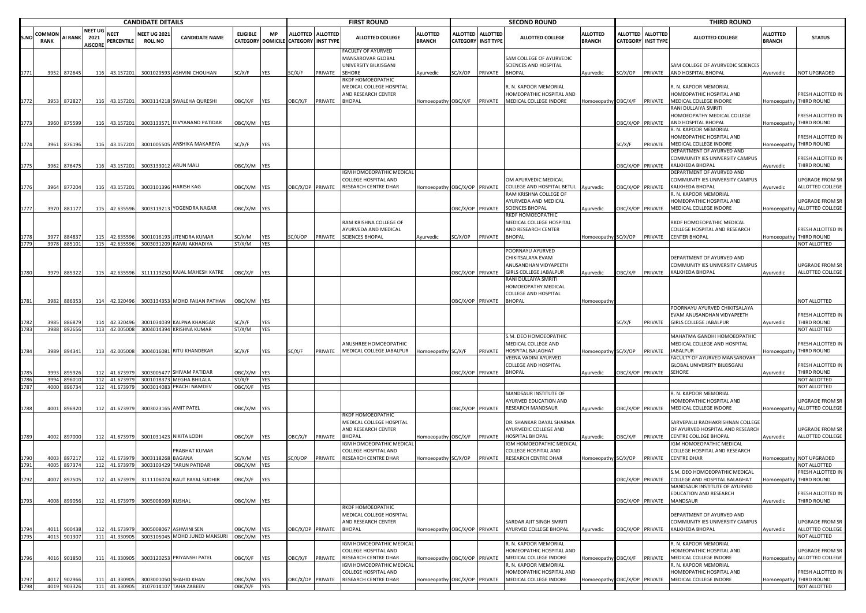|              |                      |                  |                                          |                                | <b>CANDIDATE DETAILS</b>             |                                                      |                       |                   |                                      |                   | <b>FIRST ROUND</b>                                                                                   |                                  |                  |                                              | <b>SECOND ROUND</b>                                                                                         |                                  |                  |                                              | <b>THIRD ROUND</b>                                                                                   |                                  |                                                        |
|--------------|----------------------|------------------|------------------------------------------|--------------------------------|--------------------------------------|------------------------------------------------------|-----------------------|-------------------|--------------------------------------|-------------------|------------------------------------------------------------------------------------------------------|----------------------------------|------------------|----------------------------------------------|-------------------------------------------------------------------------------------------------------------|----------------------------------|------------------|----------------------------------------------|------------------------------------------------------------------------------------------------------|----------------------------------|--------------------------------------------------------|
| S.NO         | COMMO<br><b>RANK</b> | AI RANK          | <b>NEET UG</b><br>2021<br><b>AISCORI</b> | <b>NEET</b><br>PERCENTILE      | <b>NEET UG 202</b><br><b>ROLL NO</b> | <b>CANDIDATE NAME</b>                                | <b>ELIGIBLE</b>       | <b>MP</b>         | CATEGORY DOMICILE CATEGORY INST TYPE | ALLOTTED ALLOTTED | <b>ALLOTTED COLLEGE</b>                                                                              | <b>ILLOTTED</b><br><b>BRANCH</b> | <b>ALLOTTED</b>  | <b>ALLOTTED</b><br><b>CATEGORY INST TYPE</b> | <b>ALLOTTED COLLEGE</b>                                                                                     | <b>ALLOTTED</b><br><b>BRANCH</b> | ALLOTTED         | <b>ALLOTTED</b><br><b>CATEGORY INST TYPE</b> | <b>ALLOTTED COLLEGE</b>                                                                              | <b>ALLOTTED</b><br><b>BRANCH</b> | <b>STATUS</b>                                          |
|              |                      |                  |                                          |                                |                                      |                                                      |                       |                   |                                      |                   | FACULTY OF AYURVED<br>MANSAROVAR GLOBAL<br>UNIVERSITY BILKISGANJ                                     |                                  |                  |                                              | SAM COLLEGE OF AYURVEDIC<br>SCIENCES AND HOSPITAL                                                           |                                  |                  |                                              | SAM COLLEGE OF AYURVEDIC SCIENCES                                                                    |                                  |                                                        |
|              | 3952                 | 872645           | 116                                      | 43.157201                      |                                      | 3001029593 ASHVINI CHOUHAN                           | SC/X/F                | <b>YES</b>        | SC/X/F                               | PRIVATE           | <b>SEHORE</b><br>RKDF HOMOEOPATHIC<br>MEDICAL COLLEGE HOSPITAL<br>AND RESEARCH CENTER                | Ayurvedic                        | SC/X/OP          | PRIVATE                                      | <b>BHOPAL</b><br>R. N. KAPOOR MEMORIAL<br>HOMEOPATHIC HOSPITAL AND                                          | Ayurvedic                        | SC/X/OP          | PRIVATE                                      | AND HOSPITAL BHOPAL<br>R. N. KAPOOR MEMORIAL<br>HOMEOPATHIC HOSPITAL AND                             | Ayurvedic                        | <b>NOT UPGRADED</b><br>FRESH ALLOTTED IN               |
| 1772         | 3953                 | 872827           |                                          |                                |                                      | 116 43.157201 3003114218 SWALEHA QURESHI             | DBC/X/F YES           |                   | OBC/X/F                              | PRIVATE           | <b>BHOPAL</b>                                                                                        | Homoeopathy OBC/X/F              |                  |                                              | PRIVATE MEDICAL COLLEGE INDORE                                                                              | Homoeopathy OBC/X/F              |                  | PRIVATE                                      | MEDICAL COLLEGE INDORE<br>RANI DULLAIYA SMRITI                                                       |                                  | Iomoeopathy THIRD ROUND                                |
| 1773         | 3960                 | 875599           | 116                                      | 43.157201                      |                                      | 3003133571 DIVYANAND PATIDAR                         | OBC/X/M YES           |                   |                                      |                   |                                                                                                      |                                  |                  |                                              |                                                                                                             |                                  | OBC/X/OP PRIVATE |                                              | HOMOEOPATHY MEDICAL COLLEGE<br>AND HOSPITAL BHOPAL<br>R. N. KAPOOR MEMORIAL                          |                                  | FRESH ALLOTTED IN<br>Iomoeopathy THIRD ROUND           |
| 1774         | 3961                 | 876196           | 116                                      | 43.157201                      |                                      | 3001005505 ANSHIKA MAKAREYA                          | SC/X/F                | YES               |                                      |                   |                                                                                                      |                                  |                  |                                              |                                                                                                             |                                  | SC/X/F           | PRIVATE                                      | HOMEOPATHIC HOSPITAL AND<br>MEDICAL COLLEGE INDORE<br>DEPARTMENT OF AYURVED AND                      |                                  | FRESH ALLOTTED IN<br>Iomoeopathy THIRD ROUND           |
| 1775         | 3962                 | 876475           | 116                                      | 43.157201                      |                                      | 3003133012 ARUN MALI                                 | OBC/X/M YES           |                   |                                      |                   |                                                                                                      |                                  |                  |                                              |                                                                                                             |                                  | DBC/X/OP PRIVATE |                                              | COMMUNITY IES UNIVERSITY CAMPUS<br>KALKHEDA BHOPAL                                                   | Ayurvedic                        | FRESH ALLOTTED IN<br>THIRD ROUND                       |
| 1776         | 3964                 | 877204           | 116                                      | 43.157201                      |                                      | 3003101396 HARISH KAG                                | DBC/X/M YES           |                   |                                      | OBC/X/OP PRIVATE  | <b>GM HOMOEOPATHIC MEDICAL</b><br>COLLEGE HOSPITAL AND<br>RESEARCH CENTRE DHAR                       | Homoeopathy OBC/X/OP PRIVATE     |                  |                                              | OM AYURVEDIC MEDICAL<br>COLLEGE AND HOSPITAL BETUL Ayurvedic                                                |                                  | DBC/X/OP PRIVATE |                                              | DEPARTMENT OF AYURVED AND<br>COMMUNITY IES UNIVERSITY CAMPUS<br>KALKHEDA BHOPAL                      | Ayurvedic                        | <b>UPGRADE FROM SR</b><br>ALLOTTED COLLEGE             |
| 1777         | 3970                 | 881177           | 115                                      | 42.635596                      |                                      | 3003119213 YOGENDRA NAGAR                            | OBC/X/M YES           |                   |                                      |                   |                                                                                                      |                                  |                  | BC/X/OP PRIVATE                              | RAM KRISHNA COLLEGE OF<br>AYURVEDA AND MEDICAL<br><b>SCIENCES BHOPAL</b>                                    | Ayurvedic                        | DBC/X/OP PRIVATE |                                              | R. N. KAPOOR MEMORIAL<br>HOMEOPATHIC HOSPITAL AND<br>MEDICAL COLLEGE INDORE                          |                                  | UPGRADE FROM SR<br>Iomoeopathy ALLOTTED COLLEGE        |
| 1778         | 3977                 | 884837           | 115                                      | 42.635596                      |                                      | 3001016193 JITENDRA KUMAR                            | C/X/M                 | YES               | SC/X/OP                              | PRIVATE           | RAM KRISHNA COLLEGE OF<br>AYURVEDA AND MEDICAL<br><b>SCIENCES BHOPAL</b>                             | Ayurvedic                        | SC/X/OP          | PRIVATE BHOPAL                               | RKDF HOMOEOPATHIC<br>MEDICAL COLLEGE HOSPITAL<br>AND RESEARCH CENTER                                        | Homoeopathy                      | SC/X/OP          | PRIVATE                                      | RKDF HOMOEOPATHIC MEDICAL<br>COLLEGE HOSPITAL AND RESEARCH<br><b>CENTER BHOPAL</b>                   |                                  | FRESH ALLOTTED IN<br>Homoeopathy THIRD ROUND           |
| 1779         | 3978                 | 885101           | 115                                      | 42.635596                      |                                      | 3003031209 RAMU AKHADIYA                             | ST/X/M                | <b>YES</b>        |                                      |                   |                                                                                                      |                                  |                  |                                              |                                                                                                             |                                  |                  |                                              |                                                                                                      |                                  | NOT ALLOTTED                                           |
|              |                      |                  |                                          |                                |                                      |                                                      |                       |                   |                                      |                   |                                                                                                      |                                  |                  |                                              | POORNAYU AYURVED<br>CHIKITSALAYA EVAM<br>ANUSANDHAN VIDYAPEETH                                              |                                  |                  |                                              | DEPARTMENT OF AYURVED AND<br>COMMUNITY IES UNIVERSITY CAMPUS                                         |                                  | UPGRADE FROM SR                                        |
| 1780         | 3979                 | 885322           | 115                                      | 42.635596                      |                                      | 3111119250 KAJAL MAHESH KATRE                        | OBC/X/F               | <b>YES</b>        |                                      |                   |                                                                                                      |                                  |                  | DBC/X/OP PRIVATE                             | <b>GIRLS COLLEGE JABALPUR</b><br>RANI DULLAIYA SMRITI<br>HOMOEOPATHY MEDICAL<br><b>COLLEGE AND HOSPITAL</b> | Ayurvedic                        | OBC/X/F          | PRIVATE                                      | KALKHEDA BHOPAL                                                                                      | Ayurvedic                        | ALLOTTED COLLEGE                                       |
| 1781         | 3982                 | 886353           | 114                                      | 42.320496                      |                                      | 3003134353 MOHD FAIJAN PATHAN                        | OBC/X/M YES           |                   |                                      |                   |                                                                                                      |                                  | OBC/X/OP PRIVATE |                                              | <b>BHOPAL</b>                                                                                               | Homoeopath                       |                  |                                              |                                                                                                      |                                  | NOT ALLOTTED                                           |
| 1782         | 3985                 | 886879           | 114                                      | 42.320496                      |                                      | 3001034039 KALPNA KHANGAR                            | SC/X/F                | <b>YES</b>        |                                      |                   |                                                                                                      |                                  |                  |                                              |                                                                                                             |                                  | SC/X/F           | PRIVATE                                      | POORNAYU AYURVED CHIKITSALAYA<br>EVAM ANUSANDHAN VIDYAPEETH<br><b>GIRLS COLLEGE JABALPUR</b>         | Ayurvedic                        | FRESH ALLOTTED IN<br>THIRD ROUND                       |
| 1783         | 3988                 | 892656           |                                          | 113 42.005008                  |                                      | 3004014394 KRISHNA KUMAR                             | ST/X/M                | <b>YES</b>        |                                      |                   |                                                                                                      |                                  |                  |                                              |                                                                                                             |                                  |                  |                                              |                                                                                                      |                                  | NOT ALLOTTED                                           |
| 1784         | 3989                 | 894341           | 113                                      | 42.005008                      |                                      | 3004016081 RITU KHANDEKAR                            | SC/X/F                | YES               | SC/X/F                               | PRIVATE           | ANUSHREE HOMOEOPATHIC<br>MEDICAL COLLEGE JABALPUR                                                    | Homoeopathy SC/X/F               |                  | PRIVATE                                      | S.M. DEO HOMOEOPATHIC<br>MEDICAL COLLEGE AND<br>HOSPITAL BALAGHAT                                           | <b>Homoeopathy</b>               | SC/X/OP          | PRIVATE                                      | MAHATMA GANDHI HOMOEOPATHIC<br>MEDICAL COLLEGE AND HOSPITAL<br><b>IABALPUR</b>                       |                                  | FRESH ALLOTTED IN<br>Iomoeopathy THIRD ROUND           |
| 1785         | 3993                 | 895926           | 112                                      | 41.67397                       |                                      | 3003005477 SHIVAM PATIDAR                            | OBC/X/M               | <b>YES</b>        |                                      |                   |                                                                                                      |                                  | ЭВС/Х/ОР         | PRIVATE                                      | VEENA VADINI AYURVED<br>COLLEGE AND HOSPITAL<br><b>BHOPAL</b>                                               | Ayurvedic                        | OBC/X/OP PRIVATE |                                              | FACULTY OF AYURVED MANSAROVAR<br>GLOBAL UNIVERSITY BILKISGANJ<br><b>SEHORE</b>                       | Ayurvedic                        | FRESH ALLOTTED IN<br>THIRD ROUND                       |
| 1786<br>1787 | 3994<br>4000         | 896010<br>896734 |                                          | 112 41.673979<br>112 41.673979 |                                      | 3001018373 MEGHA BHILALA<br>3003014083 PRACHI NAMDEV | ST/X/F<br>OBC/X/F     | YES<br><b>YES</b> |                                      |                   |                                                                                                      |                                  |                  |                                              |                                                                                                             |                                  |                  |                                              |                                                                                                      |                                  | NOT ALLOTTED<br>NOT ALLOTTED                           |
|              |                      |                  |                                          |                                |                                      |                                                      |                       |                   |                                      |                   |                                                                                                      |                                  |                  |                                              | MANDSAUR INSTITUTE OF<br>AYURVED EDUCATION AND                                                              |                                  |                  |                                              | R. N. KAPOOR MEMORIAL<br>HOMEOPATHIC HOSPITAL AND                                                    |                                  | UPGRADE FROM SR                                        |
| 1788         | 4001                 | 896920           | 112                                      | 41.673979                      |                                      | 3003023165 AMIT PATEL                                | OBC/X/M YES           |                   |                                      |                   | RKDF HOMOEOPATHIC<br>MEDICAL COLLEGE HOSPITAL<br>AND RESEARCH CENTER                                 |                                  | OBC/X/OP PRIVATE |                                              | RESEARCH MANDSAUR<br>DR. SHANKAR DAYAL SHARMA<br>AYURVEDIC COLLEGE AND                                      | Ayurvedic                        | OBC/X/OP PRIVATE |                                              | MEDICAL COLLEGE INDORE<br>SARVEPALLI RADHAKRISHNAN COLLEGI<br>OF AYURVED HOSPITAL AND RESEARCH       |                                  | Homoeopathy ALLOTTED COLLEGE<br><b>UPGRADE FROM SR</b> |
| 1789         | 4002                 | 897000           | 112                                      | 41.673979                      |                                      | 3001031423 NIKITA LODHI<br>PRABHAT KUMAR             | OBC/X/F               | <b>YES</b>        | OBC/X/F                              | PRIVATE           | <b>BHOPAL</b><br>IGM HOMOEOPATHIC MEDICAL<br>COLLEGE HOSPITAL AND                                    | Homoeopathy OBC/X/F              |                  | PRIVATE                                      | <b>HOSPITAL BHOPAL</b><br>IGM HOMOEOPATHIC MEDICAL<br><b>COLLEGE HOSPITAL AND</b>                           | Ayurvedic                        | OBC/X/F          | PRIVATE                                      | <b>CENTRE COLLEGE BHOPAL</b><br>IGM HOMOEOPATHIC MEDICAL<br>COLLEGE HOSPITAL AND RESEARCH            | Ayurvedic                        | ALLOTTED COLLEGE                                       |
| 1790         | 4003<br>4005         | 897217<br>897374 | 112<br>112                               | 41.673979<br>41.673979         | 3003118268 BAGANA                    | 3003103429 TARUN PATIDAR                             | SC/X/M<br>OBC/X/M YES | <b>YES</b>        | SC/X/OP                              | PRIVATE           | RESEARCH CENTRE DHAR                                                                                 | Homoeopathy SC/X/OP              |                  | PRIVATE                                      | RESEARCH CENTRE DHAR                                                                                        | Homoeopathy SC/X/OP              |                  | PRIVATE                                      | <b>CENTRE DHAR</b>                                                                                   |                                  | Homoeopathy NOT UPGRADED<br>NOT ALLOTTED               |
|              | 4007                 | 897505           | 112                                      | 41 673979                      |                                      | 3111106074 RAUT PAYAL SUDHIR                         | OBC/X/F               | <b>YFS</b>        |                                      |                   |                                                                                                      |                                  |                  |                                              |                                                                                                             |                                  | ORC/X/OP PRIVATE |                                              | S.M. DEO HOMOEOPATHIC MEDICAL<br>COLLEGE AND HOSPITAL BALAGHAT                                       | Iomoeonath                       | FRESH ALLOTTED IN<br>THIRD ROUND                       |
|              |                      |                  |                                          |                                |                                      |                                                      |                       |                   |                                      |                   |                                                                                                      |                                  |                  |                                              |                                                                                                             |                                  |                  |                                              | MANDSAUR INSTITUTE OF AYURVED<br>EDUCATION AND RESEARCH                                              |                                  | FRESH ALLOTTED IN                                      |
| 1793         | 4008                 | 899056           | 112                                      | 41.673979                      | 3005008069 KUSHAL                    |                                                      | OBC/X/M YES           |                   |                                      |                   |                                                                                                      |                                  |                  |                                              |                                                                                                             |                                  | OBC/X/OP PRIVATE |                                              | MANDSAUR                                                                                             | Ayurvedic                        | THIRD ROUND                                            |
| 1794         | 4011                 | 900438           | 112                                      | 41.673979                      |                                      | 3005008067 ASHWINI SEN                               | OBC/X/M YES           |                   | OBC/X/OP PRIVATE                     |                   | RKDF HOMOEOPATHIC<br>MEDICAL COLLEGE HOSPITAL<br>AND RESEARCH CENTER<br><b>BHOPAL</b>                |                                  |                  |                                              | SARDAR AJIT SINGH SMRITI<br>Homoeopathy OBC/X/OP PRIVATE AYURVED COLLEGE BHOPAL                             | Ayurvedic                        | OBC/X/OP PRIVATE |                                              | DEPARTMENT OF AYURVED AND<br>COMMUNITY IES UNIVERSITY CAMPUS<br>KALKHEDA BHOPAL                      | Ayurvedic                        | <b>UPGRADE FROM SR</b><br>ALLOTTED COLLEGE             |
| 1795         |                      | 4013 901307      |                                          | 111 41.330905                  |                                      | 3003105045 MOHD JUNED MANSURI                        | OBC/X/M YES           |                   |                                      |                   |                                                                                                      |                                  |                  |                                              |                                                                                                             |                                  |                  |                                              |                                                                                                      |                                  | NOT ALLOTTED                                           |
| 1796         | 4016                 | 901850           | 111                                      | 41.330905                      |                                      | 3003120253 PRIYANSHI PATEL                           | OBC/X/F               | <b>YES</b>        | OBC/X/F                              | PRIVATE           | IGM HOMOEOPATHIC MEDICAL<br>COLLEGE HOSPITAL AND<br>RESEARCH CENTRE DHAR<br>IGM HOMOEOPATHIC MEDICAL | Homoeopathy OBC/X/OP             |                  | PRIVATE                                      | R. N. KAPOOR MEMORIAL<br>HOMEOPATHIC HOSPITAL AND<br>MEDICAL COLLEGE INDORE<br>R. N. KAPOOR MEMORIAL        | Homoeopathy                      | OBC/X/F          | PRIVATE                                      | R. N. KAPOOR MEMORIAL<br>HOMEOPATHIC HOSPITAL AND<br>MEDICAL COLLEGE INDORE<br>R. N. KAPOOR MEMORIAL |                                  | <b>UPGRADE FROM SR</b><br>Homoeopathy ALLOTTED COLLEGE |
| 1797         | 4017                 | 902966           | 111                                      | 41.330905                      |                                      | 3003001050 SHAHID KHAN                               | OBC/X/M YES           |                   |                                      | OBC/X/OP PRIVATE  | COLLEGE HOSPITAL AND<br>RESEARCH CENTRE DHAR                                                         | Iomoeopathy                      | OBC/X/OP         | PRIVATE                                      | HOMEOPATHIC HOSPITAL AND<br>MEDICAL COLLEGE INDORE                                                          | Homoeopathy                      | OBC/X/OP         | PRIVATE                                      | HOMEOPATHIC HOSPITAL AND<br>MEDICAL COLLEGE INDORE                                                   | Iomoeopathy                      | FRESH ALLOTTED IN<br>THIRD ROUND                       |
| 1798         |                      | 4019 903326      |                                          |                                |                                      | 111 41.330905 3107014107 TAHA ZABEEN                 | OBC/X/F YES           |                   |                                      |                   |                                                                                                      |                                  |                  |                                              |                                                                                                             |                                  |                  |                                              |                                                                                                      |                                  | NOT ALLOTTED                                           |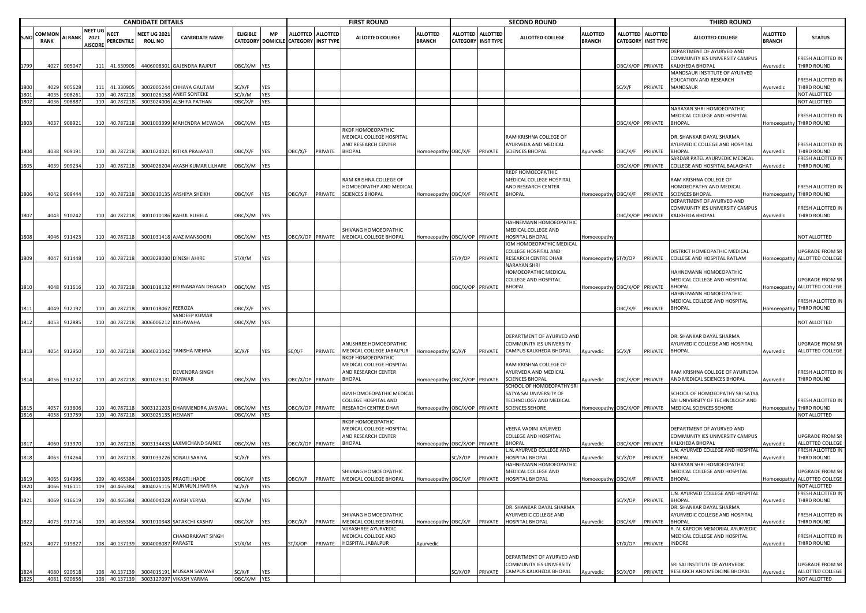|              |                              |                      |                                          |                           | <b>CANDIDATE DETAILS</b>              |                                                                    |                   |                   |                                                         |                 | <b>FIRST ROUND</b>                                                                    |                                  |                  |                                                | <b>SECOND ROUND</b>                                                      |                                  |                                    |                                     | <b>THIRD ROUND</b>                                                                 |                                  |                                                    |
|--------------|------------------------------|----------------------|------------------------------------------|---------------------------|---------------------------------------|--------------------------------------------------------------------|-------------------|-------------------|---------------------------------------------------------|-----------------|---------------------------------------------------------------------------------------|----------------------------------|------------------|------------------------------------------------|--------------------------------------------------------------------------|----------------------------------|------------------------------------|-------------------------------------|------------------------------------------------------------------------------------|----------------------------------|----------------------------------------------------|
| S.NO         | <b>COMMON</b><br><b>RANK</b> | AI RANK              | <b>NEET UG</b><br>2021<br><b>AISCORE</b> | <b>NEET</b><br>PERCENTILE | <b>NEET UG 2021</b><br><b>ROLL NO</b> | <b>CANDIDATE NAME</b>                                              | <b>ELIGIBLE</b>   | <b>MP</b>         | <b>ALLOTTED</b><br>CATEGORY DOMICILE CATEGORY INST TYPE | <b>ALLOTTED</b> | <b>ALLOTTED COLLEGE</b>                                                               | <b>ALLOTTED</b><br><b>BRANCH</b> |                  | ALLOTTED ALLOTTED<br><b>CATEGORY INST TYPE</b> | <b>ALLOTTED COLLEGE</b>                                                  | <b>ALLOTTED</b><br><b>BRANCH</b> | <b>ALLOTTED</b><br><b>CATEGORY</b> | <b>ALLOTTED</b><br><b>INST TYPE</b> | <b>ALLOTTED COLLEGE</b>                                                            | <b>ALLOTTED</b><br><b>BRANCH</b> | <b>STATUS</b>                                      |
| 1799         | 4027                         | 905047               | 111                                      | 41.330905                 |                                       | 4406008301 GAJENDRA RAJPUT                                         | DBC/X/M YES       |                   |                                                         |                 |                                                                                       |                                  |                  |                                                |                                                                          |                                  | OBC/X/OP                           | PRIVATE                             | DEPARTMENT OF AYURVED AND<br>COMMUNITY IES UNIVERSITY CAMPUS<br>KALKHEDA BHOPAL    | Ayurvedic                        | RESH ALLOTTED IN<br>THIRD ROUND                    |
| 1800         | 4029                         | 905628               | 111                                      | 41.330905                 |                                       | 3002005244 CHHAYA GAUTAM                                           | SC/X/F            | YES               |                                                         |                 |                                                                                       |                                  |                  |                                                |                                                                          |                                  | SC/X/F                             | PRIVATE                             | MANDSAUR INSTITUTE OF AYURVED<br>EDUCATION AND RESEARCH<br>MANDSAUR                | Ayurvedic                        | RESH ALLOTTED IN<br><b>HIRD ROUND</b>              |
| 1801         | 403                          | 908261               | 110                                      | 40.78721                  | 3001026158                            | <b>ANKIT SONTEKE</b>                                               | SC/X/M            | YES               |                                                         |                 |                                                                                       |                                  |                  |                                                |                                                                          |                                  |                                    |                                     |                                                                                    |                                  | <b>NOT ALLOTTED</b>                                |
| 1802         | 4036                         | 908887               |                                          | 110 40.787218             |                                       | 3003024006 ALSHIFA PATHAN                                          | <b>DBC/X/F</b>    | <b>YES</b>        |                                                         |                 |                                                                                       |                                  |                  |                                                |                                                                          |                                  |                                    |                                     | NARAYAN SHRI HOMOEOPATHIC                                                          |                                  | <b>NOT ALLOTTED</b>                                |
| 1803         | 4037                         | 908921               | 110                                      | 40.787218                 |                                       | 3001003399 MAHENDRA MEWADA                                         | DBC/X/M YES       |                   |                                                         |                 |                                                                                       |                                  |                  |                                                |                                                                          |                                  | OBC/X/OP PRIVATE                   |                                     | MEDICAL COLLEGE AND HOSPITAL<br><b>BHOPAL</b>                                      |                                  | <b>RESH ALLOTTED IN</b><br>Iomoeopathy THIRD ROUND |
|              |                              |                      |                                          |                           |                                       |                                                                    |                   |                   |                                                         |                 | RKDF HOMOEOPATHIC<br>MEDICAL COLLEGE HOSPITAL<br>AND RESEARCH CENTER                  |                                  |                  |                                                | RAM KRISHNA COLLEGE OF<br>AYURVEDA AND MEDICAL                           |                                  |                                    |                                     | DR. SHANKAR DAYAL SHARMA<br>AYURVEDIC COLLEGE AND HOSPITAL                         |                                  | RESH ALLOTTED IN                                   |
| 1804         | 4038                         | 909191               | 110                                      | 40.787218                 |                                       | 3001024021 RITIKA PRAJAPATI                                        | <b>JBC/X/F</b>    | <b>YES</b>        | <b>JBC/X/F</b>                                          | PRIVATE         | <b>BHOPAL</b>                                                                         |                                  |                  |                                                | Homoeopathy OBC/X/F PRIVATE SCIENCES BHOPAL                              | Ayurvedic                        | OBC/X/F                            | PRIVATE                             | <b>BHOPAL</b>                                                                      | Ayurvedic                        | THIRD ROUND                                        |
| 1805         | 4039                         | 909234               | 110                                      | 40.787218                 |                                       | 3004026204 AKASH KUMAR LILHARE                                     | DBC/X/M YES       |                   |                                                         |                 |                                                                                       |                                  |                  |                                                |                                                                          |                                  | DBC/X/OP                           | PRIVATE                             | SARDAR PATEL AYURVEDIC MEDICAL<br>COLLEGE AND HOSPITAL BALAGHAT                    | Ayurvedic                        | <b>RESH ALLOTTED IN</b><br><b>THIRD ROUND</b>      |
|              |                              |                      |                                          |                           |                                       |                                                                    |                   |                   |                                                         |                 | RAM KRISHNA COLLEGE OF<br>HOMOEOPATHY AND MEDICAL                                     |                                  |                  |                                                | RKDF HOMOEOPATHIC<br>MEDICAL COLLEGE HOSPITAL<br>AND RESEARCH CENTER     |                                  |                                    |                                     | RAM KRISHNA COLLEGE OF<br>HOMOEOPATHY AND MEDICAL                                  |                                  | FRESH ALLOTTED IN                                  |
| 1806         |                              | 4042 909444          | 110                                      | 40.787218                 |                                       | 3003010135 ARSHIYA SHEIKH                                          | <b>DBC/X/F</b>    | <b>YES</b>        | )BC/X/F                                                 | PRIVATE         | <b>SCIENCES BHOPAL</b>                                                                | Homoeopathy OBC/X/F PRIVATE      |                  |                                                | <b>BHOPAL</b>                                                            | Homoeopathy                      | OBC/X/F                            | PRIVATE                             | <b>SCIENCES BHOPAL</b><br>DEPARTMENT OF AYURVED AND                                | <b>Homoeopathy</b>               | THIRD ROUND                                        |
| 1807         | 4043                         | 910242               | 110                                      | 40.787218                 |                                       | 3001010186 RAHUL RUHELA                                            | DBC/X/M YES       |                   |                                                         |                 |                                                                                       |                                  |                  |                                                |                                                                          |                                  | <b>DBC/X/OP PRIVATE</b>            |                                     | COMMUNITY IES UNIVERSITY CAMPUS<br>KALKHEDA BHOPAL                                 | Ayurvedic                        | RESH ALLOTTED IN<br>THIRD ROUND                    |
|              |                              |                      |                                          |                           |                                       |                                                                    |                   |                   |                                                         |                 | SHIVANG HOMOEOPATHIC                                                                  |                                  |                  |                                                | HAHNEMANN HOMOEOPATHIC<br>MEDICAL COLLEGE AND                            |                                  |                                    |                                     |                                                                                    |                                  |                                                    |
| 1808         | 4046                         | 911423               | 110                                      | 40.787218                 |                                       | 3001031418 AJAZ MANSOORI                                           | DBC/X/M YES       |                   | BC/X/OP PRIVATE                                         |                 | MEDICAL COLLEGE BHOPAL                                                                | Homoeopathy OBC/X/OP PRIVATE     |                  |                                                | HOSPITAL BHOPAL                                                          | Homoeopath                       |                                    |                                     |                                                                                    |                                  | NOT ALLOTTED                                       |
|              |                              |                      |                                          |                           |                                       |                                                                    |                   |                   |                                                         |                 |                                                                                       |                                  |                  |                                                | IGM HOMOEOPATHIC MEDICAL                                                 |                                  |                                    |                                     |                                                                                    |                                  |                                                    |
| 1809         | 4047                         | 911448               | 110                                      | 40.787218                 |                                       | 3003028030 DINESH AHIRE                                            | ST/X/M            | YES               |                                                         |                 |                                                                                       |                                  | ST/X/OP          | PRIVATE                                        | COLLEGE HOSPITAL AND<br>RESEARCH CENTRE DHAR                             | Homoeopathy ST/X/OP              |                                    | PRIVATE                             | DISTRICT HOMEOPATHIC MEDICAL<br>COLLEGE AND HOSPITAL RATLAM                        |                                  | UPGRADE FROM SR<br>Iomoeopathy ALLOTTED COLLEGE    |
|              |                              |                      |                                          |                           |                                       |                                                                    |                   |                   |                                                         |                 |                                                                                       |                                  |                  |                                                | NARAYAN SHRI<br>HOMOEOPATHIC MEDICAL                                     |                                  |                                    |                                     | HAHNEMANN HOMOEOPATHIC                                                             |                                  |                                                    |
| 1810         |                              | 4048 911616          |                                          | 110 40.787218             |                                       | 3001018132 BRIJNARAYAN DHAKAD                                      | DBC/X/M YES       |                   |                                                         |                 |                                                                                       |                                  | OBC/X/OP PRIVATE |                                                | COLLEGE AND HOSPITAL<br><b>BHOPAL</b>                                    | Homoeopathy OBC/X/OP PRIVATE     |                                    |                                     | MEDICAL COLLEGE AND HOSPITAL<br><b>BHOPAL</b>                                      | <b>Homoeopathy</b>               | JPGRADE FROM SR<br>ALLOTTED COLLEGE                |
|              |                              |                      |                                          |                           |                                       |                                                                    |                   |                   |                                                         |                 |                                                                                       |                                  |                  |                                                |                                                                          |                                  |                                    |                                     | HAHNEMANN HOMOEOPATHIC                                                             |                                  |                                                    |
| 1811         | 4049                         | 912192               | 110                                      | 40.787218                 | 3001018067                            | <b>FEEROZA</b>                                                     |                   |                   |                                                         |                 |                                                                                       |                                  |                  |                                                |                                                                          |                                  | <b>DBC/X/F</b>                     | PRIVATE                             | MEDICAL COLLEGE AND HOSPITAL<br><b>BHOPAL</b>                                      |                                  | RESH ALLOTTED IN<br>Iomoeopathy THIRD ROUND        |
|              |                              |                      |                                          |                           |                                       | SANDEEP KUMAR                                                      | <b>JBC/X/F</b>    | YES               |                                                         |                 |                                                                                       |                                  |                  |                                                |                                                                          |                                  |                                    |                                     |                                                                                    |                                  |                                                    |
| 1812         | 4053                         | 912885               | 110                                      | 40.787218                 | 300600621                             | <b>KUSHWAHA</b>                                                    | DBC/X/M YES       |                   |                                                         |                 |                                                                                       |                                  |                  |                                                |                                                                          |                                  |                                    |                                     |                                                                                    |                                  | <b>NOT ALLOTTED</b>                                |
|              |                              |                      |                                          |                           |                                       |                                                                    |                   |                   |                                                         |                 | ANUSHREE HOMOEOPATHIC                                                                 |                                  |                  |                                                | DEPARTMENT OF AYURVED AND<br>COMMUNITY IES UNIVERSITY                    |                                  |                                    |                                     | DR. SHANKAR DAYAL SHARMA<br>AYURVEDIC COLLEGE AND HOSPITAL                         |                                  | UPGRADE FROM SR                                    |
| 1813         |                              | 4054 912950          | 110                                      | 40.787218                 |                                       | 3004031042 TANISHA MEHRA                                           | SC/X/F            | YES               | SC/X/F                                                  | PRIVATE         | MEDICAL COLLEGE JABALPUR                                                              | Homoeopathy SC/X/F               |                  | PRIVATE                                        | CAMPUS KALKHEDA BHOPAL                                                   | Ayurvedic                        | SC/X/F                             | PRIVATE                             | <b>BHOPAL</b>                                                                      | Ayurvedic                        | ALLOTTED COLLEGE                                   |
| 1814         |                              |                      |                                          |                           | 3001028131 PANWAR                     | DEVENDRA SINGH                                                     |                   |                   |                                                         |                 | RKDF HOMOEOPATHIC<br>MEDICAL COLLEGE HOSPITAL<br>AND RESEARCH CENTER<br><b>BHOPAL</b> |                                  |                  |                                                | RAM KRISHNA COLLEGE OF<br>AYURVEDA AND MEDICAL<br><b>SCIENCES BHOPAL</b> |                                  |                                    |                                     | RAM KRISHNA COLLEGE OF AYURVEDA<br>AND MEDICAL SCIENCES BHOPAL                     |                                  | RESH ALLOTTED IN<br>THIRD ROUND                    |
|              |                              | 4056 913232          |                                          | 110 40.787218             |                                       |                                                                    | DBC/X/M YES       |                   | DBC/X/OP PRIVATE                                        |                 |                                                                                       | Homoeopathy OBC/X/OP PRIVATE     |                  |                                                | SCHOOL OF HOMOEOPATHY SRI                                                | Ayurvedic                        | OBC/X/OP PRIVATE                   |                                     |                                                                                    | Ayurvedic                        |                                                    |
|              |                              |                      |                                          |                           |                                       |                                                                    |                   |                   |                                                         |                 | GM HOMOEOPATHIC MEDICAL                                                               |                                  |                  |                                                | SATYA SAI UNIVERSITY OF                                                  |                                  |                                    |                                     | SCHOOL OF HOMOEOPATHY SRI SATYA                                                    |                                  |                                                    |
|              | 4057                         | 913606               | 110                                      | 40.787218                 |                                       | 3003121203 DHARMENDRA JAISWAL                                      | OBC/X/M YES       |                   | DBC/X/OP PRIVATE                                        |                 | COLLEGE HOSPITAL AND<br>RESEARCH CENTRE DHAR                                          | Homoeopathy OBC/X/OP PRIVATE     |                  |                                                | TECHNOLOGY AND MEDICAL<br><b>SCIENCES SEHORE</b>                         | Homoeopathy OBC/X/OP PRIVATE     |                                    |                                     | SAI UNIVERSITY OF TECHNOLOGY AND<br>MEDICAL SCIENCES SEHORE                        |                                  | RESH ALLOTTED IN<br>Iomoeopathy THIRD ROUND        |
| 1816         | 4058                         | 913759               |                                          | 110 40.787218             | 3003025135 HEMANT                     |                                                                    | DBC/X/M YES       |                   |                                                         |                 |                                                                                       |                                  |                  |                                                |                                                                          |                                  |                                    |                                     |                                                                                    |                                  | NOT ALLOTTED                                       |
|              |                              |                      |                                          |                           |                                       |                                                                    |                   |                   |                                                         |                 | RKDF HOMOEOPATHIC<br>MEDICAL COLLEGE HOSPITAL<br>AND RESEARCH CENTER                  |                                  |                  |                                                | VEENA VADINI AYURVED<br><b>COLLEGE AND HOSPITAL</b>                      |                                  |                                    |                                     | DEPARTMENT OF AYURVED AND<br>COMMUNITY IES UNIVERSITY CAMPUS                       |                                  | JPGRADE FROM SR                                    |
|              | 4060                         | 913970               | 110                                      | 40.787218                 |                                       | 3003134435 LAXMICHAND SAINEE                                       | DBC/X/M YES       |                   | BC/X/OP PRIVATE                                         |                 | <b>BHOPAL</b>                                                                         | Homoeopathy OBC/X/OP PRIVATE     |                  |                                                | <b>BHOPAL</b>                                                            | Ayurvedic                        | DBC/X/OP PRIVATE                   |                                     | KALKHEDA BHOPAL                                                                    | Ayurvedic                        | ALLOTTED COLLEGE                                   |
| 1818         | 4063                         | 914264               | 110                                      | 40.787218                 |                                       | 3001033226 SONALI SARIYA                                           | SC/X/F            | YES               |                                                         |                 |                                                                                       |                                  | SC/X/OP          | PRIVATE                                        | N. AYURVED COLLEGE AND<br>HOSPITAL BHOPAL<br>HAHNEMANN HOMOEOPATHIC      | Ayurvedic                        | C/X/OP                             | <b>PRIVATE</b>                      | L.N. AYURVED COLLEGE AND HOSPITAL<br><b>BHOPAL</b><br>NARAYAN SHRI HOMOEOPATHIC    | Ayurvedic                        | <b>RESH ALLOTTED IN</b><br>THIRD ROUND             |
|              |                              |                      |                                          |                           |                                       |                                                                    |                   |                   |                                                         |                 | SHIVANG HOMOEOPATHIC                                                                  |                                  |                  |                                                | MEDICAL COLLEGE AND                                                      |                                  |                                    |                                     | MEDICAL COLLEGE AND HOSPITAL                                                       |                                  | UPGRADE FROM SR                                    |
| 1819<br>1820 | 4066                         | 4065 914996<br>91611 | 109                                      | 40.465384                 |                                       | 109 40.465384 3001033305 PRAGTI JHADE<br>3004025115 MUNMUN JHARIYA | OBC/X/F<br>SC/X/F | <b>YES</b><br>YES |                                                         |                 | OBC/X/F PRIVATE MEDICAL COLLEGE BHOPAL                                                | Homoeopathy OBC/X/F PRIVATE      |                  |                                                | <b>HOSPITAL BHOPAL</b>                                                   | Homoeopathy OBC/X/F PRIVATE      |                                    |                                     | <b>BHOPAL</b>                                                                      |                                  | Homoeopathy ALLOTTED COLLEGE<br>NOT ALLOTTED       |
|              |                              |                      |                                          |                           |                                       |                                                                    |                   |                   |                                                         |                 |                                                                                       |                                  |                  |                                                |                                                                          |                                  |                                    |                                     | L.N. AYURVED COLLEGE AND HOSPITAL                                                  |                                  | RESH ALLOTTED IN                                   |
| 1821         | 4069                         | 916619               | 109                                      | 40.465384                 |                                       | 3004004028 AYUSH VERMA                                             | SC/X/M            | YES               |                                                         |                 |                                                                                       |                                  |                  |                                                | DR. SHANKAR DAYAL SHARMA                                                 |                                  | SC/X/OP                            | PRIVATE                             | <b>BHOPAL</b><br>DR. SHANKAR DAYAL SHARMA                                          | Ayurvedic                        | THIRD ROUND                                        |
| 1822         | 4073                         | 917714               | 109                                      | 40.465384                 |                                       | 3001010348 SATAKCHI KASHIV                                         | <b>JBC/X/F</b>    | <b>YES</b>        | BC/X/F                                                  | PRIVATE         | SHIVANG HOMOEOPATHIC<br>MEDICAL COLLEGE BHOPAL<br>VIJYASHREE AYURVEDIC                | Homoeopathy OBC/X/F PRIVATE      |                  |                                                | AYURVEDIC COLLEGE AND<br><b>HOSPITAL BHOPAL</b>                          | Ayurvedic                        | OBC/X/F                            | PRIVATE                             | AYURVEDIC COLLEGE AND HOSPITAL<br><b>BHOPAL</b><br>R. N. KAPOOR MEMORIAL AYURVEDIC | Ayurvedic                        | RESH ALLOTTED IN<br><b>THIRD ROUND</b>             |
|              |                              |                      |                                          |                           |                                       | <b>CHANDRAKANT SINGH</b>                                           |                   |                   |                                                         |                 | MEDICAL COLLEGE AND                                                                   |                                  |                  |                                                |                                                                          |                                  |                                    |                                     | MEDICAL COLLEGE AND HOSPITAL                                                       |                                  | RESH ALLOTTED IN                                   |
| 1823         | 4077                         | 919827               | 108                                      | 40.137139                 | 3004008087                            | PARASTE                                                            | ST/X/M            | YES               | ST/X/OP                                                 | PRIVATE         | HOSPITAL JABALPUR                                                                     | Ayurvedic                        |                  |                                                | DEPARTMENT OF AYURVED AND                                                |                                  | ST/X/OP                            | PRIVATE                             | <b>INDORE</b>                                                                      | Ayurvedic                        | <b>THIRD ROUND</b>                                 |
|              |                              |                      |                                          |                           |                                       |                                                                    |                   |                   |                                                         |                 |                                                                                       |                                  |                  |                                                | COMMUNITY IES UNIVERSITY                                                 |                                  |                                    |                                     | SRI SAI INSTITUTE OF AYURVEDIC                                                     |                                  | JPGRADE FROM SR                                    |
| 1824         | 4080                         | 920518               | 108                                      | 40.137139                 |                                       | 3004015191 MUSKAN SAKWAR                                           | SC/X/F            | YES               |                                                         |                 |                                                                                       |                                  | C/X/OP           | PRIVATE                                        | CAMPUS KALKHEDA BHOPAL                                                   | Ayurvedic                        | SC/X/OP                            | PRIVATE                             | RESEARCH AND MEDICINE BHOPAL                                                       | Ayurvedic                        | ALLOTTED COLLEGE                                   |
| 1825         | 4081                         | 920656               | 108                                      | 40.137139                 |                                       | 3003127097 VIKASH VARMA                                            | OBC/X/M YES       |                   |                                                         |                 |                                                                                       |                                  |                  |                                                |                                                                          |                                  |                                    |                                     |                                                                                    |                                  | NOT ALLOTTED                                       |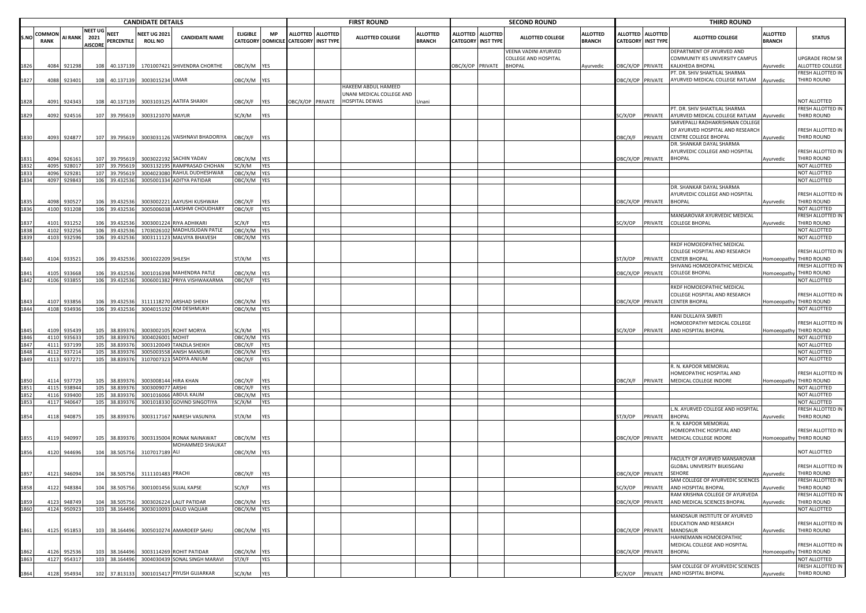|              |                |                  |                                          |                      | <b>CANDIDATE DETAILS</b>              |                                        |                    |                         |                           |                   | <b>FIRST ROUND</b>                          |                                  |                 |                                              | <b>SECOND ROUND</b>                          |                                  |                         |                                         | <b>THIRD ROUND</b>                                                |                                  |                                              |
|--------------|----------------|------------------|------------------------------------------|----------------------|---------------------------------------|----------------------------------------|--------------------|-------------------------|---------------------------|-------------------|---------------------------------------------|----------------------------------|-----------------|----------------------------------------------|----------------------------------------------|----------------------------------|-------------------------|-----------------------------------------|-------------------------------------------------------------------|----------------------------------|----------------------------------------------|
| S.NO         | COMMON<br>RANK | AI RANK          | <b>NEET UG</b><br>2021<br><b>AISCORE</b> | NEET<br>PERCENTILE   | <b>NEET UG 2021</b><br><b>ROLL NO</b> | <b>CANDIDATE NAME</b>                  | <b>ELIGIBLE</b>    | MP<br>CATEGORY DOMICILE | <b>CATEGORY INST TYPE</b> | ALLOTTED ALLOTTED | <b>ALLOTTED COLLEGE</b>                     | <b>ALLOTTED</b><br><b>BRANCH</b> | <b>ALLOTTED</b> | <b>ALLOTTED</b><br><b>CATEGORY INST TYPE</b> | <b>ALLOTTED COLLEGE</b>                      | <b>ALLOTTED</b><br><b>BRANCH</b> |                         | ALLOTTED ALLOTTED<br>CATEGORY INST TYPE | <b>ALLOTTED COLLEGE</b>                                           | <b>ALLOTTED</b><br><b>BRANCH</b> | <b>STATUS</b>                                |
|              |                |                  |                                          |                      |                                       |                                        |                    |                         |                           |                   |                                             |                                  |                 |                                              | VEENA VADINI AYURVED<br>COLLEGE AND HOSPITAL |                                  |                         |                                         | DEPARTMENT OF AYURVED AND<br>COMMUNITY IES UNIVERSITY CAMPUS      |                                  | UPGRADE FROM SR                              |
| 1826         | 4084           | 921298           | 108                                      | 40.137139            |                                       | 1701007421 SHIVENDRA CHORTHE           | ЭВС/Х/М            | YES                     |                           |                   |                                             |                                  |                 | DBC/X/OP PRIVATE                             | <b>BHOPAL</b>                                | Ayurvedic                        |                         | BC/X/OP PRIVATE                         | KALKHEDA BHOPAL<br>T. DR. SHIV SHAKTILAL SHARMA                   | Ayurvedic                        | ALLOTTED COLLEGE<br>FRESH ALLOTTED IN        |
| 1827         | 4088           | 923401           | 108                                      | 40.137139            | 3003015234 UMAR                       |                                        | OBC/X/M            | YES                     |                           |                   | HAKEEM ABDUL HAMEED                         |                                  |                 |                                              |                                              |                                  |                         | <b>DBC/X/OP PRIVATE</b>                 | AYURVED MEDICAL COLLEGE RATLAM                                    | Ayurvedic                        | THIRD ROUND                                  |
| 1828         | 4091           | 92434            | 108                                      | 40.137139            | 300310312                             | <b>AATIFA SHAIKH</b>                   | OBC/X/F            | YES                     | DBC/X/OP PRIVATE          |                   | UNANI MEDICAL COLLEGE AND<br>HOSPITAL DEWAS | Jnani                            |                 |                                              |                                              |                                  |                         |                                         |                                                                   |                                  | NOT ALLOTTED                                 |
|              |                |                  |                                          |                      |                                       |                                        |                    |                         |                           |                   |                                             |                                  |                 |                                              |                                              |                                  |                         |                                         | PT. DR. SHIV SHAKTILAL SHARMA                                     |                                  | FRESH ALLOTTED IN                            |
| 1829         | 4092           | 924516           | 107                                      | 39.795619            | 3003121070 MAYUR                      |                                        | SC/X/M             | YES                     |                           |                   |                                             |                                  |                 |                                              |                                              |                                  | SC/X/OP                 | PRIVATE                                 | AYURVED MEDICAL COLLEGE RATLAM<br>SARVEPALLI RADHAKRISHNAN COLLEG | Ayurvedic                        | THIRD ROUND                                  |
| 1830         | 4093           | 924877           | 107                                      | 39.795619            |                                       | 3003031126 VAISHNAVI BHADORIYA         | OBC/X/F            | YES                     |                           |                   |                                             |                                  |                 |                                              |                                              |                                  | <b>JBC/X/F</b>          | PRIVATE                                 | OF AYURVED HOSPITAL AND RESEARCH<br><b>CENTRE COLLEGE BHOPAL</b>  | Ayurvedic                        | FRESH ALLOTTED IN<br>THIRD ROUND             |
|              |                |                  |                                          |                      |                                       |                                        |                    |                         |                           |                   |                                             |                                  |                 |                                              |                                              |                                  |                         |                                         | DR. SHANKAR DAYAL SHARMA                                          |                                  |                                              |
| 831          | 4094           | 92616            | 107                                      | 39.79561             | 300302219                             | <b>SACHIN YADAV</b>                    | ЭВС/Х/М            | YES                     |                           |                   |                                             |                                  |                 |                                              |                                              |                                  | <b>OBC/X/OP PRIVATE</b> |                                         | AYURVEDIC COLLEGE AND HOSPITAL<br><b>BHOPAL</b>                   | Ayurvedic                        | FRESH ALLOTTED IN<br>THIRD ROUND             |
| 832          | 4095           | 928017           | 107                                      | 39.79561             | 300313219                             | RAMPRASAD CHOHAN                       | SC/X/M             | YES                     |                           |                   |                                             |                                  |                 |                                              |                                              |                                  |                         |                                         |                                                                   |                                  | NOT ALLOTTED                                 |
| 833          | 4096           | 92928            | 107                                      | 39.79561             | 300402308                             | RAHUL DUDHESHWAR                       | OBC/X/M            | YES                     |                           |                   |                                             |                                  |                 |                                              |                                              |                                  |                         |                                         |                                                                   |                                  | NOT ALLOTTED                                 |
| 1834         | 4097           | 929843           | 106                                      | 39.43253             | 300500133                             | <b>ADITYA PATIDAR</b>                  | OBC/X/M            | YES                     |                           |                   |                                             |                                  |                 |                                              |                                              |                                  |                         |                                         |                                                                   |                                  | NOT ALLOTTED                                 |
|              |                |                  |                                          |                      |                                       |                                        |                    |                         |                           |                   |                                             |                                  |                 |                                              |                                              |                                  |                         |                                         | DR. SHANKAR DAYAL SHARMA                                          |                                  |                                              |
|              |                |                  |                                          |                      |                                       |                                        |                    |                         |                           |                   |                                             |                                  |                 |                                              |                                              |                                  |                         |                                         | AYURVEDIC COLLEGE AND HOSPITAL                                    |                                  | FRESH ALLOTTED IN                            |
| 835          | 4098           | 93052            | 106                                      | 39.43253             | 300300222                             | AAYUSHI KUSHWAH                        | <b>DBC/X/F</b>     | YES                     |                           |                   |                                             |                                  |                 |                                              |                                              |                                  |                         | OBC/X/OP PRIVATE                        | BHOPAL                                                            | Ayurvedic                        | THIRD ROUND                                  |
| 836          | 4100           | 931208           | 106                                      | 39.43253             | 300500603                             | LAKSHMI CHOUDHARY                      | OBC/X/F            | YES                     |                           |                   |                                             |                                  |                 |                                              |                                              |                                  |                         |                                         |                                                                   |                                  | NOT ALLOTTED                                 |
|              |                |                  | 106                                      | 39.43253             |                                       |                                        | G/X/F              | YES                     |                           |                   |                                             |                                  |                 |                                              |                                              |                                  | SC/X/OP                 |                                         | MANSAROVAR AYURVEDIC MEDICAL                                      |                                  | FRESH ALLOTTED IN<br>THIRD ROUND             |
| .837<br>1838 | 4101<br>410    | 931252<br>932256 | 106                                      | 39.43253             | 300300122<br>17030261                 | RIYA ADHIKARI<br>MADHUSUDAN PATLE      | OBC/X/M            | YES                     |                           |                   |                                             |                                  |                 |                                              |                                              |                                  |                         | PRIVATE                                 | <b>COLLEGE BHOPAL</b>                                             | Ayurvedic                        | NOT ALLOTTED                                 |
| 1839         | 4103           | 932596           | 106                                      | 39.432536            | 300311112                             | MALVIYA BHAVESH                        | OBC/X/M YES        |                         |                           |                   |                                             |                                  |                 |                                              |                                              |                                  |                         |                                         |                                                                   |                                  | NOT ALLOTTED                                 |
|              |                |                  |                                          |                      |                                       |                                        |                    |                         |                           |                   |                                             |                                  |                 |                                              |                                              |                                  |                         |                                         | RKDF HOMOEOPATHIC MEDICAL                                         |                                  |                                              |
| 840          | 4104           | 93352            | 106                                      | 39.432536            | 3001022209 SHLESH                     |                                        | ST/X/M             | YES                     |                           |                   |                                             |                                  |                 |                                              |                                              |                                  | T/X/OP                  | PRIVATE                                 | COLLEGE HOSPITAL AND RESEARCH<br>CENTER BHOPAL                    | <b>Homoeopathy</b>               | FRESH ALLOTTED IN<br>THIRD ROUND             |
|              |                |                  |                                          |                      |                                       |                                        |                    |                         |                           |                   |                                             |                                  |                 |                                              |                                              |                                  |                         |                                         | HIVANG HOMOEOPATHIC MEDICAL                                       |                                  | FRESH ALLOTTED IN                            |
| 841          | 4105           | 933668           | 106                                      | 39.43253             | 300101639                             | MAHENDRA PATLE                         | <b>DBC/X/M</b>     | YES                     |                           |                   |                                             |                                  |                 |                                              |                                              |                                  | OBC/X/OP PRIVATE        |                                         | COLLEGE BHOPAL                                                    | Homoeopathy                      | THIRD ROUND                                  |
| 1842         | 4106           | 933855           | 106                                      | 39.432536            | 300600138                             | PRIYA VISHWAKARMA                      | OBC/X/F            | YES                     |                           |                   |                                             |                                  |                 |                                              |                                              |                                  |                         |                                         |                                                                   |                                  | NOT ALLOTTED                                 |
|              |                |                  |                                          |                      |                                       |                                        |                    |                         |                           |                   |                                             |                                  |                 |                                              |                                              |                                  |                         |                                         | RKDF HOMOEOPATHIC MEDICAL                                         |                                  |                                              |
|              |                |                  |                                          |                      |                                       |                                        |                    |                         |                           |                   |                                             |                                  |                 |                                              |                                              |                                  |                         |                                         | COLLEGE HOSPITAL AND RESEARCH                                     |                                  | FRESH ALLOTTED IN                            |
| 843          | 4107           | 933856           | 106                                      | 39.432536            |                                       | 3111118270 ARSHAD SHEKH                | OBC/X/M            | YES                     |                           |                   |                                             |                                  |                 |                                              |                                              |                                  | OBC/X/OP PRIVATE        |                                         | <b>CENTER BHOPAL</b>                                              | Homoeopathy                      | THIRD ROUND                                  |
| 1844         | 4108           | 934936           | 106                                      | 39.432536            |                                       | 3004015192 OM DESHMUKH                 | DBC/X/M            | YES                     |                           |                   |                                             |                                  |                 |                                              |                                              |                                  |                         |                                         |                                                                   |                                  | NOT ALLOTTED                                 |
|              |                |                  |                                          |                      |                                       |                                        |                    |                         |                           |                   |                                             |                                  |                 |                                              |                                              |                                  |                         |                                         | RANI DULLAIYA SMRITI                                              |                                  |                                              |
|              |                |                  |                                          |                      |                                       |                                        |                    |                         |                           |                   |                                             |                                  |                 |                                              |                                              |                                  |                         |                                         | HOMOEOPATHY MEDICAL COLLEGE                                       |                                  | FRESH ALLOTTED IN                            |
| 845          | 4109           | 935439           | 105                                      | 38.83937             | 300300210                             | <b>ROHIT MORYA</b>                     | G/X/M              | YES                     |                           |                   |                                             |                                  |                 |                                              |                                              |                                  | SC/X/OP                 | PRIVATE                                 | AND HOSPITAL BHOPAL                                               |                                  | Homoeopathy THIRD ROUND                      |
| 846<br>847   |                | 4110 935633      | 105                                      | 38.83937             | 3004026001 MOHIT                      |                                        | OBC/X/M            | YES                     |                           |                   |                                             |                                  |                 |                                              |                                              |                                  |                         |                                         |                                                                   |                                  | NOT ALLOTTED                                 |
| 1848         | 411            | 937199           | 105                                      | 38.83937             | 300312004                             | TANZILA SHEIKH<br><b>ANISH MANSURI</b> | OBC/X/F            | YES                     |                           |                   |                                             |                                  |                 |                                              |                                              |                                  |                         |                                         |                                                                   |                                  | NOT ALLOTTED<br>NOT ALLOTTED                 |
| 1849         | 4112           | 937214           | 105<br>105                               | 38.83937<br>38.83937 | 300500355                             | SADIYA ANJUM                           | OBC/X/M            | YES<br>YES              |                           |                   |                                             |                                  |                 |                                              |                                              |                                  |                         |                                         |                                                                   |                                  | NOT ALLOTTED                                 |
|              | 4113           | 937271           |                                          |                      | 310700732                             |                                        | OBC/X/F            |                         |                           |                   |                                             |                                  |                 |                                              |                                              |                                  |                         |                                         | R. N. KAPOOR MEMORIAL                                             |                                  |                                              |
|              | 4114           | 937729           | 105                                      | 38.83937             | 30030081                              | <b>HIRA KHAN</b>                       |                    | YES                     |                           |                   |                                             |                                  |                 |                                              |                                              |                                  |                         |                                         | IOMEOPATHIC HOSPITAL AND<br>MEDICAL COLLEGE INDORE                |                                  | FRESH ALLOTTED IN<br>Homoeopathy THIRD ROUND |
| 851          | 411            | 938944           | 105                                      | 38.83937             | 300300907                             | ARSHI                                  | OBC/X/F<br>OBC/X/F | YES                     |                           |                   |                                             |                                  |                 |                                              |                                              |                                  | <b>JBC/X/F</b>          | PRIVATE                                 |                                                                   |                                  | NOT ALLOTTED                                 |
|              | 4116           | 939400           | 105                                      | 38.83937             | 300101606                             | ABDUL KALIM                            | OBC/X/M            | YES                     |                           |                   |                                             |                                  |                 |                                              |                                              |                                  |                         |                                         |                                                                   |                                  | NOT ALLOTTED                                 |
| 1853         | 4117           | 940647           | 105                                      | 38.83937             | 300101833                             | <b>GOVIND SINGOTIYA</b>                | SC/X/M             | YES                     |                           |                   |                                             |                                  |                 |                                              |                                              |                                  |                         |                                         |                                                                   |                                  | NOT ALLOTTED                                 |
|              |                |                  |                                          |                      |                                       |                                        |                    |                         |                           |                   |                                             |                                  |                 |                                              |                                              |                                  |                         |                                         | L.N. AYURVED COLLEGE AND HOSPITAL                                 |                                  | FRESH ALLOTTED IN                            |
| 854          | 4118           | 940875           | 105                                      | 38.83937             | 300311716                             | NARESH VASUNIYA                        | ST/X/M             | YES                     |                           |                   |                                             |                                  |                 |                                              |                                              |                                  | ST/X/OP                 | PRIVATE                                 | <b>BHOPAL</b>                                                     | Ayurvedic                        | THIRD ROUND                                  |
|              |                |                  |                                          |                      |                                       |                                        |                    |                         |                           |                   |                                             |                                  |                 |                                              |                                              |                                  |                         |                                         | . N. KAPOOR MEMORIAL                                              |                                  |                                              |
|              | 4119           | 940997           | 105                                      | 38.839376            |                                       | 3003135004 RONAK NAINAWAT              | ОВС/Х/М            | <b>YES</b>              |                           |                   |                                             |                                  |                 |                                              |                                              |                                  |                         | DBC/X/OP PRIVATE                        | HOMEOPATHIC HOSPITAL AND<br>MEDICAL COLLEGE INDORE                |                                  | FRESH ALLOTTED IN<br>Homoeopathy THIRD ROUND |
|              |                | 4120 944696      |                                          |                      |                                       | MOHAMMED SHAUKAT                       |                    |                         |                           |                   |                                             |                                  |                 |                                              |                                              |                                  |                         |                                         |                                                                   |                                  |                                              |
| 1856         |                |                  | 104                                      | 38.505756            | 3107017189 ALI                        |                                        | OBC/X/M YES        |                         |                           |                   |                                             |                                  |                 |                                              |                                              |                                  |                         |                                         | FACULTY OF AYURVED MANSAROVAR                                     |                                  | NOT ALLOTTED                                 |
|              |                |                  |                                          |                      |                                       |                                        |                    |                         |                           |                   |                                             |                                  |                 |                                              |                                              |                                  |                         |                                         | GLOBAL UNIVERSITY BILKISGANJ                                      |                                  | FRESH ALLOTTED IN                            |
| 1857         |                | 4121 946094      | 104                                      | 38.505756            | 3111101483 PRACHI                     |                                        | OBC/X/F            | YES                     |                           |                   |                                             |                                  |                 |                                              |                                              |                                  |                         | OBC/X/OP PRIVATE                        | SEHORE                                                            | Ayurvedic                        | THIRD ROUND                                  |
|              |                |                  |                                          |                      |                                       |                                        |                    |                         |                           |                   |                                             |                                  |                 |                                              |                                              |                                  |                         |                                         | SAM COLLEGE OF AYURVEDIC SCIENCES                                 |                                  | FRESH ALLOTTED IN                            |
| 1858         |                | 4122 948384      | 104                                      | 38.505756            |                                       | 3001001456 SUJAL KAPSE                 | SC/X/F             | <b>YES</b>              |                           |                   |                                             |                                  |                 |                                              |                                              |                                  | SC/X/OP                 | PRIVATE                                 | AND HOSPITAL BHOPAL                                               | Ayurvedic                        | THIRD ROUND                                  |
|              |                |                  |                                          |                      |                                       |                                        |                    |                         |                           |                   |                                             |                                  |                 |                                              |                                              |                                  |                         |                                         | RAM KRISHNA COLLEGE OF AYURVEDA                                   |                                  | FRESH ALLOTTED IN                            |
| 1859         | 4123           | 948749           | 104                                      | 38.505756            |                                       | 3003026224 LALIT PATIDAR               | OBC/X/M            | <b>YES</b>              |                           |                   |                                             |                                  |                 |                                              |                                              |                                  |                         | OBC/X/OP PRIVATE                        | AND MEDICAL SCIENCES BHOPAL                                       | Ayurvedic                        | THIRD ROUND                                  |
| 1860         |                | 4124 950923      |                                          | 103 38.164496        |                                       | 3003010093 DAUD VAQUAR                 | OBC/X/M YES        |                         |                           |                   |                                             |                                  |                 |                                              |                                              |                                  |                         |                                         |                                                                   |                                  | NOT ALLOTTED                                 |
|              |                |                  |                                          |                      |                                       |                                        |                    |                         |                           |                   |                                             |                                  |                 |                                              |                                              |                                  |                         |                                         | MANDSAUR INSTITUTE OF AYURVED                                     |                                  |                                              |
| 1861         |                | 4125 951853      |                                          | 38.164496            |                                       | 3005010274 AMARDEEP SAHU               | OBC/X/M YES        |                         |                           |                   |                                             |                                  |                 |                                              |                                              |                                  | OBC/X/OP PRIVATE        |                                         | EDUCATION AND RESEARCH<br>MANDSAUR                                |                                  | FRESH ALLOTTED IN<br>THIRD ROUND             |
|              |                |                  | 103                                      |                      |                                       |                                        |                    |                         |                           |                   |                                             |                                  |                 |                                              |                                              |                                  |                         |                                         | HAHNEMANN HOMOEOPATHIC                                            | Ayurvedic                        |                                              |
|              |                |                  |                                          |                      |                                       |                                        |                    |                         |                           |                   |                                             |                                  |                 |                                              |                                              |                                  |                         |                                         | MEDICAL COLLEGE AND HOSPITAL                                      |                                  | FRESH ALLOTTED IN                            |
| 1862         | 4126           | 952536           | 103                                      | 38.164496            |                                       | 3003114269 ROHIT PATIDAR               | OBC/X/M            | YES                     |                           |                   |                                             |                                  |                 |                                              |                                              |                                  | OBC/X/OP PRIVATE        |                                         | <b>BHOPAL</b>                                                     | Homoeopathy                      | THIRD ROUND                                  |
| 1863         |                | 4127 954317      |                                          | 103 38.164496        |                                       | 3004030439 SONAL SINGH MARAVI          | ST/X/F             | YES                     |                           |                   |                                             |                                  |                 |                                              |                                              |                                  |                         |                                         |                                                                   |                                  | NOT ALLOTTED                                 |
|              |                |                  |                                          |                      |                                       |                                        |                    |                         |                           |                   |                                             |                                  |                 |                                              |                                              |                                  |                         |                                         | SAM COLLEGE OF AYURVEDIC SCIENCES                                 |                                  | FRESH ALLOTTED IN                            |
| 1864         | 4128           | 954934           | 102                                      | 37.813133            |                                       | 3001015417 PIYUSH GUJARKAR             | SC/X/M             | YES                     |                           |                   |                                             |                                  |                 |                                              |                                              |                                  | SC/X/OP                 | PRIVATE                                 | AND HOSPITAL BHOPAL                                               | Ayurvedic                        | THIRD ROUND                                  |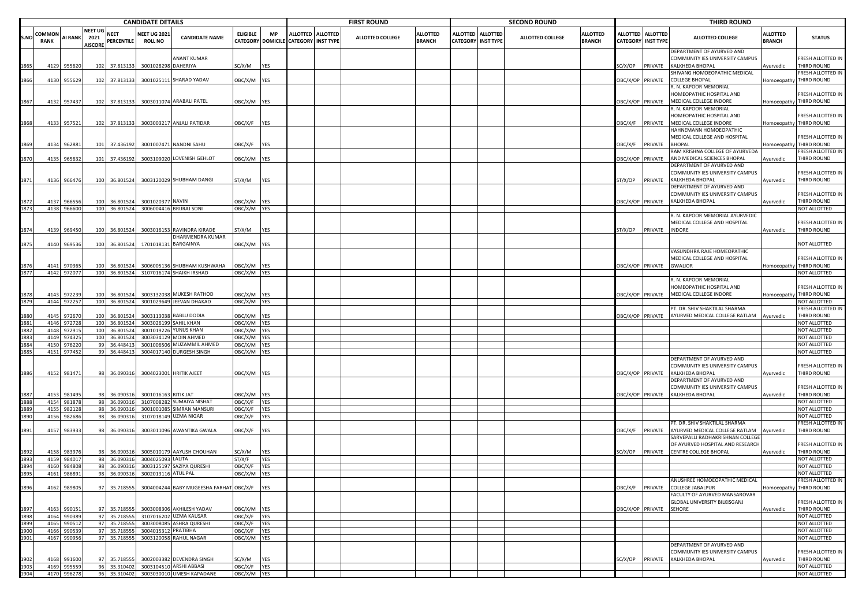|              |                      |                       |                                                  |                           | <b>CANDIDATE DETAILS</b>              |                                                      |                            |                                       |                                                | <b>FIRST ROUND</b> |                                  |                                    |                                     | <b>SECOND ROUND</b>     |                                  |                                    |                                     | <b>THIRD ROUND</b>                                                               |                                 |                                                       |
|--------------|----------------------|-----------------------|--------------------------------------------------|---------------------------|---------------------------------------|------------------------------------------------------|----------------------------|---------------------------------------|------------------------------------------------|--------------------|----------------------------------|------------------------------------|-------------------------------------|-------------------------|----------------------------------|------------------------------------|-------------------------------------|----------------------------------------------------------------------------------|---------------------------------|-------------------------------------------------------|
| S.NC         | OMMO:<br><b>RANK</b> |                       | <b>NEET UG</b><br>AI RANK 2021<br><b>AISCORE</b> | <b>NEET</b><br>PERCENTILE | <b>NEET UG 2021</b><br><b>ROLL NO</b> | <b>CANDIDATE NAME</b>                                | <b>ELIGIBLE</b>            | <b>MP</b><br><b>CATEGORY DOMICILE</b> | ALLOTTED ALLOTTED<br><b>CATEGORY INST TYPE</b> | ALLOTTED COLLEGE   | <b>ALLOTTED</b><br><b>BRANCH</b> | <b>ALLOTTED</b><br><b>CATEGORY</b> | <b>ALLOTTED</b><br><b>INST TYPE</b> | <b>ALLOTTED COLLEGE</b> | <b>ALLOTTED</b><br><b>BRANCH</b> | ALLOTTED<br><b>CATEGORY</b>        | <b>ALLOTTED</b><br><b>INST TYPE</b> | <b>ALLOTTED COLLEGE</b>                                                          | ALLOTTED<br><b>BRANCH</b>       | <b>STATUS</b>                                         |
| 865          | 4129                 | 955620                | 102                                              | 37.81313                  | 3001028298                            | ANANT KUMAR<br>DAHERIYA                              | SC/X/M                     | YES                                   |                                                |                    |                                  |                                    |                                     |                         |                                  | G/X/OP                             | PRIVATE                             | DEPARTMENT OF AYURVED AND<br>COMMUNITY IES UNIVERSITY CAMPUS<br>KALKHEDA BHOPAL  | Ayurvedic                       | FRESH ALLOTTED IN<br>THIRD ROUND                      |
| 866          | 4130                 | 955629                | 102                                              | 37.813133                 |                                       | 3001025111 SHARAD YADAV                              | DBC/X/M YES                |                                       |                                                |                    |                                  |                                    |                                     |                         |                                  | <b>BC/X/OP PRIVATE</b>             |                                     | SHIVANG HOMOEOPATHIC MEDICAL<br><b>COLLEGE BHOPAL</b>                            |                                 | FRESH ALLOTTED IN<br>Homoeopathy THIRD ROUND          |
| .867         | 4132                 | 957437                |                                                  | 102 37.813133             |                                       | 3003011074 ARABALI PATEL                             | OBC/X/M YES                |                                       |                                                |                    |                                  |                                    |                                     |                         |                                  | OBC/X/OP PRIVATE                   |                                     | R. N. KAPOOR MEMORIAL<br>HOMEOPATHIC HOSPITAL AND<br>MEDICAL COLLEGE INDORE      |                                 | FRESH ALLOTTED IN<br>Homoeopathy THIRD ROUND          |
| 868          | 4133                 | 957521                | 102                                              | 37.813133                 |                                       | 3003003217 ANJALI PATIDAR                            | OBC/X/F YES                |                                       |                                                |                    |                                  |                                    |                                     |                         |                                  | <b>DBC/X/F</b>                     | PRIVATE                             | R. N. KAPOOR MEMORIAL<br>HOMEOPATHIC HOSPITAL AND<br>MEDICAL COLLEGE INDORE      |                                 | FRESH ALLOTTED IN<br>Iomoeopathy THIRD ROUND          |
|              |                      |                       |                                                  |                           |                                       |                                                      |                            |                                       |                                                |                    |                                  |                                    |                                     |                         |                                  |                                    |                                     | HAHNEMANN HOMOEOPATHIC<br>MEDICAL COLLEGE AND HOSPITAL                           |                                 | FRESH ALLOTTED IN                                     |
| 869<br>1870  | 4134<br>4135         | 962881<br>965632      | 101<br>101                                       | 37.43619<br>37.436192     |                                       | 3001007471 NANDNI SAHU<br>3003109020 LOVENISH GEHLOT | OBC/X/F<br>OBC/X/M YES     | <b>YES</b>                            |                                                |                    |                                  |                                    |                                     |                         |                                  | <b>DBC/X/F</b><br>OBC/X/OP PRIVATE | PRIVATE                             | <b>BHOPAL</b><br>RAM KRISHNA COLLEGE OF AYURVEDA<br>AND MEDICAL SCIENCES BHOPAL  | <b>Iomoeopathy</b><br>Ayurvedic | THIRD ROUND<br><b>RESH ALLOTTED IN</b><br>THIRD ROUND |
| 871          | 4136                 | 966476                | 100                                              | 36.801524                 |                                       | 3003120029 SHUBHAM DANGI                             | ST/X/M                     | YES                                   |                                                |                    |                                  |                                    |                                     |                         |                                  | T/X/OP                             | PRIVATE                             | DEPARTMENT OF AYURVED AND<br>COMMUNITY IES UNIVERSITY CAMPUS<br>KALKHEDA BHOPAL  | Ayurvedic                       | FRESH ALLOTTED IN<br>THIRD ROUND                      |
| 872          | 4137                 | 966556                | 100                                              | 36.801524                 | 3001020377 NAVIN                      |                                                      | OBC/X/M YES                |                                       |                                                |                    |                                  |                                    |                                     |                         |                                  | OBC/X/OP PRIVATE                   |                                     | DEPARTMENT OF AYURVED AND<br>COMMUNITY IES UNIVERSITY CAMPUS<br>KALKHEDA BHOPAL  | Ayurvedic                       | FRESH ALLOTTED IN<br>THIRD ROUND                      |
|              | 4138                 | 966600                | 100                                              | 36.80152                  |                                       | 3006004416 BRIJRAJ SONI                              | OBC/X/M YES                |                                       |                                                |                    |                                  |                                    |                                     |                         |                                  |                                    |                                     |                                                                                  |                                 | NOT ALLOTTED                                          |
| 874          | 4139                 | 969450                | 100                                              | 36.80152                  |                                       | 3003016153 RAVINDRA KIRADE                           | ST/X/M                     | YES                                   |                                                |                    |                                  |                                    |                                     |                         |                                  | ST/X/OP                            | PRIVATE                             | R. N. KAPOOR MEMORIAL AYURVEDIC<br>MEDICAL COLLEGE AND HOSPITAL<br><b>INDORE</b> | Ayurvedic                       | FRESH ALLOTTED IN<br>THIRD ROUND                      |
| .875         | 4140                 | 969536                | 100                                              | 36.801524                 |                                       | DHARMENDRA KUMAR<br>1701018131 BARGAINYA             | OBC/X/M YES                |                                       |                                                |                    |                                  |                                    |                                     |                         |                                  |                                    |                                     |                                                                                  |                                 | NOT ALLOTTED                                          |
|              | 4141                 | 970365                | 100                                              | 36.80152                  |                                       | 3006005136 SHUBHAM KUSHWAHA                          | DBC/X/M YES                |                                       |                                                |                    |                                  |                                    |                                     |                         |                                  | DBC/X/OP PRIVATE                   |                                     | VASUNDHRA RAJE HOMEOPATHIC<br>MEDICAL COLLEGE AND HOSPITAL<br><b>GWALIOR</b>     | Homoeopathy                     | FRESH ALLOTTED IN<br>THIRD ROUND                      |
| 1877         | 4142                 | 972077                | 100                                              | 36.801524                 |                                       | 3107016174 SHAIKH IRSHAD                             | OBC/X/M YES                |                                       |                                                |                    |                                  |                                    |                                     |                         |                                  |                                    |                                     |                                                                                  |                                 | NOT ALLOTTED                                          |
|              |                      |                       |                                                  |                           |                                       |                                                      |                            |                                       |                                                |                    |                                  |                                    |                                     |                         |                                  |                                    |                                     | R. N. KAPOOR MEMORIAL<br>HOMEOPATHIC HOSPITAL AND                                |                                 | FRESH ALLOTTED IN                                     |
| 878          | 4143<br>4144         | 972239<br>972257      | 100<br>100                                       | 36.80152<br>36.80152      |                                       | 3003132038 MUKESH RATHOD<br>3001029649 JEEVAN DHAKAD | OBC/X/M YES<br>DBC/X/M YES |                                       |                                                |                    |                                  |                                    |                                     |                         |                                  | OBC/X/OP PRIVATE                   |                                     | MEDICAL COLLEGE INDORE                                                           |                                 | Homoeopathy THIRD ROUND<br>NOT ALLOTTED               |
|              |                      |                       |                                                  |                           |                                       |                                                      |                            |                                       |                                                |                    |                                  |                                    |                                     |                         |                                  |                                    |                                     | PT. DR. SHIV SHAKTILAL SHARMA                                                    |                                 | FRESH ALLOTTED IN                                     |
| 880          | 4145                 | 972670                | 100                                              | 36.80152                  |                                       | 3003113038 BABLU DODIA                               | BC/X/M YES                 |                                       |                                                |                    |                                  |                                    |                                     |                         |                                  | <b>DBC/X/OP PRIVATE</b>            |                                     | AYURVED MEDICAL COLLEGE RATLAM                                                   | Ayurvedic                       | THIRD ROUND                                           |
| 1881         | 4146<br>4148         | 972728<br>972915      | 100<br>100                                       | 36.80152<br>36.80152      | 300101922                             | 3003026199 SAHIL KHAN<br>YUNUS KHAN                  | OBC/X/M YES<br>BC/X/M YES  |                                       |                                                |                    |                                  |                                    |                                     |                         |                                  |                                    |                                     |                                                                                  |                                 | NOT ALLOTTED<br>NOT ALLOTTED                          |
|              | 4149                 | 974325                | 100                                              | 36.80152                  | 300303412                             | MOIN AHMED                                           | OBC/X/M                    | YES                                   |                                                |                    |                                  |                                    |                                     |                         |                                  |                                    |                                     |                                                                                  |                                 | NOT ALLOTTED                                          |
| 884          | 4150                 | 976220                | 99                                               | 36.44841                  | 300100650                             | MUZAMMIL AHMED                                       | OBC/X/M                    | YES                                   |                                                |                    |                                  |                                    |                                     |                         |                                  |                                    |                                     |                                                                                  |                                 | NOT ALLOTTED                                          |
|              | 4151                 | 977452                | 99                                               | 36.44841                  |                                       | 3004017140 DURGESH SINGH                             | DBC/X/M YES                |                                       |                                                |                    |                                  |                                    |                                     |                         |                                  |                                    |                                     |                                                                                  |                                 | NOT ALLOTTED                                          |
|              |                      |                       |                                                  |                           |                                       |                                                      |                            |                                       |                                                |                    |                                  |                                    |                                     |                         |                                  |                                    |                                     | DEPARTMENT OF AYURVED AND                                                        |                                 |                                                       |
| 886          | 4152                 | 981471                |                                                  | 98 36.090316              |                                       | 3004023001 HRITIK AJEET                              | OBC/X/M YES                |                                       |                                                |                    |                                  |                                    |                                     |                         |                                  | OBC/X/OP PRIVATE                   |                                     | COMMUNITY IES UNIVERSITY CAMPUS<br>KALKHEDA BHOPAL                               | Ayurvedic                       | FRESH ALLOTTED IN<br>THIRD ROUND                      |
|              |                      |                       |                                                  |                           |                                       |                                                      |                            |                                       |                                                |                    |                                  |                                    |                                     |                         |                                  |                                    |                                     | DEPARTMENT OF AYURVED AND<br>COMMUNITY IES UNIVERSITY CAMPUS                     |                                 | FRESH ALLOTTED IN                                     |
|              | 4153                 | 981495                | 98                                               | 36.09031                  | 3001016163                            | RITIK JAT                                            | OBC/X/M YES                |                                       |                                                |                    |                                  |                                    |                                     |                         |                                  | <b>DBC/X/OP PRIVATE</b>            |                                     | KALKHEDA BHOPAL                                                                  | Ayurvedic                       | THIRD ROUND                                           |
|              | 4154                 | 981878                | 98                                               | 36.09031                  | 3107008282                            | SUMAIYA NISHAT                                       | OBC/X/F                    | YES                                   |                                                |                    |                                  |                                    |                                     |                         |                                  |                                    |                                     |                                                                                  |                                 | NOT ALLOTTED                                          |
|              | 415                  | 982128                | 98                                               | 36.09031                  | 300100108                             | <b>SIMRAN MANSUR</b>                                 | OBC/X/F                    | YES                                   |                                                |                    |                                  |                                    |                                     |                         |                                  |                                    |                                     |                                                                                  |                                 | NOT ALLOTTED<br>NOT ALLOTTED                          |
|              | 4156                 | 982686                | 98                                               | 36.09031                  | 3107018149                            | UZMA NIGAR                                           | OBC/X/F                    | <b>YES</b>                            |                                                |                    |                                  |                                    |                                     |                         |                                  |                                    |                                     | PT. DR. SHIV SHAKTILAL SHARMA                                                    |                                 | FRESH ALLOTTED IN                                     |
| 891          | 4157                 | 983933                | 98                                               | 36.09031                  |                                       | 3003011096 AWANTIKA GWALA                            | OBC/X/F                    | <b>YES</b>                            |                                                |                    |                                  |                                    |                                     |                         |                                  | OBC/X/F                            | PRIVATE                             | AYURVED MEDICAL COLLEGE RATLAM<br>SARVEPALLI RADHAKRISHNAN COLLEGI               | Ayurvedic                       | THIRD ROUND                                           |
| 892          | 4158                 | 983976                | 98                                               | 36.09031                  |                                       | 3005010179 AAYUSH CHOUHAN                            | SC/X/M                     | YES                                   |                                                |                    |                                  |                                    |                                     |                         |                                  | SC/X/OP                            | PRIVATE                             | OF AYURVED HOSPITAL AND RESEARCH<br><b>CENTRE COLLEGE BHOPAL</b>                 | Ayurvedic                       | FRESH ALLOTTED IN<br>THIRD ROUND                      |
| 893          | 4159                 | 984017                | 98                                               | 36.09031                  | 3004025093                            | LALITA                                               | ST/X/F                     | YES                                   |                                                |                    |                                  |                                    |                                     |                         |                                  |                                    |                                     |                                                                                  |                                 | NOT ALLOTTED                                          |
|              | 4160                 | 984808                | 98                                               | 36.09031                  |                                       | 3003125197 SAZIYA QURESHI                            | <b>DBC/X/F</b>             | YES                                   |                                                |                    |                                  |                                    |                                     |                         |                                  |                                    |                                     |                                                                                  |                                 | NOT ALLOTTED                                          |
| 895          | 4161                 | 986891                | 98                                               | 36.09031                  | 3002013116 ATUL PAL                   |                                                      | OBC/X/M                    | YES                                   |                                                |                    |                                  |                                    |                                     |                         |                                  |                                    |                                     | ANUSHREE HOMOEOPATHIC MEDICAL                                                    |                                 | NOT ALLOTTED                                          |
| 1896         |                      | 4162 989805           |                                                  | 97 35.718555              |                                       | 3004004244 BABY MUGEESHA FARHAT OBC/X/F YES          |                            |                                       |                                                |                    |                                  |                                    |                                     |                         |                                  |                                    |                                     | OBC/X/F PRIVATE COLLEGE JABALPUR<br>FACULTY OF AYURVED MANSAROVAR                |                                 | FRESH ALLOTTED I<br>Homoeopathy THIRD ROUND           |
| 1897         |                      | 4163 990151           |                                                  | 97 35,718555              |                                       | 3003008306 AKHILESH YADAV                            | OBC/X/M YES                |                                       |                                                |                    |                                  |                                    |                                     |                         |                                  |                                    | OBC/X/OP PRIVATE SEHORE             | GLOBAL UNIVERSITY BILKISGANJ                                                     | Ayurvedic                       | FRESH ALLOTTED IN<br>THIRD ROUND                      |
| 1898         |                      | 4164 990389           | 97                                               | 35.718555                 |                                       | 3107016202 UZMA KAUSAR                               | OBC/X/F                    | <b>YES</b>                            |                                                |                    |                                  |                                    |                                     |                         |                                  |                                    |                                     |                                                                                  |                                 | NOT ALLOTTED                                          |
| 1899<br>1900 | 4165                 | 990512<br>4166 990539 | 97<br>97                                         | 35.71855<br>35.718555     |                                       | 3003008085 ASHRA QURESHI<br>3004015312 PRATIBHA      | OBC/X/F<br>OBC/X/F         | <b>YES</b><br><b>YES</b>              |                                                |                    |                                  |                                    |                                     |                         |                                  |                                    |                                     |                                                                                  |                                 | NOT ALLOTTED<br>NOT ALLOTTED                          |
| 1901         | 4167                 | 990956                | 97                                               | 35.71855                  |                                       | 3003120058 RAHUL NAGAR                               | OBC/X/M YES                |                                       |                                                |                    |                                  |                                    |                                     |                         |                                  |                                    |                                     |                                                                                  |                                 | NOT ALLOTTED                                          |
|              |                      |                       |                                                  |                           |                                       |                                                      |                            |                                       |                                                |                    |                                  |                                    |                                     |                         |                                  |                                    |                                     | DEPARTMENT OF AYURVED AND<br>COMMUNITY IES UNIVERSITY CAMPUS                     |                                 | FRESH ALLOTTED IN                                     |
| 1902         | 4169                 | 4168 991600<br>995559 | 97<br>96                                         | 35.718555<br>35.310402    |                                       | 3002003382 DEVENDRA SINGH<br>3003104510 ARSHI ABBASI | SC/X/M<br>OBC/X/F          | YES<br>YES                            |                                                |                    |                                  |                                    |                                     |                         |                                  | SC/X/OP                            |                                     | PRIVATE KALKHEDA BHOPAL                                                          | Ayurvedic                       | THIRD ROUND<br>NOT ALLOTTED                           |
| 1903<br>1904 |                      | 4170 996278           |                                                  |                           |                                       | 96 35.310402 3003030010 UMESH KAPADANE               | OBC/X/M YES                |                                       |                                                |                    |                                  |                                    |                                     |                         |                                  |                                    |                                     |                                                                                  |                                 | NOT ALLOTTED                                          |
|              |                      |                       |                                                  |                           |                                       |                                                      |                            |                                       |                                                |                    |                                  |                                    |                                     |                         |                                  |                                    |                                     |                                                                                  |                                 |                                                       |